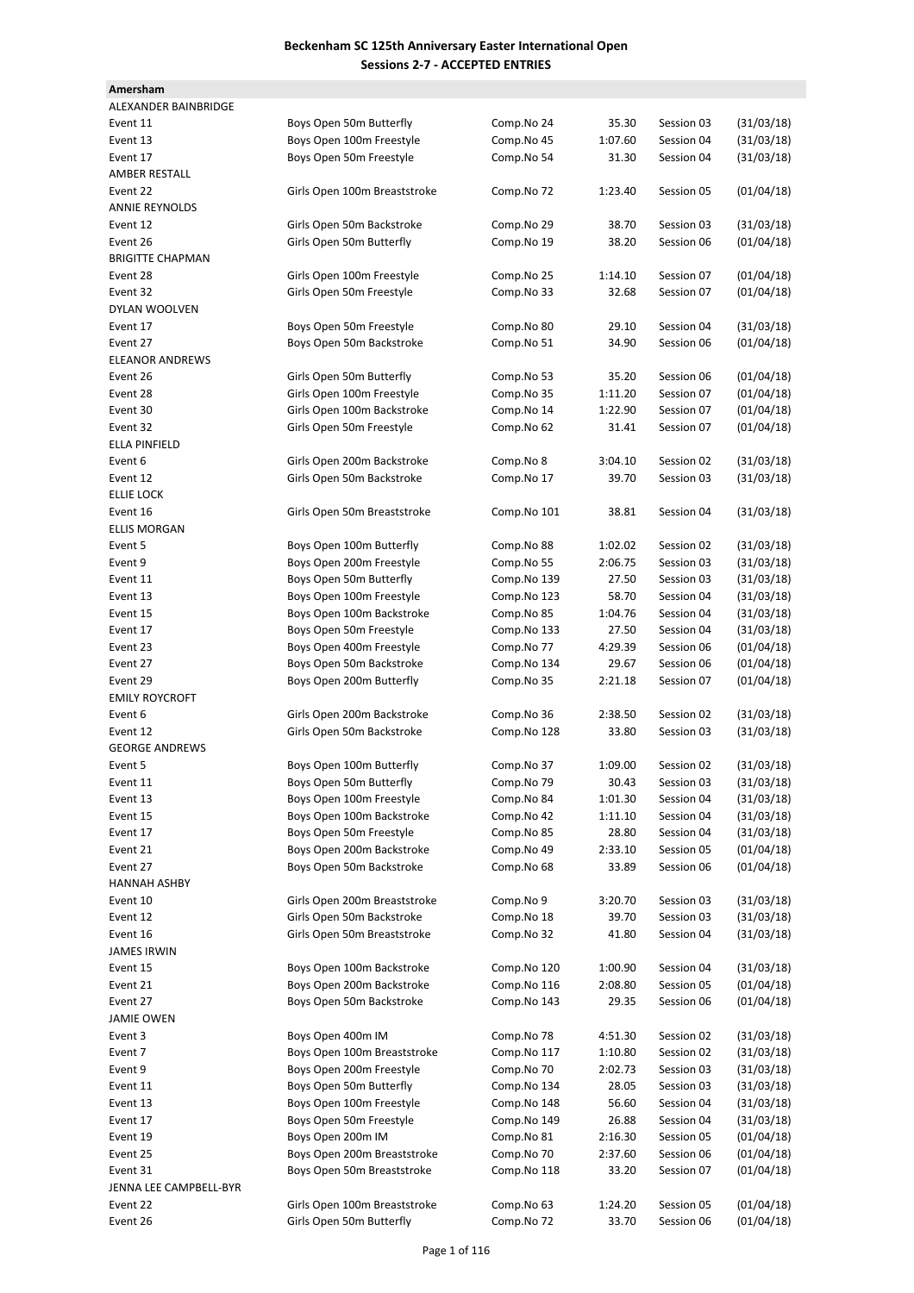| Amersham                |                              |             |         |            |            |
|-------------------------|------------------------------|-------------|---------|------------|------------|
|                         |                              |             |         |            |            |
| ALEXANDER BAINBRIDGE    |                              |             |         |            |            |
| Event 11                | Boys Open 50m Butterfly      | Comp.No 24  | 35.30   | Session 03 | (31/03/18) |
| Event 13                | Boys Open 100m Freestyle     | Comp.No 45  | 1:07.60 | Session 04 | (31/03/18) |
| Event 17                | Boys Open 50m Freestyle      | Comp.No 54  | 31.30   | Session 04 | (31/03/18) |
| AMBER RESTALL           |                              |             |         |            |            |
| Event 22                | Girls Open 100m Breaststroke | Comp.No 72  | 1:23.40 | Session 05 | (01/04/18) |
| <b>ANNIE REYNOLDS</b>   |                              |             |         |            |            |
| Event 12                | Girls Open 50m Backstroke    | Comp.No 29  | 38.70   | Session 03 | (31/03/18) |
|                         |                              |             |         |            |            |
| Event 26                | Girls Open 50m Butterfly     | Comp.No 19  | 38.20   | Session 06 | (01/04/18) |
| <b>BRIGITTE CHAPMAN</b> |                              |             |         |            |            |
| Event 28                | Girls Open 100m Freestyle    | Comp.No 25  | 1:14.10 | Session 07 | (01/04/18) |
| Event 32                | Girls Open 50m Freestyle     | Comp.No 33  | 32.68   | Session 07 | (01/04/18) |
| DYLAN WOOLVEN           |                              |             |         |            |            |
| Event 17                | Boys Open 50m Freestyle      | Comp.No 80  | 29.10   | Session 04 | (31/03/18) |
| Event 27                | Boys Open 50m Backstroke     | Comp.No 51  | 34.90   | Session 06 | (01/04/18) |
| <b>ELEANOR ANDREWS</b>  |                              |             |         |            |            |
|                         |                              |             |         |            |            |
| Event 26                | Girls Open 50m Butterfly     | Comp.No 53  | 35.20   | Session 06 | (01/04/18) |
| Event 28                | Girls Open 100m Freestyle    | Comp.No 35  | 1:11.20 | Session 07 | (01/04/18) |
| Event 30                | Girls Open 100m Backstroke   | Comp.No 14  | 1:22.90 | Session 07 | (01/04/18) |
| Event 32                | Girls Open 50m Freestyle     | Comp.No 62  | 31.41   | Session 07 | (01/04/18) |
| <b>ELLA PINFIELD</b>    |                              |             |         |            |            |
| Event 6                 | Girls Open 200m Backstroke   | Comp.No 8   | 3:04.10 | Session 02 | (31/03/18) |
| Event 12                | Girls Open 50m Backstroke    | Comp.No 17  | 39.70   | Session 03 | (31/03/18) |
|                         |                              |             |         |            |            |
| <b>ELLIE LOCK</b>       |                              |             |         |            |            |
| Event 16                | Girls Open 50m Breaststroke  | Comp.No 101 | 38.81   | Session 04 | (31/03/18) |
| <b>ELLIS MORGAN</b>     |                              |             |         |            |            |
| Event 5                 | Boys Open 100m Butterfly     | Comp.No 88  | 1:02.02 | Session 02 | (31/03/18) |
| Event 9                 | Boys Open 200m Freestyle     | Comp.No 55  | 2:06.75 | Session 03 | (31/03/18) |
| Event 11                | Boys Open 50m Butterfly      | Comp.No 139 | 27.50   | Session 03 | (31/03/18) |
| Event 13                | Boys Open 100m Freestyle     | Comp.No 123 | 58.70   | Session 04 | (31/03/18) |
|                         |                              |             |         |            |            |
| Event 15                | Boys Open 100m Backstroke    | Comp.No 85  | 1:04.76 | Session 04 | (31/03/18) |
| Event 17                | Boys Open 50m Freestyle      | Comp.No 133 | 27.50   | Session 04 | (31/03/18) |
| Event 23                | Boys Open 400m Freestyle     | Comp.No 77  | 4:29.39 | Session 06 | (01/04/18) |
| Event 27                | Boys Open 50m Backstroke     | Comp.No 134 | 29.67   | Session 06 | (01/04/18) |
| Event 29                | Boys Open 200m Butterfly     | Comp.No 35  | 2:21.18 | Session 07 | (01/04/18) |
| <b>EMILY ROYCROFT</b>   |                              |             |         |            |            |
| Event 6                 | Girls Open 200m Backstroke   | Comp.No 36  | 2:38.50 | Session 02 | (31/03/18) |
| Event 12                | Girls Open 50m Backstroke    | Comp.No 128 | 33.80   | Session 03 | (31/03/18) |
|                         |                              |             |         |            |            |
| <b>GEORGE ANDREWS</b>   |                              |             |         |            |            |
| Event 5                 | Boys Open 100m Butterfly     | Comp.No 37  | 1:09.00 | Session 02 | (31/03/18) |
| Event 11                | Boys Open 50m Butterfly      | Comp.No 79  | 30.43   | Session 03 | (31/03/18) |
| Event 13                | Boys Open 100m Freestyle     | Comp.No 84  | 1:01.30 | Session 04 | (31/03/18) |
| Event 15                | Boys Open 100m Backstroke    | Comp.No 42  | 1:11.10 | Session 04 | (31/03/18) |
| Event 17                | Boys Open 50m Freestyle      | Comp.No 85  | 28.80   | Session 04 | (31/03/18) |
| Event 21                | Boys Open 200m Backstroke    | Comp.No 49  | 2:33.10 | Session 05 | (01/04/18) |
| Event 27                | Boys Open 50m Backstroke     | Comp.No 68  | 33.89   | Session 06 | (01/04/18) |
|                         |                              |             |         |            |            |
| HANNAH ASHBY            |                              |             |         |            |            |
| Event 10                | Girls Open 200m Breaststroke | Comp.No 9   | 3:20.70 | Session 03 | (31/03/18) |
| Event 12                | Girls Open 50m Backstroke    | Comp.No 18  | 39.70   | Session 03 | (31/03/18) |
| Event 16                | Girls Open 50m Breaststroke  | Comp.No 32  | 41.80   | Session 04 | (31/03/18) |
| <b>JAMES IRWIN</b>      |                              |             |         |            |            |
| Event 15                | Boys Open 100m Backstroke    | Comp.No 120 | 1:00.90 | Session 04 | (31/03/18) |
| Event 21                | Boys Open 200m Backstroke    | Comp.No 116 | 2:08.80 | Session 05 | (01/04/18) |
|                         | Boys Open 50m Backstroke     |             |         |            |            |
| Event 27                |                              | Comp.No 143 | 29.35   | Session 06 | (01/04/18) |
| <b>JAMIE OWEN</b>       |                              |             |         |            |            |
| Event 3                 | Boys Open 400m IM            | Comp.No 78  | 4:51.30 | Session 02 | (31/03/18) |
| Event 7                 | Boys Open 100m Breaststroke  | Comp.No 117 | 1:10.80 | Session 02 | (31/03/18) |
| Event 9                 | Boys Open 200m Freestyle     | Comp.No 70  | 2:02.73 | Session 03 | (31/03/18) |
| Event 11                | Boys Open 50m Butterfly      | Comp.No 134 | 28.05   | Session 03 | (31/03/18) |
| Event 13                | Boys Open 100m Freestyle     | Comp.No 148 | 56.60   | Session 04 | (31/03/18) |
|                         | Boys Open 50m Freestyle      |             |         |            |            |
| Event 17                |                              | Comp.No 149 | 26.88   | Session 04 | (31/03/18) |
| Event 19                | Boys Open 200m IM            | Comp.No 81  | 2:16.30 | Session 05 | (01/04/18) |
| Event 25                | Boys Open 200m Breaststroke  | Comp.No 70  | 2:37.60 | Session 06 | (01/04/18) |
| Event 31                | Boys Open 50m Breaststroke   | Comp.No 118 | 33.20   | Session 07 | (01/04/18) |
| JENNA LEE CAMPBELL-BYR  |                              |             |         |            |            |
| Event 22                | Girls Open 100m Breaststroke | Comp.No 63  | 1:24.20 | Session 05 | (01/04/18) |
| Event 26                | Girls Open 50m Butterfly     | Comp.No 72  | 33.70   | Session 06 | (01/04/18) |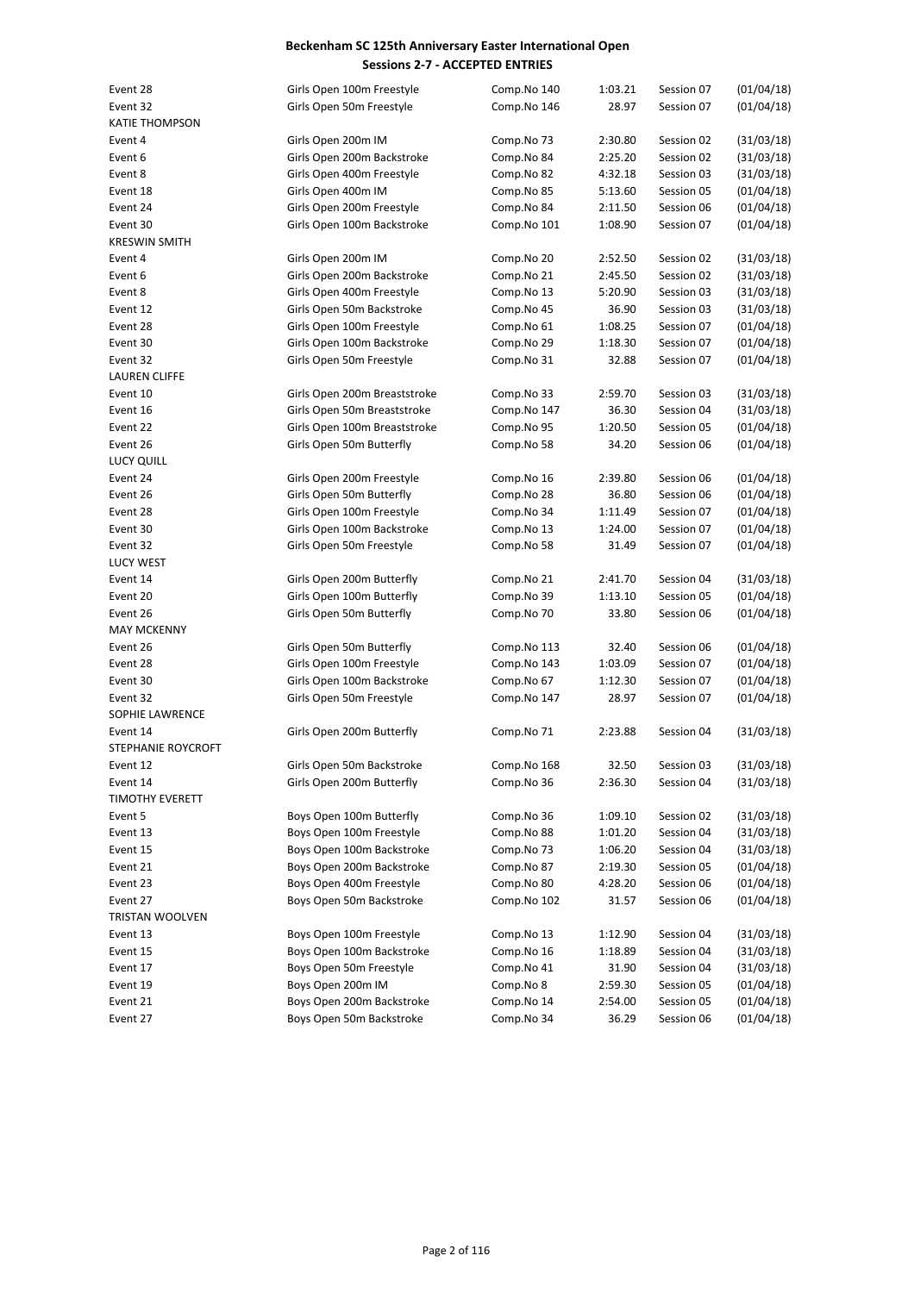| Event 28                  |                              |             | 1:03.21 | Session 07 | (01/04/18) |
|---------------------------|------------------------------|-------------|---------|------------|------------|
| Event 32                  | Girls Open 100m Freestyle    | Comp.No 140 |         |            |            |
|                           | Girls Open 50m Freestyle     | Comp.No 146 | 28.97   | Session 07 | (01/04/18) |
| <b>KATIE THOMPSON</b>     |                              |             |         |            |            |
| Event 4                   | Girls Open 200m IM           | Comp.No 73  | 2:30.80 | Session 02 | (31/03/18) |
| Event 6                   | Girls Open 200m Backstroke   | Comp.No 84  | 2:25.20 | Session 02 | (31/03/18) |
| Event 8                   | Girls Open 400m Freestyle    | Comp.No 82  | 4:32.18 | Session 03 | (31/03/18) |
| Event 18                  | Girls Open 400m IM           | Comp.No 85  | 5:13.60 | Session 05 | (01/04/18) |
| Event 24                  | Girls Open 200m Freestyle    | Comp.No 84  | 2:11.50 | Session 06 | (01/04/18) |
| Event 30                  | Girls Open 100m Backstroke   | Comp.No 101 | 1:08.90 | Session 07 | (01/04/18) |
| <b>KRESWIN SMITH</b>      |                              |             |         |            |            |
| Event 4                   | Girls Open 200m IM           | Comp.No 20  | 2:52.50 | Session 02 | (31/03/18) |
| Event 6                   | Girls Open 200m Backstroke   | Comp.No 21  | 2:45.50 | Session 02 | (31/03/18) |
| Event 8                   | Girls Open 400m Freestyle    | Comp.No 13  | 5:20.90 | Session 03 | (31/03/18) |
| Event 12                  | Girls Open 50m Backstroke    | Comp.No 45  | 36.90   | Session 03 | (31/03/18) |
| Event 28                  | Girls Open 100m Freestyle    | Comp.No 61  | 1:08.25 | Session 07 | (01/04/18) |
|                           |                              |             |         |            |            |
| Event 30                  | Girls Open 100m Backstroke   | Comp.No 29  | 1:18.30 | Session 07 | (01/04/18) |
| Event 32                  | Girls Open 50m Freestyle     | Comp.No 31  | 32.88   | Session 07 | (01/04/18) |
| <b>LAUREN CLIFFE</b>      |                              |             |         |            |            |
| Event 10                  | Girls Open 200m Breaststroke | Comp.No 33  | 2:59.70 | Session 03 | (31/03/18) |
| Event 16                  | Girls Open 50m Breaststroke  | Comp.No 147 | 36.30   | Session 04 | (31/03/18) |
| Event 22                  | Girls Open 100m Breaststroke | Comp.No 95  | 1:20.50 | Session 05 | (01/04/18) |
| Event 26                  | Girls Open 50m Butterfly     | Comp.No 58  | 34.20   | Session 06 | (01/04/18) |
| LUCY QUILL                |                              |             |         |            |            |
| Event 24                  | Girls Open 200m Freestyle    | Comp.No 16  | 2:39.80 | Session 06 | (01/04/18) |
| Event 26                  | Girls Open 50m Butterfly     | Comp.No 28  | 36.80   | Session 06 | (01/04/18) |
| Event 28                  | Girls Open 100m Freestyle    | Comp.No 34  | 1:11.49 | Session 07 | (01/04/18) |
| Event 30                  | Girls Open 100m Backstroke   | Comp.No 13  | 1:24.00 | Session 07 | (01/04/18) |
| Event 32                  | Girls Open 50m Freestyle     | Comp.No 58  | 31.49   | Session 07 | (01/04/18) |
| <b>LUCY WEST</b>          |                              |             |         |            |            |
| Event 14                  | Girls Open 200m Butterfly    | Comp.No 21  | 2:41.70 | Session 04 | (31/03/18) |
| Event 20                  | Girls Open 100m Butterfly    | Comp.No 39  | 1:13.10 | Session 05 | (01/04/18) |
| Event 26                  | Girls Open 50m Butterfly     | Comp.No 70  | 33.80   | Session 06 | (01/04/18) |
| <b>MAY MCKENNY</b>        |                              |             |         |            |            |
| Event 26                  |                              |             | 32.40   | Session 06 | (01/04/18) |
|                           | Girls Open 50m Butterfly     | Comp.No 113 |         |            |            |
| Event 28                  | Girls Open 100m Freestyle    | Comp.No 143 | 1:03.09 | Session 07 | (01/04/18) |
| Event 30                  | Girls Open 100m Backstroke   | Comp.No 67  | 1:12.30 | Session 07 | (01/04/18) |
| Event 32                  | Girls Open 50m Freestyle     | Comp.No 147 | 28.97   | Session 07 | (01/04/18) |
| SOPHIE LAWRENCE           |                              |             |         |            |            |
| Event 14                  | Girls Open 200m Butterfly    | Comp.No 71  | 2:23.88 | Session 04 | (31/03/18) |
| <b>STEPHANIE ROYCROFT</b> |                              |             |         |            |            |
| Event 12                  | Girls Open 50m Backstroke    | Comp.No 168 | 32.50   | Session 03 | (31/03/18) |
| Event 14                  | Girls Open 200m Butterfly    | Comp.No 36  | 2:36.30 | Session 04 | (31/03/18) |
| <b>TIMOTHY EVERETT</b>    |                              |             |         |            |            |
| Event 5                   | Boys Open 100m Butterfly     | Comp.No 36  | 1:09.10 | Session 02 | (31/03/18) |
| Event 13                  | Boys Open 100m Freestyle     | Comp.No 88  | 1:01.20 | Session 04 | (31/03/18) |
| Event 15                  | Boys Open 100m Backstroke    | Comp.No 73  | 1:06.20 | Session 04 | (31/03/18) |
| Event 21                  | Boys Open 200m Backstroke    | Comp.No 87  | 2:19.30 | Session 05 | (01/04/18) |
| Event 23                  | Boys Open 400m Freestyle     | Comp.No 80  | 4:28.20 | Session 06 | (01/04/18) |
| Event 27                  | Boys Open 50m Backstroke     | Comp.No 102 | 31.57   | Session 06 | (01/04/18) |
| TRISTAN WOOLVEN           |                              |             |         |            |            |
| Event 13                  | Boys Open 100m Freestyle     | Comp.No 13  | 1:12.90 | Session 04 | (31/03/18) |
| Event 15                  | Boys Open 100m Backstroke    | Comp.No 16  | 1:18.89 | Session 04 | (31/03/18) |
| Event 17                  | Boys Open 50m Freestyle      | Comp.No 41  |         | Session 04 |            |
|                           |                              |             | 31.90   | Session 05 | (31/03/18) |
| Event 19                  | Boys Open 200m IM            | Comp.No 8   | 2:59.30 |            | (01/04/18) |
| Event 21                  | Boys Open 200m Backstroke    | Comp.No 14  | 2:54.00 | Session 05 | (01/04/18) |
| Event 27                  | Boys Open 50m Backstroke     | Comp.No 34  | 36.29   | Session 06 | (01/04/18) |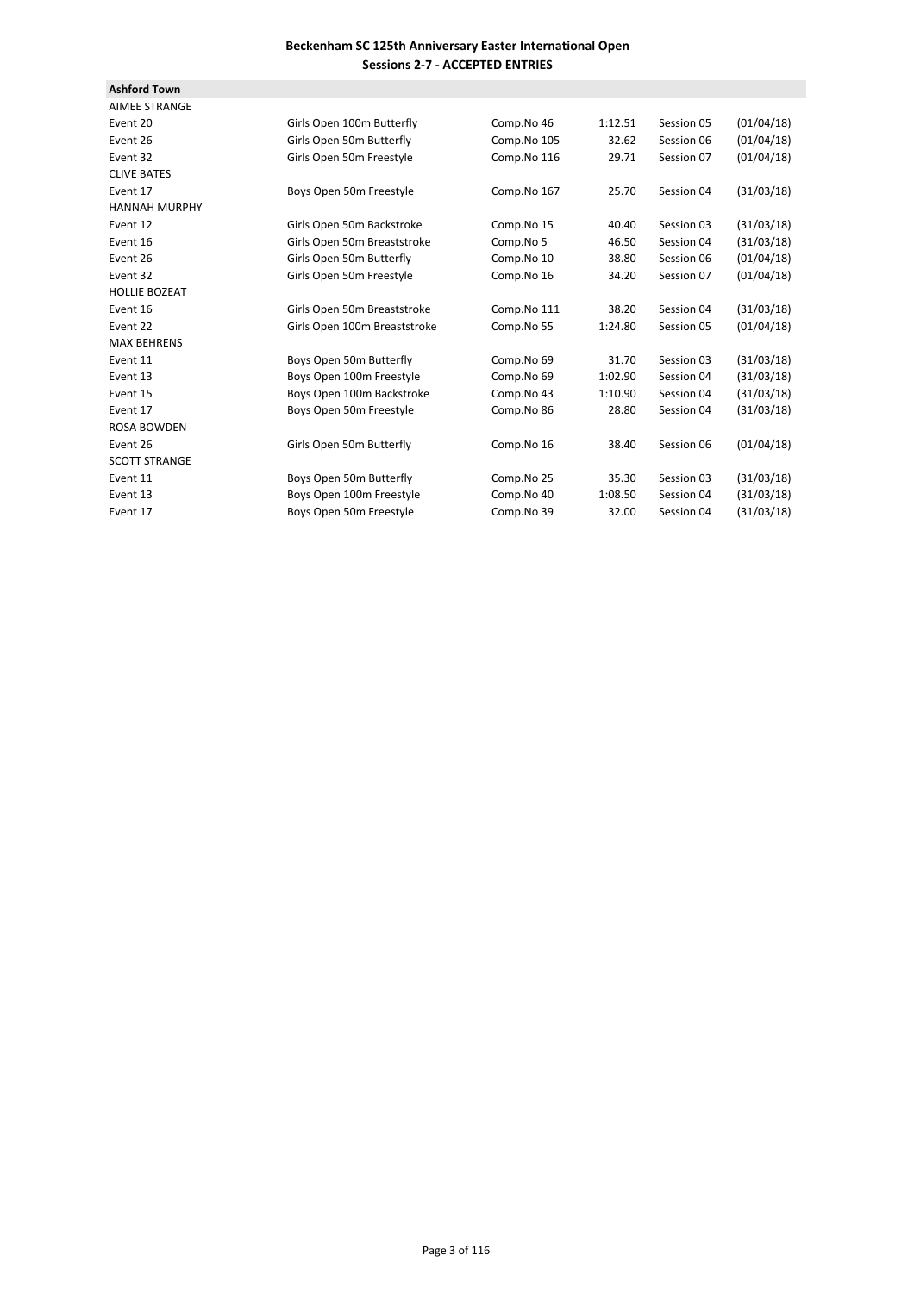| <b>Ashford Town</b>  |                              |             |         |            |            |
|----------------------|------------------------------|-------------|---------|------------|------------|
| <b>AIMEE STRANGE</b> |                              |             |         |            |            |
| Event 20             | Girls Open 100m Butterfly    | Comp.No 46  | 1:12.51 | Session 05 | (01/04/18) |
| Event 26             | Girls Open 50m Butterfly     | Comp.No 105 | 32.62   | Session 06 | (01/04/18) |
| Event 32             | Girls Open 50m Freestyle     | Comp.No 116 | 29.71   | Session 07 | (01/04/18) |
| <b>CLIVE BATES</b>   |                              |             |         |            |            |
| Event 17             | Boys Open 50m Freestyle      | Comp.No 167 | 25.70   | Session 04 | (31/03/18) |
| <b>HANNAH MURPHY</b> |                              |             |         |            |            |
| Event 12             | Girls Open 50m Backstroke    | Comp.No 15  | 40.40   | Session 03 | (31/03/18) |
| Event 16             | Girls Open 50m Breaststroke  | Comp.No 5   | 46.50   | Session 04 | (31/03/18) |
| Event 26             | Girls Open 50m Butterfly     | Comp.No 10  | 38.80   | Session 06 | (01/04/18) |
| Event 32             | Girls Open 50m Freestyle     | Comp.No 16  | 34.20   | Session 07 | (01/04/18) |
| <b>HOLLIE BOZEAT</b> |                              |             |         |            |            |
| Event 16             | Girls Open 50m Breaststroke  | Comp.No 111 | 38.20   | Session 04 | (31/03/18) |
| Event 22             | Girls Open 100m Breaststroke | Comp.No 55  | 1:24.80 | Session 05 | (01/04/18) |
| <b>MAX BEHRENS</b>   |                              |             |         |            |            |
| Event 11             | Boys Open 50m Butterfly      | Comp.No 69  | 31.70   | Session 03 | (31/03/18) |
| Event 13             | Boys Open 100m Freestyle     | Comp.No 69  | 1:02.90 | Session 04 | (31/03/18) |
| Event 15             | Boys Open 100m Backstroke    | Comp.No 43  | 1:10.90 | Session 04 | (31/03/18) |
| Event 17             | Boys Open 50m Freestyle      | Comp.No 86  | 28.80   | Session 04 | (31/03/18) |
| <b>ROSA BOWDEN</b>   |                              |             |         |            |            |
| Event 26             | Girls Open 50m Butterfly     | Comp.No 16  | 38.40   | Session 06 | (01/04/18) |
| <b>SCOTT STRANGE</b> |                              |             |         |            |            |
| Event 11             | Boys Open 50m Butterfly      | Comp.No 25  | 35.30   | Session 03 | (31/03/18) |
| Event 13             | Boys Open 100m Freestyle     | Comp.No 40  | 1:08.50 | Session 04 | (31/03/18) |
| Event 17             | Boys Open 50m Freestyle      | Comp.No 39  | 32.00   | Session 04 | (31/03/18) |
|                      |                              |             |         |            |            |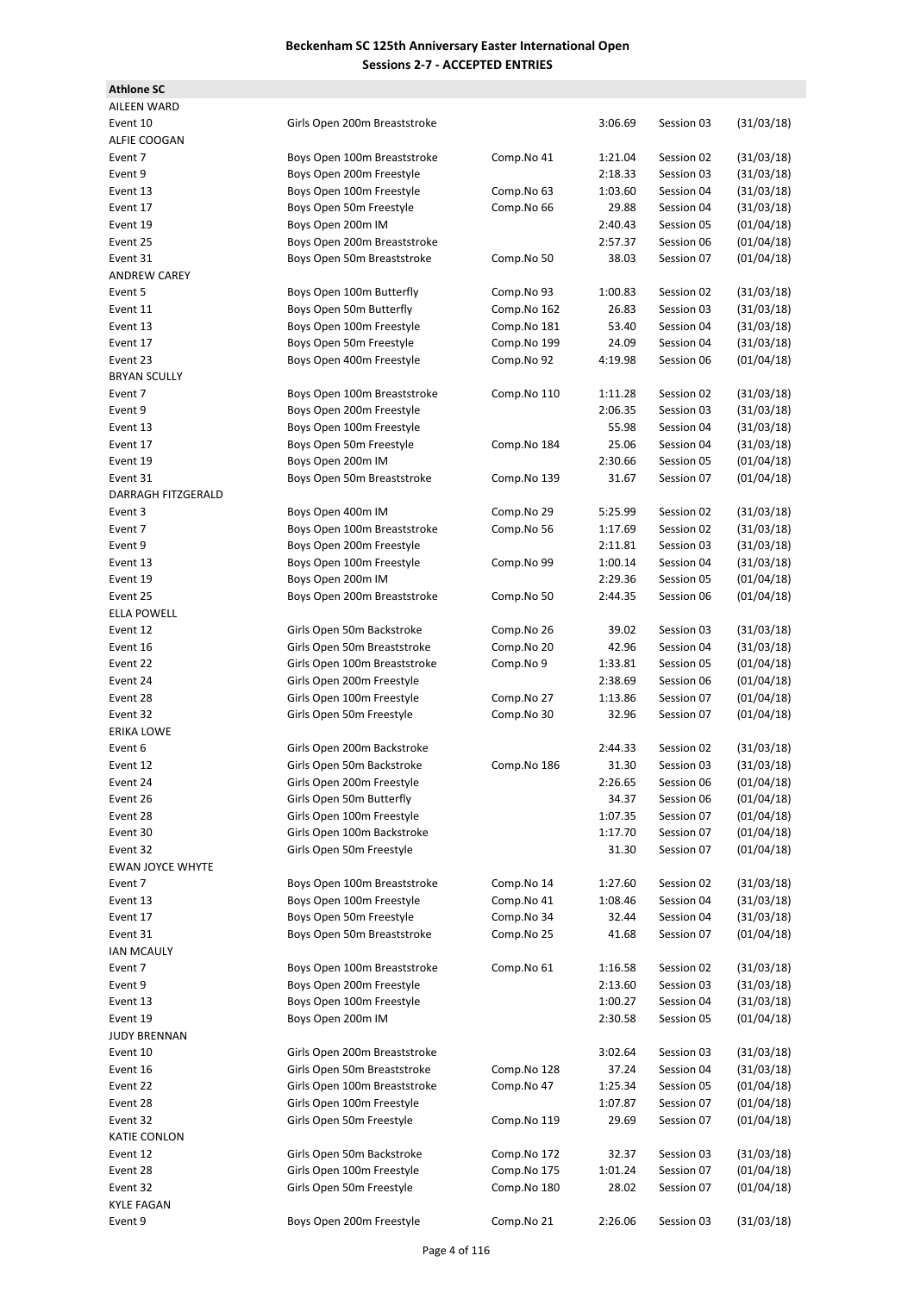| <b>Athlone SC</b>                   |                                                         |                            |                    |            |                          |
|-------------------------------------|---------------------------------------------------------|----------------------------|--------------------|------------|--------------------------|
| <b>AILEEN WARD</b>                  |                                                         |                            |                    |            |                          |
| Event 10                            | Girls Open 200m Breaststroke                            |                            | 3:06.69            | Session 03 | (31/03/18)               |
| ALFIE COOGAN                        |                                                         |                            |                    |            |                          |
| Event 7                             | Boys Open 100m Breaststroke                             | Comp.No 41                 | 1:21.04            | Session 02 | (31/03/18)               |
| Event 9                             | Boys Open 200m Freestyle                                |                            | 2:18.33            | Session 03 | (31/03/18)               |
| Event 13                            | Boys Open 100m Freestyle                                | Comp.No 63                 | 1:03.60            | Session 04 | (31/03/18)               |
| Event 17                            | Boys Open 50m Freestyle                                 | Comp.No 66                 | 29.88              | Session 04 | (31/03/18)               |
| Event 19                            | Boys Open 200m IM                                       |                            | 2:40.43            | Session 05 | (01/04/18)               |
| Event 25                            | Boys Open 200m Breaststroke                             |                            | 2:57.37            | Session 06 | (01/04/18)               |
| Event 31                            | Boys Open 50m Breaststroke                              | Comp.No 50                 | 38.03              | Session 07 | (01/04/18)               |
| <b>ANDREW CAREY</b>                 |                                                         |                            |                    |            |                          |
| Event 5                             | Boys Open 100m Butterfly                                | Comp.No 93                 | 1:00.83            | Session 02 | (31/03/18)               |
| Event 11                            | Boys Open 50m Butterfly                                 | Comp.No 162                | 26.83              | Session 03 | (31/03/18)               |
| Event 13                            | Boys Open 100m Freestyle                                | Comp.No 181                | 53.40              | Session 04 | (31/03/18)               |
| Event 17                            | Boys Open 50m Freestyle                                 | Comp.No 199                | 24.09              | Session 04 | (31/03/18)               |
| Event 23                            | Boys Open 400m Freestyle                                | Comp.No 92                 | 4:19.98            | Session 06 | (01/04/18)               |
| <b>BRYAN SCULLY</b>                 |                                                         |                            |                    |            |                          |
| Event 7                             | Boys Open 100m Breaststroke                             | Comp.No 110                | 1:11.28            | Session 02 | (31/03/18)               |
| Event 9                             | Boys Open 200m Freestyle                                |                            | 2:06.35            | Session 03 | (31/03/18)               |
| Event 13                            | Boys Open 100m Freestyle                                |                            | 55.98              | Session 04 | (31/03/18)               |
| Event 17                            | Boys Open 50m Freestyle                                 | Comp.No 184                | 25.06              | Session 04 | (31/03/18)               |
| Event 19                            | Boys Open 200m IM                                       |                            | 2:30.66            | Session 05 | (01/04/18)               |
| Event 31                            | Boys Open 50m Breaststroke                              | Comp.No 139                | 31.67              | Session 07 | (01/04/18)               |
| DARRAGH FITZGERALD                  |                                                         |                            |                    |            |                          |
| Event 3                             | Boys Open 400m IM                                       | Comp.No 29                 | 5:25.99            | Session 02 | (31/03/18)               |
| Event 7                             | Boys Open 100m Breaststroke                             | Comp.No 56                 | 1:17.69            | Session 02 | (31/03/18)               |
| Event 9                             | Boys Open 200m Freestyle                                |                            | 2:11.81            | Session 03 | (31/03/18)               |
| Event 13                            | Boys Open 100m Freestyle                                | Comp.No 99                 | 1:00.14            | Session 04 | (31/03/18)               |
| Event 19                            | Boys Open 200m IM                                       |                            | 2:29.36            | Session 05 | (01/04/18)               |
| Event 25                            | Boys Open 200m Breaststroke                             | Comp.No 50                 | 2:44.35            | Session 06 | (01/04/18)               |
| <b>ELLA POWELL</b>                  |                                                         |                            |                    |            |                          |
| Event 12                            | Girls Open 50m Backstroke                               | Comp.No 26                 | 39.02              | Session 03 | (31/03/18)               |
| Event 16                            | Girls Open 50m Breaststroke                             | Comp.No 20                 | 42.96              | Session 04 | (31/03/18)               |
| Event 22                            | Girls Open 100m Breaststroke                            | Comp.No 9                  | 1:33.81            | Session 05 | (01/04/18)               |
| Event 24                            | Girls Open 200m Freestyle                               |                            | 2:38.69            | Session 06 | (01/04/18)               |
| Event 28                            | Girls Open 100m Freestyle                               | Comp.No 27                 | 1:13.86            | Session 07 | (01/04/18)               |
| Event 32                            | Girls Open 50m Freestyle                                | Comp.No 30                 | 32.96              | Session 07 | (01/04/18)               |
| <b>ERIKA LOWE</b>                   |                                                         |                            |                    |            |                          |
| Event 6                             | Girls Open 200m Backstroke                              |                            | 2:44.33            | Session 02 | (31/03/18)               |
| Event 12                            | Girls Open 50m Backstroke                               | Comp.No 186                | 31.30              | Session 03 | (31/03/18)               |
| Event 24                            | Girls Open 200m Freestyle<br>Girls Open 50m Butterfly   |                            | 2:26.65            | Session 06 | (01/04/18)               |
| Event 26                            | Girls Open 100m Freestyle                               |                            | 34.37              | Session 06 | (01/04/18)               |
| Event 28                            |                                                         |                            | 1:07.35            | Session 07 | (01/04/18)               |
| Event 30                            | Girls Open 100m Backstroke                              |                            | 1:17.70            | Session 07 | (01/04/18)               |
| Event 32<br><b>EWAN JOYCE WHYTE</b> | Girls Open 50m Freestyle                                |                            | 31.30              | Session 07 | (01/04/18)               |
|                                     |                                                         |                            |                    |            |                          |
| Event 7<br>Event 13                 | Boys Open 100m Breaststroke<br>Boys Open 100m Freestyle | Comp.No 14<br>Comp.No 41   | 1:27.60<br>1:08.46 | Session 02 | (31/03/18)<br>(31/03/18) |
| Event 17                            | Boys Open 50m Freestyle                                 |                            |                    | Session 04 | (31/03/18)               |
|                                     |                                                         | Comp.No 34                 | 32.44              | Session 04 |                          |
| Event 31                            | Boys Open 50m Breaststroke                              | Comp.No 25                 | 41.68              | Session 07 | (01/04/18)               |
| <b>IAN MCAULY</b>                   |                                                         |                            |                    |            |                          |
| Event 7                             | Boys Open 100m Breaststroke                             | Comp.No 61                 | 1:16.58            | Session 02 | (31/03/18)               |
| Event 9                             | Boys Open 200m Freestyle                                |                            | 2:13.60            | Session 03 | (31/03/18)               |
| Event 13                            | Boys Open 100m Freestyle                                |                            | 1:00.27            | Session 04 | (31/03/18)               |
| Event 19                            | Boys Open 200m IM                                       |                            | 2:30.58            | Session 05 | (01/04/18)               |
| <b>JUDY BRENNAN</b>                 |                                                         |                            |                    |            |                          |
| Event 10                            | Girls Open 200m Breaststroke                            |                            | 3:02.64            | Session 03 | (31/03/18)               |
| Event 16                            | Girls Open 50m Breaststroke                             | Comp.No 128                | 37.24              | Session 04 | (31/03/18)               |
| Event 22                            | Girls Open 100m Breaststroke                            | Comp.No 47                 | 1:25.34            | Session 05 | (01/04/18)               |
| Event 28                            | Girls Open 100m Freestyle                               |                            | 1:07.87            | Session 07 | (01/04/18)               |
| Event 32                            | Girls Open 50m Freestyle                                | Comp.No 119                | 29.69              | Session 07 | (01/04/18)               |
| KATIE CONLON                        |                                                         |                            |                    |            |                          |
| Event 12                            | Girls Open 50m Backstroke                               | Comp.No 172                | 32.37              | Session 03 | (31/03/18)               |
| Event 28                            | Girls Open 100m Freestyle<br>Girls Open 50m Freestyle   | Comp.No 175<br>Comp.No 180 | 1:01.24            | Session 07 | (01/04/18)<br>(01/04/18) |
| Event 32<br><b>KYLE FAGAN</b>       |                                                         |                            | 28.02              | Session 07 |                          |
| Event 9                             | Boys Open 200m Freestyle                                | Comp.No 21                 | 2:26.06            | Session 03 | (31/03/18)               |
|                                     |                                                         |                            |                    |            |                          |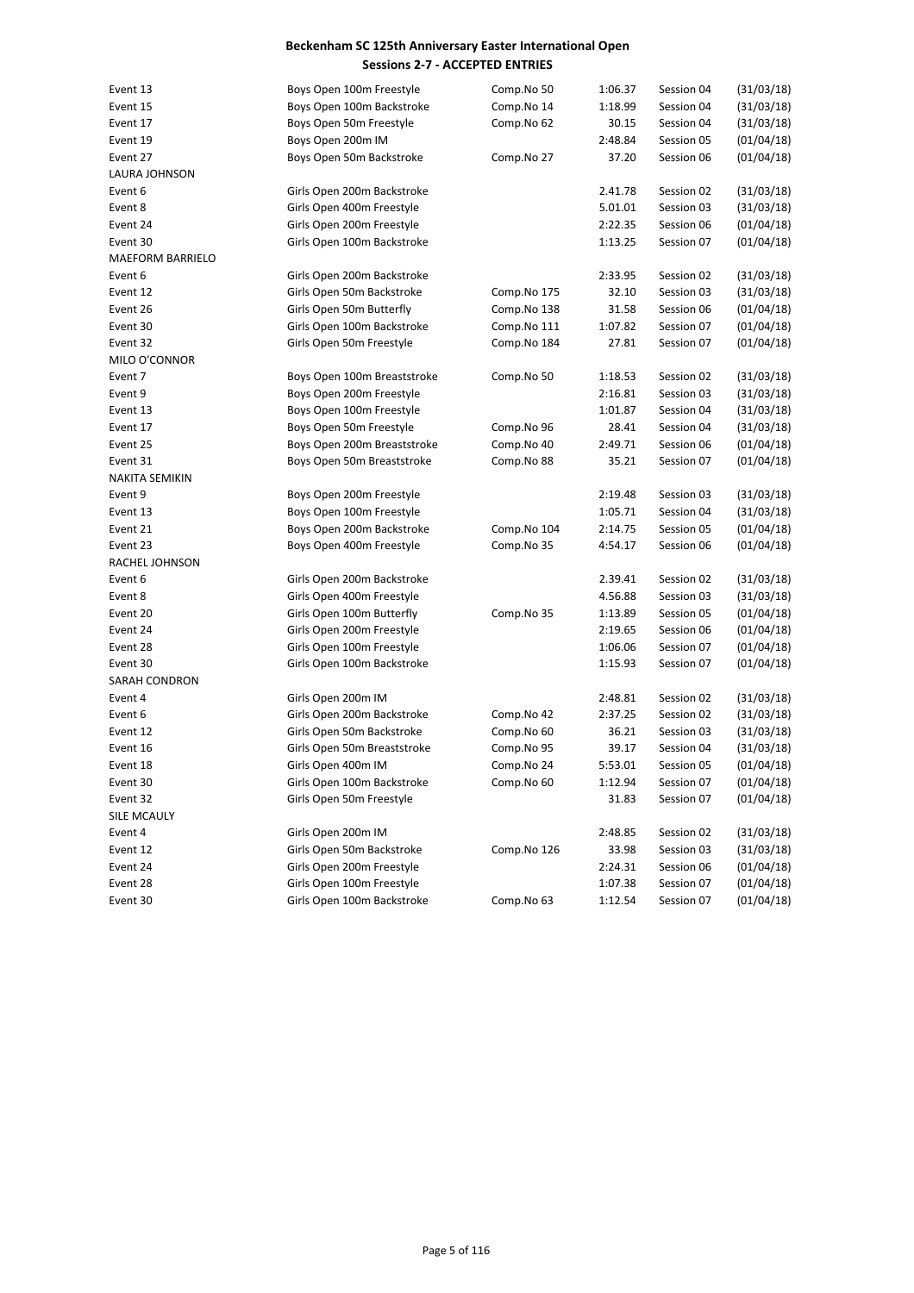| Event 13                | Boys Open 100m Freestyle    | Comp.No 50  | 1:06.37 | Session 04 | (31/03/18) |
|-------------------------|-----------------------------|-------------|---------|------------|------------|
| Event 15                | Boys Open 100m Backstroke   | Comp.No 14  | 1:18.99 | Session 04 | (31/03/18) |
| Event 17                | Boys Open 50m Freestyle     | Comp.No 62  | 30.15   | Session 04 | (31/03/18) |
| Event 19                | Boys Open 200m IM           |             | 2:48.84 | Session 05 | (01/04/18) |
| Event 27                | Boys Open 50m Backstroke    | Comp.No 27  | 37.20   | Session 06 | (01/04/18) |
| <b>LAURA JOHNSON</b>    |                             |             |         |            |            |
| Event 6                 | Girls Open 200m Backstroke  |             | 2.41.78 | Session 02 | (31/03/18) |
| Event 8                 | Girls Open 400m Freestyle   |             | 5.01.01 | Session 03 | (31/03/18) |
| Event 24                | Girls Open 200m Freestyle   |             | 2:22.35 | Session 06 | (01/04/18) |
| Event 30                | Girls Open 100m Backstroke  |             | 1:13.25 | Session 07 | (01/04/18) |
| <b>MAEFORM BARRIELO</b> |                             |             |         |            |            |
| Event 6                 | Girls Open 200m Backstroke  |             | 2:33.95 | Session 02 | (31/03/18) |
| Event 12                | Girls Open 50m Backstroke   | Comp.No 175 | 32.10   | Session 03 | (31/03/18) |
| Event 26                | Girls Open 50m Butterfly    | Comp.No 138 | 31.58   | Session 06 | (01/04/18) |
| Event 30                | Girls Open 100m Backstroke  | Comp.No 111 | 1:07.82 | Session 07 | (01/04/18) |
| Event 32                | Girls Open 50m Freestyle    | Comp.No 184 | 27.81   | Session 07 | (01/04/18) |
| MILO O'CONNOR           |                             |             |         |            |            |
| Event 7                 | Boys Open 100m Breaststroke | Comp.No 50  | 1:18.53 | Session 02 | (31/03/18) |
| Event 9                 | Boys Open 200m Freestyle    |             | 2:16.81 | Session 03 | (31/03/18) |
| Event 13                | Boys Open 100m Freestyle    |             | 1:01.87 | Session 04 | (31/03/18) |
| Event 17                | Boys Open 50m Freestyle     | Comp.No 96  | 28.41   | Session 04 | (31/03/18) |
| Event 25                | Boys Open 200m Breaststroke | Comp.No 40  | 2:49.71 | Session 06 | (01/04/18) |
| Event 31                | Boys Open 50m Breaststroke  | Comp.No 88  | 35.21   | Session 07 | (01/04/18) |
| <b>NAKITA SEMIKIN</b>   |                             |             |         |            |            |
| Event 9                 | Boys Open 200m Freestyle    |             | 2:19.48 | Session 03 | (31/03/18) |
| Event 13                | Boys Open 100m Freestyle    |             | 1:05.71 | Session 04 | (31/03/18) |
| Event 21                | Boys Open 200m Backstroke   | Comp.No 104 | 2:14.75 | Session 05 | (01/04/18) |
| Event 23                | Boys Open 400m Freestyle    | Comp.No 35  | 4:54.17 | Session 06 | (01/04/18) |
| RACHEL JOHNSON          |                             |             |         |            |            |
| Event 6                 | Girls Open 200m Backstroke  |             | 2.39.41 | Session 02 | (31/03/18) |
| Event 8                 | Girls Open 400m Freestyle   |             | 4.56.88 | Session 03 | (31/03/18) |
| Event 20                | Girls Open 100m Butterfly   | Comp.No 35  | 1:13.89 | Session 05 | (01/04/18) |
| Event 24                | Girls Open 200m Freestyle   |             | 2:19.65 | Session 06 | (01/04/18) |
| Event 28                | Girls Open 100m Freestyle   |             | 1:06.06 | Session 07 | (01/04/18) |
| Event 30                | Girls Open 100m Backstroke  |             | 1:15.93 | Session 07 | (01/04/18) |
| <b>SARAH CONDRON</b>    |                             |             |         |            |            |
| Event 4                 | Girls Open 200m IM          |             | 2:48.81 | Session 02 | (31/03/18) |
| Event 6                 | Girls Open 200m Backstroke  | Comp.No 42  | 2:37.25 | Session 02 | (31/03/18) |
| Event 12                | Girls Open 50m Backstroke   | Comp.No 60  | 36.21   | Session 03 | (31/03/18) |
| Event 16                | Girls Open 50m Breaststroke | Comp.No 95  | 39.17   | Session 04 | (31/03/18) |
| Event 18                | Girls Open 400m IM          | Comp.No 24  | 5:53.01 | Session 05 | (01/04/18) |
| Event 30                | Girls Open 100m Backstroke  | Comp.No 60  | 1:12.94 | Session 07 | (01/04/18) |
| Event 32                | Girls Open 50m Freestyle    |             | 31.83   | Session 07 | (01/04/18) |
| SILE MCAULY             |                             |             |         |            |            |
| Event 4                 | Girls Open 200m IM          |             | 2:48.85 | Session 02 | (31/03/18) |
| Event 12                | Girls Open 50m Backstroke   | Comp.No 126 | 33.98   | Session 03 | (31/03/18) |
| Event 24                | Girls Open 200m Freestyle   |             | 2:24.31 | Session 06 | (01/04/18) |
| Event 28                | Girls Open 100m Freestyle   |             | 1:07.38 | Session 07 | (01/04/18) |
| Event 30                | Girls Open 100m Backstroke  | Comp.No 63  | 1:12.54 | Session 07 | (01/04/18) |
|                         |                             |             |         |            |            |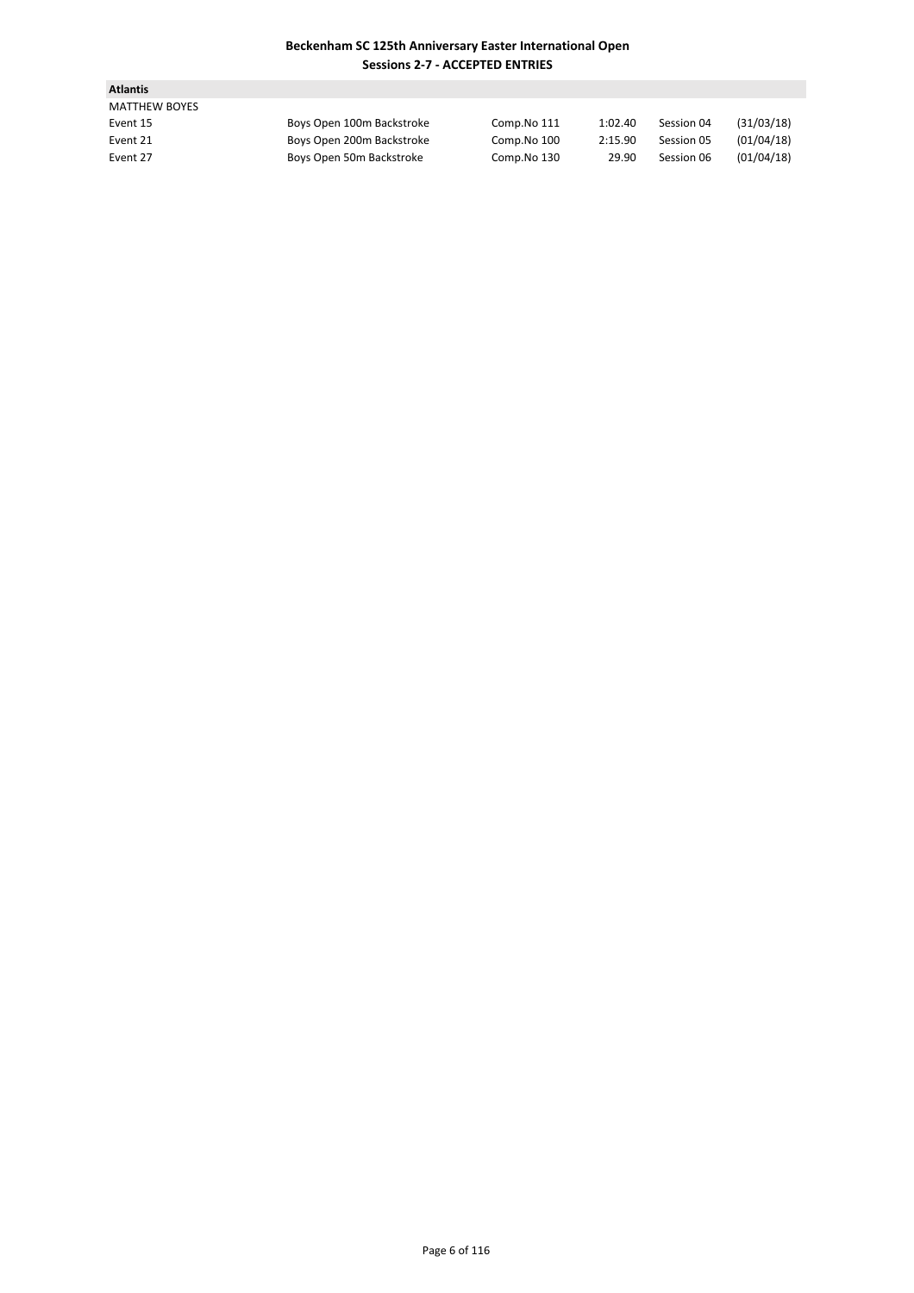| <b>Atlantis</b>      |                           |             |         |            |            |
|----------------------|---------------------------|-------------|---------|------------|------------|
| <b>MATTHEW BOYES</b> |                           |             |         |            |            |
| Event 15             | Boys Open 100m Backstroke | Comp.No 111 | 1:02.40 | Session 04 | (31/03/18) |
| Event 21             | Boys Open 200m Backstroke | Comp.No 100 | 2:15.90 | Session 05 | (01/04/18) |
| Event 27             | Boys Open 50m Backstroke  | Comp.No 130 | 29.90   | Session 06 | (01/04/18) |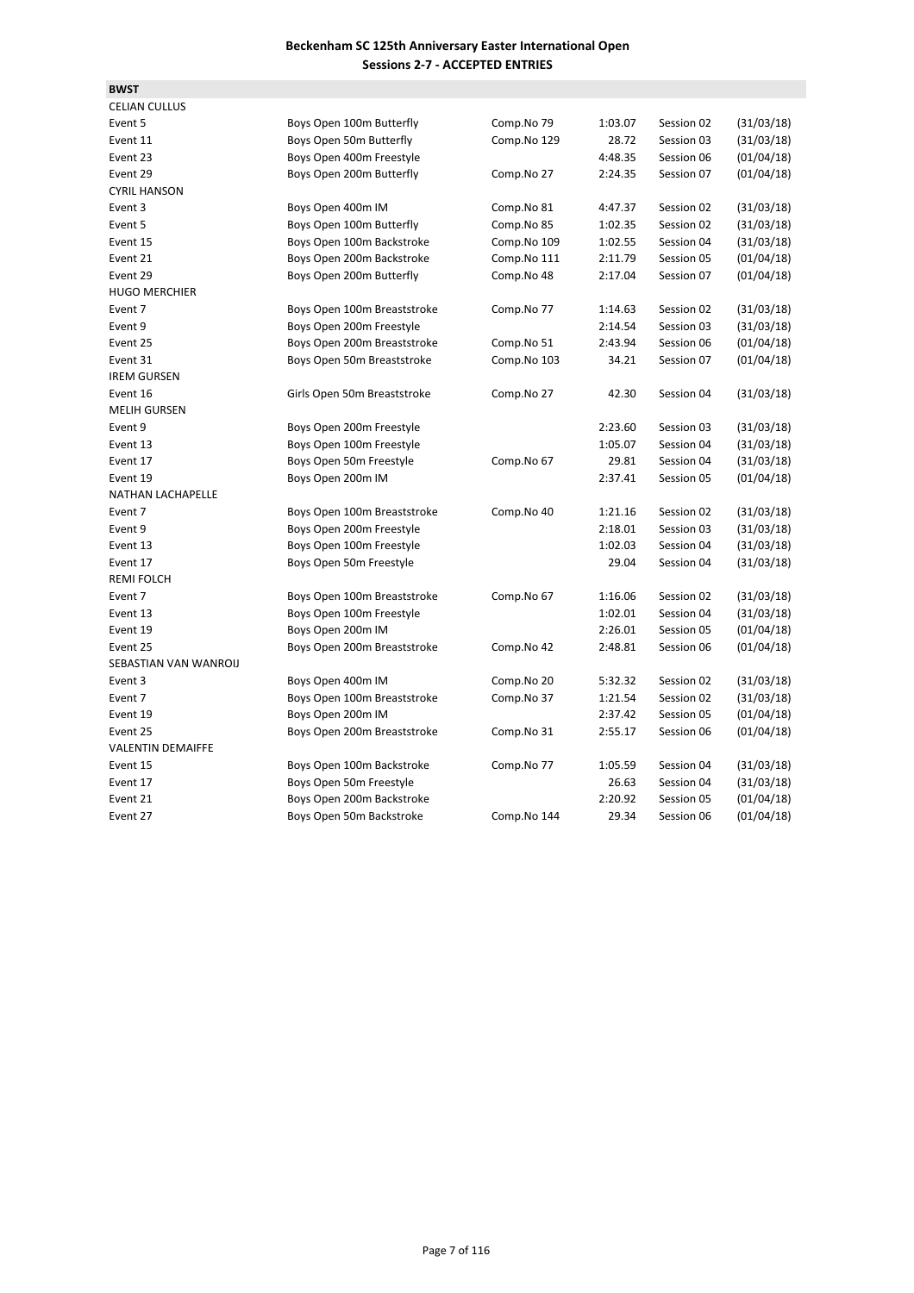**BWST**

| <b>CELIAN CULLUS</b>     |                             |             |         |            |            |
|--------------------------|-----------------------------|-------------|---------|------------|------------|
| Event 5                  | Boys Open 100m Butterfly    | Comp.No 79  | 1:03.07 | Session 02 | (31/03/18) |
| Event 11                 | Boys Open 50m Butterfly     | Comp.No 129 | 28.72   | Session 03 | (31/03/18) |
| Event 23                 | Boys Open 400m Freestyle    |             | 4:48.35 | Session 06 | (01/04/18) |
| Event 29                 | Boys Open 200m Butterfly    | Comp.No 27  | 2:24.35 | Session 07 | (01/04/18) |
| <b>CYRIL HANSON</b>      |                             |             |         |            |            |
| Event 3                  | Boys Open 400m IM           | Comp.No 81  | 4:47.37 | Session 02 | (31/03/18) |
| Event 5                  | Boys Open 100m Butterfly    | Comp.No 85  | 1:02.35 | Session 02 | (31/03/18) |
| Event 15                 | Boys Open 100m Backstroke   | Comp.No 109 | 1:02.55 | Session 04 | (31/03/18) |
| Event 21                 | Boys Open 200m Backstroke   | Comp.No 111 | 2:11.79 | Session 05 | (01/04/18) |
| Event 29                 | Boys Open 200m Butterfly    | Comp.No 48  | 2:17.04 | Session 07 | (01/04/18) |
| <b>HUGO MERCHIER</b>     |                             |             |         |            |            |
| Event 7                  | Boys Open 100m Breaststroke | Comp.No 77  | 1:14.63 | Session 02 | (31/03/18) |
| Event 9                  | Boys Open 200m Freestyle    |             | 2:14.54 | Session 03 | (31/03/18) |
| Event 25                 | Boys Open 200m Breaststroke | Comp.No 51  | 2:43.94 | Session 06 | (01/04/18) |
| Event 31                 | Boys Open 50m Breaststroke  | Comp.No 103 | 34.21   | Session 07 | (01/04/18) |
| <b>IREM GURSEN</b>       |                             |             |         |            |            |
| Event 16                 | Girls Open 50m Breaststroke | Comp.No 27  | 42.30   | Session 04 | (31/03/18) |
| <b>MELIH GURSEN</b>      |                             |             |         |            |            |
| Event 9                  | Boys Open 200m Freestyle    |             | 2:23.60 | Session 03 | (31/03/18) |
| Event 13                 | Boys Open 100m Freestyle    |             | 1:05.07 | Session 04 | (31/03/18) |
| Event 17                 | Boys Open 50m Freestyle     | Comp.No 67  | 29.81   | Session 04 | (31/03/18) |
| Event 19                 | Boys Open 200m IM           |             | 2:37.41 | Session 05 | (01/04/18) |
| <b>NATHAN LACHAPELLE</b> |                             |             |         |            |            |
| Event 7                  | Boys Open 100m Breaststroke | Comp.No 40  | 1:21.16 | Session 02 | (31/03/18) |
| Event 9                  | Boys Open 200m Freestyle    |             | 2:18.01 | Session 03 | (31/03/18) |
| Event 13                 | Boys Open 100m Freestyle    |             | 1:02.03 | Session 04 | (31/03/18) |
| Event 17                 | Boys Open 50m Freestyle     |             | 29.04   | Session 04 | (31/03/18) |
| <b>REMI FOLCH</b>        |                             |             |         |            |            |
| Event 7                  | Boys Open 100m Breaststroke | Comp.No 67  | 1:16.06 | Session 02 | (31/03/18) |
| Event 13                 | Boys Open 100m Freestyle    |             | 1:02.01 | Session 04 | (31/03/18) |
| Event 19                 | Boys Open 200m IM           |             | 2:26.01 | Session 05 | (01/04/18) |
| Event 25                 | Boys Open 200m Breaststroke | Comp.No 42  | 2:48.81 | Session 06 | (01/04/18) |
| SEBASTIAN VAN WANROIJ    |                             |             |         |            |            |
| Event 3                  | Boys Open 400m IM           | Comp.No 20  | 5:32.32 | Session 02 | (31/03/18) |
| Event 7                  | Boys Open 100m Breaststroke | Comp.No 37  | 1:21.54 | Session 02 | (31/03/18) |
| Event 19                 | Boys Open 200m IM           |             | 2:37.42 | Session 05 | (01/04/18) |
| Event 25                 | Boys Open 200m Breaststroke | Comp.No 31  | 2:55.17 | Session 06 | (01/04/18) |
| <b>VALENTIN DEMAIFFE</b> |                             |             |         |            |            |
| Event 15                 | Boys Open 100m Backstroke   | Comp.No 77  | 1:05.59 | Session 04 | (31/03/18) |
| Event 17                 | Boys Open 50m Freestyle     |             | 26.63   | Session 04 | (31/03/18) |
| Event 21                 | Boys Open 200m Backstroke   |             | 2:20.92 | Session 05 | (01/04/18) |
| Event 27                 | Boys Open 50m Backstroke    | Comp.No 144 | 29.34   | Session 06 | (01/04/18) |
|                          |                             |             |         |            |            |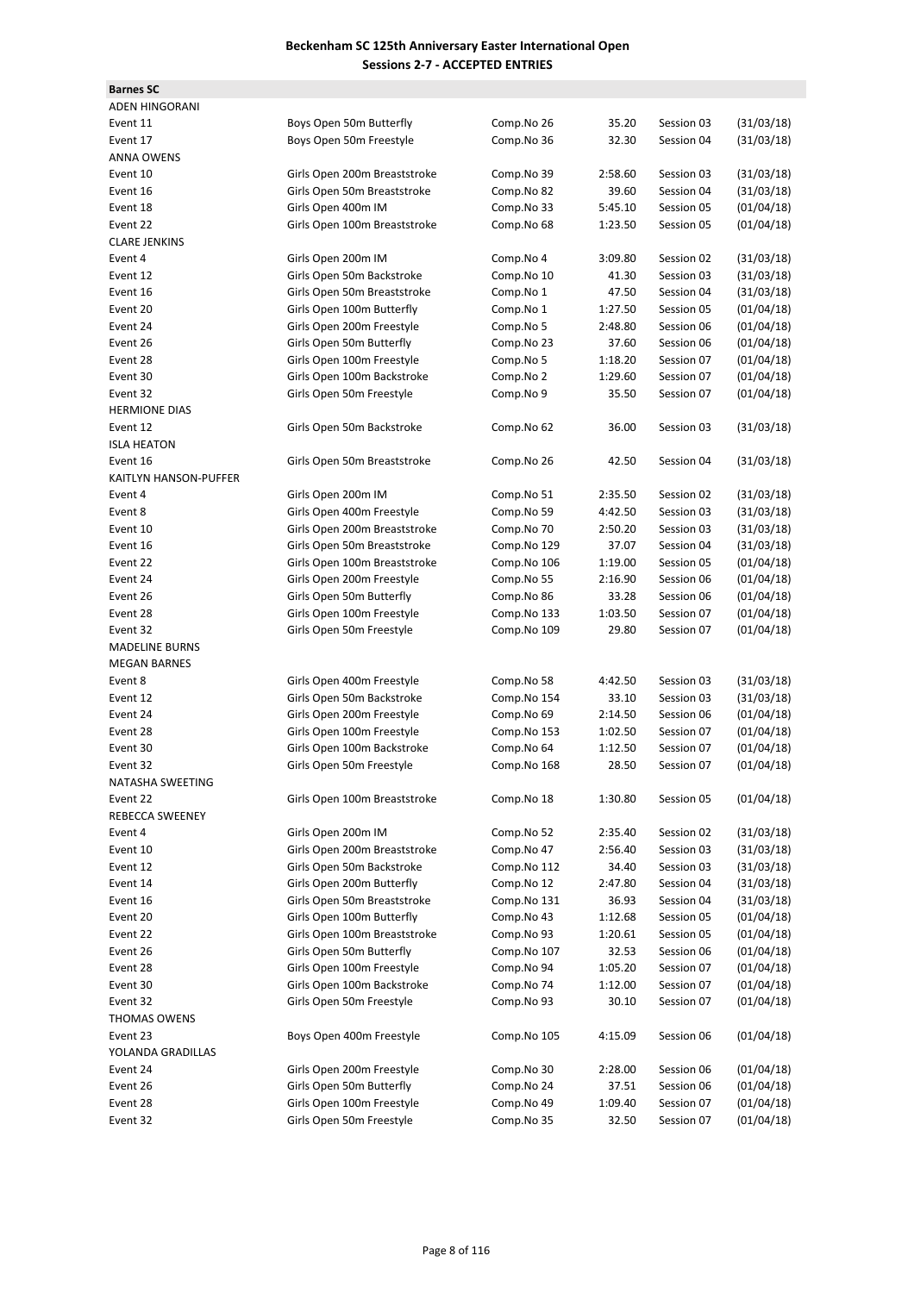| <b>Barnes SC</b>       |                              |             |         |            |            |
|------------------------|------------------------------|-------------|---------|------------|------------|
| <b>ADEN HINGORANI</b>  |                              |             |         |            |            |
| Event 11               | Boys Open 50m Butterfly      | Comp.No 26  | 35.20   | Session 03 | (31/03/18) |
| Event 17               | Boys Open 50m Freestyle      | Comp.No 36  | 32.30   | Session 04 | (31/03/18) |
| <b>ANNA OWENS</b>      |                              |             |         |            |            |
| Event 10               | Girls Open 200m Breaststroke | Comp.No 39  | 2:58.60 | Session 03 | (31/03/18) |
| Event 16               | Girls Open 50m Breaststroke  | Comp.No 82  | 39.60   | Session 04 | (31/03/18) |
| Event 18               | Girls Open 400m IM           | Comp.No 33  | 5:45.10 | Session 05 | (01/04/18) |
| Event 22               | Girls Open 100m Breaststroke | Comp.No 68  | 1:23.50 | Session 05 | (01/04/18) |
| <b>CLARE JENKINS</b>   |                              |             |         |            |            |
| Event 4                | Girls Open 200m IM           | Comp.No 4   | 3:09.80 | Session 02 | (31/03/18) |
| Event 12               | Girls Open 50m Backstroke    | Comp.No 10  | 41.30   | Session 03 | (31/03/18) |
| Event 16               |                              |             |         |            |            |
|                        | Girls Open 50m Breaststroke  | Comp.No 1   | 47.50   | Session 04 | (31/03/18) |
| Event 20               | Girls Open 100m Butterfly    | Comp.No 1   | 1:27.50 | Session 05 | (01/04/18) |
| Event 24               | Girls Open 200m Freestyle    | Comp.No 5   | 2:48.80 | Session 06 | (01/04/18) |
| Event 26               | Girls Open 50m Butterfly     | Comp.No 23  | 37.60   | Session 06 | (01/04/18) |
| Event 28               | Girls Open 100m Freestyle    | Comp.No 5   | 1:18.20 | Session 07 | (01/04/18) |
| Event 30               | Girls Open 100m Backstroke   | Comp.No 2   | 1:29.60 | Session 07 | (01/04/18) |
| Event 32               | Girls Open 50m Freestyle     | Comp.No 9   | 35.50   | Session 07 | (01/04/18) |
| <b>HERMIONE DIAS</b>   |                              |             |         |            |            |
| Event 12               | Girls Open 50m Backstroke    | Comp.No 62  | 36.00   | Session 03 | (31/03/18) |
| <b>ISLA HEATON</b>     |                              |             |         |            |            |
| Event 16               | Girls Open 50m Breaststroke  | Comp.No 26  | 42.50   | Session 04 | (31/03/18) |
| KAITLYN HANSON-PUFFER  |                              |             |         |            |            |
| Event 4                | Girls Open 200m IM           | Comp.No 51  | 2:35.50 | Session 02 | (31/03/18) |
| Event 8                | Girls Open 400m Freestyle    | Comp.No 59  | 4:42.50 | Session 03 | (31/03/18) |
| Event 10               | Girls Open 200m Breaststroke | Comp.No 70  | 2:50.20 | Session 03 | (31/03/18) |
| Event 16               | Girls Open 50m Breaststroke  | Comp.No 129 | 37.07   | Session 04 | (31/03/18) |
| Event 22               | Girls Open 100m Breaststroke | Comp.No 106 | 1:19.00 | Session 05 | (01/04/18) |
| Event 24               | Girls Open 200m Freestyle    | Comp.No 55  | 2:16.90 | Session 06 | (01/04/18) |
| Event 26               | Girls Open 50m Butterfly     | Comp.No 86  | 33.28   | Session 06 | (01/04/18) |
| Event 28               | Girls Open 100m Freestyle    | Comp.No 133 | 1:03.50 | Session 07 | (01/04/18) |
|                        |                              |             |         |            |            |
| Event 32               | Girls Open 50m Freestyle     | Comp.No 109 | 29.80   | Session 07 | (01/04/18) |
| <b>MADELINE BURNS</b>  |                              |             |         |            |            |
| <b>MEGAN BARNES</b>    |                              |             |         |            |            |
| Event 8                | Girls Open 400m Freestyle    | Comp.No 58  | 4:42.50 | Session 03 | (31/03/18) |
| Event 12               | Girls Open 50m Backstroke    | Comp.No 154 | 33.10   | Session 03 | (31/03/18) |
| Event 24               | Girls Open 200m Freestyle    | Comp.No 69  | 2:14.50 | Session 06 | (01/04/18) |
| Event 28               | Girls Open 100m Freestyle    | Comp.No 153 | 1:02.50 | Session 07 | (01/04/18) |
| Event 30               | Girls Open 100m Backstroke   | Comp.No 64  | 1:12.50 | Session 07 | (01/04/18) |
| Event 32               | Girls Open 50m Freestyle     | Comp.No 168 | 28.50   | Session 07 | (01/04/18) |
| NATASHA SWEETING       |                              |             |         |            |            |
| Event 22               | Girls Open 100m Breaststroke | Comp.No 18  | 1:30.80 | Session 05 | (01/04/18) |
| <b>REBECCA SWEENEY</b> |                              |             |         |            |            |
| Event 4                | Girls Open 200m IM           | Comp.No 52  | 2:35.40 | Session 02 | (31/03/18) |
| Event 10               | Girls Open 200m Breaststroke | Comp.No 47  | 2:56.40 | Session 03 | (31/03/18) |
| Event 12               | Girls Open 50m Backstroke    | Comp.No 112 | 34.40   | Session 03 | (31/03/18) |
| Event 14               | Girls Open 200m Butterfly    | Comp.No 12  | 2:47.80 | Session 04 | (31/03/18) |
| Event 16               | Girls Open 50m Breaststroke  | Comp.No 131 | 36.93   | Session 04 | (31/03/18) |
| Event 20               | Girls Open 100m Butterfly    | Comp.No 43  | 1:12.68 | Session 05 | (01/04/18) |
| Event 22               | Girls Open 100m Breaststroke | Comp.No 93  | 1:20.61 | Session 05 | (01/04/18) |
| Event 26               | Girls Open 50m Butterfly     | Comp.No 107 | 32.53   | Session 06 | (01/04/18) |
|                        |                              |             |         |            |            |
| Event 28               | Girls Open 100m Freestyle    | Comp.No 94  | 1:05.20 | Session 07 | (01/04/18) |
| Event 30               | Girls Open 100m Backstroke   | Comp.No 74  | 1:12.00 | Session 07 | (01/04/18) |
| Event 32               | Girls Open 50m Freestyle     | Comp.No 93  | 30.10   | Session 07 | (01/04/18) |
| <b>THOMAS OWENS</b>    |                              |             |         |            |            |
| Event 23               | Boys Open 400m Freestyle     | Comp.No 105 | 4:15.09 | Session 06 | (01/04/18) |
| YOLANDA GRADILLAS      |                              |             |         |            |            |
| Event 24               | Girls Open 200m Freestyle    | Comp.No 30  | 2:28.00 | Session 06 | (01/04/18) |
| Event 26               | Girls Open 50m Butterfly     | Comp.No 24  | 37.51   | Session 06 | (01/04/18) |
| Event 28               | Girls Open 100m Freestyle    | Comp.No 49  | 1:09.40 | Session 07 | (01/04/18) |
| Event 32               | Girls Open 50m Freestyle     | Comp.No 35  | 32.50   | Session 07 | (01/04/18) |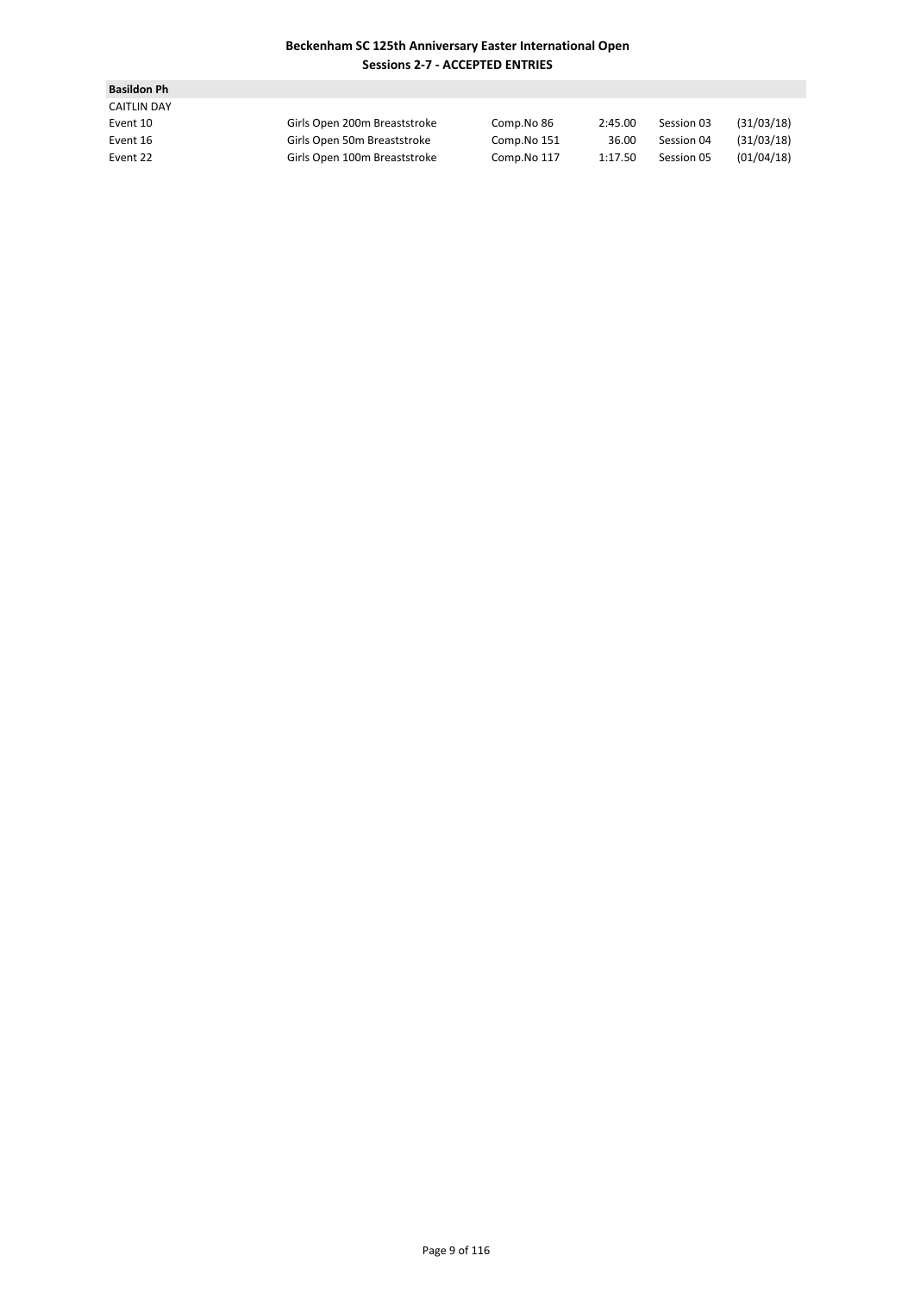| <b>Basildon Ph</b> |                              |             |         |            |            |
|--------------------|------------------------------|-------------|---------|------------|------------|
| <b>CAITLIN DAY</b> |                              |             |         |            |            |
| Event 10           | Girls Open 200m Breaststroke | Comp.No 86  | 2:45.00 | Session 03 | (31/03/18) |
| Event 16           | Girls Open 50m Breaststroke  | Comp.No 151 | 36.00   | Session 04 | (31/03/18) |
| Event 22           | Girls Open 100m Breaststroke | Comp.No 117 | 1:17.50 | Session 05 | (01/04/18) |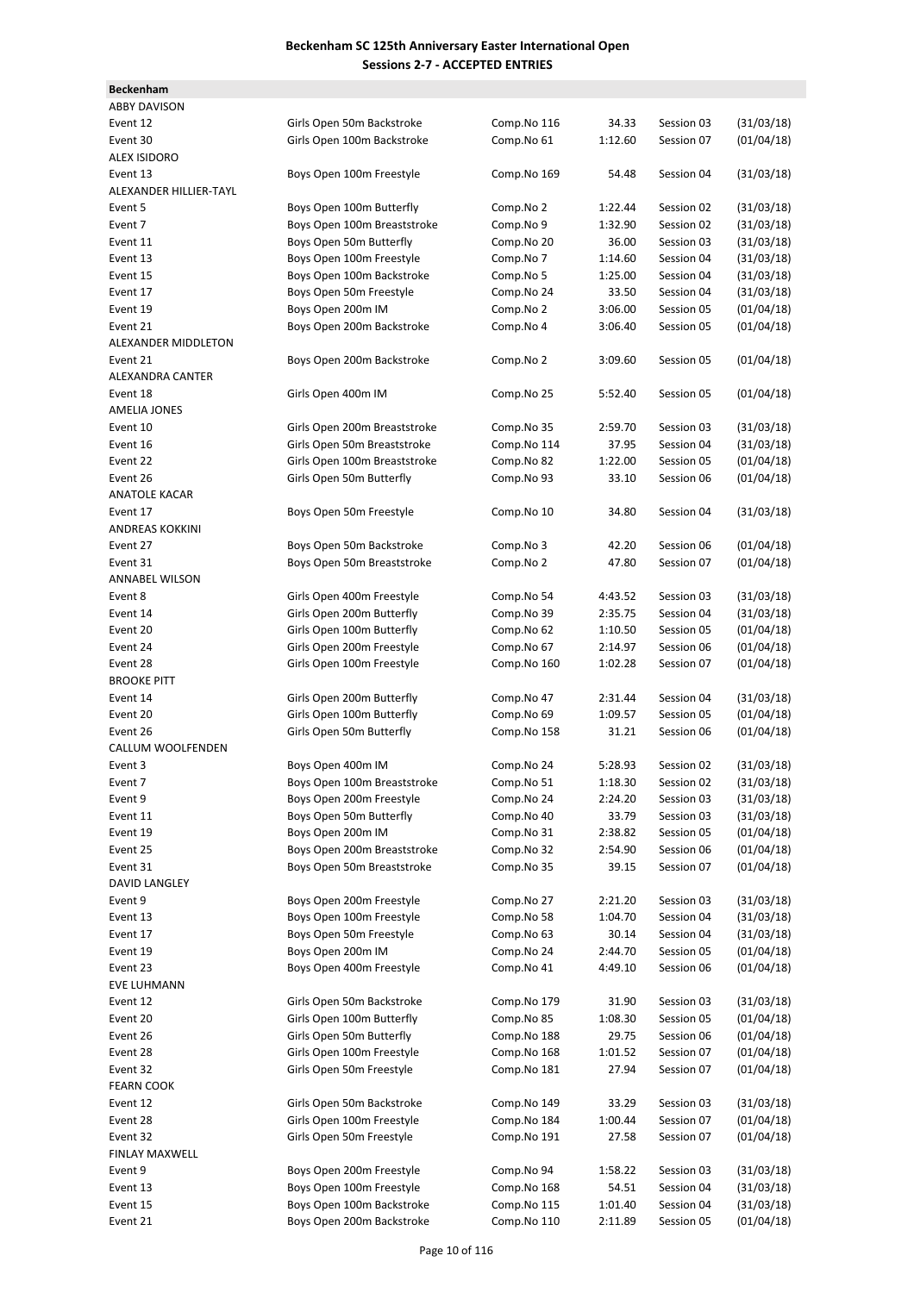| <b>Beckenham</b>       |                                                        |                            |                  |                          |                          |
|------------------------|--------------------------------------------------------|----------------------------|------------------|--------------------------|--------------------------|
| <b>ABBY DAVISON</b>    |                                                        |                            |                  |                          |                          |
| Event 12               | Girls Open 50m Backstroke                              | Comp.No 116                | 34.33            | Session 03               | (31/03/18)               |
| Event 30               | Girls Open 100m Backstroke                             | Comp.No 61                 | 1:12.60          | Session 07               | (01/04/18)               |
| <b>ALEX ISIDORO</b>    |                                                        |                            |                  |                          |                          |
| Event 13               | Boys Open 100m Freestyle                               | Comp.No 169                | 54.48            | Session 04               | (31/03/18)               |
| ALEXANDER HILLIER-TAYL |                                                        |                            |                  |                          |                          |
| Event 5                | Boys Open 100m Butterfly                               | Comp.No 2                  | 1:22.44          | Session 02               | (31/03/18)               |
| Event 7                | Boys Open 100m Breaststroke                            | Comp.No 9                  | 1:32.90          | Session 02               | (31/03/18)               |
| Event 11               | Boys Open 50m Butterfly                                | Comp.No 20                 | 36.00            | Session 03               | (31/03/18)               |
| Event 13               | Boys Open 100m Freestyle                               | Comp.No 7                  | 1:14.60          | Session 04               | (31/03/18)               |
| Event 15               | Boys Open 100m Backstroke                              | Comp.No 5                  | 1:25.00          | Session 04               | (31/03/18)               |
| Event 17               | Boys Open 50m Freestyle                                | Comp.No 24                 | 33.50            | Session 04               | (31/03/18)               |
| Event 19               | Boys Open 200m IM                                      | Comp.No 2                  | 3:06.00          | Session 05               | (01/04/18)               |
| Event 21               | Boys Open 200m Backstroke                              | Comp.No 4                  | 3:06.40          | Session 05               | (01/04/18)               |
| ALEXANDER MIDDLETON    |                                                        |                            |                  |                          |                          |
| Event 21               | Boys Open 200m Backstroke                              | Comp.No 2                  | 3:09.60          | Session 05               | (01/04/18)               |
| ALEXANDRA CANTER       |                                                        |                            |                  |                          |                          |
| Event 18               | Girls Open 400m IM                                     | Comp.No 25                 | 5:52.40          | Session 05               | (01/04/18)               |
| <b>AMELIA JONES</b>    |                                                        |                            |                  |                          |                          |
| Event 10               | Girls Open 200m Breaststroke                           | Comp.No 35                 | 2:59.70          | Session 03               | (31/03/18)               |
| Event 16               | Girls Open 50m Breaststroke                            | Comp.No 114                | 37.95            | Session 04               | (31/03/18)               |
| Event 22               | Girls Open 100m Breaststroke                           | Comp.No 82                 | 1:22.00          | Session 05               | (01/04/18)               |
| Event 26               | Girls Open 50m Butterfly                               | Comp.No 93                 | 33.10            | Session 06               | (01/04/18)               |
| <b>ANATOLE KACAR</b>   |                                                        |                            |                  |                          |                          |
| Event 17               | Boys Open 50m Freestyle                                | Comp.No 10                 | 34.80            | Session 04               | (31/03/18)               |
| ANDREAS KOKKINI        |                                                        |                            |                  |                          |                          |
| Event 27               | Boys Open 50m Backstroke                               | Comp.No 3                  | 42.20            | Session 06               | (01/04/18)               |
| Event 31               | Boys Open 50m Breaststroke                             | Comp.No 2                  | 47.80            | Session 07               | (01/04/18)               |
| ANNABEL WILSON         |                                                        |                            |                  |                          |                          |
| Event 8                | Girls Open 400m Freestyle                              | Comp.No 54                 | 4:43.52          | Session 03               | (31/03/18)               |
| Event 14               | Girls Open 200m Butterfly                              | Comp.No 39                 | 2:35.75          | Session 04               | (31/03/18)               |
| Event 20               | Girls Open 100m Butterfly                              | Comp.No 62                 | 1:10.50          | Session 05               | (01/04/18)               |
| Event 24               | Girls Open 200m Freestyle                              | Comp.No 67                 | 2:14.97          | Session 06               | (01/04/18)               |
| Event 28               | Girls Open 100m Freestyle                              | Comp.No 160                | 1:02.28          | Session 07               | (01/04/18)               |
| <b>BROOKE PITT</b>     |                                                        |                            |                  |                          |                          |
| Event 14               | Girls Open 200m Butterfly                              | Comp.No 47                 | 2:31.44          | Session 04               | (31/03/18)               |
| Event 20               | Girls Open 100m Butterfly                              | Comp.No 69                 | 1:09.57          | Session 05               | (01/04/18)               |
| Event 26               | Girls Open 50m Butterfly                               | Comp.No 158                | 31.21            | Session 06               | (01/04/18)               |
| CALLUM WOOLFENDEN      |                                                        |                            |                  |                          |                          |
| Event 3                | Boys Open 400m IM                                      | Comp.No 24                 | 5:28.93          | Session 02               | (31/03/18)               |
| Event 7                | Boys Open 100m Breaststroke                            | Comp.No 51                 | 1:18.30          | Session 02               | (31/03/18)               |
| Event 9                | Boys Open 200m Freestyle                               | Comp.No 24                 | 2:24.20          | Session 03               | (31/03/18)               |
| Event 11               | Boys Open 50m Butterfly                                | Comp.No 40                 | 33.79            | Session 03               | (31/03/18)               |
| Event 19               | Boys Open 200m IM                                      | Comp.No 31                 | 2:38.82          | Session 05               | (01/04/18)               |
| Event 25               | Boys Open 200m Breaststroke                            | Comp.No 32                 | 2:54.90          | Session 06               | (01/04/18)               |
| Event 31               | Boys Open 50m Breaststroke                             | Comp.No 35                 | 39.15            | Session 07               | (01/04/18)               |
| DAVID LANGLEY          |                                                        |                            |                  |                          |                          |
| Event 9                | Boys Open 200m Freestyle<br>Boys Open 100m Freestyle   | Comp.No 27<br>Comp.No 58   | 2:21.20          | Session 03               | (31/03/18)               |
| Event 13               | Boys Open 50m Freestyle                                | Comp.No 63                 | 1:04.70          | Session 04               | (31/03/18)               |
| Event 17               | Boys Open 200m IM                                      |                            | 30.14            | Session 04               | (31/03/18)               |
| Event 19               |                                                        | Comp.No 24                 | 2:44.70          | Session 05               | (01/04/18)               |
| Event 23               | Boys Open 400m Freestyle                               | Comp.No 41                 | 4:49.10          | Session 06               | (01/04/18)               |
| EVE LUHMANN            |                                                        |                            |                  |                          |                          |
| Event 12               | Girls Open 50m Backstroke<br>Girls Open 100m Butterfly | Comp.No 179<br>Comp.No 85  | 31.90            | Session 03<br>Session 05 | (31/03/18)<br>(01/04/18) |
| Event 20<br>Event 26   | Girls Open 50m Butterfly                               |                            | 1:08.30          |                          | (01/04/18)               |
| Event 28               | Girls Open 100m Freestyle                              | Comp.No 188<br>Comp.No 168 | 29.75<br>1:01.52 | Session 06<br>Session 07 | (01/04/18)               |
|                        | Girls Open 50m Freestyle                               |                            | 27.94            |                          | (01/04/18)               |
| Event 32               |                                                        | Comp.No 181                |                  | Session 07               |                          |
| <b>FEARN COOK</b>      | Girls Open 50m Backstroke                              |                            |                  |                          | (31/03/18)               |
| Event 12               |                                                        | Comp.No 149                | 33.29            | Session 03               |                          |
| Event 28               | Girls Open 100m Freestyle                              | Comp.No 184                | 1:00.44          | Session 07               | (01/04/18)               |
| Event 32               | Girls Open 50m Freestyle                               | Comp.No 191                | 27.58            | Session 07               | (01/04/18)               |
| FINLAY MAXWELL         |                                                        |                            |                  |                          |                          |
| Event 9                | Boys Open 200m Freestyle                               | Comp.No 94                 | 1:58.22          | Session 03               | (31/03/18)               |
| Event 13               | Boys Open 100m Freestyle                               | Comp.No 168                | 54.51            | Session 04               | (31/03/18)               |
| Event 15               | Boys Open 100m Backstroke                              | Comp.No 115                | 1:01.40          | Session 04               | (31/03/18)               |
| Event 21               | Boys Open 200m Backstroke                              | Comp.No 110                | 2:11.89          | Session 05               | (01/04/18)               |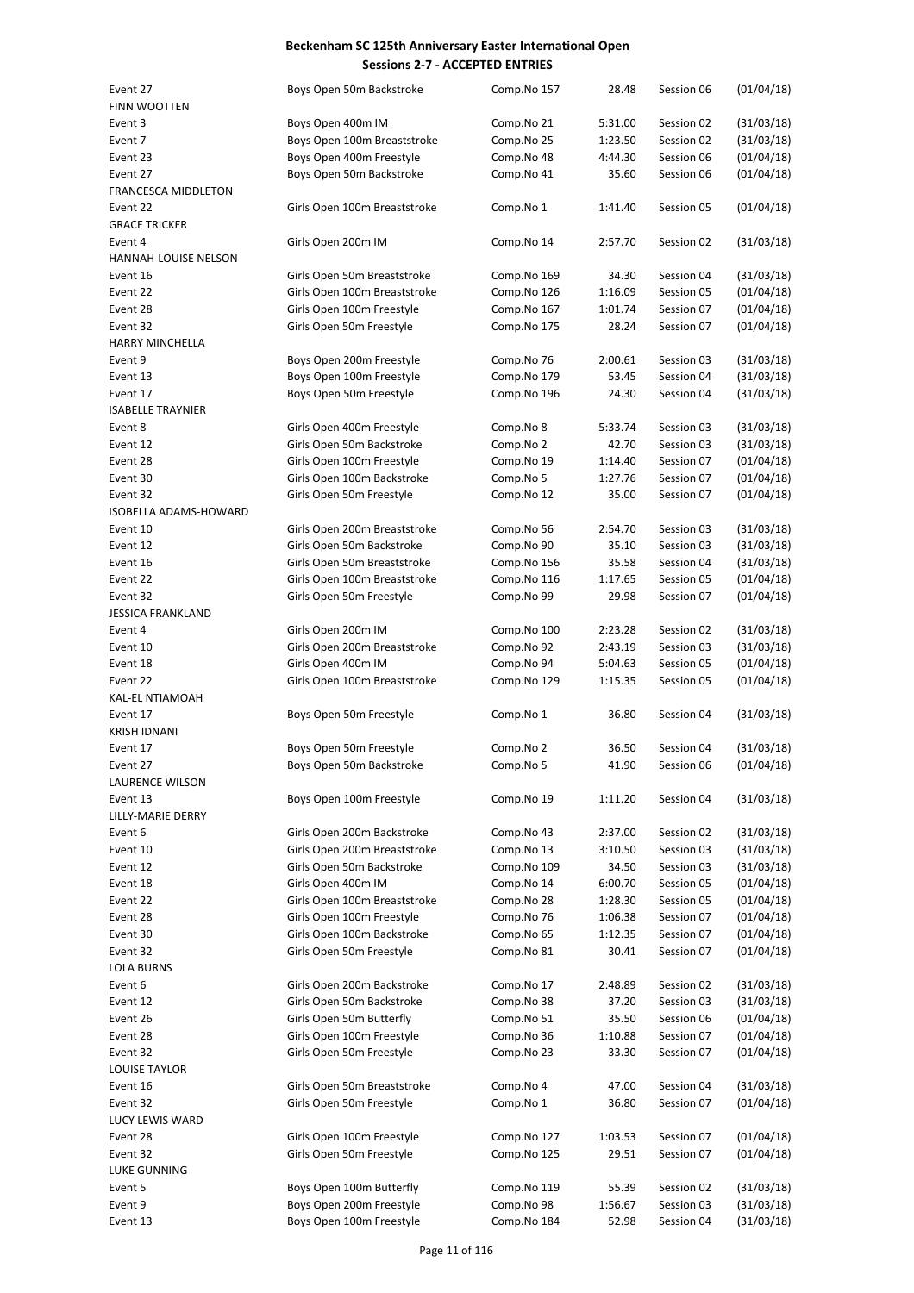| Event 27<br><b>FINN WOOTTEN</b>        | Boys Open 50m Backstroke     | Comp.No 157 | 28.48   | Session 06 | (01/04/18) |
|----------------------------------------|------------------------------|-------------|---------|------------|------------|
| Event 3                                |                              |             | 5:31.00 | Session 02 | (31/03/18) |
|                                        | Boys Open 400m IM            | Comp.No 21  |         |            |            |
| Event 7                                | Boys Open 100m Breaststroke  | Comp.No 25  | 1:23.50 | Session 02 | (31/03/18) |
| Event 23                               | Boys Open 400m Freestyle     | Comp.No 48  | 4:44.30 | Session 06 | (01/04/18) |
| Event 27<br><b>FRANCESCA MIDDLETON</b> | Boys Open 50m Backstroke     | Comp.No 41  | 35.60   | Session 06 | (01/04/18) |
|                                        |                              |             |         |            |            |
| Event 22                               | Girls Open 100m Breaststroke | Comp.No 1   | 1:41.40 | Session 05 | (01/04/18) |
| <b>GRACE TRICKER</b>                   |                              |             |         |            |            |
| Event 4                                | Girls Open 200m IM           | Comp.No 14  | 2:57.70 | Session 02 | (31/03/18) |
| HANNAH-LOUISE NELSON                   |                              |             |         |            |            |
| Event 16                               | Girls Open 50m Breaststroke  | Comp.No 169 | 34.30   | Session 04 | (31/03/18) |
| Event 22                               | Girls Open 100m Breaststroke | Comp.No 126 | 1:16.09 | Session 05 | (01/04/18) |
| Event 28                               | Girls Open 100m Freestyle    | Comp.No 167 | 1:01.74 | Session 07 | (01/04/18) |
| Event 32                               | Girls Open 50m Freestyle     | Comp.No 175 | 28.24   | Session 07 | (01/04/18) |
| HARRY MINCHELLA                        |                              |             |         |            |            |
| Event 9                                | Boys Open 200m Freestyle     | Comp.No 76  | 2:00.61 | Session 03 | (31/03/18) |
| Event 13                               | Boys Open 100m Freestyle     | Comp.No 179 | 53.45   | Session 04 | (31/03/18) |
| Event 17                               | Boys Open 50m Freestyle      | Comp.No 196 | 24.30   | Session 04 | (31/03/18) |
| <b>ISABELLE TRAYNIER</b>               |                              |             |         |            |            |
| Event 8                                | Girls Open 400m Freestyle    | Comp.No 8   | 5:33.74 | Session 03 | (31/03/18) |
| Event 12                               | Girls Open 50m Backstroke    | Comp.No 2   | 42.70   | Session 03 | (31/03/18) |
| Event 28                               | Girls Open 100m Freestyle    | Comp.No 19  | 1:14.40 | Session 07 | (01/04/18) |
|                                        | Girls Open 100m Backstroke   | Comp.No 5   | 1:27.76 | Session 07 | (01/04/18) |
| Event 30                               |                              |             |         |            |            |
| Event 32                               | Girls Open 50m Freestyle     | Comp.No 12  | 35.00   | Session 07 | (01/04/18) |
| ISOBELLA ADAMS-HOWARD                  |                              |             |         |            |            |
| Event 10                               | Girls Open 200m Breaststroke | Comp.No 56  | 2:54.70 | Session 03 | (31/03/18) |
| Event 12                               | Girls Open 50m Backstroke    | Comp.No 90  | 35.10   | Session 03 | (31/03/18) |
| Event 16                               | Girls Open 50m Breaststroke  | Comp.No 156 | 35.58   | Session 04 | (31/03/18) |
| Event 22                               | Girls Open 100m Breaststroke | Comp.No 116 | 1:17.65 | Session 05 | (01/04/18) |
| Event 32                               | Girls Open 50m Freestyle     | Comp.No 99  | 29.98   | Session 07 | (01/04/18) |
| JESSICA FRANKLAND                      |                              |             |         |            |            |
| Event 4                                | Girls Open 200m IM           | Comp.No 100 | 2:23.28 | Session 02 | (31/03/18) |
| Event 10                               | Girls Open 200m Breaststroke | Comp.No 92  | 2:43.19 | Session 03 | (31/03/18) |
| Event 18                               | Girls Open 400m IM           | Comp.No 94  | 5:04.63 | Session 05 | (01/04/18) |
| Event 22                               | Girls Open 100m Breaststroke | Comp.No 129 | 1:15.35 | Session 05 | (01/04/18) |
| KAL-EL NTIAMOAH                        |                              |             |         |            |            |
| Event 17                               | Boys Open 50m Freestyle      | Comp.No 1   | 36.80   | Session 04 | (31/03/18) |
| KRISH IDNANI                           |                              |             |         |            |            |
| Event 17                               | Boys Open 50m Freestyle      | Comp.No 2   | 36.50   | Session 04 | (31/03/18) |
| Event 27                               | Boys Open 50m Backstroke     | Comp.No 5   | 41.90   | Session 06 | (01/04/18) |
| <b>LAURENCE WILSON</b>                 |                              |             |         |            |            |
| Event 13                               |                              |             | 1:11.20 | Session 04 | (31/03/18) |
|                                        | Boys Open 100m Freestyle     | Comp.No 19  |         |            |            |
| LILLY-MARIE DERRY                      |                              |             |         |            |            |
| Event 6                                | Girls Open 200m Backstroke   | Comp.No 43  | 2:37.00 | Session 02 | (31/03/18) |
| Event 10                               | Girls Open 200m Breaststroke | Comp.No 13  | 3:10.50 | Session 03 | (31/03/18) |
| Event 12                               | Girls Open 50m Backstroke    | Comp.No 109 | 34.50   | Session 03 | (31/03/18) |
| Event 18                               | Girls Open 400m IM           | Comp.No 14  | 6:00.70 | Session 05 | (01/04/18) |
| Event 22                               | Girls Open 100m Breaststroke | Comp.No 28  | 1:28.30 | Session 05 | (01/04/18) |
| Event 28                               | Girls Open 100m Freestyle    | Comp.No 76  | 1:06.38 | Session 07 | (01/04/18) |
| Event 30                               | Girls Open 100m Backstroke   | Comp.No 65  | 1:12.35 | Session 07 | (01/04/18) |
| Event 32                               | Girls Open 50m Freestyle     | Comp.No 81  | 30.41   | Session 07 | (01/04/18) |
| <b>LOLA BURNS</b>                      |                              |             |         |            |            |
| Event 6                                | Girls Open 200m Backstroke   | Comp.No 17  | 2:48.89 | Session 02 | (31/03/18) |
| Event 12                               | Girls Open 50m Backstroke    | Comp.No 38  | 37.20   | Session 03 | (31/03/18) |
| Event 26                               | Girls Open 50m Butterfly     | Comp.No 51  | 35.50   | Session 06 | (01/04/18) |
| Event 28                               | Girls Open 100m Freestyle    | Comp.No 36  | 1:10.88 | Session 07 | (01/04/18) |
| Event 32                               | Girls Open 50m Freestyle     | Comp.No 23  | 33.30   | Session 07 | (01/04/18) |
| LOUISE TAYLOR                          |                              |             |         |            |            |
| Event 16                               | Girls Open 50m Breaststroke  | Comp.No 4   | 47.00   | Session 04 | (31/03/18) |
|                                        |                              |             |         |            |            |
| Event 32                               | Girls Open 50m Freestyle     | Comp.No 1   | 36.80   | Session 07 | (01/04/18) |
| LUCY LEWIS WARD                        |                              |             |         |            |            |
| Event 28                               | Girls Open 100m Freestyle    | Comp.No 127 | 1:03.53 | Session 07 | (01/04/18) |
| Event 32                               | Girls Open 50m Freestyle     | Comp.No 125 | 29.51   | Session 07 | (01/04/18) |
| LUKE GUNNING                           |                              |             |         |            |            |
| Event 5                                | Boys Open 100m Butterfly     | Comp.No 119 | 55.39   | Session 02 | (31/03/18) |
| Event 9                                | Boys Open 200m Freestyle     | Comp.No 98  | 1:56.67 | Session 03 | (31/03/18) |
| Event 13                               | Boys Open 100m Freestyle     | Comp.No 184 | 52.98   | Session 04 | (31/03/18) |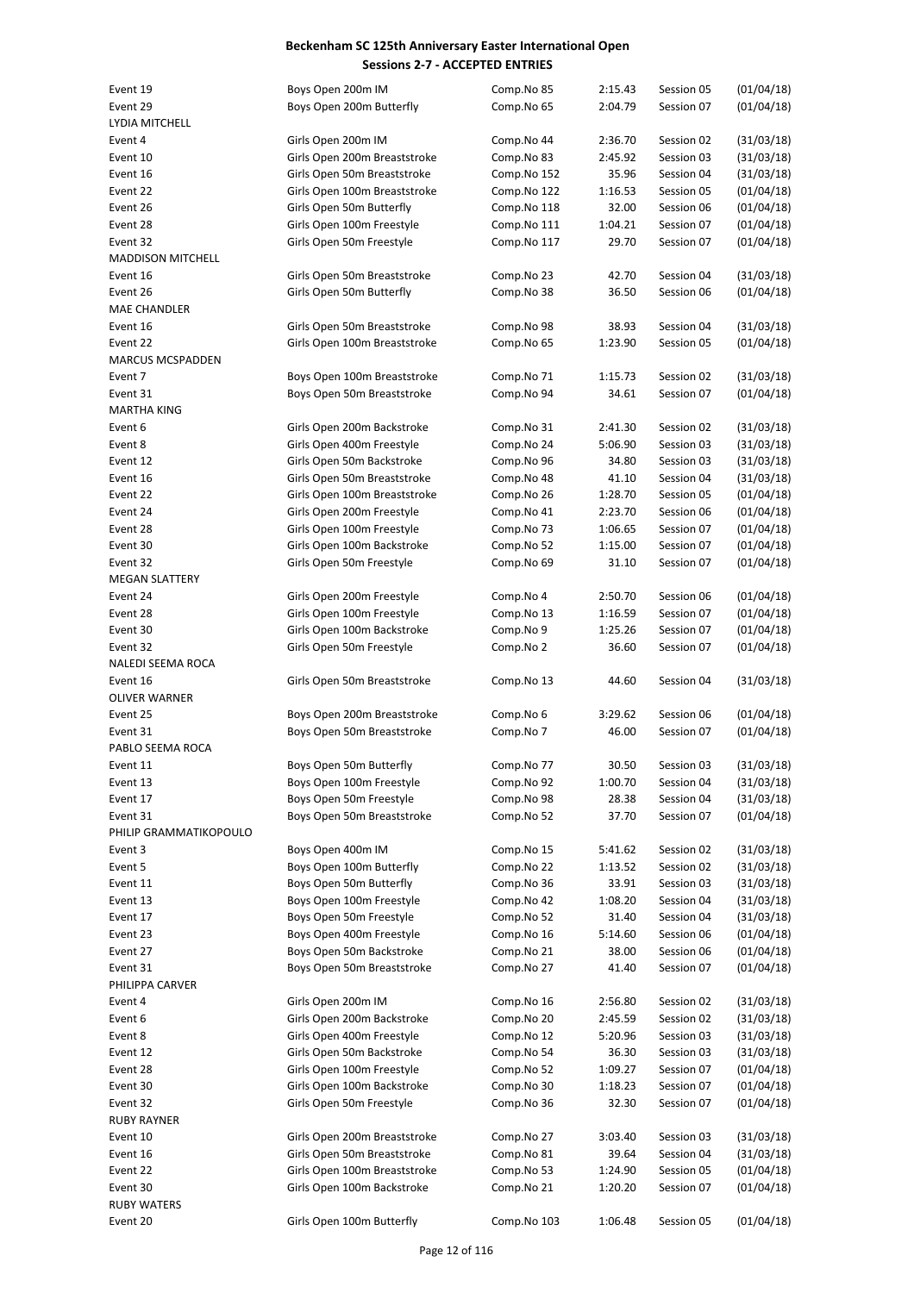| Event 19                 | Boys Open 200m IM            | Comp.No 85  | 2:15.43 | Session 05 | (01/04/18) |
|--------------------------|------------------------------|-------------|---------|------------|------------|
| Event 29                 | Boys Open 200m Butterfly     | Comp.No 65  | 2:04.79 | Session 07 | (01/04/18) |
| LYDIA MITCHELL           |                              |             |         |            |            |
| Event 4                  | Girls Open 200m IM           | Comp.No 44  | 2:36.70 | Session 02 | (31/03/18) |
| Event 10                 | Girls Open 200m Breaststroke | Comp.No 83  | 2:45.92 | Session 03 | (31/03/18) |
|                          |                              |             |         |            |            |
| Event 16                 | Girls Open 50m Breaststroke  | Comp.No 152 | 35.96   | Session 04 | (31/03/18) |
| Event 22                 | Girls Open 100m Breaststroke | Comp.No 122 | 1:16.53 | Session 05 | (01/04/18) |
| Event 26                 | Girls Open 50m Butterfly     | Comp.No 118 | 32.00   | Session 06 | (01/04/18) |
| Event 28                 | Girls Open 100m Freestyle    | Comp.No 111 | 1:04.21 | Session 07 | (01/04/18) |
| Event 32                 | Girls Open 50m Freestyle     | Comp.No 117 | 29.70   | Session 07 | (01/04/18) |
| <b>MADDISON MITCHELL</b> |                              |             |         |            |            |
| Event 16                 | Girls Open 50m Breaststroke  | Comp.No 23  | 42.70   | Session 04 | (31/03/18) |
| Event 26                 | Girls Open 50m Butterfly     | Comp.No 38  | 36.50   | Session 06 | (01/04/18) |
| <b>MAE CHANDLER</b>      |                              |             |         |            |            |
| Event 16                 | Girls Open 50m Breaststroke  | Comp.No 98  | 38.93   | Session 04 | (31/03/18) |
| Event 22                 | Girls Open 100m Breaststroke | Comp.No 65  | 1:23.90 | Session 05 | (01/04/18) |
| <b>MARCUS MCSPADDEN</b>  |                              |             |         |            |            |
| Event 7                  | Boys Open 100m Breaststroke  | Comp.No 71  | 1:15.73 | Session 02 | (31/03/18) |
| Event 31                 | Boys Open 50m Breaststroke   | Comp.No 94  | 34.61   | Session 07 | (01/04/18) |
| <b>MARTHA KING</b>       |                              |             |         |            |            |
|                          |                              |             |         | Session 02 |            |
| Event 6                  | Girls Open 200m Backstroke   | Comp.No 31  | 2:41.30 |            | (31/03/18) |
| Event 8                  | Girls Open 400m Freestyle    | Comp.No 24  | 5:06.90 | Session 03 | (31/03/18) |
| Event 12                 | Girls Open 50m Backstroke    | Comp.No 96  | 34.80   | Session 03 | (31/03/18) |
| Event 16                 | Girls Open 50m Breaststroke  | Comp.No 48  | 41.10   | Session 04 | (31/03/18) |
| Event 22                 | Girls Open 100m Breaststroke | Comp.No 26  | 1:28.70 | Session 05 | (01/04/18) |
| Event 24                 | Girls Open 200m Freestyle    | Comp.No 41  | 2:23.70 | Session 06 | (01/04/18) |
| Event 28                 | Girls Open 100m Freestyle    | Comp.No 73  | 1:06.65 | Session 07 | (01/04/18) |
| Event 30                 | Girls Open 100m Backstroke   | Comp.No 52  | 1:15.00 | Session 07 | (01/04/18) |
| Event 32                 | Girls Open 50m Freestyle     | Comp.No 69  | 31.10   | Session 07 | (01/04/18) |
| <b>MEGAN SLATTERY</b>    |                              |             |         |            |            |
| Event 24                 | Girls Open 200m Freestyle    | Comp.No 4   | 2:50.70 | Session 06 | (01/04/18) |
| Event 28                 | Girls Open 100m Freestyle    | Comp.No 13  | 1:16.59 | Session 07 | (01/04/18) |
| Event 30                 | Girls Open 100m Backstroke   | Comp.No 9   | 1:25.26 | Session 07 | (01/04/18) |
| Event 32                 | Girls Open 50m Freestyle     | Comp.No 2   | 36.60   | Session 07 | (01/04/18) |
| NALEDI SEEMA ROCA        |                              |             |         |            |            |
|                          |                              | Comp.No 13  |         |            |            |
| Event 16                 | Girls Open 50m Breaststroke  |             | 44.60   | Session 04 | (31/03/18) |
| <b>OLIVER WARNER</b>     |                              |             |         |            |            |
| Event 25                 | Boys Open 200m Breaststroke  | Comp.No 6   | 3:29.62 | Session 06 | (01/04/18) |
| Event 31                 | Boys Open 50m Breaststroke   | Comp.No 7   | 46.00   | Session 07 | (01/04/18) |
| PABLO SEEMA ROCA         |                              |             |         |            |            |
| Event 11                 | Boys Open 50m Butterfly      | Comp.No 77  | 30.50   | Session 03 | (31/03/18) |
| Event 13                 | Boys Open 100m Freestyle     | Comp.No 92  | 1:00.70 | Session 04 | (31/03/18) |
| Event 17                 | Boys Open 50m Freestyle      | Comp.No 98  | 28.38   | Session 04 | (31/03/18) |
| Event 31                 | Boys Open 50m Breaststroke   | Comp.No 52  | 37.70   | Session 07 | (01/04/18) |
| PHILIP GRAMMATIKOPOULO   |                              |             |         |            |            |
| Event 3                  | Boys Open 400m IM            | Comp.No 15  | 5:41.62 | Session 02 | (31/03/18) |
| Event 5                  | Boys Open 100m Butterfly     | Comp.No 22  | 1:13.52 | Session 02 | (31/03/18) |
| Event 11                 | Boys Open 50m Butterfly      | Comp.No 36  | 33.91   | Session 03 | (31/03/18) |
| Event 13                 | Boys Open 100m Freestyle     | Comp.No 42  | 1:08.20 | Session 04 | (31/03/18) |
| Event 17                 | Boys Open 50m Freestyle      | Comp.No 52  | 31.40   | Session 04 | (31/03/18) |
|                          |                              |             |         |            |            |
| Event 23                 | Boys Open 400m Freestyle     | Comp.No 16  | 5:14.60 | Session 06 | (01/04/18) |
| Event 27                 | Boys Open 50m Backstroke     | Comp.No 21  | 38.00   | Session 06 | (01/04/18) |
| Event 31                 | Boys Open 50m Breaststroke   | Comp.No 27  | 41.40   | Session 07 | (01/04/18) |
| PHILIPPA CARVER          |                              |             |         |            |            |
| Event 4                  | Girls Open 200m IM           | Comp.No 16  | 2:56.80 | Session 02 | (31/03/18) |
| Event 6                  | Girls Open 200m Backstroke   | Comp.No 20  | 2:45.59 | Session 02 | (31/03/18) |
| Event 8                  | Girls Open 400m Freestyle    | Comp.No 12  | 5:20.96 | Session 03 | (31/03/18) |
| Event 12                 | Girls Open 50m Backstroke    | Comp.No 54  | 36.30   | Session 03 | (31/03/18) |
| Event 28                 | Girls Open 100m Freestyle    | Comp.No 52  | 1:09.27 | Session 07 | (01/04/18) |
| Event 30                 | Girls Open 100m Backstroke   | Comp.No 30  | 1:18.23 | Session 07 | (01/04/18) |
| Event 32                 | Girls Open 50m Freestyle     | Comp.No 36  | 32.30   | Session 07 | (01/04/18) |
| <b>RUBY RAYNER</b>       |                              |             |         |            |            |
| Event 10                 | Girls Open 200m Breaststroke | Comp.No 27  | 3:03.40 | Session 03 | (31/03/18) |
|                          | Girls Open 50m Breaststroke  |             |         |            |            |
| Event 16                 |                              | Comp.No 81  | 39.64   | Session 04 | (31/03/18) |
| Event 22                 | Girls Open 100m Breaststroke | Comp.No 53  | 1:24.90 | Session 05 | (01/04/18) |
| Event 30                 | Girls Open 100m Backstroke   | Comp.No 21  | 1:20.20 | Session 07 | (01/04/18) |
| <b>RUBY WATERS</b>       |                              |             |         |            |            |
| Event 20                 | Girls Open 100m Butterfly    | Comp.No 103 | 1:06.48 | Session 05 | (01/04/18) |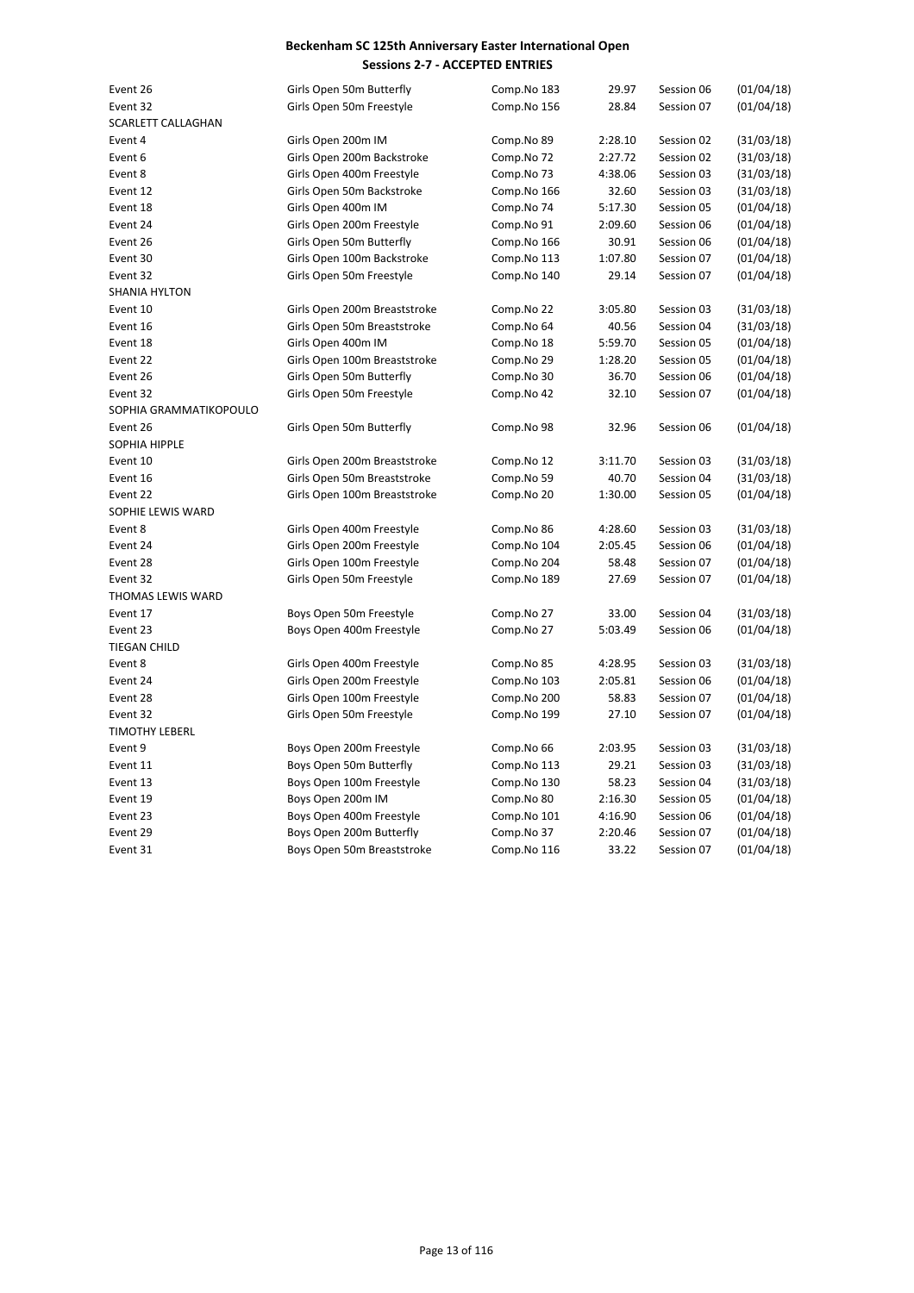| Event 26                  | Girls Open 50m Butterfly     | Comp.No 183 | 29.97   | Session 06 | (01/04/18) |
|---------------------------|------------------------------|-------------|---------|------------|------------|
| Event 32                  | Girls Open 50m Freestyle     | Comp.No 156 | 28.84   | Session 07 | (01/04/18) |
| <b>SCARLETT CALLAGHAN</b> |                              |             |         |            |            |
| Event 4                   | Girls Open 200m IM           | Comp.No 89  | 2:28.10 | Session 02 | (31/03/18) |
| Event 6                   | Girls Open 200m Backstroke   | Comp.No 72  | 2:27.72 | Session 02 | (31/03/18) |
| Event 8                   | Girls Open 400m Freestyle    | Comp.No 73  | 4:38.06 | Session 03 | (31/03/18) |
| Event 12                  | Girls Open 50m Backstroke    | Comp.No 166 | 32.60   | Session 03 | (31/03/18) |
| Event 18                  | Girls Open 400m IM           | Comp.No 74  | 5:17.30 | Session 05 | (01/04/18) |
| Event 24                  | Girls Open 200m Freestyle    | Comp.No 91  | 2:09.60 | Session 06 | (01/04/18) |
| Event 26                  | Girls Open 50m Butterfly     | Comp.No 166 | 30.91   | Session 06 | (01/04/18) |
| Event 30                  | Girls Open 100m Backstroke   | Comp.No 113 | 1:07.80 | Session 07 | (01/04/18) |
| Event 32                  | Girls Open 50m Freestyle     | Comp.No 140 | 29.14   | Session 07 | (01/04/18) |
| <b>SHANIA HYLTON</b>      |                              |             |         |            |            |
| Event 10                  | Girls Open 200m Breaststroke | Comp.No 22  | 3:05.80 | Session 03 | (31/03/18) |
| Event 16                  | Girls Open 50m Breaststroke  | Comp.No 64  | 40.56   | Session 04 | (31/03/18) |
| Event 18                  | Girls Open 400m IM           | Comp.No 18  | 5:59.70 | Session 05 | (01/04/18) |
| Event 22                  | Girls Open 100m Breaststroke | Comp.No 29  | 1:28.20 | Session 05 | (01/04/18) |
| Event 26                  | Girls Open 50m Butterfly     | Comp.No 30  | 36.70   | Session 06 | (01/04/18) |
| Event 32                  | Girls Open 50m Freestyle     | Comp.No 42  | 32.10   | Session 07 | (01/04/18) |
| SOPHIA GRAMMATIKOPOULO    |                              |             |         |            |            |
| Event 26                  | Girls Open 50m Butterfly     | Comp.No 98  | 32.96   | Session 06 | (01/04/18) |
| SOPHIA HIPPLE             |                              |             |         |            |            |
| Event 10                  | Girls Open 200m Breaststroke | Comp.No 12  | 3:11.70 | Session 03 | (31/03/18) |
| Event 16                  | Girls Open 50m Breaststroke  | Comp.No 59  | 40.70   | Session 04 | (31/03/18) |
| Event 22                  | Girls Open 100m Breaststroke | Comp.No 20  | 1:30.00 | Session 05 | (01/04/18) |
| SOPHIE LEWIS WARD         |                              |             |         |            |            |
| Event 8                   | Girls Open 400m Freestyle    | Comp.No 86  | 4:28.60 | Session 03 | (31/03/18) |
| Event 24                  | Girls Open 200m Freestyle    | Comp.No 104 | 2:05.45 | Session 06 | (01/04/18) |
| Event 28                  | Girls Open 100m Freestyle    | Comp.No 204 | 58.48   | Session 07 | (01/04/18) |
| Event 32                  | Girls Open 50m Freestyle     | Comp.No 189 | 27.69   | Session 07 | (01/04/18) |
| THOMAS LEWIS WARD         |                              |             |         |            |            |
| Event 17                  | Boys Open 50m Freestyle      | Comp.No 27  | 33.00   | Session 04 | (31/03/18) |
| Event 23                  | Boys Open 400m Freestyle     | Comp.No 27  | 5:03.49 | Session 06 | (01/04/18) |
| <b>TIEGAN CHILD</b>       |                              |             |         |            |            |
| Event 8                   | Girls Open 400m Freestyle    | Comp.No 85  | 4:28.95 | Session 03 | (31/03/18) |
| Event 24                  | Girls Open 200m Freestyle    | Comp.No 103 | 2:05.81 | Session 06 | (01/04/18) |
| Event 28                  | Girls Open 100m Freestyle    | Comp.No 200 | 58.83   | Session 07 | (01/04/18) |
| Event 32                  | Girls Open 50m Freestyle     | Comp.No 199 | 27.10   | Session 07 | (01/04/18) |
| <b>TIMOTHY LEBERL</b>     |                              |             |         |            |            |
| Event 9                   | Boys Open 200m Freestyle     | Comp.No 66  | 2:03.95 | Session 03 | (31/03/18) |
| Event 11                  | Boys Open 50m Butterfly      | Comp.No 113 | 29.21   | Session 03 | (31/03/18) |
| Event 13                  | Boys Open 100m Freestyle     | Comp.No 130 | 58.23   | Session 04 | (31/03/18) |
| Event 19                  | Boys Open 200m IM            | Comp.No 80  | 2:16.30 | Session 05 | (01/04/18) |
| Event 23                  | Boys Open 400m Freestyle     | Comp.No 101 | 4:16.90 | Session 06 | (01/04/18) |
| Event 29                  | Boys Open 200m Butterfly     | Comp.No 37  | 2:20.46 | Session 07 | (01/04/18) |
| Event 31                  | Boys Open 50m Breaststroke   | Comp.No 116 | 33.22   | Session 07 | (01/04/18) |
|                           |                              |             |         |            |            |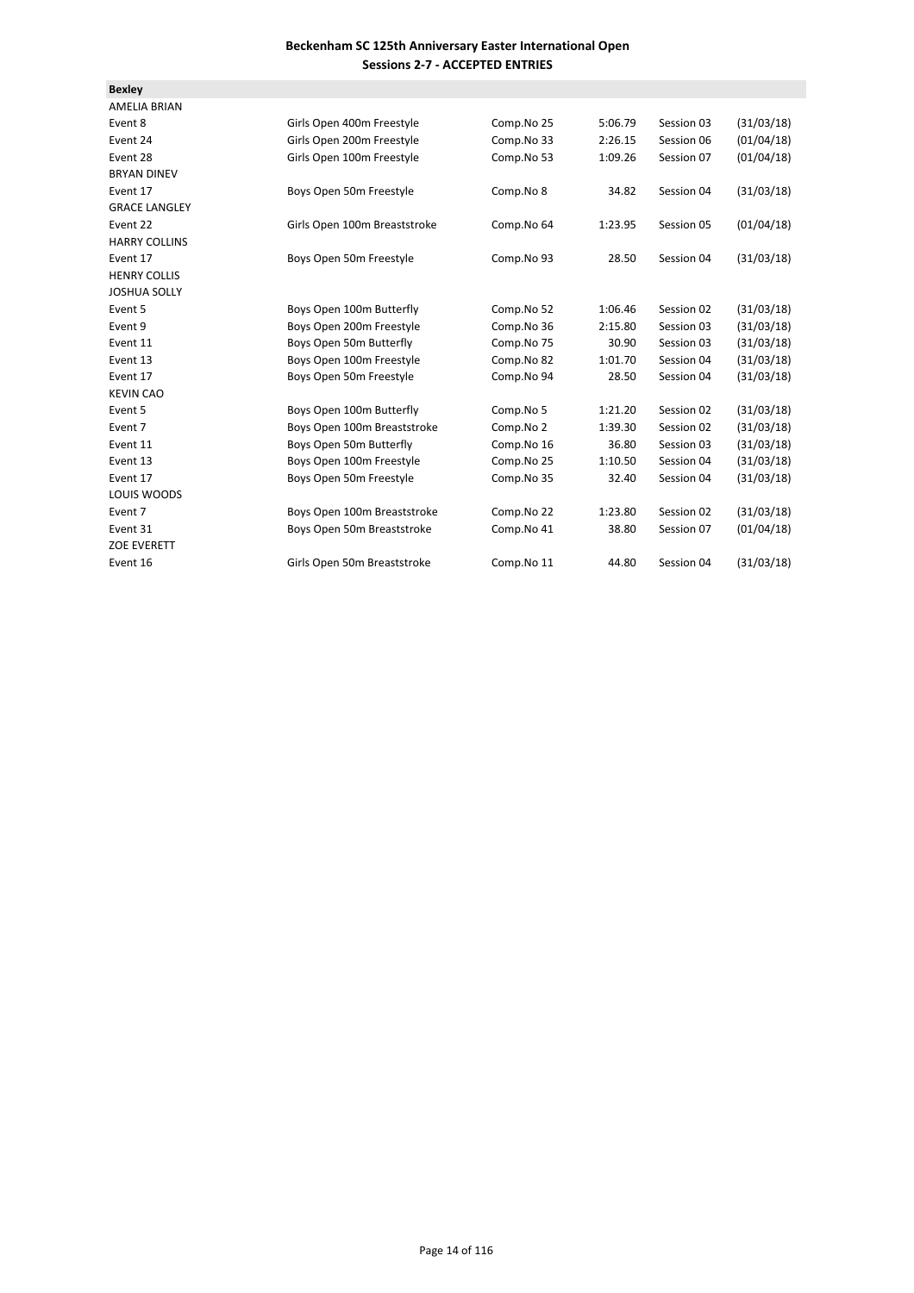| <b>Bexley</b>        |                              |            |         |            |            |
|----------------------|------------------------------|------------|---------|------------|------------|
| <b>AMELIA BRIAN</b>  |                              |            |         |            |            |
| Event 8              | Girls Open 400m Freestyle    | Comp.No 25 | 5:06.79 | Session 03 | (31/03/18) |
| Event 24             | Girls Open 200m Freestyle    | Comp.No 33 | 2:26.15 | Session 06 | (01/04/18) |
| Event 28             | Girls Open 100m Freestyle    | Comp.No 53 | 1:09.26 | Session 07 | (01/04/18) |
| <b>BRYAN DINEV</b>   |                              |            |         |            |            |
| Event 17             | Boys Open 50m Freestyle      | Comp.No 8  | 34.82   | Session 04 | (31/03/18) |
| <b>GRACE LANGLEY</b> |                              |            |         |            |            |
| Event 22             | Girls Open 100m Breaststroke | Comp.No 64 | 1:23.95 | Session 05 | (01/04/18) |
| <b>HARRY COLLINS</b> |                              |            |         |            |            |
| Event 17             | Boys Open 50m Freestyle      | Comp.No 93 | 28.50   | Session 04 | (31/03/18) |
| <b>HENRY COLLIS</b>  |                              |            |         |            |            |
| <b>JOSHUA SOLLY</b>  |                              |            |         |            |            |
| Event 5              | Boys Open 100m Butterfly     | Comp.No 52 | 1:06.46 | Session 02 | (31/03/18) |
| Event 9              | Boys Open 200m Freestyle     | Comp.No 36 | 2:15.80 | Session 03 | (31/03/18) |
| Event 11             | Boys Open 50m Butterfly      | Comp.No 75 | 30.90   | Session 03 | (31/03/18) |
| Event 13             | Boys Open 100m Freestyle     | Comp.No 82 | 1:01.70 | Session 04 | (31/03/18) |
| Event 17             | Boys Open 50m Freestyle      | Comp.No 94 | 28.50   | Session 04 | (31/03/18) |
| <b>KEVIN CAO</b>     |                              |            |         |            |            |
| Event 5              | Boys Open 100m Butterfly     | Comp.No 5  | 1:21.20 | Session 02 | (31/03/18) |
| Event 7              | Boys Open 100m Breaststroke  | Comp.No 2  | 1:39.30 | Session 02 | (31/03/18) |
| Event 11             | Boys Open 50m Butterfly      | Comp.No 16 | 36.80   | Session 03 | (31/03/18) |
| Event 13             | Boys Open 100m Freestyle     | Comp.No 25 | 1:10.50 | Session 04 | (31/03/18) |
| Event 17             | Boys Open 50m Freestyle      | Comp.No 35 | 32.40   | Session 04 | (31/03/18) |
| LOUIS WOODS          |                              |            |         |            |            |
| Event 7              | Boys Open 100m Breaststroke  | Comp.No 22 | 1:23.80 | Session 02 | (31/03/18) |
| Event 31             | Boys Open 50m Breaststroke   | Comp.No 41 | 38.80   | Session 07 | (01/04/18) |
| ZOE EVERETT          |                              |            |         |            |            |
| Event 16             | Girls Open 50m Breaststroke  | Comp.No 11 | 44.80   | Session 04 | (31/03/18) |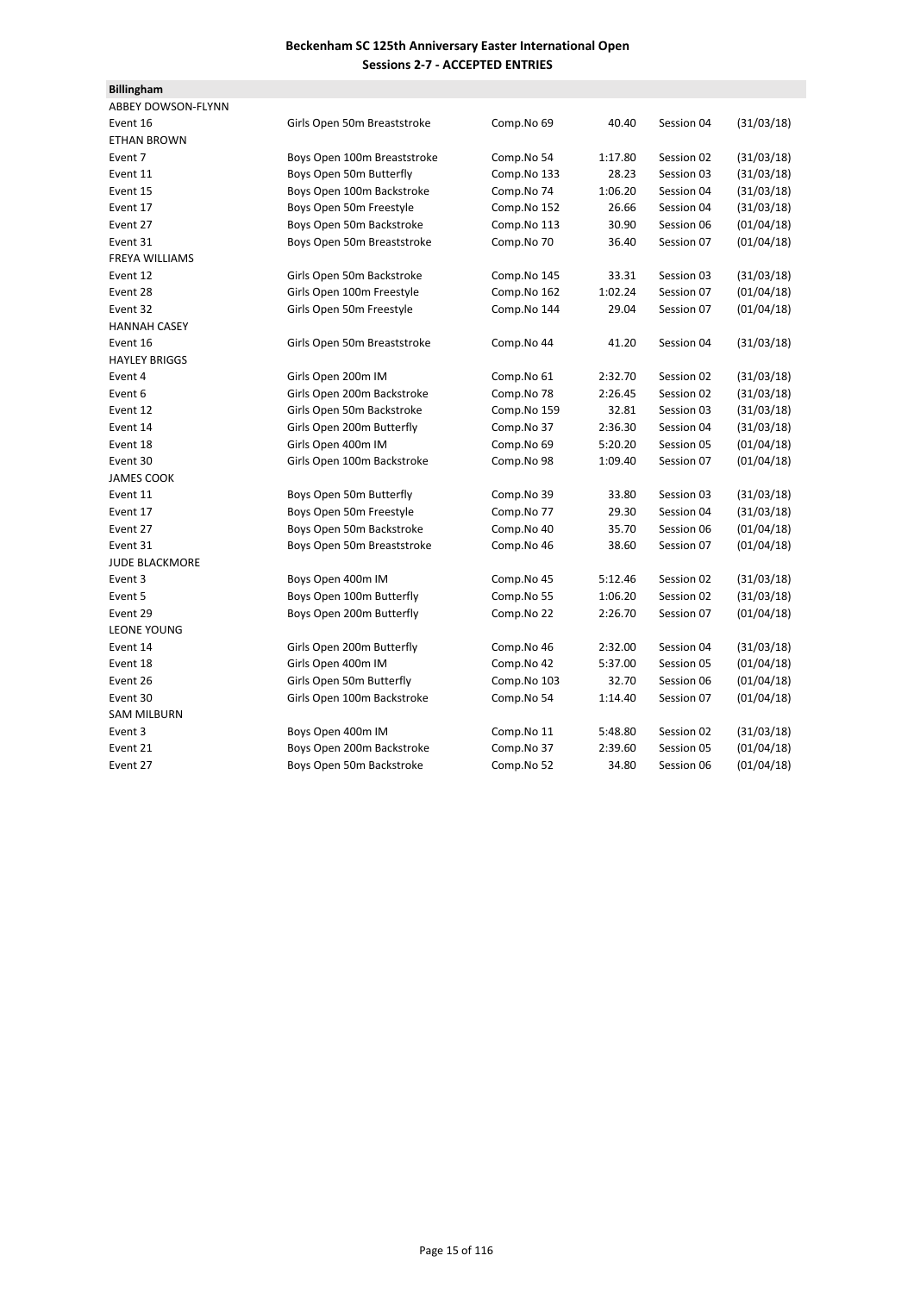| <b>Billingham</b>         |                             |             |         |            |            |
|---------------------------|-----------------------------|-------------|---------|------------|------------|
| <b>ABBEY DOWSON-FLYNN</b> |                             |             |         |            |            |
| Event 16                  | Girls Open 50m Breaststroke | Comp.No 69  | 40.40   | Session 04 | (31/03/18) |
| <b>ETHAN BROWN</b>        |                             |             |         |            |            |
| Event 7                   | Boys Open 100m Breaststroke | Comp.No 54  | 1:17.80 | Session 02 | (31/03/18) |
| Event 11                  | Boys Open 50m Butterfly     | Comp.No 133 | 28.23   | Session 03 | (31/03/18) |
| Event 15                  | Boys Open 100m Backstroke   | Comp.No 74  | 1:06.20 | Session 04 | (31/03/18) |
| Event 17                  | Boys Open 50m Freestyle     | Comp.No 152 | 26.66   | Session 04 | (31/03/18) |
| Event 27                  | Boys Open 50m Backstroke    | Comp.No 113 | 30.90   | Session 06 | (01/04/18) |
| Event 31                  | Boys Open 50m Breaststroke  | Comp.No 70  | 36.40   | Session 07 | (01/04/18) |
| <b>FREYA WILLIAMS</b>     |                             |             |         |            |            |
| Event 12                  | Girls Open 50m Backstroke   | Comp.No 145 | 33.31   | Session 03 | (31/03/18) |
| Event 28                  | Girls Open 100m Freestyle   | Comp.No 162 | 1:02.24 | Session 07 | (01/04/18) |
| Event 32                  | Girls Open 50m Freestyle    | Comp.No 144 | 29.04   | Session 07 | (01/04/18) |
| <b>HANNAH CASEY</b>       |                             |             |         |            |            |
| Event 16                  | Girls Open 50m Breaststroke | Comp.No 44  | 41.20   | Session 04 | (31/03/18) |
| <b>HAYLEY BRIGGS</b>      |                             |             |         |            |            |
| Event 4                   | Girls Open 200m IM          | Comp.No 61  | 2:32.70 | Session 02 | (31/03/18) |
| Event 6                   | Girls Open 200m Backstroke  | Comp.No 78  | 2:26.45 | Session 02 | (31/03/18) |
| Event 12                  | Girls Open 50m Backstroke   | Comp.No 159 | 32.81   | Session 03 | (31/03/18) |
| Event 14                  | Girls Open 200m Butterfly   | Comp.No 37  | 2:36.30 | Session 04 | (31/03/18) |
| Event 18                  | Girls Open 400m IM          | Comp.No 69  | 5:20.20 | Session 05 | (01/04/18) |
| Event 30                  | Girls Open 100m Backstroke  | Comp.No 98  | 1:09.40 | Session 07 | (01/04/18) |
| <b>JAMES COOK</b>         |                             |             |         |            |            |
| Event 11                  | Boys Open 50m Butterfly     | Comp.No 39  | 33.80   | Session 03 | (31/03/18) |
| Event 17                  | Boys Open 50m Freestyle     | Comp.No 77  | 29.30   | Session 04 | (31/03/18) |
| Event 27                  | Boys Open 50m Backstroke    | Comp.No 40  | 35.70   | Session 06 | (01/04/18) |
| Event 31                  | Boys Open 50m Breaststroke  | Comp.No 46  | 38.60   | Session 07 | (01/04/18) |
| <b>JUDE BLACKMORE</b>     |                             |             |         |            |            |
| Event 3                   | Boys Open 400m IM           | Comp.No 45  | 5:12.46 | Session 02 | (31/03/18) |
| Event 5                   | Boys Open 100m Butterfly    | Comp.No 55  | 1:06.20 | Session 02 | (31/03/18) |
| Event 29                  | Boys Open 200m Butterfly    | Comp.No 22  | 2:26.70 | Session 07 | (01/04/18) |
| <b>LEONE YOUNG</b>        |                             |             |         |            |            |
| Event 14                  | Girls Open 200m Butterfly   | Comp.No 46  | 2:32.00 | Session 04 | (31/03/18) |
| Event 18                  | Girls Open 400m IM          | Comp.No 42  | 5:37.00 | Session 05 | (01/04/18) |
| Event 26                  | Girls Open 50m Butterfly    | Comp.No 103 | 32.70   | Session 06 | (01/04/18) |
| Event 30                  | Girls Open 100m Backstroke  | Comp.No 54  | 1:14.40 | Session 07 | (01/04/18) |
| <b>SAM MILBURN</b>        |                             |             |         |            |            |
| Event 3                   | Boys Open 400m IM           | Comp.No 11  | 5:48.80 | Session 02 | (31/03/18) |
| Event 21                  | Boys Open 200m Backstroke   | Comp.No 37  | 2:39.60 | Session 05 | (01/04/18) |
| Event 27                  | Boys Open 50m Backstroke    | Comp.No 52  | 34.80   | Session 06 | (01/04/18) |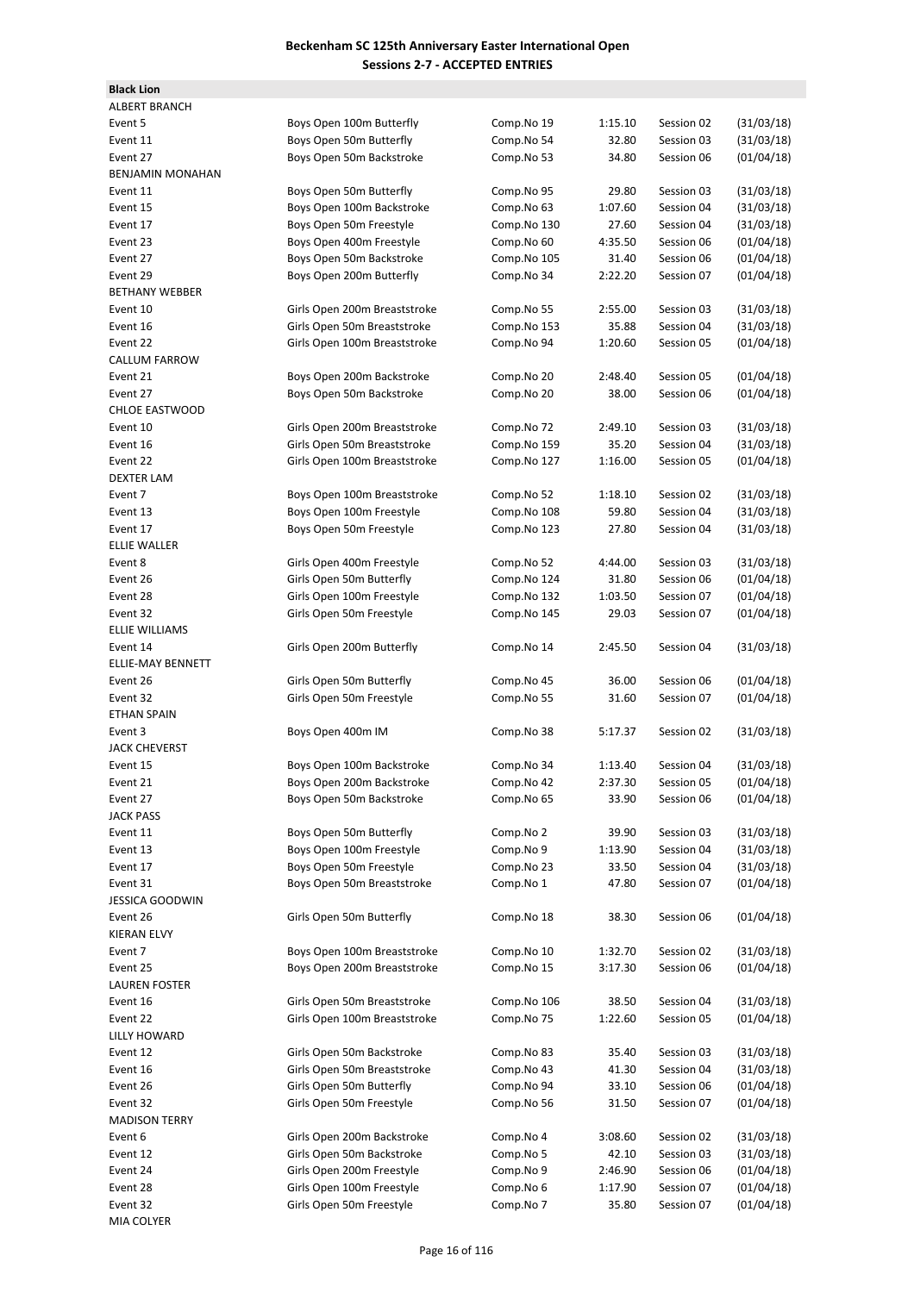| <b>Black Lion</b>       |                              |             |         |            |            |
|-------------------------|------------------------------|-------------|---------|------------|------------|
| <b>ALBERT BRANCH</b>    |                              |             |         |            |            |
| Event 5                 | Boys Open 100m Butterfly     | Comp.No 19  | 1:15.10 | Session 02 | (31/03/18) |
| Event 11                | Boys Open 50m Butterfly      | Comp.No 54  | 32.80   | Session 03 | (31/03/18) |
| Event 27                | Boys Open 50m Backstroke     | Comp.No 53  | 34.80   | Session 06 | (01/04/18) |
| <b>BENJAMIN MONAHAN</b> |                              |             |         |            |            |
| Event 11                | Boys Open 50m Butterfly      | Comp.No 95  | 29.80   | Session 03 | (31/03/18) |
| Event 15                | Boys Open 100m Backstroke    | Comp.No 63  | 1:07.60 | Session 04 | (31/03/18) |
| Event 17                | Boys Open 50m Freestyle      | Comp.No 130 | 27.60   | Session 04 | (31/03/18) |
| Event 23                | Boys Open 400m Freestyle     | Comp.No 60  | 4:35.50 | Session 06 | (01/04/18) |
| Event 27                | Boys Open 50m Backstroke     | Comp.No 105 | 31.40   | Session 06 | (01/04/18) |
| Event 29                | Boys Open 200m Butterfly     | Comp.No 34  | 2:22.20 | Session 07 | (01/04/18) |
| <b>BETHANY WEBBER</b>   |                              |             |         |            |            |
| Event 10                |                              |             |         | Session 03 | (31/03/18) |
|                         | Girls Open 200m Breaststroke | Comp.No 55  | 2:55.00 |            |            |
| Event 16                | Girls Open 50m Breaststroke  | Comp.No 153 | 35.88   | Session 04 | (31/03/18) |
| Event 22                | Girls Open 100m Breaststroke | Comp.No 94  | 1:20.60 | Session 05 | (01/04/18) |
| CALLUM FARROW           |                              |             |         |            |            |
| Event 21                | Boys Open 200m Backstroke    | Comp.No 20  | 2:48.40 | Session 05 | (01/04/18) |
| Event 27                | Boys Open 50m Backstroke     | Comp.No 20  | 38.00   | Session 06 | (01/04/18) |
| <b>CHLOE EASTWOOD</b>   |                              |             |         |            |            |
| Event 10                | Girls Open 200m Breaststroke | Comp.No 72  | 2:49.10 | Session 03 | (31/03/18) |
| Event 16                | Girls Open 50m Breaststroke  | Comp.No 159 | 35.20   | Session 04 | (31/03/18) |
| Event 22                | Girls Open 100m Breaststroke | Comp.No 127 | 1:16.00 | Session 05 | (01/04/18) |
| <b>DEXTER LAM</b>       |                              |             |         |            |            |
| Event 7                 | Boys Open 100m Breaststroke  | Comp.No 52  | 1:18.10 | Session 02 | (31/03/18) |
| Event 13                | Boys Open 100m Freestyle     | Comp.No 108 | 59.80   | Session 04 | (31/03/18) |
| Event 17                | Boys Open 50m Freestyle      | Comp.No 123 | 27.80   | Session 04 | (31/03/18) |
| <b>ELLIE WALLER</b>     |                              |             |         |            |            |
| Event 8                 | Girls Open 400m Freestyle    | Comp.No 52  | 4:44.00 | Session 03 | (31/03/18) |
| Event 26                | Girls Open 50m Butterfly     | Comp.No 124 | 31.80   | Session 06 | (01/04/18) |
| Event 28                | Girls Open 100m Freestyle    | Comp.No 132 | 1:03.50 | Session 07 | (01/04/18) |
| Event 32                | Girls Open 50m Freestyle     | Comp.No 145 | 29.03   | Session 07 | (01/04/18) |
| <b>ELLIE WILLIAMS</b>   |                              |             |         |            |            |
| Event 14                | Girls Open 200m Butterfly    | Comp.No 14  | 2:45.50 | Session 04 | (31/03/18) |
| ELLIE-MAY BENNETT       |                              |             |         |            |            |
| Event 26                | Girls Open 50m Butterfly     | Comp.No 45  | 36.00   | Session 06 | (01/04/18) |
| Event 32                | Girls Open 50m Freestyle     | Comp.No 55  | 31.60   | Session 07 | (01/04/18) |
| <b>ETHAN SPAIN</b>      |                              |             |         |            |            |
| Event 3                 |                              |             |         |            |            |
|                         | Boys Open 400m IM            | Comp.No 38  | 5:17.37 | Session 02 | (31/03/18) |
| <b>JACK CHEVERST</b>    |                              |             |         |            |            |
| Event 15                | Boys Open 100m Backstroke    | Comp.No 34  | 1:13.40 | Session 04 | (31/03/18) |
| Event 21                | Boys Open 200m Backstroke    | Comp.No 42  | 2:37.30 | Session 05 | (01/04/18) |
| Event 27                | Boys Open 50m Backstroke     | Comp.No 65  | 33.90   | Session 06 | (01/04/18) |
| JACK PASS               |                              |             |         |            |            |
| Event 11                | Boys Open 50m Butterfly      | Comp.No 2   | 39.90   | Session 03 | (31/03/18) |
| Event 13                | Boys Open 100m Freestyle     | Comp.No 9   | 1:13.90 | Session 04 | (31/03/18) |
| Event 17                | Boys Open 50m Freestyle      | Comp.No 23  | 33.50   | Session 04 | (31/03/18) |
| Event 31                | Boys Open 50m Breaststroke   | Comp.No 1   | 47.80   | Session 07 | (01/04/18) |
| <b>JESSICA GOODWIN</b>  |                              |             |         |            |            |
| Event 26                | Girls Open 50m Butterfly     | Comp.No 18  | 38.30   | Session 06 | (01/04/18) |
| KIERAN ELVY             |                              |             |         |            |            |
| Event 7                 | Boys Open 100m Breaststroke  | Comp.No 10  | 1:32.70 | Session 02 | (31/03/18) |
| Event 25                | Boys Open 200m Breaststroke  | Comp.No 15  | 3:17.30 | Session 06 | (01/04/18) |
| <b>LAUREN FOSTER</b>    |                              |             |         |            |            |
| Event 16                | Girls Open 50m Breaststroke  | Comp.No 106 | 38.50   | Session 04 | (31/03/18) |
| Event 22                | Girls Open 100m Breaststroke | Comp.No 75  | 1:22.60 | Session 05 | (01/04/18) |
| LILLY HOWARD            |                              |             |         |            |            |
| Event 12                | Girls Open 50m Backstroke    | Comp.No 83  | 35.40   | Session 03 | (31/03/18) |
| Event 16                | Girls Open 50m Breaststroke  | Comp.No 43  | 41.30   | Session 04 | (31/03/18) |
| Event 26                | Girls Open 50m Butterfly     | Comp.No 94  | 33.10   | Session 06 | (01/04/18) |
| Event 32                | Girls Open 50m Freestyle     | Comp.No 56  | 31.50   | Session 07 | (01/04/18) |
| <b>MADISON TERRY</b>    |                              |             |         |            |            |
| Event 6                 | Girls Open 200m Backstroke   | Comp.No 4   | 3:08.60 | Session 02 | (31/03/18) |
|                         | Girls Open 50m Backstroke    |             |         |            |            |
| Event 12                |                              | Comp.No 5   | 42.10   | Session 03 | (31/03/18) |
| Event 24                | Girls Open 200m Freestyle    | Comp.No 9   | 2:46.90 | Session 06 | (01/04/18) |
| Event 28                | Girls Open 100m Freestyle    | Comp.No 6   | 1:17.90 | Session 07 | (01/04/18) |
| Event 32                | Girls Open 50m Freestyle     | Comp.No 7   | 35.80   | Session 07 | (01/04/18) |
| <b>MIA COLYER</b>       |                              |             |         |            |            |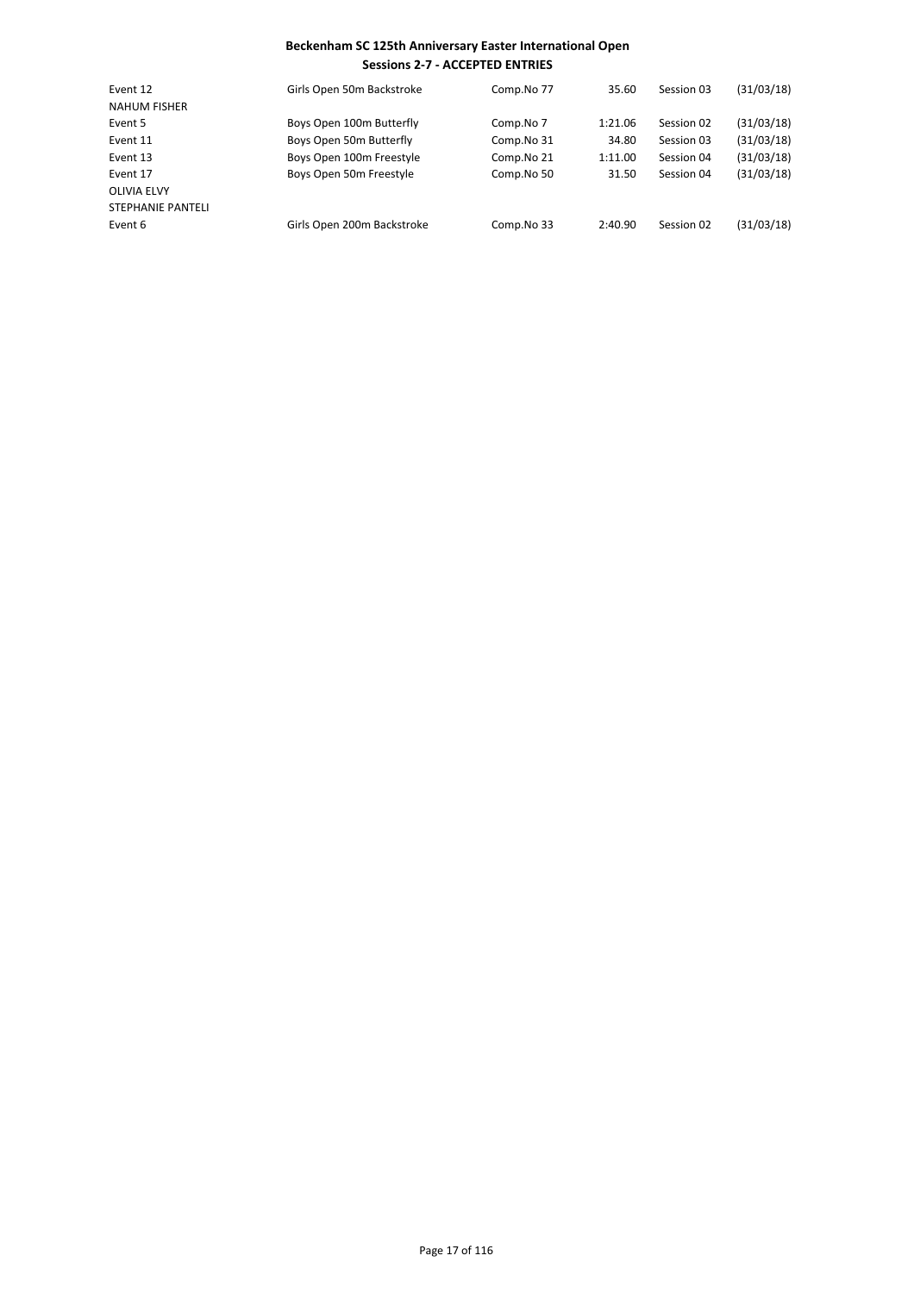| Event 12            | Girls Open 50m Backstroke  | Comp.No 77 | 35.60   | Session 03 | (31/03/18) |
|---------------------|----------------------------|------------|---------|------------|------------|
| <b>NAHUM FISHER</b> |                            |            |         |            |            |
| Event 5             | Boys Open 100m Butterfly   | Comp.No 7  | 1:21.06 | Session 02 | (31/03/18) |
| Event 11            | Boys Open 50m Butterfly    | Comp.No 31 | 34.80   | Session 03 | (31/03/18) |
| Event 13            | Boys Open 100m Freestyle   | Comp.No 21 | 1:11.00 | Session 04 | (31/03/18) |
| Event 17            | Boys Open 50m Freestyle    | Comp.No 50 | 31.50   | Session 04 | (31/03/18) |
| OLIVIA ELVY         |                            |            |         |            |            |
| STEPHANIE PANTELI   |                            |            |         |            |            |
| Event 6             | Girls Open 200m Backstroke | Comp.No 33 | 2:40.90 | Session 02 | (31/03/18) |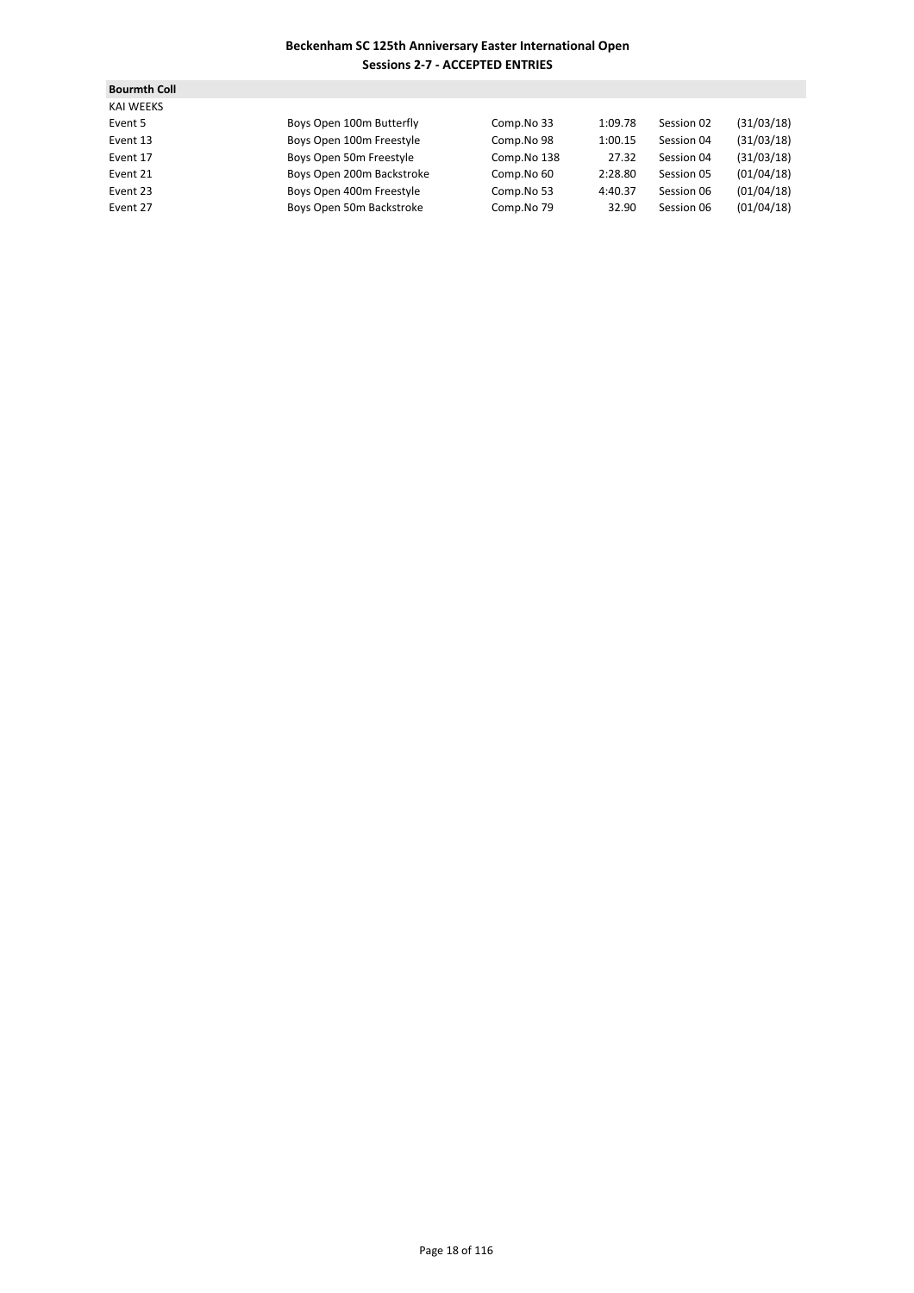| <b>Bourmth Coll</b> |                           |             |         |            |            |
|---------------------|---------------------------|-------------|---------|------------|------------|
| <b>KAI WEEKS</b>    |                           |             |         |            |            |
| Event 5             | Boys Open 100m Butterfly  | Comp.No 33  | 1:09.78 | Session 02 | (31/03/18) |
| Event 13            | Boys Open 100m Freestyle  | Comp.No 98  | 1:00.15 | Session 04 | (31/03/18) |
| Event 17            | Boys Open 50m Freestyle   | Comp.No 138 | 27.32   | Session 04 | (31/03/18) |
| Event 21            | Boys Open 200m Backstroke | Comp.No 60  | 2:28.80 | Session 05 | (01/04/18) |
| Event 23            | Boys Open 400m Freestyle  | Comp.No 53  | 4:40.37 | Session 06 | (01/04/18) |
| Event 27            | Boys Open 50m Backstroke  | Comp.No 79  | 32.90   | Session 06 | (01/04/18) |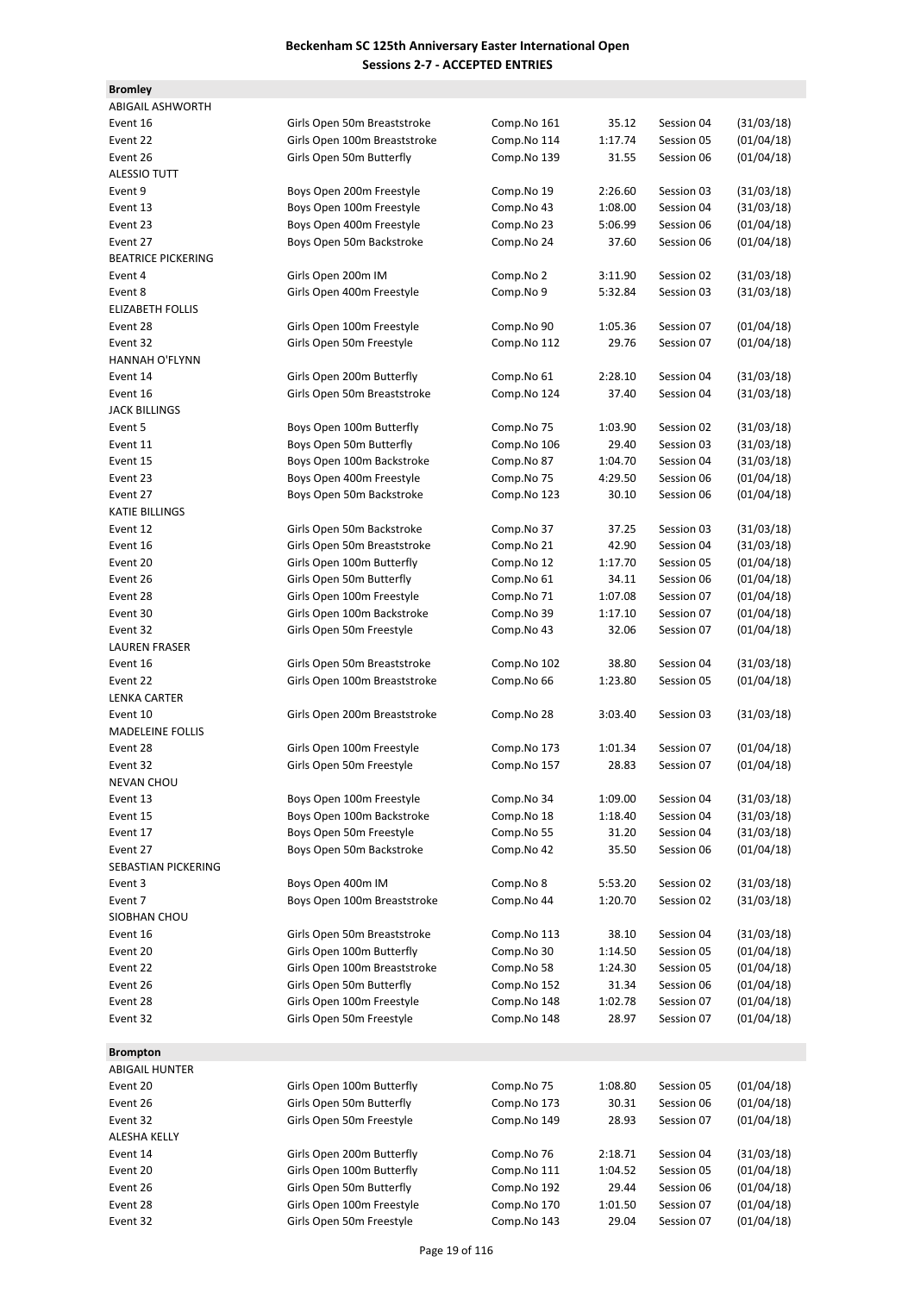| <b>Bromley</b>            |                                                       |                            |                  |                          |                          |
|---------------------------|-------------------------------------------------------|----------------------------|------------------|--------------------------|--------------------------|
| <b>ABIGAIL ASHWORTH</b>   |                                                       |                            |                  |                          |                          |
| Event 16                  | Girls Open 50m Breaststroke                           | Comp.No 161                | 35.12            | Session 04               | (31/03/18)               |
| Event 22                  | Girls Open 100m Breaststroke                          | Comp.No 114                | 1:17.74          | Session 05               | (01/04/18)               |
| Event 26                  | Girls Open 50m Butterfly                              | Comp.No 139                | 31.55            | Session 06               | (01/04/18)               |
| <b>ALESSIO TUTT</b>       |                                                       |                            |                  |                          |                          |
| Event 9                   | Boys Open 200m Freestyle                              | Comp.No 19                 | 2:26.60          | Session 03               | (31/03/18)               |
| Event 13                  | Boys Open 100m Freestyle                              | Comp.No 43                 | 1:08.00          | Session 04               | (31/03/18)               |
| Event 23                  | Boys Open 400m Freestyle                              | Comp.No 23                 | 5:06.99          | Session 06               | (01/04/18)               |
| Event 27                  | Boys Open 50m Backstroke                              | Comp.No 24                 | 37.60            | Session 06               | (01/04/18)               |
| <b>BEATRICE PICKERING</b> |                                                       |                            |                  |                          |                          |
| Event 4                   | Girls Open 200m IM                                    | Comp.No 2                  | 3:11.90          | Session 02               | (31/03/18)               |
| Event 8                   | Girls Open 400m Freestyle                             | Comp.No 9                  | 5:32.84          | Session 03               | (31/03/18)               |
| <b>ELIZABETH FOLLIS</b>   |                                                       |                            |                  |                          |                          |
| Event 28                  | Girls Open 100m Freestyle                             | Comp.No 90                 | 1:05.36          | Session 07               | (01/04/18)               |
| Event 32                  | Girls Open 50m Freestyle                              | Comp.No 112                | 29.76            | Session 07               | (01/04/18)               |
| HANNAH O'FLYNN            |                                                       |                            |                  |                          |                          |
| Event 14                  | Girls Open 200m Butterfly                             | Comp.No 61                 | 2:28.10          | Session 04               | (31/03/18)               |
| Event 16                  | Girls Open 50m Breaststroke                           | Comp.No 124                | 37.40            | Session 04               | (31/03/18)               |
| <b>JACK BILLINGS</b>      |                                                       |                            |                  |                          |                          |
| Event 5                   | Boys Open 100m Butterfly                              | Comp.No 75                 | 1:03.90          | Session 02               | (31/03/18)               |
| Event 11                  | Boys Open 50m Butterfly                               | Comp.No 106                | 29.40            | Session 03               | (31/03/18)               |
| Event 15                  | Boys Open 100m Backstroke                             | Comp.No 87                 | 1:04.70          | Session 04               | (31/03/18)               |
| Event 23                  | Boys Open 400m Freestyle                              | Comp.No 75                 | 4:29.50          | Session 06               | (01/04/18)               |
| Event 27                  | Boys Open 50m Backstroke                              | Comp.No 123                | 30.10            | Session 06               | (01/04/18)               |
| KATIE BILLINGS            |                                                       |                            |                  |                          |                          |
| Event 12                  | Girls Open 50m Backstroke                             | Comp.No 37                 | 37.25            | Session 03               | (31/03/18)               |
| Event 16                  | Girls Open 50m Breaststroke                           | Comp.No 21                 | 42.90            | Session 04               | (31/03/18)               |
| Event 20                  | Girls Open 100m Butterfly                             | Comp.No 12                 | 1:17.70          | Session 05               | (01/04/18)               |
| Event 26                  | Girls Open 50m Butterfly                              | Comp.No 61                 | 34.11            | Session 06               | (01/04/18)               |
| Event 28                  | Girls Open 100m Freestyle                             | Comp.No 71                 | 1:07.08          | Session 07               | (01/04/18)               |
| Event 30                  | Girls Open 100m Backstroke                            | Comp.No 39                 | 1:17.10          | Session 07               | (01/04/18)               |
| Event 32                  | Girls Open 50m Freestyle                              | Comp.No 43                 | 32.06            | Session 07               | (01/04/18)               |
| <b>LAUREN FRASER</b>      |                                                       |                            |                  |                          |                          |
| Event 16                  | Girls Open 50m Breaststroke                           | Comp.No 102                | 38.80            | Session 04               | (31/03/18)               |
| Event 22                  | Girls Open 100m Breaststroke                          | Comp.No 66                 | 1:23.80          | Session 05               | (01/04/18)               |
| <b>LENKA CARTER</b>       |                                                       |                            |                  |                          |                          |
| Event 10                  | Girls Open 200m Breaststroke                          | Comp.No 28                 | 3:03.40          | Session 03               | (31/03/18)               |
| <b>MADELEINE FOLLIS</b>   |                                                       |                            |                  |                          |                          |
| Event 28                  | Girls Open 100m Freestyle                             | Comp.No 173                | 1:01.34          | Session 07               | (01/04/18)               |
| Event 32                  | Girls Open 50m Freestyle                              | Comp.No 157                | 28.83            | Session 07               | (01/04/18)               |
| <b>NEVAN CHOU</b>         |                                                       |                            |                  |                          |                          |
| Event 13                  | Boys Open 100m Freestyle                              | Comp.No 34                 | 1:09.00          | Session 04               | (31/03/18)               |
| Event 15                  | Boys Open 100m Backstroke                             | Comp.No 18                 | 1:18.40          | Session 04               | (31/03/18)               |
| Event 17                  | Boys Open 50m Freestyle                               | Comp.No 55                 | 31.20            | Session 04               | (31/03/18)               |
| Event 27                  | Boys Open 50m Backstroke                              | Comp.No 42                 | 35.50            | Session 06               | (01/04/18)               |
| SEBASTIAN PICKERING       |                                                       |                            |                  |                          |                          |
| Event 3                   | Boys Open 400m IM                                     | Comp.No 8                  | 5:53.20          | Session 02               | (31/03/18)               |
| Event 7                   | Boys Open 100m Breaststroke                           | Comp.No 44                 | 1:20.70          | Session 02               | (31/03/18)               |
| SIOBHAN CHOU              |                                                       |                            |                  |                          |                          |
| Event 16                  | Girls Open 50m Breaststroke                           | Comp.No 113                | 38.10            | Session 04               | (31/03/18)               |
| Event 20                  | Girls Open 100m Butterfly                             | Comp.No 30                 | 1:14.50          | Session 05               | (01/04/18)               |
| Event 22                  | Girls Open 100m Breaststroke                          | Comp.No 58                 | 1:24.30          | Session 05               | (01/04/18)               |
| Event 26                  | Girls Open 50m Butterfly                              | Comp.No 152                | 31.34            | Session 06               | (01/04/18)               |
| Event 28                  | Girls Open 100m Freestyle                             | Comp.No 148                | 1:02.78          | Session 07               | (01/04/18)               |
| Event 32                  | Girls Open 50m Freestyle                              | Comp.No 148                | 28.97            | Session 07               | (01/04/18)               |
|                           |                                                       |                            |                  |                          |                          |
| <b>Brompton</b>           |                                                       |                            |                  |                          |                          |
| ABIGAIL HUNTER            |                                                       |                            |                  |                          |                          |
| Event 20                  | Girls Open 100m Butterfly                             | Comp.No 75                 | 1:08.80          | Session 05               | (01/04/18)               |
| Event 26                  | Girls Open 50m Butterfly                              | Comp.No 173                | 30.31            | Session 06               | (01/04/18)               |
| Event 32                  | Girls Open 50m Freestyle                              | Comp.No 149                | 28.93            | Session 07               | (01/04/18)               |
| ALESHA KELLY              |                                                       |                            |                  |                          |                          |
| Event 14                  | Girls Open 200m Butterfly                             | Comp.No 76                 | 2:18.71          | Session 04               | (31/03/18)               |
| Event 20                  | Girls Open 100m Butterfly                             | Comp.No 111                | 1:04.52          | Session 05               | (01/04/18)               |
| Event 26                  | Girls Open 50m Butterfly<br>Girls Open 100m Freestyle | Comp.No 192<br>Comp.No 170 | 29.44<br>1:01.50 | Session 06               | (01/04/18)               |
| Event 28<br>Event 32      | Girls Open 50m Freestyle                              | Comp.No 143                | 29.04            | Session 07<br>Session 07 | (01/04/18)<br>(01/04/18) |
|                           |                                                       |                            |                  |                          |                          |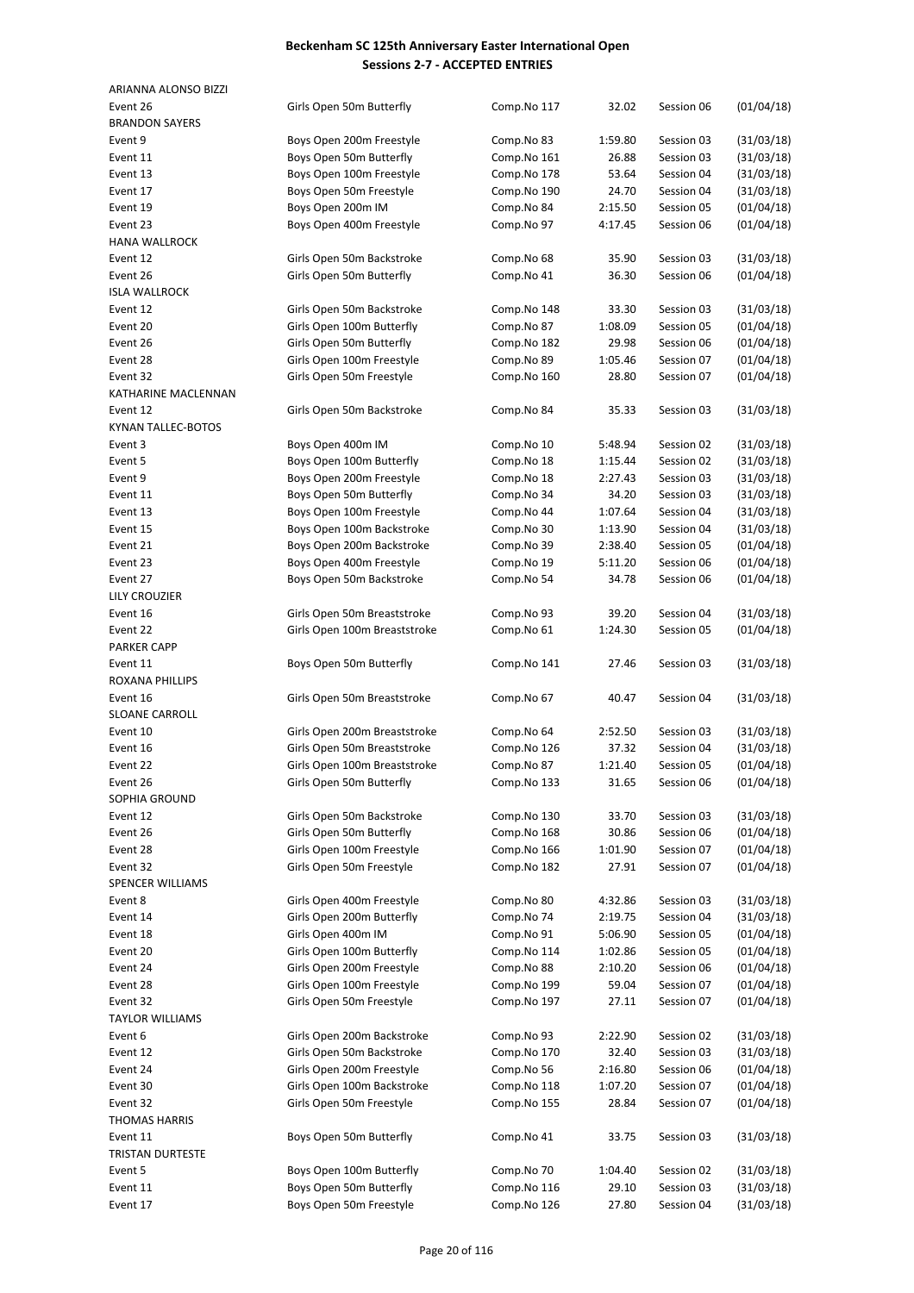| ARIANNA ALONSO BIZZI  |                              |                          |         |            |            |
|-----------------------|------------------------------|--------------------------|---------|------------|------------|
| Event 26              | Girls Open 50m Butterfly     | Comp.No 117              | 32.02   | Session 06 | (01/04/18) |
| <b>BRANDON SAYERS</b> |                              |                          |         |            |            |
| Event 9               | Boys Open 200m Freestyle     | Comp.No 83               | 1:59.80 | Session 03 | (31/03/18) |
| Event 11              | Boys Open 50m Butterfly      | Comp.No 161              | 26.88   | Session 03 | (31/03/18) |
| Event 13              | Boys Open 100m Freestyle     | Comp.No 178              | 53.64   | Session 04 | (31/03/18) |
| Event 17              | Boys Open 50m Freestyle      | Comp.No 190              | 24.70   | Session 04 | (31/03/18) |
| Event 19              | Boys Open 200m IM            | Comp.No 84               | 2:15.50 | Session 05 | (01/04/18) |
| Event 23              | Boys Open 400m Freestyle     | Comp.No 97               | 4:17.45 | Session 06 | (01/04/18) |
| <b>HANA WALLROCK</b>  |                              |                          |         |            |            |
| Event 12              | Girls Open 50m Backstroke    | Comp.No 68               | 35.90   | Session 03 | (31/03/18) |
| Event 26              | Girls Open 50m Butterfly     | Comp.No 41               | 36.30   | Session 06 | (01/04/18) |
| <b>ISLA WALLROCK</b>  |                              |                          |         |            |            |
| Event 12              | Girls Open 50m Backstroke    | Comp.No 148              | 33.30   | Session 03 | (31/03/18) |
| Event 20              | Girls Open 100m Butterfly    | Comp.No 87               | 1:08.09 | Session 05 | (01/04/18) |
| Event 26              | Girls Open 50m Butterfly     | Comp.No 182              | 29.98   | Session 06 | (01/04/18) |
| Event 28              | Girls Open 100m Freestyle    | Comp.No 89               | 1:05.46 | Session 07 | (01/04/18) |
| Event 32              | Girls Open 50m Freestyle     | Comp.No 160              | 28.80   | Session 07 | (01/04/18) |
| KATHARINE MACLENNAN   |                              |                          |         |            |            |
| Event 12              | Girls Open 50m Backstroke    | Comp.No 84               | 35.33   | Session 03 | (31/03/18) |
| KYNAN TALLEC-BOTOS    |                              |                          |         |            |            |
| Event 3               | Boys Open 400m IM            | Comp.No 10               | 5:48.94 | Session 02 | (31/03/18) |
| Event 5               | Boys Open 100m Butterfly     | Comp.No 18               | 1:15.44 | Session 02 | (31/03/18) |
| Event 9               | Boys Open 200m Freestyle     | Comp.No 18               | 2:27.43 | Session 03 | (31/03/18) |
| Event 11              | Boys Open 50m Butterfly      | Comp.No 34               | 34.20   | Session 03 | (31/03/18) |
| Event 13              | Boys Open 100m Freestyle     | Comp.No 44               | 1:07.64 | Session 04 | (31/03/18) |
| Event 15              | Boys Open 100m Backstroke    | Comp.No 30               | 1:13.90 | Session 04 | (31/03/18) |
| Event 21              | Boys Open 200m Backstroke    | Comp.No 39               | 2:38.40 | Session 05 | (01/04/18) |
| Event 23              | Boys Open 400m Freestyle     | Comp.No 19               | 5:11.20 | Session 06 | (01/04/18) |
| Event 27              | Boys Open 50m Backstroke     | Comp.No 54               | 34.78   | Session 06 | (01/04/18) |
| LILY CROUZIER         |                              |                          |         |            |            |
| Event 16              | Girls Open 50m Breaststroke  | Comp.No 93               | 39.20   | Session 04 | (31/03/18) |
| Event 22              | Girls Open 100m Breaststroke | Comp.No 61               | 1:24.30 | Session 05 | (01/04/18) |
| <b>PARKER CAPP</b>    |                              |                          |         |            |            |
| Event 11              | Boys Open 50m Butterfly      | Comp.No 141              | 27.46   | Session 03 | (31/03/18) |
| ROXANA PHILLIPS       |                              |                          |         |            |            |
| Event 16              | Girls Open 50m Breaststroke  | Comp.No 67               | 40.47   | Session 04 | (31/03/18) |
| <b>SLOANE CARROLL</b> |                              |                          |         |            |            |
| Event 10              | Girls Open 200m Breaststroke | Comp.No 64               | 2:52.50 | Session 03 | (31/03/18) |
| Event 16              | Girls Open 50m Breaststroke  | Comp.No 126              | 37.32   | Session 04 | (31/03/18) |
| Event 22              | Girls Open 100m Breaststroke | Comp.No 87               | 1:21.40 | Session 05 | (01/04/18) |
| Event 26              | Girls Open 50m Butterfly     | Comp.No 133              | 31.65   | Session 06 | (01/04/18) |
| SOPHIA GROUND         |                              |                          |         |            |            |
| Event 12              | Girls Open 50m Backstroke    | Comp.No 130              | 33.70   | Session 03 | (31/03/18) |
| Event 26              | Girls Open 50m Butterfly     | Comp.No 168              | 30.86   | Session 06 | (01/04/18) |
| Event 28              | Girls Open 100m Freestyle    | Comp.No 166              | 1:01.90 | Session 07 | (01/04/18) |
| Event 32              | Girls Open 50m Freestyle     | Comp.No 182              | 27.91   | Session 07 | (01/04/18) |
| SPENCER WILLIAMS      |                              |                          |         |            |            |
| Event 8               | Girls Open 400m Freestyle    |                          |         | Session 03 | (31/03/18) |
|                       | Girls Open 200m Butterfly    | Comp.No 80<br>Comp.No 74 | 4:32.86 | Session 04 | (31/03/18) |
| Event 14              |                              |                          | 2:19.75 |            |            |
| Event 18              | Girls Open 400m IM           | Comp.No 91               | 5:06.90 | Session 05 | (01/04/18) |
| Event 20              | Girls Open 100m Butterfly    | Comp.No 114              | 1:02.86 | Session 05 | (01/04/18) |
| Event 24              | Girls Open 200m Freestyle    | Comp.No 88               | 2:10.20 | Session 06 | (01/04/18) |
| Event 28              | Girls Open 100m Freestyle    | Comp.No 199              | 59.04   | Session 07 | (01/04/18) |
| Event 32              | Girls Open 50m Freestyle     | Comp.No 197              | 27.11   | Session 07 | (01/04/18) |
| TAYLOR WILLIAMS       |                              |                          |         |            |            |
| Event 6               | Girls Open 200m Backstroke   | Comp.No 93               | 2:22.90 | Session 02 | (31/03/18) |
| Event 12              | Girls Open 50m Backstroke    | Comp.No 170              | 32.40   | Session 03 | (31/03/18) |
| Event 24              | Girls Open 200m Freestyle    | Comp.No 56               | 2:16.80 | Session 06 | (01/04/18) |
| Event 30              | Girls Open 100m Backstroke   | Comp.No 118              | 1:07.20 | Session 07 | (01/04/18) |
| Event 32              | Girls Open 50m Freestyle     | Comp.No 155              | 28.84   | Session 07 | (01/04/18) |
| THOMAS HARRIS         |                              |                          |         |            |            |
| Event 11              | Boys Open 50m Butterfly      | Comp.No 41               | 33.75   | Session 03 | (31/03/18) |
| TRISTAN DURTESTE      |                              |                          |         |            |            |
| Event 5               | Boys Open 100m Butterfly     | Comp.No 70               | 1:04.40 | Session 02 | (31/03/18) |
| Event 11              | Boys Open 50m Butterfly      | Comp.No 116              | 29.10   | Session 03 | (31/03/18) |
| Event 17              | Boys Open 50m Freestyle      | Comp.No 126              | 27.80   | Session 04 | (31/03/18) |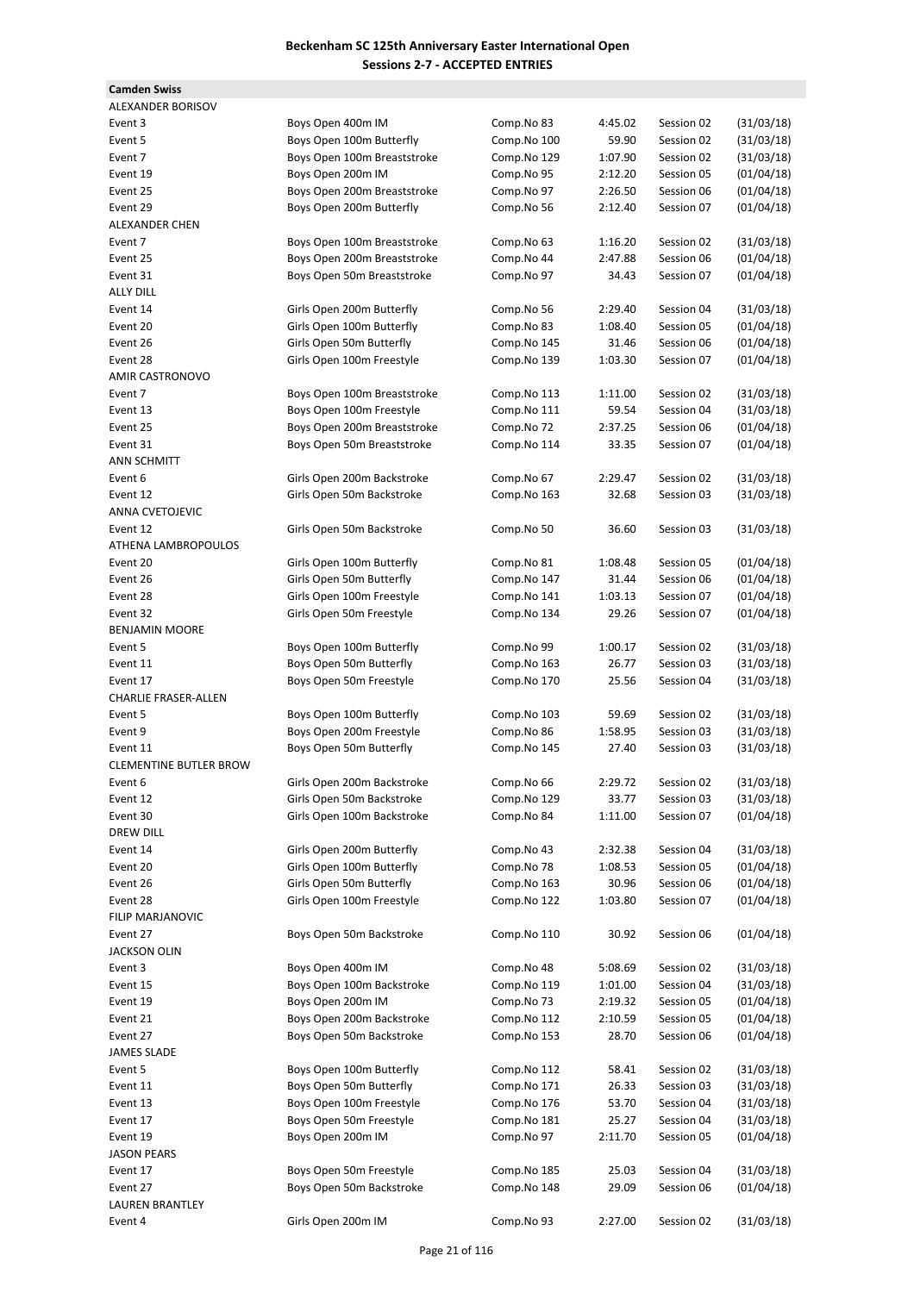**Camden Swiss**

| ALEXANDER BORISOV             |                             |             |         |            |            |
|-------------------------------|-----------------------------|-------------|---------|------------|------------|
| Event 3                       | Boys Open 400m IM           | Comp.No 83  | 4:45.02 | Session 02 | (31/03/18) |
| Event 5                       | Boys Open 100m Butterfly    | Comp.No 100 | 59.90   | Session 02 | (31/03/18) |
| Event 7                       | Boys Open 100m Breaststroke | Comp.No 129 | 1:07.90 | Session 02 | (31/03/18) |
| Event 19                      | Boys Open 200m IM           | Comp.No 95  | 2:12.20 | Session 05 | (01/04/18) |
| Event 25                      | Boys Open 200m Breaststroke | Comp.No 97  | 2:26.50 | Session 06 | (01/04/18) |
| Event 29                      | Boys Open 200m Butterfly    | Comp.No 56  | 2:12.40 | Session 07 | (01/04/18) |
| <b>ALEXANDER CHEN</b>         |                             |             |         |            |            |
| Event 7                       | Boys Open 100m Breaststroke | Comp.No 63  | 1:16.20 | Session 02 | (31/03/18) |
| Event 25                      | Boys Open 200m Breaststroke | Comp.No 44  | 2:47.88 | Session 06 | (01/04/18) |
| Event 31                      | Boys Open 50m Breaststroke  | Comp.No 97  | 34.43   | Session 07 | (01/04/18) |
| <b>ALLY DILL</b>              |                             |             |         |            |            |
| Event 14                      | Girls Open 200m Butterfly   | Comp.No 56  | 2:29.40 | Session 04 | (31/03/18) |
| Event 20                      | Girls Open 100m Butterfly   | Comp.No 83  | 1:08.40 | Session 05 | (01/04/18) |
| Event 26                      | Girls Open 50m Butterfly    | Comp.No 145 | 31.46   | Session 06 | (01/04/18) |
| Event 28                      | Girls Open 100m Freestyle   | Comp.No 139 | 1:03.30 | Session 07 | (01/04/18) |
| AMIR CASTRONOVO               |                             |             |         |            |            |
| Event 7                       | Boys Open 100m Breaststroke | Comp.No 113 | 1:11.00 | Session 02 | (31/03/18) |
| Event 13                      | Boys Open 100m Freestyle    | Comp.No 111 | 59.54   | Session 04 | (31/03/18) |
| Event 25                      | Boys Open 200m Breaststroke | Comp.No 72  | 2:37.25 | Session 06 | (01/04/18) |
| Event 31                      | Boys Open 50m Breaststroke  | Comp.No 114 | 33.35   | Session 07 | (01/04/18) |
| <b>ANN SCHMITT</b>            |                             |             |         |            |            |
| Event 6                       | Girls Open 200m Backstroke  | Comp.No 67  | 2:29.47 | Session 02 | (31/03/18) |
| Event 12                      | Girls Open 50m Backstroke   | Comp.No 163 | 32.68   | Session 03 | (31/03/18) |
| <b>ANNA CVETOJEVIC</b>        |                             |             |         |            |            |
| Event 12                      | Girls Open 50m Backstroke   | Comp.No 50  | 36.60   | Session 03 | (31/03/18) |
| ATHENA LAMBROPOULOS           |                             |             |         |            |            |
| Event 20                      | Girls Open 100m Butterfly   | Comp.No 81  | 1:08.48 | Session 05 | (01/04/18) |
|                               |                             |             |         |            |            |
| Event 26                      | Girls Open 50m Butterfly    | Comp.No 147 | 31.44   | Session 06 | (01/04/18) |
| Event 28                      | Girls Open 100m Freestyle   | Comp.No 141 | 1:03.13 | Session 07 | (01/04/18) |
| Event 32                      | Girls Open 50m Freestyle    | Comp.No 134 | 29.26   | Session 07 | (01/04/18) |
| <b>BENJAMIN MOORE</b>         |                             |             |         |            |            |
| Event 5                       | Boys Open 100m Butterfly    | Comp.No 99  | 1:00.17 | Session 02 | (31/03/18) |
| Event 11                      | Boys Open 50m Butterfly     | Comp.No 163 | 26.77   | Session 03 | (31/03/18) |
| Event 17                      | Boys Open 50m Freestyle     | Comp.No 170 | 25.56   | Session 04 | (31/03/18) |
| <b>CHARLIE FRASER-ALLEN</b>   |                             |             |         |            |            |
| Event 5                       | Boys Open 100m Butterfly    | Comp.No 103 | 59.69   | Session 02 | (31/03/18) |
| Event 9                       | Boys Open 200m Freestyle    | Comp.No 86  | 1:58.95 | Session 03 | (31/03/18) |
| Event 11                      | Boys Open 50m Butterfly     | Comp.No 145 | 27.40   | Session 03 | (31/03/18) |
| <b>CLEMENTINE BUTLER BROW</b> |                             |             |         |            |            |
| Event 6                       | Girls Open 200m Backstroke  | Comp.No 66  | 2:29.72 | Session 02 | (31/03/18) |
| Event 12                      | Girls Open 50m Backstroke   | Comp.No 129 | 33.77   | Session 03 | (31/03/18) |
| Event 30                      | Girls Open 100m Backstroke  | Comp.No 84  | 1:11.00 | Session 07 | (01/04/18) |
| <b>DREW DILL</b>              |                             |             |         |            |            |
| Event 14                      | Girls Open 200m Butterfly   | Comp.No 43  | 2:32.38 | Session 04 | (31/03/18) |
| Event 20                      | Girls Open 100m Butterfly   | Comp.No 78  | 1:08.53 | Session 05 | (01/04/18) |
| Event 26                      | Girls Open 50m Butterfly    | Comp.No 163 | 30.96   | Session 06 | (01/04/18) |
| Event 28                      | Girls Open 100m Freestyle   | Comp.No 122 | 1:03.80 | Session 07 | (01/04/18) |
| FILIP MARJANOVIC              |                             |             |         |            |            |
| Event 27                      | Boys Open 50m Backstroke    | Comp.No 110 | 30.92   | Session 06 | (01/04/18) |
| <b>JACKSON OLIN</b>           |                             |             |         |            |            |
| Event 3                       | Boys Open 400m IM           | Comp.No 48  | 5:08.69 | Session 02 | (31/03/18) |
| Event 15                      | Boys Open 100m Backstroke   | Comp.No 119 | 1:01.00 | Session 04 | (31/03/18) |
| Event 19                      | Boys Open 200m IM           | Comp.No 73  | 2:19.32 | Session 05 | (01/04/18) |
| Event 21                      | Boys Open 200m Backstroke   | Comp.No 112 | 2:10.59 | Session 05 | (01/04/18) |
| Event 27                      | Boys Open 50m Backstroke    | Comp.No 153 | 28.70   | Session 06 | (01/04/18) |
| <b>JAMES SLADE</b>            |                             |             |         |            |            |
| Event 5                       | Boys Open 100m Butterfly    | Comp.No 112 | 58.41   | Session 02 | (31/03/18) |
| Event 11                      | Boys Open 50m Butterfly     | Comp.No 171 | 26.33   | Session 03 | (31/03/18) |
| Event 13                      | Boys Open 100m Freestyle    | Comp.No 176 | 53.70   | Session 04 | (31/03/18) |
| Event 17                      | Boys Open 50m Freestyle     | Comp.No 181 | 25.27   | Session 04 | (31/03/18) |
| Event 19                      |                             | Comp.No 97  |         | Session 05 | (01/04/18) |
|                               | Boys Open 200m IM           |             | 2:11.70 |            |            |
| <b>JASON PEARS</b>            |                             |             |         |            |            |
| Event 17                      | Boys Open 50m Freestyle     | Comp.No 185 | 25.03   | Session 04 | (31/03/18) |
| Event 27                      | Boys Open 50m Backstroke    | Comp.No 148 | 29.09   | Session 06 | (01/04/18) |
| LAUREN BRANTLEY               |                             |             |         |            |            |
| Event 4                       | Girls Open 200m IM          | Comp.No 93  | 2:27.00 | Session 02 | (31/03/18) |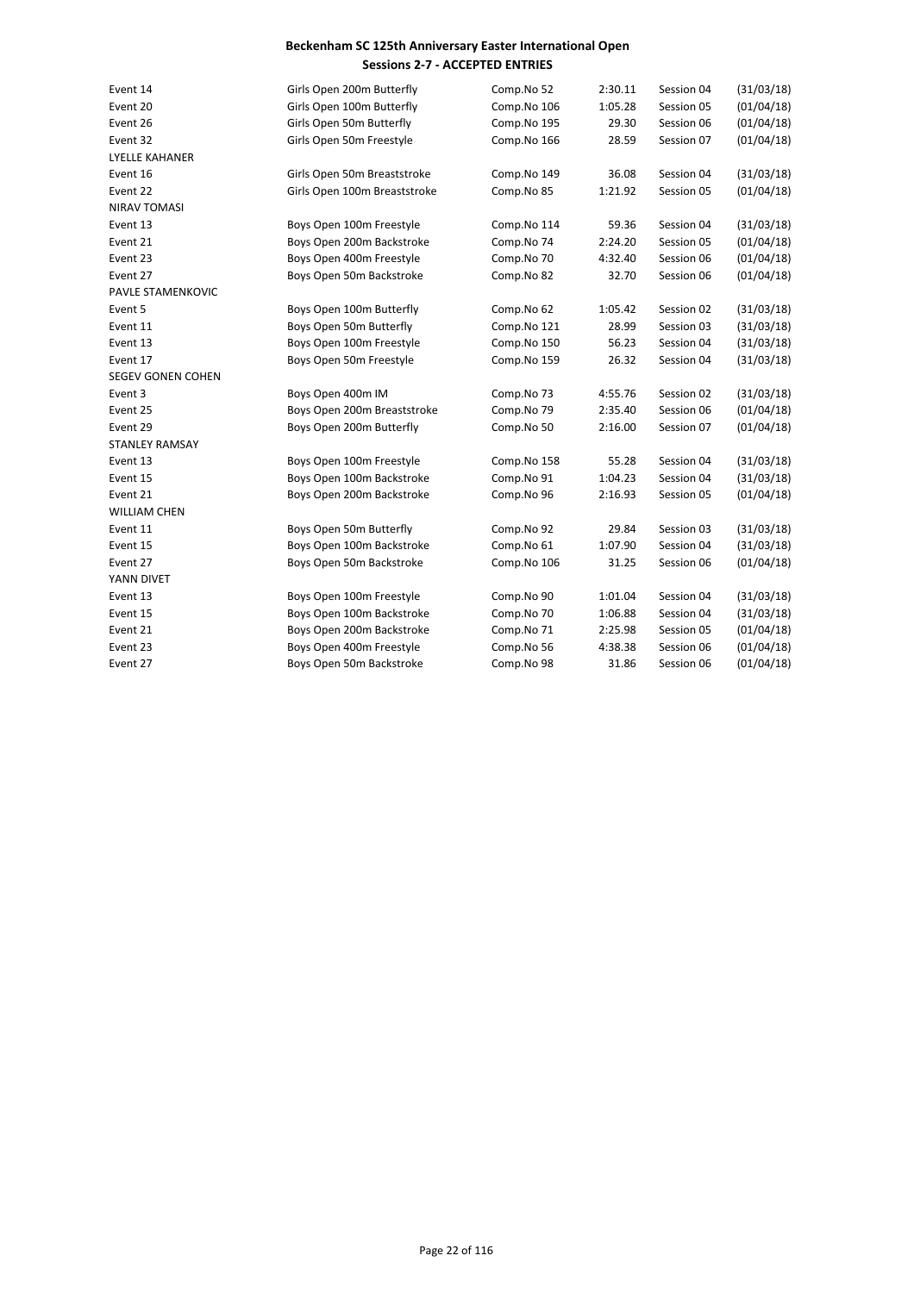| Event 14                 | Girls Open 200m Butterfly    | Comp.No 52  | 2:30.11 | Session 04 | (31/03/18) |
|--------------------------|------------------------------|-------------|---------|------------|------------|
| Event 20                 | Girls Open 100m Butterfly    | Comp.No 106 | 1:05.28 | Session 05 | (01/04/18) |
| Event 26                 | Girls Open 50m Butterfly     | Comp.No 195 | 29.30   | Session 06 | (01/04/18) |
| Event 32                 | Girls Open 50m Freestyle     | Comp.No 166 | 28.59   | Session 07 | (01/04/18) |
| <b>LYELLE KAHANER</b>    |                              |             |         |            |            |
| Event 16                 | Girls Open 50m Breaststroke  | Comp.No 149 | 36.08   | Session 04 | (31/03/18) |
| Event 22                 | Girls Open 100m Breaststroke | Comp.No 85  | 1:21.92 | Session 05 | (01/04/18) |
| <b>NIRAV TOMASI</b>      |                              |             |         |            |            |
| Event 13                 | Boys Open 100m Freestyle     | Comp.No 114 | 59.36   | Session 04 | (31/03/18) |
| Event 21                 | Boys Open 200m Backstroke    | Comp.No 74  | 2:24.20 | Session 05 | (01/04/18) |
| Event 23                 | Boys Open 400m Freestyle     | Comp.No 70  | 4:32.40 | Session 06 | (01/04/18) |
| Event 27                 | Boys Open 50m Backstroke     | Comp.No 82  | 32.70   | Session 06 | (01/04/18) |
| PAVLE STAMENKOVIC        |                              |             |         |            |            |
| Event 5                  | Boys Open 100m Butterfly     | Comp.No 62  | 1:05.42 | Session 02 | (31/03/18) |
| Event 11                 | Boys Open 50m Butterfly      | Comp.No 121 | 28.99   | Session 03 | (31/03/18) |
| Event 13                 | Boys Open 100m Freestyle     | Comp.No 150 | 56.23   | Session 04 | (31/03/18) |
| Event 17                 | Boys Open 50m Freestyle      | Comp.No 159 | 26.32   | Session 04 | (31/03/18) |
| <b>SEGEV GONEN COHEN</b> |                              |             |         |            |            |
| Event 3                  | Boys Open 400m IM            | Comp.No 73  | 4:55.76 | Session 02 | (31/03/18) |
| Event 25                 | Boys Open 200m Breaststroke  | Comp.No 79  | 2:35.40 | Session 06 | (01/04/18) |
| Event 29                 | Boys Open 200m Butterfly     | Comp.No 50  | 2:16.00 | Session 07 | (01/04/18) |
| <b>STANLEY RAMSAY</b>    |                              |             |         |            |            |
| Event 13                 | Boys Open 100m Freestyle     | Comp.No 158 | 55.28   | Session 04 | (31/03/18) |
| Event 15                 | Boys Open 100m Backstroke    | Comp.No 91  | 1:04.23 | Session 04 | (31/03/18) |
| Event 21                 | Boys Open 200m Backstroke    | Comp.No 96  | 2:16.93 | Session 05 | (01/04/18) |
| <b>WILLIAM CHEN</b>      |                              |             |         |            |            |
| Event 11                 | Boys Open 50m Butterfly      | Comp.No 92  | 29.84   | Session 03 | (31/03/18) |
| Event 15                 | Boys Open 100m Backstroke    | Comp.No 61  | 1:07.90 | Session 04 | (31/03/18) |
| Event 27                 | Boys Open 50m Backstroke     | Comp.No 106 | 31.25   | Session 06 | (01/04/18) |
| YANN DIVET               |                              |             |         |            |            |
| Event 13                 | Boys Open 100m Freestyle     | Comp.No 90  | 1:01.04 | Session 04 | (31/03/18) |
| Event 15                 | Boys Open 100m Backstroke    | Comp.No 70  | 1:06.88 | Session 04 | (31/03/18) |
| Event 21                 | Boys Open 200m Backstroke    | Comp.No 71  | 2:25.98 | Session 05 | (01/04/18) |
| Event 23                 | Boys Open 400m Freestyle     | Comp.No 56  | 4:38.38 | Session 06 | (01/04/18) |
| Event 27                 | Boys Open 50m Backstroke     | Comp.No 98  | 31.86   | Session 06 | (01/04/18) |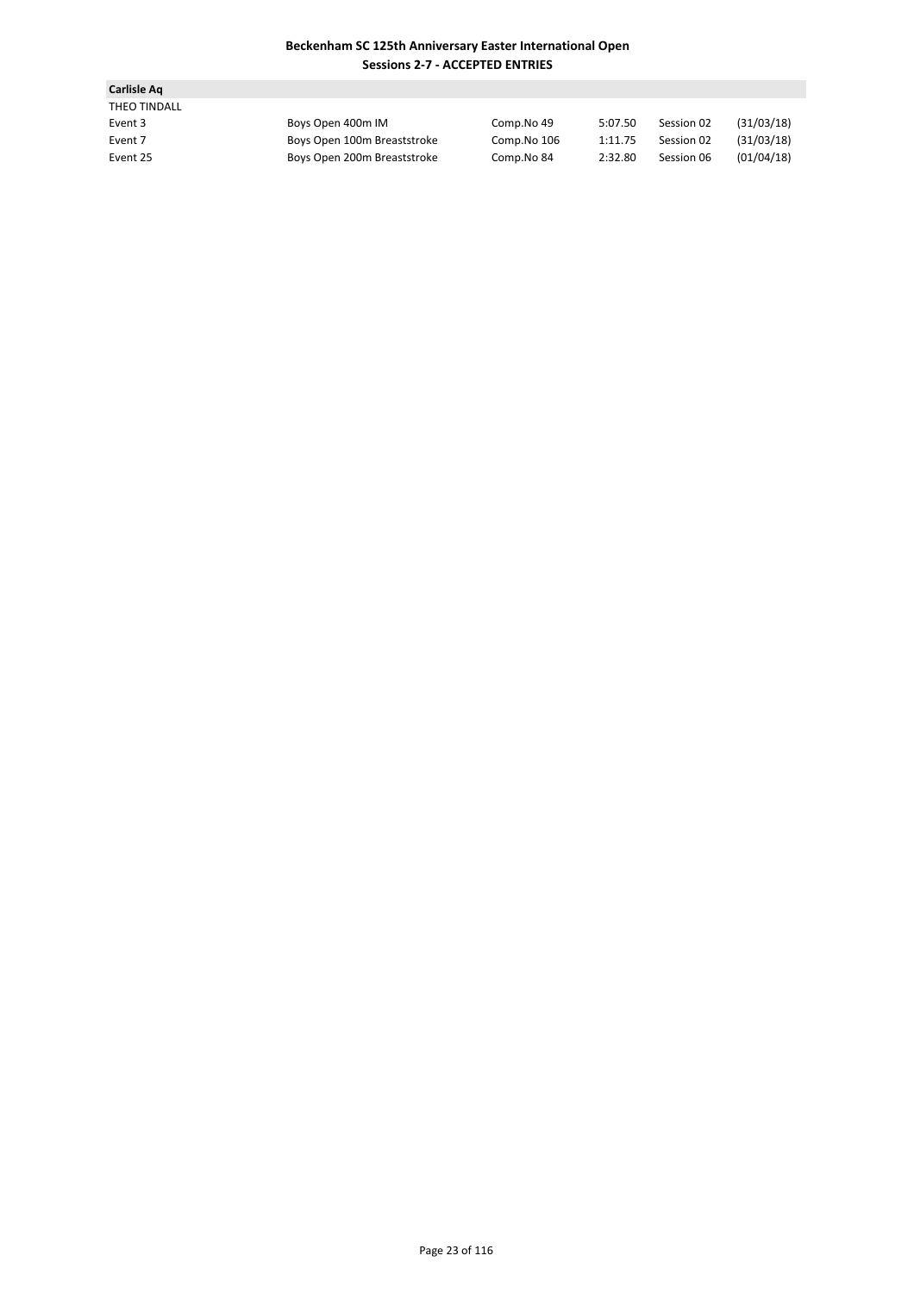| Carlisle Ag  |                             |             |         |            |            |
|--------------|-----------------------------|-------------|---------|------------|------------|
| THEO TINDALL |                             |             |         |            |            |
| Event 3      | Boys Open 400m IM           | Comp.No 49  | 5:07.50 | Session 02 | (31/03/18) |
| Event 7      | Boys Open 100m Breaststroke | Comp.No 106 | 1:11.75 | Session 02 | (31/03/18) |
| Event 25     | Boys Open 200m Breaststroke | Comp.No 84  | 2:32.80 | Session 06 | (01/04/18) |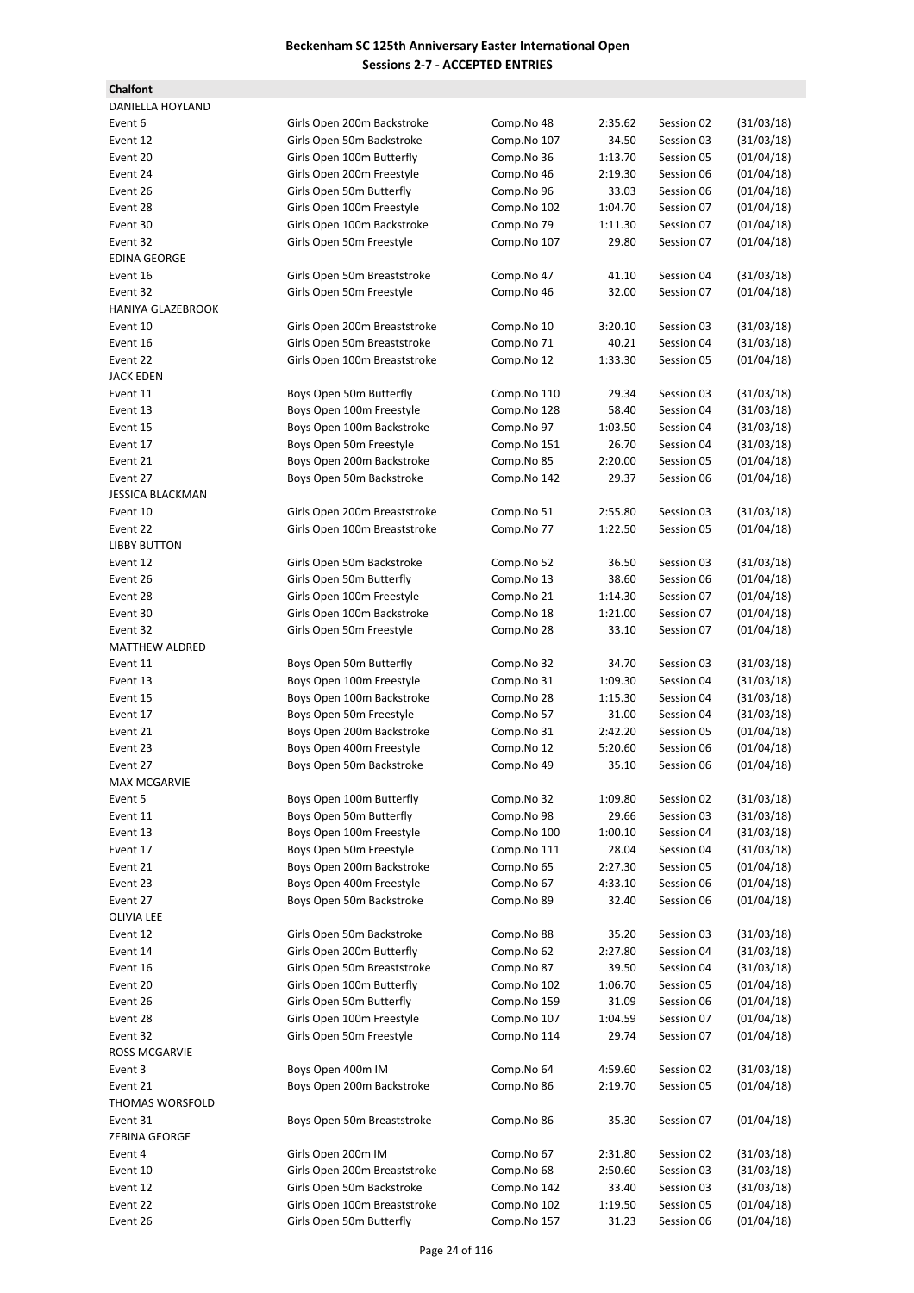**Chalfont**

| <b>DANIELLA HOYLAND</b> |                              |             |         |            |            |
|-------------------------|------------------------------|-------------|---------|------------|------------|
| Event 6                 | Girls Open 200m Backstroke   | Comp.No 48  | 2:35.62 | Session 02 | (31/03/18) |
| Event 12                | Girls Open 50m Backstroke    | Comp.No 107 | 34.50   | Session 03 | (31/03/18) |
| Event 20                | Girls Open 100m Butterfly    | Comp.No 36  | 1:13.70 | Session 05 | (01/04/18) |
| Event 24                | Girls Open 200m Freestyle    | Comp.No 46  | 2:19.30 | Session 06 | (01/04/18) |
| Event 26                | Girls Open 50m Butterfly     | Comp.No 96  | 33.03   | Session 06 | (01/04/18) |
| Event 28                | Girls Open 100m Freestyle    | Comp.No 102 | 1:04.70 | Session 07 | (01/04/18) |
| Event 30                | Girls Open 100m Backstroke   | Comp.No 79  | 1:11.30 | Session 07 | (01/04/18) |
| Event 32                | Girls Open 50m Freestyle     | Comp.No 107 | 29.80   | Session 07 | (01/04/18) |
| <b>EDINA GEORGE</b>     |                              |             |         |            |            |
| Event 16                | Girls Open 50m Breaststroke  | Comp.No 47  | 41.10   | Session 04 | (31/03/18) |
| Event 32                | Girls Open 50m Freestyle     | Comp.No 46  | 32.00   | Session 07 | (01/04/18) |
| HANIYA GLAZEBROOK       |                              |             |         |            |            |
| Event 10                | Girls Open 200m Breaststroke | Comp.No 10  | 3:20.10 | Session 03 | (31/03/18) |
| Event 16                | Girls Open 50m Breaststroke  | Comp.No 71  | 40.21   | Session 04 | (31/03/18) |
| Event 22                | Girls Open 100m Breaststroke | Comp.No 12  | 1:33.30 | Session 05 | (01/04/18) |
| <b>JACK EDEN</b>        |                              |             |         |            |            |
| Event 11                | Boys Open 50m Butterfly      | Comp.No 110 | 29.34   | Session 03 | (31/03/18) |
| Event 13                | Boys Open 100m Freestyle     | Comp.No 128 | 58.40   | Session 04 | (31/03/18) |
| Event 15                | Boys Open 100m Backstroke    | Comp.No 97  | 1:03.50 | Session 04 | (31/03/18) |
| Event 17                |                              |             | 26.70   | Session 04 | (31/03/18) |
|                         | Boys Open 50m Freestyle      | Comp.No 151 |         | Session 05 |            |
| Event 21                | Boys Open 200m Backstroke    | Comp.No 85  | 2:20.00 |            | (01/04/18) |
| Event 27                | Boys Open 50m Backstroke     | Comp.No 142 | 29.37   | Session 06 | (01/04/18) |
| <b>JESSICA BLACKMAN</b> |                              |             |         |            |            |
| Event 10                | Girls Open 200m Breaststroke | Comp.No 51  | 2:55.80 | Session 03 | (31/03/18) |
| Event 22                | Girls Open 100m Breaststroke | Comp.No 77  | 1:22.50 | Session 05 | (01/04/18) |
| <b>LIBBY BUTTON</b>     |                              |             |         |            |            |
| Event 12                | Girls Open 50m Backstroke    | Comp.No 52  | 36.50   | Session 03 | (31/03/18) |
| Event 26                | Girls Open 50m Butterfly     | Comp.No 13  | 38.60   | Session 06 | (01/04/18) |
| Event 28                | Girls Open 100m Freestyle    | Comp.No 21  | 1:14.30 | Session 07 | (01/04/18) |
| Event 30                | Girls Open 100m Backstroke   | Comp.No 18  | 1:21.00 | Session 07 | (01/04/18) |
| Event 32                | Girls Open 50m Freestyle     | Comp.No 28  | 33.10   | Session 07 | (01/04/18) |
| <b>MATTHEW ALDRED</b>   |                              |             |         |            |            |
| Event 11                | Boys Open 50m Butterfly      | Comp.No 32  | 34.70   | Session 03 | (31/03/18) |
| Event 13                | Boys Open 100m Freestyle     | Comp.No 31  | 1:09.30 | Session 04 | (31/03/18) |
| Event 15                | Boys Open 100m Backstroke    | Comp.No 28  | 1:15.30 | Session 04 | (31/03/18) |
| Event 17                | Boys Open 50m Freestyle      | Comp.No 57  | 31.00   | Session 04 | (31/03/18) |
| Event 21                | Boys Open 200m Backstroke    | Comp.No 31  | 2:42.20 | Session 05 | (01/04/18) |
| Event 23                | Boys Open 400m Freestyle     | Comp.No 12  | 5:20.60 | Session 06 | (01/04/18) |
| Event 27                | Boys Open 50m Backstroke     | Comp.No 49  | 35.10   | Session 06 | (01/04/18) |
| <b>MAX MCGARVIE</b>     |                              |             |         |            |            |
| Event 5                 | Boys Open 100m Butterfly     | Comp.No 32  | 1:09.80 | Session 02 | (31/03/18) |
| Event 11                | Boys Open 50m Butterfly      | Comp.No 98  | 29.66   | Session 03 | (31/03/18) |
| Event 13                | Boys Open 100m Freestyle     | Comp.No 100 | 1:00.10 | Session 04 | (31/03/18) |
| Event 17                | Boys Open 50m Freestyle      | Comp.No 111 | 28.04   | Session 04 | (31/03/18) |
| Event 21                | Boys Open 200m Backstroke    | Comp.No 65  | 2:27.30 | Session 05 | (01/04/18) |
|                         |                              |             |         |            |            |
| Event 23<br>Event 27    | Boys Open 400m Freestyle     | Comp.No 67  | 4:33.10 | Session 06 | (01/04/18) |
|                         | Boys Open 50m Backstroke     | Comp.No 89  | 32.40   | Session 06 | (01/04/18) |
| <b>OLIVIA LEE</b>       |                              |             |         |            |            |
| Event 12                | Girls Open 50m Backstroke    | Comp.No 88  | 35.20   | Session 03 | (31/03/18) |
| Event 14                | Girls Open 200m Butterfly    | Comp.No 62  | 2:27.80 | Session 04 | (31/03/18) |
| Event 16                | Girls Open 50m Breaststroke  | Comp.No 87  | 39.50   | Session 04 | (31/03/18) |
| Event 20                | Girls Open 100m Butterfly    | Comp.No 102 | 1:06.70 | Session 05 | (01/04/18) |
| Event 26                | Girls Open 50m Butterfly     | Comp.No 159 | 31.09   | Session 06 | (01/04/18) |
| Event 28                | Girls Open 100m Freestyle    | Comp.No 107 | 1:04.59 | Session 07 | (01/04/18) |
| Event 32                | Girls Open 50m Freestyle     | Comp.No 114 | 29.74   | Session 07 | (01/04/18) |
| ROSS MCGARVIE           |                              |             |         |            |            |
| Event 3                 | Boys Open 400m IM            | Comp.No 64  | 4:59.60 | Session 02 | (31/03/18) |
| Event 21                | Boys Open 200m Backstroke    | Comp.No 86  | 2:19.70 | Session 05 | (01/04/18) |
| THOMAS WORSFOLD         |                              |             |         |            |            |
| Event 31                | Boys Open 50m Breaststroke   | Comp.No 86  | 35.30   | Session 07 | (01/04/18) |
| ZEBINA GEORGE           |                              |             |         |            |            |
| Event 4                 | Girls Open 200m IM           | Comp.No 67  | 2:31.80 | Session 02 | (31/03/18) |
| Event 10                | Girls Open 200m Breaststroke | Comp.No 68  | 2:50.60 | Session 03 | (31/03/18) |
| Event 12                | Girls Open 50m Backstroke    | Comp.No 142 | 33.40   | Session 03 | (31/03/18) |
| Event 22                | Girls Open 100m Breaststroke | Comp.No 102 | 1:19.50 | Session 05 | (01/04/18) |
| Event 26                | Girls Open 50m Butterfly     | Comp.No 157 | 31.23   | Session 06 | (01/04/18) |
|                         |                              |             |         |            |            |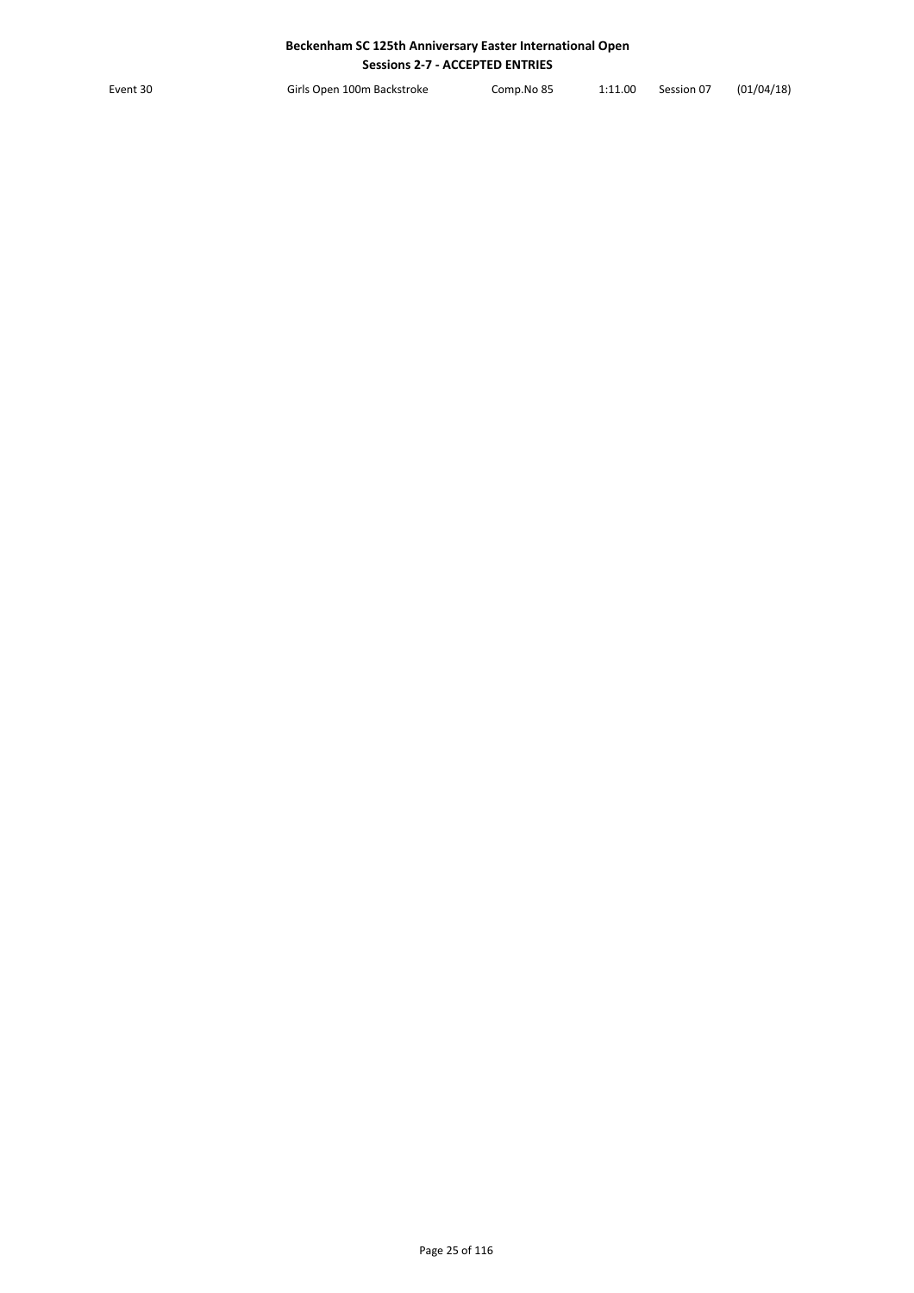Event 30 Girls Open 100m Backstroke Comp.No 85 1:11.00 Session 07 (01/04/18)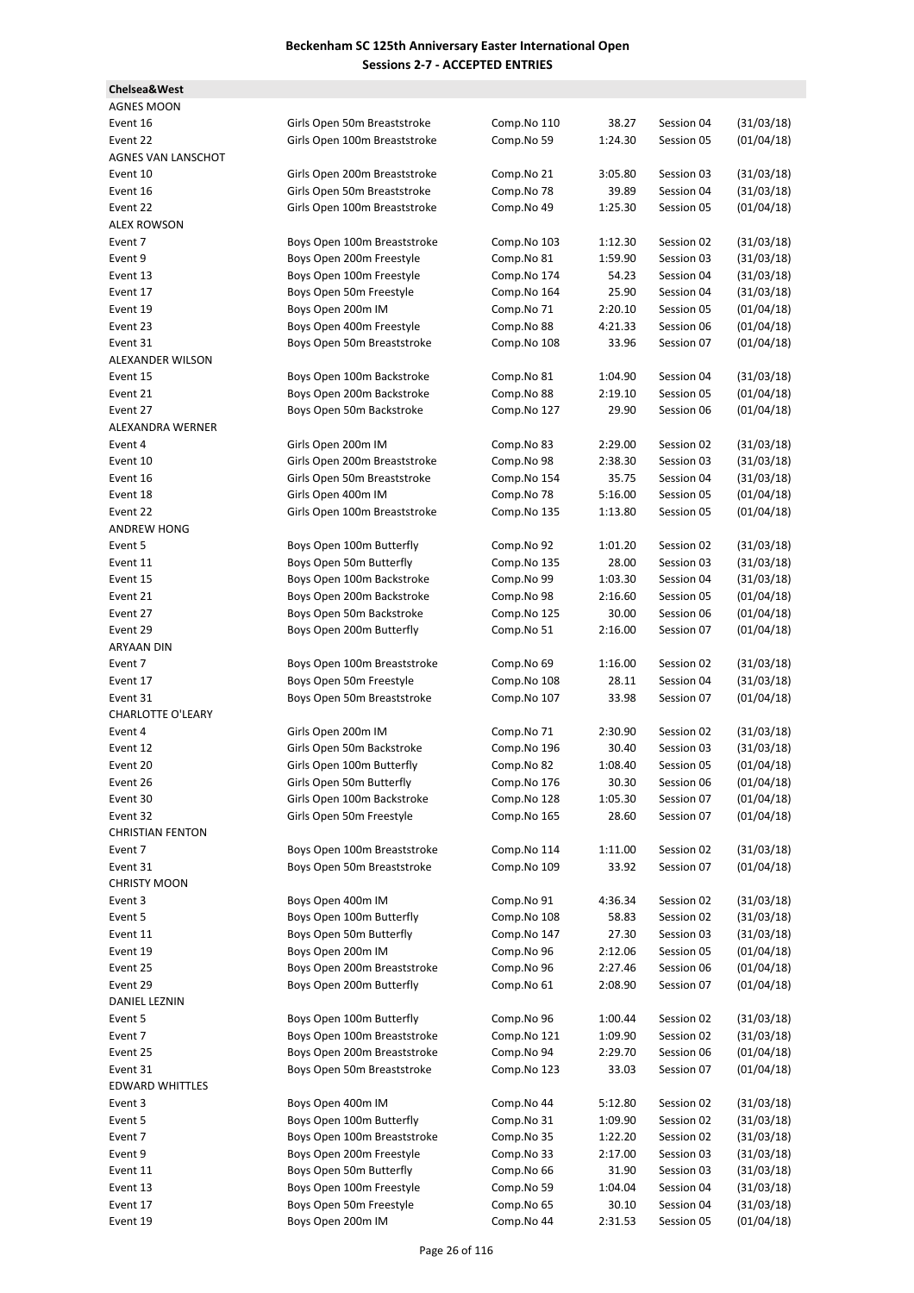**Chelsea&West**

**AGNES MOON** Event 16 Girls Open 50m Breaststroke Comp.No 110 38.27 Session 04 (31/03/18) Event 22 Girls Open 100m Breaststroke Comp.No 59 1:24.30 Session 05 (01/04/18) **AGNES VAN LANSCHOT** Event 10 Cirls Open 200m Breaststroke Comp.No 21 3:05.80 Session 03 (31/03/18) Event 16 Girls Open 50m Breaststroke Comp.No 78 39.89 Session 04 (31/03/18) Event 22 Girls Open 100m Breaststroke Comp.No 49 1:25.30 Session 05 (01/04/18) **ALEX ROWSON** Event 7 **Boys Open 100m Breaststroke** Comp.No 103 1:12.30 Session 02 (31/03/18) Event 9 Boys Open 200m Freestyle Comp.No 81 1:59.90 Session 03 (31/03/18) Event 13 Boys Open 100m Freestyle Comp.No 174 54.23 Session 04 (31/03/18) Event 17 Boys Open 50m Freestyle Comp.No 164 25.90 Session 04 (31/03/18) Event 19 Boys Open 200m IM Comp.No 71 2:20.10 Session 05 (01/04/18) Event 23 Boys Open 400m Freestyle Comp.No 88 4:21.33 Session 06 (01/04/18) Event 31 Boys Open 50m Breaststroke Comp.No 108 33.96 Session 07 (01/04/18) ALEXANDER WILSON Event 15 Boys Open 100m Backstroke Comp.No 81 1:04.90 Session 04 (31/03/18) Event 21 Boys Open 200m Backstroke Comp.No 88 2:19.10 Session 05 (01/04/18) Event 27 Boys Open 50m Backstroke Comp.No 127 29.90 Session 06 (01/04/18) ALEXANDRA WERNER Event 4 Girls Open 200m IM Comp.No 83 2:29.00 Session 02 (31/03/18) Event 10 Girls Open 200m Breaststroke Comp.No 98 2:38.30 Session 03 (31/03/18) Event 16 Girls Open 50m Breaststroke Comp.No 154 35.75 Session 04 (31/03/18) Event 18 Girls Open 400m IM Comp.No 78 5:16.00 Session 05 (01/04/18) Event 22 Girls Open 100m Breaststroke Comp.No 135 1:13.80 Session 05 (01/04/18) **ANDREW HONG** Event 5 Boys Open 100m Butterfly Comp.No 92 1:01.20 Session 02 (31/03/18) Event 11 Boys Open 50m Butterfly Comp.No 135 28.00 Session 03 (31/03/18) Event 15 Boys Open 100m Backstroke Comp.No 99 1:03.30 Session 04 (31/03/18) Event 21 Boys Open 200m Backstroke Comp.No 98 2:16.60 Session 05 (01/04/18) Event 27 Boys Open 50m Backstroke Comp.No 125 30.00 Session 06 (01/04/18) Event 29 Boys Open 200m Butterfly Comp.No 51 2:16.00 Session 07 (01/04/18) **ARYAAN DIN** Event 7 **Boys Open 100m Breaststroke** Comp.No 69 1:16.00 Session 02 (31/03/18) Event 17 Boys Open 50m Freestyle Comp.No 108 28.11 Session 04 (31/03/18) Event 31 **Boys Open 50m Breaststroke** Comp.No 107 33.98 Session 07 (01/04/18) CHARLOTTE O'LEARY Event 4 6irls Open 200m IM Comp.No 71 2:30.90 Session 02 (31/03/18) Event 12 Girls Open 50m Backstroke Comp.No 196 30.40 Session 03 (31/03/18) Event 20 Girls Open 100m Butterfly Comp.No 82 1:08.40 Session 05 (01/04/18) Event 26 Girls Open 50m Butterfly Comp.No 176 30.30 Session 06 (01/04/18) Event 30 Girls Open 100m Backstroke Comp.No 128 1:05.30 Session 07 (01/04/18) Event 32 **Girls Open 50m Freestyle** Comp.No 165 28.60 Session 07 (01/04/18) **CHRISTIAN FENTON** Event 7 **Boys Open 100m Breaststroke Comp.No 114** 1:11.00 Session 02 (31/03/18) Event 31 Boys Open 50m Breaststroke Comp.No 109 33.92 Session 07 (01/04/18) **CHRISTY MOON** Event 3 Boys Open 400m IM Comp.No 91 4:36.34 Session 02 (31/03/18) Event 5 6009 Boys Open 100m Butterfly Comp.No 108 58.83 Session 02 (31/03/18) Event 11 Boys Open 50m Butterfly Comp.No 147 27.30 Session 03 (31/03/18) Event 19 Boys Open 200m IM Comp.No 96 2:12.06 Session 05 (01/04/18) Event 25 Boys Open 200m Breaststroke Comp.No 96 2:27.46 Session 06 (01/04/18) Event 29 Boys Open 200m Butterfly Comp.No 61 2:08.90 Session 07 (01/04/18) DANIEL LEZNIN Event 5 Boys Open 100m Butterfly Comp.No 96 1:00.44 Session 02 (31/03/18) Event 7 **Event 7** Boys Open 100m Breaststroke Comp.No 121 1:09.90 Session 02 (31/03/18) Event 25 Boys Open 200m Breaststroke Comp.No 94 2:29.70 Session 06 (01/04/18) Event 31 **Boys Open 50m Breaststroke** Comp.No 123 33.03 Session 07 (01/04/18) EDWARD WHITTLES Event 3 60ys Open 400m IM Comp.No 44 5:12.80 Session 02 (31/03/18) Event 5 Boys Open 100m Butterfly Comp.No 31 1:09.90 Session 02 (31/03/18) Event 7 **Event 7** Boys Open 100m Breaststroke **Comp.No 35** 1:22.20 Session 02 (31/03/18) Event 9 Boys Open 200m Freestyle Comp.No 33 2:17.00 Session 03 (31/03/18) Event 11 Boys Open 50m Butterfly Comp.No 66 31.90 Session 03 (31/03/18) Event 13 Boys Open 100m Freestyle Comp.No 59 1:04.04 Session 04 (31/03/18) Event 17 Boys Open 50m Freestyle Comp.No 65 30.10 Session 04 (31/03/18) Event 19 Boys Open 200m IM Comp.No 44 2:31.53 Session 05 (01/04/18)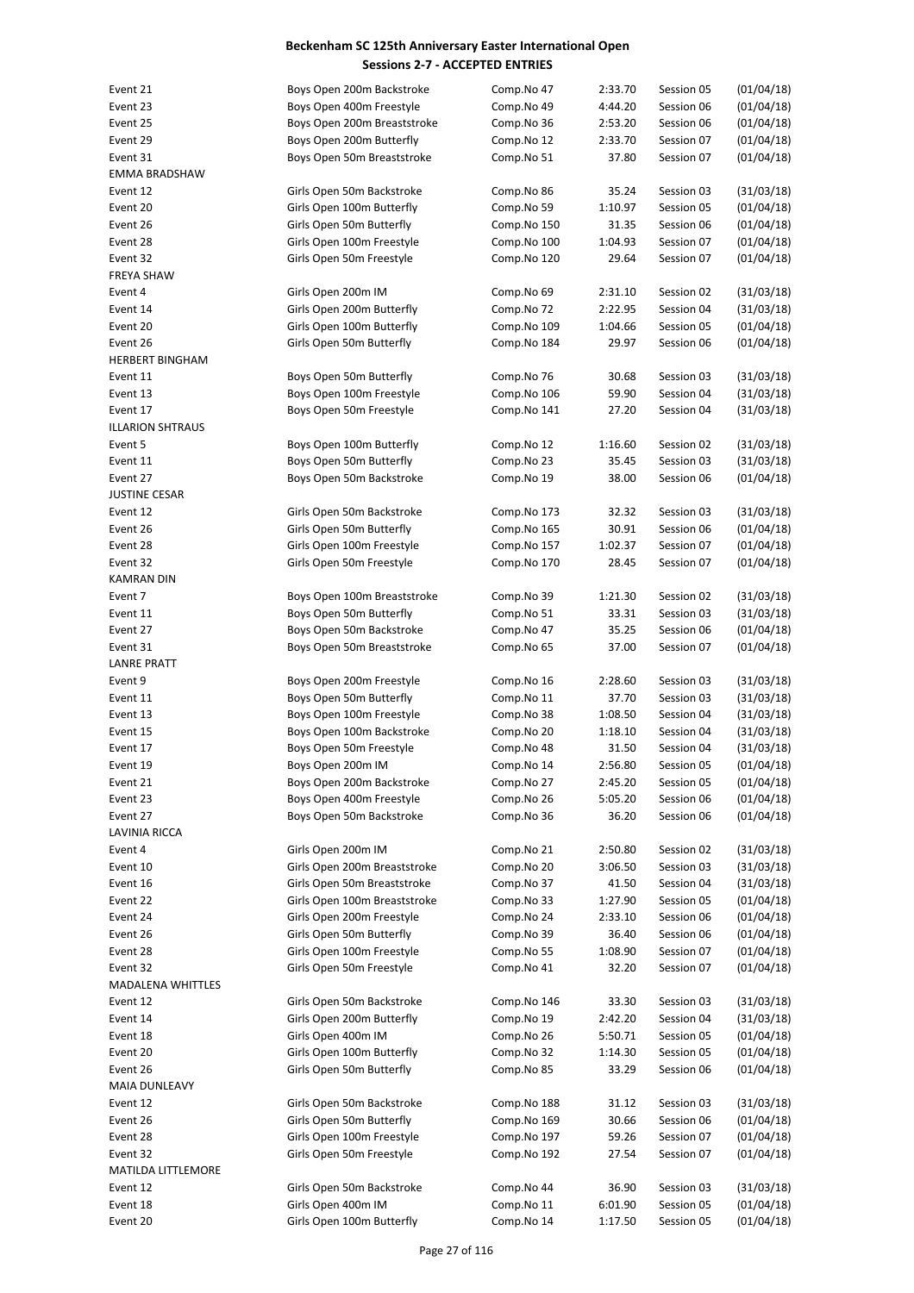| Event 21                | Boys Open 200m Backstroke                       | Comp.No 47                 | 2:33.70        | Session 05               | (01/04/18)               |
|-------------------------|-------------------------------------------------|----------------------------|----------------|--------------------------|--------------------------|
| Event 23                | Boys Open 400m Freestyle                        | Comp.No 49                 | 4:44.20        | Session 06               | (01/04/18)               |
| Event 25                | Boys Open 200m Breaststroke                     | Comp.No 36                 | 2:53.20        | Session 06               | (01/04/18)               |
| Event 29                | Boys Open 200m Butterfly                        | Comp.No 12                 | 2:33.70        | Session 07               | (01/04/18)               |
| Event 31                | Boys Open 50m Breaststroke                      | Comp.No 51                 | 37.80          | Session 07               | (01/04/18)               |
| <b>EMMA BRADSHAW</b>    |                                                 |                            |                |                          |                          |
| Event 12                | Girls Open 50m Backstroke                       | Comp.No 86                 | 35.24          | Session 03               | (31/03/18)               |
| Event 20                | Girls Open 100m Butterfly                       | Comp.No 59                 | 1:10.97        | Session 05               | (01/04/18)               |
| Event 26                | Girls Open 50m Butterfly                        | Comp.No 150                | 31.35          | Session 06               | (01/04/18)               |
| Event 28                | Girls Open 100m Freestyle                       | Comp.No 100                | 1:04.93        | Session 07               | (01/04/18)               |
| Event 32                | Girls Open 50m Freestyle                        | Comp.No 120                | 29.64          | Session 07               | (01/04/18)               |
| <b>FREYA SHAW</b>       |                                                 |                            |                |                          |                          |
| Event 4                 | Girls Open 200m IM                              | Comp.No 69                 | 2:31.10        | Session 02               | (31/03/18)               |
| Event 14                | Girls Open 200m Butterfly                       | Comp.No 72                 | 2:22.95        | Session 04               | (31/03/18)               |
| Event 20                | Girls Open 100m Butterfly                       | Comp.No 109                | 1:04.66        | Session 05               | (01/04/18)               |
| Event 26                | Girls Open 50m Butterfly                        | Comp.No 184                | 29.97          | Session 06               | (01/04/18)               |
| <b>HERBERT BINGHAM</b>  |                                                 |                            |                |                          |                          |
| Event 11                | Boys Open 50m Butterfly                         | Comp.No 76                 | 30.68          | Session 03               | (31/03/18)               |
| Event 13                | Boys Open 100m Freestyle                        | Comp.No 106                | 59.90          | Session 04               | (31/03/18)               |
| Event 17                | Boys Open 50m Freestyle                         | Comp.No 141                | 27.20          | Session 04               | (31/03/18)               |
| <b>ILLARION SHTRAUS</b> |                                                 |                            |                |                          |                          |
| Event 5                 | Boys Open 100m Butterfly                        | Comp.No 12                 | 1:16.60        | Session 02               | (31/03/18)               |
| Event 11                | Boys Open 50m Butterfly                         | Comp.No 23                 | 35.45          | Session 03               | (31/03/18)               |
| Event 27                | Boys Open 50m Backstroke                        | Comp.No 19                 | 38.00          | Session 06               | (01/04/18)               |
| JUSTINE CESAR           | Girls Open 50m Backstroke                       |                            |                |                          |                          |
| Event 12                | Girls Open 50m Butterfly                        | Comp.No 173<br>Comp.No 165 | 32.32<br>30.91 | Session 03<br>Session 06 | (31/03/18)<br>(01/04/18) |
| Event 26<br>Event 28    | Girls Open 100m Freestyle                       |                            | 1:02.37        | Session 07               | (01/04/18)               |
| Event 32                | Girls Open 50m Freestyle                        | Comp.No 157<br>Comp.No 170 | 28.45          | Session 07               | (01/04/18)               |
| KAMRAN DIN              |                                                 |                            |                |                          |                          |
| Event 7                 | Boys Open 100m Breaststroke                     | Comp.No 39                 | 1:21.30        | Session 02               | (31/03/18)               |
| Event 11                | Boys Open 50m Butterfly                         | Comp.No 51                 | 33.31          | Session 03               | (31/03/18)               |
| Event 27                | Boys Open 50m Backstroke                        | Comp.No 47                 | 35.25          | Session 06               | (01/04/18)               |
| Event 31                | Boys Open 50m Breaststroke                      | Comp.No 65                 | 37.00          | Session 07               | (01/04/18)               |
| <b>LANRE PRATT</b>      |                                                 |                            |                |                          |                          |
| Event 9                 | Boys Open 200m Freestyle                        | Comp.No 16                 | 2:28.60        | Session 03               | (31/03/18)               |
| Event 11                | Boys Open 50m Butterfly                         | Comp.No 11                 | 37.70          | Session 03               | (31/03/18)               |
| Event 13                | Boys Open 100m Freestyle                        | Comp.No 38                 | 1:08.50        | Session 04               | (31/03/18)               |
| Event 15                | Boys Open 100m Backstroke                       | Comp.No 20                 | 1:18.10        | Session 04               | (31/03/18)               |
| Event 17                | Boys Open 50m Freestyle                         | Comp.No 48                 | 31.50          | Session 04               | (31/03/18)               |
| Event 19                | Boys Open 200m IM                               | Comp.No 14                 | 2:56.80        | Session 05               | (01/04/18)               |
| Event 21                | Boys Open 200m Backstroke                       | Comp.No 27                 | 2:45.20        | Session 05               | (01/04/18)               |
| Event 23                | Boys Open 400m Freestyle                        | Comp.No 26                 | 5:05.20        | Session 06               | (01/04/18)               |
| Event 27                | Boys Open 50m Backstroke                        | Comp.No 36                 | 36.20          | Session 06               | (01/04/18)               |
| LAVINIA RICCA           |                                                 |                            |                |                          |                          |
| Event 4                 | Girls Open 200m IM                              | Comp.No 21                 | 2:50.80        | Session 02               | (31/03/18)               |
| Event 10                | Girls Open 200m Breaststroke                    | Comp.No 20                 | 3:06.50        | Session 03               | (31/03/18)               |
| Event 16                | Girls Open 50m Breaststroke                     | Comp.No 37                 | 41.50          | Session 04               | (31/03/18)               |
| Event 22                | Girls Open 100m Breaststroke                    | Comp.No 33                 | 1:27.90        | Session 05               | (01/04/18)               |
| Event 24                | Girls Open 200m Freestyle                       | Comp.No 24                 | 2:33.10        | Session 06               | (01/04/18)               |
| Event 26                | Girls Open 50m Butterfly                        | Comp.No 39                 | 36.40          | Session 06               | (01/04/18)               |
| Event 28                | Girls Open 100m Freestyle                       | Comp.No 55                 | 1:08.90        | Session 07               | (01/04/18)               |
| Event 32                | Girls Open 50m Freestyle                        | Comp.No 41                 | 32.20          | Session 07               | (01/04/18)               |
| MADALENA WHITTLES       |                                                 |                            |                |                          |                          |
| Event 12                | Girls Open 50m Backstroke                       | Comp.No 146                | 33.30          | Session 03               | (31/03/18)               |
| Event 14                | Girls Open 200m Butterfly                       | Comp.No 19                 | 2:42.20        | Session 04               | (31/03/18)               |
| Event 18                | Girls Open 400m IM                              | Comp.No 26                 | 5:50.71        | Session 05               | (01/04/18)               |
| Event 20                | Girls Open 100m Butterfly                       | Comp.No 32                 | 1:14.30        | Session 05               | (01/04/18)               |
| Event 26                | Girls Open 50m Butterfly                        | Comp.No 85                 | 33.29          | Session 06               | (01/04/18)               |
| MAIA DUNLEAVY           |                                                 |                            |                |                          |                          |
| Event 12                | Girls Open 50m Backstroke                       | Comp.No 188                | 31.12          | Session 03               | (31/03/18)               |
| Event 26                | Girls Open 50m Butterfly                        | Comp.No 169                | 30.66          | Session 06               | (01/04/18)               |
| Event 28                | Girls Open 100m Freestyle                       | Comp.No 197                | 59.26          | Session 07               | (01/04/18)               |
| Event 32                | Girls Open 50m Freestyle                        | Comp.No 192                | 27.54          | Session 07               | (01/04/18)               |
| MATILDA LITTLEMORE      |                                                 |                            |                |                          |                          |
| Event 12                | Girls Open 50m Backstroke<br>Girls Open 400m IM | Comp.No 44<br>Comp.No 11   | 36.90          | Session 03               | (31/03/18)               |
| Event 18                |                                                 |                            | 6:01.90        | Session 05               | (01/04/18)               |
| Event 20                | Girls Open 100m Butterfly                       | Comp.No 14                 | 1:17.50        | Session 05               | (01/04/18)               |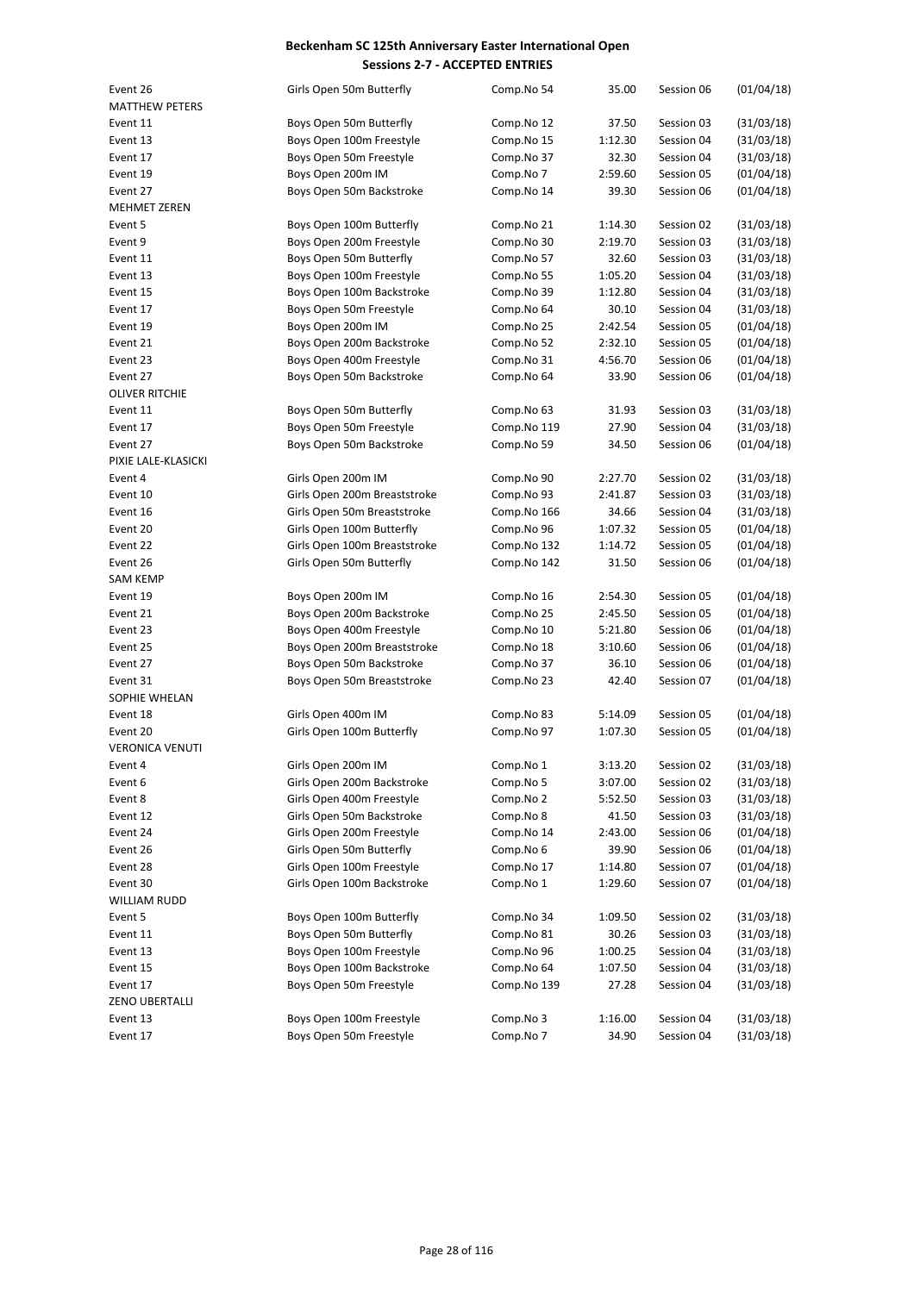| Event 26<br><b>MATTHEW PETERS</b> | Girls Open 50m Butterfly     | Comp.No 54  | 35.00   | Session 06 | (01/04/18) |
|-----------------------------------|------------------------------|-------------|---------|------------|------------|
|                                   |                              |             |         | Session 03 |            |
| Event 11                          | Boys Open 50m Butterfly      | Comp.No 12  | 37.50   |            | (31/03/18) |
| Event 13                          | Boys Open 100m Freestyle     | Comp.No 15  | 1:12.30 | Session 04 | (31/03/18) |
| Event 17                          | Boys Open 50m Freestyle      | Comp.No 37  | 32.30   | Session 04 | (31/03/18) |
| Event 19                          | Boys Open 200m IM            | Comp.No 7   | 2:59.60 | Session 05 | (01/04/18) |
| Event 27                          | Boys Open 50m Backstroke     | Comp.No 14  | 39.30   | Session 06 | (01/04/18) |
| MEHMET ZEREN                      |                              |             |         |            |            |
| Event 5                           | Boys Open 100m Butterfly     | Comp.No 21  | 1:14.30 | Session 02 | (31/03/18) |
| Event 9                           | Boys Open 200m Freestyle     | Comp.No 30  | 2:19.70 | Session 03 | (31/03/18) |
| Event 11                          | Boys Open 50m Butterfly      | Comp.No 57  | 32.60   | Session 03 | (31/03/18) |
| Event 13                          | Boys Open 100m Freestyle     | Comp.No 55  | 1:05.20 | Session 04 | (31/03/18) |
| Event 15                          | Boys Open 100m Backstroke    | Comp.No 39  | 1:12.80 | Session 04 | (31/03/18) |
| Event 17                          | Boys Open 50m Freestyle      | Comp.No 64  | 30.10   | Session 04 | (31/03/18) |
| Event 19                          | Boys Open 200m IM            | Comp.No 25  | 2:42.54 | Session 05 | (01/04/18) |
| Event 21                          | Boys Open 200m Backstroke    | Comp.No 52  | 2:32.10 | Session 05 | (01/04/18) |
| Event 23                          | Boys Open 400m Freestyle     | Comp.No 31  | 4:56.70 | Session 06 | (01/04/18) |
| Event 27                          | Boys Open 50m Backstroke     | Comp.No 64  | 33.90   | Session 06 | (01/04/18) |
| <b>OLIVER RITCHIE</b>             |                              |             |         |            |            |
| Event 11                          | Boys Open 50m Butterfly      | Comp.No 63  | 31.93   | Session 03 | (31/03/18) |
| Event 17                          | Boys Open 50m Freestyle      | Comp.No 119 | 27.90   | Session 04 | (31/03/18) |
| Event 27                          | Boys Open 50m Backstroke     | Comp.No 59  | 34.50   | Session 06 | (01/04/18) |
| PIXIE LALE-KLASICKI               |                              |             |         |            |            |
| Event 4                           | Girls Open 200m IM           | Comp.No 90  | 2:27.70 | Session 02 | (31/03/18) |
| Event 10                          | Girls Open 200m Breaststroke | Comp.No 93  | 2:41.87 | Session 03 | (31/03/18) |
| Event 16                          | Girls Open 50m Breaststroke  | Comp.No 166 | 34.66   | Session 04 | (31/03/18) |
| Event 20                          | Girls Open 100m Butterfly    | Comp.No 96  | 1:07.32 | Session 05 | (01/04/18) |
| Event 22                          | Girls Open 100m Breaststroke | Comp.No 132 | 1:14.72 | Session 05 | (01/04/18) |
| Event 26                          | Girls Open 50m Butterfly     | Comp.No 142 | 31.50   | Session 06 | (01/04/18) |
| <b>SAM KEMP</b>                   |                              |             |         |            |            |
| Event 19                          | Boys Open 200m IM            | Comp.No 16  | 2:54.30 | Session 05 | (01/04/18) |
| Event 21                          | Boys Open 200m Backstroke    | Comp.No 25  | 2:45.50 | Session 05 | (01/04/18) |
| Event 23                          | Boys Open 400m Freestyle     | Comp.No 10  | 5:21.80 | Session 06 | (01/04/18) |
| Event 25                          | Boys Open 200m Breaststroke  | Comp.No 18  | 3:10.60 | Session 06 | (01/04/18) |
| Event 27                          | Boys Open 50m Backstroke     | Comp.No 37  | 36.10   | Session 06 | (01/04/18) |
| Event 31                          | Boys Open 50m Breaststroke   | Comp.No 23  | 42.40   | Session 07 | (01/04/18) |
| SOPHIE WHELAN                     |                              |             |         |            |            |
| Event 18                          | Girls Open 400m IM           | Comp.No 83  | 5:14.09 | Session 05 | (01/04/18) |
| Event 20                          | Girls Open 100m Butterfly    | Comp.No 97  | 1:07.30 | Session 05 | (01/04/18) |
| <b>VERONICA VENUTI</b>            |                              |             |         |            |            |
| Event 4                           | Girls Open 200m IM           | Comp.No 1   | 3:13.20 | Session 02 | (31/03/18) |
| Event 6                           | Girls Open 200m Backstroke   | Comp.No 5   | 3:07.00 | Session 02 | (31/03/18) |
| Event 8                           | Girls Open 400m Freestyle    | Comp.No 2   | 5:52.50 | Session 03 | (31/03/18) |
| Event 12                          | Girls Open 50m Backstroke    | Comp.No 8   | 41.50   | Session 03 | (31/03/18) |
| Event 24                          | Girls Open 200m Freestyle    | Comp.No 14  | 2:43.00 | Session 06 | (01/04/18) |
| Event 26                          | Girls Open 50m Butterfly     | Comp.No 6   | 39.90   | Session 06 | (01/04/18) |
| Event 28                          | Girls Open 100m Freestyle    | Comp.No 17  | 1:14.80 | Session 07 | (01/04/18) |
| Event 30                          | Girls Open 100m Backstroke   | Comp.No 1   | 1:29.60 | Session 07 | (01/04/18) |
| WILLIAM RUDD                      |                              |             |         |            |            |
| Event 5                           | Boys Open 100m Butterfly     | Comp.No 34  | 1:09.50 | Session 02 | (31/03/18) |
| Event 11                          | Boys Open 50m Butterfly      | Comp.No 81  | 30.26   | Session 03 | (31/03/18) |
|                                   | Boys Open 100m Freestyle     | Comp.No 96  |         |            | (31/03/18) |
| Event 13                          |                              |             | 1:00.25 | Session 04 |            |
| Event 15                          | Boys Open 100m Backstroke    | Comp.No 64  | 1:07.50 | Session 04 | (31/03/18) |
| Event 17                          | Boys Open 50m Freestyle      | Comp.No 139 | 27.28   | Session 04 | (31/03/18) |
| ZENO UBERTALLI                    |                              |             |         |            |            |
| Event 13                          | Boys Open 100m Freestyle     | Comp.No 3   | 1:16.00 | Session 04 | (31/03/18) |
| Event 17                          | Boys Open 50m Freestyle      | Comp.No 7   | 34.90   | Session 04 | (31/03/18) |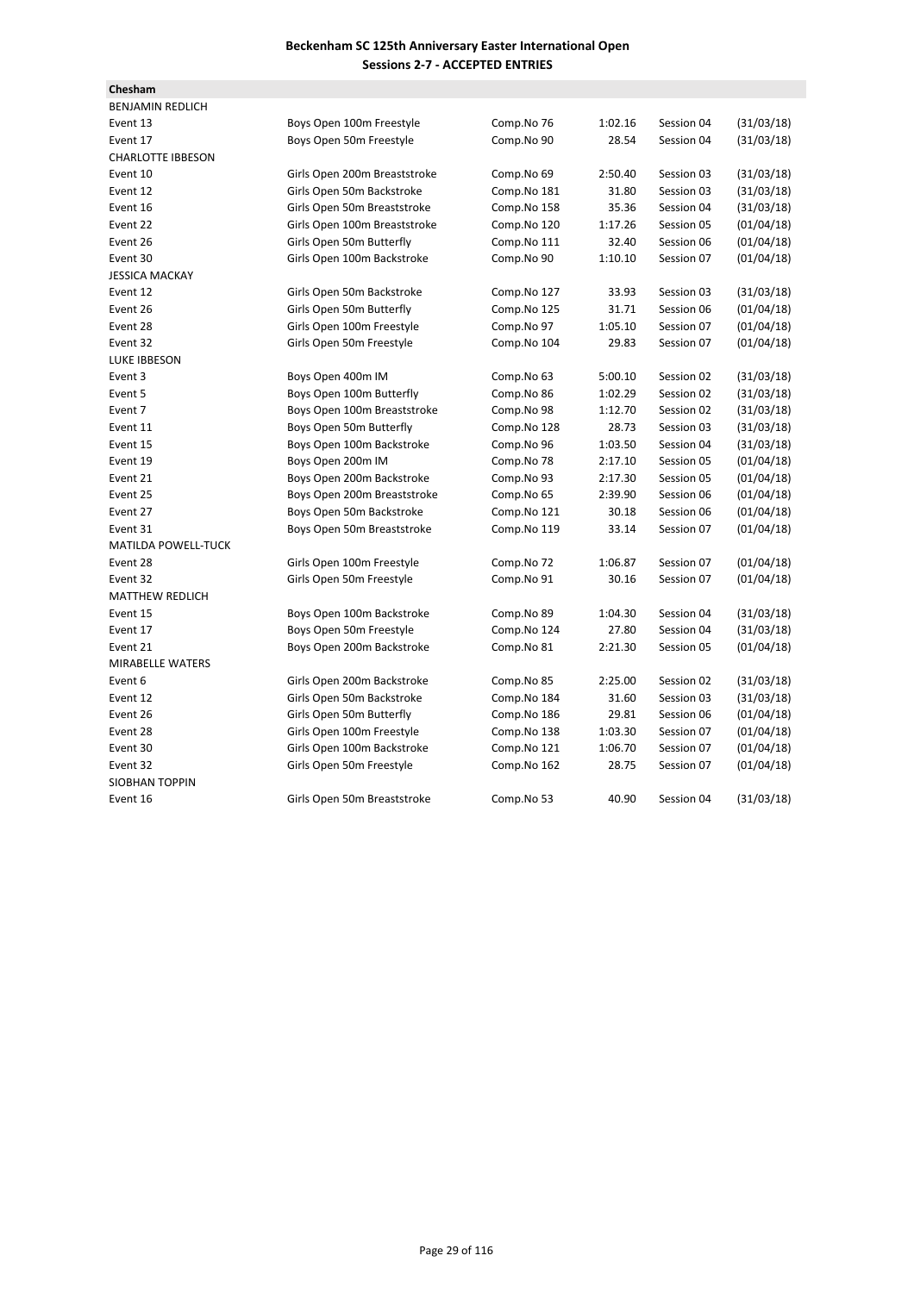| Chesham                    |                              |             |         |            |            |
|----------------------------|------------------------------|-------------|---------|------------|------------|
| <b>BENJAMIN REDLICH</b>    |                              |             |         |            |            |
| Event 13                   | Boys Open 100m Freestyle     | Comp.No 76  | 1:02.16 | Session 04 | (31/03/18) |
| Event 17                   | Boys Open 50m Freestyle      | Comp.No 90  | 28.54   | Session 04 | (31/03/18) |
| <b>CHARLOTTE IBBESON</b>   |                              |             |         |            |            |
| Event 10                   | Girls Open 200m Breaststroke | Comp.No 69  | 2:50.40 | Session 03 | (31/03/18) |
| Event 12                   | Girls Open 50m Backstroke    | Comp.No 181 | 31.80   | Session 03 | (31/03/18) |
| Event 16                   | Girls Open 50m Breaststroke  | Comp.No 158 | 35.36   | Session 04 | (31/03/18) |
| Event 22                   | Girls Open 100m Breaststroke | Comp.No 120 | 1:17.26 | Session 05 | (01/04/18) |
| Event 26                   | Girls Open 50m Butterfly     | Comp.No 111 | 32.40   | Session 06 | (01/04/18) |
| Event 30                   | Girls Open 100m Backstroke   | Comp.No 90  | 1:10.10 | Session 07 | (01/04/18) |
| <b>JESSICA MACKAY</b>      |                              |             |         |            |            |
| Event 12                   | Girls Open 50m Backstroke    | Comp.No 127 | 33.93   | Session 03 | (31/03/18) |
| Event 26                   | Girls Open 50m Butterfly     | Comp.No 125 | 31.71   | Session 06 | (01/04/18) |
| Event 28                   | Girls Open 100m Freestyle    | Comp.No 97  | 1:05.10 | Session 07 | (01/04/18) |
| Event 32                   | Girls Open 50m Freestyle     | Comp.No 104 | 29.83   | Session 07 | (01/04/18) |
| <b>LUKE IBBESON</b>        |                              |             |         |            |            |
| Event 3                    | Boys Open 400m IM            | Comp.No 63  | 5:00.10 | Session 02 | (31/03/18) |
| Event 5                    | Boys Open 100m Butterfly     | Comp.No 86  | 1:02.29 | Session 02 | (31/03/18) |
| Event 7                    | Boys Open 100m Breaststroke  | Comp.No 98  | 1:12.70 | Session 02 | (31/03/18) |
| Event 11                   | Boys Open 50m Butterfly      | Comp.No 128 | 28.73   | Session 03 | (31/03/18) |
| Event 15                   | Boys Open 100m Backstroke    | Comp.No 96  | 1:03.50 | Session 04 | (31/03/18) |
| Event 19                   | Boys Open 200m IM            | Comp.No 78  | 2:17.10 | Session 05 | (01/04/18) |
| Event 21                   | Boys Open 200m Backstroke    | Comp.No 93  | 2:17.30 | Session 05 | (01/04/18) |
| Event 25                   | Boys Open 200m Breaststroke  | Comp.No 65  | 2:39.90 | Session 06 | (01/04/18) |
| Event 27                   | Boys Open 50m Backstroke     | Comp.No 121 | 30.18   | Session 06 | (01/04/18) |
| Event 31                   | Boys Open 50m Breaststroke   | Comp.No 119 | 33.14   | Session 07 | (01/04/18) |
| <b>MATILDA POWELL-TUCK</b> |                              |             |         |            |            |
| Event 28                   | Girls Open 100m Freestyle    | Comp.No 72  | 1:06.87 | Session 07 | (01/04/18) |
| Event 32                   | Girls Open 50m Freestyle     | Comp.No 91  | 30.16   | Session 07 | (01/04/18) |
| <b>MATTHEW REDLICH</b>     |                              |             |         |            |            |
| Event 15                   | Boys Open 100m Backstroke    | Comp.No 89  | 1:04.30 | Session 04 | (31/03/18) |
| Event 17                   | Boys Open 50m Freestyle      | Comp.No 124 | 27.80   | Session 04 | (31/03/18) |
| Event 21                   | Boys Open 200m Backstroke    | Comp.No 81  | 2:21.30 | Session 05 | (01/04/18) |
| <b>MIRABELLE WATERS</b>    |                              |             |         |            |            |
| Event 6                    | Girls Open 200m Backstroke   | Comp.No 85  | 2:25.00 | Session 02 | (31/03/18) |
| Event 12                   | Girls Open 50m Backstroke    | Comp.No 184 | 31.60   | Session 03 | (31/03/18) |
| Event 26                   | Girls Open 50m Butterfly     | Comp.No 186 | 29.81   | Session 06 | (01/04/18) |
| Event 28                   | Girls Open 100m Freestyle    | Comp.No 138 | 1:03.30 | Session 07 | (01/04/18) |
| Event 30                   | Girls Open 100m Backstroke   | Comp.No 121 | 1:06.70 | Session 07 | (01/04/18) |
| Event 32                   | Girls Open 50m Freestyle     | Comp.No 162 | 28.75   | Session 07 | (01/04/18) |
| SIOBHAN TOPPIN             |                              |             |         |            |            |
| Event 16                   | Girls Open 50m Breaststroke  | Comp.No 53  | 40.90   | Session 04 | (31/03/18) |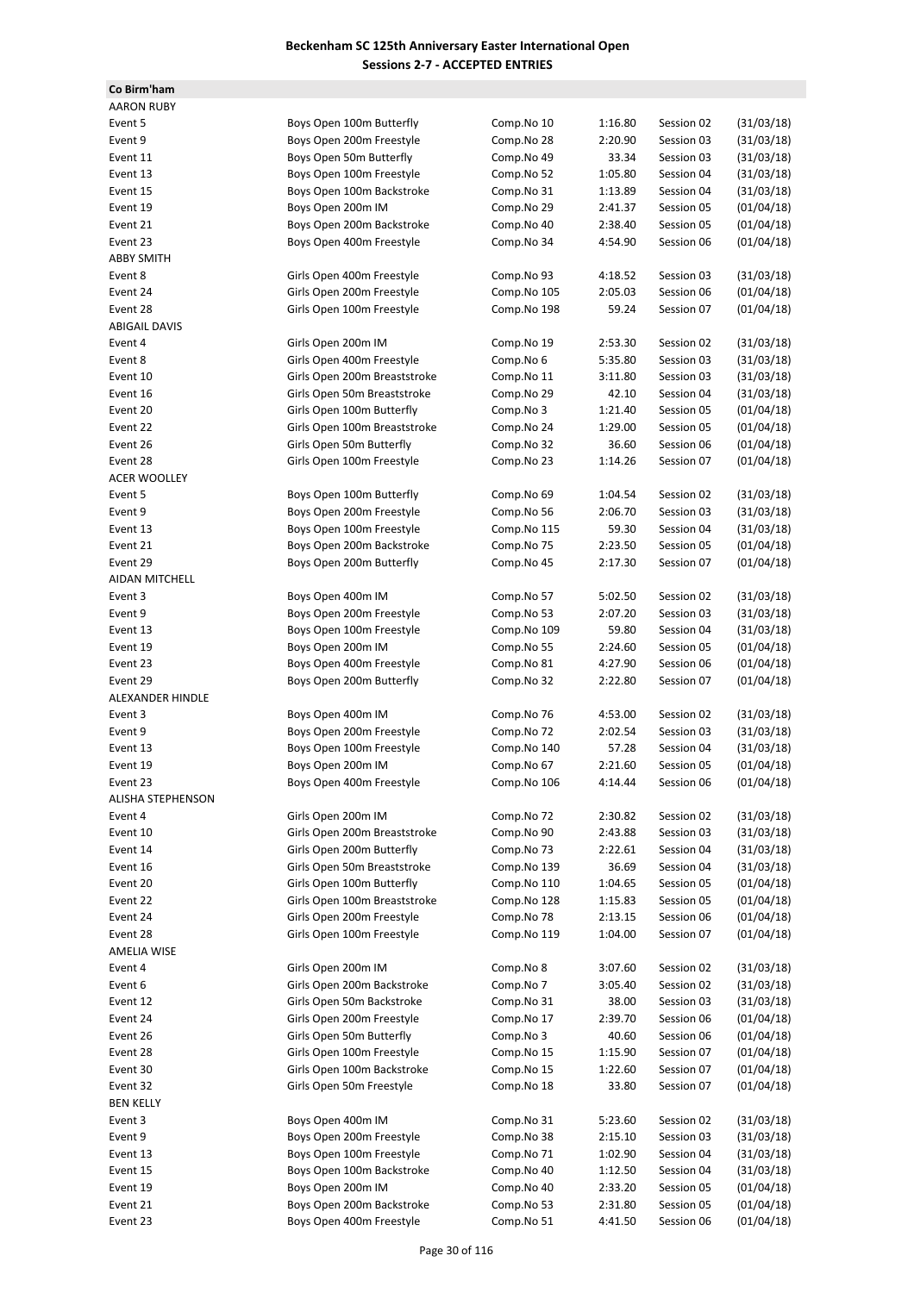**Co Birm'ham**

| <b>AARON RUBY</b>        |                              |             |         |            |            |
|--------------------------|------------------------------|-------------|---------|------------|------------|
| Event 5                  | Boys Open 100m Butterfly     | Comp.No 10  | 1:16.80 | Session 02 | (31/03/18) |
| Event 9                  | Boys Open 200m Freestyle     | Comp.No 28  | 2:20.90 | Session 03 | (31/03/18) |
| Event 11                 | Boys Open 50m Butterfly      | Comp.No 49  | 33.34   | Session 03 | (31/03/18) |
| Event 13                 | Boys Open 100m Freestyle     | Comp.No 52  | 1:05.80 | Session 04 | (31/03/18) |
| Event 15                 | Boys Open 100m Backstroke    | Comp.No 31  | 1:13.89 | Session 04 | (31/03/18) |
| Event 19                 | Boys Open 200m IM            | Comp.No 29  | 2:41.37 | Session 05 | (01/04/18) |
| Event 21                 | Boys Open 200m Backstroke    | Comp.No 40  | 2:38.40 | Session 05 | (01/04/18) |
| Event 23                 | Boys Open 400m Freestyle     | Comp.No 34  | 4:54.90 | Session 06 | (01/04/18) |
| <b>ABBY SMITH</b>        |                              |             |         |            |            |
| Event 8                  | Girls Open 400m Freestyle    | Comp.No 93  | 4:18.52 | Session 03 | (31/03/18) |
| Event 24                 | Girls Open 200m Freestyle    | Comp.No 105 | 2:05.03 | Session 06 | (01/04/18) |
| Event 28                 | Girls Open 100m Freestyle    | Comp.No 198 | 59.24   | Session 07 | (01/04/18) |
| <b>ABIGAIL DAVIS</b>     |                              |             |         |            |            |
| Event 4                  | Girls Open 200m IM           | Comp.No 19  | 2:53.30 | Session 02 | (31/03/18) |
| Event 8                  | Girls Open 400m Freestyle    | Comp.No 6   | 5:35.80 | Session 03 | (31/03/18) |
| Event 10                 | Girls Open 200m Breaststroke | Comp.No 11  | 3:11.80 | Session 03 | (31/03/18) |
| Event 16                 | Girls Open 50m Breaststroke  | Comp.No 29  | 42.10   | Session 04 | (31/03/18) |
| Event 20                 | Girls Open 100m Butterfly    | Comp.No 3   | 1:21.40 | Session 05 | (01/04/18) |
| Event 22                 | Girls Open 100m Breaststroke | Comp.No 24  | 1:29.00 | Session 05 | (01/04/18) |
| Event 26                 | Girls Open 50m Butterfly     | Comp.No 32  | 36.60   | Session 06 | (01/04/18) |
| Event 28                 | Girls Open 100m Freestyle    | Comp.No 23  | 1:14.26 | Session 07 | (01/04/18) |
| <b>ACER WOOLLEY</b>      |                              |             |         |            |            |
| Event 5                  | Boys Open 100m Butterfly     | Comp.No 69  | 1:04.54 | Session 02 | (31/03/18) |
| Event 9                  | Boys Open 200m Freestyle     | Comp.No 56  | 2:06.70 | Session 03 | (31/03/18) |
| Event 13                 | Boys Open 100m Freestyle     | Comp.No 115 | 59.30   | Session 04 | (31/03/18) |
| Event 21                 | Boys Open 200m Backstroke    | Comp.No 75  | 2:23.50 | Session 05 | (01/04/18) |
| Event 29                 | Boys Open 200m Butterfly     | Comp.No 45  | 2:17.30 | Session 07 | (01/04/18) |
| AIDAN MITCHELL           |                              |             |         |            |            |
| Event 3                  | Boys Open 400m IM            | Comp.No 57  | 5:02.50 | Session 02 | (31/03/18) |
| Event 9                  | Boys Open 200m Freestyle     | Comp.No 53  | 2:07.20 | Session 03 | (31/03/18) |
| Event 13                 | Boys Open 100m Freestyle     | Comp.No 109 | 59.80   | Session 04 | (31/03/18) |
| Event 19                 | Boys Open 200m IM            | Comp.No 55  | 2:24.60 | Session 05 | (01/04/18) |
| Event 23                 | Boys Open 400m Freestyle     | Comp.No 81  | 4:27.90 | Session 06 | (01/04/18) |
| Event 29                 | Boys Open 200m Butterfly     | Comp.No 32  | 2:22.80 | Session 07 | (01/04/18) |
| ALEXANDER HINDLE         |                              |             |         |            |            |
| Event 3                  | Boys Open 400m IM            | Comp.No 76  | 4:53.00 | Session 02 | (31/03/18) |
| Event 9                  | Boys Open 200m Freestyle     | Comp.No 72  | 2:02.54 | Session 03 | (31/03/18) |
| Event 13                 | Boys Open 100m Freestyle     | Comp.No 140 | 57.28   | Session 04 | (31/03/18) |
| Event 19                 | Boys Open 200m IM            | Comp.No 67  | 2:21.60 | Session 05 | (01/04/18) |
| Event 23                 | Boys Open 400m Freestyle     | Comp.No 106 | 4:14.44 | Session 06 | (01/04/18) |
| <b>ALISHA STEPHENSON</b> |                              |             |         |            |            |
| Event 4                  | Girls Open 200m IM           | Comp.No 72  | 2:30.82 | Session 02 | (31/03/18) |
| Event 10                 | Girls Open 200m Breaststroke | Comp.No 90  | 2:43.88 | Session 03 | (31/03/18) |
| Event 14                 | Girls Open 200m Butterfly    | Comp.No 73  | 2:22.61 | Session 04 | (31/03/18) |
| Event 16                 | Girls Open 50m Breaststroke  | Comp.No 139 | 36.69   | Session 04 | (31/03/18) |
| Event 20                 | Girls Open 100m Butterfly    | Comp.No 110 | 1:04.65 | Session 05 | (01/04/18) |
| Event 22                 | Girls Open 100m Breaststroke | Comp.No 128 | 1:15.83 | Session 05 | (01/04/18) |
| Event 24                 | Girls Open 200m Freestyle    | Comp.No 78  | 2:13.15 | Session 06 | (01/04/18) |
| Event 28                 | Girls Open 100m Freestyle    | Comp.No 119 | 1:04.00 | Session 07 | (01/04/18) |
| <b>AMELIA WISE</b>       |                              |             |         |            |            |
| Event 4                  | Girls Open 200m IM           | Comp.No 8   | 3:07.60 | Session 02 | (31/03/18) |
| Event 6                  | Girls Open 200m Backstroke   | Comp.No 7   | 3:05.40 | Session 02 | (31/03/18) |
| Event 12                 | Girls Open 50m Backstroke    | Comp.No 31  | 38.00   | Session 03 | (31/03/18) |
| Event 24                 | Girls Open 200m Freestyle    | Comp.No 17  | 2:39.70 | Session 06 | (01/04/18) |
| Event 26                 | Girls Open 50m Butterfly     | Comp.No 3   | 40.60   | Session 06 | (01/04/18) |
| Event 28                 | Girls Open 100m Freestyle    | Comp.No 15  | 1:15.90 | Session 07 | (01/04/18) |
| Event 30                 | Girls Open 100m Backstroke   | Comp.No 15  | 1:22.60 | Session 07 | (01/04/18) |
| Event 32                 | Girls Open 50m Freestyle     | Comp.No 18  | 33.80   | Session 07 | (01/04/18) |
| <b>BEN KELLY</b>         |                              |             |         |            |            |
| Event 3                  | Boys Open 400m IM            | Comp.No 31  | 5:23.60 | Session 02 | (31/03/18) |
| Event 9                  | Boys Open 200m Freestyle     | Comp.No 38  | 2:15.10 | Session 03 | (31/03/18) |
| Event 13                 | Boys Open 100m Freestyle     | Comp.No 71  | 1:02.90 | Session 04 | (31/03/18) |
| Event 15                 | Boys Open 100m Backstroke    | Comp.No 40  | 1:12.50 | Session 04 | (31/03/18) |
| Event 19                 | Boys Open 200m IM            | Comp.No 40  | 2:33.20 | Session 05 | (01/04/18) |
| Event 21                 | Boys Open 200m Backstroke    | Comp.No 53  | 2:31.80 | Session 05 | (01/04/18) |
| Event 23                 | Boys Open 400m Freestyle     | Comp.No 51  | 4:41.50 | Session 06 | (01/04/18) |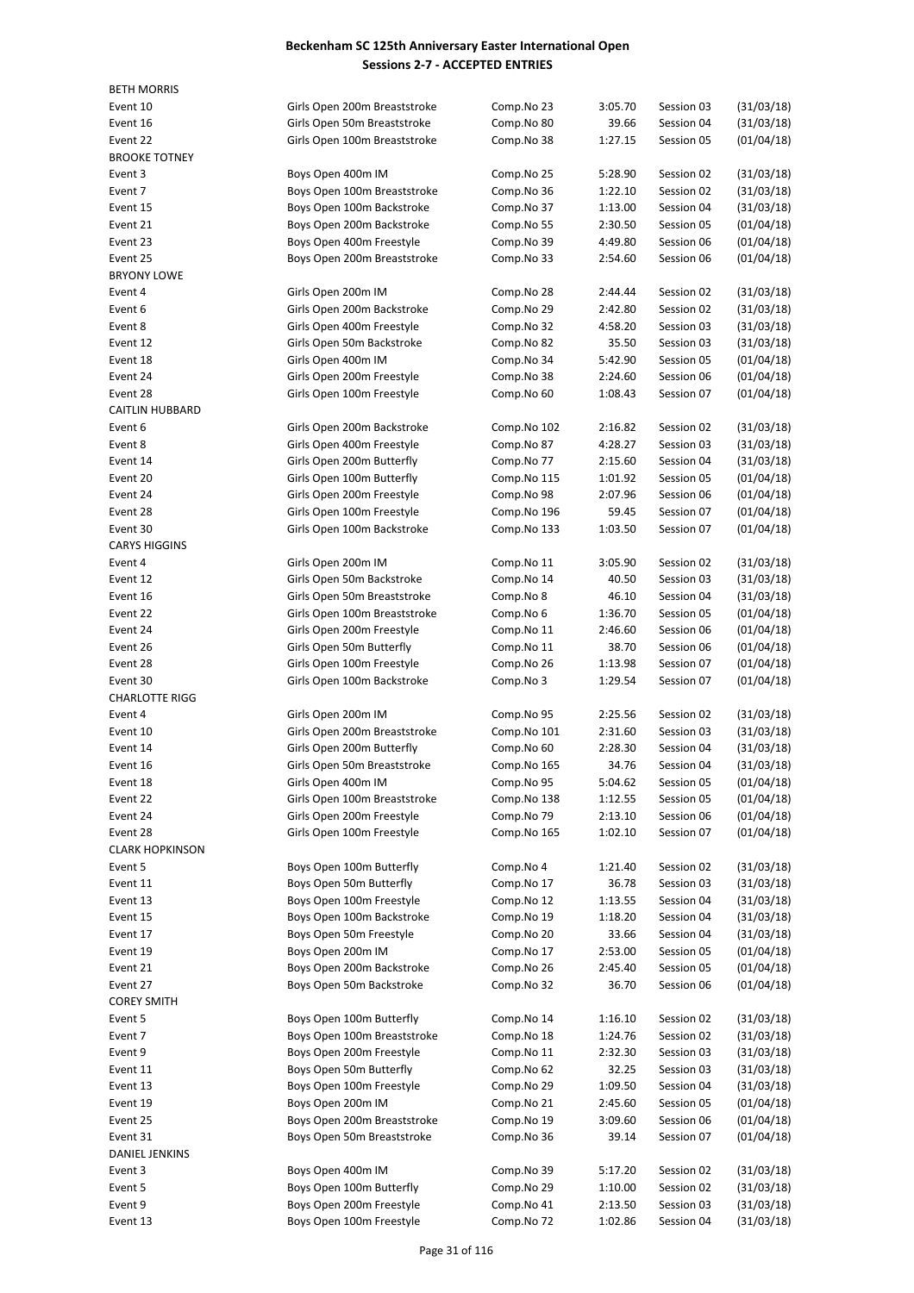| <b>BETH MORRIS</b>     |                                                         |                          |                    |                          |                          |
|------------------------|---------------------------------------------------------|--------------------------|--------------------|--------------------------|--------------------------|
| Event 10               | Girls Open 200m Breaststroke                            | Comp.No 23               | 3:05.70            | Session 03               | (31/03/18)               |
| Event 16               | Girls Open 50m Breaststroke                             | Comp.No 80               | 39.66              | Session 04               | (31/03/18)               |
| Event 22               | Girls Open 100m Breaststroke                            | Comp.No 38               | 1:27.15            | Session 05               | (01/04/18)               |
| <b>BROOKE TOTNEY</b>   |                                                         |                          |                    |                          |                          |
| Event 3                | Boys Open 400m IM                                       | Comp.No 25               | 5:28.90            | Session 02               | (31/03/18)               |
| Event 7                | Boys Open 100m Breaststroke                             | Comp.No 36               | 1:22.10            | Session 02               | (31/03/18)               |
| Event 15               | Boys Open 100m Backstroke                               | Comp.No 37               | 1:13.00            | Session 04               | (31/03/18)               |
| Event 21<br>Event 23   | Boys Open 200m Backstroke                               | Comp.No 55               | 2:30.50<br>4:49.80 | Session 05<br>Session 06 | (01/04/18)               |
| Event 25               | Boys Open 400m Freestyle<br>Boys Open 200m Breaststroke | Comp.No 39<br>Comp.No 33 | 2:54.60            | Session 06               | (01/04/18)<br>(01/04/18) |
| <b>BRYONY LOWE</b>     |                                                         |                          |                    |                          |                          |
| Event 4                | Girls Open 200m IM                                      | Comp.No 28               | 2:44.44            | Session 02               | (31/03/18)               |
| Event 6                | Girls Open 200m Backstroke                              | Comp.No 29               | 2:42.80            | Session 02               | (31/03/18)               |
| Event 8                | Girls Open 400m Freestyle                               | Comp.No 32               | 4:58.20            | Session 03               | (31/03/18)               |
| Event 12               | Girls Open 50m Backstroke                               | Comp.No 82               | 35.50              | Session 03               | (31/03/18)               |
| Event 18               | Girls Open 400m IM                                      | Comp.No 34               | 5:42.90            | Session 05               | (01/04/18)               |
| Event 24               | Girls Open 200m Freestyle                               | Comp.No 38               | 2:24.60            | Session 06               | (01/04/18)               |
| Event 28               | Girls Open 100m Freestyle                               | Comp.No 60               | 1:08.43            | Session 07               | (01/04/18)               |
| <b>CAITLIN HUBBARD</b> |                                                         |                          |                    |                          |                          |
| Event 6                | Girls Open 200m Backstroke                              | Comp.No 102              | 2:16.82            | Session 02               | (31/03/18)               |
| Event 8                | Girls Open 400m Freestyle                               | Comp.No 87               | 4:28.27            | Session 03               | (31/03/18)               |
| Event 14               | Girls Open 200m Butterfly                               | Comp.No 77               | 2:15.60            | Session 04               | (31/03/18)               |
| Event 20               | Girls Open 100m Butterfly                               | Comp.No 115              | 1:01.92            | Session 05               | (01/04/18)               |
| Event 24               | Girls Open 200m Freestyle                               | Comp.No 98               | 2:07.96            | Session 06               | (01/04/18)               |
| Event 28               | Girls Open 100m Freestyle                               | Comp.No 196              | 59.45              | Session 07               | (01/04/18)               |
| Event 30               | Girls Open 100m Backstroke                              | Comp.No 133              | 1:03.50            | Session 07               | (01/04/18)               |
| <b>CARYS HIGGINS</b>   |                                                         |                          |                    |                          |                          |
| Event 4                | Girls Open 200m IM                                      | Comp.No 11               | 3:05.90            | Session 02               | (31/03/18)               |
| Event 12               | Girls Open 50m Backstroke                               | Comp.No 14               | 40.50              | Session 03               | (31/03/18)               |
| Event 16               | Girls Open 50m Breaststroke                             | Comp.No 8                | 46.10              | Session 04               | (31/03/18)               |
| Event 22               | Girls Open 100m Breaststroke                            | Comp.No 6                | 1:36.70            | Session 05               | (01/04/18)               |
| Event 24<br>Event 26   | Girls Open 200m Freestyle                               | Comp.No 11               | 2:46.60<br>38.70   | Session 06<br>Session 06 | (01/04/18)               |
| Event 28               | Girls Open 50m Butterfly<br>Girls Open 100m Freestyle   | Comp.No 11<br>Comp.No 26 | 1:13.98            | Session 07               | (01/04/18)<br>(01/04/18) |
| Event 30               | Girls Open 100m Backstroke                              | Comp.No 3                | 1:29.54            | Session 07               | (01/04/18)               |
| <b>CHARLOTTE RIGG</b>  |                                                         |                          |                    |                          |                          |
| Event 4                | Girls Open 200m IM                                      | Comp.No 95               | 2:25.56            | Session 02               | (31/03/18)               |
| Event 10               | Girls Open 200m Breaststroke                            | Comp.No 101              | 2:31.60            | Session 03               | (31/03/18)               |
| Event 14               | Girls Open 200m Butterfly                               | Comp.No 60               | 2:28.30            | Session 04               | (31/03/18)               |
| Event 16               | Girls Open 50m Breaststroke                             | Comp.No 165              | 34.76              | Session 04               | (31/03/18)               |
| Event 18               | Girls Open 400m IM                                      | Comp.No 95               | 5:04.62            | Session 05               | (01/04/18)               |
| Event 22               | Girls Open 100m Breaststroke                            | Comp.No 138              | 1:12.55            | Session 05               | (01/04/18)               |
| Event 24               | Girls Open 200m Freestyle                               | Comp.No 79               | 2:13.10            | Session 06               | (01/04/18)               |
| Event 28               | Girls Open 100m Freestyle                               | Comp.No 165              | 1:02.10            | Session 07               | (01/04/18)               |
| <b>CLARK HOPKINSON</b> |                                                         |                          |                    |                          |                          |
| Event 5                | Boys Open 100m Butterfly                                | Comp.No 4                | 1:21.40            | Session 02               | (31/03/18)               |
| Event 11               | Boys Open 50m Butterfly                                 | Comp.No 17               | 36.78              | Session 03               | (31/03/18)               |
| Event 13               | Boys Open 100m Freestyle                                | Comp.No 12               | 1:13.55            | Session 04               | (31/03/18)               |
| Event 15               | Boys Open 100m Backstroke                               | Comp.No 19               | 1:18.20            | Session 04               | (31/03/18)               |
| Event 17               | Boys Open 50m Freestyle                                 | Comp.No 20               | 33.66              | Session 04               | (31/03/18)               |
| Event 19               | Boys Open 200m IM                                       | Comp.No 17               | 2:53.00            | Session 05               | (01/04/18)               |
| Event 21               | Boys Open 200m Backstroke                               | Comp.No 26               | 2:45.40            | Session 05               | (01/04/18)               |
| Event 27               | Boys Open 50m Backstroke                                | Comp.No 32               | 36.70              | Session 06               | (01/04/18)               |
| <b>COREY SMITH</b>     |                                                         |                          |                    |                          |                          |
| Event 5<br>Event 7     | Boys Open 100m Butterfly<br>Boys Open 100m Breaststroke | Comp.No 14               | 1:16.10            | Session 02<br>Session 02 | (31/03/18)<br>(31/03/18) |
| Event 9                | Boys Open 200m Freestyle                                | Comp.No 18<br>Comp.No 11 | 1:24.76<br>2:32.30 | Session 03               | (31/03/18)               |
| Event 11               | Boys Open 50m Butterfly                                 | Comp.No 62               | 32.25              | Session 03               | (31/03/18)               |
| Event 13               | Boys Open 100m Freestyle                                | Comp.No 29               | 1:09.50            | Session 04               | (31/03/18)               |
| Event 19               | Boys Open 200m IM                                       | Comp.No 21               | 2:45.60            | Session 05               | (01/04/18)               |
| Event 25               | Boys Open 200m Breaststroke                             | Comp.No 19               | 3:09.60            | Session 06               | (01/04/18)               |
| Event 31               | Boys Open 50m Breaststroke                              | Comp.No 36               | 39.14              | Session 07               | (01/04/18)               |
| DANIEL JENKINS         |                                                         |                          |                    |                          |                          |
| Event 3                | Boys Open 400m IM                                       | Comp.No 39               | 5:17.20            | Session 02               | (31/03/18)               |
| Event 5                | Boys Open 100m Butterfly                                | Comp.No 29               | 1:10.00            | Session 02               | (31/03/18)               |
| Event 9                | Boys Open 200m Freestyle                                | Comp.No 41               | 2:13.50            | Session 03               | (31/03/18)               |
| Event 13               | Boys Open 100m Freestyle                                | Comp.No 72               | 1:02.86            | Session 04               | (31/03/18)               |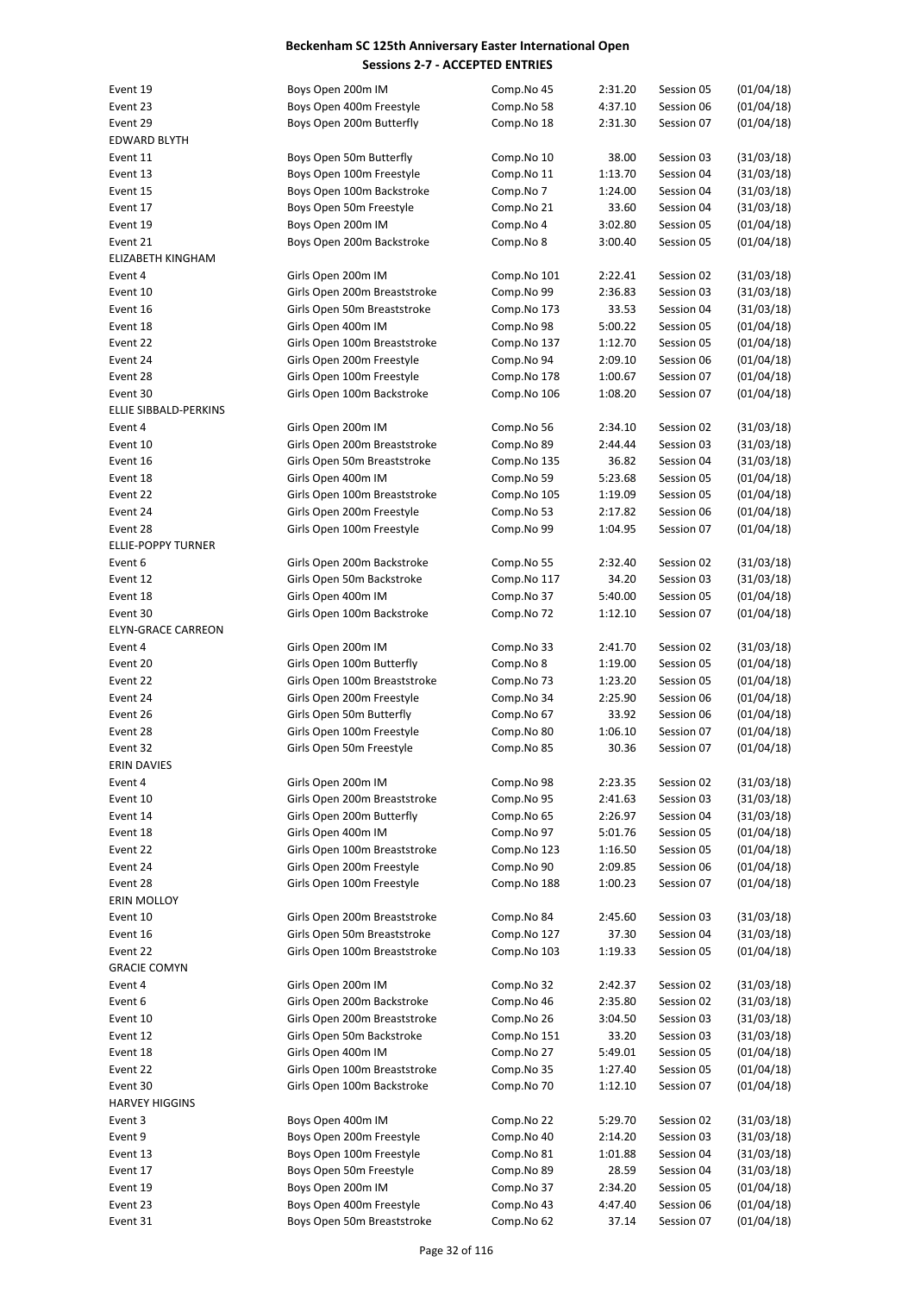| Event 19                  | Boys Open 200m IM            | Comp.No 45  | 2:31.20 | Session 05 | (01/04/18) |
|---------------------------|------------------------------|-------------|---------|------------|------------|
| Event 23                  | Boys Open 400m Freestyle     | Comp.No 58  | 4:37.10 | Session 06 | (01/04/18) |
| Event 29                  | Boys Open 200m Butterfly     | Comp.No 18  | 2:31.30 | Session 07 | (01/04/18) |
| <b>EDWARD BLYTH</b>       |                              |             |         |            |            |
| Event 11                  | Boys Open 50m Butterfly      | Comp.No 10  | 38.00   | Session 03 | (31/03/18) |
| Event 13                  |                              |             |         |            |            |
|                           | Boys Open 100m Freestyle     | Comp.No 11  | 1:13.70 | Session 04 | (31/03/18) |
| Event 15                  | Boys Open 100m Backstroke    | Comp.No 7   | 1:24.00 | Session 04 | (31/03/18) |
| Event 17                  | Boys Open 50m Freestyle      | Comp.No 21  | 33.60   | Session 04 | (31/03/18) |
| Event 19                  | Boys Open 200m IM            | Comp.No 4   | 3:02.80 | Session 05 | (01/04/18) |
| Event 21                  | Boys Open 200m Backstroke    | Comp.No 8   | 3:00.40 | Session 05 | (01/04/18) |
|                           |                              |             |         |            |            |
| ELIZABETH KINGHAM         |                              |             |         |            |            |
| Event 4                   | Girls Open 200m IM           | Comp.No 101 | 2:22.41 | Session 02 | (31/03/18) |
| Event 10                  | Girls Open 200m Breaststroke | Comp.No 99  | 2:36.83 | Session 03 | (31/03/18) |
| Event 16                  | Girls Open 50m Breaststroke  | Comp.No 173 | 33.53   | Session 04 | (31/03/18) |
| Event 18                  | Girls Open 400m IM           | Comp.No 98  | 5:00.22 | Session 05 | (01/04/18) |
| Event 22                  | Girls Open 100m Breaststroke |             | 1:12.70 | Session 05 | (01/04/18) |
|                           |                              | Comp.No 137 |         |            |            |
| Event 24                  | Girls Open 200m Freestyle    | Comp.No 94  | 2:09.10 | Session 06 | (01/04/18) |
| Event 28                  | Girls Open 100m Freestyle    | Comp.No 178 | 1:00.67 | Session 07 | (01/04/18) |
| Event 30                  | Girls Open 100m Backstroke   | Comp.No 106 | 1:08.20 | Session 07 | (01/04/18) |
| ELLIE SIBBALD-PERKINS     |                              |             |         |            |            |
| Event 4                   | Girls Open 200m IM           |             |         | Session 02 | (31/03/18) |
|                           |                              | Comp.No 56  | 2:34.10 |            |            |
| Event 10                  | Girls Open 200m Breaststroke | Comp.No 89  | 2:44.44 | Session 03 | (31/03/18) |
| Event 16                  | Girls Open 50m Breaststroke  | Comp.No 135 | 36.82   | Session 04 | (31/03/18) |
| Event 18                  | Girls Open 400m IM           | Comp.No 59  | 5:23.68 | Session 05 | (01/04/18) |
| Event 22                  | Girls Open 100m Breaststroke | Comp.No 105 | 1:19.09 | Session 05 | (01/04/18) |
| Event 24                  | Girls Open 200m Freestyle    |             |         | Session 06 | (01/04/18) |
|                           |                              | Comp.No 53  | 2:17.82 |            |            |
| Event 28                  | Girls Open 100m Freestyle    | Comp.No 99  | 1:04.95 | Session 07 | (01/04/18) |
| <b>ELLIE-POPPY TURNER</b> |                              |             |         |            |            |
| Event 6                   | Girls Open 200m Backstroke   | Comp.No 55  | 2:32.40 | Session 02 | (31/03/18) |
| Event 12                  | Girls Open 50m Backstroke    | Comp.No 117 | 34.20   | Session 03 | (31/03/18) |
| Event 18                  | Girls Open 400m IM           | Comp.No 37  | 5:40.00 | Session 05 | (01/04/18) |
|                           |                              |             |         |            |            |
| Event 30                  | Girls Open 100m Backstroke   | Comp.No 72  | 1:12.10 | Session 07 | (01/04/18) |
| <b>ELYN-GRACE CARREON</b> |                              |             |         |            |            |
| Event 4                   | Girls Open 200m IM           | Comp.No 33  | 2:41.70 | Session 02 | (31/03/18) |
| Event 20                  | Girls Open 100m Butterfly    | Comp.No 8   | 1:19.00 | Session 05 | (01/04/18) |
| Event 22                  | Girls Open 100m Breaststroke | Comp.No 73  | 1:23.20 | Session 05 | (01/04/18) |
|                           |                              |             |         |            |            |
| Event 24                  | Girls Open 200m Freestyle    | Comp.No 34  | 2:25.90 | Session 06 | (01/04/18) |
| Event 26                  | Girls Open 50m Butterfly     | Comp.No 67  | 33.92   | Session 06 | (01/04/18) |
| Event 28                  | Girls Open 100m Freestyle    | Comp.No 80  | 1:06.10 | Session 07 | (01/04/18) |
| Event 32                  | Girls Open 50m Freestyle     | Comp.No 85  | 30.36   | Session 07 | (01/04/18) |
| <b>ERIN DAVIES</b>        |                              |             |         |            |            |
|                           |                              |             |         |            |            |
| Event 4                   | Girls Open 200m IM           | Comp.No 98  | 2:23.35 | Session 02 | (31/03/18) |
| Event 10                  | Girls Open 200m Breaststroke | Comp.No 95  | 2:41.63 | Session 03 | (31/03/18) |
| Event 14                  | Girls Open 200m Butterfly    | Comp.No 65  | 2:26.97 | Session 04 | (31/03/18) |
| Event 18                  | Girls Open 400m IM           | Comp.No 97  | 5:01.76 | Session 05 | (01/04/18) |
| Event 22                  | Girls Open 100m Breaststroke | Comp.No 123 | 1:16.50 | Session 05 | (01/04/18) |
|                           |                              |             |         |            |            |
| Event 24                  | Girls Open 200m Freestyle    | Comp.No 90  | 2:09.85 | Session 06 | (01/04/18) |
| Event 28                  | Girls Open 100m Freestyle    | Comp.No 188 | 1:00.23 | Session 07 | (01/04/18) |
| ERIN MOLLOY               |                              |             |         |            |            |
| Event 10                  | Girls Open 200m Breaststroke | Comp.No 84  | 2:45.60 | Session 03 | (31/03/18) |
| Event 16                  | Girls Open 50m Breaststroke  | Comp.No 127 | 37.30   | Session 04 | (31/03/18) |
| Event 22                  | Girls Open 100m Breaststroke | Comp.No 103 | 1:19.33 | Session 05 | (01/04/18) |
|                           |                              |             |         |            |            |
| <b>GRACIE COMYN</b>       |                              |             |         |            |            |
| Event 4                   | Girls Open 200m IM           | Comp.No 32  | 2:42.37 | Session 02 | (31/03/18) |
| Event 6                   | Girls Open 200m Backstroke   | Comp.No 46  | 2:35.80 | Session 02 | (31/03/18) |
| Event 10                  | Girls Open 200m Breaststroke | Comp.No 26  | 3:04.50 | Session 03 | (31/03/18) |
| Event 12                  | Girls Open 50m Backstroke    | Comp.No 151 | 33.20   | Session 03 | (31/03/18) |
|                           |                              |             |         |            |            |
| Event 18                  | Girls Open 400m IM           | Comp.No 27  | 5:49.01 | Session 05 | (01/04/18) |
| Event 22                  | Girls Open 100m Breaststroke | Comp.No 35  | 1:27.40 | Session 05 | (01/04/18) |
| Event 30                  | Girls Open 100m Backstroke   | Comp.No 70  | 1:12.10 | Session 07 | (01/04/18) |
| <b>HARVEY HIGGINS</b>     |                              |             |         |            |            |
| Event 3                   | Boys Open 400m IM            | Comp.No 22  | 5:29.70 | Session 02 | (31/03/18) |
|                           |                              |             |         |            |            |
| Event 9                   | Boys Open 200m Freestyle     | Comp.No 40  | 2:14.20 | Session 03 | (31/03/18) |
| Event 13                  | Boys Open 100m Freestyle     | Comp.No 81  | 1:01.88 | Session 04 | (31/03/18) |
| Event 17                  | Boys Open 50m Freestyle      | Comp.No 89  | 28.59   | Session 04 | (31/03/18) |
| Event 19                  | Boys Open 200m IM            | Comp.No 37  | 2:34.20 | Session 05 | (01/04/18) |
| Event 23                  | Boys Open 400m Freestyle     | Comp.No 43  | 4:47.40 | Session 06 | (01/04/18) |
|                           | Boys Open 50m Breaststroke   | Comp.No 62  |         |            | (01/04/18) |
| Event 31                  |                              |             | 37.14   | Session 07 |            |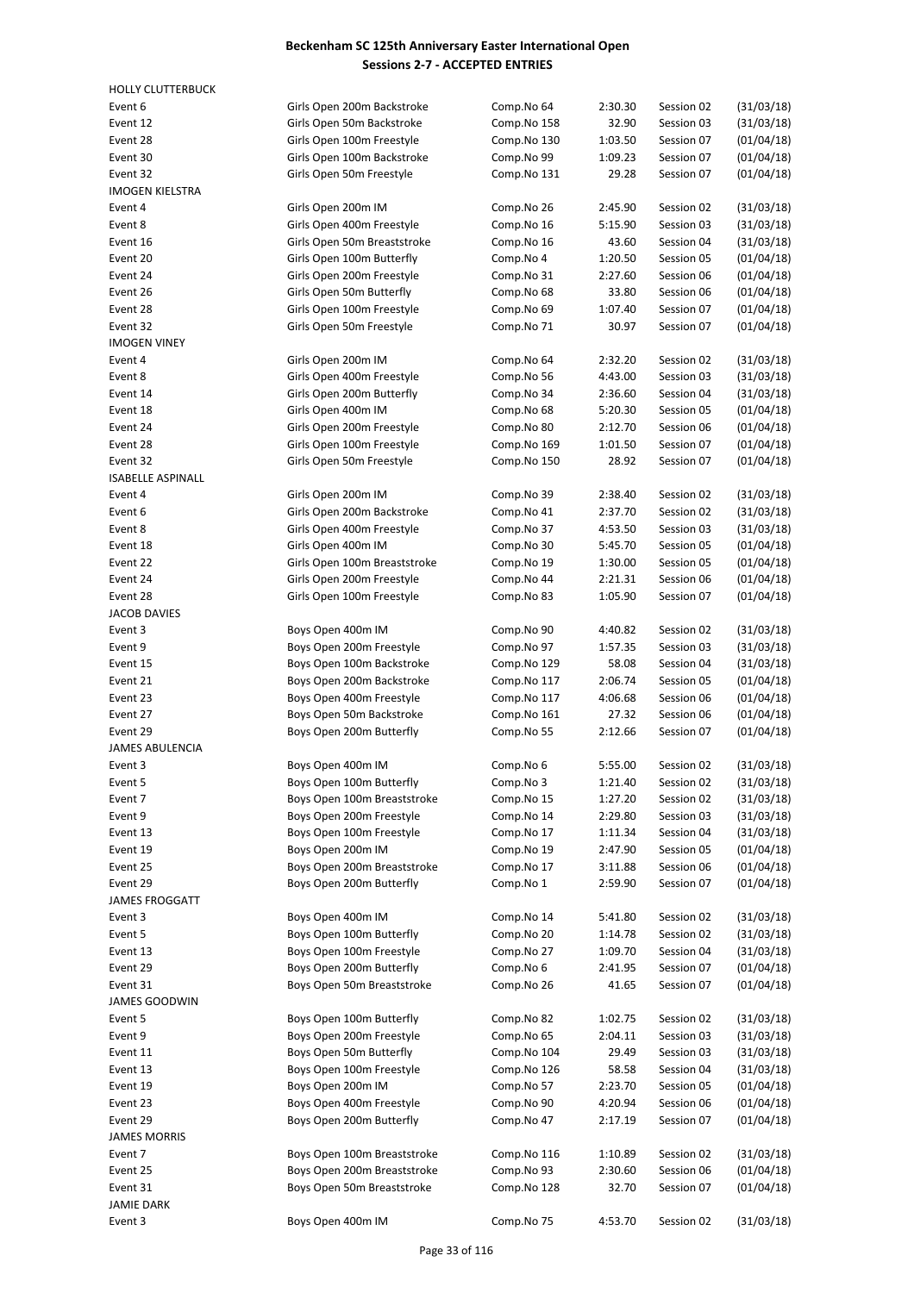| <b>HOLLY CLUTTERBUCK</b>       |                                                 |                          |         |            |            |
|--------------------------------|-------------------------------------------------|--------------------------|---------|------------|------------|
| Event 6                        | Girls Open 200m Backstroke                      | Comp.No 64               | 2:30.30 | Session 02 | (31/03/18) |
| Event 12                       | Girls Open 50m Backstroke                       | Comp.No 158              | 32.90   | Session 03 | (31/03/18) |
| Event 28                       | Girls Open 100m Freestyle                       | Comp.No 130              | 1:03.50 | Session 07 | (01/04/18) |
| Event 30                       | Girls Open 100m Backstroke                      | Comp.No 99               | 1:09.23 | Session 07 | (01/04/18) |
| Event 32                       | Girls Open 50m Freestyle                        | Comp.No 131              | 29.28   | Session 07 | (01/04/18) |
| <b>IMOGEN KIELSTRA</b>         |                                                 |                          |         |            |            |
| Event 4                        | Girls Open 200m IM                              | Comp.No 26               | 2:45.90 | Session 02 | (31/03/18) |
| Event 8                        | Girls Open 400m Freestyle                       | Comp.No 16               | 5:15.90 | Session 03 | (31/03/18) |
| Event 16                       | Girls Open 50m Breaststroke                     | Comp.No 16               | 43.60   | Session 04 | (31/03/18) |
| Event 20                       | Girls Open 100m Butterfly                       | Comp.No 4                | 1:20.50 | Session 05 | (01/04/18) |
| Event 24                       | Girls Open 200m Freestyle                       | Comp.No 31               | 2:27.60 | Session 06 | (01/04/18) |
| Event 26                       | Girls Open 50m Butterfly                        | Comp.No 68               | 33.80   | Session 06 | (01/04/18) |
| Event 28                       | Girls Open 100m Freestyle                       | Comp.No 69               | 1:07.40 | Session 07 | (01/04/18) |
| Event 32                       | Girls Open 50m Freestyle                        | Comp.No 71               | 30.97   | Session 07 | (01/04/18) |
| <b>IMOGEN VINEY</b><br>Event 4 |                                                 |                          | 2:32.20 | Session 02 | (31/03/18) |
| Event 8                        | Girls Open 200m IM<br>Girls Open 400m Freestyle | Comp.No 64<br>Comp.No 56 | 4:43.00 | Session 03 | (31/03/18) |
| Event 14                       | Girls Open 200m Butterfly                       | Comp.No 34               | 2:36.60 | Session 04 | (31/03/18) |
| Event 18                       | Girls Open 400m IM                              | Comp.No 68               | 5:20.30 | Session 05 | (01/04/18) |
| Event 24                       | Girls Open 200m Freestyle                       | Comp.No 80               | 2:12.70 | Session 06 | (01/04/18) |
| Event 28                       | Girls Open 100m Freestyle                       | Comp.No 169              | 1:01.50 | Session 07 | (01/04/18) |
| Event 32                       | Girls Open 50m Freestyle                        | Comp.No 150              | 28.92   | Session 07 | (01/04/18) |
| <b>ISABELLE ASPINALL</b>       |                                                 |                          |         |            |            |
| Event 4                        | Girls Open 200m IM                              | Comp.No 39               | 2:38.40 | Session 02 | (31/03/18) |
| Event 6                        | Girls Open 200m Backstroke                      | Comp.No 41               | 2:37.70 | Session 02 | (31/03/18) |
| Event 8                        | Girls Open 400m Freestyle                       | Comp.No 37               | 4:53.50 | Session 03 | (31/03/18) |
| Event 18                       | Girls Open 400m IM                              | Comp.No 30               | 5:45.70 | Session 05 | (01/04/18) |
| Event 22                       | Girls Open 100m Breaststroke                    | Comp.No 19               | 1:30.00 | Session 05 | (01/04/18) |
| Event 24                       | Girls Open 200m Freestyle                       | Comp.No 44               | 2:21.31 | Session 06 | (01/04/18) |
| Event 28                       | Girls Open 100m Freestyle                       | Comp.No 83               | 1:05.90 | Session 07 | (01/04/18) |
| JACOB DAVIES                   |                                                 |                          |         |            |            |
| Event 3                        | Boys Open 400m IM                               | Comp.No 90               | 4:40.82 | Session 02 | (31/03/18) |
| Event 9                        | Boys Open 200m Freestyle                        | Comp.No 97               | 1:57.35 | Session 03 | (31/03/18) |
| Event 15                       | Boys Open 100m Backstroke                       | Comp.No 129              | 58.08   | Session 04 | (31/03/18) |
| Event 21                       | Boys Open 200m Backstroke                       | Comp.No 117              | 2:06.74 | Session 05 | (01/04/18) |
| Event 23                       | Boys Open 400m Freestyle                        | Comp.No 117              | 4:06.68 | Session 06 | (01/04/18) |
| Event 27                       | Boys Open 50m Backstroke                        | Comp.No 161              | 27.32   | Session 06 | (01/04/18) |
| Event 29                       | Boys Open 200m Butterfly                        | Comp.No 55               | 2:12.66 | Session 07 | (01/04/18) |
| <b>JAMES ABULENCIA</b>         |                                                 |                          |         |            |            |
| Event 3                        | Boys Open 400m IM                               | Comp.No 6                | 5:55.00 | Session 02 | (31/03/18) |
| Event 5                        | Boys Open 100m Butterfly                        | Comp.No 3                | 1:21.40 | Session 02 | (31/03/18) |
| Event 7                        | Boys Open 100m Breaststroke                     | Comp.No 15               | 1:27.20 | Session 02 | (31/03/18) |
| Event 9                        | Boys Open 200m Freestyle                        | Comp.No 14               | 2:29.80 | Session 03 | (31/03/18) |
| Event 13                       | Boys Open 100m Freestyle                        | Comp.No 17               | 1:11.34 | Session 04 | (31/03/18) |
| Event 19                       | Boys Open 200m IM                               | Comp.No 19               | 2:47.90 | Session 05 | (01/04/18) |
| Event 25                       | Boys Open 200m Breaststroke                     | Comp.No 17               | 3:11.88 | Session 06 | (01/04/18) |
| Event 29                       | Boys Open 200m Butterfly                        | Comp.No 1                | 2:59.90 | Session 07 | (01/04/18) |
| <b>JAMES FROGGATT</b>          |                                                 |                          |         |            |            |
| Event 3                        | Boys Open 400m IM                               | Comp.No 14               | 5:41.80 | Session 02 | (31/03/18) |
| Event 5                        | Boys Open 100m Butterfly                        | Comp.No 20               | 1:14.78 | Session 02 | (31/03/18) |
| Event 13                       | Boys Open 100m Freestyle                        | Comp.No 27               | 1:09.70 | Session 04 | (31/03/18) |
| Event 29                       | Boys Open 200m Butterfly                        | Comp.No 6                | 2:41.95 | Session 07 | (01/04/18) |
| Event 31                       | Boys Open 50m Breaststroke                      | Comp.No 26               | 41.65   | Session 07 | (01/04/18) |
| <b>JAMES GOODWIN</b>           |                                                 |                          |         |            |            |
| Event 5                        | Boys Open 100m Butterfly                        | Comp.No 82               | 1:02.75 | Session 02 | (31/03/18) |
| Event 9                        | Boys Open 200m Freestyle                        | Comp.No 65               | 2:04.11 | Session 03 | (31/03/18) |
| Event 11                       | Boys Open 50m Butterfly                         | Comp.No 104              | 29.49   | Session 03 | (31/03/18) |
| Event 13                       | Boys Open 100m Freestyle                        | Comp.No 126              | 58.58   | Session 04 | (31/03/18) |
| Event 19                       | Boys Open 200m IM                               | Comp.No 57               | 2:23.70 | Session 05 | (01/04/18) |
| Event 23                       | Boys Open 400m Freestyle                        | Comp.No 90               | 4:20.94 | Session 06 | (01/04/18) |
| Event 29                       | Boys Open 200m Butterfly                        | Comp.No 47               | 2:17.19 | Session 07 | (01/04/18) |
| <b>JAMES MORRIS</b>            |                                                 |                          |         |            |            |
| Event 7                        | Boys Open 100m Breaststroke                     | Comp.No 116              | 1:10.89 | Session 02 | (31/03/18) |
| Event 25                       | Boys Open 200m Breaststroke                     | Comp.No 93               | 2:30.60 | Session 06 | (01/04/18) |
| Event 31<br><b>JAMIE DARK</b>  | Boys Open 50m Breaststroke                      | Comp.No 128              | 32.70   | Session 07 | (01/04/18) |
|                                | Boys Open 400m IM                               | Comp.No 75               | 4:53.70 | Session 02 |            |
| Event 3                        |                                                 |                          |         |            | (31/03/18) |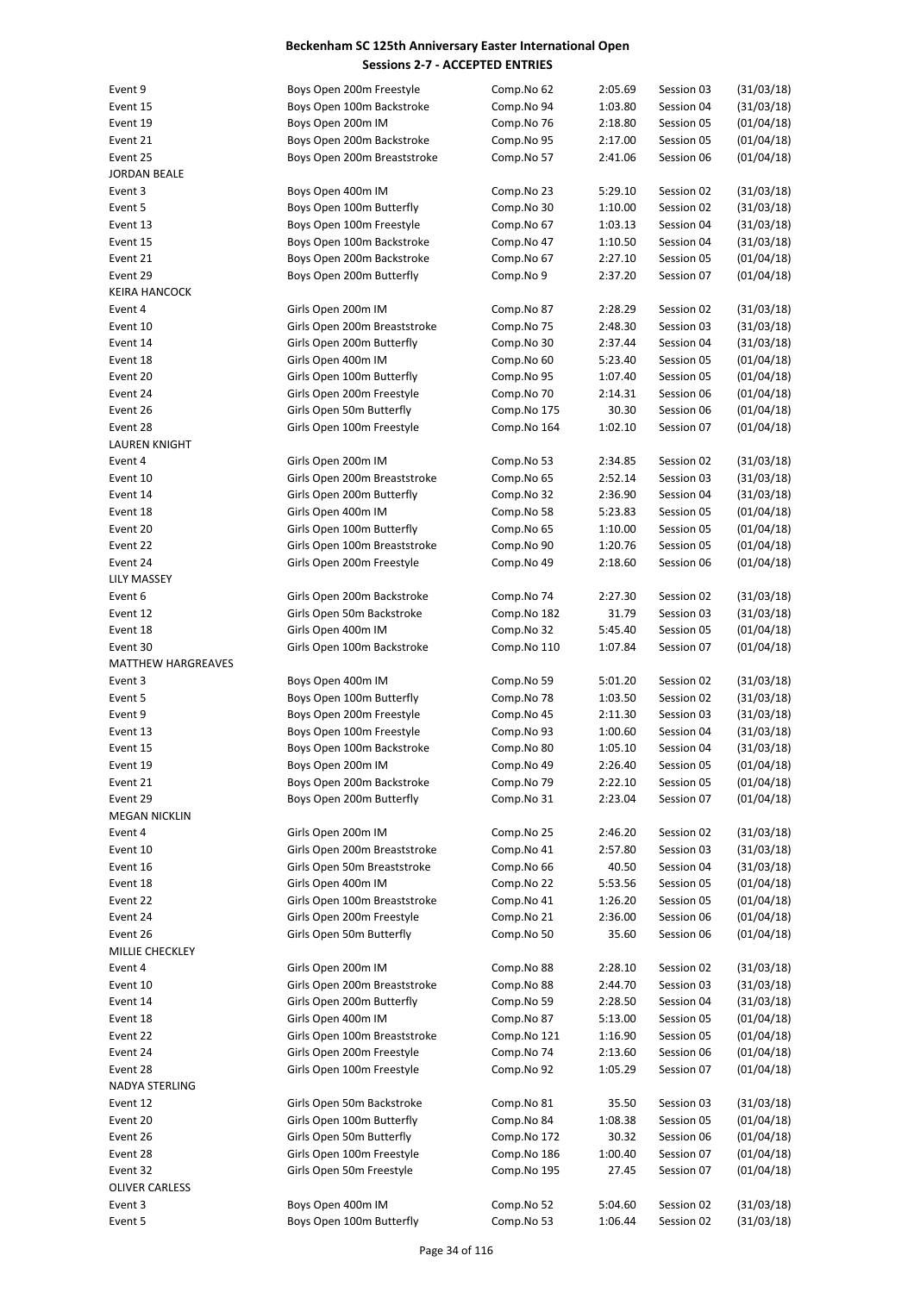| Event 9              | Boys Open 200m Freestyle     | Comp.No 62  | 2:05.69 | Session 03 | (31/03/18) |
|----------------------|------------------------------|-------------|---------|------------|------------|
| Event 15             | Boys Open 100m Backstroke    | Comp.No 94  | 1:03.80 | Session 04 | (31/03/18) |
| Event 19             | Boys Open 200m IM            | Comp.No 76  | 2:18.80 | Session 05 | (01/04/18) |
| Event 21             | Boys Open 200m Backstroke    | Comp.No 95  | 2:17.00 | Session 05 | (01/04/18) |
|                      |                              |             |         |            |            |
| Event 25             | Boys Open 200m Breaststroke  | Comp.No 57  | 2:41.06 | Session 06 | (01/04/18) |
| JORDAN BEALE         |                              |             |         |            |            |
| Event 3              | Boys Open 400m IM            | Comp.No 23  | 5:29.10 | Session 02 | (31/03/18) |
| Event 5              | Boys Open 100m Butterfly     | Comp.No 30  | 1:10.00 | Session 02 | (31/03/18) |
| Event 13             | Boys Open 100m Freestyle     | Comp.No 67  | 1:03.13 | Session 04 | (31/03/18) |
| Event 15             | Boys Open 100m Backstroke    | Comp.No 47  | 1:10.50 | Session 04 | (31/03/18) |
| Event 21             | Boys Open 200m Backstroke    | Comp.No 67  | 2:27.10 | Session 05 | (01/04/18) |
| Event 29             | Boys Open 200m Butterfly     | Comp.No 9   | 2:37.20 | Session 07 | (01/04/18) |
| KEIRA HANCOCK        |                              |             |         |            |            |
|                      |                              |             |         |            |            |
| Event 4              | Girls Open 200m IM           | Comp.No 87  | 2:28.29 | Session 02 | (31/03/18) |
| Event 10             | Girls Open 200m Breaststroke | Comp.No 75  | 2:48.30 | Session 03 | (31/03/18) |
| Event 14             | Girls Open 200m Butterfly    | Comp.No 30  | 2:37.44 | Session 04 | (31/03/18) |
| Event 18             | Girls Open 400m IM           | Comp.No 60  | 5:23.40 | Session 05 | (01/04/18) |
| Event 20             | Girls Open 100m Butterfly    | Comp.No 95  | 1:07.40 | Session 05 | (01/04/18) |
| Event 24             | Girls Open 200m Freestyle    | Comp.No 70  | 2:14.31 | Session 06 | (01/04/18) |
| Event 26             | Girls Open 50m Butterfly     | Comp.No 175 | 30.30   | Session 06 | (01/04/18) |
| Event 28             | Girls Open 100m Freestyle    | Comp.No 164 | 1:02.10 | Session 07 | (01/04/18) |
| <b>LAUREN KNIGHT</b> |                              |             |         |            |            |
|                      |                              |             |         |            |            |
| Event 4              | Girls Open 200m IM           | Comp.No 53  | 2:34.85 | Session 02 | (31/03/18) |
| Event 10             | Girls Open 200m Breaststroke | Comp.No 65  | 2:52.14 | Session 03 | (31/03/18) |
| Event 14             | Girls Open 200m Butterfly    | Comp.No 32  | 2:36.90 | Session 04 | (31/03/18) |
| Event 18             | Girls Open 400m IM           | Comp.No 58  | 5:23.83 | Session 05 | (01/04/18) |
| Event 20             | Girls Open 100m Butterfly    | Comp.No 65  | 1:10.00 | Session 05 | (01/04/18) |
| Event 22             | Girls Open 100m Breaststroke | Comp.No 90  | 1:20.76 | Session 05 | (01/04/18) |
| Event 24             | Girls Open 200m Freestyle    | Comp.No 49  | 2:18.60 | Session 06 | (01/04/18) |
| LILY MASSEY          |                              |             |         |            |            |
|                      |                              |             |         |            |            |
| Event 6              | Girls Open 200m Backstroke   | Comp.No 74  | 2:27.30 | Session 02 | (31/03/18) |
| Event 12             | Girls Open 50m Backstroke    | Comp.No 182 | 31.79   | Session 03 | (31/03/18) |
| Event 18             | Girls Open 400m IM           | Comp.No 32  | 5:45.40 | Session 05 | (01/04/18) |
| Event 30             | Girls Open 100m Backstroke   | Comp.No 110 | 1:07.84 | Session 07 | (01/04/18) |
| MATTHEW HARGREAVES   |                              |             |         |            |            |
| Event 3              | Boys Open 400m IM            | Comp.No 59  | 5:01.20 | Session 02 | (31/03/18) |
| Event 5              | Boys Open 100m Butterfly     | Comp.No 78  | 1:03.50 | Session 02 | (31/03/18) |
| Event 9              | Boys Open 200m Freestyle     | Comp.No 45  | 2:11.30 | Session 03 | (31/03/18) |
| Event 13             | Boys Open 100m Freestyle     | Comp.No 93  | 1:00.60 | Session 04 | (31/03/18) |
|                      |                              |             |         |            |            |
| Event 15             | Boys Open 100m Backstroke    | Comp.No 80  | 1:05.10 | Session 04 | (31/03/18) |
| Event 19             | Boys Open 200m IM            | Comp.No 49  | 2:26.40 | Session 05 | (01/04/18) |
| Event 21             | Boys Open 200m Backstroke    | Comp.No 79  | 2:22.10 | Session 05 | (01/04/18) |
| Event 29             | Boys Open 200m Butterfly     | Comp.No 31  | 2:23.04 | Session 07 | (01/04/18) |
| <b>MEGAN NICKLIN</b> |                              |             |         |            |            |
| Event 4              | Girls Open 200m IM           | Comp.No 25  | 2:46.20 | Session 02 | (31/03/18) |
| Event 10             | Girls Open 200m Breaststroke | Comp.No 41  | 2:57.80 | Session 03 | (31/03/18) |
| Event 16             | Girls Open 50m Breaststroke  | Comp.No 66  | 40.50   | Session 04 | (31/03/18) |
| Event 18             | Girls Open 400m IM           | Comp.No 22  | 5:53.56 | Session 05 | (01/04/18) |
|                      |                              | Comp.No 41  |         |            |            |
| Event 22             | Girls Open 100m Breaststroke |             | 1:26.20 | Session 05 | (01/04/18) |
| Event 24             | Girls Open 200m Freestyle    | Comp.No 21  | 2:36.00 | Session 06 | (01/04/18) |
| Event 26             | Girls Open 50m Butterfly     | Comp.No 50  | 35.60   | Session 06 | (01/04/18) |
| MILLIE CHECKLEY      |                              |             |         |            |            |
| Event 4              | Girls Open 200m IM           | Comp.No 88  | 2:28.10 | Session 02 | (31/03/18) |
| Event 10             | Girls Open 200m Breaststroke | Comp.No 88  | 2:44.70 | Session 03 | (31/03/18) |
| Event 14             | Girls Open 200m Butterfly    | Comp.No 59  | 2:28.50 | Session 04 | (31/03/18) |
| Event 18             | Girls Open 400m IM           | Comp.No 87  | 5:13.00 | Session 05 | (01/04/18) |
|                      | Girls Open 100m Breaststroke |             |         |            | (01/04/18) |
| Event 22             |                              | Comp.No 121 | 1:16.90 | Session 05 |            |
| Event 24             | Girls Open 200m Freestyle    | Comp.No 74  | 2:13.60 | Session 06 | (01/04/18) |
| Event 28             | Girls Open 100m Freestyle    | Comp.No 92  | 1:05.29 | Session 07 | (01/04/18) |
| NADYA STERLING       |                              |             |         |            |            |
| Event 12             | Girls Open 50m Backstroke    | Comp.No 81  | 35.50   | Session 03 | (31/03/18) |
| Event 20             | Girls Open 100m Butterfly    | Comp.No 84  | 1:08.38 | Session 05 | (01/04/18) |
| Event 26             | Girls Open 50m Butterfly     | Comp.No 172 | 30.32   | Session 06 | (01/04/18) |
| Event 28             | Girls Open 100m Freestyle    | Comp.No 186 | 1:00.40 | Session 07 | (01/04/18) |
| Event 32             | Girls Open 50m Freestyle     | Comp.No 195 | 27.45   | Session 07 | (01/04/18) |
|                      |                              |             |         |            |            |
| OLIVER CARLESS       |                              |             |         |            |            |
| Event 3              | Boys Open 400m IM            | Comp.No 52  | 5:04.60 | Session 02 | (31/03/18) |
| Event 5              | Boys Open 100m Butterfly     | Comp.No 53  | 1:06.44 | Session 02 | (31/03/18) |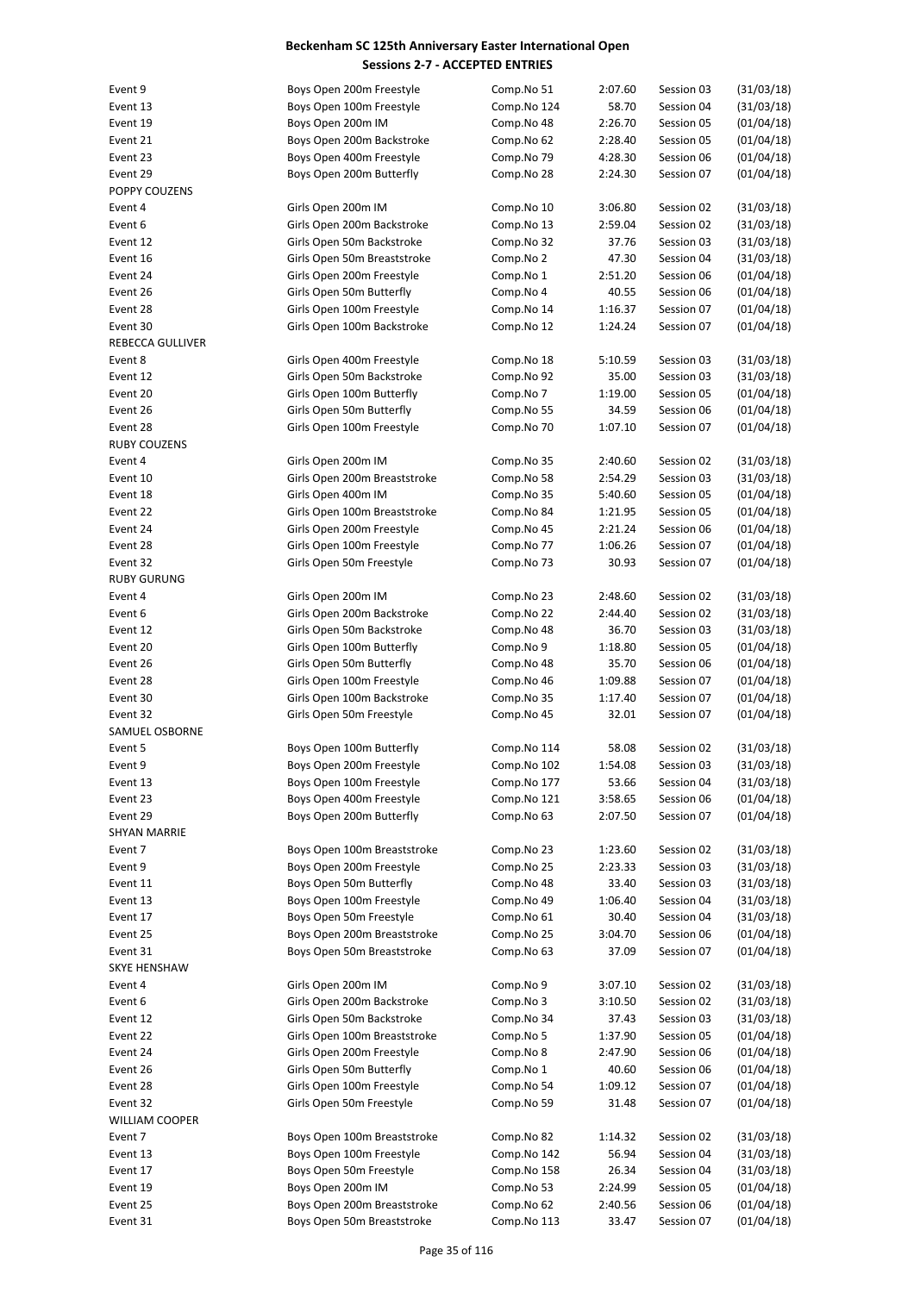| Event 9             | Boys Open 200m Freestyle     | Comp.No 51  | 2:07.60 | Session 03 | (31/03/18) |
|---------------------|------------------------------|-------------|---------|------------|------------|
| Event 13            | Boys Open 100m Freestyle     | Comp.No 124 | 58.70   | Session 04 | (31/03/18) |
| Event 19            | Boys Open 200m IM            | Comp.No 48  | 2:26.70 | Session 05 | (01/04/18) |
| Event 21            | Boys Open 200m Backstroke    | Comp.No 62  | 2:28.40 | Session 05 | (01/04/18) |
| Event 23            | Boys Open 400m Freestyle     | Comp.No 79  | 4:28.30 | Session 06 | (01/04/18) |
| Event 29            | Boys Open 200m Butterfly     | Comp.No 28  | 2:24.30 | Session 07 | (01/04/18) |
| POPPY COUZENS       |                              |             |         |            |            |
|                     |                              |             |         |            |            |
| Event 4             | Girls Open 200m IM           | Comp.No 10  | 3:06.80 | Session 02 | (31/03/18) |
| Event 6             | Girls Open 200m Backstroke   | Comp.No 13  | 2:59.04 | Session 02 | (31/03/18) |
| Event 12            | Girls Open 50m Backstroke    | Comp.No 32  | 37.76   | Session 03 | (31/03/18) |
| Event 16            | Girls Open 50m Breaststroke  | Comp.No 2   | 47.30   | Session 04 | (31/03/18) |
| Event 24            | Girls Open 200m Freestyle    | Comp.No 1   | 2:51.20 | Session 06 | (01/04/18) |
| Event 26            | Girls Open 50m Butterfly     | Comp.No 4   | 40.55   | Session 06 | (01/04/18) |
| Event 28            | Girls Open 100m Freestyle    | Comp.No 14  | 1:16.37 | Session 07 | (01/04/18) |
| Event 30            | Girls Open 100m Backstroke   | Comp.No 12  | 1:24.24 | Session 07 | (01/04/18) |
|                     |                              |             |         |            |            |
| REBECCA GULLIVER    |                              |             |         |            |            |
| Event 8             | Girls Open 400m Freestyle    | Comp.No 18  | 5:10.59 | Session 03 | (31/03/18) |
| Event 12            | Girls Open 50m Backstroke    | Comp.No 92  | 35.00   | Session 03 | (31/03/18) |
| Event 20            | Girls Open 100m Butterfly    | Comp.No 7   | 1:19.00 | Session 05 | (01/04/18) |
| Event 26            | Girls Open 50m Butterfly     | Comp.No 55  | 34.59   | Session 06 | (01/04/18) |
| Event 28            | Girls Open 100m Freestyle    | Comp.No 70  | 1:07.10 | Session 07 | (01/04/18) |
| RUBY COUZENS        |                              |             |         |            |            |
|                     |                              |             |         |            |            |
| Event 4             | Girls Open 200m IM           | Comp.No 35  | 2:40.60 | Session 02 | (31/03/18) |
| Event 10            | Girls Open 200m Breaststroke | Comp.No 58  | 2:54.29 | Session 03 | (31/03/18) |
| Event 18            | Girls Open 400m IM           | Comp.No 35  | 5:40.60 | Session 05 | (01/04/18) |
| Event 22            | Girls Open 100m Breaststroke | Comp.No 84  | 1:21.95 | Session 05 | (01/04/18) |
| Event 24            | Girls Open 200m Freestyle    | Comp.No 45  | 2:21.24 | Session 06 | (01/04/18) |
| Event 28            | Girls Open 100m Freestyle    | Comp.No 77  | 1:06.26 | Session 07 | (01/04/18) |
| Event 32            | Girls Open 50m Freestyle     | Comp.No 73  | 30.93   | Session 07 | (01/04/18) |
|                     |                              |             |         |            |            |
| <b>RUBY GURUNG</b>  |                              |             |         |            |            |
| Event 4             | Girls Open 200m IM           | Comp.No 23  | 2:48.60 | Session 02 | (31/03/18) |
| Event 6             | Girls Open 200m Backstroke   | Comp.No 22  | 2:44.40 | Session 02 | (31/03/18) |
| Event 12            | Girls Open 50m Backstroke    | Comp.No 48  | 36.70   | Session 03 | (31/03/18) |
| Event 20            | Girls Open 100m Butterfly    | Comp.No 9   | 1:18.80 | Session 05 | (01/04/18) |
| Event 26            | Girls Open 50m Butterfly     | Comp.No 48  | 35.70   | Session 06 | (01/04/18) |
| Event 28            | Girls Open 100m Freestyle    | Comp.No 46  | 1:09.88 | Session 07 | (01/04/18) |
| Event 30            | Girls Open 100m Backstroke   | Comp.No 35  | 1:17.40 | Session 07 | (01/04/18) |
| Event 32            | Girls Open 50m Freestyle     | Comp.No 45  | 32.01   | Session 07 | (01/04/18) |
|                     |                              |             |         |            |            |
| SAMUEL OSBORNE      |                              |             |         |            |            |
| Event 5             | Boys Open 100m Butterfly     | Comp.No 114 | 58.08   | Session 02 | (31/03/18) |
| Event 9             | Boys Open 200m Freestyle     | Comp.No 102 | 1:54.08 | Session 03 | (31/03/18) |
| Event 13            | Boys Open 100m Freestyle     | Comp.No 177 | 53.66   | Session 04 | (31/03/18) |
| Event 23            | Boys Open 400m Freestyle     | Comp.No 121 | 3:58.65 | Session 06 | (01/04/18) |
| Event 29            | Boys Open 200m Butterfly     | Comp.No 63  | 2:07.50 | Session 07 | (01/04/18) |
| <b>SHYAN MARRIE</b> |                              |             |         |            |            |
| Event 7             | Boys Open 100m Breaststroke  | Comp.No 23  | 1:23.60 | Session 02 | (31/03/18) |
|                     |                              |             |         |            |            |
| Event 9             | Boys Open 200m Freestyle     | Comp.No 25  | 2:23.33 | Session 03 | (31/03/18) |
| Event 11            | Boys Open 50m Butterfly      | Comp.No 48  | 33.40   | Session 03 | (31/03/18) |
| Event 13            | Boys Open 100m Freestyle     | Comp.No 49  | 1:06.40 | Session 04 | (31/03/18) |
| Event 17            | Boys Open 50m Freestyle      | Comp.No 61  | 30.40   | Session 04 | (31/03/18) |
| Event 25            | Boys Open 200m Breaststroke  | Comp.No 25  | 3:04.70 | Session 06 | (01/04/18) |
| Event 31            | Boys Open 50m Breaststroke   | Comp.No 63  | 37.09   | Session 07 | (01/04/18) |
| SKYE HENSHAW        |                              |             |         |            |            |
| Event 4             | Girls Open 200m IM           | Comp.No 9   | 3:07.10 | Session 02 | (31/03/18) |
|                     |                              |             |         |            |            |
| Event 6             | Girls Open 200m Backstroke   | Comp.No 3   | 3:10.50 | Session 02 | (31/03/18) |
| Event 12            | Girls Open 50m Backstroke    | Comp.No 34  | 37.43   | Session 03 | (31/03/18) |
| Event 22            | Girls Open 100m Breaststroke | Comp.No 5   | 1:37.90 | Session 05 | (01/04/18) |
| Event 24            | Girls Open 200m Freestyle    | Comp.No 8   | 2:47.90 | Session 06 | (01/04/18) |
| Event 26            | Girls Open 50m Butterfly     | Comp.No 1   | 40.60   | Session 06 | (01/04/18) |
| Event 28            | Girls Open 100m Freestyle    | Comp.No 54  | 1:09.12 | Session 07 | (01/04/18) |
| Event 32            | Girls Open 50m Freestyle     | Comp.No 59  | 31.48   | Session 07 | (01/04/18) |
| WILLIAM COOPER      |                              |             |         |            |            |
|                     |                              |             |         |            |            |
| Event 7             | Boys Open 100m Breaststroke  | Comp.No 82  | 1:14.32 | Session 02 | (31/03/18) |
| Event 13            | Boys Open 100m Freestyle     | Comp.No 142 | 56.94   | Session 04 | (31/03/18) |
| Event 17            | Boys Open 50m Freestyle      | Comp.No 158 | 26.34   | Session 04 | (31/03/18) |
| Event 19            | Boys Open 200m IM            | Comp.No 53  | 2:24.99 | Session 05 | (01/04/18) |
| Event 25            | Boys Open 200m Breaststroke  | Comp.No 62  | 2:40.56 | Session 06 | (01/04/18) |
| Event 31            | Boys Open 50m Breaststroke   | Comp.No 113 | 33.47   | Session 07 | (01/04/18) |
|                     |                              |             |         |            |            |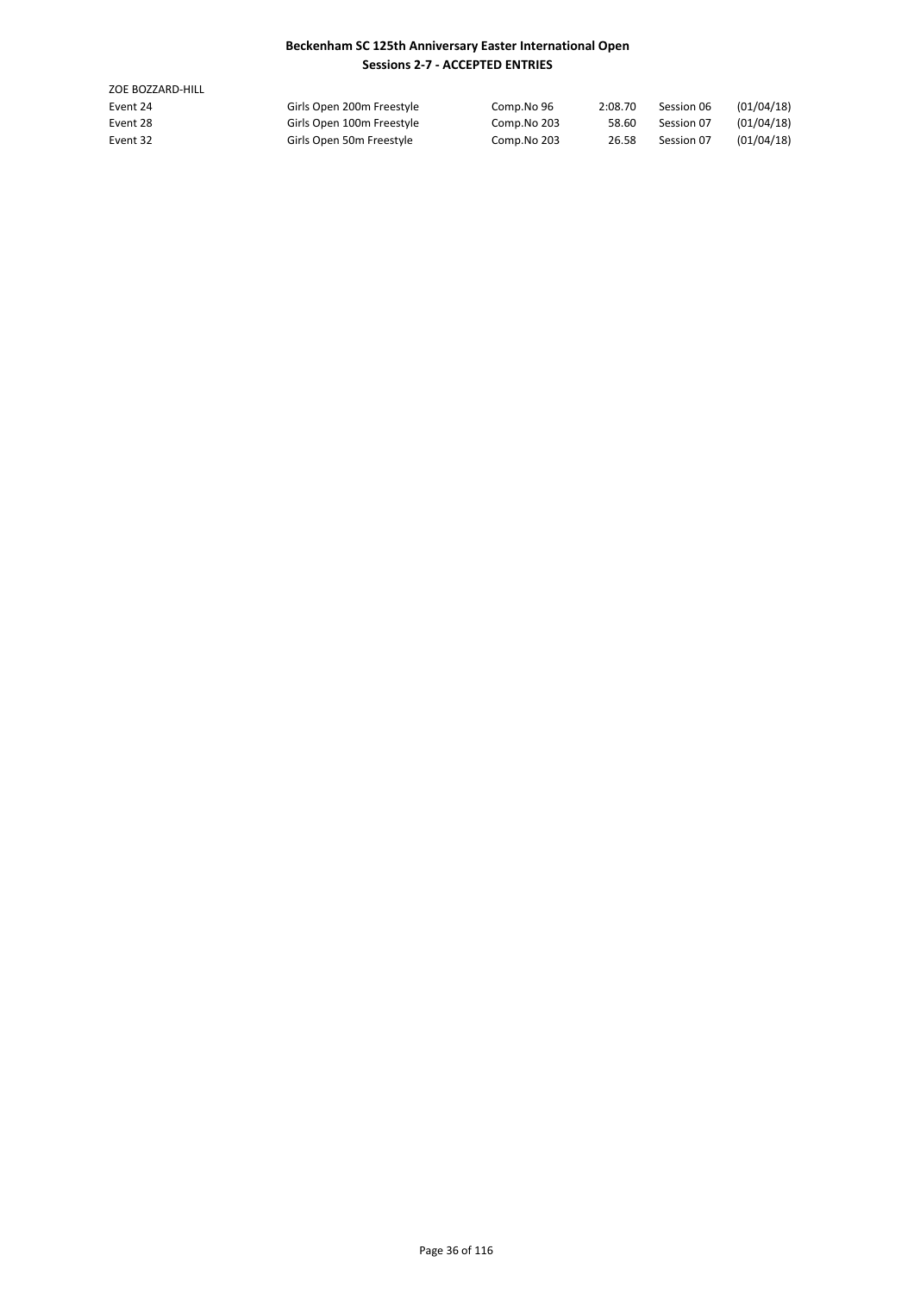| ZOE BOZZARD-HILL |                           |             |         |            |            |
|------------------|---------------------------|-------------|---------|------------|------------|
| Event 24         | Girls Open 200m Freestyle | Comp.No 96  | 2:08.70 | Session 06 | (01/04/18) |
| Event 28         | Girls Open 100m Freestyle | Comp.No 203 | 58.60   | Session 07 | (01/04/18) |
| Event 32         | Girls Open 50m Freestyle  | Comp.No 203 | 26.58   | Session 07 | (01/04/18) |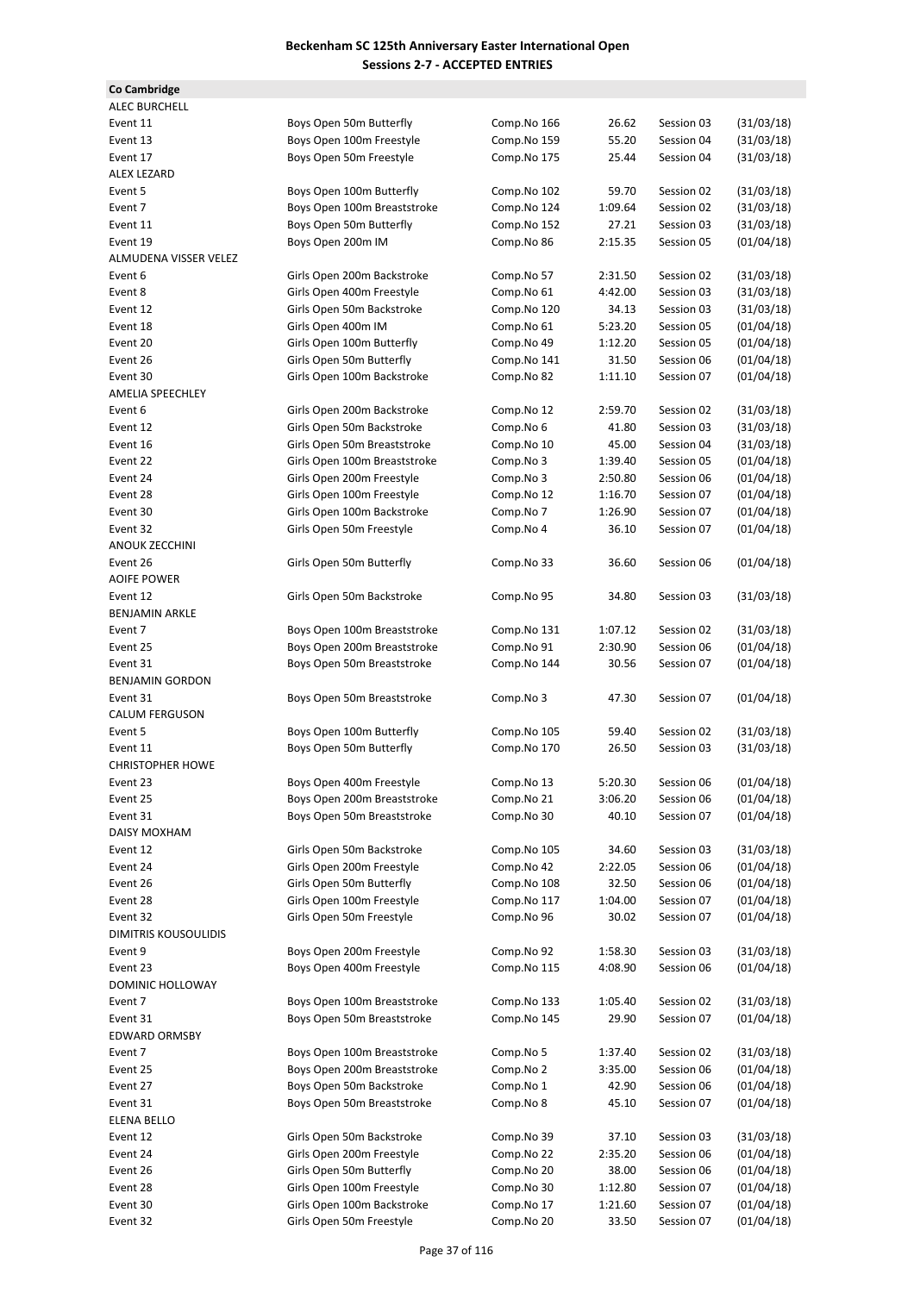| Co Cambridge            |                                                         |                          |                  |                          |                          |
|-------------------------|---------------------------------------------------------|--------------------------|------------------|--------------------------|--------------------------|
| <b>ALEC BURCHELL</b>    |                                                         |                          |                  |                          |                          |
| Event 11                | Boys Open 50m Butterfly                                 | Comp.No 166              | 26.62            | Session 03               | (31/03/18)               |
| Event 13                | Boys Open 100m Freestyle                                | Comp.No 159              | 55.20            | Session 04               | (31/03/18)               |
| Event 17                | Boys Open 50m Freestyle                                 | Comp.No 175              | 25.44            | Session 04               | (31/03/18)               |
| <b>ALEX LEZARD</b>      |                                                         |                          |                  |                          |                          |
| Event 5                 | Boys Open 100m Butterfly                                | Comp.No 102              | 59.70            | Session 02               | (31/03/18)               |
| Event 7                 | Boys Open 100m Breaststroke                             | Comp.No 124              | 1:09.64          | Session 02               | (31/03/18)               |
| Event 11                | Boys Open 50m Butterfly                                 | Comp.No 152              | 27.21            | Session 03               | (31/03/18)               |
| Event 19                | Boys Open 200m IM                                       | Comp.No 86               | 2:15.35          | Session 05               | (01/04/18)               |
| ALMUDENA VISSER VELEZ   |                                                         |                          |                  |                          |                          |
| Event 6                 | Girls Open 200m Backstroke                              | Comp.No 57               | 2:31.50          | Session 02               | (31/03/18)               |
| Event 8                 | Girls Open 400m Freestyle                               | Comp.No 61               | 4:42.00          | Session 03               | (31/03/18)               |
| Event 12                | Girls Open 50m Backstroke                               | Comp.No 120              | 34.13            | Session 03               | (31/03/18)               |
| Event 18                | Girls Open 400m IM                                      | Comp.No 61               | 5:23.20          | Session 05               | (01/04/18)               |
| Event 20<br>Event 26    | Girls Open 100m Butterfly<br>Girls Open 50m Butterfly   | Comp.No 49               | 1:12.20<br>31.50 | Session 05<br>Session 06 | (01/04/18)<br>(01/04/18) |
| Event 30                | Girls Open 100m Backstroke                              | Comp.No 141              | 1:11.10          | Session 07               | (01/04/18)               |
| AMELIA SPEECHLEY        |                                                         | Comp.No 82               |                  |                          |                          |
| Event 6                 | Girls Open 200m Backstroke                              | Comp.No 12               | 2:59.70          | Session 02               | (31/03/18)               |
| Event 12                | Girls Open 50m Backstroke                               | Comp.No 6                | 41.80            | Session 03               | (31/03/18)               |
| Event 16                | Girls Open 50m Breaststroke                             | Comp.No 10               | 45.00            | Session 04               | (31/03/18)               |
| Event 22                | Girls Open 100m Breaststroke                            | Comp.No 3                | 1:39.40          | Session 05               | (01/04/18)               |
| Event 24                | Girls Open 200m Freestyle                               | Comp.No 3                | 2:50.80          | Session 06               | (01/04/18)               |
| Event 28                | Girls Open 100m Freestyle                               | Comp.No 12               | 1:16.70          | Session 07               | (01/04/18)               |
| Event 30                | Girls Open 100m Backstroke                              | Comp.No 7                | 1:26.90          | Session 07               | (01/04/18)               |
| Event 32                | Girls Open 50m Freestyle                                | Comp.No 4                | 36.10            | Session 07               | (01/04/18)               |
| ANOUK ZECCHINI          |                                                         |                          |                  |                          |                          |
| Event 26                | Girls Open 50m Butterfly                                | Comp.No 33               | 36.60            | Session 06               | (01/04/18)               |
| <b>AOIFE POWER</b>      |                                                         |                          |                  |                          |                          |
| Event 12                | Girls Open 50m Backstroke                               | Comp.No 95               | 34.80            | Session 03               | (31/03/18)               |
| <b>BENJAMIN ARKLE</b>   |                                                         |                          |                  |                          |                          |
| Event 7                 | Boys Open 100m Breaststroke                             | Comp.No 131              | 1:07.12          | Session 02               | (31/03/18)               |
| Event 25                | Boys Open 200m Breaststroke                             | Comp.No 91               | 2:30.90          | Session 06               | (01/04/18)               |
| Event 31                | Boys Open 50m Breaststroke                              | Comp.No 144              | 30.56            | Session 07               | (01/04/18)               |
| <b>BENJAMIN GORDON</b>  |                                                         |                          |                  |                          |                          |
| Event 31                | Boys Open 50m Breaststroke                              | Comp.No 3                | 47.30            | Session 07               | (01/04/18)               |
| <b>CALUM FERGUSON</b>   |                                                         |                          |                  |                          |                          |
| Event 5                 | Boys Open 100m Butterfly                                | Comp.No 105              | 59.40            | Session 02               | (31/03/18)               |
| Event 11                | Boys Open 50m Butterfly                                 | Comp.No 170              | 26.50            | Session 03               | (31/03/18)               |
| <b>CHRISTOPHER HOWE</b> |                                                         |                          |                  |                          |                          |
| Event 23                | Boys Open 400m Freestyle                                | Comp.No 13               | 5:20.30          | Session 06               | (01/04/18)               |
| Event 25                | Boys Open 200m Breaststroke                             | Comp.No 21               | 3:06.20          | Session 06               | (01/04/18)               |
| Event 31                | Boys Open 50m Breaststroke                              | Comp.No 30               | 40.10            | Session 07               | (01/04/18)               |
| DAISY MOXHAM            |                                                         |                          |                  |                          |                          |
| Event 12                | Girls Open 50m Backstroke                               | Comp.No 105              | 34.60            | Session 03               | (31/03/18)               |
| Event 24                | Girls Open 200m Freestyle                               | Comp.No 42               | 2:22.05          | Session 06               | (01/04/18)               |
| Event 26                | Girls Open 50m Butterfly                                | Comp.No 108              | 32.50            | Session 06               | (01/04/18)               |
| Event 28                | Girls Open 100m Freestyle                               | Comp.No 117              | 1:04.00          | Session 07               | (01/04/18)               |
| Event 32                | Girls Open 50m Freestyle                                | Comp.No 96               | 30.02            | Session 07               | (01/04/18)               |
| DIMITRIS KOUSOULIDIS    |                                                         |                          |                  |                          |                          |
| Event 9                 | Boys Open 200m Freestyle                                | Comp.No 92               | 1:58.30          | Session 03               | (31/03/18)               |
| Event 23                | Boys Open 400m Freestyle                                | Comp.No 115              | 4:08.90          | Session 06               | (01/04/18)               |
| DOMINIC HOLLOWAY        |                                                         |                          |                  |                          |                          |
| Event 7                 | Boys Open 100m Breaststroke                             | Comp.No 133              | 1:05.40          | Session 02               | (31/03/18)               |
| Event 31                | Boys Open 50m Breaststroke                              | Comp.No 145              | 29.90            | Session 07               | (01/04/18)               |
| EDWARD ORMSBY           |                                                         |                          |                  |                          |                          |
| Event 7                 | Boys Open 100m Breaststroke                             | Comp.No 5                | 1:37.40          | Session 02               | (31/03/18)               |
| Event 25                | Boys Open 200m Breaststroke                             | Comp.No 2                | 3:35.00          | Session 06               | (01/04/18)               |
| Event 27                | Boys Open 50m Backstroke                                | Comp.No 1                | 42.90            | Session 06               | (01/04/18)               |
| Event 31                | Boys Open 50m Breaststroke                              | Comp.No 8                | 45.10            | Session 07               | (01/04/18)               |
| ELENA BELLO             |                                                         |                          |                  |                          |                          |
| Event 12                | Girls Open 50m Backstroke                               | Comp.No 39               | 37.10            | Session 03               | (31/03/18)               |
| Event 24                | Girls Open 200m Freestyle                               | Comp.No 22               | 2:35.20          | Session 06               | (01/04/18)               |
| Event 26                | Girls Open 50m Butterfly                                | Comp.No 20               | 38.00            | Session 06               | (01/04/18)               |
| Event 28                | Girls Open 100m Freestyle<br>Girls Open 100m Backstroke | Comp.No 30<br>Comp.No 17 | 1:12.80          | Session 07<br>Session 07 | (01/04/18)               |
| Event 30<br>Event 32    | Girls Open 50m Freestyle                                | Comp.No 20               | 1:21.60<br>33.50 | Session 07               | (01/04/18)<br>(01/04/18) |
|                         |                                                         |                          |                  |                          |                          |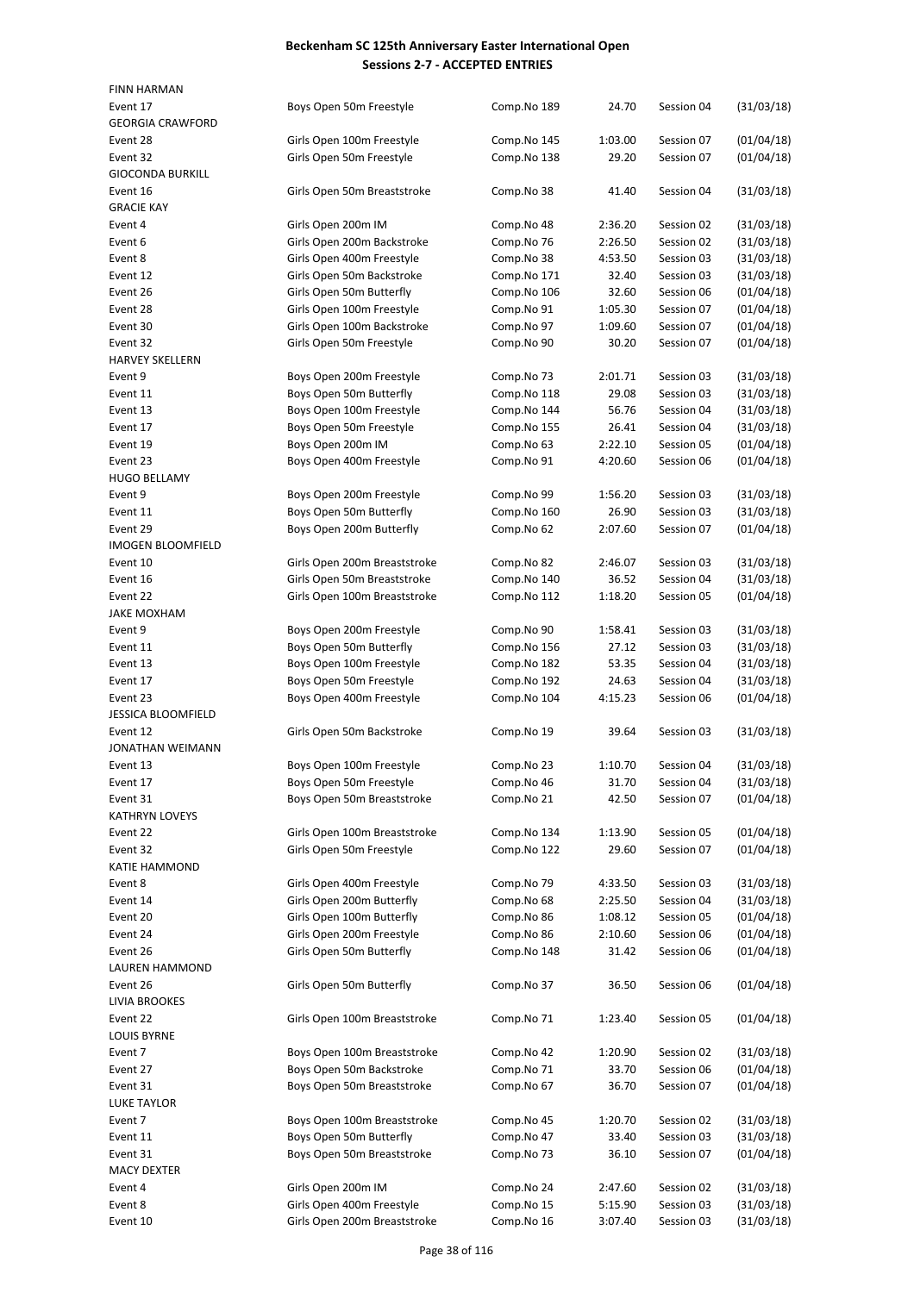| <b>FINN HARMAN</b>        |                              |             |         |            |            |
|---------------------------|------------------------------|-------------|---------|------------|------------|
| Event 17                  | Boys Open 50m Freestyle      | Comp.No 189 | 24.70   | Session 04 | (31/03/18) |
| <b>GEORGIA CRAWFORD</b>   |                              |             |         |            |            |
| Event 28                  | Girls Open 100m Freestyle    | Comp.No 145 | 1:03.00 | Session 07 | (01/04/18) |
| Event 32                  | Girls Open 50m Freestyle     | Comp.No 138 | 29.20   | Session 07 | (01/04/18) |
| <b>GIOCONDA BURKILL</b>   |                              |             |         |            |            |
| Event 16                  | Girls Open 50m Breaststroke  | Comp.No 38  | 41.40   | Session 04 | (31/03/18) |
| <b>GRACIE KAY</b>         |                              |             |         |            |            |
| Event 4                   | Girls Open 200m IM           | Comp.No 48  | 2:36.20 | Session 02 | (31/03/18) |
| Event 6                   | Girls Open 200m Backstroke   | Comp.No 76  | 2:26.50 | Session 02 | (31/03/18) |
| Event 8                   | Girls Open 400m Freestyle    | Comp.No 38  | 4:53.50 | Session 03 | (31/03/18) |
| Event 12                  | Girls Open 50m Backstroke    | Comp.No 171 | 32.40   | Session 03 | (31/03/18) |
| Event 26                  | Girls Open 50m Butterfly     | Comp.No 106 | 32.60   | Session 06 | (01/04/18) |
| Event 28                  | Girls Open 100m Freestyle    | Comp.No 91  | 1:05.30 | Session 07 | (01/04/18) |
| Event 30                  | Girls Open 100m Backstroke   | Comp.No 97  | 1:09.60 | Session 07 | (01/04/18) |
| Event 32                  | Girls Open 50m Freestyle     | Comp.No 90  | 30.20   | Session 07 | (01/04/18) |
| <b>HARVEY SKELLERN</b>    |                              |             |         |            |            |
| Event 9                   | Boys Open 200m Freestyle     | Comp.No 73  | 2:01.71 | Session 03 | (31/03/18) |
| Event 11                  | Boys Open 50m Butterfly      | Comp.No 118 | 29.08   | Session 03 | (31/03/18) |
| Event 13                  | Boys Open 100m Freestyle     | Comp.No 144 | 56.76   | Session 04 | (31/03/18) |
| Event 17                  | Boys Open 50m Freestyle      | Comp.No 155 | 26.41   | Session 04 | (31/03/18) |
|                           |                              |             |         |            |            |
| Event 19                  | Boys Open 200m IM            | Comp.No 63  | 2:22.10 | Session 05 | (01/04/18) |
| Event 23                  | Boys Open 400m Freestyle     | Comp.No 91  | 4:20.60 | Session 06 | (01/04/18) |
| <b>HUGO BELLAMY</b>       |                              |             |         |            |            |
| Event 9                   | Boys Open 200m Freestyle     | Comp.No 99  | 1:56.20 | Session 03 | (31/03/18) |
| Event 11                  | Boys Open 50m Butterfly      | Comp.No 160 | 26.90   | Session 03 | (31/03/18) |
| Event 29                  | Boys Open 200m Butterfly     | Comp.No 62  | 2:07.60 | Session 07 | (01/04/18) |
| <b>IMOGEN BLOOMFIELD</b>  |                              |             |         |            |            |
| Event 10                  | Girls Open 200m Breaststroke | Comp.No 82  | 2:46.07 | Session 03 | (31/03/18) |
| Event 16                  | Girls Open 50m Breaststroke  | Comp.No 140 | 36.52   | Session 04 | (31/03/18) |
| Event 22                  | Girls Open 100m Breaststroke | Comp.No 112 | 1:18.20 | Session 05 | (01/04/18) |
| <b>JAKE MOXHAM</b>        |                              |             |         |            |            |
| Event 9                   | Boys Open 200m Freestyle     | Comp.No 90  | 1:58.41 | Session 03 | (31/03/18) |
| Event 11                  | Boys Open 50m Butterfly      | Comp.No 156 | 27.12   | Session 03 | (31/03/18) |
| Event 13                  | Boys Open 100m Freestyle     | Comp.No 182 | 53.35   | Session 04 | (31/03/18) |
| Event 17                  | Boys Open 50m Freestyle      | Comp.No 192 | 24.63   | Session 04 | (31/03/18) |
| Event 23                  | Boys Open 400m Freestyle     | Comp.No 104 | 4:15.23 | Session 06 | (01/04/18) |
| <b>JESSICA BLOOMFIELD</b> |                              |             |         |            |            |
| Event 12                  | Girls Open 50m Backstroke    | Comp.No 19  | 39.64   | Session 03 | (31/03/18) |
| JONATHAN WEIMANN          |                              |             |         |            |            |
| Event 13                  | Boys Open 100m Freestyle     | Comp.No 23  | 1:10.70 | Session 04 | (31/03/18) |
| Event 17                  | Boys Open 50m Freestyle      | Comp.No 46  | 31.70   | Session 04 | (31/03/18) |
| Event 31                  | Boys Open 50m Breaststroke   | Comp.No 21  | 42.50   | Session 07 | (01/04/18) |
| <b>KATHRYN LOVEYS</b>     |                              |             |         |            |            |
| Event 22                  | Girls Open 100m Breaststroke | Comp.No 134 | 1:13.90 | Session 05 | (01/04/18) |
| Event 32                  | Girls Open 50m Freestyle     | Comp.No 122 | 29.60   | Session 07 | (01/04/18) |
| KATIE HAMMOND             |                              |             |         |            |            |
| Event 8                   | Girls Open 400m Freestyle    | Comp.No 79  | 4:33.50 | Session 03 | (31/03/18) |
| Event 14                  | Girls Open 200m Butterfly    | Comp.No 68  | 2:25.50 | Session 04 | (31/03/18) |
| Event 20                  | Girls Open 100m Butterfly    | Comp.No 86  | 1:08.12 | Session 05 | (01/04/18) |
|                           | Girls Open 200m Freestyle    |             |         |            |            |
| Event 24                  |                              | Comp.No 86  | 2:10.60 | Session 06 | (01/04/18) |
| Event 26                  | Girls Open 50m Butterfly     | Comp.No 148 | 31.42   | Session 06 | (01/04/18) |
| LAUREN HAMMOND            |                              |             |         |            |            |
| Event 26                  | Girls Open 50m Butterfly     | Comp.No 37  | 36.50   | Session 06 | (01/04/18) |
| LIVIA BROOKES             |                              |             |         |            |            |
| Event 22                  | Girls Open 100m Breaststroke | Comp.No 71  | 1:23.40 | Session 05 | (01/04/18) |
| <b>LOUIS BYRNE</b>        |                              |             |         |            |            |
| Event 7                   | Boys Open 100m Breaststroke  | Comp.No 42  | 1:20.90 | Session 02 | (31/03/18) |
| Event 27                  | Boys Open 50m Backstroke     | Comp.No 71  | 33.70   | Session 06 | (01/04/18) |
| Event 31                  | Boys Open 50m Breaststroke   | Comp.No 67  | 36.70   | Session 07 | (01/04/18) |
| LUKE TAYLOR               |                              |             |         |            |            |
| Event 7                   | Boys Open 100m Breaststroke  | Comp.No 45  | 1:20.70 | Session 02 | (31/03/18) |
| Event 11                  | Boys Open 50m Butterfly      | Comp.No 47  | 33.40   | Session 03 | (31/03/18) |
| Event 31                  | Boys Open 50m Breaststroke   | Comp.No 73  | 36.10   | Session 07 | (01/04/18) |
| <b>MACY DEXTER</b>        |                              |             |         |            |            |
| Event 4                   | Girls Open 200m IM           | Comp.No 24  | 2:47.60 | Session 02 | (31/03/18) |
| Event 8                   | Girls Open 400m Freestyle    | Comp.No 15  | 5:15.90 | Session 03 | (31/03/18) |
| Event 10                  | Girls Open 200m Breaststroke | Comp.No 16  | 3:07.40 | Session 03 | (31/03/18) |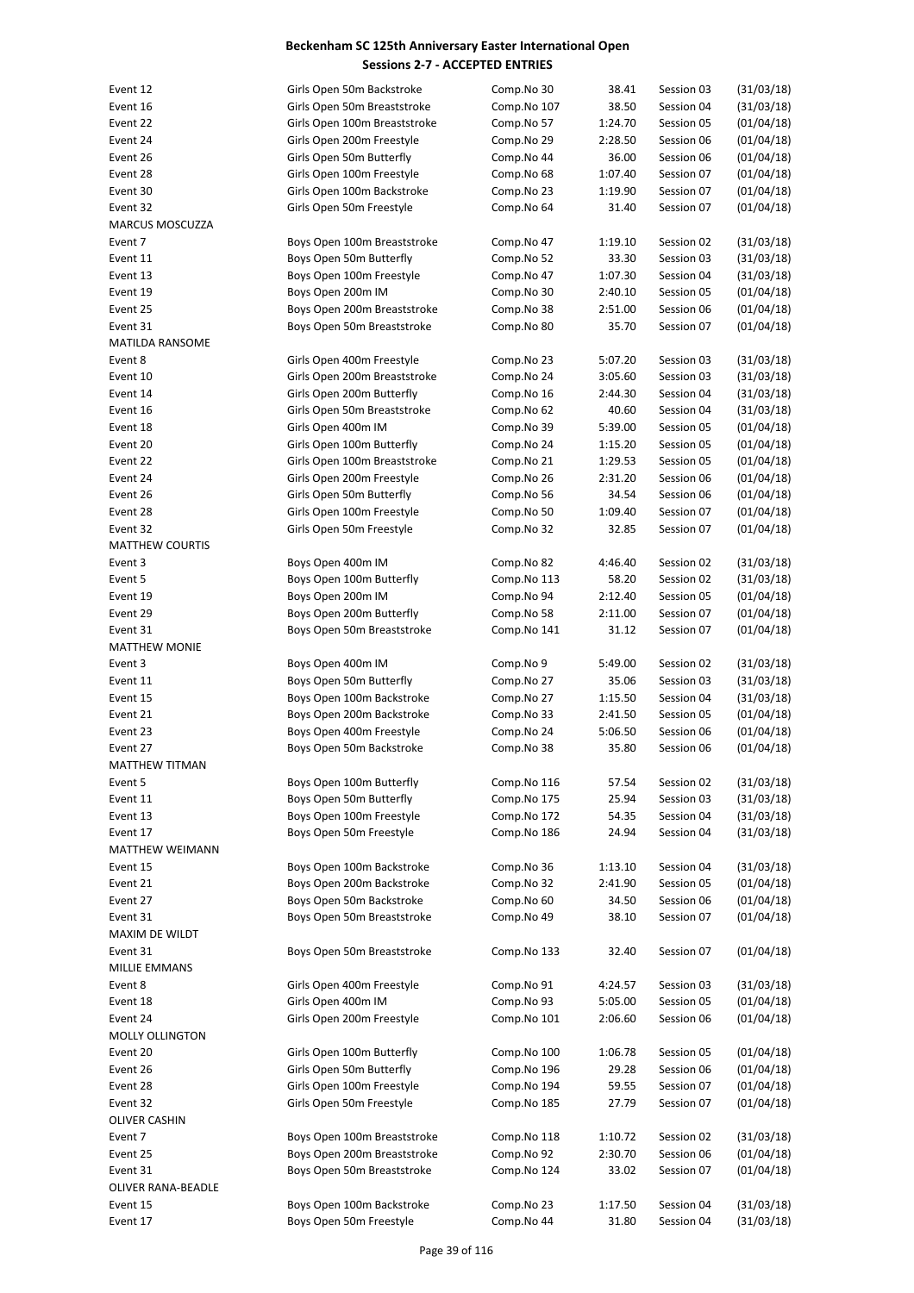| Event 12               | Girls Open 50m Backstroke    | Comp.No 30  | 38.41   | Session 03 | (31/03/18) |
|------------------------|------------------------------|-------------|---------|------------|------------|
| Event 16               | Girls Open 50m Breaststroke  | Comp.No 107 | 38.50   | Session 04 | (31/03/18) |
| Event 22               | Girls Open 100m Breaststroke | Comp.No 57  | 1:24.70 | Session 05 | (01/04/18) |
| Event 24               | Girls Open 200m Freestyle    | Comp.No 29  | 2:28.50 | Session 06 | (01/04/18) |
| Event 26               | Girls Open 50m Butterfly     | Comp.No 44  | 36.00   | Session 06 | (01/04/18) |
| Event 28               | Girls Open 100m Freestyle    | Comp.No 68  | 1:07.40 | Session 07 | (01/04/18) |
| Event 30               | Girls Open 100m Backstroke   | Comp.No 23  | 1:19.90 | Session 07 | (01/04/18) |
| Event 32               | Girls Open 50m Freestyle     | Comp.No 64  | 31.40   | Session 07 | (01/04/18) |
| <b>MARCUS MOSCUZZA</b> |                              |             |         |            |            |
| Event 7                | Boys Open 100m Breaststroke  | Comp.No 47  | 1:19.10 | Session 02 | (31/03/18) |
| Event 11               | Boys Open 50m Butterfly      | Comp.No 52  | 33.30   | Session 03 | (31/03/18) |
| Event 13               | Boys Open 100m Freestyle     | Comp.No 47  | 1:07.30 | Session 04 | (31/03/18) |
| Event 19               | Boys Open 200m IM            | Comp.No 30  | 2:40.10 | Session 05 | (01/04/18) |
| Event 25               | Boys Open 200m Breaststroke  | Comp.No 38  | 2:51.00 | Session 06 | (01/04/18) |
| Event 31               | Boys Open 50m Breaststroke   | Comp.No 80  | 35.70   | Session 07 | (01/04/18) |
| <b>MATILDA RANSOME</b> |                              |             |         |            |            |
| Event 8                | Girls Open 400m Freestyle    | Comp.No 23  | 5:07.20 | Session 03 | (31/03/18) |
| Event 10               | Girls Open 200m Breaststroke | Comp.No 24  | 3:05.60 | Session 03 | (31/03/18) |
| Event 14               | Girls Open 200m Butterfly    | Comp.No 16  | 2:44.30 | Session 04 | (31/03/18) |
| Event 16               | Girls Open 50m Breaststroke  | Comp.No 62  | 40.60   | Session 04 | (31/03/18) |
| Event 18               | Girls Open 400m IM           | Comp.No 39  | 5:39.00 | Session 05 | (01/04/18) |
| Event 20               | Girls Open 100m Butterfly    |             |         | Session 05 | (01/04/18) |
|                        | Girls Open 100m Breaststroke | Comp.No 24  | 1:15.20 |            |            |
| Event 22               |                              | Comp.No 21  | 1:29.53 | Session 05 | (01/04/18) |
| Event 24               | Girls Open 200m Freestyle    | Comp.No 26  | 2:31.20 | Session 06 | (01/04/18) |
| Event 26               | Girls Open 50m Butterfly     | Comp.No 56  | 34.54   | Session 06 | (01/04/18) |
| Event 28               | Girls Open 100m Freestyle    | Comp.No 50  | 1:09.40 | Session 07 | (01/04/18) |
| Event 32               | Girls Open 50m Freestyle     | Comp.No 32  | 32.85   | Session 07 | (01/04/18) |
| <b>MATTHEW COURTIS</b> |                              |             |         |            |            |
| Event 3                | Boys Open 400m IM            | Comp.No 82  | 4:46.40 | Session 02 | (31/03/18) |
| Event 5                | Boys Open 100m Butterfly     | Comp.No 113 | 58.20   | Session 02 | (31/03/18) |
| Event 19               | Boys Open 200m IM            | Comp.No 94  | 2:12.40 | Session 05 | (01/04/18) |
| Event 29               | Boys Open 200m Butterfly     | Comp.No 58  | 2:11.00 | Session 07 | (01/04/18) |
| Event 31               | Boys Open 50m Breaststroke   | Comp.No 141 | 31.12   | Session 07 | (01/04/18) |
| <b>MATTHEW MONIE</b>   |                              |             |         |            |            |
| Event 3                | Boys Open 400m IM            | Comp.No 9   | 5:49.00 | Session 02 | (31/03/18) |
| Event 11               | Boys Open 50m Butterfly      | Comp.No 27  | 35.06   | Session 03 | (31/03/18) |
| Event 15               | Boys Open 100m Backstroke    | Comp.No 27  | 1:15.50 | Session 04 | (31/03/18) |
| Event 21               | Boys Open 200m Backstroke    | Comp.No 33  | 2:41.50 | Session 05 | (01/04/18) |
| Event 23               | Boys Open 400m Freestyle     | Comp.No 24  | 5:06.50 | Session 06 | (01/04/18) |
| Event 27               | Boys Open 50m Backstroke     | Comp.No 38  | 35.80   | Session 06 | (01/04/18) |
| MATTHEW TITMAN         |                              |             |         |            |            |
| Event 5                | Boys Open 100m Butterfly     | Comp.No 116 | 57.54   | Session 02 | (31/03/18) |
| Event 11               | Boys Open 50m Butterfly      | Comp.No 175 | 25.94   | Session 03 | (31/03/18) |
| Event 13               | Boys Open 100m Freestyle     | Comp.No 172 | 54.35   | Session 04 | (31/03/18) |
| Event 17               | Boys Open 50m Freestyle      | Comp.No 186 | 24.94   | Session 04 | (31/03/18) |
| MATTHEW WEIMANN        |                              |             |         |            |            |
| Event 15               | Boys Open 100m Backstroke    | Comp.No 36  | 1:13.10 | Session 04 | (31/03/18) |
| Event 21               | Boys Open 200m Backstroke    | Comp.No 32  | 2:41.90 | Session 05 | (01/04/18) |
| Event 27               | Boys Open 50m Backstroke     | Comp.No 60  | 34.50   | Session 06 | (01/04/18) |
| Event 31               | Boys Open 50m Breaststroke   | Comp.No 49  | 38.10   | Session 07 | (01/04/18) |
| MAXIM DE WILDT         |                              |             |         |            |            |
| Event 31               | Boys Open 50m Breaststroke   | Comp.No 133 | 32.40   | Session 07 | (01/04/18) |
| MILLIE EMMANS          |                              |             |         |            |            |
| Event 8                | Girls Open 400m Freestyle    | Comp.No 91  | 4:24.57 | Session 03 | (31/03/18) |
| Event 18               | Girls Open 400m IM           | Comp.No 93  | 5:05.00 | Session 05 | (01/04/18) |
| Event 24               | Girls Open 200m Freestyle    | Comp.No 101 | 2:06.60 | Session 06 | (01/04/18) |
| <b>MOLLY OLLINGTON</b> |                              |             |         |            |            |
| Event 20               | Girls Open 100m Butterfly    | Comp.No 100 | 1:06.78 | Session 05 | (01/04/18) |
| Event 26               | Girls Open 50m Butterfly     | Comp.No 196 | 29.28   | Session 06 | (01/04/18) |
|                        |                              |             |         |            |            |
| Event 28               | Girls Open 100m Freestyle    | Comp.No 194 | 59.55   | Session 07 | (01/04/18) |
| Event 32               | Girls Open 50m Freestyle     | Comp.No 185 | 27.79   | Session 07 | (01/04/18) |
| <b>OLIVER CASHIN</b>   |                              |             |         |            |            |
| Event 7                | Boys Open 100m Breaststroke  | Comp.No 118 | 1:10.72 | Session 02 | (31/03/18) |
| Event 25               | Boys Open 200m Breaststroke  | Comp.No 92  | 2:30.70 | Session 06 | (01/04/18) |
| Event 31               | Boys Open 50m Breaststroke   | Comp.No 124 | 33.02   | Session 07 | (01/04/18) |
| OLIVER RANA-BEADLE     |                              |             |         |            |            |
| Event 15               | Boys Open 100m Backstroke    | Comp.No 23  | 1:17.50 | Session 04 | (31/03/18) |
| Event 17               | Boys Open 50m Freestyle      | Comp.No 44  | 31.80   | Session 04 | (31/03/18) |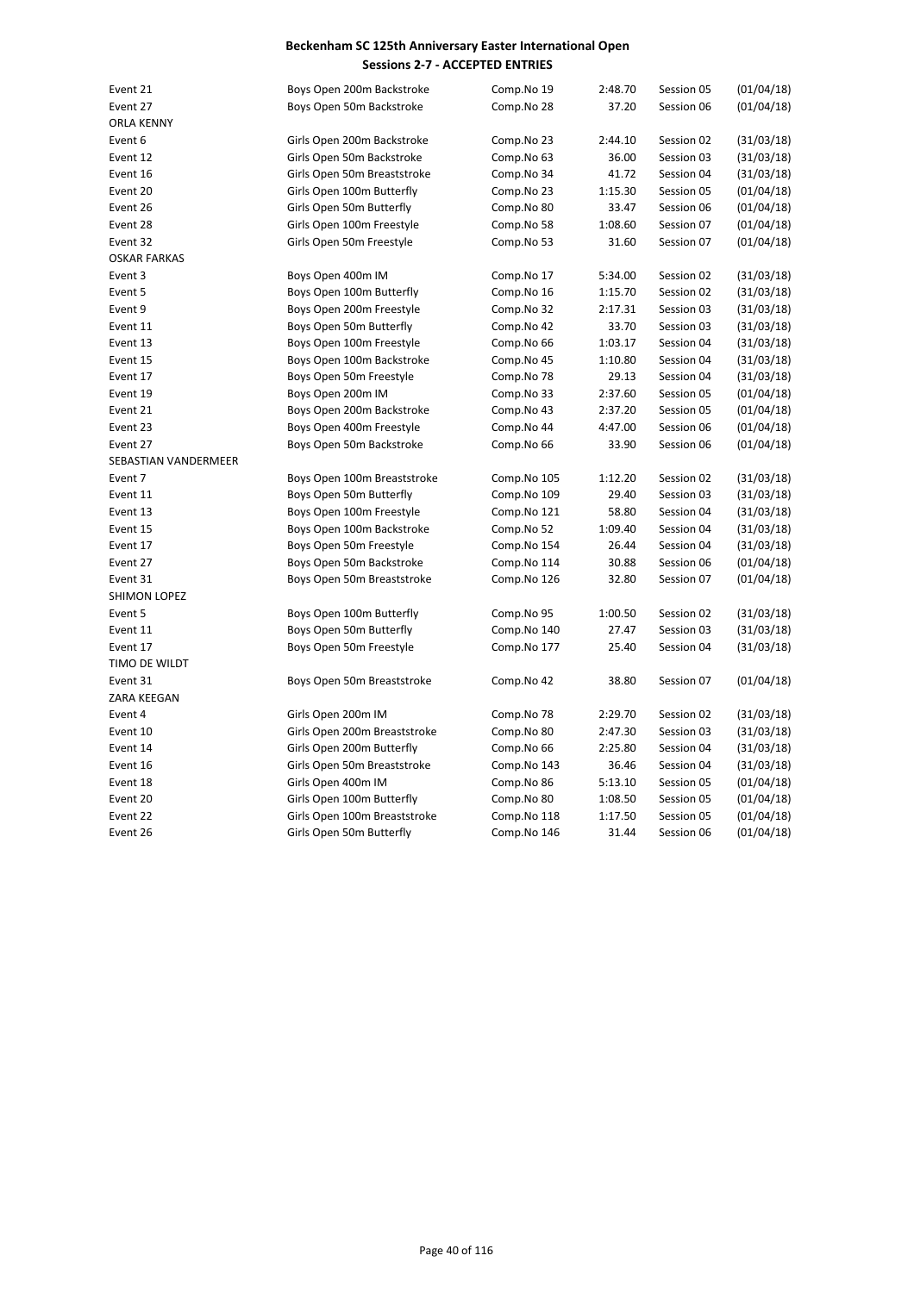| Event 21             | Boys Open 200m Backstroke    | Comp.No 19  | 2:48.70 | Session 05 | (01/04/18) |
|----------------------|------------------------------|-------------|---------|------------|------------|
| Event 27             | Boys Open 50m Backstroke     | Comp.No 28  | 37.20   | Session 06 | (01/04/18) |
| <b>ORLA KENNY</b>    |                              |             |         |            |            |
| Event 6              | Girls Open 200m Backstroke   | Comp.No 23  | 2:44.10 | Session 02 | (31/03/18) |
| Event 12             | Girls Open 50m Backstroke    | Comp.No 63  | 36.00   | Session 03 | (31/03/18) |
| Event 16             | Girls Open 50m Breaststroke  | Comp.No 34  | 41.72   | Session 04 | (31/03/18) |
| Event 20             | Girls Open 100m Butterfly    | Comp.No 23  | 1:15.30 | Session 05 | (01/04/18) |
| Event 26             | Girls Open 50m Butterfly     | Comp.No 80  | 33.47   | Session 06 | (01/04/18) |
| Event 28             | Girls Open 100m Freestyle    | Comp.No 58  | 1:08.60 | Session 07 | (01/04/18) |
| Event 32             | Girls Open 50m Freestyle     | Comp.No 53  | 31.60   | Session 07 | (01/04/18) |
| <b>OSKAR FARKAS</b>  |                              |             |         |            |            |
| Event 3              | Boys Open 400m IM            | Comp.No 17  | 5:34.00 | Session 02 | (31/03/18) |
| Event 5              | Boys Open 100m Butterfly     | Comp.No 16  | 1:15.70 | Session 02 | (31/03/18) |
| Event 9              | Boys Open 200m Freestyle     | Comp.No 32  | 2:17.31 | Session 03 | (31/03/18) |
| Event 11             | Boys Open 50m Butterfly      | Comp.No 42  | 33.70   | Session 03 | (31/03/18) |
| Event 13             | Boys Open 100m Freestyle     | Comp.No 66  | 1:03.17 | Session 04 | (31/03/18) |
| Event 15             | Boys Open 100m Backstroke    | Comp.No 45  | 1:10.80 | Session 04 | (31/03/18) |
| Event 17             | Boys Open 50m Freestyle      | Comp.No 78  | 29.13   | Session 04 | (31/03/18) |
| Event 19             | Boys Open 200m IM            | Comp.No 33  | 2:37.60 | Session 05 | (01/04/18) |
| Event 21             | Boys Open 200m Backstroke    | Comp.No 43  | 2:37.20 | Session 05 | (01/04/18) |
| Event 23             | Boys Open 400m Freestyle     | Comp.No 44  | 4:47.00 | Session 06 | (01/04/18) |
| Event 27             | Boys Open 50m Backstroke     | Comp.No 66  | 33.90   | Session 06 | (01/04/18) |
| SEBASTIAN VANDERMEER |                              |             |         |            |            |
| Event 7              | Boys Open 100m Breaststroke  | Comp.No 105 | 1:12.20 | Session 02 | (31/03/18) |
| Event 11             | Boys Open 50m Butterfly      | Comp.No 109 | 29.40   | Session 03 | (31/03/18) |
| Event 13             | Boys Open 100m Freestyle     | Comp.No 121 | 58.80   | Session 04 | (31/03/18) |
| Event 15             | Boys Open 100m Backstroke    | Comp.No 52  | 1:09.40 | Session 04 | (31/03/18) |
| Event 17             | Boys Open 50m Freestyle      | Comp.No 154 | 26.44   | Session 04 | (31/03/18) |
| Event 27             | Boys Open 50m Backstroke     | Comp.No 114 | 30.88   | Session 06 | (01/04/18) |
| Event 31             | Boys Open 50m Breaststroke   | Comp.No 126 | 32.80   | Session 07 | (01/04/18) |
| SHIMON LOPEZ         |                              |             |         |            |            |
| Event 5              | Boys Open 100m Butterfly     | Comp.No 95  | 1:00.50 | Session 02 | (31/03/18) |
| Event 11             | Boys Open 50m Butterfly      | Comp.No 140 | 27.47   | Session 03 | (31/03/18) |
| Event 17             | Boys Open 50m Freestyle      | Comp.No 177 | 25.40   | Session 04 | (31/03/18) |
| TIMO DE WILDT        |                              |             |         |            |            |
| Event 31             | Boys Open 50m Breaststroke   | Comp.No 42  | 38.80   | Session 07 | (01/04/18) |
| ZARA KEEGAN          |                              |             |         |            |            |
| Event 4              | Girls Open 200m IM           | Comp.No 78  | 2:29.70 | Session 02 | (31/03/18) |
| Event 10             | Girls Open 200m Breaststroke | Comp.No 80  | 2:47.30 | Session 03 | (31/03/18) |
| Event 14             | Girls Open 200m Butterfly    | Comp.No 66  | 2:25.80 | Session 04 | (31/03/18) |
| Event 16             | Girls Open 50m Breaststroke  | Comp.No 143 | 36.46   | Session 04 | (31/03/18) |
| Event 18             | Girls Open 400m IM           | Comp.No 86  | 5:13.10 | Session 05 | (01/04/18) |
| Event 20             | Girls Open 100m Butterfly    | Comp.No 80  | 1:08.50 | Session 05 | (01/04/18) |
| Event 22             | Girls Open 100m Breaststroke | Comp.No 118 | 1:17.50 | Session 05 | (01/04/18) |
| Event 26             | Girls Open 50m Butterfly     | Comp.No 146 | 31.44   | Session 06 | (01/04/18) |
|                      |                              |             |         |            |            |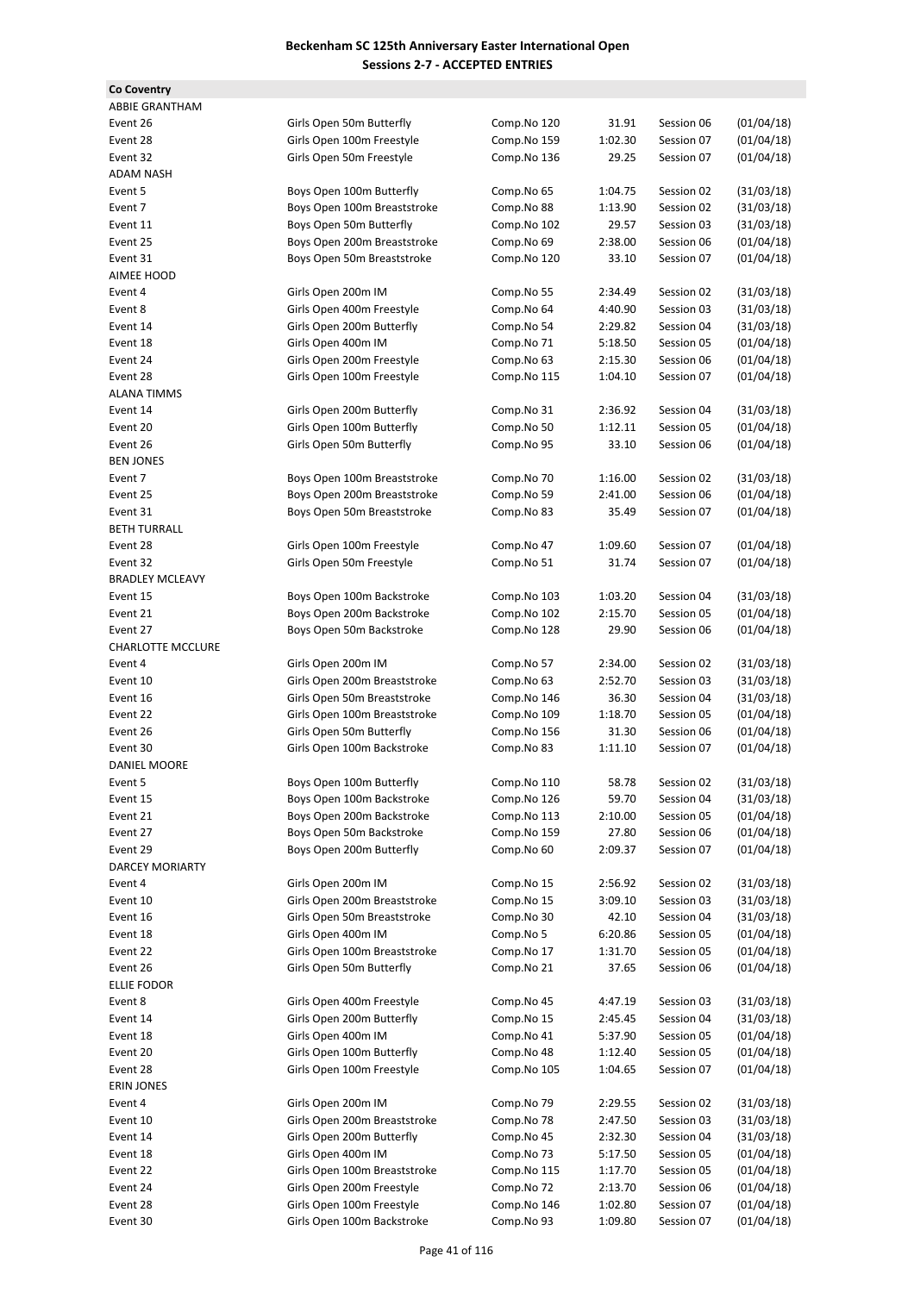| <b>Co Coventry</b>       |                              |             |         |            |            |
|--------------------------|------------------------------|-------------|---------|------------|------------|
| <b>ABBIE GRANTHAM</b>    |                              |             |         |            |            |
| Event 26                 | Girls Open 50m Butterfly     | Comp.No 120 | 31.91   | Session 06 | (01/04/18) |
| Event 28                 | Girls Open 100m Freestyle    | Comp.No 159 | 1:02.30 | Session 07 | (01/04/18) |
| Event 32                 | Girls Open 50m Freestyle     | Comp.No 136 | 29.25   | Session 07 | (01/04/18) |
| <b>ADAM NASH</b>         |                              |             |         |            |            |
| Event 5                  | Boys Open 100m Butterfly     | Comp.No 65  | 1:04.75 | Session 02 | (31/03/18) |
| Event 7                  | Boys Open 100m Breaststroke  | Comp.No 88  | 1:13.90 | Session 02 | (31/03/18) |
| Event 11                 | Boys Open 50m Butterfly      | Comp.No 102 | 29.57   | Session 03 | (31/03/18) |
| Event 25                 | Boys Open 200m Breaststroke  | Comp.No 69  | 2:38.00 | Session 06 | (01/04/18) |
| Event 31                 | Boys Open 50m Breaststroke   | Comp.No 120 | 33.10   | Session 07 | (01/04/18) |
| AIMEE HOOD               |                              |             |         |            |            |
| Event 4                  | Girls Open 200m IM           | Comp.No 55  | 2:34.49 | Session 02 | (31/03/18) |
| Event 8                  | Girls Open 400m Freestyle    |             | 4:40.90 | Session 03 |            |
|                          |                              | Comp.No 64  |         |            | (31/03/18) |
| Event 14                 | Girls Open 200m Butterfly    | Comp.No 54  | 2:29.82 | Session 04 | (31/03/18) |
| Event 18                 | Girls Open 400m IM           | Comp.No 71  | 5:18.50 | Session 05 | (01/04/18) |
| Event 24                 | Girls Open 200m Freestyle    | Comp.No 63  | 2:15.30 | Session 06 | (01/04/18) |
| Event 28                 | Girls Open 100m Freestyle    | Comp.No 115 | 1:04.10 | Session 07 | (01/04/18) |
| <b>ALANA TIMMS</b>       |                              |             |         |            |            |
| Event 14                 | Girls Open 200m Butterfly    | Comp.No 31  | 2:36.92 | Session 04 | (31/03/18) |
| Event 20                 | Girls Open 100m Butterfly    | Comp.No 50  | 1:12.11 | Session 05 | (01/04/18) |
| Event 26                 | Girls Open 50m Butterfly     | Comp.No 95  | 33.10   | Session 06 | (01/04/18) |
| <b>BEN JONES</b>         |                              |             |         |            |            |
| Event 7                  | Boys Open 100m Breaststroke  | Comp.No 70  | 1:16.00 | Session 02 | (31/03/18) |
| Event 25                 | Boys Open 200m Breaststroke  | Comp.No 59  | 2:41.00 | Session 06 | (01/04/18) |
| Event 31                 | Boys Open 50m Breaststroke   | Comp.No 83  | 35.49   | Session 07 | (01/04/18) |
| <b>BETH TURRALL</b>      |                              |             |         |            |            |
| Event 28                 | Girls Open 100m Freestyle    | Comp.No 47  | 1:09.60 | Session 07 | (01/04/18) |
| Event 32                 | Girls Open 50m Freestyle     | Comp.No 51  | 31.74   | Session 07 | (01/04/18) |
| <b>BRADLEY MCLEAVY</b>   |                              |             |         |            |            |
| Event 15                 | Boys Open 100m Backstroke    | Comp.No 103 | 1:03.20 | Session 04 | (31/03/18) |
| Event 21                 | Boys Open 200m Backstroke    | Comp.No 102 | 2:15.70 | Session 05 | (01/04/18) |
| Event 27                 | Boys Open 50m Backstroke     | Comp.No 128 | 29.90   | Session 06 | (01/04/18) |
| <b>CHARLOTTE MCCLURE</b> |                              |             |         |            |            |
| Event 4                  | Girls Open 200m IM           | Comp.No 57  | 2:34.00 | Session 02 | (31/03/18) |
| Event 10                 | Girls Open 200m Breaststroke | Comp.No 63  | 2:52.70 | Session 03 | (31/03/18) |
| Event 16                 | Girls Open 50m Breaststroke  | Comp.No 146 | 36.30   | Session 04 | (31/03/18) |
| Event 22                 | Girls Open 100m Breaststroke | Comp.No 109 | 1:18.70 | Session 05 | (01/04/18) |
| Event 26                 |                              |             |         | Session 06 | (01/04/18) |
|                          | Girls Open 50m Butterfly     | Comp.No 156 | 31.30   |            |            |
| Event 30                 | Girls Open 100m Backstroke   | Comp.No 83  | 1:11.10 | Session 07 | (01/04/18) |
| DANIEL MOORE             |                              |             |         |            |            |
| Event 5                  | Boys Open 100m Butterfly     | Comp.No 110 | 58.78   | Session 02 | (31/03/18) |
| Event 15                 | Boys Open 100m Backstroke    | Comp.No 126 | 59.70   | Session 04 | (31/03/18) |
| Event 21                 | Boys Open 200m Backstroke    | Comp.No 113 | 2:10.00 | Session 05 | (01/04/18) |
| Event 27                 | Boys Open 50m Backstroke     | Comp.No 159 | 27.80   | Session 06 | (01/04/18) |
| Event 29                 | Boys Open 200m Butterfly     | Comp.No 60  | 2:09.37 | Session 07 | (01/04/18) |
| DARCEY MORIARTY          |                              |             |         |            |            |
| Event 4                  | Girls Open 200m IM           | Comp.No 15  | 2:56.92 | Session 02 | (31/03/18) |
| Event 10                 | Girls Open 200m Breaststroke | Comp.No 15  | 3:09.10 | Session 03 | (31/03/18) |
| Event 16                 | Girls Open 50m Breaststroke  | Comp.No 30  | 42.10   | Session 04 | (31/03/18) |
| Event 18                 | Girls Open 400m IM           | Comp.No 5   | 6:20.86 | Session 05 | (01/04/18) |
| Event 22                 | Girls Open 100m Breaststroke | Comp.No 17  | 1:31.70 | Session 05 | (01/04/18) |
| Event 26                 | Girls Open 50m Butterfly     | Comp.No 21  | 37.65   | Session 06 | (01/04/18) |
| <b>ELLIE FODOR</b>       |                              |             |         |            |            |
| Event 8                  | Girls Open 400m Freestyle    | Comp.No 45  | 4:47.19 | Session 03 | (31/03/18) |
| Event 14                 | Girls Open 200m Butterfly    | Comp.No 15  | 2:45.45 | Session 04 | (31/03/18) |
| Event 18                 | Girls Open 400m IM           | Comp.No 41  | 5:37.90 | Session 05 | (01/04/18) |
| Event 20                 | Girls Open 100m Butterfly    | Comp.No 48  | 1:12.40 | Session 05 | (01/04/18) |
| Event 28                 | Girls Open 100m Freestyle    | Comp.No 105 | 1:04.65 | Session 07 | (01/04/18) |
| <b>ERIN JONES</b>        |                              |             |         |            |            |
| Event 4                  | Girls Open 200m IM           | Comp.No 79  | 2:29.55 | Session 02 | (31/03/18) |
| Event 10                 | Girls Open 200m Breaststroke | Comp.No 78  | 2:47.50 | Session 03 | (31/03/18) |
| Event 14                 | Girls Open 200m Butterfly    | Comp.No 45  | 2:32.30 | Session 04 | (31/03/18) |
| Event 18                 | Girls Open 400m IM           | Comp.No 73  | 5:17.50 | Session 05 | (01/04/18) |
|                          |                              |             |         |            |            |
| Event 22                 | Girls Open 100m Breaststroke | Comp.No 115 | 1:17.70 | Session 05 | (01/04/18) |
| Event 24                 | Girls Open 200m Freestyle    | Comp.No 72  | 2:13.70 | Session 06 | (01/04/18) |
| Event 28                 | Girls Open 100m Freestyle    | Comp.No 146 | 1:02.80 | Session 07 | (01/04/18) |
| Event 30                 | Girls Open 100m Backstroke   | Comp.No 93  | 1:09.80 | Session 07 | (01/04/18) |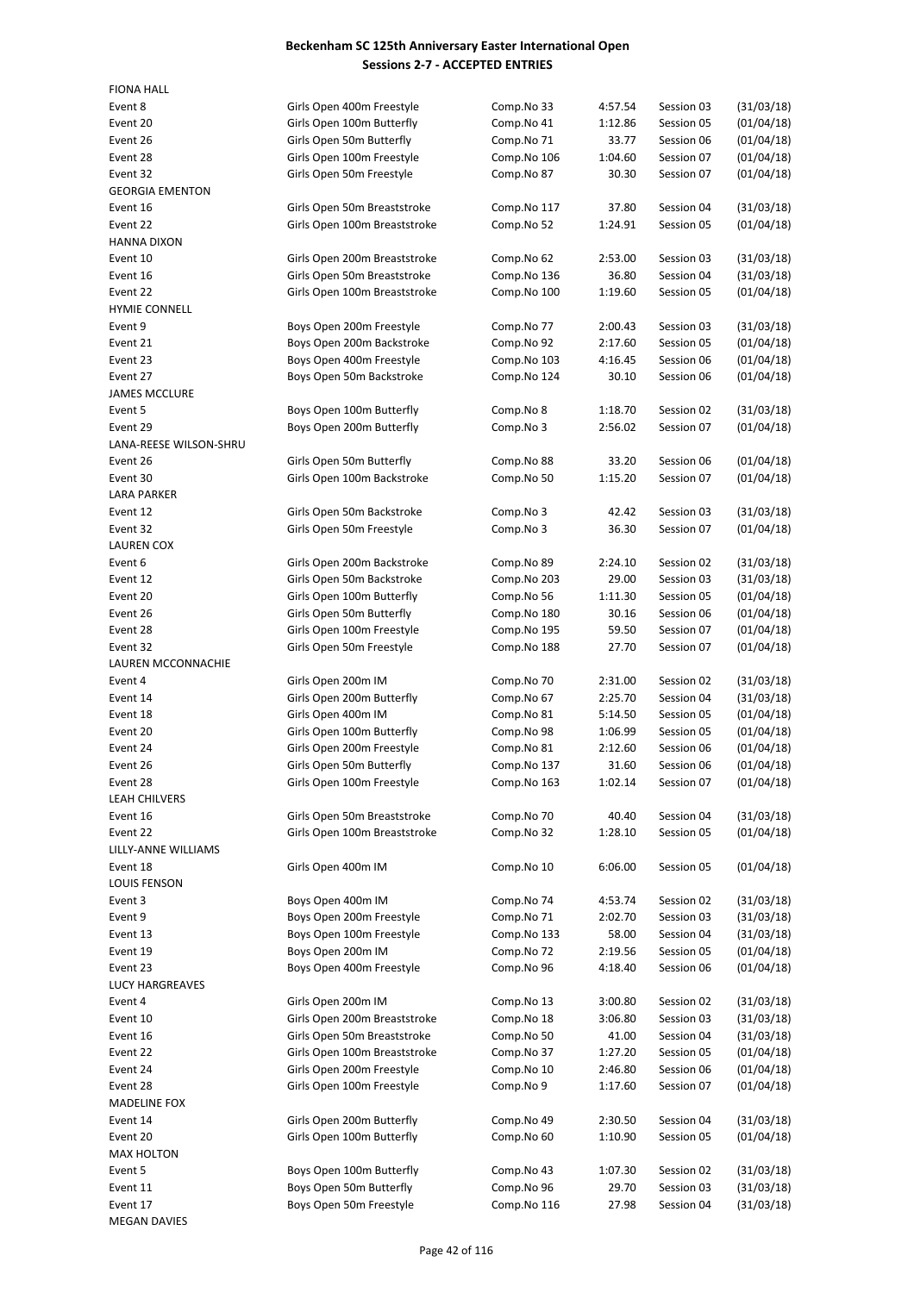| <b>FIONA HALL</b>               |                                                         |                           |                  |                          |            |
|---------------------------------|---------------------------------------------------------|---------------------------|------------------|--------------------------|------------|
| Event 8                         | Girls Open 400m Freestyle                               | Comp.No 33                | 4:57.54          | Session 03               | (31/03/18) |
| Event 20                        | Girls Open 100m Butterfly                               | Comp.No 41                | 1:12.86          | Session 05               | (01/04/18) |
| Event 26                        | Girls Open 50m Butterfly                                | Comp.No 71                | 33.77            | Session 06               | (01/04/18) |
| Event 28                        | Girls Open 100m Freestyle                               | Comp.No 106               | 1:04.60          | Session 07               | (01/04/18) |
| Event 32                        | Girls Open 50m Freestyle                                | Comp.No 87                | 30.30            | Session 07               | (01/04/18) |
| <b>GEORGIA EMENTON</b>          |                                                         |                           |                  |                          |            |
| Event 16                        | Girls Open 50m Breaststroke                             | Comp.No 117               | 37.80            | Session 04<br>Session 05 | (31/03/18) |
| Event 22<br><b>HANNA DIXON</b>  | Girls Open 100m Breaststroke                            | Comp.No 52                | 1:24.91          |                          | (01/04/18) |
| Event 10                        | Girls Open 200m Breaststroke                            | Comp.No 62                | 2:53.00          | Session 03               | (31/03/18) |
| Event 16                        | Girls Open 50m Breaststroke                             | Comp.No 136               | 36.80            | Session 04               | (31/03/18) |
| Event 22                        | Girls Open 100m Breaststroke                            | Comp.No 100               | 1:19.60          | Session 05               | (01/04/18) |
| <b>HYMIE CONNELL</b>            |                                                         |                           |                  |                          |            |
| Event 9                         | Boys Open 200m Freestyle                                | Comp.No 77                | 2:00.43          | Session 03               | (31/03/18) |
| Event 21                        | Boys Open 200m Backstroke                               | Comp.No 92                | 2:17.60          | Session 05               | (01/04/18) |
| Event 23                        | Boys Open 400m Freestyle                                | Comp.No 103               | 4:16.45          | Session 06               | (01/04/18) |
| Event 27                        | Boys Open 50m Backstroke                                | Comp.No 124               | 30.10            | Session 06               | (01/04/18) |
| <b>JAMES MCCLURE</b>            |                                                         |                           |                  |                          |            |
| Event 5                         | Boys Open 100m Butterfly                                | Comp.No 8                 | 1:18.70          | Session 02               | (31/03/18) |
| Event 29                        | Boys Open 200m Butterfly                                | Comp.No 3                 | 2:56.02          | Session 07               | (01/04/18) |
| LANA-REESE WILSON-SHRU          |                                                         |                           |                  |                          |            |
| Event 26                        | Girls Open 50m Butterfly                                | Comp.No 88                | 33.20            | Session 06               | (01/04/18) |
| Event 30                        | Girls Open 100m Backstroke                              | Comp.No 50                | 1:15.20          | Session 07               | (01/04/18) |
| LARA PARKER                     |                                                         |                           |                  |                          |            |
| Event 12                        | Girls Open 50m Backstroke                               | Comp.No 3                 | 42.42            | Session 03               | (31/03/18) |
| Event 32                        | Girls Open 50m Freestyle                                | Comp.No 3                 | 36.30            | Session 07               | (01/04/18) |
| <b>LAUREN COX</b><br>Event 6    |                                                         |                           |                  |                          | (31/03/18) |
| Event 12                        | Girls Open 200m Backstroke<br>Girls Open 50m Backstroke | Comp.No 89<br>Comp.No 203 | 2:24.10<br>29.00 | Session 02<br>Session 03 | (31/03/18) |
| Event 20                        | Girls Open 100m Butterfly                               | Comp.No 56                | 1:11.30          | Session 05               | (01/04/18) |
| Event 26                        | Girls Open 50m Butterfly                                | Comp.No 180               | 30.16            | Session 06               | (01/04/18) |
| Event 28                        | Girls Open 100m Freestyle                               | Comp.No 195               | 59.50            | Session 07               | (01/04/18) |
| Event 32                        | Girls Open 50m Freestyle                                | Comp.No 188               | 27.70            | Session 07               | (01/04/18) |
| LAUREN MCCONNACHIE              |                                                         |                           |                  |                          |            |
| Event 4                         | Girls Open 200m IM                                      | Comp.No 70                | 2:31.00          | Session 02               | (31/03/18) |
| Event 14                        | Girls Open 200m Butterfly                               | Comp.No 67                | 2:25.70          | Session 04               | (31/03/18) |
| Event 18                        | Girls Open 400m IM                                      | Comp.No 81                | 5:14.50          | Session 05               | (01/04/18) |
| Event 20                        | Girls Open 100m Butterfly                               | Comp.No 98                | 1:06.99          | Session 05               | (01/04/18) |
| Event 24                        | Girls Open 200m Freestyle                               | Comp.No 81                | 2:12.60          | Session 06               | (01/04/18) |
| Event 26                        | Girls Open 50m Butterfly                                | Comp.No 137               | 31.60            | Session 06               | (01/04/18) |
| Event 28                        | Girls Open 100m Freestyle                               | Comp.No 163               | 1:02.14          | Session 07               | (01/04/18) |
| <b>LEAH CHILVERS</b>            |                                                         |                           |                  |                          |            |
| Event 16                        | Girls Open 50m Breaststroke                             | Comp.No 70                | 40.40            | Session 04               | (31/03/18) |
| Event 22                        | Girls Open 100m Breaststroke                            | Comp.No 32                | 1:28.10          | Session 05               | (01/04/18) |
| LILLY-ANNE WILLIAMS<br>Event 18 | Girls Open 400m IM                                      | Comp.No 10                | 6:06.00          | Session 05               | (01/04/18) |
| LOUIS FENSON                    |                                                         |                           |                  |                          |            |
| Event 3                         | Boys Open 400m IM                                       | Comp.No 74                | 4:53.74          | Session 02               | (31/03/18) |
| Event 9                         | Boys Open 200m Freestyle                                | Comp.No 71                | 2:02.70          | Session 03               | (31/03/18) |
| Event 13                        | Boys Open 100m Freestyle                                | Comp.No 133               | 58.00            | Session 04               | (31/03/18) |
| Event 19                        | Boys Open 200m IM                                       | Comp.No 72                | 2:19.56          | Session 05               | (01/04/18) |
| Event 23                        | Boys Open 400m Freestyle                                | Comp.No 96                | 4:18.40          | Session 06               | (01/04/18) |
| LUCY HARGREAVES                 |                                                         |                           |                  |                          |            |
| Event 4                         | Girls Open 200m IM                                      | Comp.No 13                | 3:00.80          | Session 02               | (31/03/18) |
| Event 10                        | Girls Open 200m Breaststroke                            | Comp.No 18                | 3:06.80          | Session 03               | (31/03/18) |
| Event 16                        | Girls Open 50m Breaststroke                             | Comp.No 50                | 41.00            | Session 04               | (31/03/18) |
| Event 22                        | Girls Open 100m Breaststroke                            | Comp.No 37                | 1:27.20          | Session 05               | (01/04/18) |
| Event 24                        | Girls Open 200m Freestyle                               | Comp.No 10                | 2:46.80          | Session 06               | (01/04/18) |
| Event 28                        | Girls Open 100m Freestyle                               | Comp.No 9                 | 1:17.60          | Session 07               | (01/04/18) |
| MADELINE FOX                    |                                                         |                           |                  |                          |            |
| Event 14                        | Girls Open 200m Butterfly                               | Comp.No 49                | 2:30.50          | Session 04               | (31/03/18) |
| Event 20<br><b>MAX HOLTON</b>   | Girls Open 100m Butterfly                               | Comp.No 60                | 1:10.90          | Session 05               | (01/04/18) |
| Event 5                         | Boys Open 100m Butterfly                                | Comp.No 43                | 1:07.30          | Session 02               | (31/03/18) |
| Event 11                        | Boys Open 50m Butterfly                                 | Comp.No 96                | 29.70            | Session 03               | (31/03/18) |
| Event 17                        | Boys Open 50m Freestyle                                 | Comp.No 116               | 27.98            | Session 04               | (31/03/18) |
| <b>MEGAN DAVIES</b>             |                                                         |                           |                  |                          |            |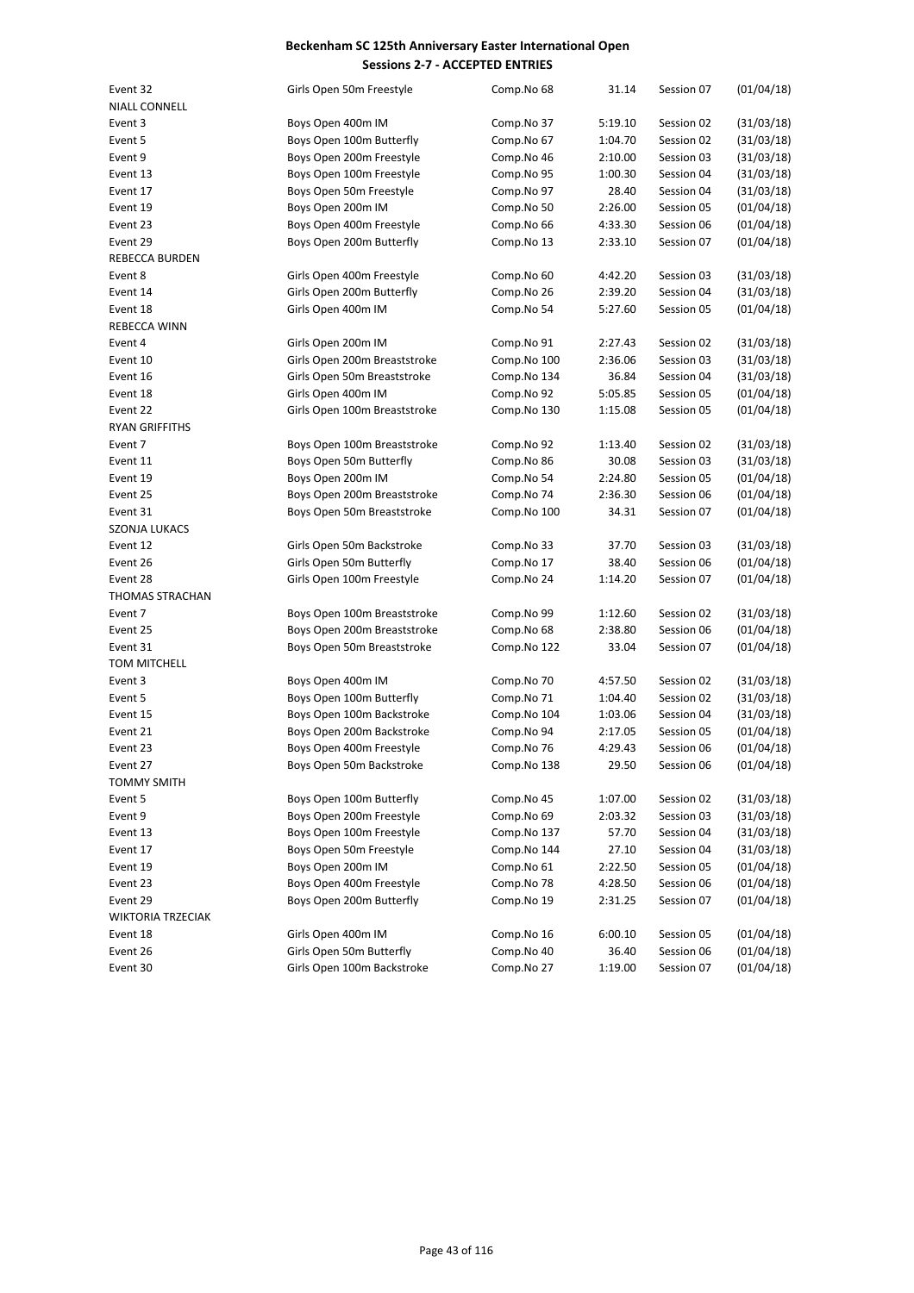| Event 32                 | Girls Open 50m Freestyle     | Comp.No 68  | 31.14   | Session 07 | (01/04/18) |
|--------------------------|------------------------------|-------------|---------|------------|------------|
| <b>NIALL CONNELL</b>     |                              |             |         |            |            |
| Event 3                  | Boys Open 400m IM            | Comp.No 37  | 5:19.10 | Session 02 | (31/03/18) |
| Event 5                  | Boys Open 100m Butterfly     | Comp.No 67  | 1:04.70 | Session 02 | (31/03/18) |
| Event 9                  | Boys Open 200m Freestyle     | Comp.No 46  | 2:10.00 | Session 03 | (31/03/18) |
| Event 13                 | Boys Open 100m Freestyle     | Comp.No 95  | 1:00.30 | Session 04 | (31/03/18) |
| Event 17                 | Boys Open 50m Freestyle      | Comp.No 97  | 28.40   | Session 04 | (31/03/18) |
| Event 19                 | Boys Open 200m IM            | Comp.No 50  | 2:26.00 | Session 05 | (01/04/18) |
| Event 23                 | Boys Open 400m Freestyle     | Comp.No 66  | 4:33.30 | Session 06 | (01/04/18) |
| Event 29                 | Boys Open 200m Butterfly     | Comp.No 13  | 2:33.10 | Session 07 | (01/04/18) |
| <b>REBECCA BURDEN</b>    |                              |             |         |            |            |
| Event 8                  | Girls Open 400m Freestyle    | Comp.No 60  | 4:42.20 | Session 03 | (31/03/18) |
| Event 14                 | Girls Open 200m Butterfly    | Comp.No 26  | 2:39.20 | Session 04 | (31/03/18) |
| Event 18                 | Girls Open 400m IM           | Comp.No 54  | 5:27.60 | Session 05 | (01/04/18) |
| REBECCA WINN             |                              |             |         |            |            |
| Event 4                  | Girls Open 200m IM           | Comp.No 91  | 2:27.43 | Session 02 | (31/03/18) |
| Event 10                 | Girls Open 200m Breaststroke | Comp.No 100 | 2:36.06 | Session 03 | (31/03/18) |
| Event 16                 | Girls Open 50m Breaststroke  | Comp.No 134 | 36.84   | Session 04 | (31/03/18) |
| Event 18                 | Girls Open 400m IM           | Comp.No 92  | 5:05.85 | Session 05 | (01/04/18) |
| Event 22                 | Girls Open 100m Breaststroke | Comp.No 130 | 1:15.08 | Session 05 | (01/04/18) |
| <b>RYAN GRIFFITHS</b>    |                              |             |         |            |            |
| Event 7                  | Boys Open 100m Breaststroke  | Comp.No 92  | 1:13.40 | Session 02 | (31/03/18) |
| Event 11                 | Boys Open 50m Butterfly      | Comp.No 86  | 30.08   | Session 03 | (31/03/18) |
| Event 19                 | Boys Open 200m IM            | Comp.No 54  | 2:24.80 | Session 05 | (01/04/18) |
| Event 25                 | Boys Open 200m Breaststroke  | Comp.No 74  | 2:36.30 | Session 06 | (01/04/18) |
| Event 31                 | Boys Open 50m Breaststroke   | Comp.No 100 | 34.31   | Session 07 | (01/04/18) |
| <b>SZONJA LUKACS</b>     |                              |             |         |            |            |
| Event 12                 | Girls Open 50m Backstroke    | Comp.No 33  | 37.70   | Session 03 | (31/03/18) |
| Event 26                 | Girls Open 50m Butterfly     | Comp.No 17  | 38.40   | Session 06 | (01/04/18) |
| Event 28                 | Girls Open 100m Freestyle    | Comp.No 24  | 1:14.20 | Session 07 | (01/04/18) |
| THOMAS STRACHAN          |                              |             |         |            |            |
| Event 7                  | Boys Open 100m Breaststroke  | Comp.No 99  | 1:12.60 | Session 02 | (31/03/18) |
| Event 25                 | Boys Open 200m Breaststroke  | Comp.No 68  | 2:38.80 | Session 06 | (01/04/18) |
| Event 31                 | Boys Open 50m Breaststroke   | Comp.No 122 | 33.04   | Session 07 | (01/04/18) |
| TOM MITCHELL             |                              |             |         |            |            |
| Event 3                  | Boys Open 400m IM            | Comp.No 70  | 4:57.50 | Session 02 | (31/03/18) |
| Event 5                  | Boys Open 100m Butterfly     | Comp.No 71  | 1:04.40 | Session 02 | (31/03/18) |
| Event 15                 | Boys Open 100m Backstroke    | Comp.No 104 | 1:03.06 | Session 04 | (31/03/18) |
| Event 21                 | Boys Open 200m Backstroke    | Comp.No 94  | 2:17.05 | Session 05 | (01/04/18) |
| Event 23                 | Boys Open 400m Freestyle     | Comp.No 76  | 4:29.43 | Session 06 | (01/04/18) |
| Event 27                 | Boys Open 50m Backstroke     | Comp.No 138 | 29.50   | Session 06 | (01/04/18) |
| TOMMY SMITH              |                              |             |         |            |            |
| Event 5                  | Boys Open 100m Butterfly     | Comp.No 45  | 1:07.00 | Session 02 | (31/03/18) |
| Event 9                  | Boys Open 200m Freestyle     | Comp.No 69  | 2:03.32 | Session 03 | (31/03/18) |
| Event 13                 | Boys Open 100m Freestyle     | Comp.No 137 | 57.70   | Session 04 | (31/03/18) |
| Event 17                 | Boys Open 50m Freestyle      | Comp.No 144 | 27.10   | Session 04 | (31/03/18) |
| Event 19                 | Boys Open 200m IM            | Comp.No 61  | 2:22.50 | Session 05 | (01/04/18) |
| Event 23                 | Boys Open 400m Freestyle     | Comp.No 78  | 4:28.50 | Session 06 | (01/04/18) |
| Event 29                 | Boys Open 200m Butterfly     | Comp.No 19  | 2:31.25 | Session 07 | (01/04/18) |
| <b>WIKTORIA TRZECIAK</b> |                              |             |         |            |            |
| Event 18                 | Girls Open 400m IM           | Comp.No 16  | 6:00.10 | Session 05 | (01/04/18) |
| Event 26                 | Girls Open 50m Butterfly     | Comp.No 40  | 36.40   | Session 06 | (01/04/18) |
|                          | Girls Open 100m Backstroke   |             |         |            |            |
| Event 30                 |                              | Comp.No 27  | 1:19.00 | Session 07 | (01/04/18) |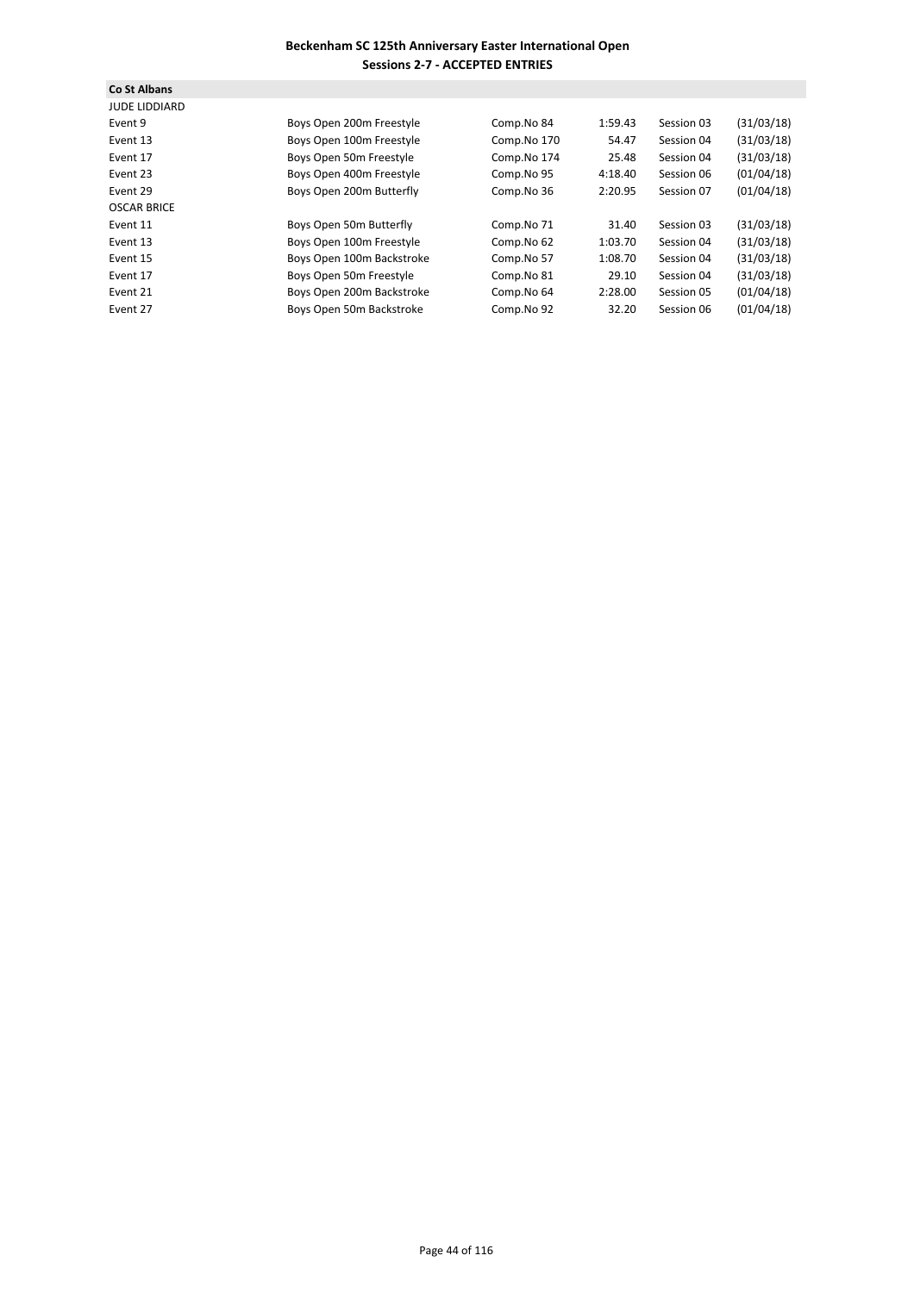| Co St Albans<br><b>JUDE LIDDIARD</b> |                           |             |         |            |            |
|--------------------------------------|---------------------------|-------------|---------|------------|------------|
| Event 9                              | Boys Open 200m Freestyle  | Comp.No 84  | 1:59.43 | Session 03 | (31/03/18) |
| Event 13                             | Boys Open 100m Freestyle  | Comp.No 170 | 54.47   | Session 04 | (31/03/18) |
| Event 17                             | Boys Open 50m Freestyle   | Comp.No 174 | 25.48   | Session 04 | (31/03/18) |
| Event 23                             | Boys Open 400m Freestyle  | Comp.No 95  | 4:18.40 | Session 06 | (01/04/18) |
| Event 29                             | Boys Open 200m Butterfly  | Comp.No 36  | 2:20.95 | Session 07 | (01/04/18) |
| <b>OSCAR BRICE</b>                   |                           |             |         |            |            |
| Event 11                             | Boys Open 50m Butterfly   | Comp.No 71  | 31.40   | Session 03 | (31/03/18) |
| Event 13                             | Boys Open 100m Freestyle  | Comp.No 62  | 1:03.70 | Session 04 | (31/03/18) |
| Event 15                             | Boys Open 100m Backstroke | Comp.No 57  | 1:08.70 | Session 04 | (31/03/18) |
| Event 17                             | Boys Open 50m Freestyle   | Comp.No 81  | 29.10   | Session 04 | (31/03/18) |
| Event 21                             | Boys Open 200m Backstroke | Comp.No 64  | 2:28.00 | Session 05 | (01/04/18) |
| Event 27                             | Boys Open 50m Backstroke  | Comp.No 92  | 32.20   | Session 06 | (01/04/18) |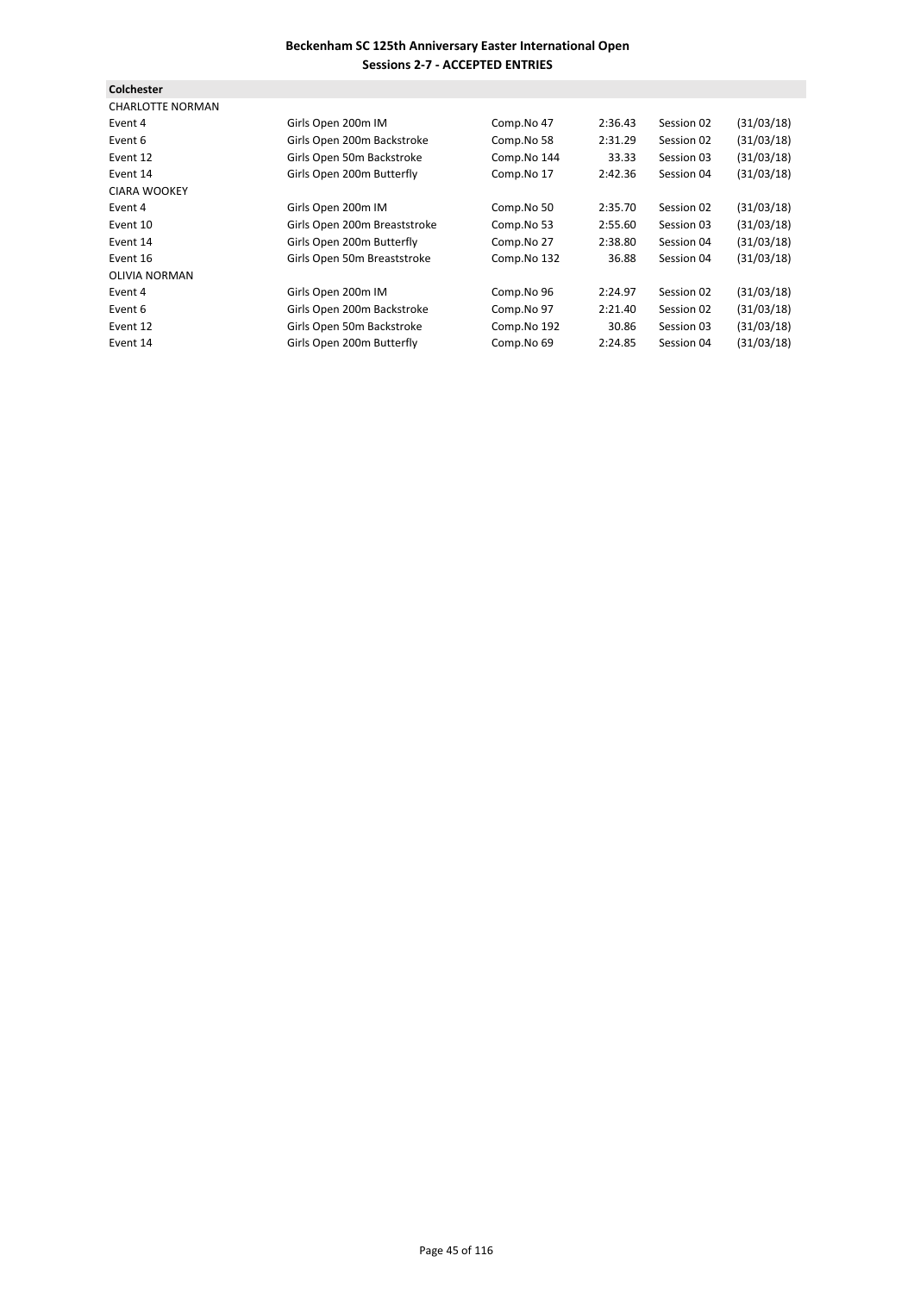| Colchester              |                              |             |         |            |            |
|-------------------------|------------------------------|-------------|---------|------------|------------|
| <b>CHARLOTTE NORMAN</b> |                              |             |         |            |            |
| Event 4                 | Girls Open 200m IM           | Comp.No 47  | 2:36.43 | Session 02 | (31/03/18) |
| Event 6                 | Girls Open 200m Backstroke   | Comp.No 58  | 2:31.29 | Session 02 | (31/03/18) |
| Event 12                | Girls Open 50m Backstroke    | Comp.No 144 | 33.33   | Session 03 | (31/03/18) |
| Event 14                | Girls Open 200m Butterfly    | Comp.No 17  | 2:42.36 | Session 04 | (31/03/18) |
| <b>CIARA WOOKEY</b>     |                              |             |         |            |            |
| Event 4                 | Girls Open 200m IM           | Comp.No 50  | 2:35.70 | Session 02 | (31/03/18) |
| Event 10                | Girls Open 200m Breaststroke | Comp.No 53  | 2:55.60 | Session 03 | (31/03/18) |
| Event 14                | Girls Open 200m Butterfly    | Comp.No 27  | 2:38.80 | Session 04 | (31/03/18) |
| Event 16                | Girls Open 50m Breaststroke  | Comp.No 132 | 36.88   | Session 04 | (31/03/18) |
| <b>OLIVIA NORMAN</b>    |                              |             |         |            |            |
| Event 4                 | Girls Open 200m IM           | Comp.No 96  | 2:24.97 | Session 02 | (31/03/18) |
| Event 6                 | Girls Open 200m Backstroke   | Comp.No 97  | 2:21.40 | Session 02 | (31/03/18) |
| Event 12                | Girls Open 50m Backstroke    | Comp.No 192 | 30.86   | Session 03 | (31/03/18) |
| Event 14                | Girls Open 200m Butterfly    | Comp.No 69  | 2:24.85 | Session 04 | (31/03/18) |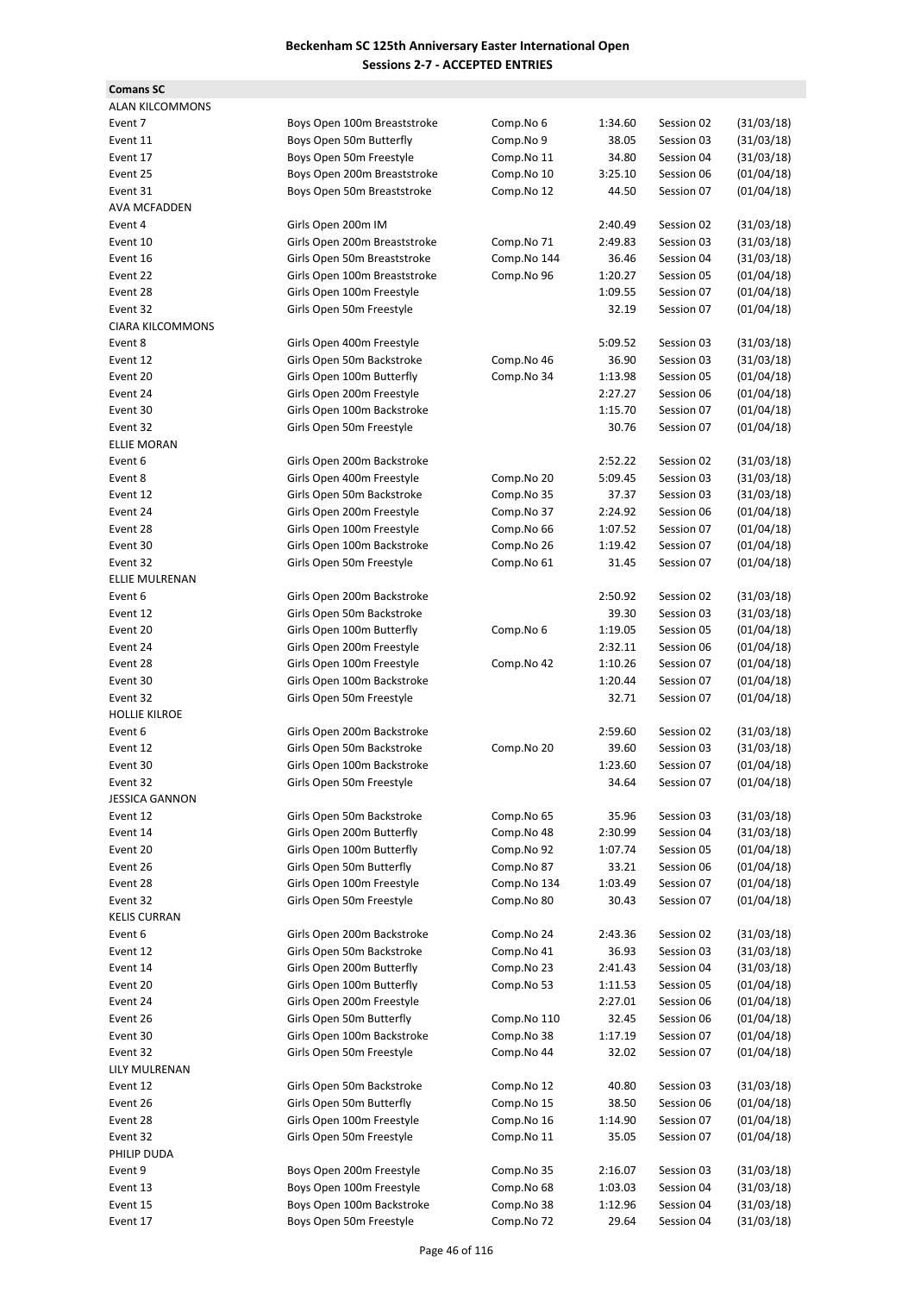| <b>Comans SC</b>        |                              |             |         |            |            |
|-------------------------|------------------------------|-------------|---------|------------|------------|
| <b>ALAN KILCOMMONS</b>  |                              |             |         |            |            |
| Event 7                 | Boys Open 100m Breaststroke  | Comp.No 6   | 1:34.60 | Session 02 | (31/03/18) |
| Event 11                | Boys Open 50m Butterfly      | Comp.No 9   | 38.05   | Session 03 | (31/03/18) |
| Event 17                | Boys Open 50m Freestyle      | Comp.No 11  | 34.80   | Session 04 | (31/03/18) |
| Event 25                | Boys Open 200m Breaststroke  | Comp.No 10  | 3:25.10 | Session 06 | (01/04/18) |
| Event 31                | Boys Open 50m Breaststroke   | Comp.No 12  | 44.50   | Session 07 | (01/04/18) |
| <b>AVA MCFADDEN</b>     |                              |             |         |            |            |
| Event 4                 | Girls Open 200m IM           |             | 2:40.49 | Session 02 | (31/03/18) |
| Event 10                | Girls Open 200m Breaststroke | Comp.No 71  | 2:49.83 | Session 03 | (31/03/18) |
| Event 16                | Girls Open 50m Breaststroke  | Comp.No 144 | 36.46   | Session 04 | (31/03/18) |
| Event 22                | Girls Open 100m Breaststroke | Comp.No 96  | 1:20.27 | Session 05 | (01/04/18) |
| Event 28                | Girls Open 100m Freestyle    |             | 1:09.55 | Session 07 | (01/04/18) |
| Event 32                | Girls Open 50m Freestyle     |             | 32.19   | Session 07 | (01/04/18) |
| <b>CIARA KILCOMMONS</b> |                              |             |         |            |            |
| Event 8                 |                              |             |         | Session 03 | (31/03/18) |
|                         | Girls Open 400m Freestyle    |             | 5:09.52 |            |            |
| Event 12                | Girls Open 50m Backstroke    | Comp.No 46  | 36.90   | Session 03 | (31/03/18) |
| Event 20                | Girls Open 100m Butterfly    | Comp.No 34  | 1:13.98 | Session 05 | (01/04/18) |
| Event 24                | Girls Open 200m Freestyle    |             | 2:27.27 | Session 06 | (01/04/18) |
| Event 30                | Girls Open 100m Backstroke   |             | 1:15.70 | Session 07 | (01/04/18) |
| Event 32                | Girls Open 50m Freestyle     |             | 30.76   | Session 07 | (01/04/18) |
| <b>ELLIE MORAN</b>      |                              |             |         |            |            |
| Event 6                 | Girls Open 200m Backstroke   |             | 2:52.22 | Session 02 | (31/03/18) |
| Event 8                 | Girls Open 400m Freestyle    | Comp.No 20  | 5:09.45 | Session 03 | (31/03/18) |
| Event 12                | Girls Open 50m Backstroke    | Comp.No 35  | 37.37   | Session 03 | (31/03/18) |
| Event 24                | Girls Open 200m Freestyle    | Comp.No 37  | 2:24.92 | Session 06 | (01/04/18) |
| Event 28                | Girls Open 100m Freestyle    | Comp.No 66  | 1:07.52 | Session 07 | (01/04/18) |
| Event 30                | Girls Open 100m Backstroke   | Comp.No 26  | 1:19.42 | Session 07 | (01/04/18) |
| Event 32                | Girls Open 50m Freestyle     | Comp.No 61  | 31.45   | Session 07 | (01/04/18) |
| ELLIE MULRENAN          |                              |             |         |            |            |
| Event 6                 | Girls Open 200m Backstroke   |             | 2:50.92 | Session 02 | (31/03/18) |
| Event 12                | Girls Open 50m Backstroke    |             | 39.30   | Session 03 | (31/03/18) |
| Event 20                | Girls Open 100m Butterfly    | Comp.No 6   | 1:19.05 | Session 05 | (01/04/18) |
| Event 24                | Girls Open 200m Freestyle    |             | 2:32.11 | Session 06 | (01/04/18) |
| Event 28                | Girls Open 100m Freestyle    | Comp.No 42  | 1:10.26 | Session 07 | (01/04/18) |
| Event 30                | Girls Open 100m Backstroke   |             | 1:20.44 | Session 07 | (01/04/18) |
| Event 32                | Girls Open 50m Freestyle     |             | 32.71   | Session 07 | (01/04/18) |
| <b>HOLLIE KILROE</b>    |                              |             |         |            |            |
| Event 6                 | Girls Open 200m Backstroke   |             | 2:59.60 | Session 02 | (31/03/18) |
| Event 12                | Girls Open 50m Backstroke    | Comp.No 20  | 39.60   | Session 03 | (31/03/18) |
| Event 30                | Girls Open 100m Backstroke   |             | 1:23.60 | Session 07 | (01/04/18) |
| Event 32                | Girls Open 50m Freestyle     |             | 34.64   | Session 07 | (01/04/18) |
| <b>JESSICA GANNON</b>   |                              |             |         |            |            |
| Event 12                | Girls Open 50m Backstroke    | Comp.No 65  | 35.96   | Session 03 | (31/03/18) |
| Event 14                | Girls Open 200m Butterfly    | Comp.No 48  |         | Session 04 | (31/03/18) |
|                         | Girls Open 100m Butterfly    | Comp.No 92  | 2:30.99 |            | (01/04/18) |
| Event 20                |                              |             | 1:07.74 | Session 05 |            |
| Event 26                | Girls Open 50m Butterfly     | Comp.No 87  | 33.21   | Session 06 | (01/04/18) |
| Event 28                | Girls Open 100m Freestyle    | Comp.No 134 | 1:03.49 | Session 07 | (01/04/18) |
| Event 32                | Girls Open 50m Freestyle     | Comp.No 80  | 30.43   | Session 07 | (01/04/18) |
| <b>KELIS CURRAN</b>     |                              |             |         |            |            |
| Event 6                 | Girls Open 200m Backstroke   | Comp.No 24  | 2:43.36 | Session 02 | (31/03/18) |
| Event 12                | Girls Open 50m Backstroke    | Comp.No 41  | 36.93   | Session 03 | (31/03/18) |
| Event 14                | Girls Open 200m Butterfly    | Comp.No 23  | 2:41.43 | Session 04 | (31/03/18) |
| Event 20                | Girls Open 100m Butterfly    | Comp.No 53  | 1:11.53 | Session 05 | (01/04/18) |
| Event 24                | Girls Open 200m Freestyle    |             | 2:27.01 | Session 06 | (01/04/18) |
| Event 26                | Girls Open 50m Butterfly     | Comp.No 110 | 32.45   | Session 06 | (01/04/18) |
| Event 30                | Girls Open 100m Backstroke   | Comp.No 38  | 1:17.19 | Session 07 | (01/04/18) |
| Event 32                | Girls Open 50m Freestyle     | Comp.No 44  | 32.02   | Session 07 | (01/04/18) |
| LILY MULRENAN           |                              |             |         |            |            |
| Event 12                | Girls Open 50m Backstroke    | Comp.No 12  | 40.80   | Session 03 | (31/03/18) |
| Event 26                | Girls Open 50m Butterfly     | Comp.No 15  | 38.50   | Session 06 | (01/04/18) |
| Event 28                | Girls Open 100m Freestyle    | Comp.No 16  | 1:14.90 | Session 07 | (01/04/18) |
| Event 32                | Girls Open 50m Freestyle     | Comp.No 11  | 35.05   | Session 07 | (01/04/18) |
| PHILIP DUDA             |                              |             |         |            |            |
| Event 9                 | Boys Open 200m Freestyle     | Comp.No 35  | 2:16.07 | Session 03 | (31/03/18) |
| Event 13                | Boys Open 100m Freestyle     | Comp.No 68  | 1:03.03 | Session 04 | (31/03/18) |
| Event 15                | Boys Open 100m Backstroke    | Comp.No 38  | 1:12.96 | Session 04 | (31/03/18) |
| Event 17                | Boys Open 50m Freestyle      | Comp.No 72  | 29.64   | Session 04 | (31/03/18) |
|                         |                              |             |         |            |            |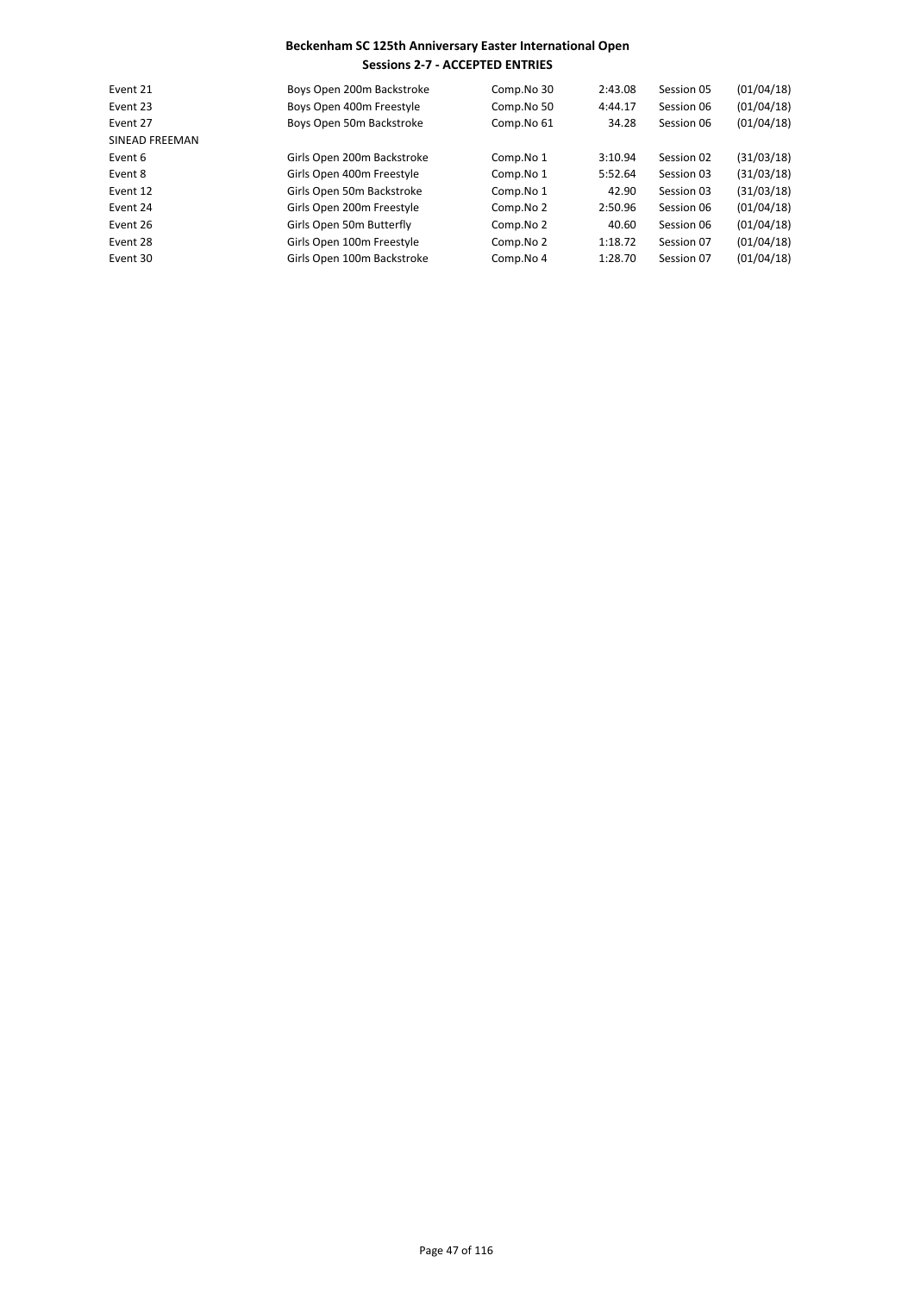| Event 21              | Boys Open 200m Backstroke  | Comp.No 30 | 2:43.08 | Session 05 | (01/04/18) |
|-----------------------|----------------------------|------------|---------|------------|------------|
| Event 23              | Boys Open 400m Freestyle   | Comp.No 50 | 4:44.17 | Session 06 | (01/04/18) |
| Event 27              | Boys Open 50m Backstroke   | Comp.No 61 | 34.28   | Session 06 | (01/04/18) |
| <b>SINEAD FREEMAN</b> |                            |            |         |            |            |
| Event 6               | Girls Open 200m Backstroke | Comp.No 1  | 3:10.94 | Session 02 | (31/03/18) |
| Event 8               | Girls Open 400m Freestyle  | Comp.No 1  | 5:52.64 | Session 03 | (31/03/18) |
| Event 12              | Girls Open 50m Backstroke  | Comp.No 1  | 42.90   | Session 03 | (31/03/18) |
| Event 24              | Girls Open 200m Freestyle  | Comp.No 2  | 2:50.96 | Session 06 | (01/04/18) |
| Event 26              | Girls Open 50m Butterfly   | Comp.No 2  | 40.60   | Session 06 | (01/04/18) |
| Event 28              | Girls Open 100m Freestyle  | Comp.No 2  | 1:18.72 | Session 07 | (01/04/18) |
| Event 30              | Girls Open 100m Backstroke | Comp.No 4  | 1:28.70 | Session 07 | (01/04/18) |
|                       |                            |            |         |            |            |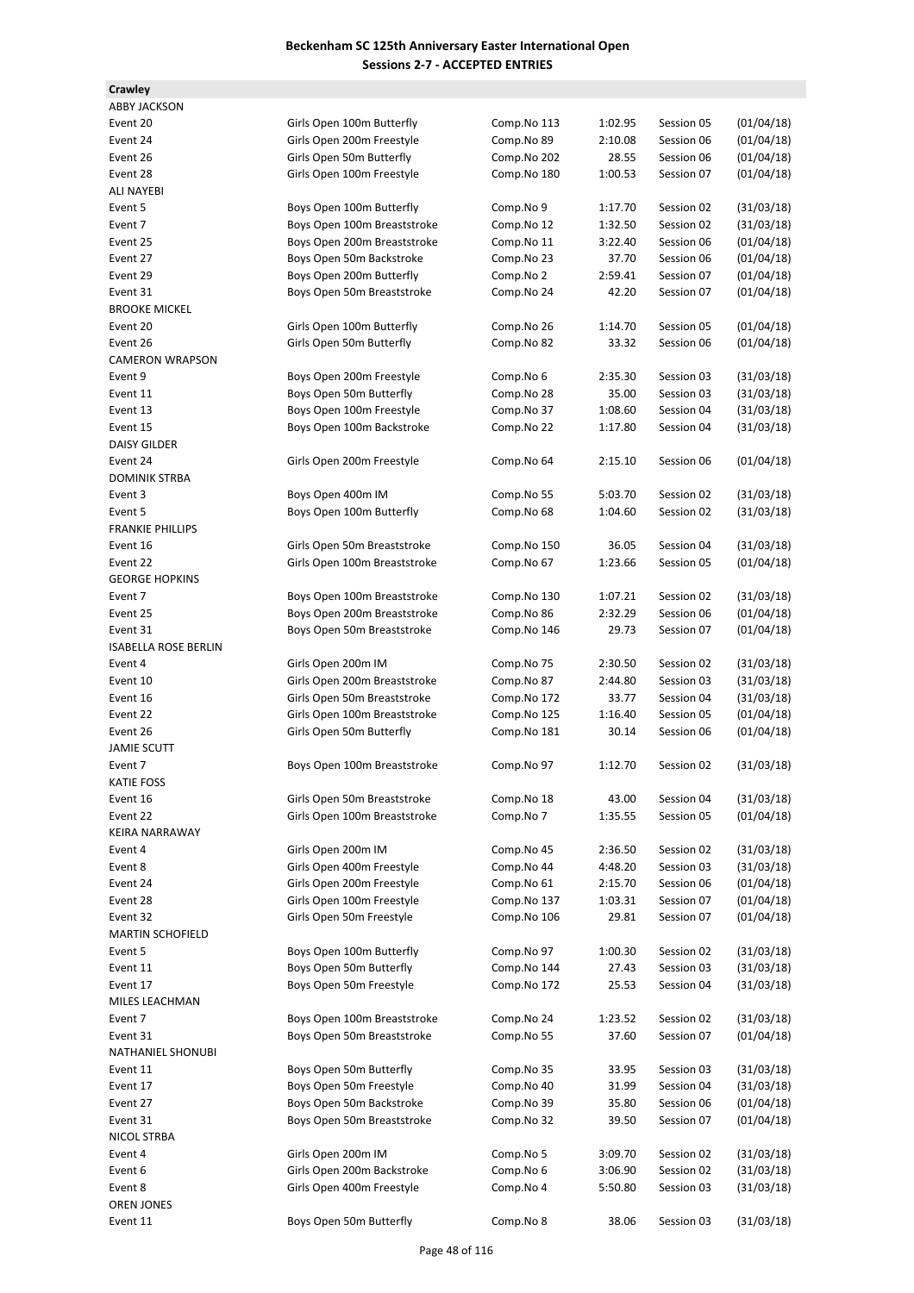| <b>ABBY JACKSON</b>         |                              |             |         |            |            |
|-----------------------------|------------------------------|-------------|---------|------------|------------|
| Event 20                    | Girls Open 100m Butterfly    | Comp.No 113 | 1:02.95 | Session 05 | (01/04/18) |
| Event 24                    | Girls Open 200m Freestyle    | Comp.No 89  | 2:10.08 | Session 06 | (01/04/18) |
| Event 26                    | Girls Open 50m Butterfly     | Comp.No 202 | 28.55   | Session 06 | (01/04/18) |
| Event 28                    | Girls Open 100m Freestyle    | Comp.No 180 | 1:00.53 | Session 07 | (01/04/18) |
| ALI NAYEBI                  |                              |             |         |            |            |
| Event 5                     | Boys Open 100m Butterfly     | Comp.No 9   | 1:17.70 | Session 02 | (31/03/18) |
| Event 7                     | Boys Open 100m Breaststroke  | Comp.No 12  | 1:32.50 | Session 02 | (31/03/18) |
| Event 25                    | Boys Open 200m Breaststroke  | Comp.No 11  | 3:22.40 | Session 06 | (01/04/18) |
| Event 27                    | Boys Open 50m Backstroke     | Comp.No 23  | 37.70   | Session 06 | (01/04/18) |
| Event 29                    |                              |             | 2:59.41 | Session 07 | (01/04/18) |
|                             | Boys Open 200m Butterfly     | Comp.No 2   |         |            |            |
| Event 31                    | Boys Open 50m Breaststroke   | Comp.No 24  | 42.20   | Session 07 | (01/04/18) |
| <b>BROOKE MICKEL</b>        |                              |             |         |            |            |
| Event 20                    | Girls Open 100m Butterfly    | Comp.No 26  | 1:14.70 | Session 05 | (01/04/18) |
| Event 26                    | Girls Open 50m Butterfly     | Comp.No 82  | 33.32   | Session 06 | (01/04/18) |
| <b>CAMERON WRAPSON</b>      |                              |             |         |            |            |
| Event 9                     | Boys Open 200m Freestyle     | Comp.No 6   | 2:35.30 | Session 03 | (31/03/18) |
| Event 11                    | Boys Open 50m Butterfly      | Comp.No 28  | 35.00   | Session 03 | (31/03/18) |
| Event 13                    | Boys Open 100m Freestyle     | Comp.No 37  | 1:08.60 | Session 04 | (31/03/18) |
| Event 15                    | Boys Open 100m Backstroke    | Comp.No 22  | 1:17.80 | Session 04 | (31/03/18) |
| <b>DAISY GILDER</b>         |                              |             |         |            |            |
| Event 24                    | Girls Open 200m Freestyle    | Comp.No 64  | 2:15.10 | Session 06 | (01/04/18) |
| <b>DOMINIK STRBA</b>        |                              |             |         |            |            |
| Event 3                     | Boys Open 400m IM            | Comp.No 55  | 5:03.70 | Session 02 | (31/03/18) |
| Event 5                     | Boys Open 100m Butterfly     | Comp.No 68  | 1:04.60 | Session 02 | (31/03/18) |
| <b>FRANKIE PHILLIPS</b>     |                              |             |         |            |            |
|                             |                              |             |         |            |            |
| Event 16                    | Girls Open 50m Breaststroke  | Comp.No 150 | 36.05   | Session 04 | (31/03/18) |
| Event 22                    | Girls Open 100m Breaststroke | Comp.No 67  | 1:23.66 | Session 05 | (01/04/18) |
| <b>GEORGE HOPKINS</b>       |                              |             |         |            |            |
| Event 7                     | Boys Open 100m Breaststroke  | Comp.No 130 | 1:07.21 | Session 02 | (31/03/18) |
| Event 25                    | Boys Open 200m Breaststroke  | Comp.No 86  | 2:32.29 | Session 06 | (01/04/18) |
| Event 31                    | Boys Open 50m Breaststroke   | Comp.No 146 | 29.73   | Session 07 | (01/04/18) |
| <b>ISABELLA ROSE BERLIN</b> |                              |             |         |            |            |
| Event 4                     | Girls Open 200m IM           | Comp.No 75  | 2:30.50 | Session 02 | (31/03/18) |
| Event 10                    | Girls Open 200m Breaststroke | Comp.No 87  | 2:44.80 | Session 03 | (31/03/18) |
| Event 16                    | Girls Open 50m Breaststroke  | Comp.No 172 | 33.77   | Session 04 | (31/03/18) |
| Event 22                    | Girls Open 100m Breaststroke | Comp.No 125 | 1:16.40 | Session 05 | (01/04/18) |
| Event 26                    | Girls Open 50m Butterfly     | Comp.No 181 | 30.14   | Session 06 | (01/04/18) |
| <b>JAMIE SCUTT</b>          |                              |             |         |            |            |
| Event 7                     | Boys Open 100m Breaststroke  | Comp.No 97  | 1:12.70 | Session 02 | (31/03/18) |
| <b>KATIE FOSS</b>           |                              |             |         |            |            |
|                             | Girls Open 50m Breaststroke  |             |         |            |            |
| Event 16                    |                              | Comp.No 18  | 43.00   | Session 04 | (31/03/18) |
| Event 22                    | Girls Open 100m Breaststroke | Comp.No 7   | 1:35.55 | Session 05 | (01/04/18) |
| KEIRA NARRAWAY              |                              |             |         |            |            |
| Event 4                     | Girls Open 200m IM           | Comp.No 45  | 2:36.50 | Session 02 | (31/03/18) |
| Event 8                     | Girls Open 400m Freestyle    | Comp.No 44  | 4:48.20 | Session 03 | (31/03/18) |
| Event 24                    | Girls Open 200m Freestyle    | Comp.No 61  | 2:15.70 | Session 06 | (01/04/18) |
| Event 28                    | Girls Open 100m Freestyle    | Comp.No 137 | 1:03.31 | Session 07 | (01/04/18) |
| Event 32                    | Girls Open 50m Freestyle     | Comp.No 106 | 29.81   | Session 07 | (01/04/18) |
| <b>MARTIN SCHOFIELD</b>     |                              |             |         |            |            |
| Event 5                     | Boys Open 100m Butterfly     | Comp.No 97  | 1:00.30 | Session 02 | (31/03/18) |
| Event 11                    | Boys Open 50m Butterfly      | Comp.No 144 | 27.43   | Session 03 | (31/03/18) |
| Event 17                    | Boys Open 50m Freestyle      | Comp.No 172 | 25.53   | Session 04 | (31/03/18) |
| MILES LEACHMAN              |                              |             |         |            |            |
| Event 7                     | Boys Open 100m Breaststroke  | Comp.No 24  | 1:23.52 | Session 02 | (31/03/18) |
| Event 31                    | Boys Open 50m Breaststroke   | Comp.No 55  | 37.60   | Session 07 | (01/04/18) |
|                             |                              |             |         |            |            |
| NATHANIEL SHONUBI           |                              |             |         |            |            |
| Event 11                    | Boys Open 50m Butterfly      | Comp.No 35  | 33.95   | Session 03 | (31/03/18) |
| Event 17                    | Boys Open 50m Freestyle      | Comp.No 40  | 31.99   | Session 04 | (31/03/18) |
| Event 27                    | Boys Open 50m Backstroke     | Comp.No 39  | 35.80   | Session 06 | (01/04/18) |
| Event 31                    | Boys Open 50m Breaststroke   | Comp.No 32  | 39.50   | Session 07 | (01/04/18) |
| NICOL STRBA                 |                              |             |         |            |            |
| Event 4                     | Girls Open 200m IM           | Comp.No 5   | 3:09.70 | Session 02 | (31/03/18) |
| Event 6                     | Girls Open 200m Backstroke   | Comp.No 6   | 3:06.90 | Session 02 | (31/03/18) |
| Event 8                     | Girls Open 400m Freestyle    | Comp.No 4   | 5:50.80 | Session 03 | (31/03/18) |
| OREN JONES                  |                              |             |         |            |            |
| Event 11                    | Boys Open 50m Butterfly      | Comp.No 8   | 38.06   | Session 03 | (31/03/18) |
|                             |                              |             |         |            |            |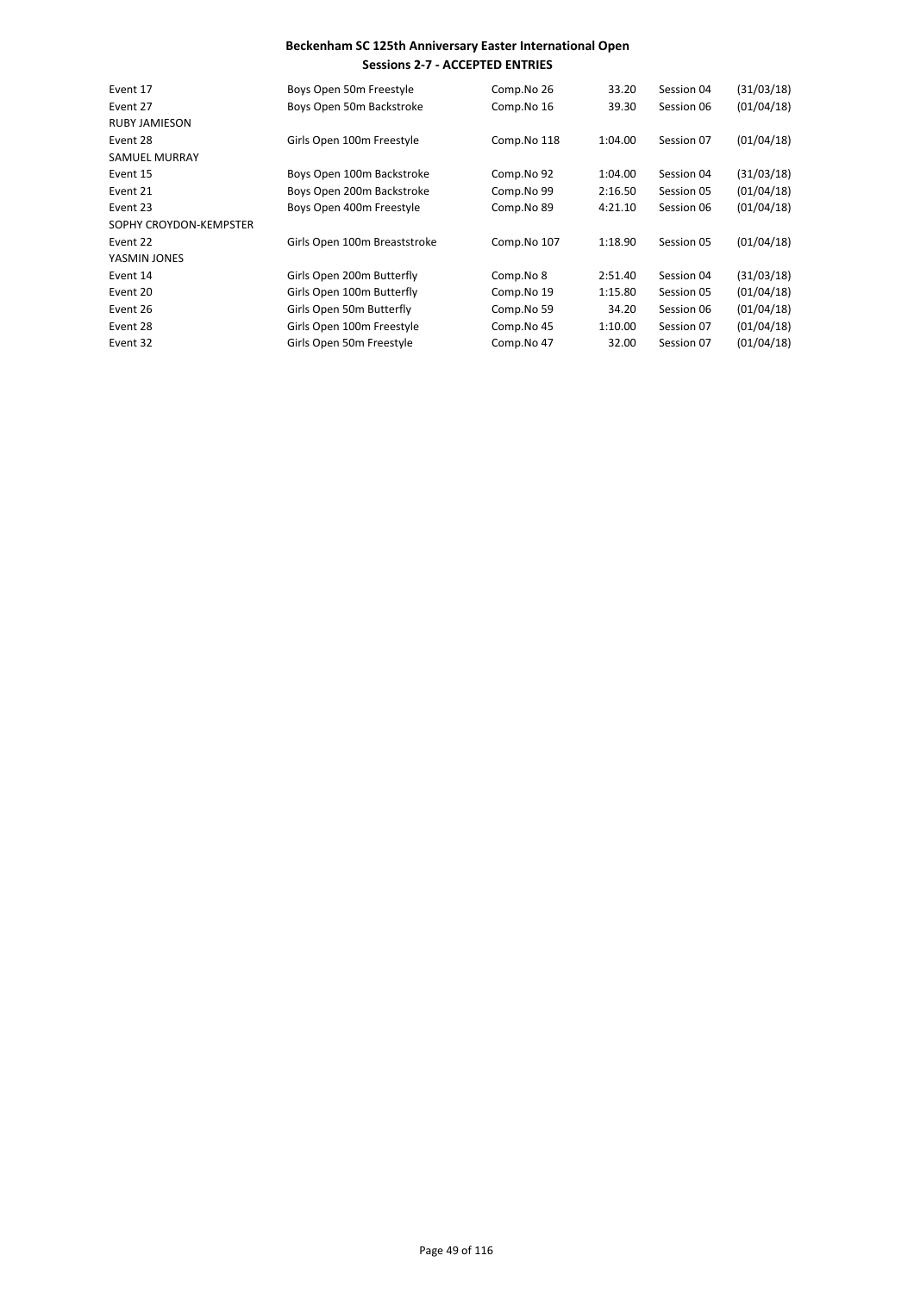| Event 17               | Boys Open 50m Freestyle      | Comp.No 26  | 33.20   | Session 04 | (31/03/18) |
|------------------------|------------------------------|-------------|---------|------------|------------|
| Event 27               | Boys Open 50m Backstroke     | Comp.No 16  | 39.30   | Session 06 | (01/04/18) |
| <b>RUBY JAMIESON</b>   |                              |             |         |            |            |
| Event 28               | Girls Open 100m Freestyle    | Comp.No 118 | 1:04.00 | Session 07 | (01/04/18) |
| <b>SAMUEL MURRAY</b>   |                              |             |         |            |            |
| Event 15               | Boys Open 100m Backstroke    | Comp.No 92  | 1:04.00 | Session 04 | (31/03/18) |
| Event 21               | Boys Open 200m Backstroke    | Comp.No 99  | 2:16.50 | Session 05 | (01/04/18) |
| Event 23               | Boys Open 400m Freestyle     | Comp.No 89  | 4:21.10 | Session 06 | (01/04/18) |
| SOPHY CROYDON-KEMPSTER |                              |             |         |            |            |
| Event 22               | Girls Open 100m Breaststroke | Comp.No 107 | 1:18.90 | Session 05 | (01/04/18) |
| YASMIN JONES           |                              |             |         |            |            |
| Event 14               | Girls Open 200m Butterfly    | Comp.No 8   | 2:51.40 | Session 04 | (31/03/18) |
| Event 20               | Girls Open 100m Butterfly    | Comp.No 19  | 1:15.80 | Session 05 | (01/04/18) |
| Event 26               | Girls Open 50m Butterfly     | Comp.No 59  | 34.20   | Session 06 | (01/04/18) |
| Event 28               | Girls Open 100m Freestyle    | Comp.No 45  | 1:10.00 | Session 07 | (01/04/18) |
| Event 32               | Girls Open 50m Freestyle     | Comp.No 47  | 32.00   | Session 07 | (01/04/18) |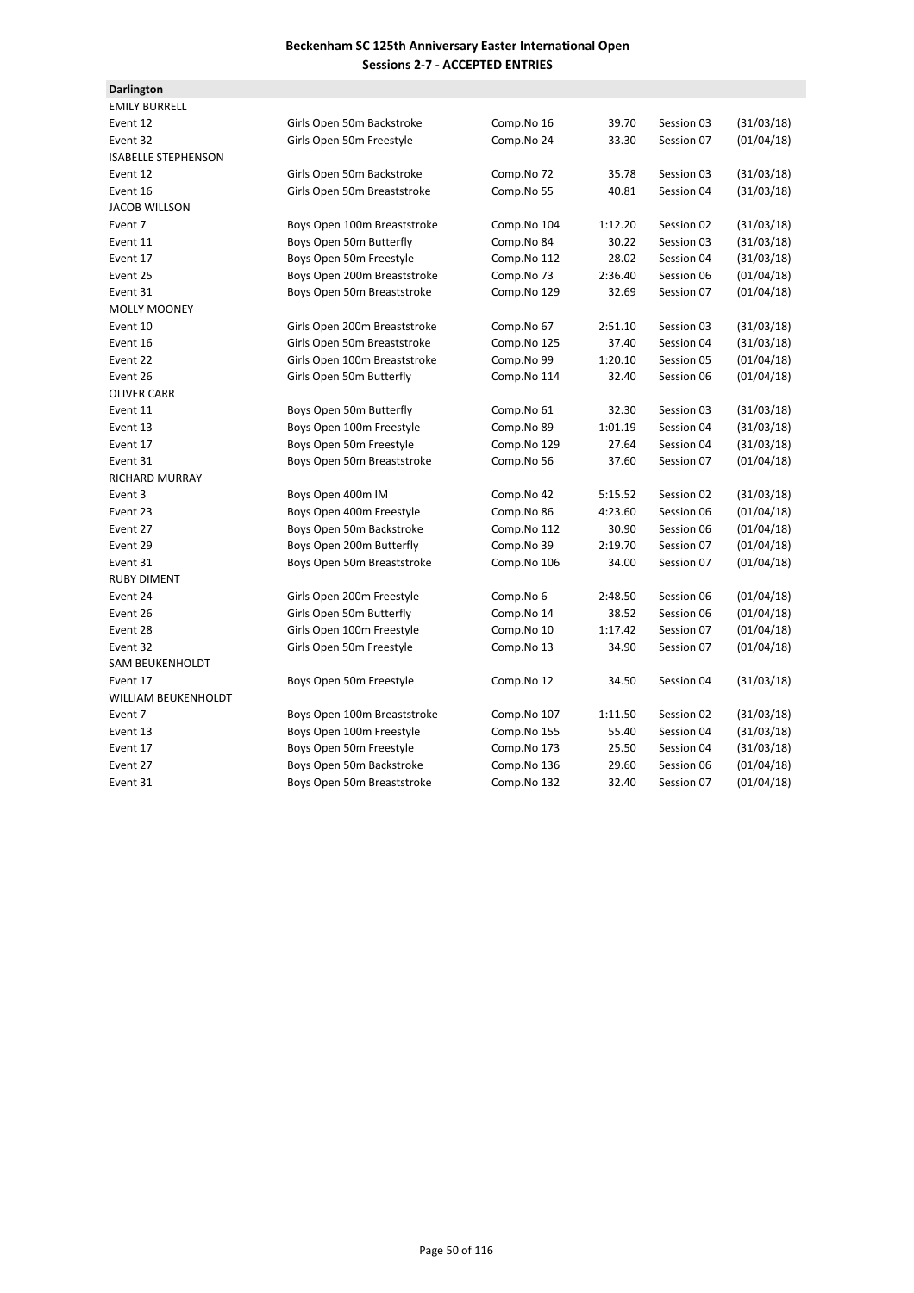| <b>Darlington</b>          |                              |             |         |            |            |
|----------------------------|------------------------------|-------------|---------|------------|------------|
| <b>EMILY BURRELL</b>       |                              |             |         |            |            |
| Event 12                   | Girls Open 50m Backstroke    | Comp.No 16  | 39.70   | Session 03 | (31/03/18) |
| Event 32                   | Girls Open 50m Freestyle     | Comp.No 24  | 33.30   | Session 07 | (01/04/18) |
| <b>ISABELLE STEPHENSON</b> |                              |             |         |            |            |
| Event 12                   | Girls Open 50m Backstroke    | Comp.No 72  | 35.78   | Session 03 | (31/03/18) |
| Event 16                   | Girls Open 50m Breaststroke  | Comp.No 55  | 40.81   | Session 04 | (31/03/18) |
| <b>JACOB WILLSON</b>       |                              |             |         |            |            |
| Event 7                    | Boys Open 100m Breaststroke  | Comp.No 104 | 1:12.20 | Session 02 | (31/03/18) |
| Event 11                   | Boys Open 50m Butterfly      | Comp.No 84  | 30.22   | Session 03 | (31/03/18) |
| Event 17                   | Boys Open 50m Freestyle      | Comp.No 112 | 28.02   | Session 04 | (31/03/18) |
| Event 25                   | Boys Open 200m Breaststroke  | Comp.No 73  | 2:36.40 | Session 06 | (01/04/18) |
| Event 31                   | Boys Open 50m Breaststroke   | Comp.No 129 | 32.69   | Session 07 | (01/04/18) |
| <b>MOLLY MOONEY</b>        |                              |             |         |            |            |
| Event 10                   | Girls Open 200m Breaststroke | Comp.No 67  | 2:51.10 | Session 03 | (31/03/18) |
| Event 16                   | Girls Open 50m Breaststroke  | Comp.No 125 | 37.40   | Session 04 | (31/03/18) |
| Event 22                   | Girls Open 100m Breaststroke | Comp.No 99  | 1:20.10 | Session 05 | (01/04/18) |
| Event 26                   | Girls Open 50m Butterfly     | Comp.No 114 | 32.40   | Session 06 | (01/04/18) |
| <b>OLIVER CARR</b>         |                              |             |         |            |            |
| Event 11                   | Boys Open 50m Butterfly      | Comp.No 61  | 32.30   | Session 03 | (31/03/18) |
| Event 13                   | Boys Open 100m Freestyle     | Comp.No 89  | 1:01.19 | Session 04 | (31/03/18) |
| Event 17                   | Boys Open 50m Freestyle      | Comp.No 129 | 27.64   | Session 04 | (31/03/18) |
| Event 31                   | Boys Open 50m Breaststroke   | Comp.No 56  | 37.60   | Session 07 | (01/04/18) |
| <b>RICHARD MURRAY</b>      |                              |             |         |            |            |
| Event 3                    | Boys Open 400m IM            | Comp.No 42  | 5:15.52 | Session 02 | (31/03/18) |
| Event 23                   | Boys Open 400m Freestyle     | Comp.No 86  | 4:23.60 | Session 06 | (01/04/18) |
| Event 27                   | Boys Open 50m Backstroke     | Comp.No 112 | 30.90   | Session 06 | (01/04/18) |
| Event 29                   | Boys Open 200m Butterfly     | Comp.No 39  | 2:19.70 | Session 07 | (01/04/18) |
| Event 31                   | Boys Open 50m Breaststroke   | Comp.No 106 | 34.00   | Session 07 | (01/04/18) |
| <b>RUBY DIMENT</b>         |                              |             |         |            |            |
| Event 24                   | Girls Open 200m Freestyle    | Comp.No 6   | 2:48.50 | Session 06 | (01/04/18) |
| Event 26                   | Girls Open 50m Butterfly     | Comp.No 14  | 38.52   | Session 06 | (01/04/18) |
| Event 28                   | Girls Open 100m Freestyle    | Comp.No 10  | 1:17.42 | Session 07 | (01/04/18) |
| Event 32                   | Girls Open 50m Freestyle     | Comp.No 13  | 34.90   | Session 07 | (01/04/18) |
| <b>SAM BEUKENHOLDT</b>     |                              |             |         |            |            |
| Event 17                   | Boys Open 50m Freestyle      | Comp.No 12  | 34.50   | Session 04 | (31/03/18) |
| WILLIAM BEUKENHOLDT        |                              |             |         |            |            |
| Event 7                    | Boys Open 100m Breaststroke  | Comp.No 107 | 1:11.50 | Session 02 | (31/03/18) |
| Event 13                   | Boys Open 100m Freestyle     | Comp.No 155 | 55.40   | Session 04 | (31/03/18) |
| Event 17                   | Boys Open 50m Freestyle      | Comp.No 173 | 25.50   | Session 04 | (31/03/18) |
| Event 27                   | Boys Open 50m Backstroke     | Comp.No 136 | 29.60   | Session 06 | (01/04/18) |
| Event 31                   | Boys Open 50m Breaststroke   | Comp.No 132 | 32.40   | Session 07 | (01/04/18) |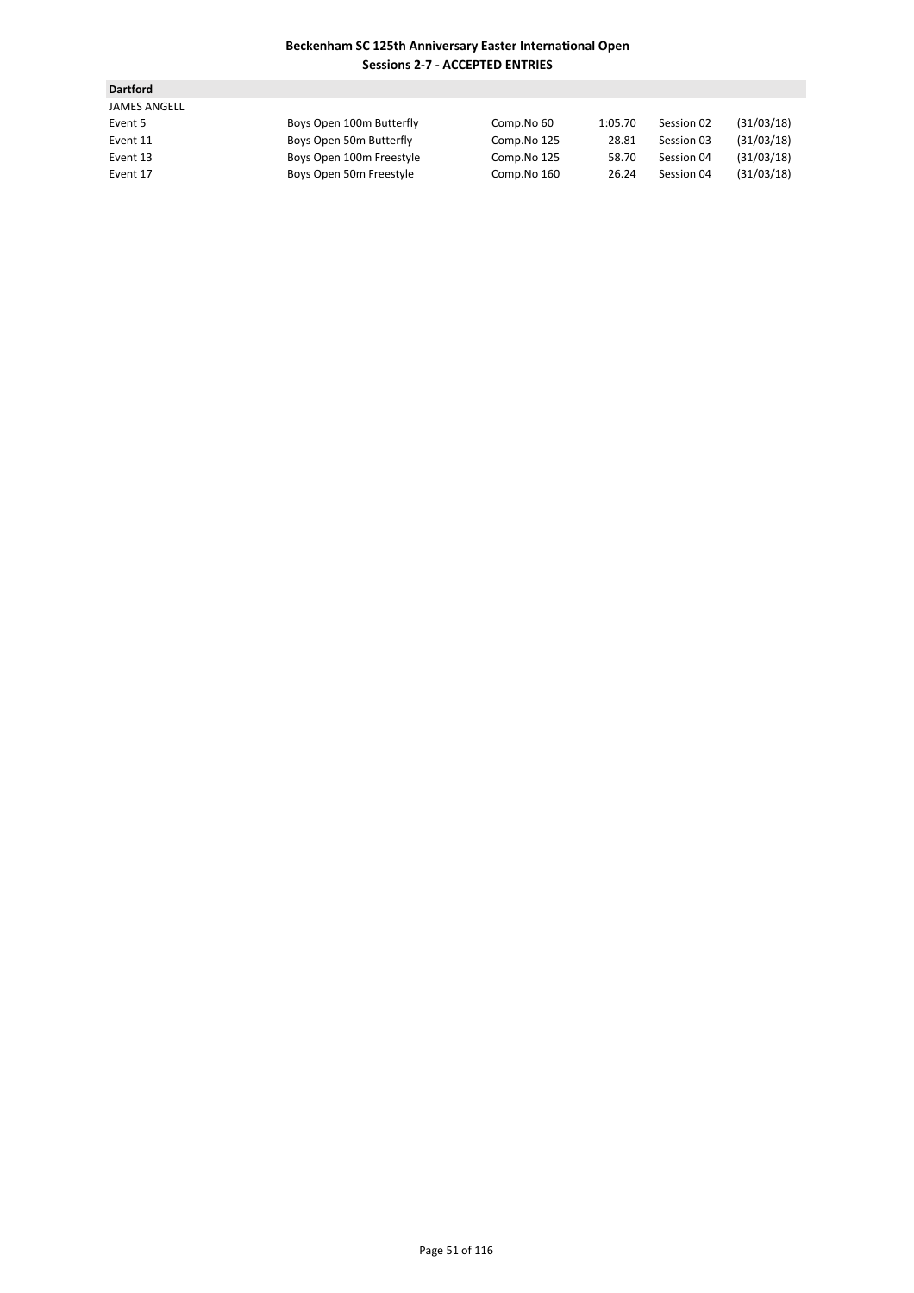| <b>Dartford</b>     |                          |             |         |            |            |
|---------------------|--------------------------|-------------|---------|------------|------------|
| <b>JAMES ANGELL</b> |                          |             |         |            |            |
| Event 5             | Boys Open 100m Butterfly | Comp.No 60  | 1:05.70 | Session 02 | (31/03/18) |
| Event 11            | Boys Open 50m Butterfly  | Comp.No 125 | 28.81   | Session 03 | (31/03/18) |
| Event 13            | Boys Open 100m Freestyle | Comp.No 125 | 58.70   | Session 04 | (31/03/18) |
| Event 17            | Boys Open 50m Freestyle  | Comp.No 160 | 26.24   | Session 04 | (31/03/18) |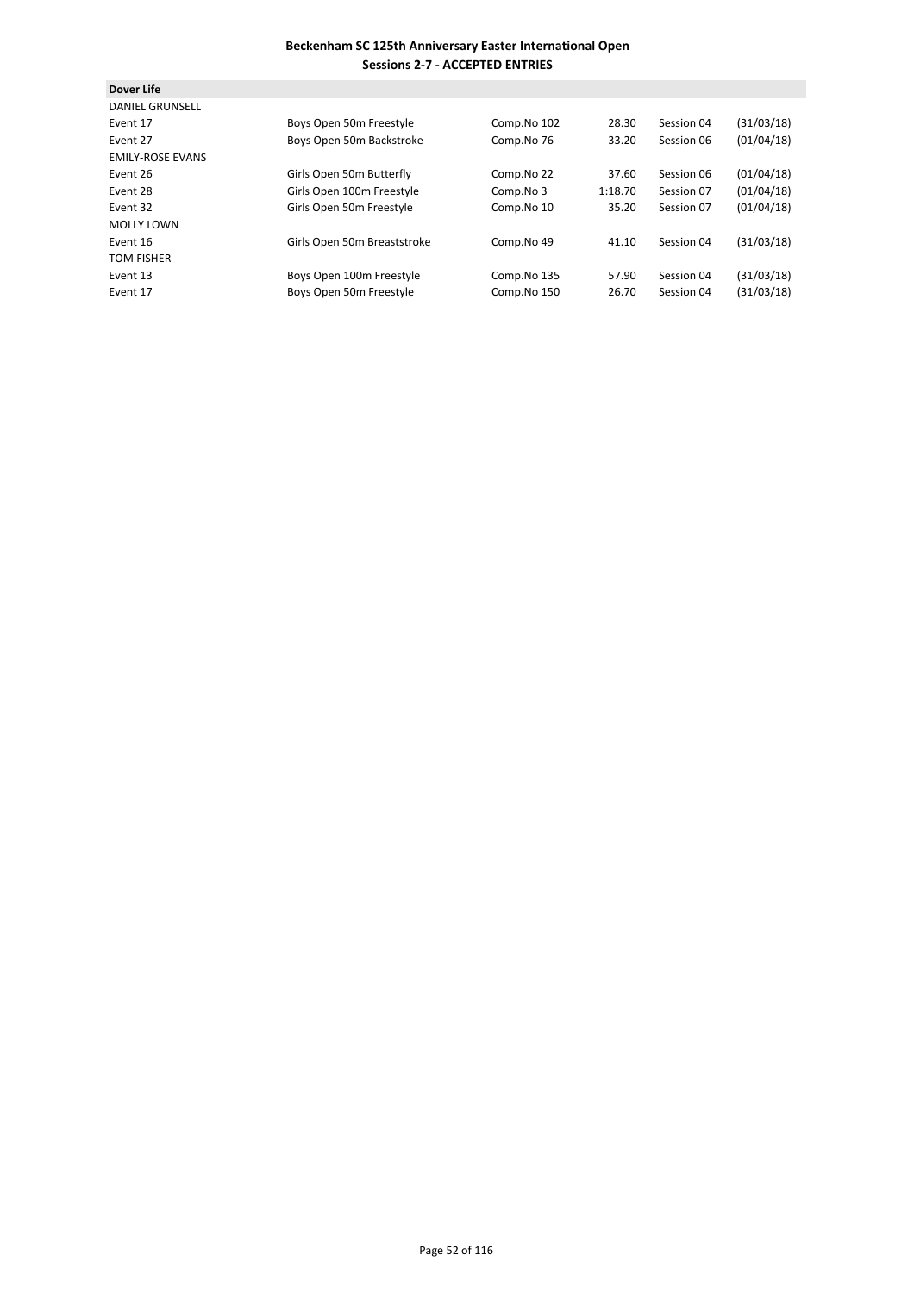| <b>Dover Life</b>       |                             |             |         |            |            |
|-------------------------|-----------------------------|-------------|---------|------------|------------|
| <b>DANIEL GRUNSELL</b>  |                             |             |         |            |            |
| Event 17                | Boys Open 50m Freestyle     | Comp.No 102 | 28.30   | Session 04 | (31/03/18) |
| Event 27                | Boys Open 50m Backstroke    | Comp.No 76  | 33.20   | Session 06 | (01/04/18) |
| <b>EMILY-ROSE EVANS</b> |                             |             |         |            |            |
| Event 26                | Girls Open 50m Butterfly    | Comp.No 22  | 37.60   | Session 06 | (01/04/18) |
| Event 28                | Girls Open 100m Freestyle   | Comp.No 3   | 1:18.70 | Session 07 | (01/04/18) |
| Event 32                | Girls Open 50m Freestyle    | Comp.No 10  | 35.20   | Session 07 | (01/04/18) |
| <b>MOLLY LOWN</b>       |                             |             |         |            |            |
| Event 16                | Girls Open 50m Breaststroke | Comp.No 49  | 41.10   | Session 04 | (31/03/18) |
| <b>TOM FISHER</b>       |                             |             |         |            |            |
| Event 13                | Boys Open 100m Freestyle    | Comp.No 135 | 57.90   | Session 04 | (31/03/18) |
| Event 17                | Boys Open 50m Freestyle     | Comp.No 150 | 26.70   | Session 04 | (31/03/18) |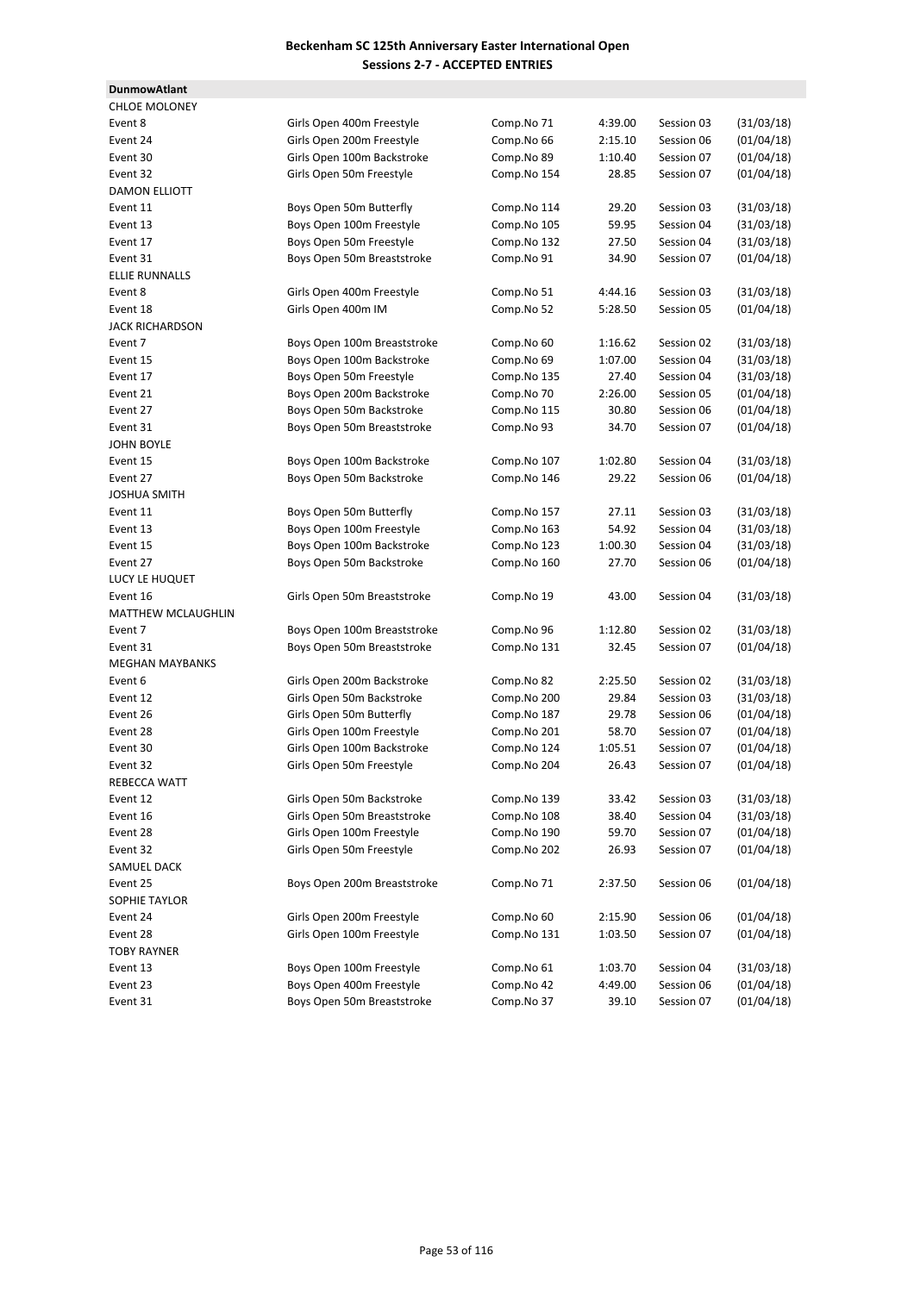**DunmowAtlant**

| <b>CHLOE MOLONEY</b>      |                             |             |         |            |            |
|---------------------------|-----------------------------|-------------|---------|------------|------------|
| Event 8                   | Girls Open 400m Freestyle   | Comp.No 71  | 4:39.00 | Session 03 | (31/03/18) |
| Event 24                  | Girls Open 200m Freestyle   | Comp.No 66  | 2:15.10 | Session 06 | (01/04/18) |
| Event 30                  | Girls Open 100m Backstroke  | Comp.No 89  | 1:10.40 | Session 07 | (01/04/18) |
| Event 32                  | Girls Open 50m Freestyle    | Comp.No 154 | 28.85   | Session 07 | (01/04/18) |
| <b>DAMON ELLIOTT</b>      |                             |             |         |            |            |
| Event 11                  | Boys Open 50m Butterfly     | Comp.No 114 | 29.20   | Session 03 | (31/03/18) |
| Event 13                  | Boys Open 100m Freestyle    | Comp.No 105 | 59.95   | Session 04 | (31/03/18) |
| Event 17                  | Boys Open 50m Freestyle     | Comp.No 132 | 27.50   | Session 04 | (31/03/18) |
| Event 31                  | Boys Open 50m Breaststroke  | Comp.No 91  | 34.90   | Session 07 | (01/04/18) |
| <b>ELLIE RUNNALLS</b>     |                             |             |         |            |            |
| Event 8                   | Girls Open 400m Freestyle   | Comp.No 51  | 4:44.16 | Session 03 | (31/03/18) |
| Event 18                  | Girls Open 400m IM          | Comp.No 52  | 5:28.50 | Session 05 | (01/04/18) |
| <b>JACK RICHARDSON</b>    |                             |             |         |            |            |
| Event 7                   | Boys Open 100m Breaststroke | Comp.No 60  | 1:16.62 | Session 02 | (31/03/18) |
| Event 15                  | Boys Open 100m Backstroke   | Comp.No 69  | 1:07.00 | Session 04 | (31/03/18) |
| Event 17                  | Boys Open 50m Freestyle     | Comp.No 135 | 27.40   | Session 04 | (31/03/18) |
| Event 21                  | Boys Open 200m Backstroke   | Comp.No 70  | 2:26.00 | Session 05 | (01/04/18) |
| Event 27                  | Boys Open 50m Backstroke    | Comp.No 115 | 30.80   | Session 06 | (01/04/18) |
| Event 31                  | Boys Open 50m Breaststroke  | Comp.No 93  | 34.70   | Session 07 | (01/04/18) |
| <b>JOHN BOYLE</b>         |                             |             |         |            |            |
| Event 15                  | Boys Open 100m Backstroke   | Comp.No 107 | 1:02.80 | Session 04 | (31/03/18) |
| Event 27                  | Boys Open 50m Backstroke    | Comp.No 146 | 29.22   | Session 06 | (01/04/18) |
| <b>JOSHUA SMITH</b>       |                             |             |         |            |            |
| Event 11                  | Boys Open 50m Butterfly     | Comp.No 157 | 27.11   | Session 03 | (31/03/18) |
| Event 13                  | Boys Open 100m Freestyle    | Comp.No 163 | 54.92   | Session 04 | (31/03/18) |
| Event 15                  | Boys Open 100m Backstroke   | Comp.No 123 | 1:00.30 | Session 04 | (31/03/18) |
| Event 27                  | Boys Open 50m Backstroke    | Comp.No 160 | 27.70   | Session 06 | (01/04/18) |
| LUCY LE HUQUET            |                             |             |         |            |            |
| Event 16                  | Girls Open 50m Breaststroke | Comp.No 19  | 43.00   | Session 04 | (31/03/18) |
| <b>MATTHEW MCLAUGHLIN</b> |                             |             |         |            |            |
| Event 7                   | Boys Open 100m Breaststroke | Comp.No 96  | 1:12.80 | Session 02 | (31/03/18) |
| Event 31                  | Boys Open 50m Breaststroke  | Comp.No 131 | 32.45   | Session 07 | (01/04/18) |
| <b>MEGHAN MAYBANKS</b>    |                             |             |         |            |            |
| Event 6                   | Girls Open 200m Backstroke  | Comp.No 82  | 2:25.50 | Session 02 | (31/03/18) |
| Event 12                  | Girls Open 50m Backstroke   | Comp.No 200 | 29.84   | Session 03 | (31/03/18) |
| Event 26                  | Girls Open 50m Butterfly    | Comp.No 187 | 29.78   | Session 06 | (01/04/18) |
| Event 28                  | Girls Open 100m Freestyle   | Comp.No 201 | 58.70   | Session 07 | (01/04/18) |
| Event 30                  | Girls Open 100m Backstroke  | Comp.No 124 | 1:05.51 | Session 07 | (01/04/18) |
| Event 32                  | Girls Open 50m Freestyle    | Comp.No 204 | 26.43   | Session 07 | (01/04/18) |
| REBECCA WATT              |                             |             |         |            |            |
| Event 12                  | Girls Open 50m Backstroke   | Comp.No 139 | 33.42   | Session 03 | (31/03/18) |
| Event 16                  | Girls Open 50m Breaststroke | Comp.No 108 | 38.40   | Session 04 | (31/03/18) |
| Event 28                  | Girls Open 100m Freestyle   | Comp.No 190 | 59.70   | Session 07 | (01/04/18) |
| Event 32                  | Girls Open 50m Freestyle    | Comp.No 202 | 26.93   | Session 07 | (01/04/18) |
| SAMUEL DACK               |                             |             |         |            |            |
| Event 25                  | Boys Open 200m Breaststroke | Comp.No 71  | 2:37.50 | Session 06 | (01/04/18) |
| SOPHIE TAYLOR             |                             |             |         |            |            |
| Event 24                  | Girls Open 200m Freestyle   | Comp.No 60  | 2:15.90 | Session 06 | (01/04/18) |
| Event 28                  | Girls Open 100m Freestyle   | Comp.No 131 | 1:03.50 | Session 07 | (01/04/18) |
| <b>TOBY RAYNER</b>        |                             |             |         |            |            |
| Event 13                  | Boys Open 100m Freestyle    | Comp.No 61  | 1:03.70 | Session 04 | (31/03/18) |
| Event 23                  | Boys Open 400m Freestyle    | Comp.No 42  | 4:49.00 | Session 06 | (01/04/18) |
| Event 31                  | Boys Open 50m Breaststroke  | Comp.No 37  | 39.10   | Session 07 | (01/04/18) |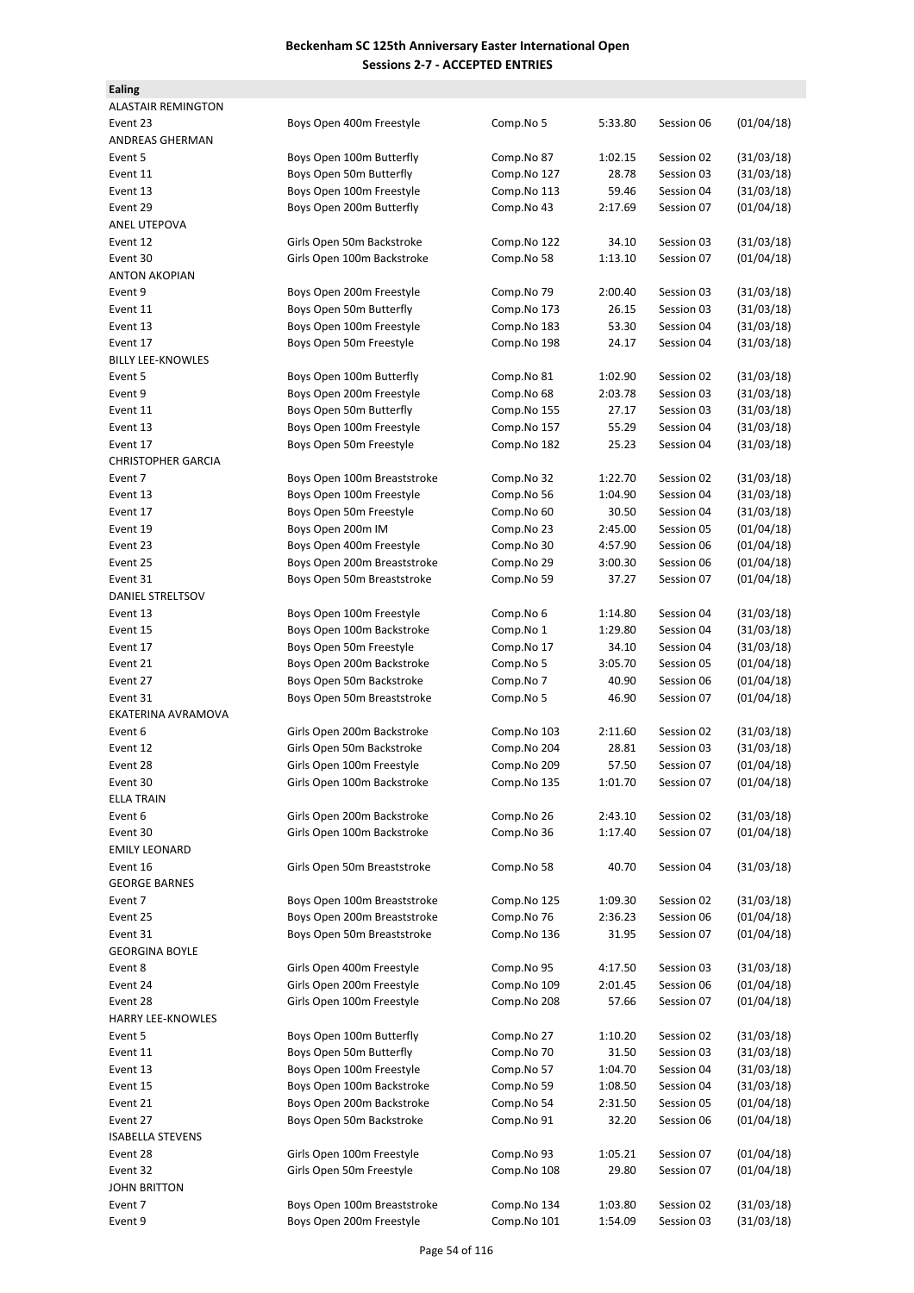| <b>Ealing</b>             |                             |             |         |            |            |
|---------------------------|-----------------------------|-------------|---------|------------|------------|
| ALASTAIR REMINGTON        |                             |             |         |            |            |
| Event 23                  | Boys Open 400m Freestyle    | Comp.No 5   | 5:33.80 | Session 06 | (01/04/18) |
| ANDREAS GHERMAN           |                             |             |         |            |            |
| Event 5                   | Boys Open 100m Butterfly    | Comp.No 87  | 1:02.15 | Session 02 | (31/03/18) |
| Event 11                  | Boys Open 50m Butterfly     | Comp.No 127 | 28.78   | Session 03 | (31/03/18) |
| Event 13                  | Boys Open 100m Freestyle    | Comp.No 113 | 59.46   | Session 04 | (31/03/18) |
| Event 29                  | Boys Open 200m Butterfly    | Comp.No 43  | 2:17.69 | Session 07 | (01/04/18) |
| ANEL UTEPOVA              |                             |             |         |            |            |
| Event 12                  | Girls Open 50m Backstroke   | Comp.No 122 | 34.10   | Session 03 | (31/03/18) |
| Event 30                  |                             | Comp.No 58  |         | Session 07 | (01/04/18) |
| <b>ANTON AKOPIAN</b>      | Girls Open 100m Backstroke  |             | 1:13.10 |            |            |
|                           |                             |             |         |            |            |
| Event 9                   | Boys Open 200m Freestyle    | Comp.No 79  | 2:00.40 | Session 03 | (31/03/18) |
| Event 11                  | Boys Open 50m Butterfly     | Comp.No 173 | 26.15   | Session 03 | (31/03/18) |
| Event 13                  | Boys Open 100m Freestyle    | Comp.No 183 | 53.30   | Session 04 | (31/03/18) |
| Event 17                  | Boys Open 50m Freestyle     | Comp.No 198 | 24.17   | Session 04 | (31/03/18) |
| <b>BILLY LEE-KNOWLES</b>  |                             |             |         |            |            |
| Event 5                   | Boys Open 100m Butterfly    | Comp.No 81  | 1:02.90 | Session 02 | (31/03/18) |
| Event 9                   | Boys Open 200m Freestyle    | Comp.No 68  | 2:03.78 | Session 03 | (31/03/18) |
| Event 11                  | Boys Open 50m Butterfly     | Comp.No 155 | 27.17   | Session 03 | (31/03/18) |
| Event 13                  | Boys Open 100m Freestyle    | Comp.No 157 | 55.29   | Session 04 | (31/03/18) |
| Event 17                  | Boys Open 50m Freestyle     | Comp.No 182 | 25.23   | Session 04 | (31/03/18) |
| <b>CHRISTOPHER GARCIA</b> |                             |             |         |            |            |
| Event 7                   | Boys Open 100m Breaststroke | Comp.No 32  | 1:22.70 | Session 02 | (31/03/18) |
| Event 13                  | Boys Open 100m Freestyle    | Comp.No 56  | 1:04.90 | Session 04 | (31/03/18) |
| Event 17                  | Boys Open 50m Freestyle     | Comp.No 60  | 30.50   | Session 04 | (31/03/18) |
| Event 19                  | Boys Open 200m IM           | Comp.No 23  | 2:45.00 | Session 05 | (01/04/18) |
| Event 23                  | Boys Open 400m Freestyle    | Comp.No 30  | 4:57.90 | Session 06 | (01/04/18) |
| Event 25                  | Boys Open 200m Breaststroke | Comp.No 29  | 3:00.30 | Session 06 | (01/04/18) |
| Event 31                  | Boys Open 50m Breaststroke  | Comp.No 59  | 37.27   | Session 07 | (01/04/18) |
| DANIEL STRELTSOV          |                             |             |         |            |            |
| Event 13                  | Boys Open 100m Freestyle    | Comp.No 6   | 1:14.80 | Session 04 | (31/03/18) |
| Event 15                  | Boys Open 100m Backstroke   | Comp.No 1   | 1:29.80 | Session 04 | (31/03/18) |
| Event 17                  | Boys Open 50m Freestyle     | Comp.No 17  | 34.10   | Session 04 | (31/03/18) |
| Event 21                  | Boys Open 200m Backstroke   | Comp.No 5   | 3:05.70 | Session 05 | (01/04/18) |
| Event 27                  | Boys Open 50m Backstroke    | Comp.No 7   | 40.90   | Session 06 | (01/04/18) |
| Event 31                  | Boys Open 50m Breaststroke  | Comp.No 5   | 46.90   | Session 07 | (01/04/18) |
| EKATERINA AVRAMOVA        |                             |             |         |            |            |
| Event 6                   | Girls Open 200m Backstroke  | Comp.No 103 | 2:11.60 | Session 02 | (31/03/18) |
| Event 12                  | Girls Open 50m Backstroke   | Comp.No 204 | 28.81   | Session 03 | (31/03/18) |
| Event 28                  | Girls Open 100m Freestyle   | Comp.No 209 | 57.50   | Session 07 | (01/04/18) |
|                           | Girls Open 100m Backstroke  |             |         |            |            |
| Event 30                  |                             | Comp.No 135 | 1:01.70 | Session 07 | (01/04/18) |
| ELLA TRAIN                |                             |             |         |            |            |
| Event 6                   | Girls Open 200m Backstroke  | Comp.No 26  | 2:43.10 | Session 02 | (31/03/18) |
| Event 30                  | Girls Open 100m Backstroke  | Comp.No 36  | 1:17.40 | Session 07 | (01/04/18) |
| EMILY LEONARD             |                             |             |         |            |            |
| Event 16                  | Girls Open 50m Breaststroke | Comp.No 58  | 40.70   | Session 04 | (31/03/18) |
| <b>GEORGE BARNES</b>      |                             |             |         |            |            |
| Event 7                   | Boys Open 100m Breaststroke | Comp.No 125 | 1:09.30 | Session 02 | (31/03/18) |
| Event 25                  | Boys Open 200m Breaststroke | Comp.No 76  | 2:36.23 | Session 06 | (01/04/18) |
| Event 31                  | Boys Open 50m Breaststroke  | Comp.No 136 | 31.95   | Session 07 | (01/04/18) |
| <b>GEORGINA BOYLE</b>     |                             |             |         |            |            |
| Event 8                   | Girls Open 400m Freestyle   | Comp.No 95  | 4:17.50 | Session 03 | (31/03/18) |
| Event 24                  | Girls Open 200m Freestyle   | Comp.No 109 | 2:01.45 | Session 06 | (01/04/18) |
| Event 28                  | Girls Open 100m Freestyle   | Comp.No 208 | 57.66   | Session 07 | (01/04/18) |
| <b>HARRY LEE-KNOWLES</b>  |                             |             |         |            |            |
| Event 5                   | Boys Open 100m Butterfly    | Comp.No 27  | 1:10.20 | Session 02 | (31/03/18) |
| Event 11                  | Boys Open 50m Butterfly     | Comp.No 70  | 31.50   | Session 03 | (31/03/18) |
| Event 13                  | Boys Open 100m Freestyle    | Comp.No 57  | 1:04.70 | Session 04 | (31/03/18) |
| Event 15                  | Boys Open 100m Backstroke   | Comp.No 59  | 1:08.50 | Session 04 | (31/03/18) |
| Event 21                  | Boys Open 200m Backstroke   | Comp.No 54  | 2:31.50 | Session 05 | (01/04/18) |
| Event 27                  | Boys Open 50m Backstroke    | Comp.No 91  | 32.20   | Session 06 | (01/04/18) |
| <b>ISABELLA STEVENS</b>   |                             |             |         |            |            |
| Event 28                  | Girls Open 100m Freestyle   | Comp.No 93  | 1:05.21 | Session 07 | (01/04/18) |
| Event 32                  | Girls Open 50m Freestyle    | Comp.No 108 | 29.80   | Session 07 | (01/04/18) |
| JOHN BRITTON              |                             |             |         |            |            |
| Event 7                   | Boys Open 100m Breaststroke | Comp.No 134 | 1:03.80 | Session 02 | (31/03/18) |
| Event 9                   | Boys Open 200m Freestyle    | Comp.No 101 | 1:54.09 | Session 03 | (31/03/18) |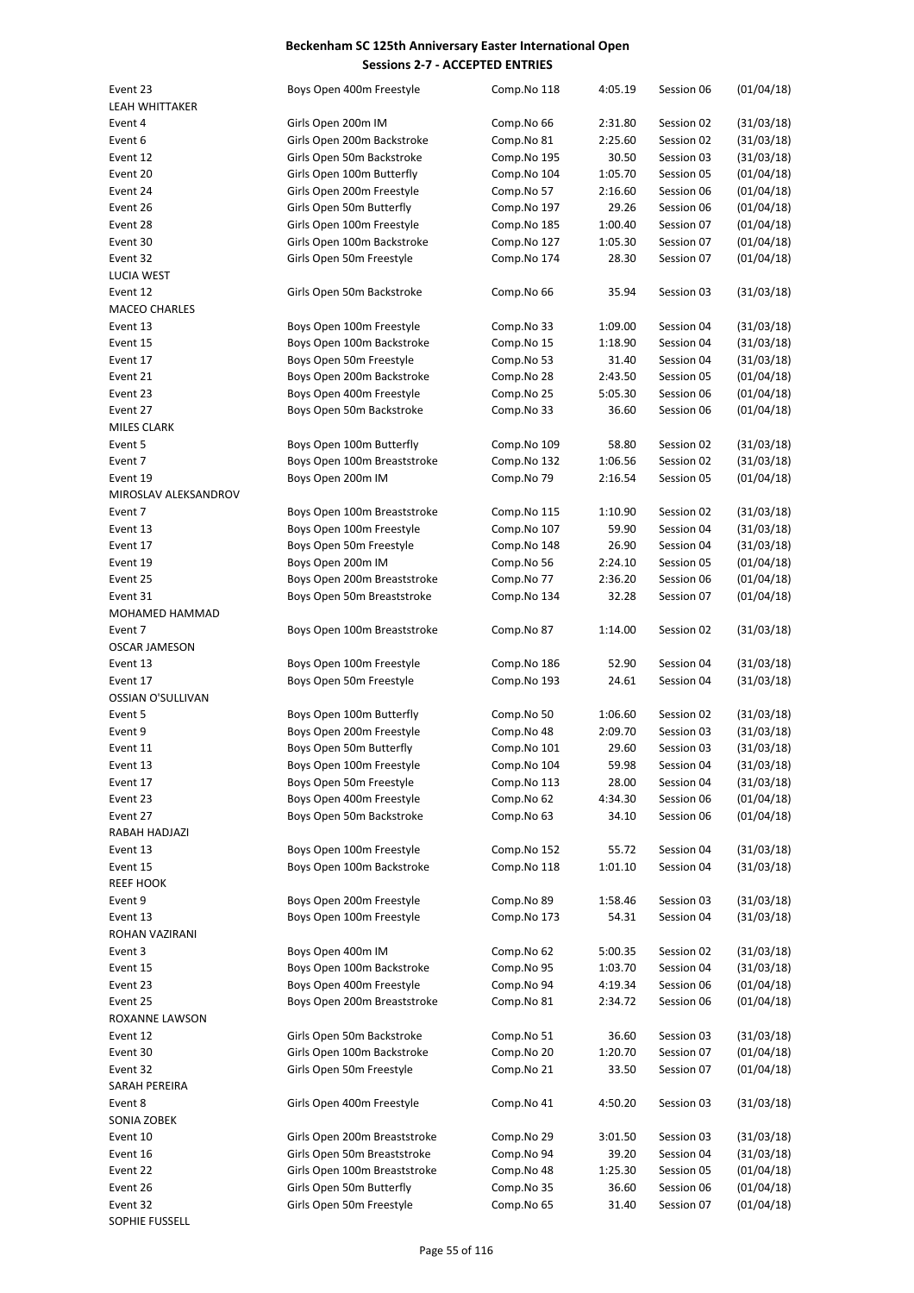| Event 23              | Boys Open 400m Freestyle     | Comp.No 118 | 4:05.19 | Session 06 | (01/04/18) |
|-----------------------|------------------------------|-------------|---------|------------|------------|
| <b>LEAH WHITTAKER</b> |                              |             |         |            |            |
| Event 4               | Girls Open 200m IM           | Comp.No 66  | 2:31.80 | Session 02 | (31/03/18) |
| Event 6               | Girls Open 200m Backstroke   | Comp.No 81  | 2:25.60 | Session 02 | (31/03/18) |
| Event 12              | Girls Open 50m Backstroke    | Comp.No 195 | 30.50   | Session 03 | (31/03/18) |
| Event 20              | Girls Open 100m Butterfly    | Comp.No 104 | 1:05.70 | Session 05 | (01/04/18) |
| Event 24              | Girls Open 200m Freestyle    | Comp.No 57  | 2:16.60 | Session 06 | (01/04/18) |
| Event 26              | Girls Open 50m Butterfly     | Comp.No 197 | 29.26   | Session 06 | (01/04/18) |
| Event 28              | Girls Open 100m Freestyle    | Comp.No 185 | 1:00.40 | Session 07 | (01/04/18) |
| Event 30              | Girls Open 100m Backstroke   | Comp.No 127 | 1:05.30 | Session 07 | (01/04/18) |
| Event 32              | Girls Open 50m Freestyle     | Comp.No 174 | 28.30   | Session 07 | (01/04/18) |
| <b>LUCIA WEST</b>     |                              |             |         |            |            |
| Event 12              | Girls Open 50m Backstroke    | Comp.No 66  | 35.94   | Session 03 | (31/03/18) |
| <b>MACEO CHARLES</b>  |                              |             |         |            |            |
| Event 13              | Boys Open 100m Freestyle     | Comp.No 33  | 1:09.00 | Session 04 | (31/03/18) |
| Event 15              | Boys Open 100m Backstroke    | Comp.No 15  | 1:18.90 | Session 04 | (31/03/18) |
| Event 17              | Boys Open 50m Freestyle      | Comp.No 53  | 31.40   | Session 04 | (31/03/18) |
| Event 21              | Boys Open 200m Backstroke    | Comp.No 28  | 2:43.50 | Session 05 | (01/04/18) |
| Event 23              | Boys Open 400m Freestyle     | Comp.No 25  | 5:05.30 | Session 06 | (01/04/18) |
| Event 27              | Boys Open 50m Backstroke     | Comp.No 33  | 36.60   | Session 06 | (01/04/18) |
| <b>MILES CLARK</b>    |                              |             |         |            |            |
| Event 5               | Boys Open 100m Butterfly     | Comp.No 109 | 58.80   | Session 02 | (31/03/18) |
| Event 7               | Boys Open 100m Breaststroke  | Comp.No 132 | 1:06.56 | Session 02 | (31/03/18) |
| Event 19              |                              | Comp.No 79  |         |            |            |
|                       | Boys Open 200m IM            |             | 2:16.54 | Session 05 | (01/04/18) |
| MIROSLAV ALEKSANDROV  |                              |             |         |            |            |
| Event 7               | Boys Open 100m Breaststroke  | Comp.No 115 | 1:10.90 | Session 02 | (31/03/18) |
| Event 13              | Boys Open 100m Freestyle     | Comp.No 107 | 59.90   | Session 04 | (31/03/18) |
| Event 17              | Boys Open 50m Freestyle      | Comp.No 148 | 26.90   | Session 04 | (31/03/18) |
| Event 19              | Boys Open 200m IM            | Comp.No 56  | 2:24.10 | Session 05 | (01/04/18) |
| Event 25              | Boys Open 200m Breaststroke  | Comp.No 77  | 2:36.20 | Session 06 | (01/04/18) |
| Event 31              | Boys Open 50m Breaststroke   | Comp.No 134 | 32.28   | Session 07 | (01/04/18) |
| MOHAMED HAMMAD        |                              |             |         |            |            |
| Event 7               | Boys Open 100m Breaststroke  | Comp.No 87  | 1:14.00 | Session 02 | (31/03/18) |
| <b>OSCAR JAMESON</b>  |                              |             |         |            |            |
| Event 13              | Boys Open 100m Freestyle     | Comp.No 186 | 52.90   | Session 04 | (31/03/18) |
| Event 17              | Boys Open 50m Freestyle      | Comp.No 193 | 24.61   | Session 04 | (31/03/18) |
| OSSIAN O'SULLIVAN     |                              |             |         |            |            |
| Event 5               | Boys Open 100m Butterfly     | Comp.No 50  | 1:06.60 | Session 02 | (31/03/18) |
| Event 9               | Boys Open 200m Freestyle     | Comp.No 48  | 2:09.70 | Session 03 | (31/03/18) |
| Event 11              | Boys Open 50m Butterfly      | Comp.No 101 | 29.60   | Session 03 | (31/03/18) |
| Event 13              | Boys Open 100m Freestyle     | Comp.No 104 | 59.98   | Session 04 | (31/03/18) |
| Event 17              | Boys Open 50m Freestyle      | Comp.No 113 | 28.00   | Session 04 | (31/03/18) |
| Event 23              | Boys Open 400m Freestyle     | Comp.No 62  | 4:34.30 | Session 06 | (01/04/18) |
| Event 27              | Boys Open 50m Backstroke     | Comp.No 63  | 34.10   | Session 06 | (01/04/18) |
| RABAH HADJAZI         |                              |             |         |            |            |
| Event 13              | Boys Open 100m Freestyle     | Comp.No 152 | 55.72   | Session 04 | (31/03/18) |
| Event 15              | Boys Open 100m Backstroke    | Comp.No 118 | 1:01.10 | Session 04 | (31/03/18) |
| <b>REEF HOOK</b>      |                              |             |         |            |            |
| Event 9               | Boys Open 200m Freestyle     | Comp.No 89  | 1:58.46 | Session 03 | (31/03/18) |
| Event 13              | Boys Open 100m Freestyle     | Comp.No 173 | 54.31   | Session 04 | (31/03/18) |
| ROHAN VAZIRANI        |                              |             |         |            |            |
| Event 3               | Boys Open 400m IM            | Comp.No 62  | 5:00.35 | Session 02 | (31/03/18) |
| Event 15              | Boys Open 100m Backstroke    | Comp.No 95  | 1:03.70 | Session 04 | (31/03/18) |
| Event 23              | Boys Open 400m Freestyle     | Comp.No 94  | 4:19.34 | Session 06 | (01/04/18) |
| Event 25              | Boys Open 200m Breaststroke  | Comp.No 81  | 2:34.72 | Session 06 | (01/04/18) |
| ROXANNE LAWSON        |                              |             |         |            |            |
| Event 12              | Girls Open 50m Backstroke    | Comp.No 51  | 36.60   | Session 03 | (31/03/18) |
| Event 30              | Girls Open 100m Backstroke   | Comp.No 20  | 1:20.70 | Session 07 | (01/04/18) |
| Event 32              | Girls Open 50m Freestyle     | Comp.No 21  | 33.50   |            | (01/04/18) |
|                       |                              |             |         | Session 07 |            |
| SARAH PEREIRA         |                              |             |         |            |            |
| Event 8               | Girls Open 400m Freestyle    | Comp.No 41  | 4:50.20 | Session 03 | (31/03/18) |
| SONIA ZOBEK           |                              |             |         |            |            |
| Event 10              | Girls Open 200m Breaststroke | Comp.No 29  | 3:01.50 | Session 03 | (31/03/18) |
| Event 16              | Girls Open 50m Breaststroke  | Comp.No 94  | 39.20   | Session 04 | (31/03/18) |
| Event 22              | Girls Open 100m Breaststroke | Comp.No 48  | 1:25.30 | Session 05 | (01/04/18) |
| Event 26              | Girls Open 50m Butterfly     | Comp.No 35  | 36.60   | Session 06 | (01/04/18) |
| Event 32              | Girls Open 50m Freestyle     | Comp.No 65  | 31.40   | Session 07 | (01/04/18) |
| <b>SOPHIE FUSSELL</b> |                              |             |         |            |            |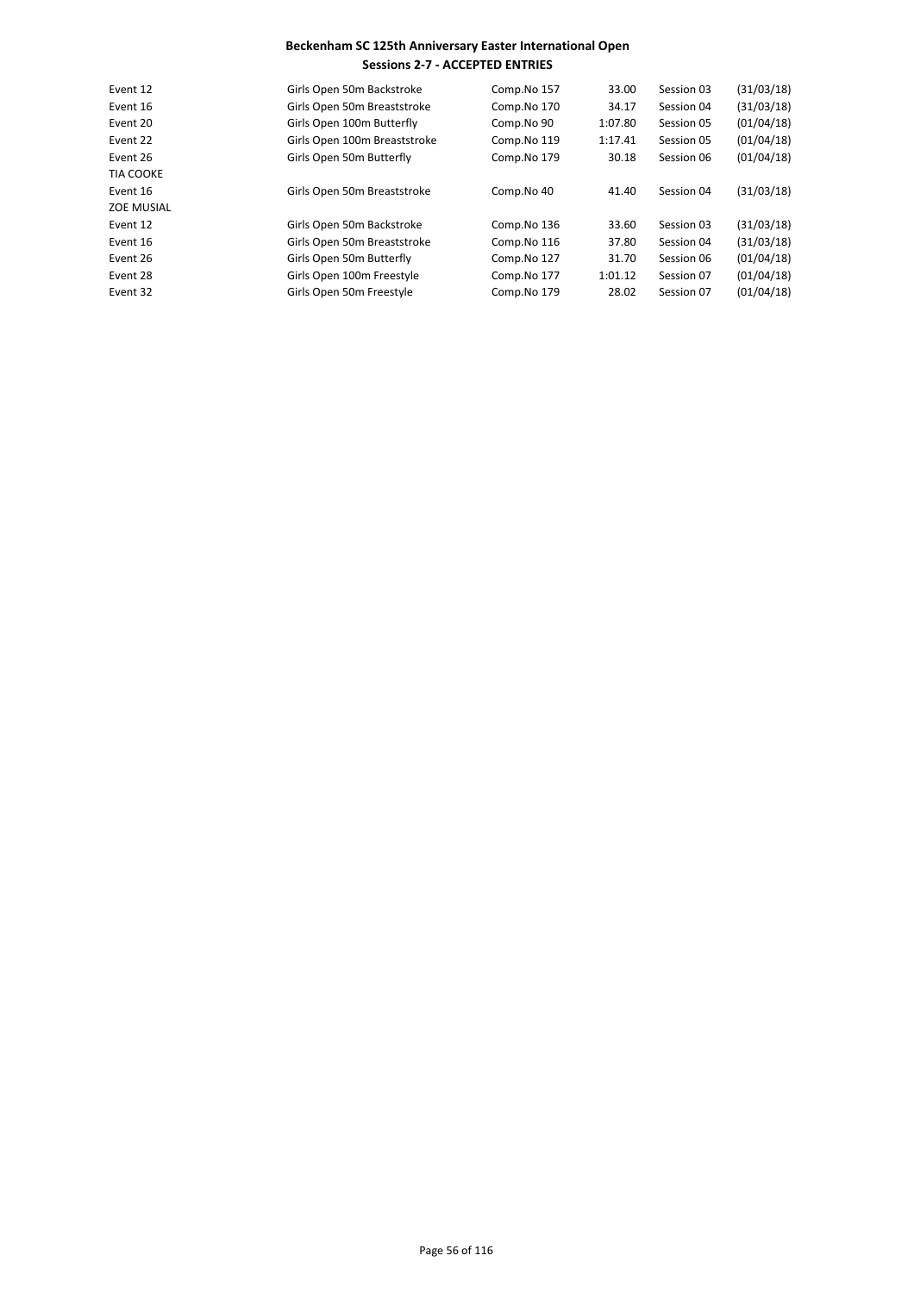| Event 12          | Girls Open 50m Backstroke    | Comp.No 157 | 33.00   | Session 03 | (31/03/18) |
|-------------------|------------------------------|-------------|---------|------------|------------|
| Event 16          | Girls Open 50m Breaststroke  | Comp.No 170 | 34.17   | Session 04 | (31/03/18) |
| Event 20          | Girls Open 100m Butterfly    | Comp.No 90  | 1:07.80 | Session 05 | (01/04/18) |
| Event 22          | Girls Open 100m Breaststroke | Comp.No 119 | 1:17.41 | Session 05 | (01/04/18) |
| Event 26          | Girls Open 50m Butterfly     | Comp.No 179 | 30.18   | Session 06 | (01/04/18) |
| <b>TIA COOKE</b>  |                              |             |         |            |            |
| Event 16          | Girls Open 50m Breaststroke  | Comp.No 40  | 41.40   | Session 04 | (31/03/18) |
| <b>ZOE MUSIAL</b> |                              |             |         |            |            |
| Event 12          | Girls Open 50m Backstroke    | Comp.No 136 | 33.60   | Session 03 | (31/03/18) |
| Event 16          | Girls Open 50m Breaststroke  | Comp.No 116 | 37.80   | Session 04 | (31/03/18) |
| Event 26          | Girls Open 50m Butterfly     | Comp.No 127 | 31.70   | Session 06 | (01/04/18) |
| Event 28          | Girls Open 100m Freestyle    | Comp.No 177 | 1:01.12 | Session 07 | (01/04/18) |
| Event 32          | Girls Open 50m Freestyle     | Comp.No 179 | 28.02   | Session 07 | (01/04/18) |
|                   |                              |             |         |            |            |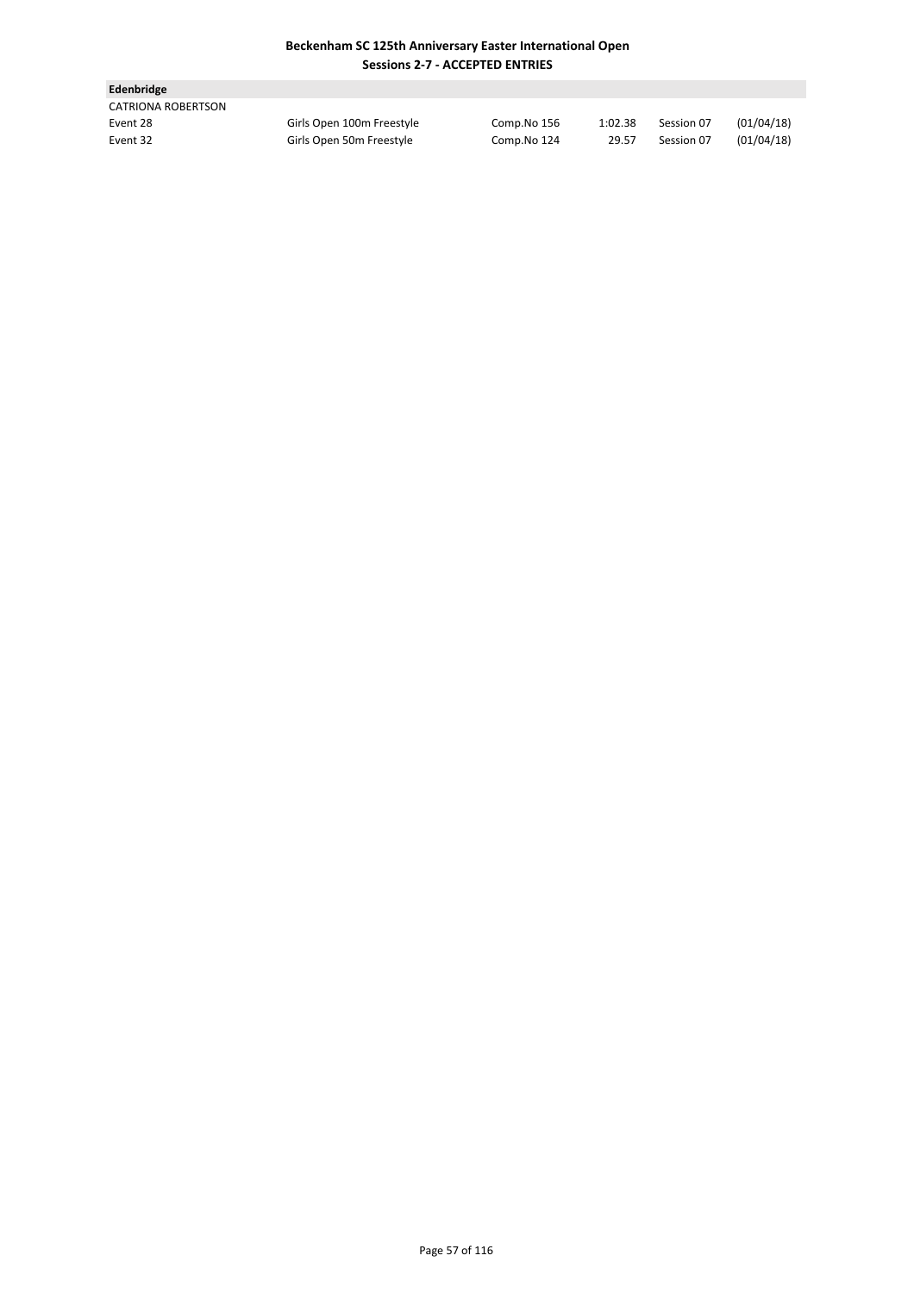| <b>Edenbridge</b>  |                           |             |         |            |            |
|--------------------|---------------------------|-------------|---------|------------|------------|
| CATRIONA ROBERTSON |                           |             |         |            |            |
| Event 28           | Girls Open 100m Freestyle | Comp.No 156 | 1:02.38 | Session 07 | (01/04/18) |
| Event 32           | Girls Open 50m Freestyle  | Comp.No 124 | 29.57   | Session 07 | (01/04/18) |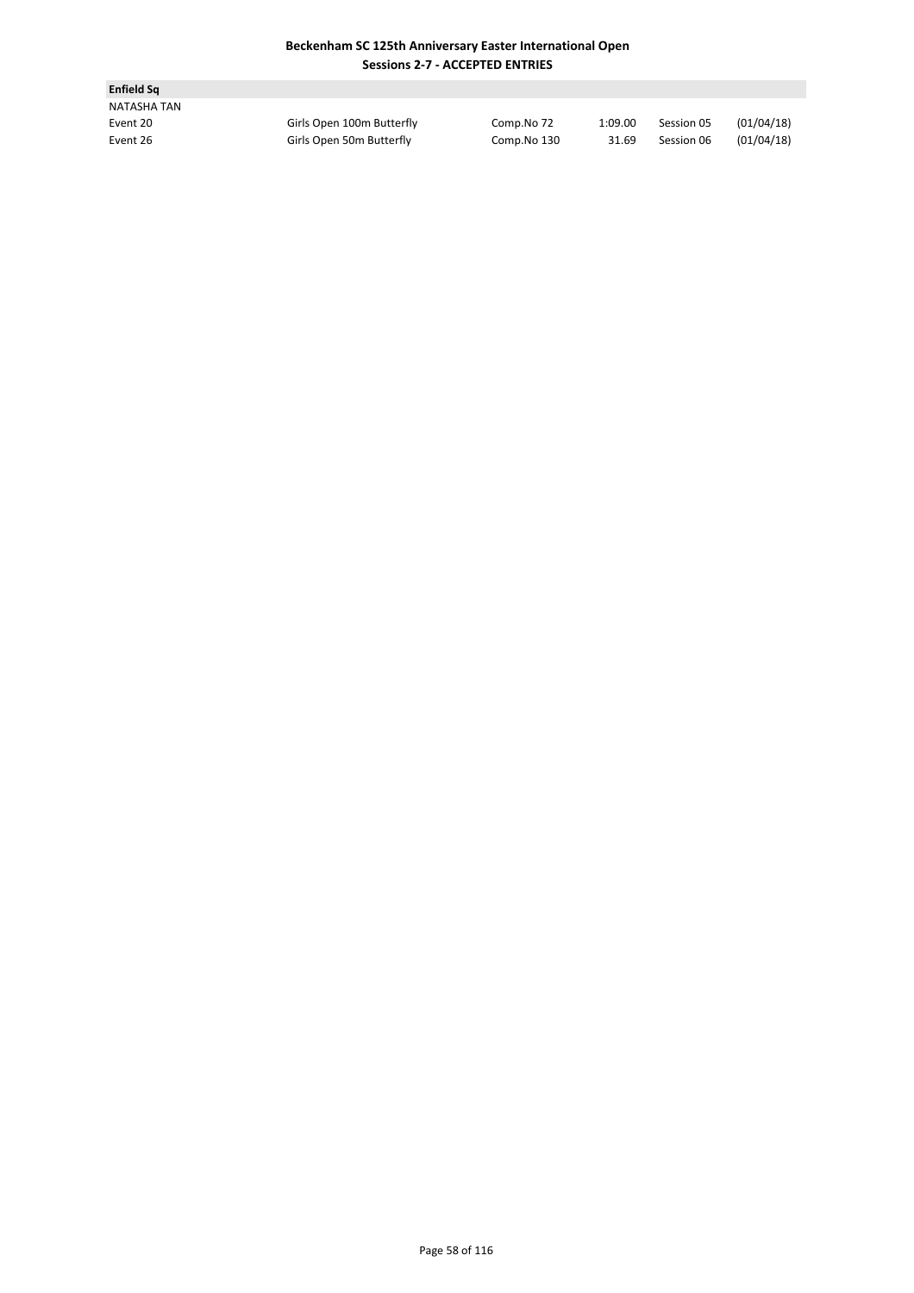| <b>Enfield Sq</b> |                           |             |         |            |            |
|-------------------|---------------------------|-------------|---------|------------|------------|
| NATASHA TAN       |                           |             |         |            |            |
| Event 20          | Girls Open 100m Butterfly | Comp.No 72  | 1:09.00 | Session 05 | (01/04/18) |
| Event 26          | Girls Open 50m Butterfly  | Comp.No 130 | 31.69   | Session 06 | (01/04/18) |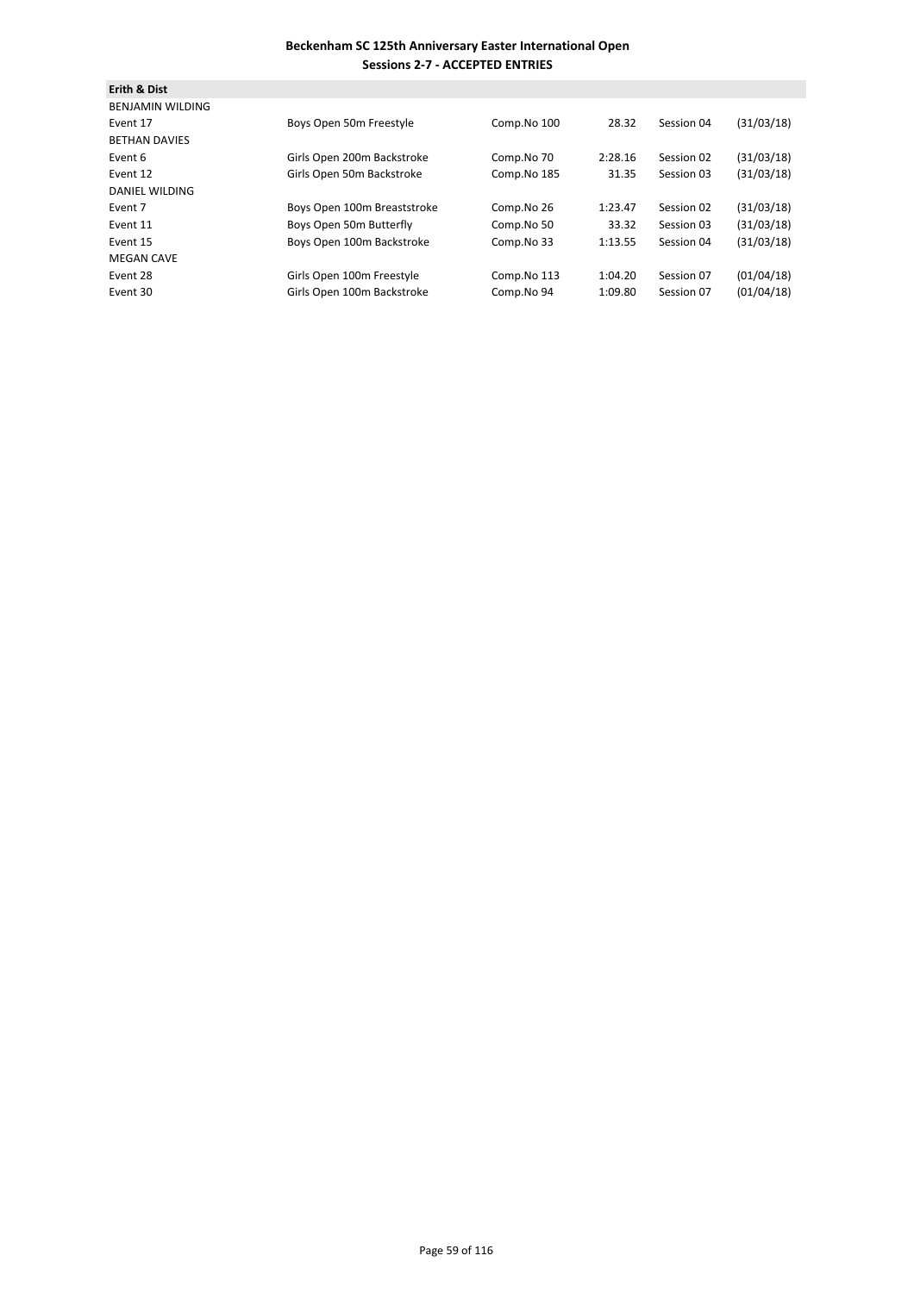| <b>Erith &amp; Dist</b> |                             |             |         |            |            |
|-------------------------|-----------------------------|-------------|---------|------------|------------|
| <b>BENJAMIN WILDING</b> |                             |             |         |            |            |
| Event 17                | Boys Open 50m Freestyle     | Comp.No 100 | 28.32   | Session 04 | (31/03/18) |
| <b>BETHAN DAVIES</b>    |                             |             |         |            |            |
| Event 6                 | Girls Open 200m Backstroke  | Comp.No 70  | 2:28.16 | Session 02 | (31/03/18) |
| Event 12                | Girls Open 50m Backstroke   | Comp.No 185 | 31.35   | Session 03 | (31/03/18) |
| <b>DANIEL WILDING</b>   |                             |             |         |            |            |
| Event 7                 | Boys Open 100m Breaststroke | Comp.No 26  | 1:23.47 | Session 02 | (31/03/18) |
| Event 11                | Boys Open 50m Butterfly     | Comp.No 50  | 33.32   | Session 03 | (31/03/18) |
| Event 15                | Boys Open 100m Backstroke   | Comp.No 33  | 1:13.55 | Session 04 | (31/03/18) |
| <b>MEGAN CAVE</b>       |                             |             |         |            |            |
| Event 28                | Girls Open 100m Freestyle   | Comp.No 113 | 1:04.20 | Session 07 | (01/04/18) |
| Event 30                | Girls Open 100m Backstroke  | Comp.No 94  | 1:09.80 | Session 07 | (01/04/18) |
|                         |                             |             |         |            |            |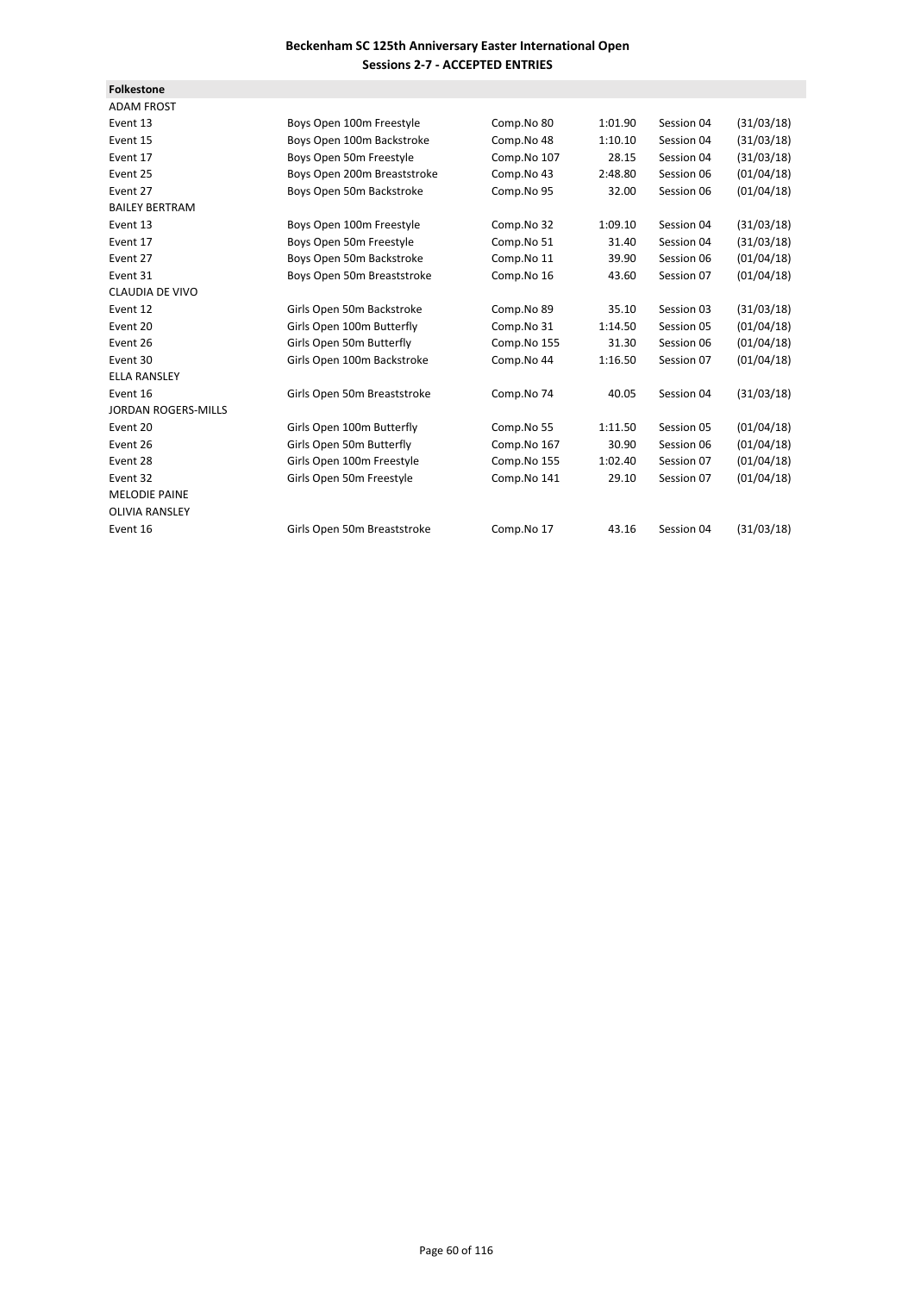| <b>Folkestone</b>          |                             |             |         |            |            |
|----------------------------|-----------------------------|-------------|---------|------------|------------|
| <b>ADAM FROST</b>          |                             |             |         |            |            |
| Event 13                   | Boys Open 100m Freestyle    | Comp.No 80  | 1:01.90 | Session 04 | (31/03/18) |
| Event 15                   | Boys Open 100m Backstroke   | Comp.No 48  | 1:10.10 | Session 04 | (31/03/18) |
| Event 17                   | Boys Open 50m Freestyle     | Comp.No 107 | 28.15   | Session 04 | (31/03/18) |
| Event 25                   | Boys Open 200m Breaststroke | Comp.No 43  | 2:48.80 | Session 06 | (01/04/18) |
| Event 27                   | Boys Open 50m Backstroke    | Comp.No 95  | 32.00   | Session 06 | (01/04/18) |
| <b>BAILEY BERTRAM</b>      |                             |             |         |            |            |
| Event 13                   | Boys Open 100m Freestyle    | Comp.No 32  | 1:09.10 | Session 04 | (31/03/18) |
| Event 17                   | Boys Open 50m Freestyle     | Comp.No 51  | 31.40   | Session 04 | (31/03/18) |
| Event 27                   | Boys Open 50m Backstroke    | Comp.No 11  | 39.90   | Session 06 | (01/04/18) |
| Event 31                   | Boys Open 50m Breaststroke  | Comp.No 16  | 43.60   | Session 07 | (01/04/18) |
| <b>CLAUDIA DE VIVO</b>     |                             |             |         |            |            |
| Event 12                   | Girls Open 50m Backstroke   | Comp.No 89  | 35.10   | Session 03 | (31/03/18) |
| Event 20                   | Girls Open 100m Butterfly   | Comp.No 31  | 1:14.50 | Session 05 | (01/04/18) |
| Event 26                   | Girls Open 50m Butterfly    | Comp.No 155 | 31.30   | Session 06 | (01/04/18) |
| Event 30                   | Girls Open 100m Backstroke  | Comp.No 44  | 1:16.50 | Session 07 | (01/04/18) |
| <b>ELLA RANSLEY</b>        |                             |             |         |            |            |
| Event 16                   | Girls Open 50m Breaststroke | Comp.No 74  | 40.05   | Session 04 | (31/03/18) |
| <b>JORDAN ROGERS-MILLS</b> |                             |             |         |            |            |
| Event 20                   | Girls Open 100m Butterfly   | Comp.No 55  | 1:11.50 | Session 05 | (01/04/18) |
| Event 26                   | Girls Open 50m Butterfly    | Comp.No 167 | 30.90   | Session 06 | (01/04/18) |
| Event 28                   | Girls Open 100m Freestyle   | Comp.No 155 | 1:02.40 | Session 07 | (01/04/18) |
| Event 32                   | Girls Open 50m Freestyle    | Comp.No 141 | 29.10   | Session 07 | (01/04/18) |
| <b>MELODIE PAINE</b>       |                             |             |         |            |            |
| <b>OLIVIA RANSLEY</b>      |                             |             |         |            |            |
| Event 16                   | Girls Open 50m Breaststroke | Comp.No 17  | 43.16   | Session 04 | (31/03/18) |
|                            |                             |             |         |            |            |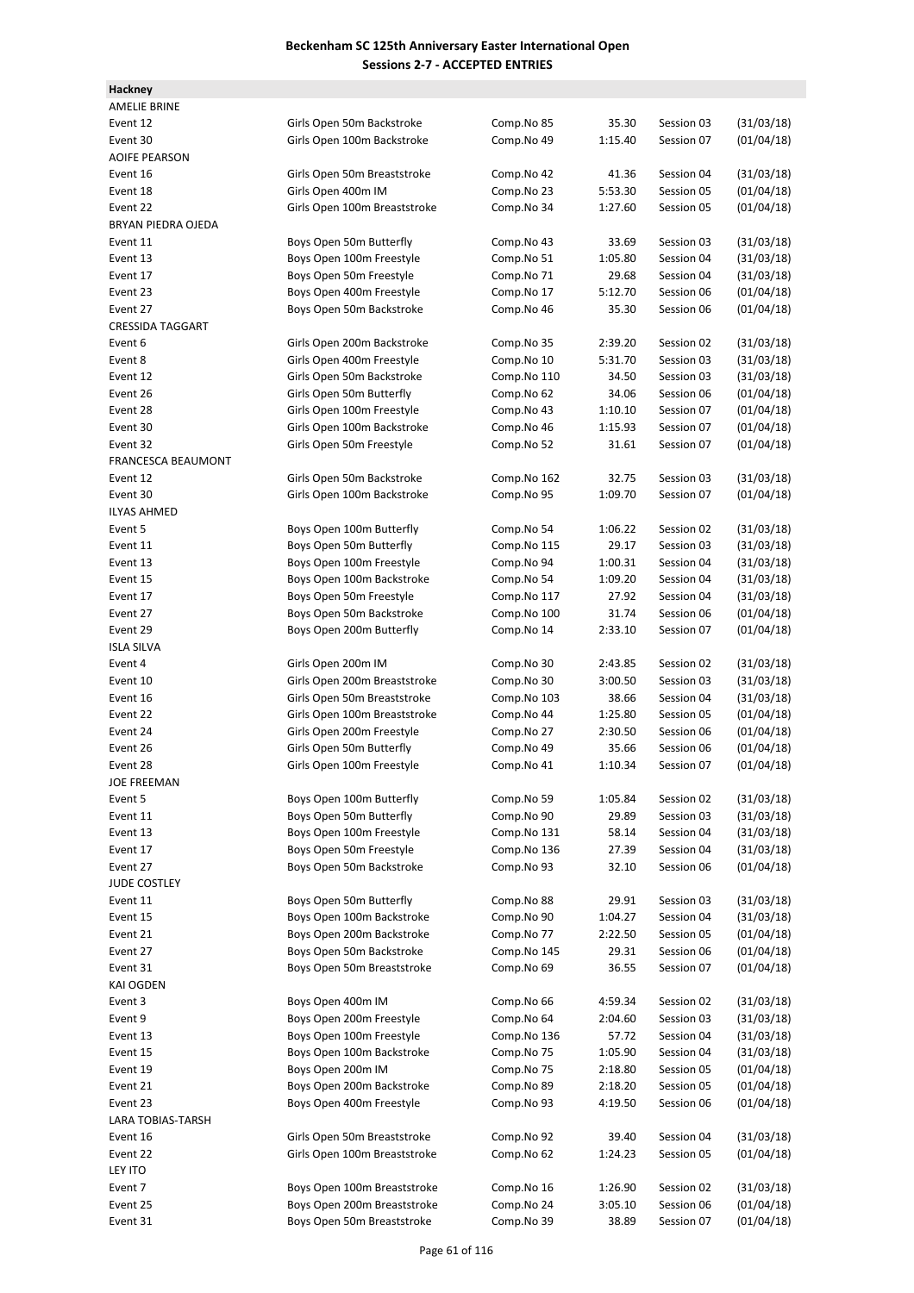| Hackney                   |                              |             |         |            |            |
|---------------------------|------------------------------|-------------|---------|------------|------------|
| <b>AMELIE BRINE</b>       |                              |             |         |            |            |
| Event 12                  | Girls Open 50m Backstroke    | Comp.No 85  | 35.30   | Session 03 | (31/03/18) |
| Event 30                  | Girls Open 100m Backstroke   | Comp.No 49  | 1:15.40 | Session 07 | (01/04/18) |
| <b>AOIFE PEARSON</b>      |                              |             |         |            |            |
| Event 16                  | Girls Open 50m Breaststroke  | Comp.No 42  | 41.36   | Session 04 | (31/03/18) |
| Event 18                  | Girls Open 400m IM           | Comp.No 23  | 5:53.30 | Session 05 | (01/04/18) |
| Event 22                  | Girls Open 100m Breaststroke | Comp.No 34  | 1:27.60 | Session 05 | (01/04/18) |
| BRYAN PIEDRA OJEDA        |                              |             |         |            |            |
| Event 11                  | Boys Open 50m Butterfly      | Comp.No 43  | 33.69   | Session 03 | (31/03/18) |
| Event 13                  | Boys Open 100m Freestyle     | Comp.No 51  | 1:05.80 | Session 04 | (31/03/18) |
| Event 17                  | Boys Open 50m Freestyle      | Comp.No 71  | 29.68   | Session 04 | (31/03/18) |
| Event 23                  | Boys Open 400m Freestyle     | Comp.No 17  | 5:12.70 | Session 06 | (01/04/18) |
| Event 27                  | Boys Open 50m Backstroke     | Comp.No 46  | 35.30   | Session 06 | (01/04/18) |
| <b>CRESSIDA TAGGART</b>   |                              |             |         |            |            |
| Event 6                   | Girls Open 200m Backstroke   | Comp.No 35  | 2:39.20 | Session 02 | (31/03/18) |
| Event 8                   | Girls Open 400m Freestyle    | Comp.No 10  | 5:31.70 | Session 03 | (31/03/18) |
| Event 12                  | Girls Open 50m Backstroke    | Comp.No 110 | 34.50   | Session 03 | (31/03/18) |
| Event 26                  | Girls Open 50m Butterfly     | Comp.No 62  | 34.06   | Session 06 | (01/04/18) |
| Event 28                  | Girls Open 100m Freestyle    | Comp.No 43  | 1:10.10 | Session 07 | (01/04/18) |
| Event 30                  | Girls Open 100m Backstroke   | Comp.No 46  | 1:15.93 | Session 07 | (01/04/18) |
| Event 32                  | Girls Open 50m Freestyle     | Comp.No 52  | 31.61   | Session 07 | (01/04/18) |
| <b>FRANCESCA BEAUMONT</b> |                              |             |         |            |            |
| Event 12                  | Girls Open 50m Backstroke    | Comp.No 162 | 32.75   | Session 03 | (31/03/18) |
| Event 30                  | Girls Open 100m Backstroke   | Comp.No 95  | 1:09.70 | Session 07 | (01/04/18) |
| <b>ILYAS AHMED</b>        |                              |             |         |            |            |
| Event 5                   | Boys Open 100m Butterfly     |             | 1:06.22 | Session 02 | (31/03/18) |
| Event 11                  | Boys Open 50m Butterfly      | Comp.No 54  | 29.17   | Session 03 | (31/03/18) |
| Event 13                  |                              | Comp.No 115 |         |            |            |
|                           | Boys Open 100m Freestyle     | Comp.No 94  | 1:00.31 | Session 04 | (31/03/18) |
| Event 15                  | Boys Open 100m Backstroke    | Comp.No 54  | 1:09.20 | Session 04 | (31/03/18) |
| Event 17                  | Boys Open 50m Freestyle      | Comp.No 117 | 27.92   | Session 04 | (31/03/18) |
| Event 27                  | Boys Open 50m Backstroke     | Comp.No 100 | 31.74   | Session 06 | (01/04/18) |
| Event 29                  | Boys Open 200m Butterfly     | Comp.No 14  | 2:33.10 | Session 07 | (01/04/18) |
| <b>ISLA SILVA</b>         |                              |             |         |            |            |
| Event 4                   | Girls Open 200m IM           | Comp.No 30  | 2:43.85 | Session 02 | (31/03/18) |
| Event 10                  | Girls Open 200m Breaststroke | Comp.No 30  | 3:00.50 | Session 03 | (31/03/18) |
| Event 16                  | Girls Open 50m Breaststroke  | Comp.No 103 | 38.66   | Session 04 | (31/03/18) |
| Event 22                  | Girls Open 100m Breaststroke | Comp.No 44  | 1:25.80 | Session 05 | (01/04/18) |
| Event 24                  | Girls Open 200m Freestyle    | Comp.No 27  | 2:30.50 | Session 06 | (01/04/18) |
| Event 26                  | Girls Open 50m Butterfly     | Comp.No 49  | 35.66   | Session 06 | (01/04/18) |
| Event 28                  | Girls Open 100m Freestyle    | Comp.No 41  | 1:10.34 | Session 07 | (01/04/18) |
| <b>JOE FREEMAN</b>        |                              |             |         |            |            |
| Event 5                   | Boys Open 100m Butterfly     | Comp.No 59  | 1:05.84 | Session 02 | (31/03/18) |
| Event 11                  | Boys Open 50m Butterfly      | Comp.No 90  | 29.89   | Session 03 | (31/03/18) |
| Event 13                  | Boys Open 100m Freestyle     | Comp.No 131 | 58.14   | Session 04 | (31/03/18) |
| Event 17                  | Boys Open 50m Freestyle      | Comp.No 136 | 27.39   | Session 04 | (31/03/18) |
| Event 27                  | Boys Open 50m Backstroke     | Comp.No 93  | 32.10   | Session 06 | (01/04/18) |
| JUDE COSTLEY              |                              |             |         |            |            |
| Event 11                  | Boys Open 50m Butterfly      | Comp.No 88  | 29.91   | Session 03 | (31/03/18) |
| Event 15                  | Boys Open 100m Backstroke    | Comp.No 90  | 1:04.27 | Session 04 | (31/03/18) |
| Event 21                  | Boys Open 200m Backstroke    | Comp.No 77  | 2:22.50 | Session 05 | (01/04/18) |
| Event 27                  | Boys Open 50m Backstroke     | Comp.No 145 | 29.31   | Session 06 | (01/04/18) |
| Event 31                  | Boys Open 50m Breaststroke   | Comp.No 69  | 36.55   | Session 07 | (01/04/18) |
| KAI OGDEN                 |                              |             |         |            |            |
| Event 3                   | Boys Open 400m IM            | Comp.No 66  | 4:59.34 | Session 02 | (31/03/18) |
| Event 9                   | Boys Open 200m Freestyle     | Comp.No 64  | 2:04.60 | Session 03 | (31/03/18) |
| Event 13                  | Boys Open 100m Freestyle     | Comp.No 136 | 57.72   | Session 04 | (31/03/18) |
| Event 15                  | Boys Open 100m Backstroke    | Comp.No 75  | 1:05.90 | Session 04 | (31/03/18) |
| Event 19                  | Boys Open 200m IM            | Comp.No 75  | 2:18.80 | Session 05 | (01/04/18) |
| Event 21                  | Boys Open 200m Backstroke    | Comp.No 89  | 2:18.20 | Session 05 | (01/04/18) |
| Event 23                  | Boys Open 400m Freestyle     | Comp.No 93  | 4:19.50 | Session 06 | (01/04/18) |
| LARA TOBIAS-TARSH         |                              |             |         |            |            |
| Event 16                  | Girls Open 50m Breaststroke  | Comp.No 92  | 39.40   | Session 04 | (31/03/18) |
| Event 22                  | Girls Open 100m Breaststroke | Comp.No 62  | 1:24.23 | Session 05 | (01/04/18) |
| LEY ITO                   |                              |             |         |            |            |
| Event 7                   | Boys Open 100m Breaststroke  | Comp.No 16  | 1:26.90 | Session 02 | (31/03/18) |
| Event 25                  | Boys Open 200m Breaststroke  | Comp.No 24  | 3:05.10 | Session 06 | (01/04/18) |
| Event 31                  | Boys Open 50m Breaststroke   | Comp.No 39  | 38.89   | Session 07 | (01/04/18) |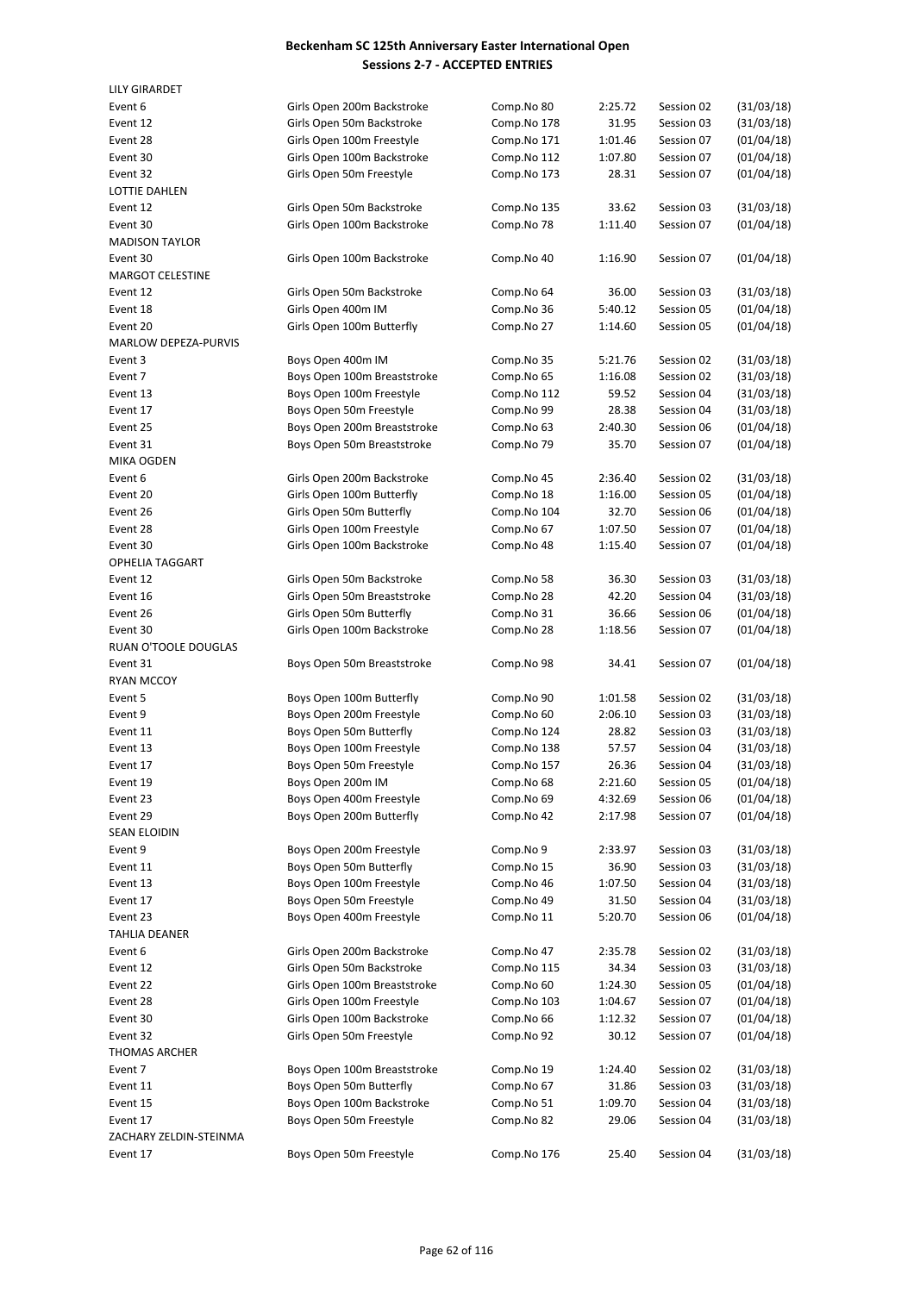| <b>LILY GIRARDET</b>    |                              |             |         |            |            |
|-------------------------|------------------------------|-------------|---------|------------|------------|
| Event 6                 | Girls Open 200m Backstroke   | Comp.No 80  | 2:25.72 | Session 02 | (31/03/18) |
| Event 12                | Girls Open 50m Backstroke    | Comp.No 178 | 31.95   | Session 03 | (31/03/18) |
| Event 28                | Girls Open 100m Freestyle    | Comp.No 171 | 1:01.46 | Session 07 | (01/04/18) |
| Event 30                | Girls Open 100m Backstroke   | Comp.No 112 | 1:07.80 | Session 07 | (01/04/18) |
| Event 32                | Girls Open 50m Freestyle     | Comp.No 173 | 28.31   | Session 07 | (01/04/18) |
| LOTTIE DAHLEN           |                              |             |         |            |            |
| Event 12                | Girls Open 50m Backstroke    | Comp.No 135 | 33.62   | Session 03 | (31/03/18) |
| Event 30                | Girls Open 100m Backstroke   | Comp.No 78  | 1:11.40 | Session 07 | (01/04/18) |
| <b>MADISON TAYLOR</b>   |                              |             |         |            |            |
| Event 30                | Girls Open 100m Backstroke   | Comp.No 40  | 1:16.90 | Session 07 | (01/04/18) |
| <b>MARGOT CELESTINE</b> |                              |             |         |            |            |
| Event 12                | Girls Open 50m Backstroke    | Comp.No 64  | 36.00   | Session 03 | (31/03/18) |
| Event 18                | Girls Open 400m IM           | Comp.No 36  | 5:40.12 | Session 05 | (01/04/18) |
| Event 20                | Girls Open 100m Butterfly    | Comp.No 27  | 1:14.60 | Session 05 | (01/04/18) |
| MARLOW DEPEZA-PURVIS    |                              |             |         |            |            |
| Event 3                 | Boys Open 400m IM            | Comp.No 35  | 5:21.76 | Session 02 | (31/03/18) |
| Event 7                 | Boys Open 100m Breaststroke  | Comp.No 65  | 1:16.08 | Session 02 | (31/03/18) |
| Event 13                | Boys Open 100m Freestyle     | Comp.No 112 | 59.52   | Session 04 | (31/03/18) |
| Event 17                | Boys Open 50m Freestyle      | Comp.No 99  | 28.38   | Session 04 | (31/03/18) |
| Event 25                | Boys Open 200m Breaststroke  | Comp.No 63  | 2:40.30 | Session 06 | (01/04/18) |
| Event 31                | Boys Open 50m Breaststroke   | Comp.No 79  | 35.70   | Session 07 | (01/04/18) |
| <b>MIKA OGDEN</b>       |                              |             |         |            |            |
| Event 6                 | Girls Open 200m Backstroke   | Comp.No 45  | 2:36.40 | Session 02 | (31/03/18) |
| Event 20                | Girls Open 100m Butterfly    | Comp.No 18  | 1:16.00 | Session 05 | (01/04/18) |
| Event 26                | Girls Open 50m Butterfly     | Comp.No 104 | 32.70   | Session 06 | (01/04/18) |
| Event 28                | Girls Open 100m Freestyle    | Comp.No 67  | 1:07.50 | Session 07 | (01/04/18) |
| Event 30                | Girls Open 100m Backstroke   | Comp.No 48  | 1:15.40 | Session 07 | (01/04/18) |
| <b>OPHELIA TAGGART</b>  |                              |             |         |            |            |
| Event 12                | Girls Open 50m Backstroke    | Comp.No 58  | 36.30   | Session 03 | (31/03/18) |
| Event 16                | Girls Open 50m Breaststroke  | Comp.No 28  | 42.20   | Session 04 | (31/03/18) |
| Event 26                | Girls Open 50m Butterfly     | Comp.No 31  | 36.66   | Session 06 | (01/04/18) |
| Event 30                | Girls Open 100m Backstroke   | Comp.No 28  | 1:18.56 | Session 07 | (01/04/18) |
| RUAN O'TOOLE DOUGLAS    |                              |             |         |            |            |
| Event 31                | Boys Open 50m Breaststroke   | Comp.No 98  | 34.41   | Session 07 | (01/04/18) |
| <b>RYAN MCCOY</b>       |                              |             |         |            |            |
| Event 5                 | Boys Open 100m Butterfly     | Comp.No 90  | 1:01.58 | Session 02 | (31/03/18) |
| Event 9                 | Boys Open 200m Freestyle     | Comp.No 60  | 2:06.10 | Session 03 | (31/03/18) |
| Event 11                | Boys Open 50m Butterfly      | Comp.No 124 | 28.82   | Session 03 | (31/03/18) |
| Event 13                | Boys Open 100m Freestyle     | Comp.No 138 | 57.57   | Session 04 | (31/03/18) |
| Event 17                | Boys Open 50m Freestyle      | Comp.No 157 | 26.36   | Session 04 | (31/03/18) |
| Event 19                | Boys Open 200m IM            | Comp.No 68  | 2:21.60 | Session 05 | (01/04/18) |
| Event 23                | Boys Open 400m Freestyle     | Comp.No 69  | 4:32.69 | Session 06 | (01/04/18) |
| Event 29                | Boys Open 200m Butterfly     | Comp.No 42  | 2:17.98 | Session 07 | (01/04/18) |
| SEAN ELOIDIN            |                              |             |         |            |            |
| Event 9                 | Boys Open 200m Freestyle     | Comp.No 9   | 2:33.97 | Session 03 | (31/03/18) |
| Event 11                | Boys Open 50m Butterfly      | Comp.No 15  | 36.90   | Session 03 | (31/03/18) |
| Event 13                | Boys Open 100m Freestyle     | Comp.No 46  | 1:07.50 | Session 04 | (31/03/18) |
| Event 17                | Boys Open 50m Freestyle      | Comp.No 49  | 31.50   | Session 04 | (31/03/18) |
| Event 23                | Boys Open 400m Freestyle     | Comp.No 11  | 5:20.70 | Session 06 | (01/04/18) |
| TAHLIA DEANER           |                              |             |         |            |            |
| Event 6                 | Girls Open 200m Backstroke   | Comp.No 47  | 2:35.78 | Session 02 | (31/03/18) |
| Event 12                | Girls Open 50m Backstroke    | Comp.No 115 | 34.34   | Session 03 | (31/03/18) |
| Event 22                | Girls Open 100m Breaststroke | Comp.No 60  | 1:24.30 | Session 05 | (01/04/18) |
| Event 28                | Girls Open 100m Freestyle    | Comp.No 103 | 1:04.67 | Session 07 | (01/04/18) |
| Event 30                | Girls Open 100m Backstroke   | Comp.No 66  | 1:12.32 | Session 07 | (01/04/18) |
| Event 32                | Girls Open 50m Freestyle     | Comp.No 92  | 30.12   | Session 07 | (01/04/18) |
| <b>THOMAS ARCHER</b>    |                              |             |         |            |            |
| Event 7                 | Boys Open 100m Breaststroke  | Comp.No 19  | 1:24.40 | Session 02 | (31/03/18) |
| Event 11                | Boys Open 50m Butterfly      | Comp.No 67  | 31.86   | Session 03 | (31/03/18) |
| Event 15                | Boys Open 100m Backstroke    | Comp.No 51  | 1:09.70 | Session 04 | (31/03/18) |
| Event 17                | Boys Open 50m Freestyle      | Comp.No 82  | 29.06   | Session 04 | (31/03/18) |
| ZACHARY ZELDIN-STEINMA  |                              |             |         |            |            |
| Event 17                | Boys Open 50m Freestyle      | Comp.No 176 | 25.40   | Session 04 | (31/03/18) |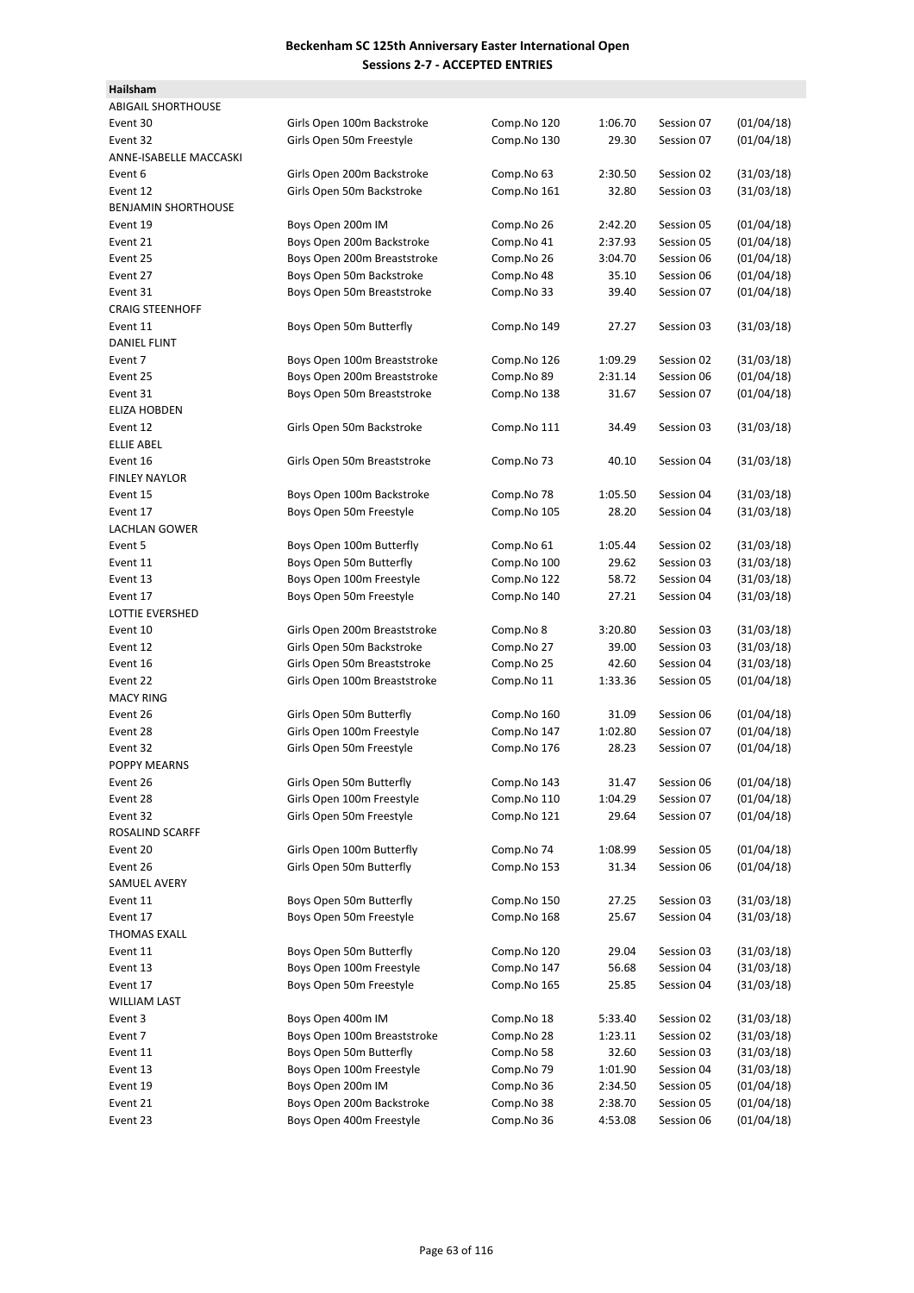| Hailsham                   |                              |             |         |            |            |
|----------------------------|------------------------------|-------------|---------|------------|------------|
| <b>ABIGAIL SHORTHOUSE</b>  |                              |             |         |            |            |
| Event 30                   | Girls Open 100m Backstroke   | Comp.No 120 | 1:06.70 | Session 07 | (01/04/18) |
| Event 32                   | Girls Open 50m Freestyle     | Comp.No 130 | 29.30   | Session 07 | (01/04/18) |
| ANNE-ISABELLE MACCASKI     |                              |             |         |            |            |
| Event 6                    | Girls Open 200m Backstroke   | Comp.No 63  | 2:30.50 | Session 02 | (31/03/18) |
| Event 12                   | Girls Open 50m Backstroke    | Comp.No 161 | 32.80   | Session 03 | (31/03/18) |
| <b>BENJAMIN SHORTHOUSE</b> |                              |             |         |            |            |
| Event 19                   | Boys Open 200m IM            | Comp.No 26  | 2:42.20 | Session 05 | (01/04/18) |
| Event 21                   | Boys Open 200m Backstroke    | Comp.No 41  | 2:37.93 | Session 05 | (01/04/18) |
| Event 25                   | Boys Open 200m Breaststroke  | Comp.No 26  | 3:04.70 | Session 06 | (01/04/18) |
| Event 27                   | Boys Open 50m Backstroke     | Comp.No 48  | 35.10   | Session 06 | (01/04/18) |
| Event 31                   | Boys Open 50m Breaststroke   | Comp.No 33  | 39.40   | Session 07 | (01/04/18) |
| <b>CRAIG STEENHOFF</b>     |                              |             |         |            |            |
| Event 11                   | Boys Open 50m Butterfly      | Comp.No 149 | 27.27   | Session 03 | (31/03/18) |
| <b>DANIEL FLINT</b>        |                              |             |         |            |            |
| Event 7                    | Boys Open 100m Breaststroke  | Comp.No 126 | 1:09.29 | Session 02 | (31/03/18) |
| Event 25                   | Boys Open 200m Breaststroke  | Comp.No 89  | 2:31.14 | Session 06 | (01/04/18) |
| Event 31                   | Boys Open 50m Breaststroke   | Comp.No 138 | 31.67   | Session 07 | (01/04/18) |
| ELIZA HOBDEN               |                              |             |         |            |            |
| Event 12                   | Girls Open 50m Backstroke    | Comp.No 111 | 34.49   | Session 03 | (31/03/18) |
| <b>ELLIE ABEL</b>          |                              |             |         |            |            |
| Event 16                   | Girls Open 50m Breaststroke  | Comp.No 73  | 40.10   | Session 04 | (31/03/18) |
| <b>FINLEY NAYLOR</b>       |                              |             |         |            |            |
| Event 15                   | Boys Open 100m Backstroke    | Comp.No 78  | 1:05.50 | Session 04 | (31/03/18) |
| Event 17                   | Boys Open 50m Freestyle      | Comp.No 105 | 28.20   | Session 04 | (31/03/18) |
| <b>LACHLAN GOWER</b>       |                              |             |         |            |            |
| Event 5                    | Boys Open 100m Butterfly     | Comp.No 61  | 1:05.44 | Session 02 | (31/03/18) |
| Event 11                   | Boys Open 50m Butterfly      | Comp.No 100 | 29.62   | Session 03 | (31/03/18) |
| Event 13                   | Boys Open 100m Freestyle     | Comp.No 122 | 58.72   | Session 04 | (31/03/18) |
| Event 17                   | Boys Open 50m Freestyle      | Comp.No 140 | 27.21   | Session 04 | (31/03/18) |
| LOTTIE EVERSHED            |                              |             |         |            |            |
| Event 10                   | Girls Open 200m Breaststroke | Comp.No 8   | 3:20.80 | Session 03 | (31/03/18) |
| Event 12                   | Girls Open 50m Backstroke    | Comp.No 27  | 39.00   | Session 03 | (31/03/18) |
| Event 16                   | Girls Open 50m Breaststroke  | Comp.No 25  | 42.60   | Session 04 | (31/03/18) |
| Event 22                   | Girls Open 100m Breaststroke | Comp.No 11  | 1:33.36 | Session 05 | (01/04/18) |
| <b>MACY RING</b>           |                              |             |         |            |            |
| Event 26                   | Girls Open 50m Butterfly     | Comp.No 160 | 31.09   | Session 06 | (01/04/18) |
| Event 28                   | Girls Open 100m Freestyle    | Comp.No 147 | 1:02.80 | Session 07 | (01/04/18) |
| Event 32                   | Girls Open 50m Freestyle     | Comp.No 176 | 28.23   | Session 07 | (01/04/18) |
| POPPY MEARNS               |                              |             |         |            |            |
| Event 26                   | Girls Open 50m Butterfly     | Comp.No 143 | 31.47   | Session 06 | (01/04/18) |
| Event 28                   | Girls Open 100m Freestyle    | Comp.No 110 | 1:04.29 | Session 07 | (01/04/18) |
| Event 32                   | Girls Open 50m Freestyle     | Comp.No 121 | 29.64   | Session 07 | (01/04/18) |
| ROSALIND SCARFF            |                              |             |         |            |            |
| Event 20                   | Girls Open 100m Butterfly    | Comp.No 74  | 1:08.99 | Session 05 | (01/04/18) |
| Event 26                   | Girls Open 50m Butterfly     | Comp.No 153 | 31.34   | Session 06 | (01/04/18) |
| SAMUEL AVERY               |                              |             |         |            |            |
| Event 11                   | Boys Open 50m Butterfly      | Comp.No 150 | 27.25   | Session 03 | (31/03/18) |
| Event 17                   | Boys Open 50m Freestyle      | Comp.No 168 | 25.67   | Session 04 | (31/03/18) |
| THOMAS EXALL               |                              |             |         |            |            |
| Event 11                   | Boys Open 50m Butterfly      | Comp.No 120 | 29.04   | Session 03 | (31/03/18) |
| Event 13                   | Boys Open 100m Freestyle     | Comp.No 147 | 56.68   | Session 04 | (31/03/18) |
| Event 17                   | Boys Open 50m Freestyle      | Comp.No 165 | 25.85   | Session 04 | (31/03/18) |
| WILLIAM LAST               |                              |             |         |            |            |
| Event 3                    | Boys Open 400m IM            | Comp.No 18  | 5:33.40 | Session 02 | (31/03/18) |
| Event 7                    | Boys Open 100m Breaststroke  | Comp.No 28  | 1:23.11 | Session 02 | (31/03/18) |
| Event 11                   | Boys Open 50m Butterfly      | Comp.No 58  | 32.60   | Session 03 | (31/03/18) |
| Event 13                   | Boys Open 100m Freestyle     | Comp.No 79  | 1:01.90 | Session 04 | (31/03/18) |
| Event 19                   | Boys Open 200m IM            | Comp.No 36  | 2:34.50 | Session 05 | (01/04/18) |
| Event 21                   | Boys Open 200m Backstroke    | Comp.No 38  | 2:38.70 | Session 05 | (01/04/18) |
| Event 23                   | Boys Open 400m Freestyle     | Comp.No 36  | 4:53.08 | Session 06 | (01/04/18) |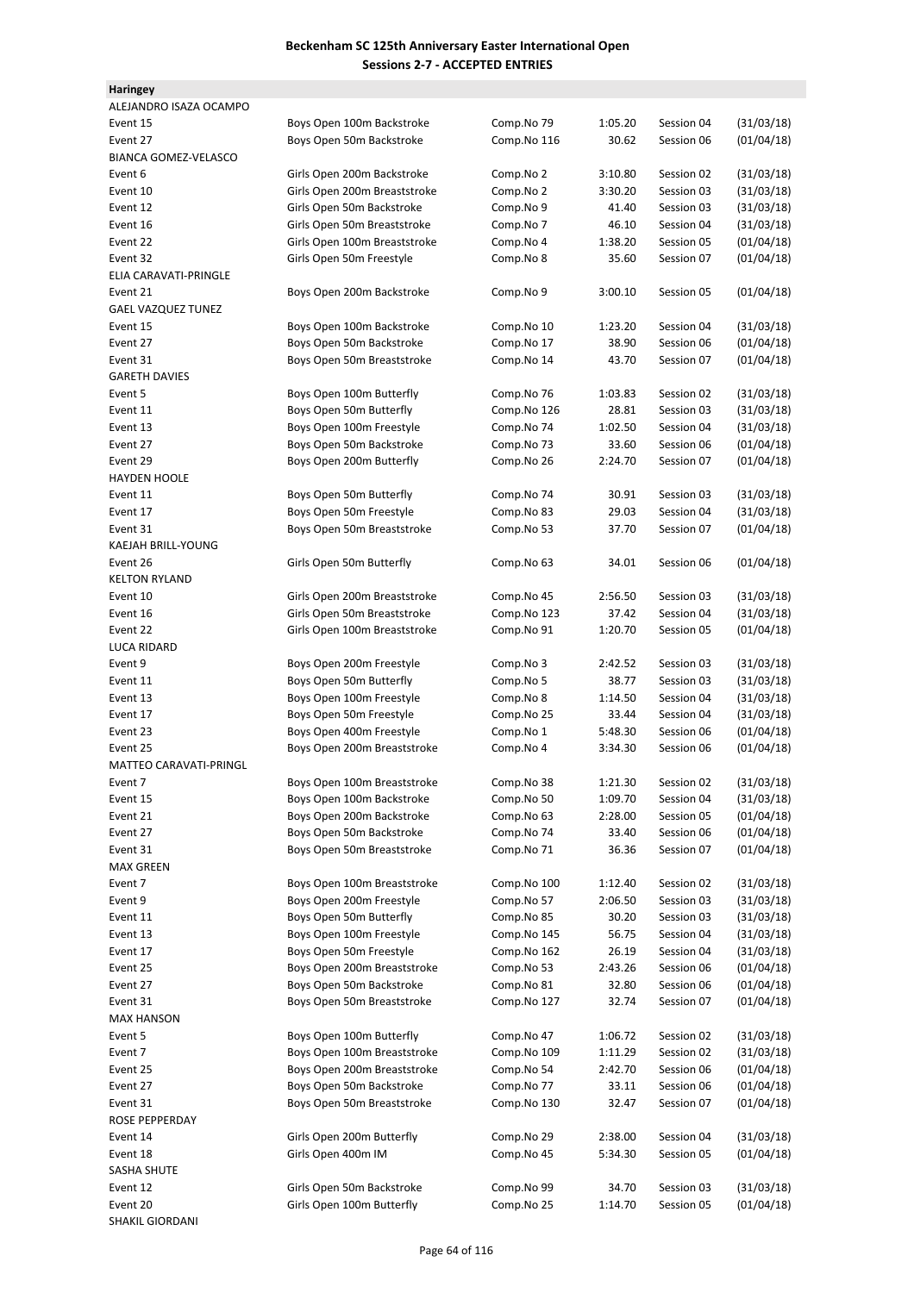| <b>Haringey</b>             |                              |             |         |            |            |
|-----------------------------|------------------------------|-------------|---------|------------|------------|
| ALEJANDRO ISAZA OCAMPO      |                              |             |         |            |            |
| Event 15                    | Boys Open 100m Backstroke    | Comp.No 79  | 1:05.20 | Session 04 | (31/03/18) |
| Event 27                    | Boys Open 50m Backstroke     | Comp.No 116 | 30.62   | Session 06 | (01/04/18) |
| <b>BIANCA GOMEZ-VELASCO</b> |                              |             |         |            |            |
| Event 6                     | Girls Open 200m Backstroke   | Comp.No 2   | 3:10.80 | Session 02 | (31/03/18) |
| Event 10                    | Girls Open 200m Breaststroke | Comp.No 2   | 3:30.20 | Session 03 | (31/03/18) |
| Event 12                    | Girls Open 50m Backstroke    | Comp.No 9   | 41.40   | Session 03 | (31/03/18) |
| Event 16                    | Girls Open 50m Breaststroke  | Comp.No 7   | 46.10   | Session 04 | (31/03/18) |
| Event 22                    | Girls Open 100m Breaststroke | Comp.No 4   | 1:38.20 | Session 05 | (01/04/18) |
| Event 32                    | Girls Open 50m Freestyle     | Comp.No 8   | 35.60   | Session 07 | (01/04/18) |
| ELIA CARAVATI-PRINGLE       |                              |             |         |            |            |
| Event 21                    | Boys Open 200m Backstroke    | Comp.No 9   | 3:00.10 | Session 05 | (01/04/18) |
| <b>GAEL VAZQUEZ TUNEZ</b>   |                              |             |         |            |            |
| Event 15                    | Boys Open 100m Backstroke    | Comp.No 10  | 1:23.20 | Session 04 | (31/03/18) |
| Event 27                    | Boys Open 50m Backstroke     | Comp.No 17  | 38.90   | Session 06 | (01/04/18) |
| Event 31                    | Boys Open 50m Breaststroke   | Comp.No 14  | 43.70   | Session 07 | (01/04/18) |
| <b>GARETH DAVIES</b>        |                              |             |         |            |            |
| Event 5                     | Boys Open 100m Butterfly     | Comp.No 76  | 1:03.83 | Session 02 | (31/03/18) |
| Event 11                    | Boys Open 50m Butterfly      | Comp.No 126 | 28.81   | Session 03 | (31/03/18) |
| Event 13                    | Boys Open 100m Freestyle     | Comp.No 74  | 1:02.50 | Session 04 | (31/03/18) |
| Event 27                    | Boys Open 50m Backstroke     | Comp.No 73  | 33.60   | Session 06 | (01/04/18) |
| Event 29                    | Boys Open 200m Butterfly     | Comp.No 26  | 2:24.70 | Session 07 | (01/04/18) |
| <b>HAYDEN HOOLE</b>         |                              |             |         |            |            |
| Event 11                    | Boys Open 50m Butterfly      | Comp.No 74  | 30.91   | Session 03 | (31/03/18) |
| Event 17                    | Boys Open 50m Freestyle      | Comp.No 83  | 29.03   | Session 04 | (31/03/18) |
| Event 31                    | Boys Open 50m Breaststroke   | Comp.No 53  | 37.70   | Session 07 | (01/04/18) |
| KAEJAH BRILL-YOUNG          |                              |             |         |            |            |
| Event 26                    | Girls Open 50m Butterfly     | Comp.No 63  | 34.01   | Session 06 | (01/04/18) |
| <b>KELTON RYLAND</b>        |                              |             |         |            |            |
| Event 10                    | Girls Open 200m Breaststroke | Comp.No 45  | 2:56.50 | Session 03 | (31/03/18) |
| Event 16                    | Girls Open 50m Breaststroke  | Comp.No 123 | 37.42   | Session 04 | (31/03/18) |
| Event 22                    | Girls Open 100m Breaststroke | Comp.No 91  | 1:20.70 | Session 05 | (01/04/18) |
| <b>LUCA RIDARD</b>          |                              |             |         |            |            |
| Event 9                     | Boys Open 200m Freestyle     | Comp.No 3   | 2:42.52 | Session 03 | (31/03/18) |
| Event 11                    | Boys Open 50m Butterfly      | Comp.No 5   | 38.77   | Session 03 | (31/03/18) |
| Event 13                    | Boys Open 100m Freestyle     | Comp.No 8   | 1:14.50 | Session 04 | (31/03/18) |
| Event 17                    | Boys Open 50m Freestyle      | Comp.No 25  | 33.44   | Session 04 | (31/03/18) |
| Event 23                    | Boys Open 400m Freestyle     | Comp.No 1   | 5:48.30 | Session 06 | (01/04/18) |
| Event 25                    | Boys Open 200m Breaststroke  | Comp.No 4   | 3:34.30 | Session 06 | (01/04/18) |
| MATTEO CARAVATI-PRINGL      |                              |             |         |            |            |
| Event 7                     | Boys Open 100m Breaststroke  | Comp.No 38  | 1:21.30 | Session 02 | (31/03/18) |
| Event 15                    | Boys Open 100m Backstroke    | Comp.No 50  | 1:09.70 | Session 04 | (31/03/18) |
| Event 21                    | Boys Open 200m Backstroke    | Comp.No 63  | 2:28.00 | Session 05 | (01/04/18) |
| Event 27                    | Boys Open 50m Backstroke     | Comp.No 74  | 33.40   | Session 06 | (01/04/18) |
| Event 31                    | Boys Open 50m Breaststroke   | Comp.No 71  | 36.36   | Session 07 | (01/04/18) |
| <b>MAX GREEN</b>            |                              |             |         |            |            |
| Event 7                     | Boys Open 100m Breaststroke  | Comp.No 100 | 1:12.40 | Session 02 | (31/03/18) |
| Event 9                     | Boys Open 200m Freestyle     | Comp.No 57  | 2:06.50 | Session 03 | (31/03/18) |
| Event 11                    | Boys Open 50m Butterfly      | Comp.No 85  | 30.20   | Session 03 | (31/03/18) |
| Event 13                    | Boys Open 100m Freestyle     | Comp.No 145 | 56.75   | Session 04 | (31/03/18) |
| Event 17                    | Boys Open 50m Freestyle      | Comp.No 162 | 26.19   | Session 04 | (31/03/18) |
| Event 25                    | Boys Open 200m Breaststroke  | Comp.No 53  | 2:43.26 | Session 06 | (01/04/18) |
| Event 27                    | Boys Open 50m Backstroke     | Comp.No 81  | 32.80   | Session 06 | (01/04/18) |
| Event 31                    | Boys Open 50m Breaststroke   | Comp.No 127 | 32.74   | Session 07 | (01/04/18) |
| <b>MAX HANSON</b>           |                              |             |         |            |            |
| Event 5                     | Boys Open 100m Butterfly     | Comp.No 47  | 1:06.72 | Session 02 | (31/03/18) |
| Event 7                     | Boys Open 100m Breaststroke  | Comp.No 109 | 1:11.29 | Session 02 | (31/03/18) |
| Event 25                    | Boys Open 200m Breaststroke  | Comp.No 54  | 2:42.70 | Session 06 | (01/04/18) |
| Event 27                    | Boys Open 50m Backstroke     | Comp.No 77  | 33.11   | Session 06 | (01/04/18) |
| Event 31                    | Boys Open 50m Breaststroke   | Comp.No 130 | 32.47   | Session 07 | (01/04/18) |
| ROSE PEPPERDAY              |                              |             |         |            |            |
| Event 14                    | Girls Open 200m Butterfly    | Comp.No 29  | 2:38.00 | Session 04 | (31/03/18) |
| Event 18                    | Girls Open 400m IM           | Comp.No 45  | 5:34.30 | Session 05 | (01/04/18) |
| SASHA SHUTE                 |                              |             |         |            |            |
| Event 12                    | Girls Open 50m Backstroke    | Comp.No 99  | 34.70   | Session 03 | (31/03/18) |
| Event 20                    | Girls Open 100m Butterfly    | Comp.No 25  | 1:14.70 | Session 05 | (01/04/18) |
| <b>SHAKIL GIORDANI</b>      |                              |             |         |            |            |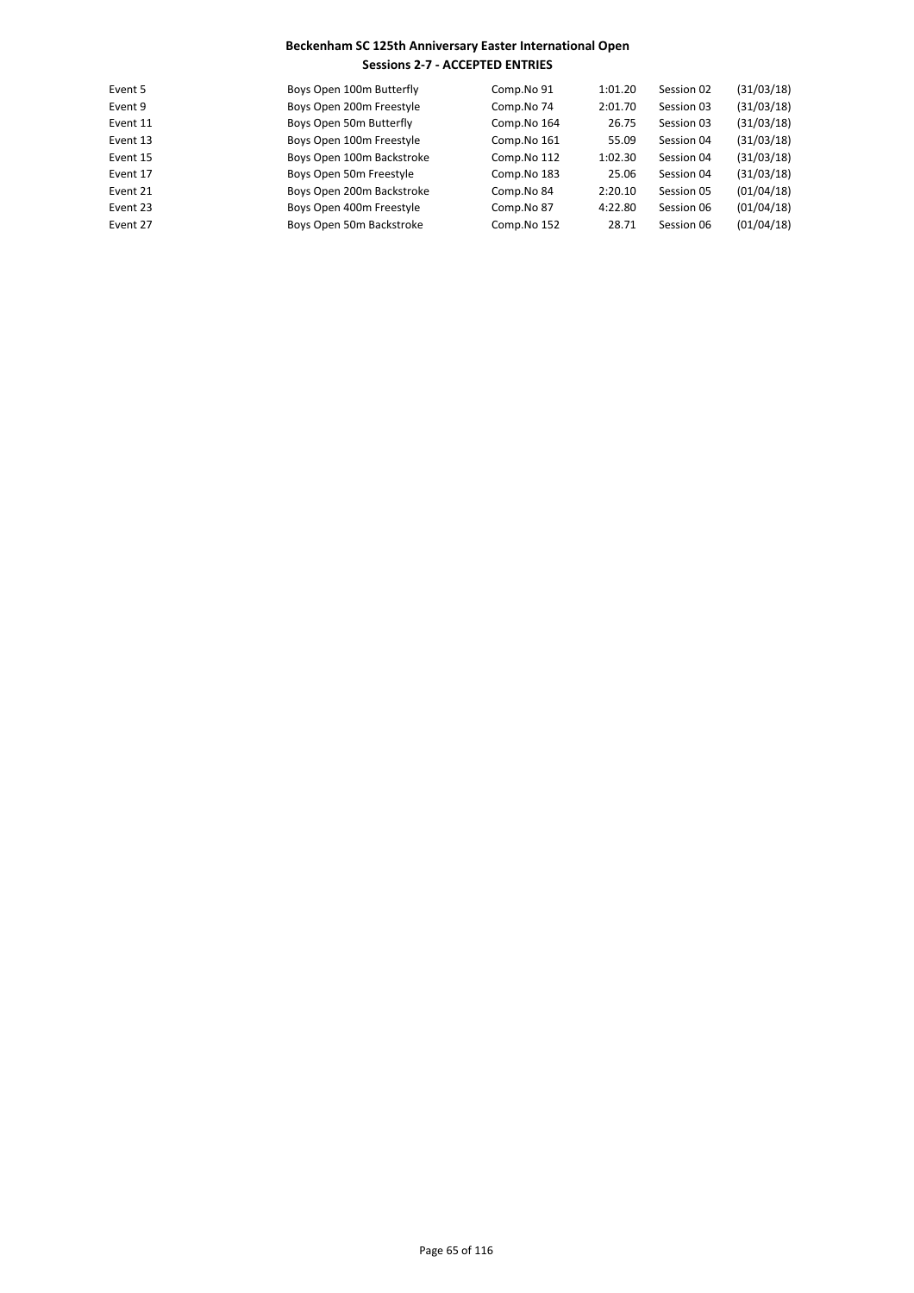| Event 5  | Boys Open 100m Butterfly  | Comp.No 91  | 1:01.20 | Session 02 | (31/03/18) |
|----------|---------------------------|-------------|---------|------------|------------|
| Event 9  | Boys Open 200m Freestyle  | Comp.No 74  | 2:01.70 | Session 03 | (31/03/18) |
| Event 11 | Boys Open 50m Butterfly   | Comp.No 164 | 26.75   | Session 03 | (31/03/18) |
| Event 13 | Boys Open 100m Freestyle  | Comp.No 161 | 55.09   | Session 04 | (31/03/18) |
| Event 15 | Boys Open 100m Backstroke | Comp.No 112 | 1:02.30 | Session 04 | (31/03/18) |
| Event 17 | Boys Open 50m Freestyle   | Comp.No 183 | 25.06   | Session 04 | (31/03/18) |
| Event 21 | Boys Open 200m Backstroke | Comp.No 84  | 2:20.10 | Session 05 | (01/04/18) |
| Event 23 | Boys Open 400m Freestyle  | Comp.No 87  | 4:22.80 | Session 06 | (01/04/18) |
| Event 27 | Boys Open 50m Backstroke  | Comp.No 152 | 28.71   | Session 06 | (01/04/18) |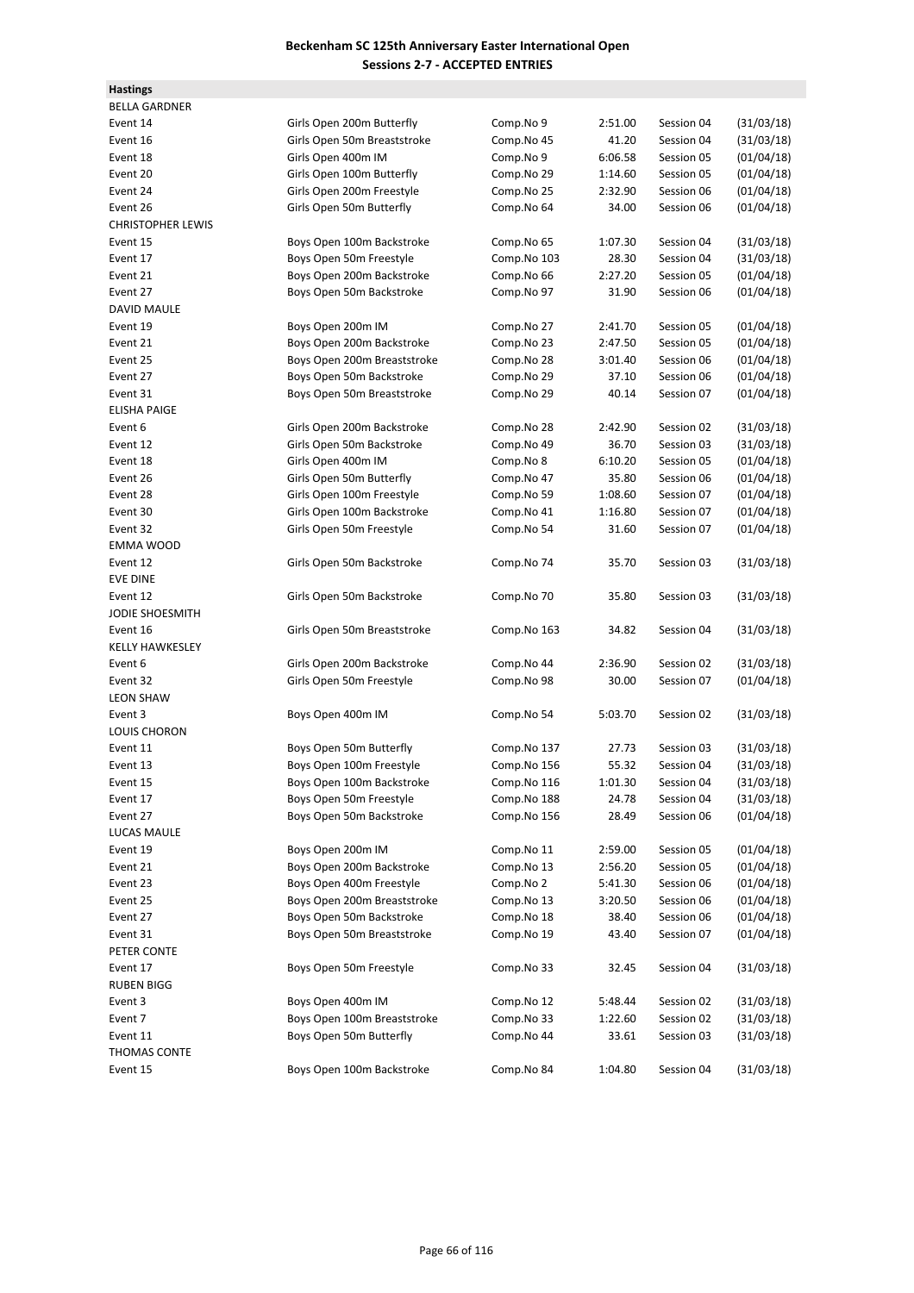**Hastings**

| <b>BELLA GARDNER</b>     |                             |             |         |            |                          |
|--------------------------|-----------------------------|-------------|---------|------------|--------------------------|
| Event 14                 | Girls Open 200m Butterfly   | Comp.No 9   | 2:51.00 | Session 04 | (31/03/18)               |
| Event 16                 | Girls Open 50m Breaststroke | Comp.No 45  | 41.20   | Session 04 | (31/03/18)               |
| Event 18                 | Girls Open 400m IM          | Comp.No 9   | 6:06.58 | Session 05 | (01/04/18)               |
| Event 20                 | Girls Open 100m Butterfly   | Comp.No 29  | 1:14.60 | Session 05 | (01/04/18)               |
| Event 24                 | Girls Open 200m Freestyle   | Comp.No 25  | 2:32.90 | Session 06 | (01/04/18)               |
| Event 26                 | Girls Open 50m Butterfly    | Comp.No 64  | 34.00   | Session 06 | (01/04/18)               |
| <b>CHRISTOPHER LEWIS</b> |                             |             |         |            |                          |
| Event 15                 | Boys Open 100m Backstroke   | Comp.No 65  | 1:07.30 | Session 04 | (31/03/18)               |
| Event 17                 | Boys Open 50m Freestyle     | Comp.No 103 | 28.30   | Session 04 | (31/03/18)               |
| Event 21                 | Boys Open 200m Backstroke   | Comp.No 66  | 2:27.20 | Session 05 | (01/04/18)               |
| Event 27                 | Boys Open 50m Backstroke    | Comp.No 97  | 31.90   | Session 06 | (01/04/18)               |
| <b>DAVID MAULE</b>       |                             |             |         |            |                          |
| Event 19                 | Boys Open 200m IM           | Comp.No 27  | 2:41.70 | Session 05 | (01/04/18)               |
| Event 21                 | Boys Open 200m Backstroke   | Comp.No 23  | 2:47.50 | Session 05 | (01/04/18)               |
| Event 25                 | Boys Open 200m Breaststroke | Comp.No 28  | 3:01.40 | Session 06 | (01/04/18)               |
| Event 27                 | Boys Open 50m Backstroke    | Comp.No 29  | 37.10   | Session 06 | (01/04/18)               |
| Event 31                 | Boys Open 50m Breaststroke  | Comp.No 29  | 40.14   | Session 07 | (01/04/18)               |
| <b>ELISHA PAIGE</b>      |                             |             |         |            |                          |
| Event 6                  | Girls Open 200m Backstroke  | Comp.No 28  | 2:42.90 | Session 02 | (31/03/18)               |
| Event 12                 | Girls Open 50m Backstroke   | Comp.No 49  | 36.70   | Session 03 |                          |
| Event 18                 | Girls Open 400m IM          |             |         | Session 05 | (31/03/18)<br>(01/04/18) |
|                          |                             | Comp.No 8   | 6:10.20 |            |                          |
| Event 26                 | Girls Open 50m Butterfly    | Comp.No 47  | 35.80   | Session 06 | (01/04/18)               |
| Event 28                 | Girls Open 100m Freestyle   | Comp.No 59  | 1:08.60 | Session 07 | (01/04/18)               |
| Event 30                 | Girls Open 100m Backstroke  | Comp.No 41  | 1:16.80 | Session 07 | (01/04/18)               |
| Event 32                 | Girls Open 50m Freestyle    | Comp.No 54  | 31.60   | Session 07 | (01/04/18)               |
| <b>EMMA WOOD</b>         |                             |             |         |            |                          |
| Event 12                 | Girls Open 50m Backstroke   | Comp.No 74  | 35.70   | Session 03 | (31/03/18)               |
| <b>EVE DINE</b>          |                             |             |         |            |                          |
| Event 12                 | Girls Open 50m Backstroke   | Comp.No 70  | 35.80   | Session 03 | (31/03/18)               |
| JODIE SHOESMITH          |                             |             |         |            |                          |
| Event 16                 | Girls Open 50m Breaststroke | Comp.No 163 | 34.82   | Session 04 | (31/03/18)               |
| <b>KELLY HAWKESLEY</b>   |                             |             |         |            |                          |
| Event 6                  | Girls Open 200m Backstroke  | Comp.No 44  | 2:36.90 | Session 02 | (31/03/18)               |
| Event 32                 | Girls Open 50m Freestyle    | Comp.No 98  | 30.00   | Session 07 | (01/04/18)               |
| <b>LEON SHAW</b>         |                             |             |         |            |                          |
| Event 3                  | Boys Open 400m IM           | Comp.No 54  | 5:03.70 | Session 02 | (31/03/18)               |
| LOUIS CHORON             |                             |             |         |            |                          |
| Event 11                 | Boys Open 50m Butterfly     | Comp.No 137 | 27.73   | Session 03 | (31/03/18)               |
| Event 13                 | Boys Open 100m Freestyle    | Comp.No 156 | 55.32   | Session 04 | (31/03/18)               |
| Event 15                 | Boys Open 100m Backstroke   | Comp.No 116 | 1:01.30 | Session 04 | (31/03/18)               |
| Event 17                 | Boys Open 50m Freestyle     | Comp.No 188 | 24.78   | Session 04 | (31/03/18)               |
| Event 27                 | Boys Open 50m Backstroke    | Comp.No 156 | 28.49   | Session 06 | (01/04/18)               |
| LUCAS MAULE              |                             |             |         |            |                          |
| Event 19                 | Boys Open 200m IM           | Comp.No 11  | 2:59.00 | Session 05 | (01/04/18)               |
| Event 21                 | Boys Open 200m Backstroke   | Comp.No 13  | 2:56.20 | Session 05 | (01/04/18)               |
| Event 23                 | Boys Open 400m Freestyle    | Comp.No 2   | 5:41.30 | Session 06 | (01/04/18)               |
| Event 25                 | Boys Open 200m Breaststroke | Comp.No 13  | 3:20.50 | Session 06 | (01/04/18)               |
| Event 27                 | Boys Open 50m Backstroke    | Comp.No 18  | 38.40   | Session 06 | (01/04/18)               |
| Event 31                 | Boys Open 50m Breaststroke  | Comp.No 19  | 43.40   | Session 07 | (01/04/18)               |
| PETER CONTE              |                             |             |         |            |                          |
| Event 17                 | Boys Open 50m Freestyle     | Comp.No 33  | 32.45   | Session 04 | (31/03/18)               |
| <b>RUBEN BIGG</b>        |                             |             |         |            |                          |
| Event 3                  | Boys Open 400m IM           | Comp.No 12  | 5:48.44 | Session 02 | (31/03/18)               |
| Event 7                  | Boys Open 100m Breaststroke | Comp.No 33  | 1:22.60 | Session 02 | (31/03/18)               |
|                          | Boys Open 50m Butterfly     |             |         |            |                          |
| Event 11                 |                             | Comp.No 44  | 33.61   | Session 03 | (31/03/18)               |
| THOMAS CONTE             |                             |             |         |            |                          |
| Event 15                 | Boys Open 100m Backstroke   | Comp.No 84  | 1:04.80 | Session 04 | (31/03/18)               |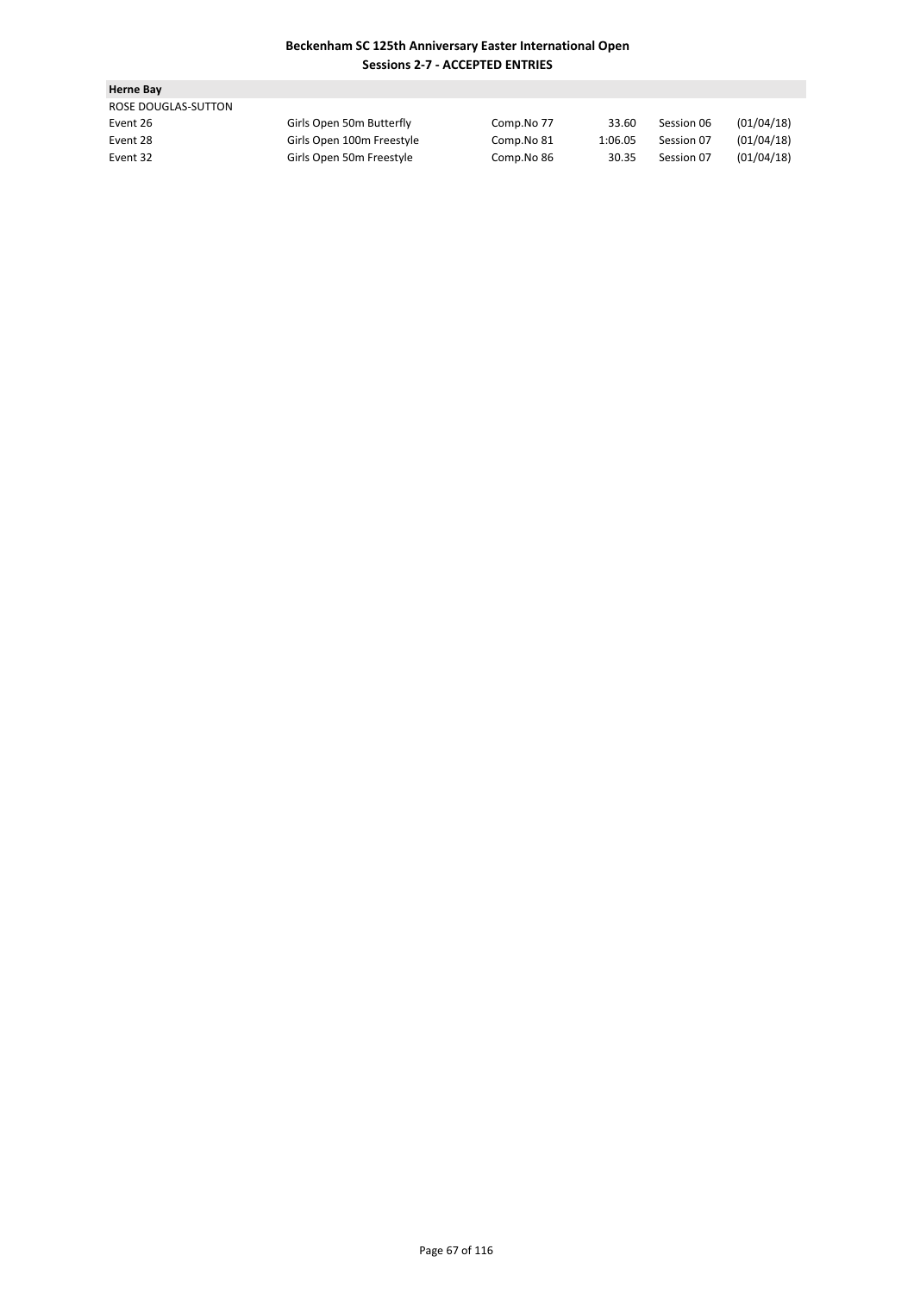| <b>Herne Bay</b>    |                           |            |         |            |            |
|---------------------|---------------------------|------------|---------|------------|------------|
| ROSE DOUGLAS-SUTTON |                           |            |         |            |            |
| Event 26            | Girls Open 50m Butterfly  | Comp.No 77 | 33.60   | Session 06 | (01/04/18) |
| Event 28            | Girls Open 100m Freestyle | Comp.No 81 | 1:06.05 | Session 07 | (01/04/18) |
| Event 32            | Girls Open 50m Freestyle  | Comp.No 86 | 30.35   | Session 07 | (01/04/18) |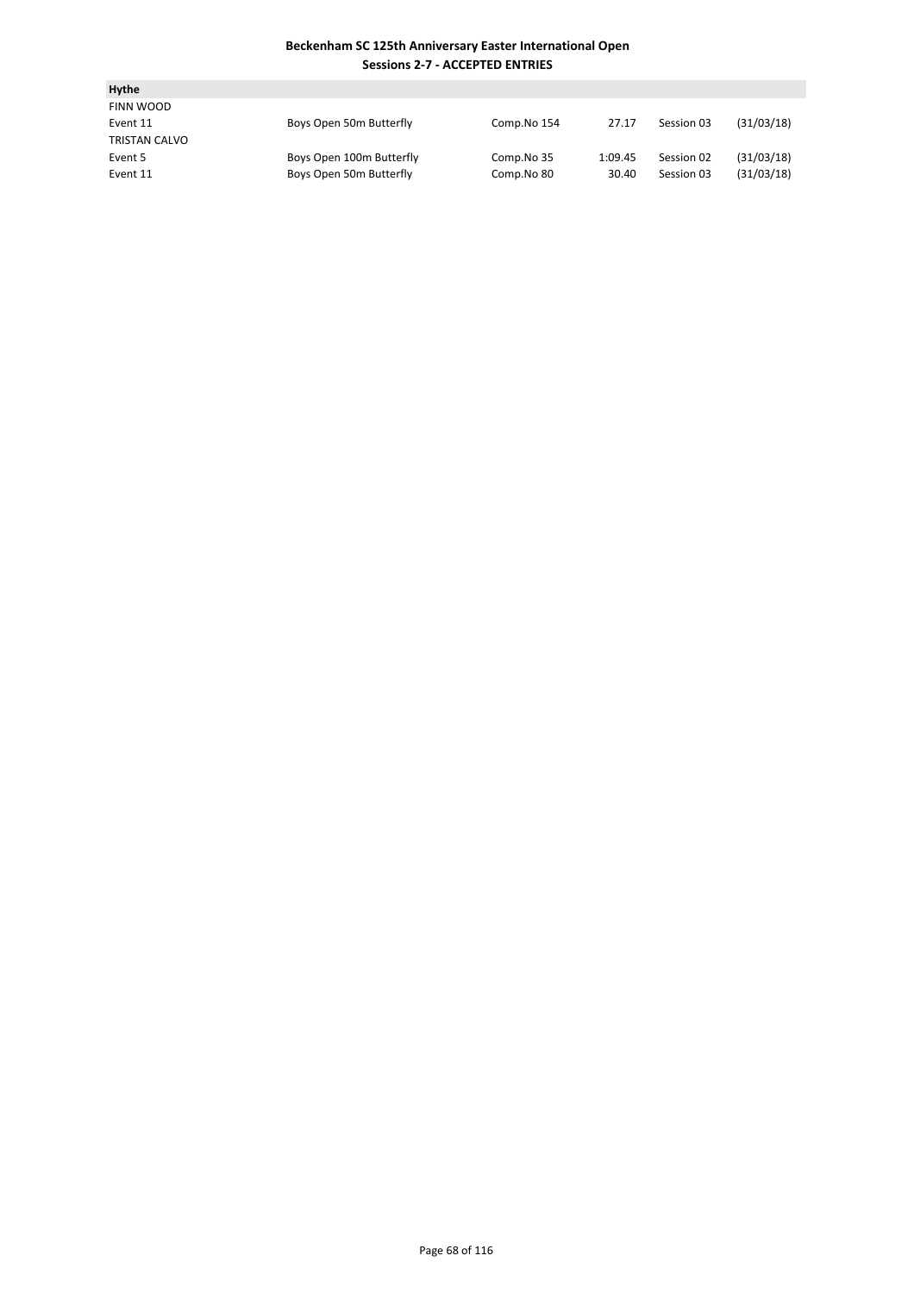| Hythe         |                          |             |         |            |            |
|---------------|--------------------------|-------------|---------|------------|------------|
| FINN WOOD     |                          |             |         |            |            |
| Event 11      | Boys Open 50m Butterfly  | Comp.No 154 | 27.17   | Session 03 | (31/03/18) |
| TRISTAN CALVO |                          |             |         |            |            |
| Event 5       | Boys Open 100m Butterfly | Comp.No 35  | 1:09.45 | Session 02 | (31/03/18) |
| Event 11      | Boys Open 50m Butterfly  | Comp.No 80  | 30.40   | Session 03 | (31/03/18) |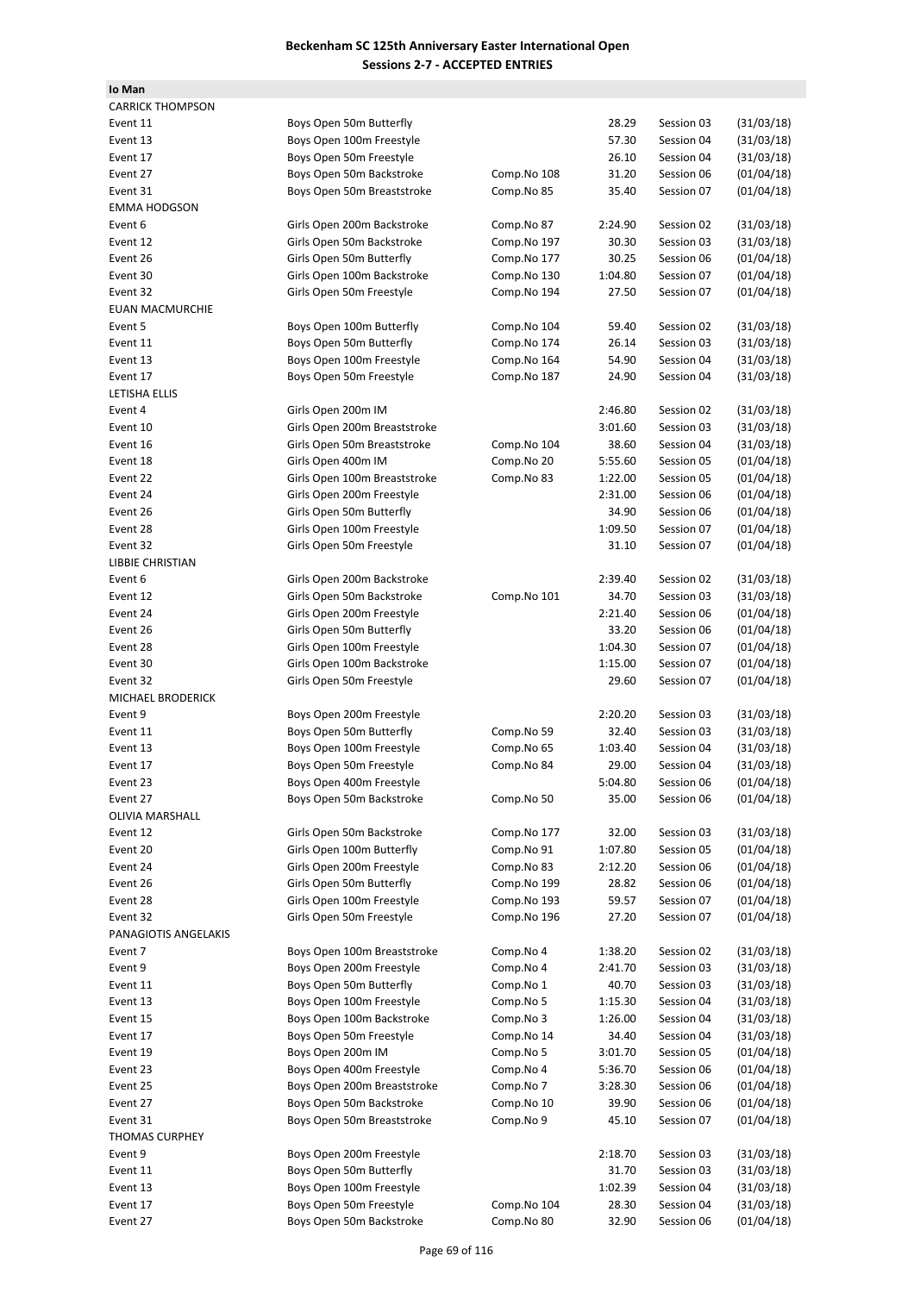| lo Man                  |                              |             |         |            |            |
|-------------------------|------------------------------|-------------|---------|------------|------------|
| <b>CARRICK THOMPSON</b> |                              |             |         |            |            |
| Event 11                | Boys Open 50m Butterfly      |             | 28.29   | Session 03 | (31/03/18) |
| Event 13                | Boys Open 100m Freestyle     |             | 57.30   | Session 04 | (31/03/18) |
| Event 17                | Boys Open 50m Freestyle      |             | 26.10   | Session 04 | (31/03/18) |
| Event 27                | Boys Open 50m Backstroke     | Comp.No 108 | 31.20   | Session 06 | (01/04/18) |
| Event 31                | Boys Open 50m Breaststroke   | Comp.No 85  | 35.40   | Session 07 | (01/04/18) |
| <b>EMMA HODGSON</b>     |                              |             |         |            |            |
| Event 6                 | Girls Open 200m Backstroke   | Comp.No 87  | 2:24.90 | Session 02 | (31/03/18) |
| Event 12                | Girls Open 50m Backstroke    | Comp.No 197 | 30.30   | Session 03 | (31/03/18) |
| Event 26                | Girls Open 50m Butterfly     |             |         | Session 06 | (01/04/18) |
|                         |                              | Comp.No 177 | 30.25   | Session 07 |            |
| Event 30                | Girls Open 100m Backstroke   | Comp.No 130 | 1:04.80 |            | (01/04/18) |
| Event 32                | Girls Open 50m Freestyle     | Comp.No 194 | 27.50   | Session 07 | (01/04/18) |
| EUAN MACMURCHIE         |                              |             |         |            |            |
| Event 5                 | Boys Open 100m Butterfly     | Comp.No 104 | 59.40   | Session 02 | (31/03/18) |
| Event 11                | Boys Open 50m Butterfly      | Comp.No 174 | 26.14   | Session 03 | (31/03/18) |
| Event 13                | Boys Open 100m Freestyle     | Comp.No 164 | 54.90   | Session 04 | (31/03/18) |
| Event 17                | Boys Open 50m Freestyle      | Comp.No 187 | 24.90   | Session 04 | (31/03/18) |
| LETISHA ELLIS           |                              |             |         |            |            |
| Event 4                 | Girls Open 200m IM           |             | 2:46.80 | Session 02 | (31/03/18) |
| Event 10                | Girls Open 200m Breaststroke |             | 3:01.60 | Session 03 | (31/03/18) |
| Event 16                | Girls Open 50m Breaststroke  | Comp.No 104 | 38.60   | Session 04 | (31/03/18) |
| Event 18                | Girls Open 400m IM           | Comp.No 20  | 5:55.60 | Session 05 | (01/04/18) |
| Event 22                | Girls Open 100m Breaststroke | Comp.No 83  | 1:22.00 | Session 05 | (01/04/18) |
| Event 24                | Girls Open 200m Freestyle    |             | 2:31.00 | Session 06 | (01/04/18) |
| Event 26                | Girls Open 50m Butterfly     |             | 34.90   | Session 06 | (01/04/18) |
| Event 28                | Girls Open 100m Freestyle    |             | 1:09.50 | Session 07 | (01/04/18) |
| Event 32                | Girls Open 50m Freestyle     |             | 31.10   | Session 07 | (01/04/18) |
| LIBBIE CHRISTIAN        |                              |             |         |            |            |
| Event 6                 | Girls Open 200m Backstroke   |             | 2:39.40 | Session 02 | (31/03/18) |
| Event 12                | Girls Open 50m Backstroke    | Comp.No 101 | 34.70   | Session 03 | (31/03/18) |
| Event 24                | Girls Open 200m Freestyle    |             | 2:21.40 | Session 06 | (01/04/18) |
| Event 26                | Girls Open 50m Butterfly     |             | 33.20   | Session 06 | (01/04/18) |
| Event 28                |                              |             |         | Session 07 | (01/04/18) |
|                         | Girls Open 100m Freestyle    |             | 1:04.30 |            |            |
| Event 30                | Girls Open 100m Backstroke   |             | 1:15.00 | Session 07 | (01/04/18) |
| Event 32                | Girls Open 50m Freestyle     |             | 29.60   | Session 07 | (01/04/18) |
| MICHAEL BRODERICK       |                              |             |         |            |            |
| Event 9                 | Boys Open 200m Freestyle     |             | 2:20.20 | Session 03 | (31/03/18) |
| Event 11                | Boys Open 50m Butterfly      | Comp.No 59  | 32.40   | Session 03 | (31/03/18) |
| Event 13                | Boys Open 100m Freestyle     | Comp.No 65  | 1:03.40 | Session 04 | (31/03/18) |
| Event 17                | Boys Open 50m Freestyle      | Comp.No 84  | 29.00   | Session 04 | (31/03/18) |
| Event 23                | Boys Open 400m Freestyle     |             | 5:04.80 | Session 06 | (01/04/18) |
| Event 27                | Boys Open 50m Backstroke     | Comp.No 50  | 35.00   | Session 06 | (01/04/18) |
| OLIVIA MARSHALL         |                              |             |         |            |            |
| Event 12                | Girls Open 50m Backstroke    | Comp.No 177 | 32.00   | Session 03 | (31/03/18) |
| Event 20                | Girls Open 100m Butterfly    | Comp.No 91  | 1:07.80 | Session 05 | (01/04/18) |
| Event 24                | Girls Open 200m Freestyle    | Comp.No 83  | 2:12.20 | Session 06 | (01/04/18) |
| Event 26                | Girls Open 50m Butterfly     | Comp.No 199 | 28.82   | Session 06 | (01/04/18) |
| Event 28                | Girls Open 100m Freestyle    | Comp.No 193 | 59.57   | Session 07 | (01/04/18) |
| Event 32                | Girls Open 50m Freestyle     | Comp.No 196 | 27.20   | Session 07 | (01/04/18) |
| PANAGIOTIS ANGELAKIS    |                              |             |         |            |            |
| Event 7                 | Boys Open 100m Breaststroke  | Comp.No 4   | 1:38.20 | Session 02 | (31/03/18) |
| Event 9                 | Boys Open 200m Freestyle     | Comp.No 4   | 2:41.70 | Session 03 | (31/03/18) |
| Event 11                | Boys Open 50m Butterfly      | Comp.No 1   | 40.70   | Session 03 | (31/03/18) |
| Event 13                | Boys Open 100m Freestyle     | Comp.No 5   | 1:15.30 | Session 04 | (31/03/18) |
| Event 15                | Boys Open 100m Backstroke    | Comp.No 3   | 1:26.00 | Session 04 | (31/03/18) |
| Event 17                | Boys Open 50m Freestyle      | Comp.No 14  | 34.40   | Session 04 | (31/03/18) |
|                         |                              |             |         |            |            |
| Event 19                | Boys Open 200m IM            | Comp.No 5   | 3:01.70 | Session 05 | (01/04/18) |
| Event 23                | Boys Open 400m Freestyle     | Comp.No 4   | 5:36.70 | Session 06 | (01/04/18) |
| Event 25                | Boys Open 200m Breaststroke  | Comp.No 7   | 3:28.30 | Session 06 | (01/04/18) |
| Event 27                | Boys Open 50m Backstroke     | Comp.No 10  | 39.90   | Session 06 | (01/04/18) |
| Event 31                | Boys Open 50m Breaststroke   | Comp.No 9   | 45.10   | Session 07 | (01/04/18) |
| <b>THOMAS CURPHEY</b>   |                              |             |         |            |            |
| Event 9                 | Boys Open 200m Freestyle     |             | 2:18.70 | Session 03 | (31/03/18) |
| Event 11                | Boys Open 50m Butterfly      |             | 31.70   | Session 03 | (31/03/18) |
| Event 13                | Boys Open 100m Freestyle     |             | 1:02.39 | Session 04 | (31/03/18) |
| Event 17                | Boys Open 50m Freestyle      | Comp.No 104 | 28.30   | Session 04 | (31/03/18) |
| Event 27                | Boys Open 50m Backstroke     | Comp.No 80  | 32.90   | Session 06 | (01/04/18) |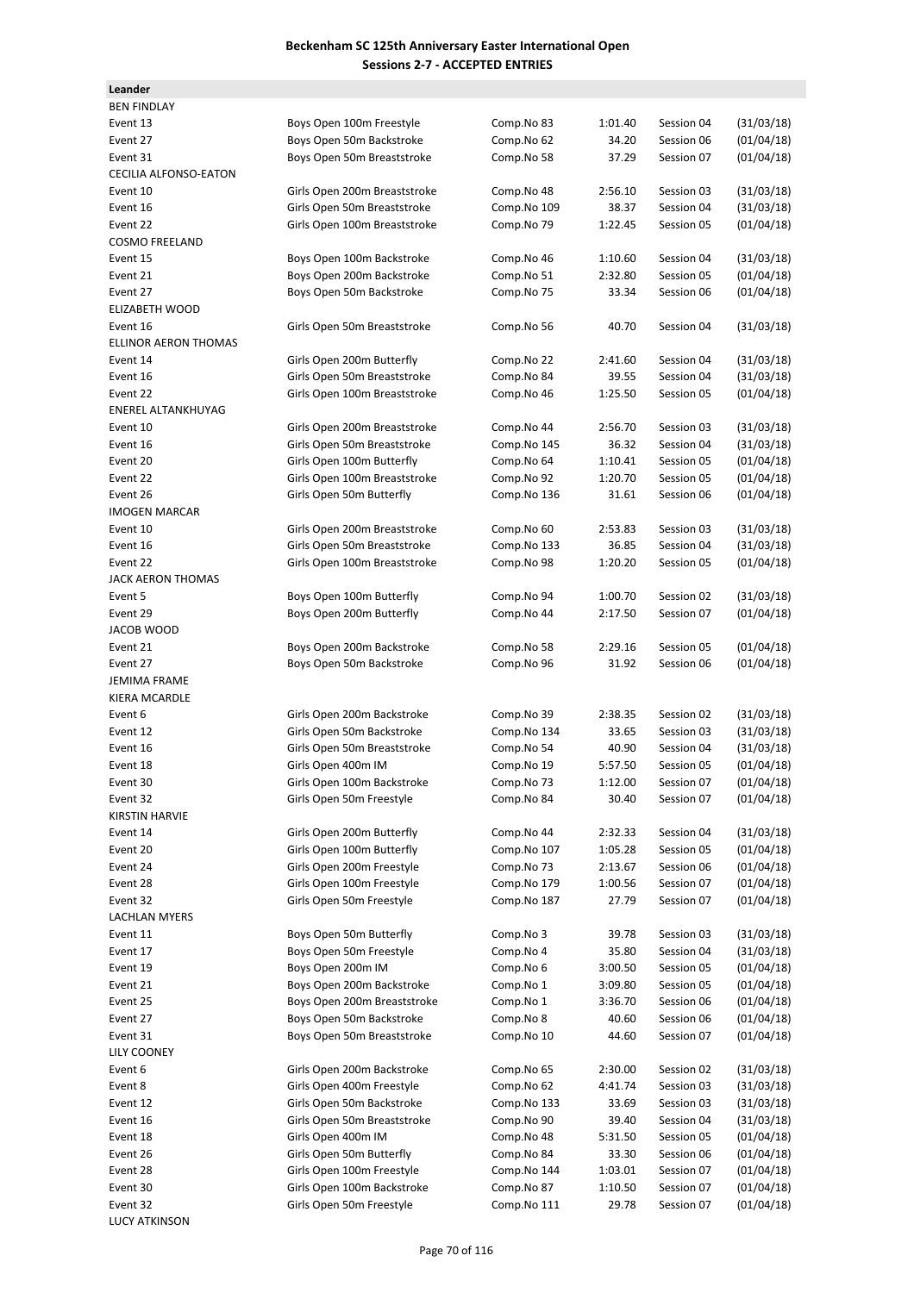| Leander                      |                              |             |                    |            |            |
|------------------------------|------------------------------|-------------|--------------------|------------|------------|
| <b>BEN FINDLAY</b>           |                              |             |                    |            |            |
| Event 13                     | Boys Open 100m Freestyle     | Comp.No 83  | 1:01.40            | Session 04 | (31/03/18) |
| Event 27                     | Boys Open 50m Backstroke     | Comp.No 62  | 34.20              | Session 06 | (01/04/18) |
| Event 31                     | Boys Open 50m Breaststroke   | Comp.No 58  | 37.29              | Session 07 | (01/04/18) |
| <b>CECILIA ALFONSO-EATON</b> |                              |             |                    |            |            |
| Event 10                     | Girls Open 200m Breaststroke | Comp.No 48  | 2:56.10            | Session 03 | (31/03/18) |
| Event 16                     | Girls Open 50m Breaststroke  | Comp.No 109 | 38.37              | Session 04 | (31/03/18) |
| Event 22                     | Girls Open 100m Breaststroke | Comp.No 79  | 1:22.45            | Session 05 | (01/04/18) |
| <b>COSMO FREELAND</b>        |                              |             |                    |            |            |
| Event 15                     | Boys Open 100m Backstroke    | Comp.No 46  | 1:10.60            | Session 04 | (31/03/18) |
| Event 21                     | Boys Open 200m Backstroke    | Comp.No 51  | 2:32.80            | Session 05 | (01/04/18) |
| Event 27                     | Boys Open 50m Backstroke     | Comp.No 75  | 33.34              | Session 06 | (01/04/18) |
| ELIZABETH WOOD               |                              |             |                    |            |            |
| Event 16                     | Girls Open 50m Breaststroke  | Comp.No 56  | 40.70              | Session 04 | (31/03/18) |
| <b>ELLINOR AERON THOMAS</b>  |                              |             |                    |            |            |
| Event 14                     | Girls Open 200m Butterfly    | Comp.No 22  | 2:41.60            | Session 04 | (31/03/18) |
| Event 16                     | Girls Open 50m Breaststroke  | Comp.No 84  | 39.55              | Session 04 | (31/03/18) |
| Event 22                     | Girls Open 100m Breaststroke | Comp.No 46  | 1:25.50            | Session 05 | (01/04/18) |
| ENEREL ALTANKHUYAG           |                              |             |                    |            |            |
| Event 10                     | Girls Open 200m Breaststroke | Comp.No 44  | 2:56.70            | Session 03 | (31/03/18) |
| Event 16                     | Girls Open 50m Breaststroke  | Comp.No 145 | 36.32              | Session 04 | (31/03/18) |
| Event 20                     | Girls Open 100m Butterfly    | Comp.No 64  | 1:10.41            | Session 05 | (01/04/18) |
| Event 22                     | Girls Open 100m Breaststroke | Comp.No 92  | 1:20.70            | Session 05 | (01/04/18) |
| Event 26                     | Girls Open 50m Butterfly     | Comp.No 136 | 31.61              | Session 06 | (01/04/18) |
| <b>IMOGEN MARCAR</b>         |                              |             |                    |            |            |
| Event 10                     | Girls Open 200m Breaststroke | Comp.No 60  | 2:53.83            | Session 03 | (31/03/18) |
| Event 16                     | Girls Open 50m Breaststroke  | Comp.No 133 | 36.85              | Session 04 | (31/03/18) |
| Event 22                     | Girls Open 100m Breaststroke | Comp.No 98  | 1:20.20            | Session 05 | (01/04/18) |
| JACK AERON THOMAS<br>Event 5 | Boys Open 100m Butterfly     | Comp.No 94  |                    | Session 02 | (31/03/18) |
| Event 29                     | Boys Open 200m Butterfly     | Comp.No 44  | 1:00.70<br>2:17.50 | Session 07 | (01/04/18) |
| JACOB WOOD                   |                              |             |                    |            |            |
| Event 21                     | Boys Open 200m Backstroke    | Comp.No 58  | 2:29.16            | Session 05 | (01/04/18) |
| Event 27                     | Boys Open 50m Backstroke     | Comp.No 96  | 31.92              | Session 06 | (01/04/18) |
| JEMIMA FRAME                 |                              |             |                    |            |            |
| KIERA MCARDLE                |                              |             |                    |            |            |
| Event 6                      | Girls Open 200m Backstroke   | Comp.No 39  | 2:38.35            | Session 02 | (31/03/18) |
| Event 12                     | Girls Open 50m Backstroke    | Comp.No 134 | 33.65              | Session 03 | (31/03/18) |
| Event 16                     | Girls Open 50m Breaststroke  | Comp.No 54  | 40.90              | Session 04 | (31/03/18) |
| Event 18                     | Girls Open 400m IM           | Comp.No 19  | 5:57.50            | Session 05 | (01/04/18) |
| Event 30                     | Girls Open 100m Backstroke   | Comp.No 73  | 1:12.00            | Session 07 | (01/04/18) |
| Event 32                     | Girls Open 50m Freestyle     | Comp.No 84  | 30.40              | Session 07 | (01/04/18) |
| <b>KIRSTIN HARVIE</b>        |                              |             |                    |            |            |
| Event 14                     | Girls Open 200m Butterfly    | Comp.No 44  | 2:32.33            | Session 04 | (31/03/18) |
| Event 20                     | Girls Open 100m Butterfly    | Comp.No 107 | 1:05.28            | Session 05 | (01/04/18) |
| Event 24                     | Girls Open 200m Freestyle    | Comp.No 73  | 2:13.67            | Session 06 | (01/04/18) |
| Event 28                     | Girls Open 100m Freestyle    | Comp.No 179 | 1:00.56            | Session 07 | (01/04/18) |
| Event 32                     | Girls Open 50m Freestyle     | Comp.No 187 | 27.79              | Session 07 | (01/04/18) |
| LACHLAN MYERS                |                              |             |                    |            |            |
| Event 11                     | Boys Open 50m Butterfly      | Comp.No 3   | 39.78              | Session 03 | (31/03/18) |
| Event 17                     | Boys Open 50m Freestyle      | Comp.No 4   | 35.80              | Session 04 | (31/03/18) |
| Event 19                     | Boys Open 200m IM            | Comp.No 6   | 3:00.50            | Session 05 | (01/04/18) |
| Event 21                     | Boys Open 200m Backstroke    | Comp.No 1   | 3:09.80            | Session 05 | (01/04/18) |
| Event 25                     | Boys Open 200m Breaststroke  | Comp.No 1   | 3:36.70            | Session 06 | (01/04/18) |
| Event 27                     | Boys Open 50m Backstroke     | Comp.No 8   | 40.60              | Session 06 | (01/04/18) |
| Event 31                     | Boys Open 50m Breaststroke   | Comp.No 10  | 44.60              | Session 07 | (01/04/18) |
| LILY COONEY                  |                              |             |                    |            |            |
| Event 6                      | Girls Open 200m Backstroke   | Comp.No 65  | 2:30.00            | Session 02 | (31/03/18) |
| Event 8                      | Girls Open 400m Freestyle    | Comp.No 62  | 4:41.74            | Session 03 | (31/03/18) |
| Event 12                     | Girls Open 50m Backstroke    | Comp.No 133 | 33.69              | Session 03 | (31/03/18) |
| Event 16                     | Girls Open 50m Breaststroke  | Comp.No 90  | 39.40              | Session 04 | (31/03/18) |
| Event 18                     | Girls Open 400m IM           | Comp.No 48  | 5:31.50            | Session 05 | (01/04/18) |
| Event 26                     | Girls Open 50m Butterfly     | Comp.No 84  | 33.30              | Session 06 | (01/04/18) |
| Event 28                     | Girls Open 100m Freestyle    | Comp.No 144 | 1:03.01            | Session 07 | (01/04/18) |
| Event 30                     | Girls Open 100m Backstroke   | Comp.No 87  | 1:10.50            | Session 07 | (01/04/18) |
| Event 32                     | Girls Open 50m Freestyle     | Comp.No 111 | 29.78              | Session 07 | (01/04/18) |
| <b>LUCY ATKINSON</b>         |                              |             |                    |            |            |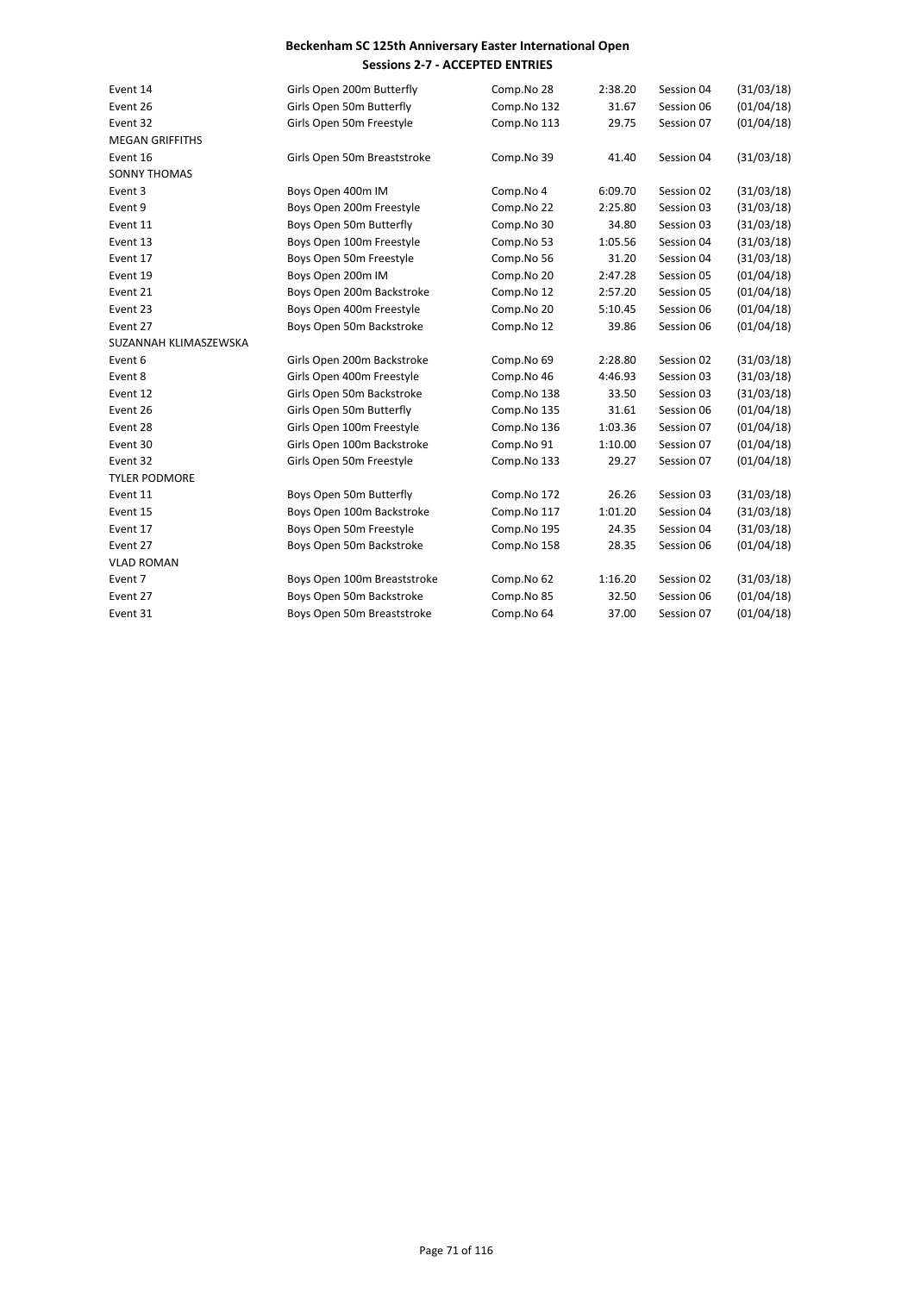| Event 14               | Girls Open 200m Butterfly   | Comp.No 28  | 2:38.20 | Session 04 | (31/03/18) |
|------------------------|-----------------------------|-------------|---------|------------|------------|
| Event 26               | Girls Open 50m Butterfly    | Comp.No 132 | 31.67   | Session 06 | (01/04/18) |
| Event 32               | Girls Open 50m Freestyle    | Comp.No 113 | 29.75   | Session 07 | (01/04/18) |
| <b>MEGAN GRIFFITHS</b> |                             |             |         |            |            |
| Event 16               | Girls Open 50m Breaststroke | Comp.No 39  | 41.40   | Session 04 | (31/03/18) |
| <b>SONNY THOMAS</b>    |                             |             |         |            |            |
| Event 3                | Boys Open 400m IM           | Comp.No 4   | 6:09.70 | Session 02 | (31/03/18) |
| Event 9                | Boys Open 200m Freestyle    | Comp.No 22  | 2:25.80 | Session 03 | (31/03/18) |
| Event 11               | Boys Open 50m Butterfly     | Comp.No 30  | 34.80   | Session 03 | (31/03/18) |
| Event 13               | Boys Open 100m Freestyle    | Comp.No 53  | 1:05.56 | Session 04 | (31/03/18) |
| Event 17               | Boys Open 50m Freestyle     | Comp.No 56  | 31.20   | Session 04 | (31/03/18) |
| Event 19               | Boys Open 200m IM           | Comp.No 20  | 2:47.28 | Session 05 | (01/04/18) |
| Event 21               | Boys Open 200m Backstroke   | Comp.No 12  | 2:57.20 | Session 05 | (01/04/18) |
| Event 23               | Boys Open 400m Freestyle    | Comp.No 20  | 5:10.45 | Session 06 | (01/04/18) |
| Event 27               | Boys Open 50m Backstroke    | Comp.No 12  | 39.86   | Session 06 | (01/04/18) |
| SUZANNAH KLIMASZEWSKA  |                             |             |         |            |            |
| Event 6                | Girls Open 200m Backstroke  | Comp.No 69  | 2:28.80 | Session 02 | (31/03/18) |
| Event 8                | Girls Open 400m Freestyle   | Comp.No 46  | 4:46.93 | Session 03 | (31/03/18) |
| Event 12               | Girls Open 50m Backstroke   | Comp.No 138 | 33.50   | Session 03 | (31/03/18) |
| Event 26               | Girls Open 50m Butterfly    | Comp.No 135 | 31.61   | Session 06 | (01/04/18) |
| Event 28               | Girls Open 100m Freestyle   | Comp.No 136 | 1:03.36 | Session 07 | (01/04/18) |
| Event 30               | Girls Open 100m Backstroke  | Comp.No 91  | 1:10.00 | Session 07 | (01/04/18) |
| Event 32               | Girls Open 50m Freestyle    | Comp.No 133 | 29.27   | Session 07 | (01/04/18) |
| <b>TYLER PODMORE</b>   |                             |             |         |            |            |
| Event 11               | Boys Open 50m Butterfly     | Comp.No 172 | 26.26   | Session 03 | (31/03/18) |
| Event 15               | Boys Open 100m Backstroke   | Comp.No 117 | 1:01.20 | Session 04 | (31/03/18) |
| Event 17               | Boys Open 50m Freestyle     | Comp.No 195 | 24.35   | Session 04 | (31/03/18) |
| Event 27               | Boys Open 50m Backstroke    | Comp.No 158 | 28.35   | Session 06 | (01/04/18) |
| <b>VLAD ROMAN</b>      |                             |             |         |            |            |
| Event 7                | Boys Open 100m Breaststroke | Comp.No 62  | 1:16.20 | Session 02 | (31/03/18) |
| Event 27               | Boys Open 50m Backstroke    | Comp.No 85  | 32.50   | Session 06 | (01/04/18) |
| Event 31               | Boys Open 50m Breaststroke  | Comp.No 64  | 37.00   | Session 07 | (01/04/18) |
|                        |                             |             |         |            |            |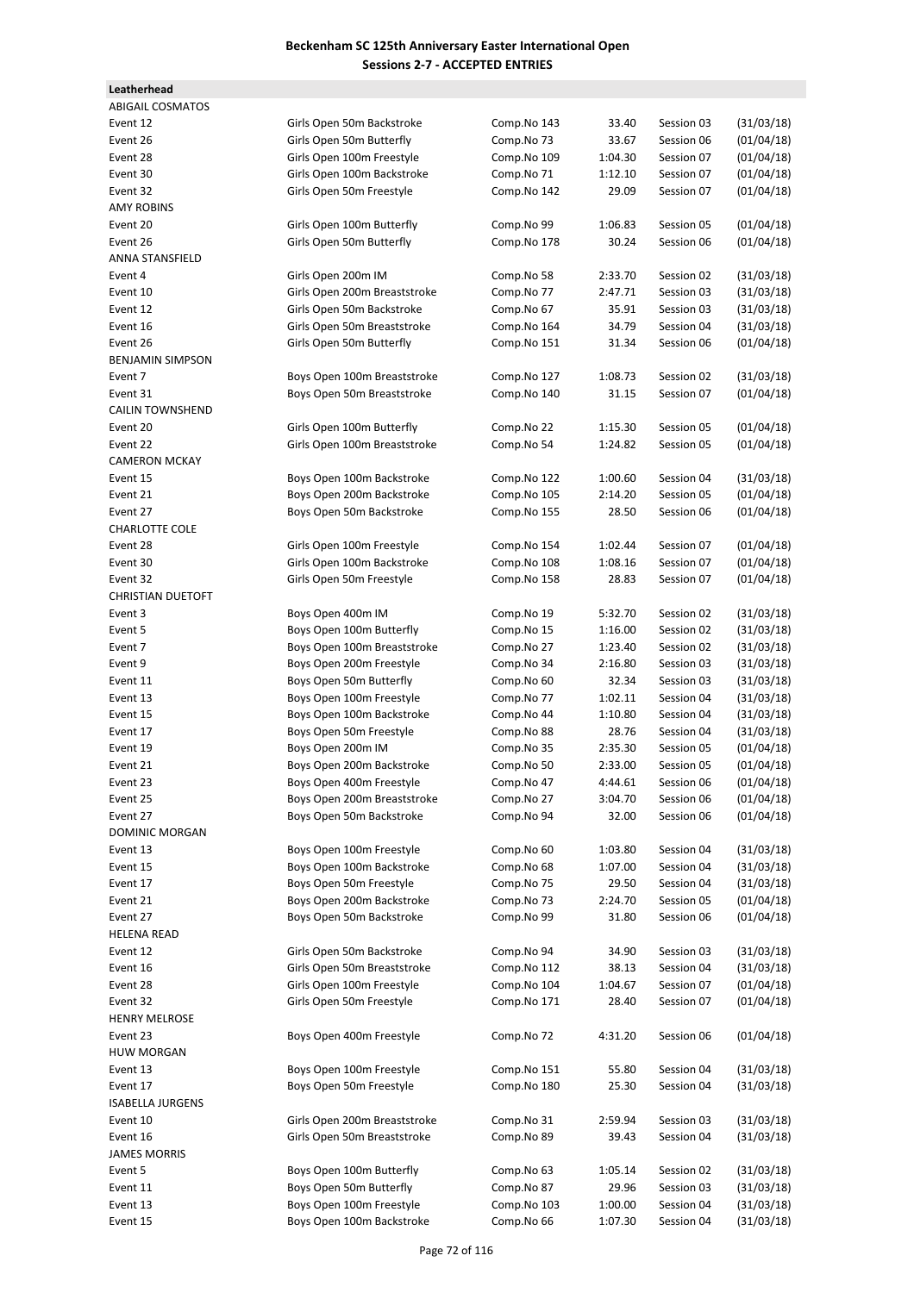**Leatherhead**

| <b>ABIGAIL COSMATOS</b>  |                              |             |         |            |            |
|--------------------------|------------------------------|-------------|---------|------------|------------|
| Event 12                 | Girls Open 50m Backstroke    | Comp.No 143 | 33.40   | Session 03 | (31/03/18) |
| Event 26                 | Girls Open 50m Butterfly     | Comp.No 73  | 33.67   | Session 06 | (01/04/18) |
| Event 28                 | Girls Open 100m Freestyle    | Comp.No 109 | 1:04.30 | Session 07 | (01/04/18) |
| Event 30                 | Girls Open 100m Backstroke   | Comp.No 71  | 1:12.10 | Session 07 | (01/04/18) |
| Event 32                 | Girls Open 50m Freestyle     | Comp.No 142 | 29.09   | Session 07 | (01/04/18) |
| <b>AMY ROBINS</b>        |                              |             |         |            |            |
| Event 20                 | Girls Open 100m Butterfly    | Comp.No 99  | 1:06.83 | Session 05 | (01/04/18) |
| Event 26                 | Girls Open 50m Butterfly     | Comp.No 178 | 30.24   | Session 06 | (01/04/18) |
| <b>ANNA STANSFIELD</b>   |                              |             |         |            |            |
|                          |                              |             |         |            |            |
| Event 4                  | Girls Open 200m IM           | Comp.No 58  | 2:33.70 | Session 02 | (31/03/18) |
| Event 10                 | Girls Open 200m Breaststroke | Comp.No 77  | 2:47.71 | Session 03 | (31/03/18) |
| Event 12                 | Girls Open 50m Backstroke    | Comp.No 67  | 35.91   | Session 03 | (31/03/18) |
| Event 16                 | Girls Open 50m Breaststroke  | Comp.No 164 | 34.79   | Session 04 | (31/03/18) |
| Event 26                 | Girls Open 50m Butterfly     | Comp.No 151 | 31.34   | Session 06 | (01/04/18) |
| <b>BENJAMIN SIMPSON</b>  |                              |             |         |            |            |
| Event 7                  | Boys Open 100m Breaststroke  | Comp.No 127 | 1:08.73 | Session 02 | (31/03/18) |
| Event 31                 | Boys Open 50m Breaststroke   | Comp.No 140 | 31.15   | Session 07 | (01/04/18) |
| <b>CAILIN TOWNSHEND</b>  |                              |             |         |            |            |
| Event 20                 | Girls Open 100m Butterfly    | Comp.No 22  | 1:15.30 | Session 05 | (01/04/18) |
| Event 22                 | Girls Open 100m Breaststroke | Comp.No 54  | 1:24.82 | Session 05 | (01/04/18) |
| <b>CAMERON MCKAY</b>     |                              |             |         |            |            |
| Event 15                 | Boys Open 100m Backstroke    | Comp.No 122 | 1:00.60 | Session 04 | (31/03/18) |
| Event 21                 | Boys Open 200m Backstroke    | Comp.No 105 | 2:14.20 | Session 05 | (01/04/18) |
|                          |                              |             |         | Session 06 |            |
| Event 27                 | Boys Open 50m Backstroke     | Comp.No 155 | 28.50   |            | (01/04/18) |
| <b>CHARLOTTE COLE</b>    |                              |             |         |            |            |
| Event 28                 | Girls Open 100m Freestyle    | Comp.No 154 | 1:02.44 | Session 07 | (01/04/18) |
| Event 30                 | Girls Open 100m Backstroke   | Comp.No 108 | 1:08.16 | Session 07 | (01/04/18) |
| Event 32                 | Girls Open 50m Freestyle     | Comp.No 158 | 28.83   | Session 07 | (01/04/18) |
| <b>CHRISTIAN DUETOFT</b> |                              |             |         |            |            |
| Event 3                  | Boys Open 400m IM            | Comp.No 19  | 5:32.70 | Session 02 | (31/03/18) |
| Event 5                  | Boys Open 100m Butterfly     | Comp.No 15  | 1:16.00 | Session 02 | (31/03/18) |
| Event 7                  | Boys Open 100m Breaststroke  | Comp.No 27  | 1:23.40 | Session 02 | (31/03/18) |
| Event 9                  | Boys Open 200m Freestyle     | Comp.No 34  | 2:16.80 | Session 03 | (31/03/18) |
| Event 11                 | Boys Open 50m Butterfly      | Comp.No 60  | 32.34   | Session 03 | (31/03/18) |
| Event 13                 | Boys Open 100m Freestyle     | Comp.No 77  | 1:02.11 | Session 04 | (31/03/18) |
| Event 15                 | Boys Open 100m Backstroke    | Comp.No 44  | 1:10.80 | Session 04 | (31/03/18) |
| Event 17                 | Boys Open 50m Freestyle      | Comp.No 88  | 28.76   | Session 04 | (31/03/18) |
| Event 19                 | Boys Open 200m IM            | Comp.No 35  | 2:35.30 | Session 05 | (01/04/18) |
| Event 21                 | Boys Open 200m Backstroke    | Comp.No 50  | 2:33.00 | Session 05 | (01/04/18) |
| Event 23                 | Boys Open 400m Freestyle     | Comp.No 47  | 4:44.61 | Session 06 | (01/04/18) |
|                          | Boys Open 200m Breaststroke  | Comp.No 27  | 3:04.70 |            | (01/04/18) |
| Event 25                 |                              |             |         | Session 06 |            |
| Event 27                 | Boys Open 50m Backstroke     | Comp.No 94  | 32.00   | Session 06 | (01/04/18) |
| DOMINIC MORGAN           |                              |             |         |            |            |
| Event 13                 | Boys Open 100m Freestyle     | Comp.No 60  | 1:03.80 | Session 04 | (31/03/18) |
| Event 15                 | Boys Open 100m Backstroke    | Comp.No 68  | 1:07.00 | Session 04 | (31/03/18) |
| Event 17                 | Boys Open 50m Freestyle      | Comp.No 75  | 29.50   | Session 04 | (31/03/18) |
| Event 21                 | Boys Open 200m Backstroke    | Comp.No 73  | 2:24.70 | Session 05 | (01/04/18) |
| Event 27                 | Boys Open 50m Backstroke     | Comp.No 99  | 31.80   | Session 06 | (01/04/18) |
| HELENA READ              |                              |             |         |            |            |
| Event 12                 | Girls Open 50m Backstroke    | Comp.No 94  | 34.90   | Session 03 | (31/03/18) |
| Event 16                 | Girls Open 50m Breaststroke  | Comp.No 112 | 38.13   | Session 04 | (31/03/18) |
| Event 28                 | Girls Open 100m Freestyle    | Comp.No 104 | 1:04.67 | Session 07 | (01/04/18) |
| Event 32                 | Girls Open 50m Freestyle     | Comp.No 171 | 28.40   | Session 07 | (01/04/18) |
| <b>HENRY MELROSE</b>     |                              |             |         |            |            |
| Event 23                 | Boys Open 400m Freestyle     | Comp.No 72  | 4:31.20 | Session 06 | (01/04/18) |
| HUW MORGAN               |                              |             |         |            |            |
|                          |                              |             |         |            |            |
| Event 13                 | Boys Open 100m Freestyle     | Comp.No 151 | 55.80   | Session 04 | (31/03/18) |
| Event 17                 | Boys Open 50m Freestyle      | Comp.No 180 | 25.30   | Session 04 | (31/03/18) |
| <b>ISABELLA JURGENS</b>  |                              |             |         |            |            |
| Event 10                 | Girls Open 200m Breaststroke | Comp.No 31  | 2:59.94 | Session 03 | (31/03/18) |
| Event 16                 | Girls Open 50m Breaststroke  | Comp.No 89  | 39.43   | Session 04 | (31/03/18) |
| JAMES MORRIS             |                              |             |         |            |            |
| Event 5                  | Boys Open 100m Butterfly     | Comp.No 63  | 1:05.14 | Session 02 | (31/03/18) |
| Event 11                 | Boys Open 50m Butterfly      | Comp.No 87  | 29.96   | Session 03 | (31/03/18) |
| Event 13                 | Boys Open 100m Freestyle     | Comp.No 103 | 1:00.00 | Session 04 | (31/03/18) |
| Event 15                 | Boys Open 100m Backstroke    | Comp.No 66  | 1:07.30 | Session 04 | (31/03/18) |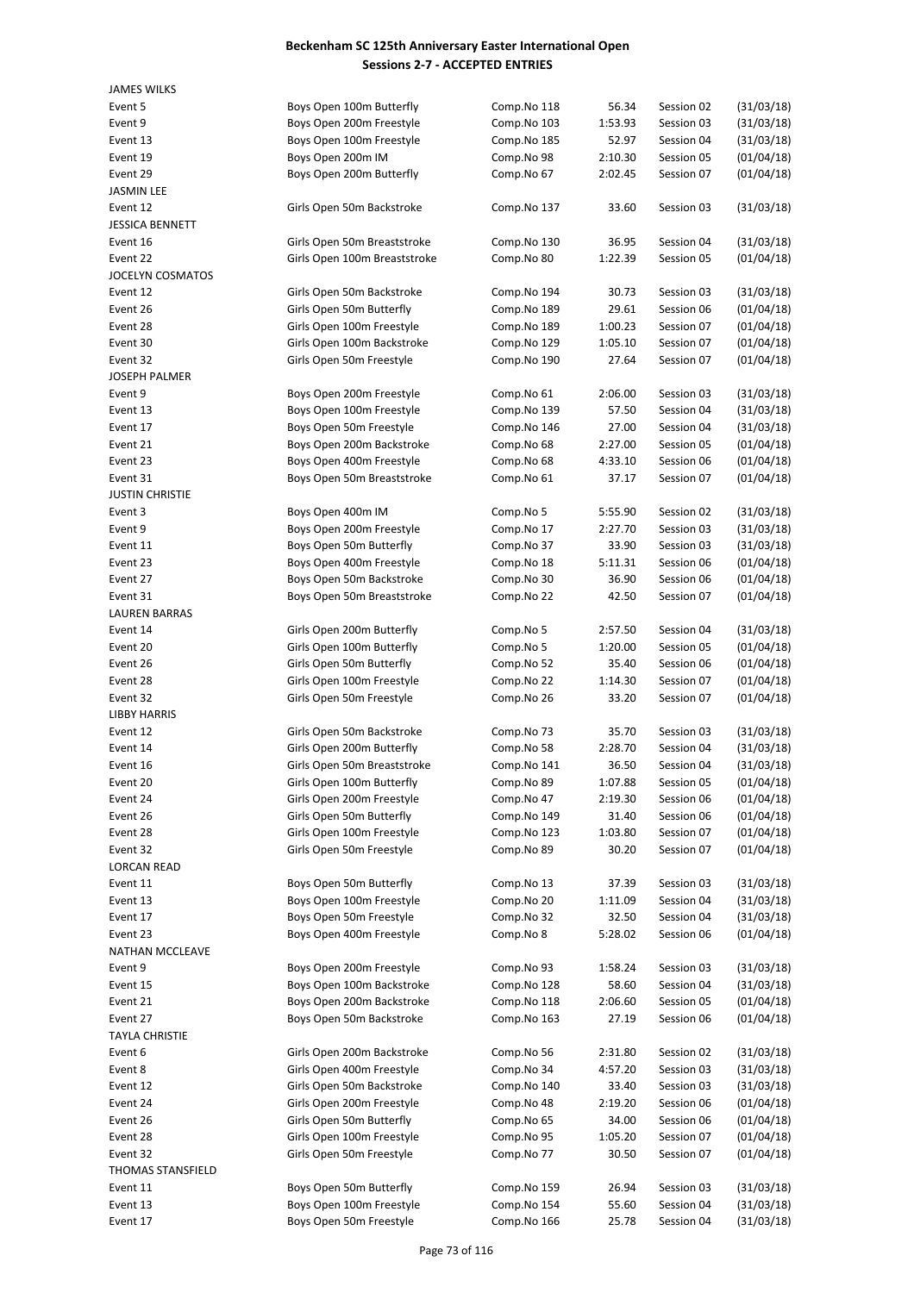| <b>JAMES WILKS</b>                 |                                                      |                            |                  |                          |                          |
|------------------------------------|------------------------------------------------------|----------------------------|------------------|--------------------------|--------------------------|
| Event 5                            | Boys Open 100m Butterfly                             | Comp.No 118                | 56.34            | Session 02               | (31/03/18)               |
| Event 9                            | Boys Open 200m Freestyle                             | Comp.No 103                | 1:53.93          | Session 03               | (31/03/18)               |
| Event 13                           | Boys Open 100m Freestyle                             | Comp.No 185                | 52.97            | Session 04               | (31/03/18)               |
| Event 19                           | Boys Open 200m IM                                    | Comp.No 98                 | 2:10.30          | Session 05               | (01/04/18)               |
| Event 29                           | Boys Open 200m Butterfly                             | Comp.No 67                 | 2:02.45          | Session 07               | (01/04/18)               |
| <b>JASMIN LEE</b>                  |                                                      |                            |                  |                          |                          |
| Event 12                           | Girls Open 50m Backstroke                            | Comp.No 137                | 33.60            | Session 03               | (31/03/18)               |
| <b>JESSICA BENNETT</b><br>Event 16 | Girls Open 50m Breaststroke                          | Comp.No 130                | 36.95            | Session 04               | (31/03/18)               |
| Event 22                           | Girls Open 100m Breaststroke                         | Comp.No 80                 | 1:22.39          | Session 05               | (01/04/18)               |
| <b>JOCELYN COSMATOS</b>            |                                                      |                            |                  |                          |                          |
| Event 12                           | Girls Open 50m Backstroke                            | Comp.No 194                | 30.73            | Session 03               | (31/03/18)               |
| Event 26                           | Girls Open 50m Butterfly                             | Comp.No 189                | 29.61            | Session 06               | (01/04/18)               |
| Event 28                           | Girls Open 100m Freestyle                            | Comp.No 189                | 1:00.23          | Session 07               | (01/04/18)               |
| Event 30                           | Girls Open 100m Backstroke                           | Comp.No 129                | 1:05.10          | Session 07               | (01/04/18)               |
| Event 32                           | Girls Open 50m Freestyle                             | Comp.No 190                | 27.64            | Session 07               | (01/04/18)               |
| <b>JOSEPH PALMER</b>               |                                                      |                            |                  |                          |                          |
| Event 9                            | Boys Open 200m Freestyle                             | Comp.No 61                 | 2:06.00          | Session 03               | (31/03/18)               |
| Event 13                           | Boys Open 100m Freestyle                             | Comp.No 139                | 57.50            | Session 04               | (31/03/18)               |
| Event 17                           | Boys Open 50m Freestyle                              | Comp.No 146                | 27.00            | Session 04               | (31/03/18)               |
| Event 21                           | Boys Open 200m Backstroke                            | Comp.No 68                 | 2:27.00          | Session 05               | (01/04/18)               |
| Event 23                           | Boys Open 400m Freestyle                             | Comp.No 68                 | 4:33.10          | Session 06               | (01/04/18)               |
| Event 31                           | Boys Open 50m Breaststroke                           | Comp.No 61                 | 37.17            | Session 07               | (01/04/18)               |
| <b>JUSTIN CHRISTIE</b>             |                                                      |                            |                  |                          |                          |
| Event 3                            | Boys Open 400m IM                                    | Comp.No 5                  | 5:55.90          | Session 02               | (31/03/18)               |
| Event 9                            | Boys Open 200m Freestyle                             | Comp.No 17                 | 2:27.70          | Session 03               | (31/03/18)               |
| Event 11                           | Boys Open 50m Butterfly                              | Comp.No 37                 | 33.90            | Session 03               | (31/03/18)               |
| Event 23<br>Event 27               | Boys Open 400m Freestyle<br>Boys Open 50m Backstroke | Comp.No 18<br>Comp.No 30   | 5:11.31<br>36.90 | Session 06<br>Session 06 | (01/04/18)<br>(01/04/18) |
| Event 31                           | Boys Open 50m Breaststroke                           | Comp.No 22                 | 42.50            | Session 07               | (01/04/18)               |
| LAUREN BARRAS                      |                                                      |                            |                  |                          |                          |
| Event 14                           | Girls Open 200m Butterfly                            | Comp.No 5                  | 2:57.50          | Session 04               | (31/03/18)               |
| Event 20                           | Girls Open 100m Butterfly                            | Comp.No 5                  | 1:20.00          | Session 05               | (01/04/18)               |
| Event 26                           | Girls Open 50m Butterfly                             | Comp.No 52                 | 35.40            | Session 06               | (01/04/18)               |
| Event 28                           | Girls Open 100m Freestyle                            | Comp.No 22                 | 1:14.30          | Session 07               | (01/04/18)               |
| Event 32                           | Girls Open 50m Freestyle                             | Comp.No 26                 | 33.20            | Session 07               | (01/04/18)               |
| <b>LIBBY HARRIS</b>                |                                                      |                            |                  |                          |                          |
| Event 12                           | Girls Open 50m Backstroke                            | Comp.No 73                 | 35.70            | Session 03               | (31/03/18)               |
| Event 14                           | Girls Open 200m Butterfly                            | Comp.No 58                 | 2:28.70          | Session 04               | (31/03/18)               |
| Event 16                           | Girls Open 50m Breaststroke                          | Comp.No 141                | 36.50            | Session 04               | (31/03/18)               |
| Event 20                           | Girls Open 100m Butterfly                            | Comp.No 89                 | 1:07.88          | Session 05               | (01/04/18)               |
| Event 24                           | Girls Open 200m Freestyle                            | Comp.No 47                 | 2:19.30          | Session 06               | (01/04/18)               |
| Event 26                           | Girls Open 50m Butterfly                             | Comp.No 149                | 31.40            | Session 06               | (01/04/18)               |
| Event 28                           | Girls Open 100m Freestyle                            | Comp.No 123                | 1:03.80          | Session 07               | (01/04/18)               |
| Event 32                           | Girls Open 50m Freestyle                             | Comp.No 89                 | 30.20            | Session 07               | (01/04/18)               |
| LORCAN READ<br>Event 11            | Boys Open 50m Butterfly                              | Comp.No 13                 | 37.39            | Session 03               | (31/03/18)               |
| Event 13                           | Boys Open 100m Freestyle                             | Comp.No 20                 | 1:11.09          | Session 04               | (31/03/18)               |
| Event 17                           | Boys Open 50m Freestyle                              | Comp.No 32                 | 32.50            | Session 04               | (31/03/18)               |
| Event 23                           | Boys Open 400m Freestyle                             | Comp.No 8                  | 5:28.02          | Session 06               | (01/04/18)               |
| <b>NATHAN MCCLEAVE</b>             |                                                      |                            |                  |                          |                          |
| Event 9                            | Boys Open 200m Freestyle                             | Comp.No 93                 | 1:58.24          | Session 03               | (31/03/18)               |
| Event 15                           | Boys Open 100m Backstroke                            | Comp.No 128                | 58.60            | Session 04               | (31/03/18)               |
| Event 21                           | Boys Open 200m Backstroke                            | Comp.No 118                | 2:06.60          | Session 05               | (01/04/18)               |
| Event 27                           | Boys Open 50m Backstroke                             | Comp.No 163                | 27.19            | Session 06               | (01/04/18)               |
| <b>TAYLA CHRISTIE</b>              |                                                      |                            |                  |                          |                          |
| Event 6                            | Girls Open 200m Backstroke                           | Comp.No 56                 | 2:31.80          | Session 02               | (31/03/18)               |
| Event 8                            | Girls Open 400m Freestyle                            | Comp.No 34                 | 4:57.20          | Session 03               | (31/03/18)               |
| Event 12                           | Girls Open 50m Backstroke                            | Comp.No 140                | 33.40            | Session 03               | (31/03/18)               |
| Event 24                           | Girls Open 200m Freestyle                            | Comp.No 48                 | 2:19.20          | Session 06               | (01/04/18)               |
| Event 26                           | Girls Open 50m Butterfly                             | Comp.No 65                 | 34.00            | Session 06               | (01/04/18)               |
| Event 28                           | Girls Open 100m Freestyle                            | Comp.No 95                 | 1:05.20          | Session 07               | (01/04/18)               |
| Event 32                           | Girls Open 50m Freestyle                             | Comp.No 77                 | 30.50            | Session 07               | (01/04/18)               |
| THOMAS STANSFIELD                  |                                                      |                            |                  |                          |                          |
| Event 11<br>Event 13               | Boys Open 50m Butterfly<br>Boys Open 100m Freestyle  | Comp.No 159<br>Comp.No 154 | 26.94<br>55.60   | Session 03<br>Session 04 | (31/03/18)<br>(31/03/18) |
| Event 17                           | Boys Open 50m Freestyle                              | Comp.No 166                | 25.78            | Session 04               | (31/03/18)               |
|                                    |                                                      |                            |                  |                          |                          |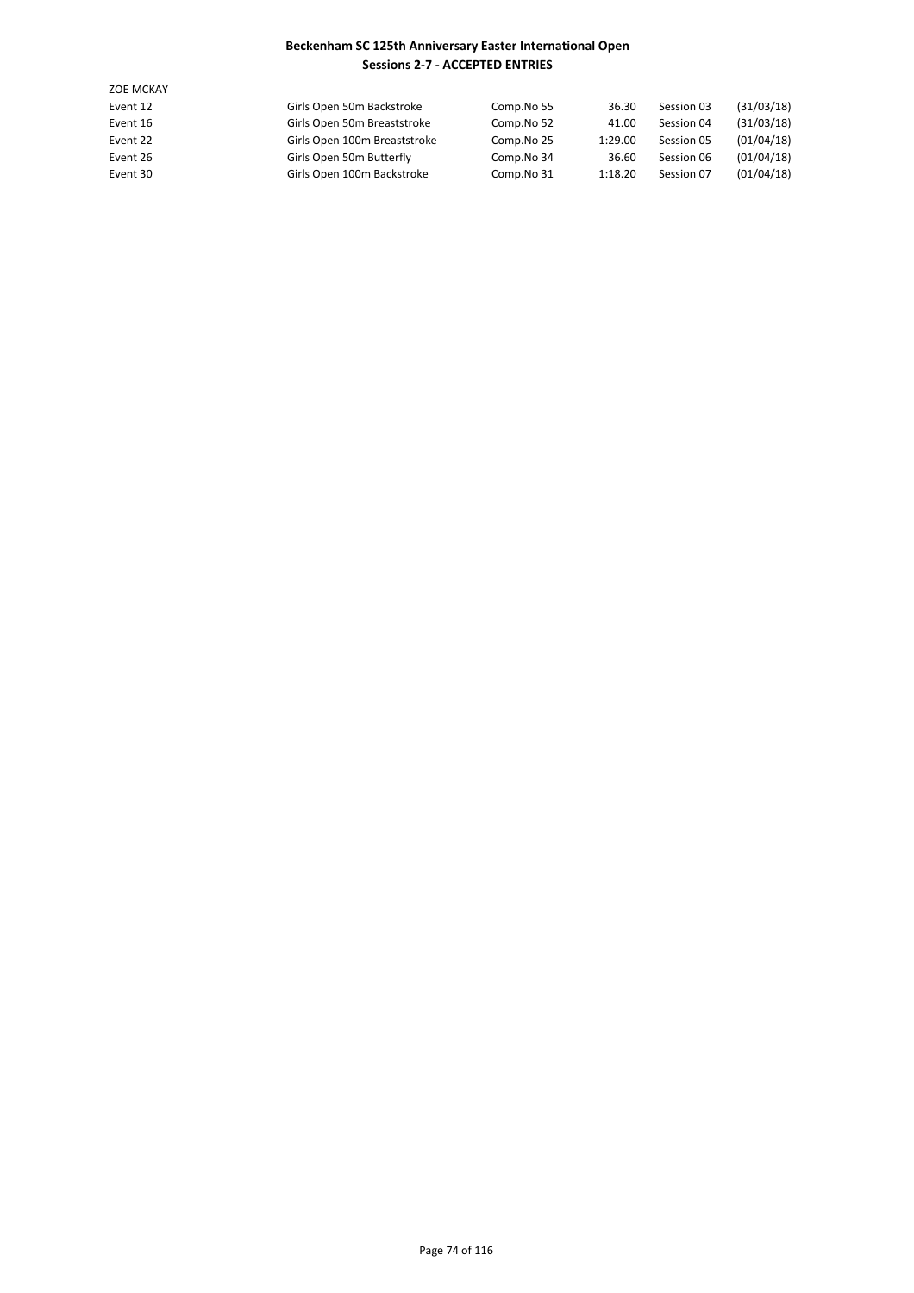| <b>ZOE MCKAY</b> |                              |            |         |            |            |
|------------------|------------------------------|------------|---------|------------|------------|
| Event 12         | Girls Open 50m Backstroke    | Comp.No 55 | 36.30   | Session 03 | (31/03/18) |
| Event 16         | Girls Open 50m Breaststroke  | Comp.No 52 | 41.00   | Session 04 | (31/03/18) |
| Event 22         | Girls Open 100m Breaststroke | Comp.No 25 | 1:29.00 | Session 05 | (01/04/18) |
| Event 26         | Girls Open 50m Butterfly     | Comp.No 34 | 36.60   | Session 06 | (01/04/18) |
| Event 30         | Girls Open 100m Backstroke   | Comp.No 31 | 1:18.20 | Session 07 | (01/04/18) |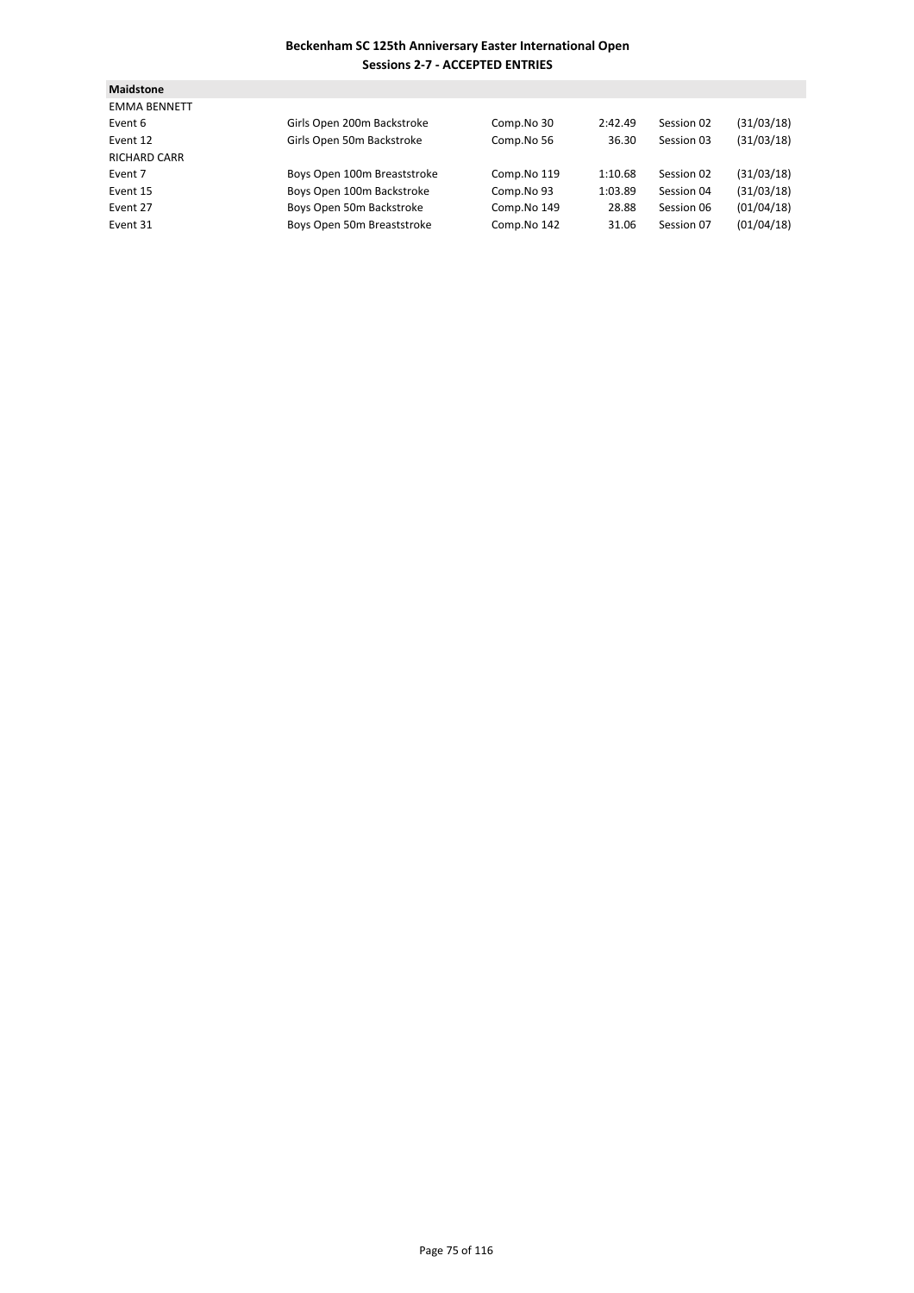| <b>Maidstone</b>    |                             |             |         |            |            |
|---------------------|-----------------------------|-------------|---------|------------|------------|
| <b>EMMA BENNETT</b> |                             |             |         |            |            |
| Event 6             | Girls Open 200m Backstroke  | Comp.No 30  | 2:42.49 | Session 02 | (31/03/18) |
| Event 12            | Girls Open 50m Backstroke   | Comp.No 56  | 36.30   | Session 03 | (31/03/18) |
| <b>RICHARD CARR</b> |                             |             |         |            |            |
| Event 7             | Boys Open 100m Breaststroke | Comp.No 119 | 1:10.68 | Session 02 | (31/03/18) |
| Event 15            | Boys Open 100m Backstroke   | Comp.No 93  | 1:03.89 | Session 04 | (31/03/18) |
| Event 27            | Boys Open 50m Backstroke    | Comp.No 149 | 28.88   | Session 06 | (01/04/18) |
| Event 31            | Boys Open 50m Breaststroke  | Comp.No 142 | 31.06   | Session 07 | (01/04/18) |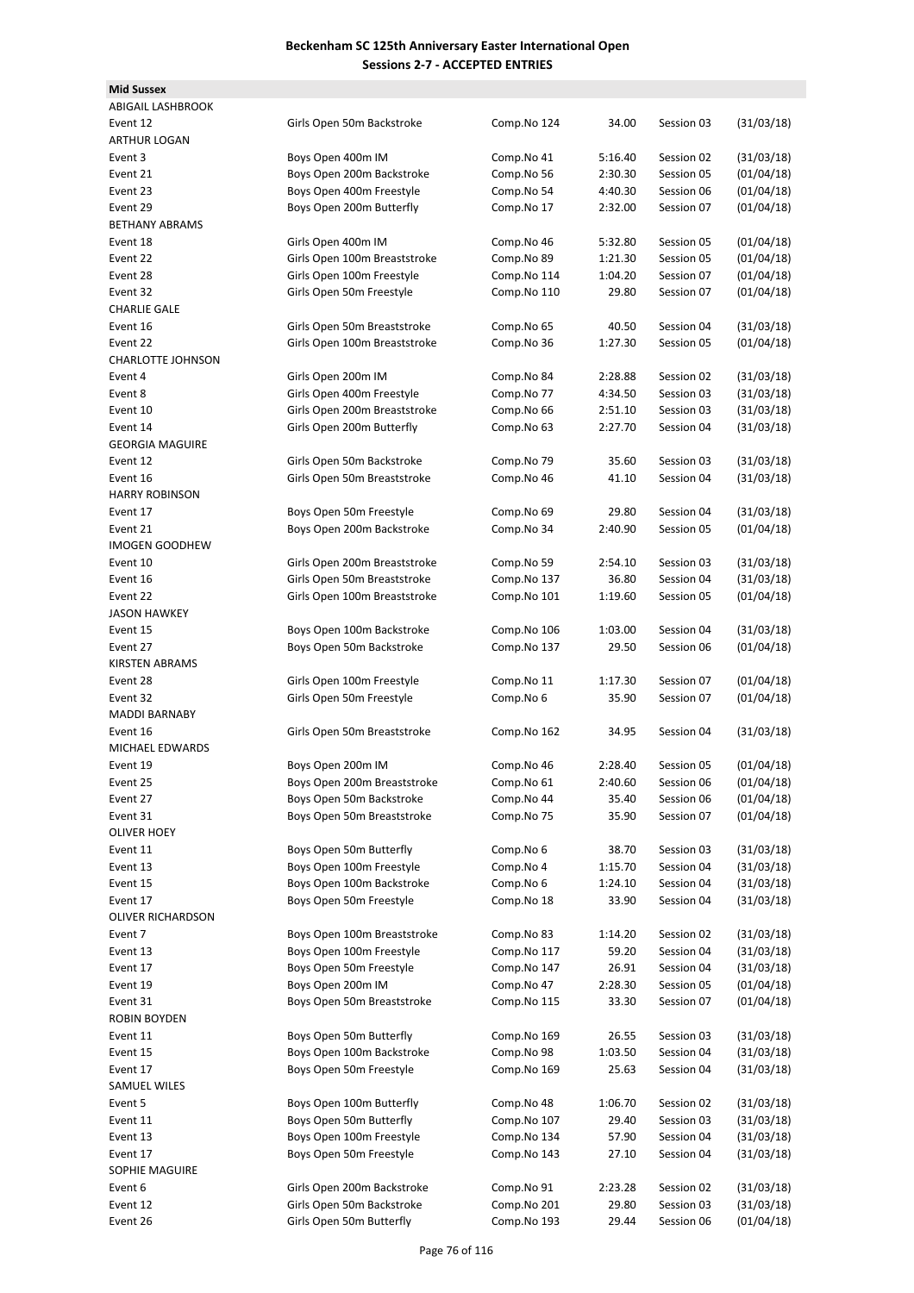| <b>Mid Sussex</b>        |                              |                          |         |            |            |
|--------------------------|------------------------------|--------------------------|---------|------------|------------|
| <b>ABIGAIL LASHBROOK</b> |                              |                          |         |            |            |
| Event 12                 | Girls Open 50m Backstroke    | Comp.No 124              | 34.00   | Session 03 | (31/03/18) |
| <b>ARTHUR LOGAN</b>      |                              |                          |         |            |            |
| Event 3                  | Boys Open 400m IM            | Comp.No 41               | 5:16.40 | Session 02 | (31/03/18) |
| Event 21                 | Boys Open 200m Backstroke    | Comp.No 56               | 2:30.30 | Session 05 | (01/04/18) |
| Event 23                 | Boys Open 400m Freestyle     | Comp.No 54               | 4:40.30 | Session 06 | (01/04/18) |
| Event 29                 | Boys Open 200m Butterfly     | Comp.No 17               | 2:32.00 | Session 07 | (01/04/18) |
| <b>BETHANY ABRAMS</b>    |                              |                          |         |            |            |
| Event 18                 | Girls Open 400m IM           | Comp.No 46               | 5:32.80 | Session 05 | (01/04/18) |
| Event 22                 | Girls Open 100m Breaststroke | Comp.No 89               | 1:21.30 | Session 05 | (01/04/18) |
| Event 28                 | Girls Open 100m Freestyle    | Comp.No 114              | 1:04.20 | Session 07 | (01/04/18) |
|                          |                              |                          |         |            |            |
| Event 32                 | Girls Open 50m Freestyle     | Comp.No 110              | 29.80   | Session 07 | (01/04/18) |
| <b>CHARLIE GALE</b>      |                              |                          |         |            |            |
| Event 16                 | Girls Open 50m Breaststroke  | Comp.No 65               | 40.50   | Session 04 | (31/03/18) |
| Event 22                 | Girls Open 100m Breaststroke | Comp.No 36               | 1:27.30 | Session 05 | (01/04/18) |
| <b>CHARLOTTE JOHNSON</b> |                              |                          |         |            |            |
| Event 4                  | Girls Open 200m IM           | Comp.No 84               | 2:28.88 | Session 02 | (31/03/18) |
| Event 8                  | Girls Open 400m Freestyle    | Comp.No 77               | 4:34.50 | Session 03 | (31/03/18) |
| Event 10                 | Girls Open 200m Breaststroke | Comp.No 66               | 2:51.10 | Session 03 | (31/03/18) |
| Event 14                 | Girls Open 200m Butterfly    | Comp.No 63               | 2:27.70 | Session 04 | (31/03/18) |
| <b>GEORGIA MAGUIRE</b>   |                              |                          |         |            |            |
| Event 12                 | Girls Open 50m Backstroke    | Comp.No 79               | 35.60   | Session 03 | (31/03/18) |
| Event 16                 | Girls Open 50m Breaststroke  | Comp.No 46               | 41.10   | Session 04 | (31/03/18) |
| <b>HARRY ROBINSON</b>    |                              |                          |         |            |            |
| Event 17                 | Boys Open 50m Freestyle      | Comp.No 69               | 29.80   | Session 04 | (31/03/18) |
| Event 21                 | Boys Open 200m Backstroke    | Comp.No 34               | 2:40.90 | Session 05 | (01/04/18) |
| <b>IMOGEN GOODHEW</b>    |                              |                          |         |            |            |
| Event 10                 | Girls Open 200m Breaststroke | Comp.No 59               | 2:54.10 | Session 03 | (31/03/18) |
| Event 16                 | Girls Open 50m Breaststroke  | Comp.No 137              | 36.80   | Session 04 | (31/03/18) |
| Event 22                 | Girls Open 100m Breaststroke | Comp.No 101              | 1:19.60 | Session 05 | (01/04/18) |
| <b>JASON HAWKEY</b>      |                              |                          |         |            |            |
| Event 15                 | Boys Open 100m Backstroke    | Comp.No 106              | 1:03.00 | Session 04 | (31/03/18) |
| Event 27                 | Boys Open 50m Backstroke     | Comp.No 137              | 29.50   | Session 06 | (01/04/18) |
| KIRSTEN ABRAMS           |                              |                          |         |            |            |
| Event 28                 | Girls Open 100m Freestyle    | Comp.No 11               | 1:17.30 | Session 07 | (01/04/18) |
| Event 32                 | Girls Open 50m Freestyle     | Comp.No 6                | 35.90   | Session 07 | (01/04/18) |
| <b>MADDI BARNABY</b>     |                              |                          |         |            |            |
| Event 16                 | Girls Open 50m Breaststroke  | Comp.No 162              | 34.95   | Session 04 | (31/03/18) |
| MICHAEL EDWARDS          |                              |                          |         |            |            |
| Event 19                 | Boys Open 200m IM            | Comp.No 46               | 2:28.40 | Session 05 | (01/04/18) |
|                          | Boys Open 200m Breaststroke  |                          | 2:40.60 | Session 06 | (01/04/18) |
| Event 25<br>Event 27     | Boys Open 50m Backstroke     | Comp.No 61<br>Comp.No 44 | 35.40   |            | (01/04/18) |
|                          | Boys Open 50m Breaststroke   |                          |         | Session 06 |            |
| Event 31                 |                              | Comp.No 75               | 35.90   | Session 07 | (01/04/18) |
| <b>OLIVER HOEY</b>       |                              |                          |         |            |            |
| Event 11                 | Boys Open 50m Butterfly      | Comp.No 6                | 38.70   | Session 03 | (31/03/18) |
| Event 13                 | Boys Open 100m Freestyle     | Comp.No 4                | 1:15.70 | Session 04 | (31/03/18) |
| Event 15                 | Boys Open 100m Backstroke    | Comp.No 6                | 1:24.10 | Session 04 | (31/03/18) |
| Event 17                 | Boys Open 50m Freestyle      | Comp.No 18               | 33.90   | Session 04 | (31/03/18) |
| OLIVER RICHARDSON        |                              |                          |         |            |            |
| Event 7                  | Boys Open 100m Breaststroke  | Comp.No 83               | 1:14.20 | Session 02 | (31/03/18) |
| Event 13                 | Boys Open 100m Freestyle     | Comp.No 117              | 59.20   | Session 04 | (31/03/18) |
| Event 17                 | Boys Open 50m Freestyle      | Comp.No 147              | 26.91   | Session 04 | (31/03/18) |
| Event 19                 | Boys Open 200m IM            | Comp.No 47               | 2:28.30 | Session 05 | (01/04/18) |
| Event 31                 | Boys Open 50m Breaststroke   | Comp.No 115              | 33.30   | Session 07 | (01/04/18) |
| ROBIN BOYDEN             |                              |                          |         |            |            |
| Event 11                 | Boys Open 50m Butterfly      | Comp.No 169              | 26.55   | Session 03 | (31/03/18) |
| Event 15                 | Boys Open 100m Backstroke    | Comp.No 98               | 1:03.50 | Session 04 | (31/03/18) |
| Event 17                 | Boys Open 50m Freestyle      | Comp.No 169              | 25.63   | Session 04 | (31/03/18) |
| SAMUEL WILES             |                              |                          |         |            |            |
| Event 5                  | Boys Open 100m Butterfly     | Comp.No 48               | 1:06.70 | Session 02 | (31/03/18) |
| Event 11                 | Boys Open 50m Butterfly      | Comp.No 107              | 29.40   | Session 03 | (31/03/18) |
| Event 13                 | Boys Open 100m Freestyle     | Comp.No 134              | 57.90   | Session 04 | (31/03/18) |
| Event 17                 | Boys Open 50m Freestyle      | Comp.No 143              | 27.10   | Session 04 | (31/03/18) |
| SOPHIE MAGUIRE           |                              |                          |         |            |            |
| Event 6                  | Girls Open 200m Backstroke   | Comp.No 91               | 2:23.28 | Session 02 | (31/03/18) |
| Event 12                 | Girls Open 50m Backstroke    | Comp.No 201              | 29.80   | Session 03 | (31/03/18) |
| Event 26                 | Girls Open 50m Butterfly     | Comp.No 193              | 29.44   | Session 06 | (01/04/18) |
|                          |                              |                          |         |            |            |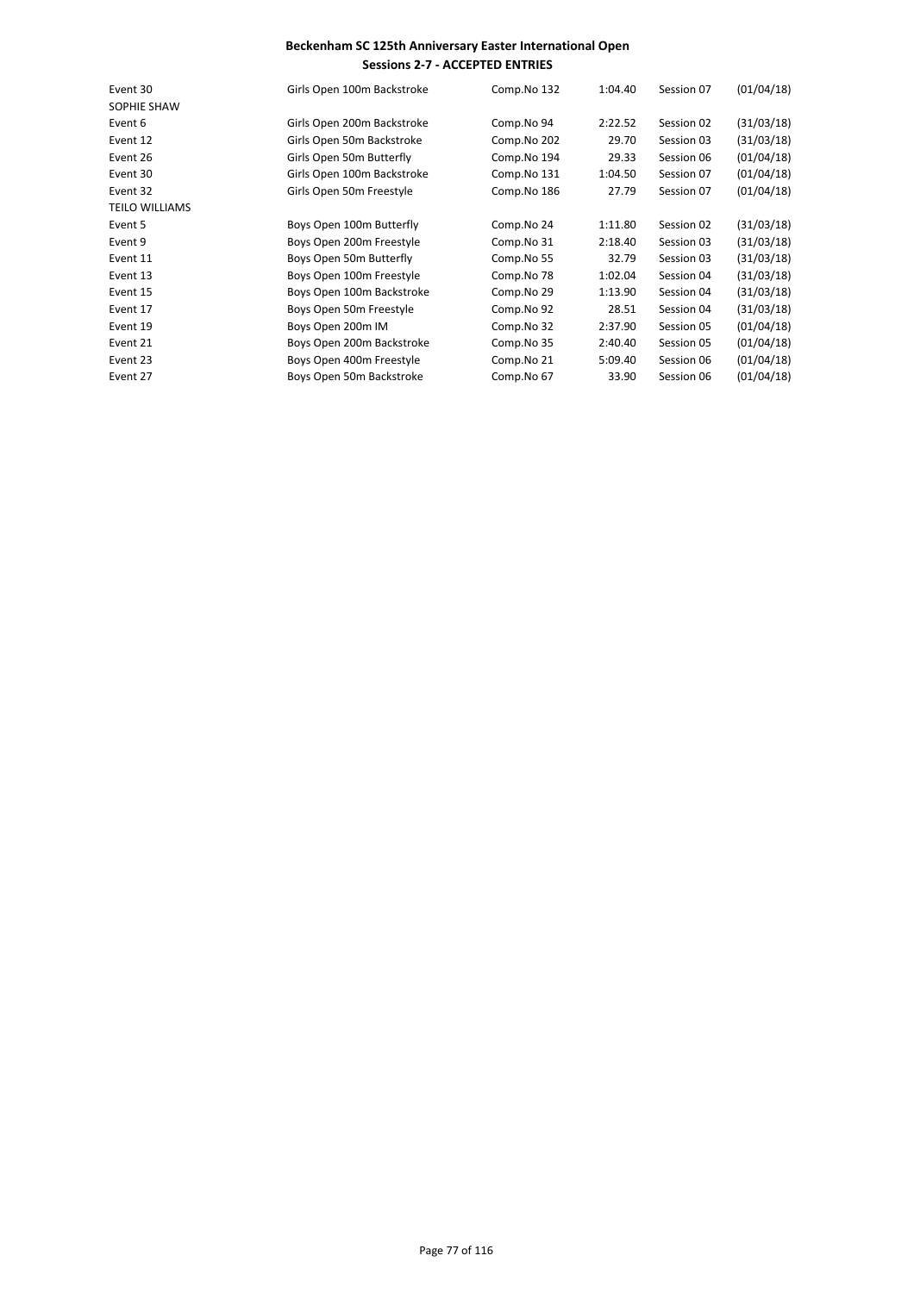| Event 30              | Girls Open 100m Backstroke | Comp.No 132 | 1:04.40 | Session 07 | (01/04/18) |
|-----------------------|----------------------------|-------------|---------|------------|------------|
| SOPHIE SHAW           |                            |             |         |            |            |
| Event 6               | Girls Open 200m Backstroke | Comp.No 94  | 2:22.52 | Session 02 | (31/03/18) |
| Event 12              | Girls Open 50m Backstroke  | Comp.No 202 | 29.70   | Session 03 | (31/03/18) |
| Event 26              | Girls Open 50m Butterfly   | Comp.No 194 | 29.33   | Session 06 | (01/04/18) |
| Event 30              | Girls Open 100m Backstroke | Comp.No 131 | 1:04.50 | Session 07 | (01/04/18) |
| Event 32              | Girls Open 50m Freestyle   | Comp.No 186 | 27.79   | Session 07 | (01/04/18) |
| <b>TEILO WILLIAMS</b> |                            |             |         |            |            |
| Event 5               | Boys Open 100m Butterfly   | Comp.No 24  | 1:11.80 | Session 02 | (31/03/18) |
| Event 9               | Boys Open 200m Freestyle   | Comp.No 31  | 2:18.40 | Session 03 | (31/03/18) |
| Event 11              | Boys Open 50m Butterfly    | Comp.No 55  | 32.79   | Session 03 | (31/03/18) |
| Event 13              | Boys Open 100m Freestyle   | Comp.No 78  | 1:02.04 | Session 04 | (31/03/18) |
| Event 15              | Boys Open 100m Backstroke  | Comp.No 29  | 1:13.90 | Session 04 | (31/03/18) |
| Event 17              | Boys Open 50m Freestyle    | Comp.No 92  | 28.51   | Session 04 | (31/03/18) |
| Event 19              | Boys Open 200m IM          | Comp.No 32  | 2:37.90 | Session 05 | (01/04/18) |
| Event 21              | Boys Open 200m Backstroke  | Comp.No 35  | 2:40.40 | Session 05 | (01/04/18) |
| Event 23              | Boys Open 400m Freestyle   | Comp.No 21  | 5:09.40 | Session 06 | (01/04/18) |
| Event 27              | Boys Open 50m Backstroke   | Comp.No 67  | 33.90   | Session 06 | (01/04/18) |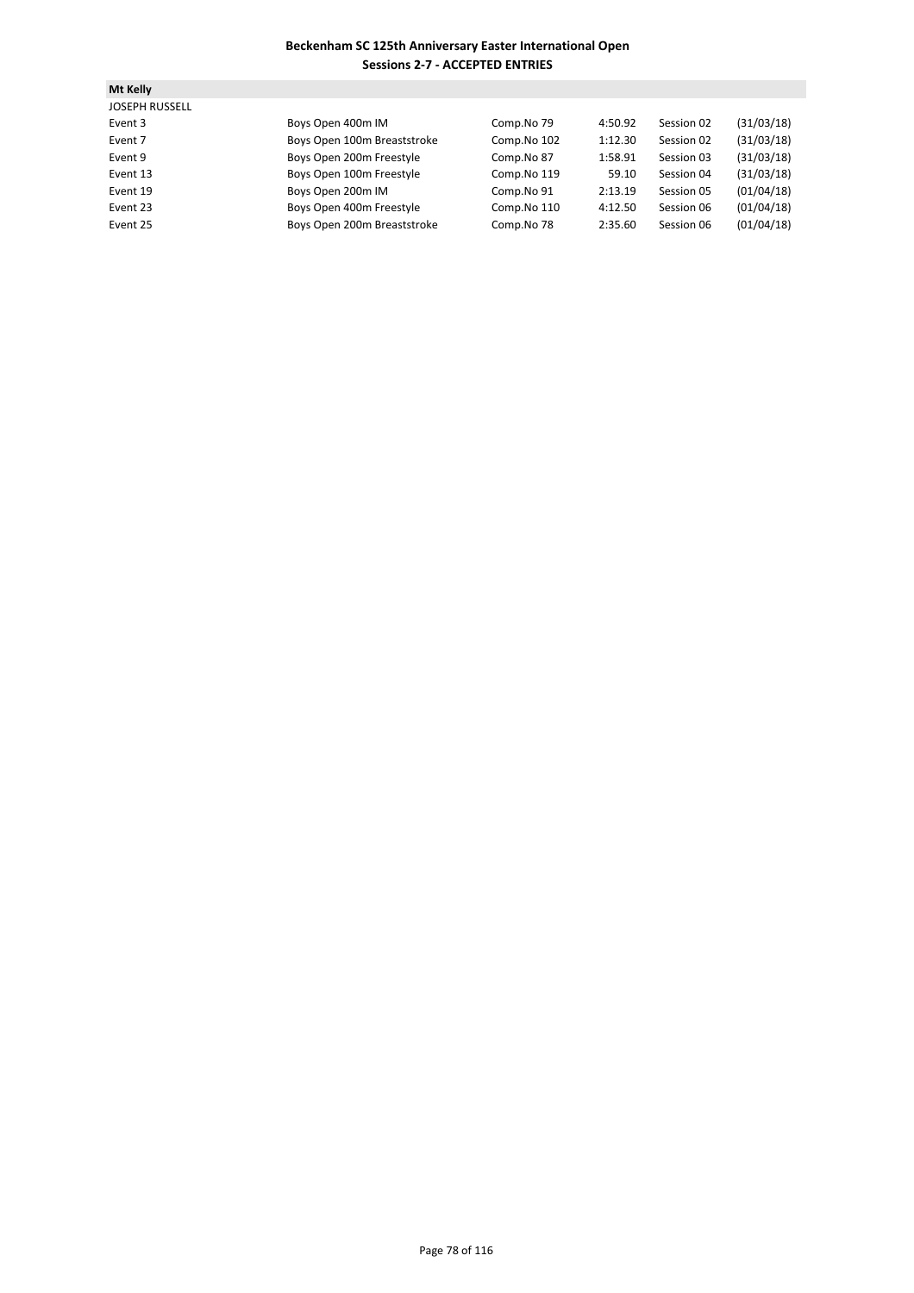| Mt Kelly              |                             |             |         |            |            |
|-----------------------|-----------------------------|-------------|---------|------------|------------|
| <b>JOSEPH RUSSELL</b> |                             |             |         |            |            |
| Event 3               | Boys Open 400m IM           | Comp.No 79  | 4:50.92 | Session 02 | (31/03/18) |
| Event 7               | Boys Open 100m Breaststroke | Comp.No 102 | 1:12.30 | Session 02 | (31/03/18) |
| Event 9               | Boys Open 200m Freestyle    | Comp.No 87  | 1:58.91 | Session 03 | (31/03/18) |
| Event 13              | Boys Open 100m Freestyle    | Comp.No 119 | 59.10   | Session 04 | (31/03/18) |
| Event 19              | Boys Open 200m IM           | Comp.No 91  | 2:13.19 | Session 05 | (01/04/18) |
| Event 23              | Boys Open 400m Freestyle    | Comp.No 110 | 4:12.50 | Session 06 | (01/04/18) |
| Event 25              | Boys Open 200m Breaststroke | Comp.No 78  | 2:35.60 | Session 06 | (01/04/18) |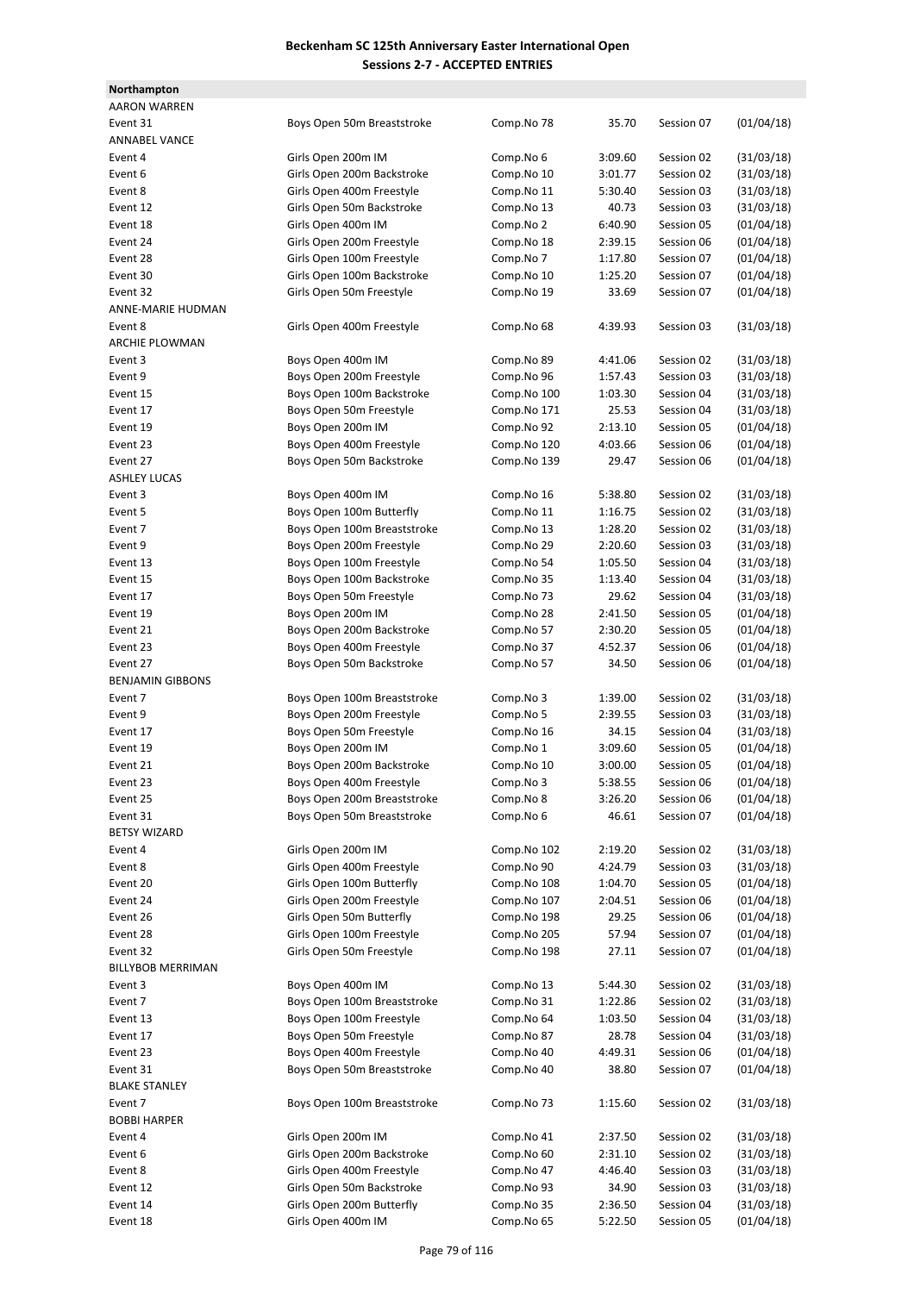| Northampton             |                             |             |         |            |            |
|-------------------------|-----------------------------|-------------|---------|------------|------------|
| <b>AARON WARREN</b>     |                             |             |         |            |            |
| Event 31                | Boys Open 50m Breaststroke  | Comp.No 78  | 35.70   | Session 07 | (01/04/18) |
| <b>ANNABEL VANCE</b>    |                             |             |         |            |            |
| Event 4                 | Girls Open 200m IM          | Comp.No 6   | 3:09.60 | Session 02 | (31/03/18) |
| Event 6                 | Girls Open 200m Backstroke  | Comp.No 10  | 3:01.77 | Session 02 | (31/03/18) |
| Event 8                 | Girls Open 400m Freestyle   | Comp.No 11  | 5:30.40 | Session 03 | (31/03/18) |
| Event 12                | Girls Open 50m Backstroke   | Comp.No 13  | 40.73   | Session 03 | (31/03/18) |
| Event 18                | Girls Open 400m IM          | Comp.No 2   | 6:40.90 | Session 05 | (01/04/18) |
| Event 24                | Girls Open 200m Freestyle   | Comp.No 18  | 2:39.15 | Session 06 | (01/04/18) |
| Event 28                | Girls Open 100m Freestyle   | Comp.No 7   | 1:17.80 | Session 07 | (01/04/18) |
| Event 30                | Girls Open 100m Backstroke  | Comp.No 10  | 1:25.20 | Session 07 | (01/04/18) |
| Event 32                | Girls Open 50m Freestyle    | Comp.No 19  | 33.69   | Session 07 | (01/04/18) |
| ANNE-MARIE HUDMAN       |                             |             |         |            |            |
| Event 8                 | Girls Open 400m Freestyle   | Comp.No 68  | 4:39.93 | Session 03 | (31/03/18) |
| <b>ARCHIE PLOWMAN</b>   |                             |             |         |            |            |
| Event 3                 | Boys Open 400m IM           | Comp.No 89  | 4:41.06 | Session 02 | (31/03/18) |
| Event 9                 | Boys Open 200m Freestyle    | Comp.No 96  | 1:57.43 | Session 03 | (31/03/18) |
| Event 15                | Boys Open 100m Backstroke   | Comp.No 100 | 1:03.30 | Session 04 | (31/03/18) |
| Event 17                | Boys Open 50m Freestyle     | Comp.No 171 | 25.53   | Session 04 | (31/03/18) |
| Event 19                | Boys Open 200m IM           | Comp.No 92  | 2:13.10 | Session 05 | (01/04/18) |
| Event 23                | Boys Open 400m Freestyle    | Comp.No 120 | 4:03.66 | Session 06 | (01/04/18) |
| Event 27                | Boys Open 50m Backstroke    | Comp.No 139 | 29.47   | Session 06 | (01/04/18) |
| <b>ASHLEY LUCAS</b>     |                             |             |         |            |            |
| Event 3                 | Boys Open 400m IM           | Comp.No 16  | 5:38.80 | Session 02 | (31/03/18) |
| Event 5                 | Boys Open 100m Butterfly    | Comp.No 11  | 1:16.75 | Session 02 | (31/03/18) |
| Event 7                 | Boys Open 100m Breaststroke | Comp.No 13  | 1:28.20 | Session 02 | (31/03/18) |
| Event 9                 | Boys Open 200m Freestyle    | Comp.No 29  | 2:20.60 | Session 03 | (31/03/18) |
| Event 13                | Boys Open 100m Freestyle    | Comp.No 54  | 1:05.50 | Session 04 | (31/03/18) |
| Event 15                | Boys Open 100m Backstroke   | Comp.No 35  | 1:13.40 | Session 04 | (31/03/18) |
| Event 17                | Boys Open 50m Freestyle     | Comp.No 73  | 29.62   | Session 04 | (31/03/18) |
| Event 19                | Boys Open 200m IM           | Comp.No 28  | 2:41.50 | Session 05 | (01/04/18) |
| Event 21                | Boys Open 200m Backstroke   | Comp.No 57  | 2:30.20 | Session 05 | (01/04/18) |
| Event 23                | Boys Open 400m Freestyle    | Comp.No 37  | 4:52.37 | Session 06 | (01/04/18) |
| Event 27                | Boys Open 50m Backstroke    | Comp.No 57  | 34.50   | Session 06 | (01/04/18) |
| <b>BENJAMIN GIBBONS</b> |                             |             |         |            |            |
| Event 7                 | Boys Open 100m Breaststroke | Comp.No 3   | 1:39.00 | Session 02 | (31/03/18) |
| Event 9                 | Boys Open 200m Freestyle    | Comp.No 5   | 2:39.55 | Session 03 | (31/03/18) |
| Event 17                | Boys Open 50m Freestyle     | Comp.No 16  | 34.15   | Session 04 | (31/03/18) |
| Event 19                | Boys Open 200m IM           | Comp.No 1   | 3:09.60 | Session 05 | (01/04/18) |
| Event 21                | Boys Open 200m Backstroke   | Comp.No 10  | 3:00.00 | Session 05 | (01/04/18) |
| Event 23                | Boys Open 400m Freestyle    | Comp.No 3   | 5:38.55 | Session 06 | (01/04/18) |
| Event 25                | Boys Open 200m Breaststroke | Comp.No 8   | 3:26.20 | Session 06 | (01/04/18) |
| Event 31                | Boys Open 50m Breaststroke  | Comp.No 6   | 46.61   | Session 07 | (01/04/18) |
| BETSY WIZARD            |                             |             |         |            |            |
| Event 4                 | Girls Open 200m IM          | Comp.No 102 | 2:19.20 | Session 02 | (31/03/18) |
| Event 8                 | Girls Open 400m Freestyle   | Comp.No 90  | 4:24.79 | Session 03 | (31/03/18) |
| Event 20                | Girls Open 100m Butterfly   | Comp.No 108 | 1:04.70 | Session 05 | (01/04/18) |
| Event 24                | Girls Open 200m Freestyle   | Comp.No 107 | 2:04.51 | Session 06 | (01/04/18) |
| Event 26                | Girls Open 50m Butterfly    | Comp.No 198 | 29.25   | Session 06 | (01/04/18) |
| Event 28                | Girls Open 100m Freestyle   | Comp.No 205 | 57.94   | Session 07 | (01/04/18) |
| Event 32                | Girls Open 50m Freestyle    | Comp.No 198 | 27.11   | Session 07 | (01/04/18) |
| BILLYBOB MERRIMAN       |                             |             |         |            |            |
| Event 3                 | Boys Open 400m IM           | Comp.No 13  | 5:44.30 | Session 02 | (31/03/18) |
| Event 7                 | Boys Open 100m Breaststroke | Comp.No 31  | 1:22.86 | Session 02 | (31/03/18) |
| Event 13                | Boys Open 100m Freestyle    | Comp.No 64  | 1:03.50 | Session 04 | (31/03/18) |
| Event 17                | Boys Open 50m Freestyle     | Comp.No 87  | 28.78   | Session 04 | (31/03/18) |
| Event 23                | Boys Open 400m Freestyle    | Comp.No 40  | 4:49.31 | Session 06 | (01/04/18) |
| Event 31                | Boys Open 50m Breaststroke  | Comp.No 40  | 38.80   | Session 07 | (01/04/18) |
| <b>BLAKE STANLEY</b>    |                             |             |         |            |            |
| Event 7                 | Boys Open 100m Breaststroke | Comp.No 73  | 1:15.60 | Session 02 | (31/03/18) |
| BOBBI HARPER            |                             |             |         |            |            |
| Event 4                 | Girls Open 200m IM          | Comp.No 41  | 2:37.50 | Session 02 | (31/03/18) |
| Event 6                 | Girls Open 200m Backstroke  | Comp.No 60  | 2:31.10 | Session 02 | (31/03/18) |
| Event 8                 | Girls Open 400m Freestyle   | Comp.No 47  | 4:46.40 | Session 03 | (31/03/18) |
| Event 12                | Girls Open 50m Backstroke   | Comp.No 93  | 34.90   | Session 03 | (31/03/18) |
| Event 14                | Girls Open 200m Butterfly   | Comp.No 35  | 2:36.50 | Session 04 | (31/03/18) |
| Event 18                | Girls Open 400m IM          | Comp.No 65  | 5:22.50 | Session 05 | (01/04/18) |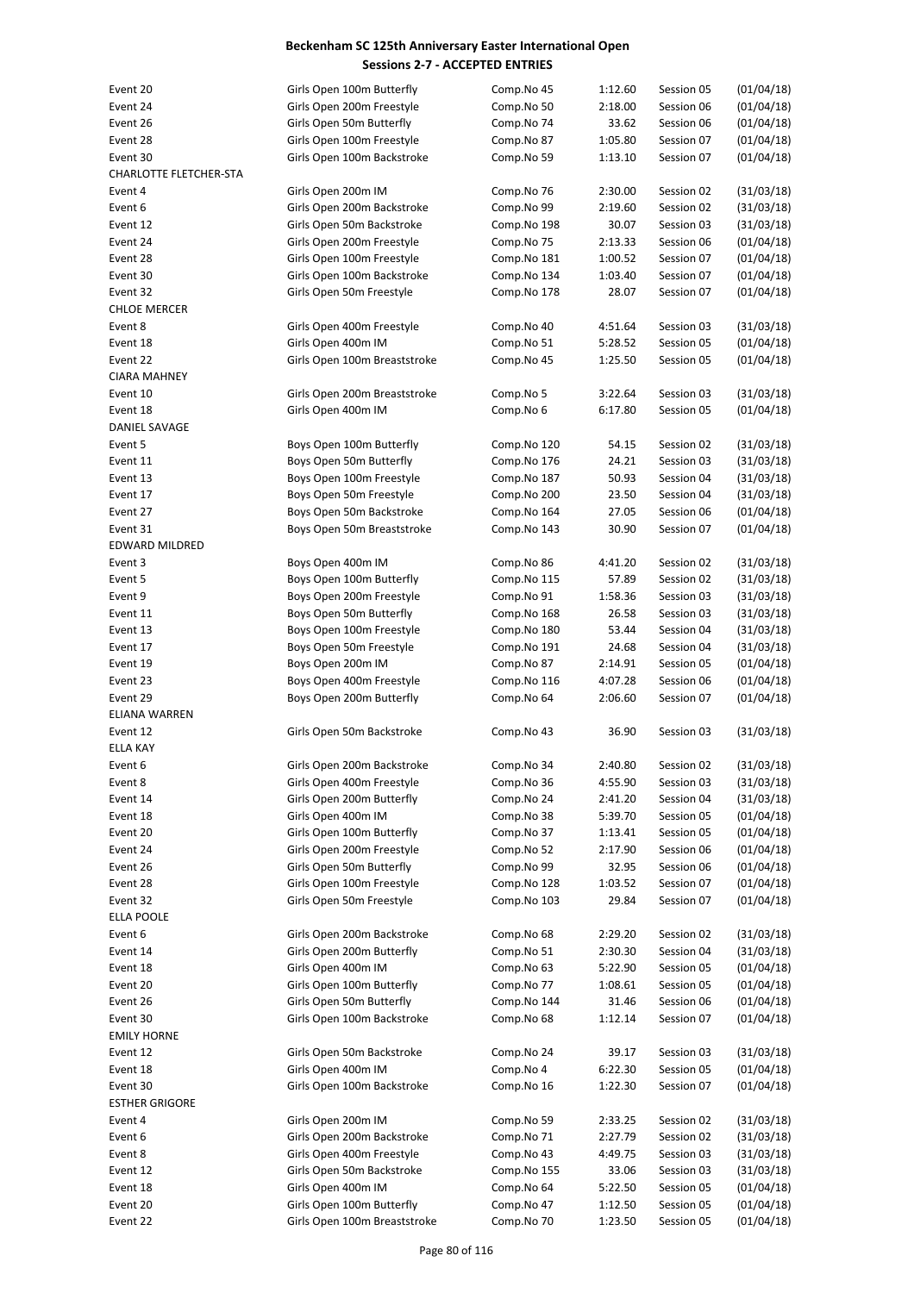| Event 20               | Girls Open 100m Butterfly    | Comp.No 45  | 1:12.60 | Session 05 | (01/04/18) |
|------------------------|------------------------------|-------------|---------|------------|------------|
| Event 24               | Girls Open 200m Freestyle    | Comp.No 50  | 2:18.00 | Session 06 | (01/04/18) |
| Event 26               | Girls Open 50m Butterfly     | Comp.No 74  | 33.62   | Session 06 | (01/04/18) |
| Event 28               | Girls Open 100m Freestyle    | Comp.No 87  | 1:05.80 | Session 07 | (01/04/18) |
| Event 30               | Girls Open 100m Backstroke   | Comp.No 59  | 1:13.10 | Session 07 | (01/04/18) |
| CHARLOTTE FLETCHER-STA |                              |             |         |            |            |
| Event 4                | Girls Open 200m IM           | Comp.No 76  | 2:30.00 | Session 02 | (31/03/18) |
| Event 6                | Girls Open 200m Backstroke   | Comp.No 99  | 2:19.60 | Session 02 | (31/03/18) |
| Event 12               | Girls Open 50m Backstroke    | Comp.No 198 | 30.07   | Session 03 | (31/03/18) |
| Event 24               | Girls Open 200m Freestyle    | Comp.No 75  | 2:13.33 | Session 06 | (01/04/18) |
| Event 28               | Girls Open 100m Freestyle    | Comp.No 181 | 1:00.52 | Session 07 | (01/04/18) |
| Event 30               |                              |             |         | Session 07 |            |
|                        | Girls Open 100m Backstroke   | Comp.No 134 | 1:03.40 |            | (01/04/18) |
| Event 32               | Girls Open 50m Freestyle     | Comp.No 178 | 28.07   | Session 07 | (01/04/18) |
| <b>CHLOE MERCER</b>    |                              |             |         |            |            |
| Event 8                | Girls Open 400m Freestyle    | Comp.No 40  | 4:51.64 | Session 03 | (31/03/18) |
| Event 18               | Girls Open 400m IM           | Comp.No 51  | 5:28.52 | Session 05 | (01/04/18) |
| Event 22               | Girls Open 100m Breaststroke | Comp.No 45  | 1:25.50 | Session 05 | (01/04/18) |
| <b>CIARA MAHNEY</b>    |                              |             |         |            |            |
| Event 10               | Girls Open 200m Breaststroke | Comp.No 5   | 3:22.64 | Session 03 | (31/03/18) |
| Event 18               | Girls Open 400m IM           | Comp.No 6   | 6:17.80 | Session 05 | (01/04/18) |
| <b>DANIEL SAVAGE</b>   |                              |             |         |            |            |
| Event 5                | Boys Open 100m Butterfly     | Comp.No 120 | 54.15   | Session 02 | (31/03/18) |
| Event 11               | Boys Open 50m Butterfly      | Comp.No 176 | 24.21   | Session 03 | (31/03/18) |
| Event 13               | Boys Open 100m Freestyle     | Comp.No 187 | 50.93   | Session 04 | (31/03/18) |
| Event 17               | Boys Open 50m Freestyle      | Comp.No 200 | 23.50   | Session 04 | (31/03/18) |
| Event 27               | Boys Open 50m Backstroke     | Comp.No 164 | 27.05   | Session 06 | (01/04/18) |
| Event 31               | Boys Open 50m Breaststroke   | Comp.No 143 | 30.90   | Session 07 | (01/04/18) |
| <b>EDWARD MILDRED</b>  |                              |             |         |            |            |
| Event 3                | Boys Open 400m IM            | Comp.No 86  | 4:41.20 | Session 02 | (31/03/18) |
| Event 5                | Boys Open 100m Butterfly     | Comp.No 115 | 57.89   | Session 02 | (31/03/18) |
| Event 9                | Boys Open 200m Freestyle     | Comp.No 91  | 1:58.36 | Session 03 | (31/03/18) |
| Event 11               | Boys Open 50m Butterfly      | Comp.No 168 | 26.58   | Session 03 | (31/03/18) |
| Event 13               | Boys Open 100m Freestyle     |             |         | Session 04 | (31/03/18) |
|                        |                              | Comp.No 180 | 53.44   |            |            |
| Event 17               | Boys Open 50m Freestyle      | Comp.No 191 | 24.68   | Session 04 | (31/03/18) |
| Event 19               | Boys Open 200m IM            | Comp.No 87  | 2:14.91 | Session 05 | (01/04/18) |
| Event 23               | Boys Open 400m Freestyle     | Comp.No 116 | 4:07.28 | Session 06 | (01/04/18) |
| Event 29               | Boys Open 200m Butterfly     | Comp.No 64  | 2:06.60 | Session 07 | (01/04/18) |
| <b>ELIANA WARREN</b>   |                              |             |         |            |            |
| Event 12               | Girls Open 50m Backstroke    | Comp.No 43  | 36.90   | Session 03 | (31/03/18) |
| <b>ELLA KAY</b>        |                              |             |         |            |            |
| Event 6                | Girls Open 200m Backstroke   | Comp.No 34  | 2:40.80 | Session 02 | (31/03/18) |
| Event 8                | Girls Open 400m Freestyle    | Comp.No 36  | 4:55.90 | Session 03 | (31/03/18) |
| Event 14               | Girls Open 200m Butterfly    | Comp.No 24  | 2:41.20 | Session 04 | (31/03/18) |
| Event 18               | Girls Open 400m IM           | Comp.No 38  | 5:39.70 | Session 05 | (01/04/18) |
| Event 20               | Girls Open 100m Butterfly    | Comp.No 37  | 1:13.41 | Session 05 | (01/04/18) |
| Event 24               | Girls Open 200m Freestyle    | Comp.No 52  | 2:17.90 | Session 06 | (01/04/18) |
| Event 26               | Girls Open 50m Butterfly     | Comp.No 99  | 32.95   | Session 06 | (01/04/18) |
| Event 28               | Girls Open 100m Freestyle    | Comp.No 128 | 1:03.52 | Session 07 | (01/04/18) |
| Event 32               | Girls Open 50m Freestyle     | Comp.No 103 | 29.84   | Session 07 | (01/04/18) |
| ELLA POOLE             |                              |             |         |            |            |
| Event 6                | Girls Open 200m Backstroke   | Comp.No 68  | 2:29.20 | Session 02 | (31/03/18) |
| Event 14               | Girls Open 200m Butterfly    | Comp.No 51  | 2:30.30 | Session 04 | (31/03/18) |
| Event 18               | Girls Open 400m IM           | Comp.No 63  | 5:22.90 | Session 05 | (01/04/18) |
| Event 20               | Girls Open 100m Butterfly    | Comp.No 77  | 1:08.61 | Session 05 | (01/04/18) |
| Event 26               | Girls Open 50m Butterfly     | Comp.No 144 | 31.46   | Session 06 | (01/04/18) |
|                        |                              |             |         |            |            |
| Event 30               | Girls Open 100m Backstroke   | Comp.No 68  | 1:12.14 | Session 07 | (01/04/18) |
| <b>EMILY HORNE</b>     |                              |             |         |            |            |
| Event 12               | Girls Open 50m Backstroke    | Comp.No 24  | 39.17   | Session 03 | (31/03/18) |
| Event 18               | Girls Open 400m IM           | Comp.No 4   | 6:22.30 | Session 05 | (01/04/18) |
| Event 30               | Girls Open 100m Backstroke   | Comp.No 16  | 1:22.30 | Session 07 | (01/04/18) |
| <b>ESTHER GRIGORE</b>  |                              |             |         |            |            |
| Event 4                | Girls Open 200m IM           | Comp.No 59  | 2:33.25 | Session 02 | (31/03/18) |
| Event 6                | Girls Open 200m Backstroke   | Comp.No 71  | 2:27.79 | Session 02 | (31/03/18) |
| Event 8                | Girls Open 400m Freestyle    | Comp.No 43  | 4:49.75 | Session 03 | (31/03/18) |
| Event 12               | Girls Open 50m Backstroke    | Comp.No 155 | 33.06   | Session 03 | (31/03/18) |
| Event 18               | Girls Open 400m IM           | Comp.No 64  | 5:22.50 | Session 05 | (01/04/18) |
| Event 20               | Girls Open 100m Butterfly    | Comp.No 47  | 1:12.50 | Session 05 | (01/04/18) |
| Event 22               | Girls Open 100m Breaststroke | Comp.No 70  | 1:23.50 | Session 05 | (01/04/18) |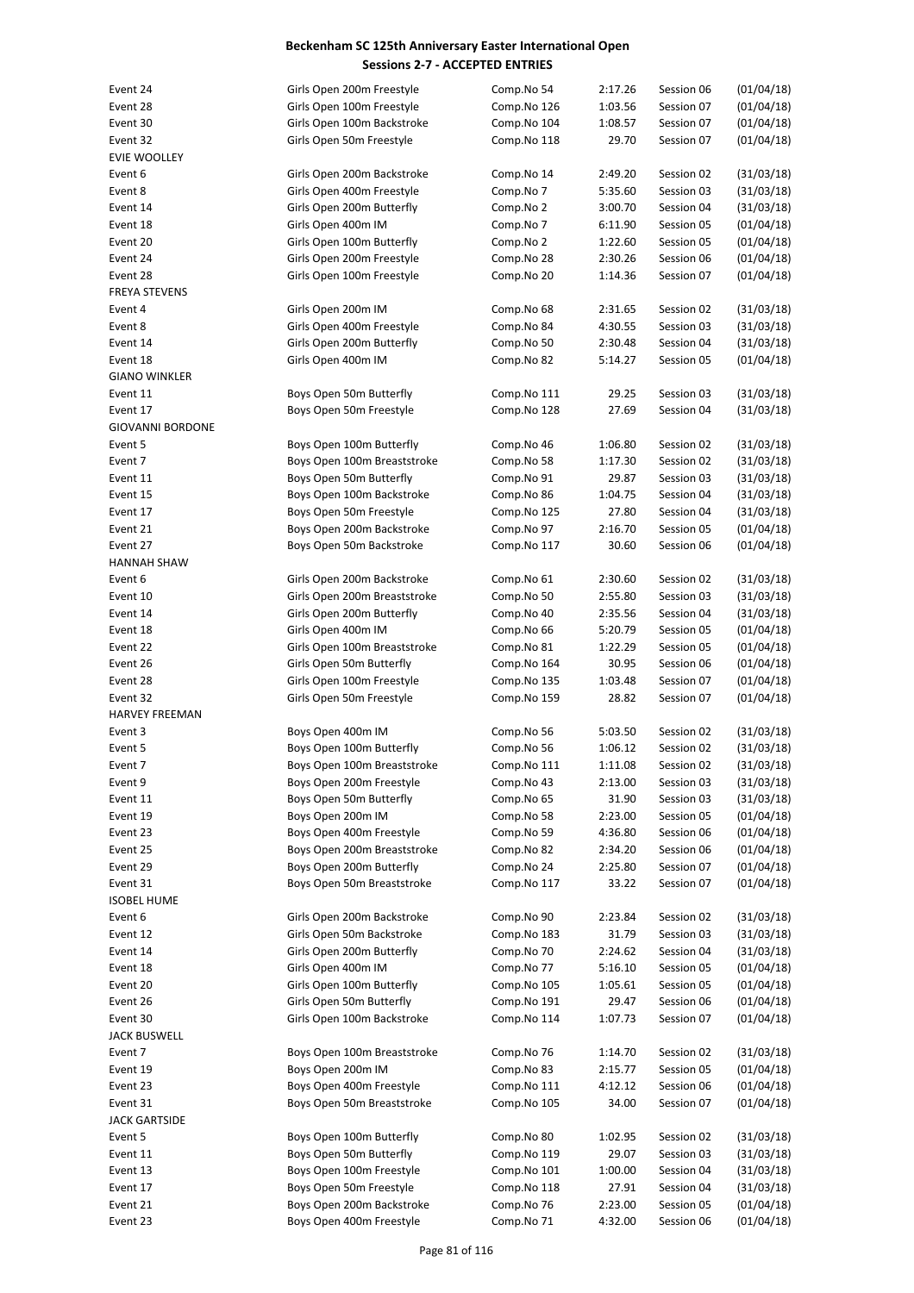| Event 24                | Girls Open 200m Freestyle    | Comp.No 54  | 2:17.26 | Session 06 | (01/04/18) |
|-------------------------|------------------------------|-------------|---------|------------|------------|
| Event 28                | Girls Open 100m Freestyle    | Comp.No 126 | 1:03.56 | Session 07 | (01/04/18) |
| Event 30                | Girls Open 100m Backstroke   | Comp.No 104 | 1:08.57 | Session 07 | (01/04/18) |
| Event 32                | Girls Open 50m Freestyle     | Comp.No 118 | 29.70   | Session 07 | (01/04/18) |
| <b>EVIE WOOLLEY</b>     |                              |             |         |            |            |
| Event 6                 | Girls Open 200m Backstroke   | Comp.No 14  | 2:49.20 | Session 02 | (31/03/18) |
| Event 8                 |                              |             |         |            |            |
|                         | Girls Open 400m Freestyle    | Comp.No 7   | 5:35.60 | Session 03 | (31/03/18) |
| Event 14                | Girls Open 200m Butterfly    | Comp.No 2   | 3:00.70 | Session 04 | (31/03/18) |
| Event 18                | Girls Open 400m IM           | Comp.No 7   | 6:11.90 | Session 05 | (01/04/18) |
| Event 20                | Girls Open 100m Butterfly    | Comp.No 2   | 1:22.60 | Session 05 | (01/04/18) |
| Event 24                | Girls Open 200m Freestyle    | Comp.No 28  | 2:30.26 | Session 06 | (01/04/18) |
| Event 28                | Girls Open 100m Freestyle    | Comp.No 20  | 1:14.36 | Session 07 | (01/04/18) |
| <b>FREYA STEVENS</b>    |                              |             |         |            |            |
| Event 4                 | Girls Open 200m IM           | Comp.No 68  | 2:31.65 | Session 02 | (31/03/18) |
| Event 8                 | Girls Open 400m Freestyle    | Comp.No 84  | 4:30.55 | Session 03 |            |
|                         |                              |             |         |            | (31/03/18) |
| Event 14                | Girls Open 200m Butterfly    | Comp.No 50  | 2:30.48 | Session 04 | (31/03/18) |
| Event 18                | Girls Open 400m IM           | Comp.No 82  | 5:14.27 | Session 05 | (01/04/18) |
| <b>GIANO WINKLER</b>    |                              |             |         |            |            |
| Event 11                | Boys Open 50m Butterfly      | Comp.No 111 | 29.25   | Session 03 | (31/03/18) |
| Event 17                | Boys Open 50m Freestyle      | Comp.No 128 | 27.69   | Session 04 | (31/03/18) |
| <b>GIOVANNI BORDONE</b> |                              |             |         |            |            |
| Event 5                 | Boys Open 100m Butterfly     | Comp.No 46  | 1:06.80 | Session 02 | (31/03/18) |
| Event 7                 | Boys Open 100m Breaststroke  | Comp.No 58  | 1:17.30 | Session 02 | (31/03/18) |
|                         |                              |             |         |            |            |
| Event 11                | Boys Open 50m Butterfly      | Comp.No 91  | 29.87   | Session 03 | (31/03/18) |
| Event 15                | Boys Open 100m Backstroke    | Comp.No 86  | 1:04.75 | Session 04 | (31/03/18) |
| Event 17                | Boys Open 50m Freestyle      | Comp.No 125 | 27.80   | Session 04 | (31/03/18) |
| Event 21                | Boys Open 200m Backstroke    | Comp.No 97  | 2:16.70 | Session 05 | (01/04/18) |
| Event 27                | Boys Open 50m Backstroke     | Comp.No 117 | 30.60   | Session 06 | (01/04/18) |
| <b>HANNAH SHAW</b>      |                              |             |         |            |            |
| Event 6                 | Girls Open 200m Backstroke   | Comp.No 61  | 2:30.60 | Session 02 | (31/03/18) |
| Event 10                | Girls Open 200m Breaststroke | Comp.No 50  | 2:55.80 | Session 03 | (31/03/18) |
|                         | Girls Open 200m Butterfly    |             |         |            |            |
| Event 14                |                              | Comp.No 40  | 2:35.56 | Session 04 | (31/03/18) |
| Event 18                | Girls Open 400m IM           | Comp.No 66  | 5:20.79 | Session 05 | (01/04/18) |
| Event 22                | Girls Open 100m Breaststroke | Comp.No 81  | 1:22.29 | Session 05 | (01/04/18) |
| Event 26                | Girls Open 50m Butterfly     | Comp.No 164 | 30.95   | Session 06 | (01/04/18) |
| Event 28                | Girls Open 100m Freestyle    | Comp.No 135 | 1:03.48 | Session 07 | (01/04/18) |
| Event 32                | Girls Open 50m Freestyle     | Comp.No 159 | 28.82   | Session 07 | (01/04/18) |
| HARVEY FREEMAN          |                              |             |         |            |            |
| Event 3                 | Boys Open 400m IM            | Comp.No 56  | 5:03.50 | Session 02 | (31/03/18) |
| Event 5                 | Boys Open 100m Butterfly     | Comp.No 56  | 1:06.12 | Session 02 | (31/03/18) |
|                         |                              |             |         |            |            |
| Event 7                 | Boys Open 100m Breaststroke  | Comp.No 111 | 1:11.08 | Session 02 | (31/03/18) |
| Event 9                 | Boys Open 200m Freestyle     | Comp.No 43  | 2:13.00 | Session 03 | (31/03/18) |
| Event 11                | Boys Open 50m Butterfly      | Comp.No 65  | 31.90   | Session 03 | (31/03/18) |
| Event 19                | Boys Open 200m IM            | Comp.No 58  | 2:23.00 | Session 05 | (01/04/18) |
| Event 23                | Boys Open 400m Freestyle     | Comp.No 59  | 4:36.80 | Session 06 | (01/04/18) |
| Event 25                | Boys Open 200m Breaststroke  | Comp.No 82  | 2:34.20 | Session 06 | (01/04/18) |
| Event 29                | Boys Open 200m Butterfly     | Comp.No 24  | 2:25.80 | Session 07 | (01/04/18) |
| Event 31                | Boys Open 50m Breaststroke   | Comp.No 117 | 33.22   | Session 07 | (01/04/18) |
| <b>ISOBEL HUME</b>      |                              |             |         |            |            |
|                         |                              |             |         |            |            |
| Event 6                 | Girls Open 200m Backstroke   | Comp.No 90  | 2:23.84 | Session 02 | (31/03/18) |
| Event 12                | Girls Open 50m Backstroke    | Comp.No 183 | 31.79   | Session 03 | (31/03/18) |
| Event 14                | Girls Open 200m Butterfly    | Comp.No 70  | 2:24.62 | Session 04 | (31/03/18) |
| Event 18                | Girls Open 400m IM           | Comp.No 77  | 5:16.10 | Session 05 | (01/04/18) |
| Event 20                | Girls Open 100m Butterfly    | Comp.No 105 | 1:05.61 | Session 05 | (01/04/18) |
| Event 26                | Girls Open 50m Butterfly     | Comp.No 191 | 29.47   | Session 06 | (01/04/18) |
| Event 30                | Girls Open 100m Backstroke   | Comp.No 114 | 1:07.73 | Session 07 | (01/04/18) |
| <b>JACK BUSWELL</b>     |                              |             |         |            |            |
|                         |                              |             |         |            |            |
| Event 7                 | Boys Open 100m Breaststroke  | Comp.No 76  | 1:14.70 | Session 02 | (31/03/18) |
| Event 19                | Boys Open 200m IM            | Comp.No 83  | 2:15.77 | Session 05 | (01/04/18) |
| Event 23                | Boys Open 400m Freestyle     | Comp.No 111 | 4:12.12 | Session 06 | (01/04/18) |
| Event 31                | Boys Open 50m Breaststroke   | Comp.No 105 | 34.00   | Session 07 | (01/04/18) |
| <b>JACK GARTSIDE</b>    |                              |             |         |            |            |
| Event 5                 | Boys Open 100m Butterfly     | Comp.No 80  | 1:02.95 | Session 02 | (31/03/18) |
| Event 11                | Boys Open 50m Butterfly      | Comp.No 119 | 29.07   | Session 03 | (31/03/18) |
| Event 13                | Boys Open 100m Freestyle     | Comp.No 101 | 1:00.00 | Session 04 | (31/03/18) |
| Event 17                | Boys Open 50m Freestyle      | Comp.No 118 | 27.91   | Session 04 | (31/03/18) |
|                         |                              |             |         |            |            |
| Event 21                | Boys Open 200m Backstroke    | Comp.No 76  | 2:23.00 | Session 05 | (01/04/18) |
| Event 23                | Boys Open 400m Freestyle     | Comp.No 71  | 4:32.00 | Session 06 | (01/04/18) |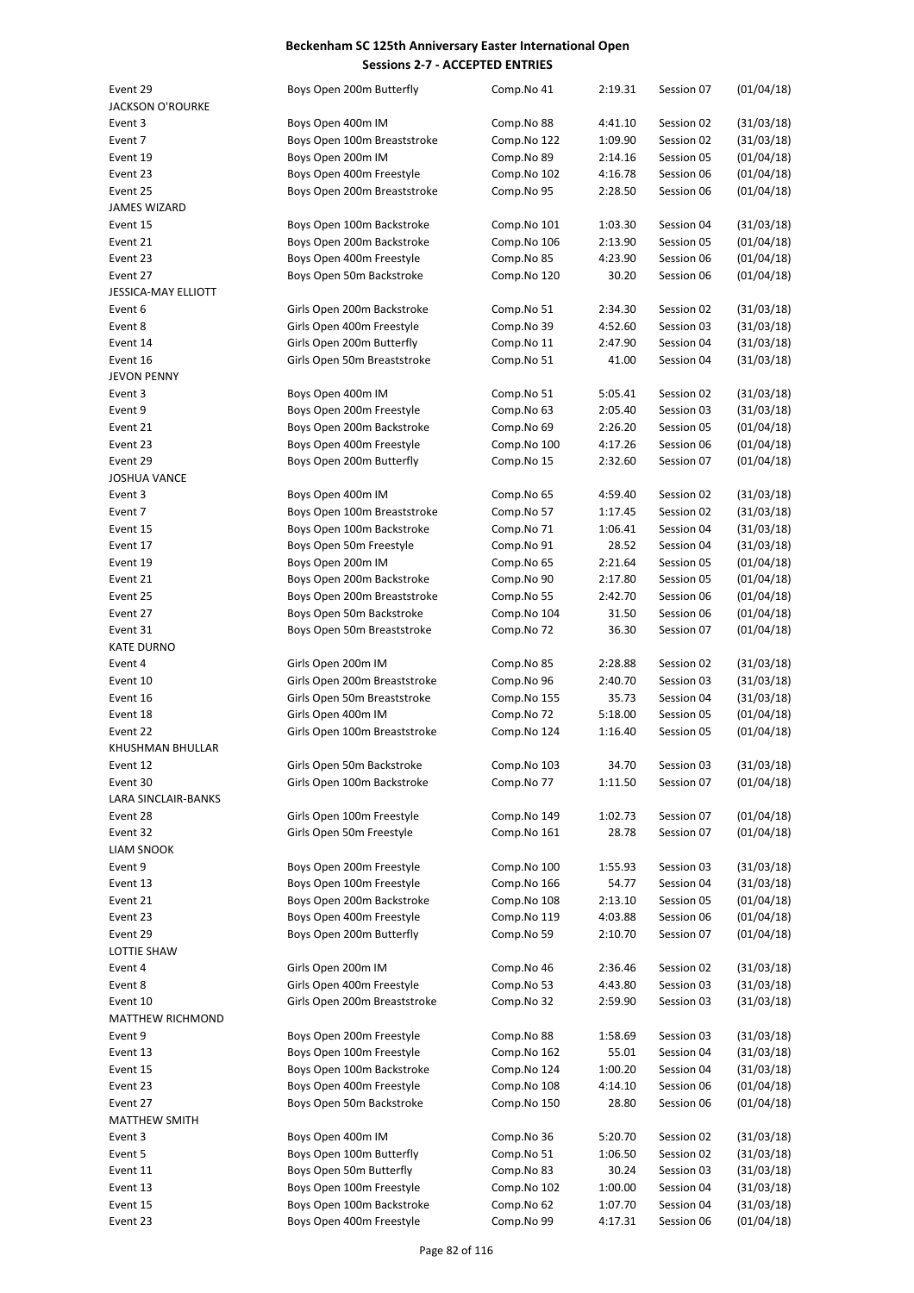| Event 29                | Boys Open 200m Butterfly     | Comp.No 41  | 2:19.31 | Session 07 | (01/04/18) |
|-------------------------|------------------------------|-------------|---------|------------|------------|
| <b>JACKSON O'ROURKE</b> |                              |             |         |            |            |
| Event 3                 | Boys Open 400m IM            | Comp.No 88  | 4:41.10 | Session 02 | (31/03/18) |
|                         |                              |             |         |            |            |
| Event 7                 | Boys Open 100m Breaststroke  | Comp.No 122 | 1:09.90 | Session 02 | (31/03/18) |
| Event 19                | Boys Open 200m IM            | Comp.No 89  | 2:14.16 | Session 05 | (01/04/18) |
| Event 23                | Boys Open 400m Freestyle     | Comp.No 102 | 4:16.78 | Session 06 | (01/04/18) |
| Event 25                | Boys Open 200m Breaststroke  | Comp.No 95  | 2:28.50 | Session 06 | (01/04/18) |
| JAMES WIZARD            |                              |             |         |            |            |
| Event 15                | Boys Open 100m Backstroke    | Comp.No 101 | 1:03.30 | Session 04 | (31/03/18) |
| Event 21                | Boys Open 200m Backstroke    | Comp.No 106 | 2:13.90 | Session 05 | (01/04/18) |
|                         |                              |             |         |            |            |
| Event 23                | Boys Open 400m Freestyle     | Comp.No 85  | 4:23.90 | Session 06 | (01/04/18) |
| Event 27                | Boys Open 50m Backstroke     | Comp.No 120 | 30.20   | Session 06 | (01/04/18) |
| JESSICA-MAY ELLIOTT     |                              |             |         |            |            |
| Event 6                 | Girls Open 200m Backstroke   | Comp.No 51  | 2:34.30 | Session 02 | (31/03/18) |
| Event 8                 | Girls Open 400m Freestyle    | Comp.No 39  | 4:52.60 | Session 03 | (31/03/18) |
| Event 14                | Girls Open 200m Butterfly    | Comp.No 11  | 2:47.90 | Session 04 | (31/03/18) |
|                         | Girls Open 50m Breaststroke  |             | 41.00   |            |            |
| Event 16                |                              | Comp.No 51  |         | Session 04 | (31/03/18) |
| JEVON PENNY             |                              |             |         |            |            |
| Event 3                 | Boys Open 400m IM            | Comp.No 51  | 5:05.41 | Session 02 | (31/03/18) |
| Event 9                 | Boys Open 200m Freestyle     | Comp.No 63  | 2:05.40 | Session 03 | (31/03/18) |
| Event 21                | Boys Open 200m Backstroke    | Comp.No 69  | 2:26.20 | Session 05 | (01/04/18) |
| Event 23                | Boys Open 400m Freestyle     | Comp.No 100 | 4:17.26 | Session 06 | (01/04/18) |
| Event 29                |                              |             |         | Session 07 | (01/04/18) |
|                         | Boys Open 200m Butterfly     | Comp.No 15  | 2:32.60 |            |            |
| JOSHUA VANCE            |                              |             |         |            |            |
| Event 3                 | Boys Open 400m IM            | Comp.No 65  | 4:59.40 | Session 02 | (31/03/18) |
| Event 7                 | Boys Open 100m Breaststroke  | Comp.No 57  | 1:17.45 | Session 02 | (31/03/18) |
| Event 15                | Boys Open 100m Backstroke    | Comp.No 71  | 1:06.41 | Session 04 | (31/03/18) |
| Event 17                | Boys Open 50m Freestyle      | Comp.No 91  | 28.52   | Session 04 | (31/03/18) |
| Event 19                | Boys Open 200m IM            | Comp.No 65  | 2:21.64 | Session 05 | (01/04/18) |
|                         |                              |             |         |            |            |
| Event 21                | Boys Open 200m Backstroke    | Comp.No 90  | 2:17.80 | Session 05 | (01/04/18) |
| Event 25                | Boys Open 200m Breaststroke  | Comp.No 55  | 2:42.70 | Session 06 | (01/04/18) |
| Event 27                | Boys Open 50m Backstroke     | Comp.No 104 | 31.50   | Session 06 | (01/04/18) |
| Event 31                | Boys Open 50m Breaststroke   | Comp.No 72  | 36.30   | Session 07 | (01/04/18) |
| <b>KATE DURNO</b>       |                              |             |         |            |            |
| Event 4                 | Girls Open 200m IM           | Comp.No 85  | 2:28.88 | Session 02 | (31/03/18) |
| Event 10                | Girls Open 200m Breaststroke | Comp.No 96  | 2:40.70 | Session 03 | (31/03/18) |
|                         |                              |             |         |            |            |
| Event 16                | Girls Open 50m Breaststroke  | Comp.No 155 | 35.73   | Session 04 | (31/03/18) |
| Event 18                | Girls Open 400m IM           | Comp.No 72  | 5:18.00 | Session 05 | (01/04/18) |
| Event 22                | Girls Open 100m Breaststroke | Comp.No 124 | 1:16.40 | Session 05 | (01/04/18) |
| KHUSHMAN BHULLAR        |                              |             |         |            |            |
| Event 12                | Girls Open 50m Backstroke    | Comp.No 103 | 34.70   | Session 03 | (31/03/18) |
| Event 30                | Girls Open 100m Backstroke   | Comp.No 77  | 1:11.50 | Session 07 | (01/04/18) |
| LARA SINCLAIR-BANKS     |                              |             |         |            |            |
|                         |                              |             |         |            |            |
| Event 28                | Girls Open 100m Freestyle    | Comp.No 149 | 1:02.73 | Session 07 | (01/04/18) |
| Event 32                | Girls Open 50m Freestyle     | Comp.No 161 | 28.78   | Session 07 | (01/04/18) |
| <b>LIAM SNOOK</b>       |                              |             |         |            |            |
| Event 9                 | Boys Open 200m Freestyle     | Comp.No 100 | 1:55.93 | Session 03 | (31/03/18) |
| Event 13                | Boys Open 100m Freestyle     | Comp.No 166 | 54.77   | Session 04 | (31/03/18) |
| Event 21                | Boys Open 200m Backstroke    | Comp.No 108 | 2:13.10 | Session 05 | (01/04/18) |
|                         |                              |             |         |            |            |
| Event 23                | Boys Open 400m Freestyle     | Comp.No 119 | 4:03.88 | Session 06 | (01/04/18) |
| Event 29                | Boys Open 200m Butterfly     | Comp.No 59  | 2:10.70 | Session 07 | (01/04/18) |
| <b>LOTTIE SHAW</b>      |                              |             |         |            |            |
| Event 4                 | Girls Open 200m IM           | Comp.No 46  | 2:36.46 | Session 02 | (31/03/18) |
| Event 8                 | Girls Open 400m Freestyle    | Comp.No 53  | 4:43.80 | Session 03 | (31/03/18) |
| Event 10                | Girls Open 200m Breaststroke | Comp.No 32  | 2:59.90 | Session 03 | (31/03/18) |
|                         |                              |             |         |            |            |
| MATTHEW RICHMOND        |                              |             |         |            |            |
| Event 9                 | Boys Open 200m Freestyle     | Comp.No 88  | 1:58.69 | Session 03 | (31/03/18) |
| Event 13                | Boys Open 100m Freestyle     | Comp.No 162 | 55.01   | Session 04 | (31/03/18) |
| Event 15                | Boys Open 100m Backstroke    | Comp.No 124 | 1:00.20 | Session 04 | (31/03/18) |
| Event 23                | Boys Open 400m Freestyle     | Comp.No 108 | 4:14.10 | Session 06 | (01/04/18) |
| Event 27                | Boys Open 50m Backstroke     | Comp.No 150 | 28.80   | Session 06 | (01/04/18) |
|                         |                              |             |         |            |            |
| <b>MATTHEW SMITH</b>    |                              |             |         |            |            |
| Event 3                 | Boys Open 400m IM            | Comp.No 36  | 5:20.70 | Session 02 | (31/03/18) |
| Event 5                 | Boys Open 100m Butterfly     | Comp.No 51  | 1:06.50 | Session 02 | (31/03/18) |
| Event 11                | Boys Open 50m Butterfly      | Comp.No 83  | 30.24   | Session 03 | (31/03/18) |
| Event 13                | Boys Open 100m Freestyle     | Comp.No 102 | 1:00.00 | Session 04 | (31/03/18) |
| Event 15                | Boys Open 100m Backstroke    | Comp.No 62  | 1:07.70 | Session 04 | (31/03/18) |
|                         |                              |             |         |            | (01/04/18) |
| Event 23                | Boys Open 400m Freestyle     | Comp.No 99  | 4:17.31 | Session 06 |            |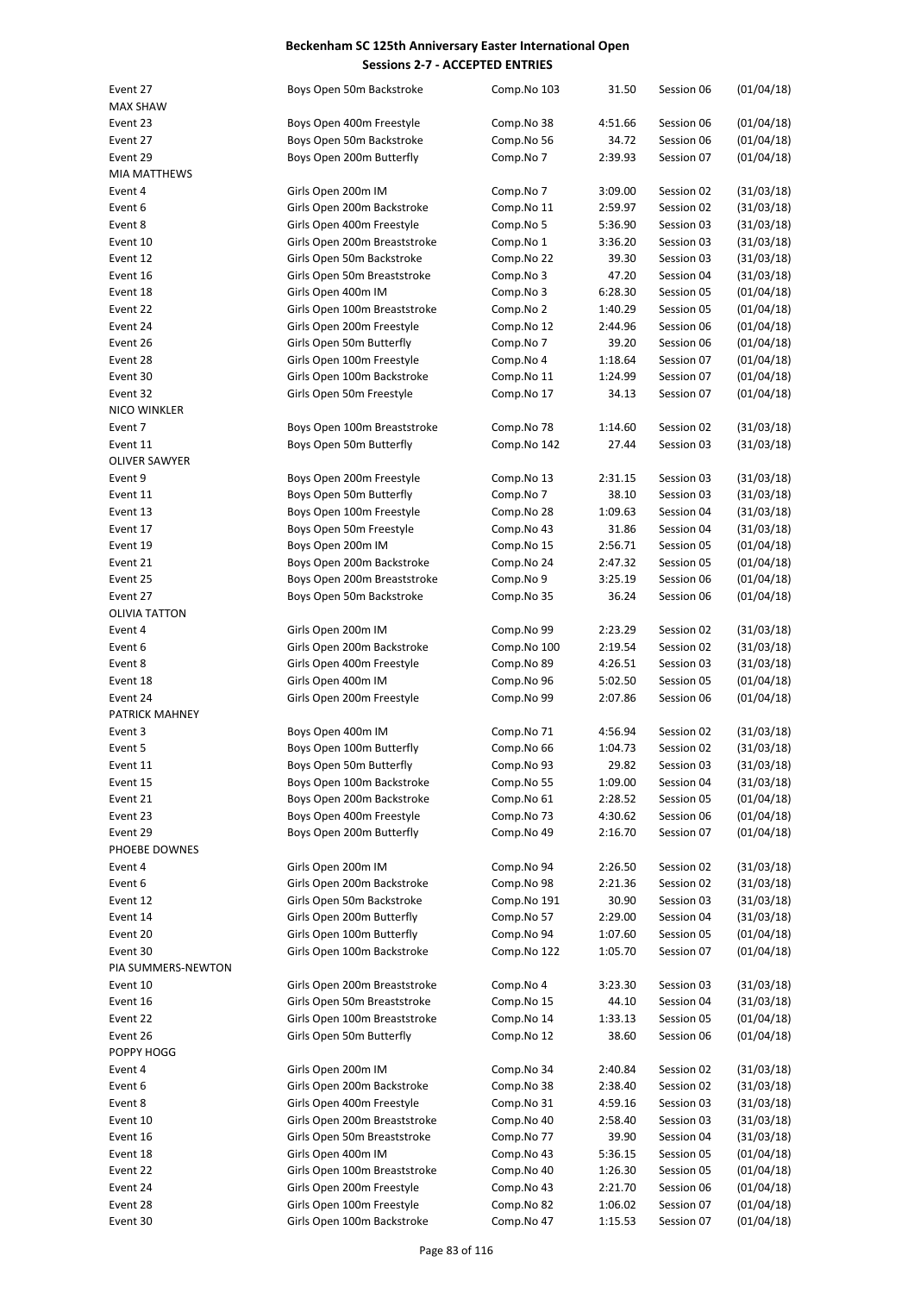| Event 27             | Boys Open 50m Backstroke     | Comp.No 103 | 31.50   | Session 06 | (01/04/18) |
|----------------------|------------------------------|-------------|---------|------------|------------|
| <b>MAX SHAW</b>      |                              |             |         |            |            |
| Event 23             | Boys Open 400m Freestyle     | Comp.No 38  | 4:51.66 | Session 06 | (01/04/18) |
| Event 27             | Boys Open 50m Backstroke     | Comp.No 56  | 34.72   | Session 06 | (01/04/18) |
| Event 29             | Boys Open 200m Butterfly     | Comp.No 7   | 2:39.93 | Session 07 | (01/04/18) |
| <b>MIA MATTHEWS</b>  |                              |             |         |            |            |
| Event 4              | Girls Open 200m IM           | Comp.No 7   | 3:09.00 | Session 02 | (31/03/18) |
| Event 6              | Girls Open 200m Backstroke   | Comp.No 11  | 2:59.97 | Session 02 | (31/03/18) |
| Event 8              | Girls Open 400m Freestyle    | Comp.No 5   | 5:36.90 | Session 03 | (31/03/18) |
| Event 10             | Girls Open 200m Breaststroke | Comp.No 1   | 3:36.20 | Session 03 | (31/03/18) |
| Event 12             | Girls Open 50m Backstroke    | Comp.No 22  | 39.30   | Session 03 | (31/03/18) |
| Event 16             | Girls Open 50m Breaststroke  |             | 47.20   |            | (31/03/18) |
|                      |                              | Comp.No 3   |         | Session 04 |            |
| Event 18             | Girls Open 400m IM           | Comp.No 3   | 6:28.30 | Session 05 | (01/04/18) |
| Event 22             | Girls Open 100m Breaststroke | Comp.No 2   | 1:40.29 | Session 05 | (01/04/18) |
| Event 24             | Girls Open 200m Freestyle    | Comp.No 12  | 2:44.96 | Session 06 | (01/04/18) |
| Event 26             | Girls Open 50m Butterfly     | Comp.No 7   | 39.20   | Session 06 | (01/04/18) |
| Event 28             | Girls Open 100m Freestyle    | Comp.No 4   | 1:18.64 | Session 07 | (01/04/18) |
| Event 30             | Girls Open 100m Backstroke   | Comp.No 11  | 1:24.99 | Session 07 | (01/04/18) |
| Event 32             | Girls Open 50m Freestyle     | Comp.No 17  | 34.13   | Session 07 | (01/04/18) |
| NICO WINKLER         |                              |             |         |            |            |
| Event 7              | Boys Open 100m Breaststroke  | Comp.No 78  | 1:14.60 | Session 02 | (31/03/18) |
| Event 11             | Boys Open 50m Butterfly      | Comp.No 142 | 27.44   | Session 03 | (31/03/18) |
| <b>OLIVER SAWYER</b> |                              |             |         |            |            |
| Event 9              | Boys Open 200m Freestyle     | Comp.No 13  | 2:31.15 | Session 03 | (31/03/18) |
| Event 11             | Boys Open 50m Butterfly      | Comp.No 7   | 38.10   | Session 03 | (31/03/18) |
| Event 13             | Boys Open 100m Freestyle     | Comp.No 28  | 1:09.63 | Session 04 | (31/03/18) |
| Event 17             | Boys Open 50m Freestyle      | Comp.No 43  | 31.86   | Session 04 | (31/03/18) |
| Event 19             | Boys Open 200m IM            | Comp.No 15  | 2:56.71 | Session 05 | (01/04/18) |
| Event 21             | Boys Open 200m Backstroke    |             | 2:47.32 |            |            |
|                      |                              | Comp.No 24  |         | Session 05 | (01/04/18) |
| Event 25             | Boys Open 200m Breaststroke  | Comp.No 9   | 3:25.19 | Session 06 | (01/04/18) |
| Event 27             | Boys Open 50m Backstroke     | Comp.No 35  | 36.24   | Session 06 | (01/04/18) |
| <b>OLIVIA TATTON</b> |                              |             |         |            |            |
| Event 4              | Girls Open 200m IM           | Comp.No 99  | 2:23.29 | Session 02 | (31/03/18) |
| Event 6              | Girls Open 200m Backstroke   | Comp.No 100 | 2:19.54 | Session 02 | (31/03/18) |
| Event 8              | Girls Open 400m Freestyle    | Comp.No 89  | 4:26.51 | Session 03 | (31/03/18) |
| Event 18             | Girls Open 400m IM           | Comp.No 96  | 5:02.50 | Session 05 | (01/04/18) |
| Event 24             | Girls Open 200m Freestyle    | Comp.No 99  | 2:07.86 | Session 06 | (01/04/18) |
| PATRICK MAHNEY       |                              |             |         |            |            |
| Event 3              | Boys Open 400m IM            | Comp.No 71  | 4:56.94 | Session 02 | (31/03/18) |
| Event 5              | Boys Open 100m Butterfly     | Comp.No 66  | 1:04.73 | Session 02 | (31/03/18) |
| Event 11             | Boys Open 50m Butterfly      | Comp.No 93  | 29.82   | Session 03 | (31/03/18) |
| Event 15             | Boys Open 100m Backstroke    | Comp.No 55  | 1:09.00 | Session 04 | (31/03/18) |
| Event 21             | Boys Open 200m Backstroke    | Comp.No 61  | 2:28.52 | Session 05 | (01/04/18) |
| Event 23             | Boys Open 400m Freestyle     | Comp.No 73  | 4:30.62 | Session 06 | (01/04/18) |
| Event 29             | Boys Open 200m Butterfly     | Comp.No 49  | 2:16.70 | Session 07 | (01/04/18) |
| PHOEBE DOWNES        |                              |             |         |            |            |
| Event 4              | Girls Open 200m IM           | Comp.No 94  | 2:26.50 | Session 02 | (31/03/18) |
|                      |                              |             |         |            |            |
| Event 6              | Girls Open 200m Backstroke   | Comp.No 98  | 2:21.36 | Session 02 | (31/03/18) |
| Event 12             | Girls Open 50m Backstroke    | Comp.No 191 | 30.90   | Session 03 | (31/03/18) |
| Event 14             | Girls Open 200m Butterfly    | Comp.No 57  | 2:29.00 | Session 04 | (31/03/18) |
| Event 20             | Girls Open 100m Butterfly    | Comp.No 94  | 1:07.60 | Session 05 | (01/04/18) |
| Event 30             | Girls Open 100m Backstroke   | Comp.No 122 | 1:05.70 | Session 07 | (01/04/18) |
| PIA SUMMERS-NEWTON   |                              |             |         |            |            |
| Event 10             | Girls Open 200m Breaststroke | Comp.No 4   | 3:23.30 | Session 03 | (31/03/18) |
| Event 16             | Girls Open 50m Breaststroke  | Comp.No 15  | 44.10   | Session 04 | (31/03/18) |
| Event 22             | Girls Open 100m Breaststroke | Comp.No 14  | 1:33.13 | Session 05 | (01/04/18) |
| Event 26             | Girls Open 50m Butterfly     | Comp.No 12  | 38.60   | Session 06 | (01/04/18) |
| POPPY HOGG           |                              |             |         |            |            |
| Event 4              | Girls Open 200m IM           | Comp.No 34  | 2:40.84 | Session 02 | (31/03/18) |
| Event 6              | Girls Open 200m Backstroke   | Comp.No 38  | 2:38.40 | Session 02 | (31/03/18) |
| Event 8              | Girls Open 400m Freestyle    | Comp.No 31  | 4:59.16 | Session 03 | (31/03/18) |
| Event 10             | Girls Open 200m Breaststroke | Comp.No 40  | 2:58.40 | Session 03 | (31/03/18) |
| Event 16             | Girls Open 50m Breaststroke  | Comp.No 77  | 39.90   | Session 04 | (31/03/18) |
| Event 18             | Girls Open 400m IM           | Comp.No 43  | 5:36.15 | Session 05 | (01/04/18) |
| Event 22             | Girls Open 100m Breaststroke | Comp.No 40  | 1:26.30 | Session 05 | (01/04/18) |
| Event 24             | Girls Open 200m Freestyle    | Comp.No 43  | 2:21.70 | Session 06 | (01/04/18) |
| Event 28             | Girls Open 100m Freestyle    | Comp.No 82  |         |            |            |
|                      |                              |             | 1:06.02 | Session 07 | (01/04/18) |
| Event 30             | Girls Open 100m Backstroke   | Comp.No 47  | 1:15.53 | Session 07 | (01/04/18) |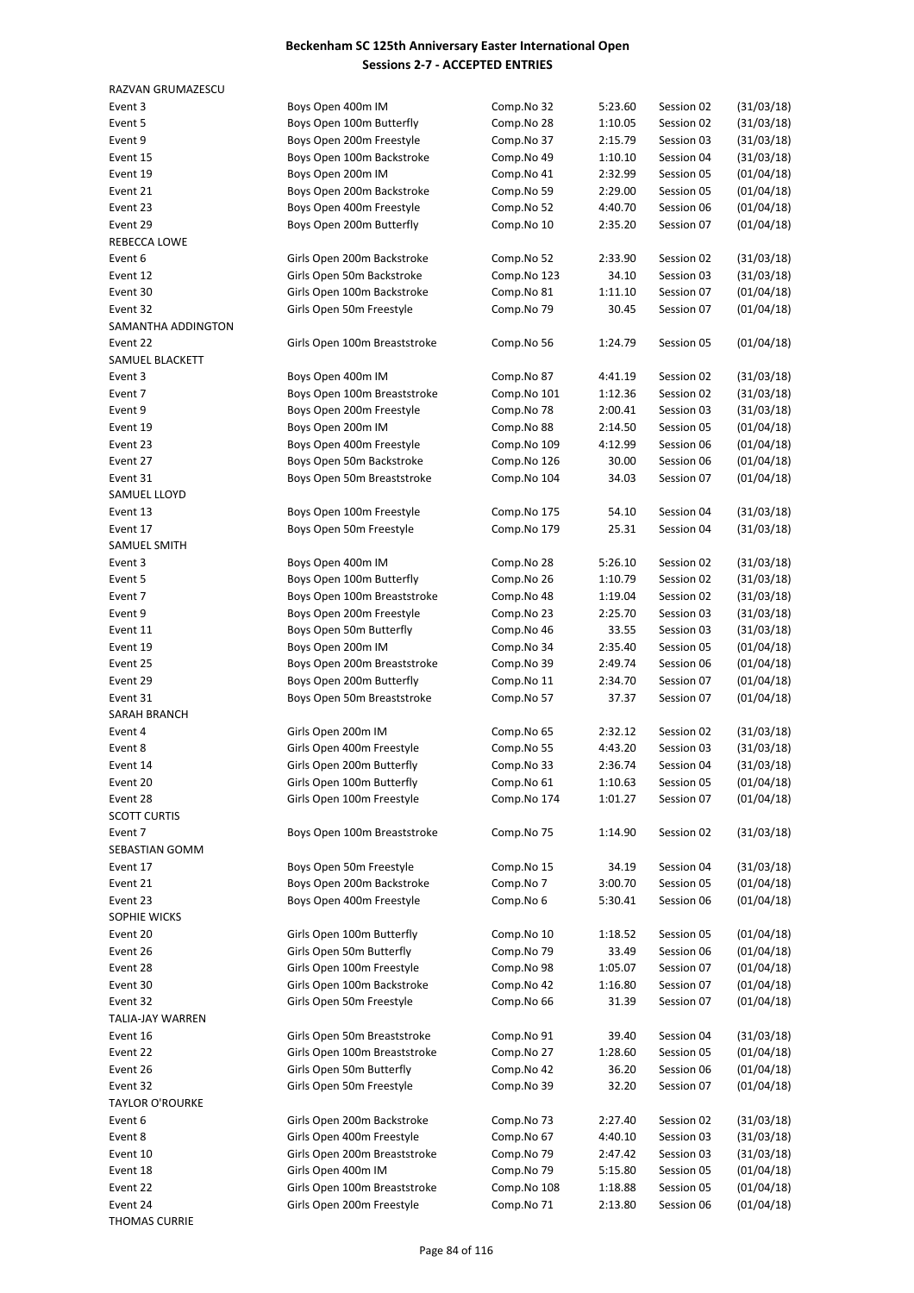| RAZVAN GRUMAZESCU           |                              |                          |                    |                          |                          |
|-----------------------------|------------------------------|--------------------------|--------------------|--------------------------|--------------------------|
| Event 3                     | Boys Open 400m IM            | Comp.No 32               | 5:23.60            | Session 02               | (31/03/18)               |
| Event 5                     | Boys Open 100m Butterfly     | Comp.No 28               | 1:10.05            | Session 02               | (31/03/18)               |
| Event 9                     | Boys Open 200m Freestyle     | Comp.No 37               | 2:15.79            | Session 03               | (31/03/18)               |
| Event 15                    | Boys Open 100m Backstroke    | Comp.No 49               | 1:10.10            | Session 04               | (31/03/18)               |
| Event 19                    | Boys Open 200m IM            | Comp.No 41               | 2:32.99            | Session 05               | (01/04/18)               |
| Event 21                    | Boys Open 200m Backstroke    | Comp.No 59               | 2:29.00            | Session 05               | (01/04/18)               |
| Event 23                    | Boys Open 400m Freestyle     | Comp.No 52               | 4:40.70            | Session 06               | (01/04/18)               |
| Event 29                    | Boys Open 200m Butterfly     | Comp.No 10               | 2:35.20            | Session 07               | (01/04/18)               |
| REBECCA LOWE                |                              |                          |                    |                          |                          |
| Event 6                     | Girls Open 200m Backstroke   | Comp.No 52               | 2:33.90            | Session 02               | (31/03/18)               |
| Event 12                    | Girls Open 50m Backstroke    | Comp.No 123              | 34.10              | Session 03               | (31/03/18)               |
| Event 30                    | Girls Open 100m Backstroke   | Comp.No 81               | 1:11.10            | Session 07               | (01/04/18)               |
| Event 32                    | Girls Open 50m Freestyle     | Comp.No 79               | 30.45              | Session 07               | (01/04/18)               |
| SAMANTHA ADDINGTON          |                              |                          |                    |                          |                          |
| Event 22<br>SAMUEL BLACKETT | Girls Open 100m Breaststroke | Comp.No 56               | 1:24.79            | Session 05               | (01/04/18)               |
| Event 3                     | Boys Open 400m IM            | Comp.No 87               | 4:41.19            | Session 02               | (31/03/18)               |
| Event 7                     | Boys Open 100m Breaststroke  | Comp.No 101              | 1:12.36            | Session 02               | (31/03/18)               |
| Event 9                     | Boys Open 200m Freestyle     | Comp.No 78               | 2:00.41            | Session 03               | (31/03/18)               |
| Event 19                    | Boys Open 200m IM            | Comp.No 88               | 2:14.50            | Session 05               | (01/04/18)               |
| Event 23                    | Boys Open 400m Freestyle     | Comp.No 109              | 4:12.99            | Session 06               | (01/04/18)               |
| Event 27                    | Boys Open 50m Backstroke     | Comp.No 126              | 30.00              | Session 06               | (01/04/18)               |
| Event 31                    | Boys Open 50m Breaststroke   | Comp.No 104              | 34.03              | Session 07               | (01/04/18)               |
| SAMUEL LLOYD                |                              |                          |                    |                          |                          |
| Event 13                    | Boys Open 100m Freestyle     | Comp.No 175              | 54.10              | Session 04               | (31/03/18)               |
| Event 17                    | Boys Open 50m Freestyle      | Comp.No 179              | 25.31              | Session 04               | (31/03/18)               |
| SAMUEL SMITH                |                              |                          |                    |                          |                          |
| Event 3                     | Boys Open 400m IM            | Comp.No 28               | 5:26.10            | Session 02               | (31/03/18)               |
| Event 5                     | Boys Open 100m Butterfly     | Comp.No 26               | 1:10.79            | Session 02               | (31/03/18)               |
| Event 7                     | Boys Open 100m Breaststroke  | Comp.No 48               | 1:19.04            | Session 02               | (31/03/18)               |
| Event 9                     | Boys Open 200m Freestyle     | Comp.No 23               | 2:25.70            | Session 03               | (31/03/18)               |
| Event 11                    | Boys Open 50m Butterfly      | Comp.No 46               | 33.55              | Session 03               | (31/03/18)               |
| Event 19                    | Boys Open 200m IM            | Comp.No 34               | 2:35.40            | Session 05               | (01/04/18)               |
| Event 25                    | Boys Open 200m Breaststroke  | Comp.No 39               | 2:49.74            | Session 06               | (01/04/18)               |
| Event 29                    | Boys Open 200m Butterfly     | Comp.No 11               | 2:34.70            | Session 07               | (01/04/18)               |
| Event 31                    | Boys Open 50m Breaststroke   | Comp.No 57               | 37.37              | Session 07               | (01/04/18)               |
| SARAH BRANCH                |                              |                          |                    |                          |                          |
| Event 4                     | Girls Open 200m IM           | Comp.No 65               | 2:32.12            | Session 02               | (31/03/18)               |
| Event 8                     | Girls Open 400m Freestyle    | Comp.No 55               | 4:43.20            | Session 03               | (31/03/18)               |
| Event 14                    | Girls Open 200m Butterfly    | Comp.No 33               | 2:36.74            | Session 04               | (31/03/18)               |
| Event 20                    | Girls Open 100m Butterfly    | Comp.No 61               | 1:10.63            | Session 05               | (01/04/18)               |
| Event 28                    | Girls Open 100m Freestyle    | Comp.No 174              | 1:01.27            | Session 07               | (01/04/18)               |
| <b>SCOTT CURTIS</b>         |                              |                          |                    |                          |                          |
| Event 7                     | Boys Open 100m Breaststroke  | Comp.No 75               | 1:14.90            | Session 02               | (31/03/18)               |
| SEBASTIAN GOMM              |                              |                          |                    |                          |                          |
| Event 17                    | Boys Open 50m Freestyle      | Comp.No 15               | 34.19              | Session 04               | (31/03/18)               |
| Event 21                    | Boys Open 200m Backstroke    | Comp.No 7                | 3:00.70            | Session 05               | (01/04/18)               |
| Event 23                    | Boys Open 400m Freestyle     | Comp.No 6                | 5:30.41            | Session 06               | (01/04/18)               |
| SOPHIE WICKS                |                              |                          |                    |                          |                          |
| Event 20                    | Girls Open 100m Butterfly    | Comp.No 10               | 1:18.52            | Session 05               | (01/04/18)               |
| Event 26                    | Girls Open 50m Butterfly     | Comp.No 79               | 33.49              | Session 06               | (01/04/18)               |
| Event 28                    | Girls Open 100m Freestyle    | Comp.No 98               | 1:05.07            | Session 07               | (01/04/18)               |
| Event 30                    | Girls Open 100m Backstroke   | Comp.No 42               | 1:16.80            | Session 07               | (01/04/18)               |
| Event 32                    | Girls Open 50m Freestyle     | Comp.No 66               | 31.39              | Session 07               | (01/04/18)               |
| TALIA-JAY WARREN            |                              |                          |                    |                          |                          |
| Event 16                    | Girls Open 50m Breaststroke  | Comp.No 91               | 39.40              | Session 04               | (31/03/18)               |
| Event 22                    | Girls Open 100m Breaststroke | Comp.No 27               | 1:28.60            | Session 05               | (01/04/18)               |
| Event 26                    | Girls Open 50m Butterfly     | Comp.No 42               | 36.20              | Session 06               | (01/04/18)               |
| Event 32                    | Girls Open 50m Freestyle     | Comp.No 39               | 32.20              | Session 07               | (01/04/18)               |
| <b>TAYLOR O'ROURKE</b>      | Girls Open 200m Backstroke   |                          |                    |                          |                          |
| Event 6<br>Event 8          | Girls Open 400m Freestyle    | Comp.No 73<br>Comp.No 67 | 2:27.40<br>4:40.10 | Session 02<br>Session 03 | (31/03/18)<br>(31/03/18) |
| Event 10                    | Girls Open 200m Breaststroke | Comp.No 79               | 2:47.42            | Session 03               | (31/03/18)               |
|                             | Girls Open 400m IM           | Comp.No 79               |                    | Session 05               | (01/04/18)               |
| Event 18<br>Event 22        | Girls Open 100m Breaststroke | Comp.No 108              | 5:15.80<br>1:18.88 | Session 05               | (01/04/18)               |
| Event 24                    | Girls Open 200m Freestyle    | Comp.No 71               | 2:13.80            | Session 06               | (01/04/18)               |
| <b>THOMAS CURRIF</b>        |                              |                          |                    |                          |                          |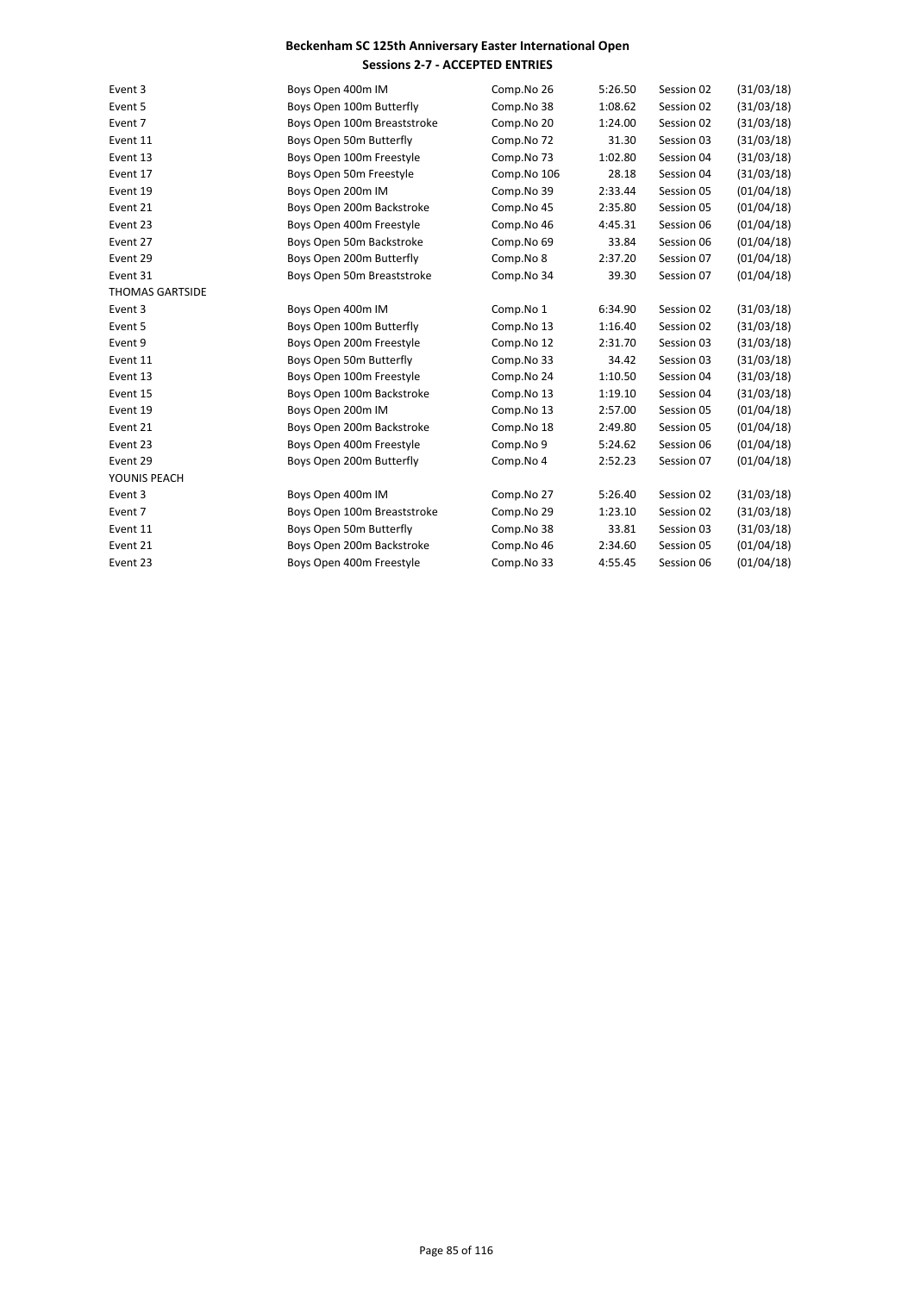| Event 3                | Boys Open 400m IM           | Comp.No 26  | 5:26.50 | Session 02 | (31/03/18) |
|------------------------|-----------------------------|-------------|---------|------------|------------|
| Event 5                | Boys Open 100m Butterfly    | Comp.No 38  | 1:08.62 | Session 02 | (31/03/18) |
| Event 7                | Boys Open 100m Breaststroke | Comp.No 20  | 1:24.00 | Session 02 | (31/03/18) |
| Event 11               | Boys Open 50m Butterfly     | Comp.No 72  | 31.30   | Session 03 | (31/03/18) |
| Event 13               | Boys Open 100m Freestyle    | Comp.No 73  | 1:02.80 | Session 04 | (31/03/18) |
| Event 17               | Boys Open 50m Freestyle     | Comp.No 106 | 28.18   | Session 04 | (31/03/18) |
| Event 19               | Boys Open 200m IM           | Comp.No 39  | 2:33.44 | Session 05 | (01/04/18) |
| Event 21               | Boys Open 200m Backstroke   | Comp.No 45  | 2:35.80 | Session 05 | (01/04/18) |
| Event 23               | Boys Open 400m Freestyle    | Comp.No 46  | 4:45.31 | Session 06 | (01/04/18) |
| Event 27               | Boys Open 50m Backstroke    | Comp.No 69  | 33.84   | Session 06 | (01/04/18) |
| Event 29               | Boys Open 200m Butterfly    | Comp.No 8   | 2:37.20 | Session 07 | (01/04/18) |
| Event 31               | Boys Open 50m Breaststroke  | Comp.No 34  | 39.30   | Session 07 | (01/04/18) |
| <b>THOMAS GARTSIDE</b> |                             |             |         |            |            |
| Event 3                | Boys Open 400m IM           | Comp.No 1   | 6:34.90 | Session 02 | (31/03/18) |
| Event 5                | Boys Open 100m Butterfly    | Comp.No 13  | 1:16.40 | Session 02 | (31/03/18) |
| Event 9                | Boys Open 200m Freestyle    | Comp.No 12  | 2:31.70 | Session 03 | (31/03/18) |
| Event 11               | Boys Open 50m Butterfly     | Comp.No 33  | 34.42   | Session 03 | (31/03/18) |
| Event 13               | Boys Open 100m Freestyle    | Comp.No 24  | 1:10.50 | Session 04 | (31/03/18) |
| Event 15               | Boys Open 100m Backstroke   | Comp.No 13  | 1:19.10 | Session 04 | (31/03/18) |
| Event 19               | Boys Open 200m IM           | Comp.No 13  | 2:57.00 | Session 05 | (01/04/18) |
| Event 21               | Boys Open 200m Backstroke   | Comp.No 18  | 2:49.80 | Session 05 | (01/04/18) |
| Event 23               | Boys Open 400m Freestyle    | Comp.No 9   | 5:24.62 | Session 06 | (01/04/18) |
| Event 29               | Boys Open 200m Butterfly    | Comp.No 4   | 2:52.23 | Session 07 | (01/04/18) |
| YOUNIS PEACH           |                             |             |         |            |            |
| Event 3                | Boys Open 400m IM           | Comp.No 27  | 5:26.40 | Session 02 | (31/03/18) |
| Event 7                | Boys Open 100m Breaststroke | Comp.No 29  | 1:23.10 | Session 02 | (31/03/18) |
| Event 11               | Boys Open 50m Butterfly     | Comp.No 38  | 33.81   | Session 03 | (31/03/18) |
| Event 21               | Boys Open 200m Backstroke   | Comp.No 46  | 2:34.60 | Session 05 | (01/04/18) |
| Event 23               | Boys Open 400m Freestyle    | Comp.No 33  | 4:55.45 | Session 06 | (01/04/18) |
|                        |                             |             |         |            |            |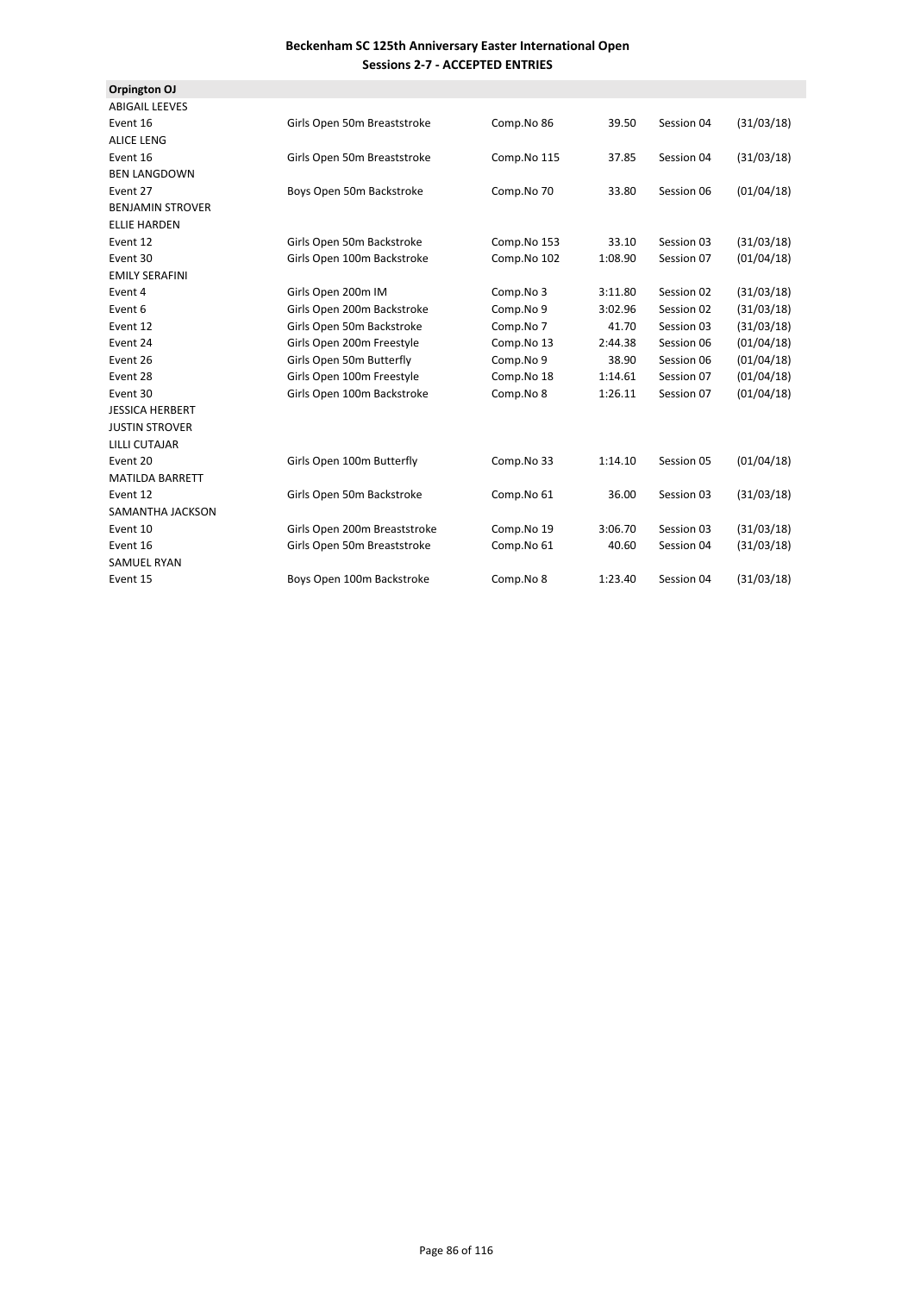| Orpington OJ            |                              |             |         |            |            |
|-------------------------|------------------------------|-------------|---------|------------|------------|
| <b>ABIGAIL LEEVES</b>   |                              |             |         |            |            |
| Event 16                | Girls Open 50m Breaststroke  | Comp.No 86  | 39.50   | Session 04 | (31/03/18) |
| <b>ALICE LENG</b>       |                              |             |         |            |            |
| Event 16                | Girls Open 50m Breaststroke  | Comp.No 115 | 37.85   | Session 04 | (31/03/18) |
| <b>BEN LANGDOWN</b>     |                              |             |         |            |            |
| Event 27                | Boys Open 50m Backstroke     | Comp.No 70  | 33.80   | Session 06 | (01/04/18) |
| <b>BENJAMIN STROVER</b> |                              |             |         |            |            |
| <b>ELLIE HARDEN</b>     |                              |             |         |            |            |
| Event 12                | Girls Open 50m Backstroke    | Comp.No 153 | 33.10   | Session 03 | (31/03/18) |
| Event 30                | Girls Open 100m Backstroke   | Comp.No 102 | 1:08.90 | Session 07 | (01/04/18) |
| <b>EMILY SERAFINI</b>   |                              |             |         |            |            |
| Event 4                 | Girls Open 200m IM           | Comp.No 3   | 3:11.80 | Session 02 | (31/03/18) |
| Event 6                 | Girls Open 200m Backstroke   | Comp.No 9   | 3:02.96 | Session 02 | (31/03/18) |
| Event 12                | Girls Open 50m Backstroke    | Comp.No 7   | 41.70   | Session 03 | (31/03/18) |
| Event 24                | Girls Open 200m Freestyle    | Comp.No 13  | 2:44.38 | Session 06 | (01/04/18) |
| Event 26                | Girls Open 50m Butterfly     | Comp.No 9   | 38.90   | Session 06 | (01/04/18) |
| Event 28                | Girls Open 100m Freestyle    | Comp.No 18  | 1:14.61 | Session 07 | (01/04/18) |
| Event 30                | Girls Open 100m Backstroke   | Comp.No 8   | 1:26.11 | Session 07 | (01/04/18) |
| <b>JESSICA HERBERT</b>  |                              |             |         |            |            |
| <b>JUSTIN STROVER</b>   |                              |             |         |            |            |
| <b>LILLI CUTAJAR</b>    |                              |             |         |            |            |
| Event 20                | Girls Open 100m Butterfly    | Comp.No 33  | 1:14.10 | Session 05 | (01/04/18) |
| <b>MATILDA BARRETT</b>  |                              |             |         |            |            |
| Event 12                | Girls Open 50m Backstroke    | Comp.No 61  | 36.00   | Session 03 | (31/03/18) |
| SAMANTHA JACKSON        |                              |             |         |            |            |
| Event 10                | Girls Open 200m Breaststroke | Comp.No 19  | 3:06.70 | Session 03 | (31/03/18) |
| Event 16                | Girls Open 50m Breaststroke  | Comp.No 61  | 40.60   | Session 04 | (31/03/18) |
| <b>SAMUEL RYAN</b>      |                              |             |         |            |            |
| Event 15                | Boys Open 100m Backstroke    | Comp.No 8   | 1:23.40 | Session 04 | (31/03/18) |
|                         |                              |             |         |            |            |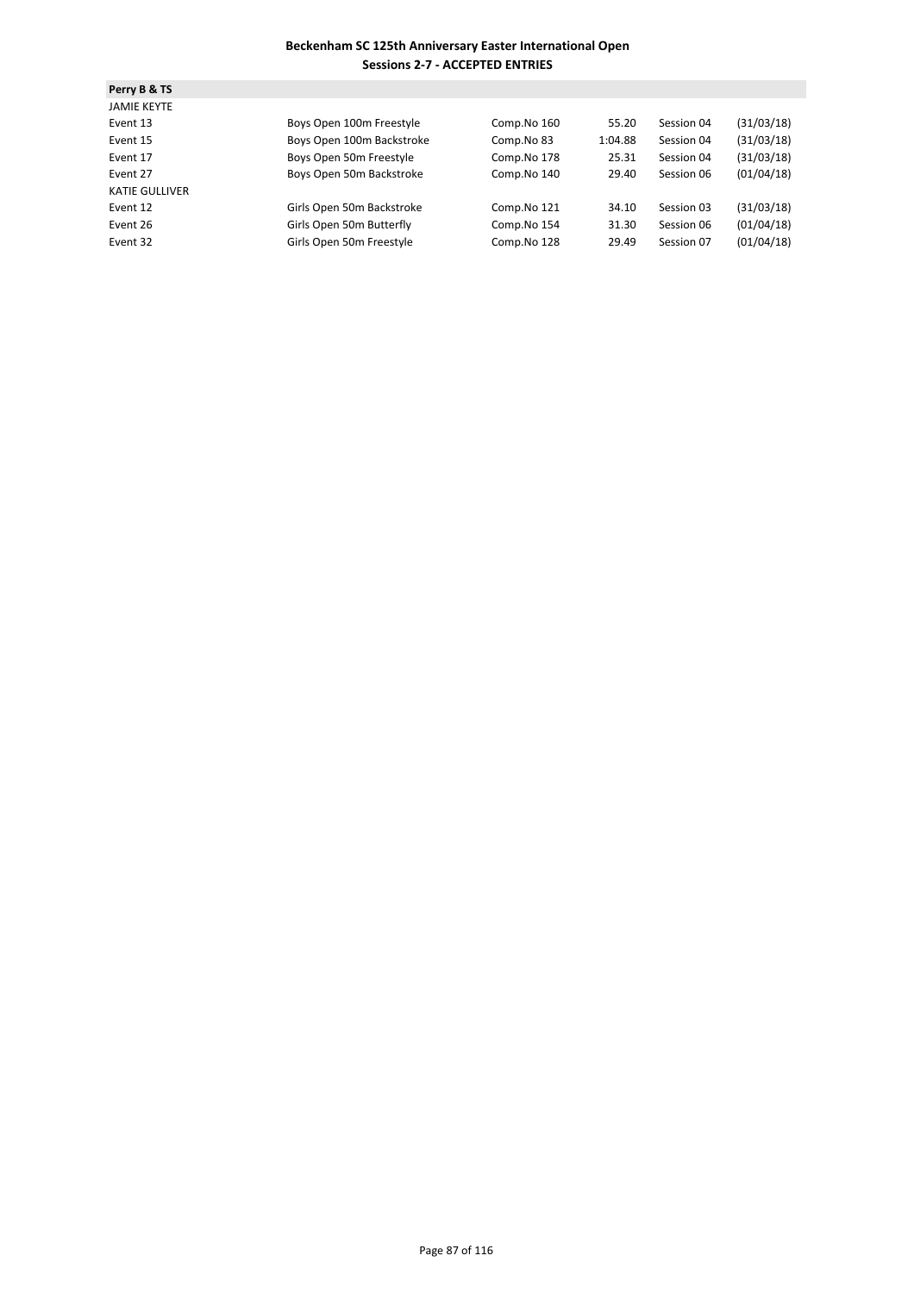| Perry B & TS          |                           |             |         |            |            |
|-----------------------|---------------------------|-------------|---------|------------|------------|
| <b>JAMIE KEYTE</b>    |                           |             |         |            |            |
| Event 13              | Boys Open 100m Freestyle  | Comp.No 160 | 55.20   | Session 04 | (31/03/18) |
| Event 15              | Boys Open 100m Backstroke | Comp.No 83  | 1:04.88 | Session 04 | (31/03/18) |
| Event 17              | Boys Open 50m Freestyle   | Comp.No 178 | 25.31   | Session 04 | (31/03/18) |
| Event 27              | Boys Open 50m Backstroke  | Comp.No 140 | 29.40   | Session 06 | (01/04/18) |
| <b>KATIE GULLIVER</b> |                           |             |         |            |            |
| Event 12              | Girls Open 50m Backstroke | Comp.No 121 | 34.10   | Session 03 | (31/03/18) |
| Event 26              | Girls Open 50m Butterfly  | Comp.No 154 | 31.30   | Session 06 | (01/04/18) |
| Event 32              | Girls Open 50m Freestyle  | Comp.No 128 | 29.49   | Session 07 | (01/04/18) |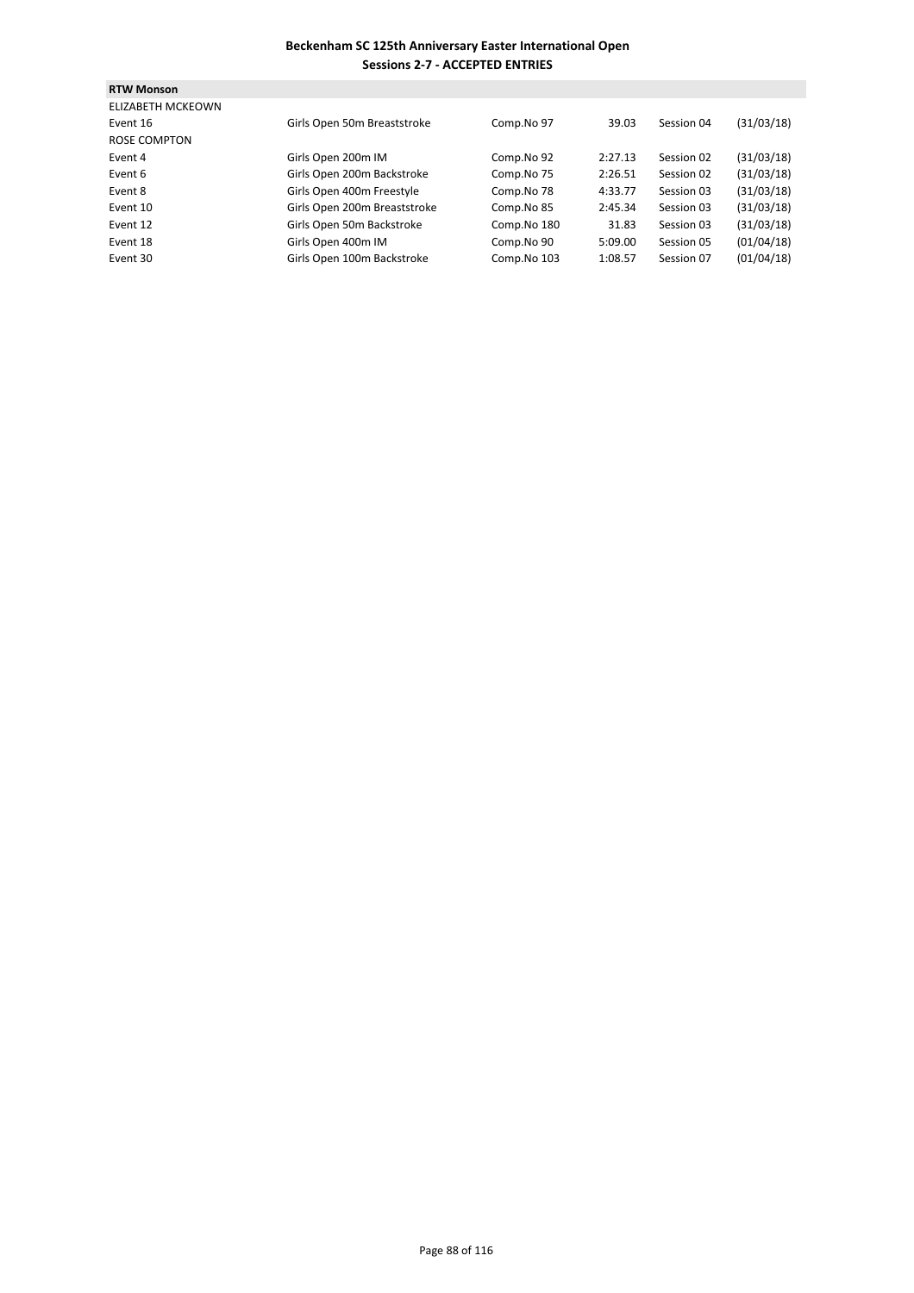| <b>RTW Monson</b>        |                              |             |         |            |            |
|--------------------------|------------------------------|-------------|---------|------------|------------|
| <b>ELIZABETH MCKEOWN</b> |                              |             |         |            |            |
| Event 16                 | Girls Open 50m Breaststroke  | Comp.No 97  | 39.03   | Session 04 | (31/03/18) |
| ROSE COMPTON             |                              |             |         |            |            |
| Event 4                  | Girls Open 200m IM           | Comp.No 92  | 2:27.13 | Session 02 | (31/03/18) |
| Event 6                  | Girls Open 200m Backstroke   | Comp.No 75  | 2:26.51 | Session 02 | (31/03/18) |
| Event 8                  | Girls Open 400m Freestyle    | Comp.No 78  | 4:33.77 | Session 03 | (31/03/18) |
| Event 10                 | Girls Open 200m Breaststroke | Comp.No 85  | 2:45.34 | Session 03 | (31/03/18) |
| Event 12                 | Girls Open 50m Backstroke    | Comp.No 180 | 31.83   | Session 03 | (31/03/18) |
| Event 18                 | Girls Open 400m IM           | Comp.No 90  | 5:09.00 | Session 05 | (01/04/18) |
| Event 30                 | Girls Open 100m Backstroke   | Comp.No 103 | 1:08.57 | Session 07 | (01/04/18) |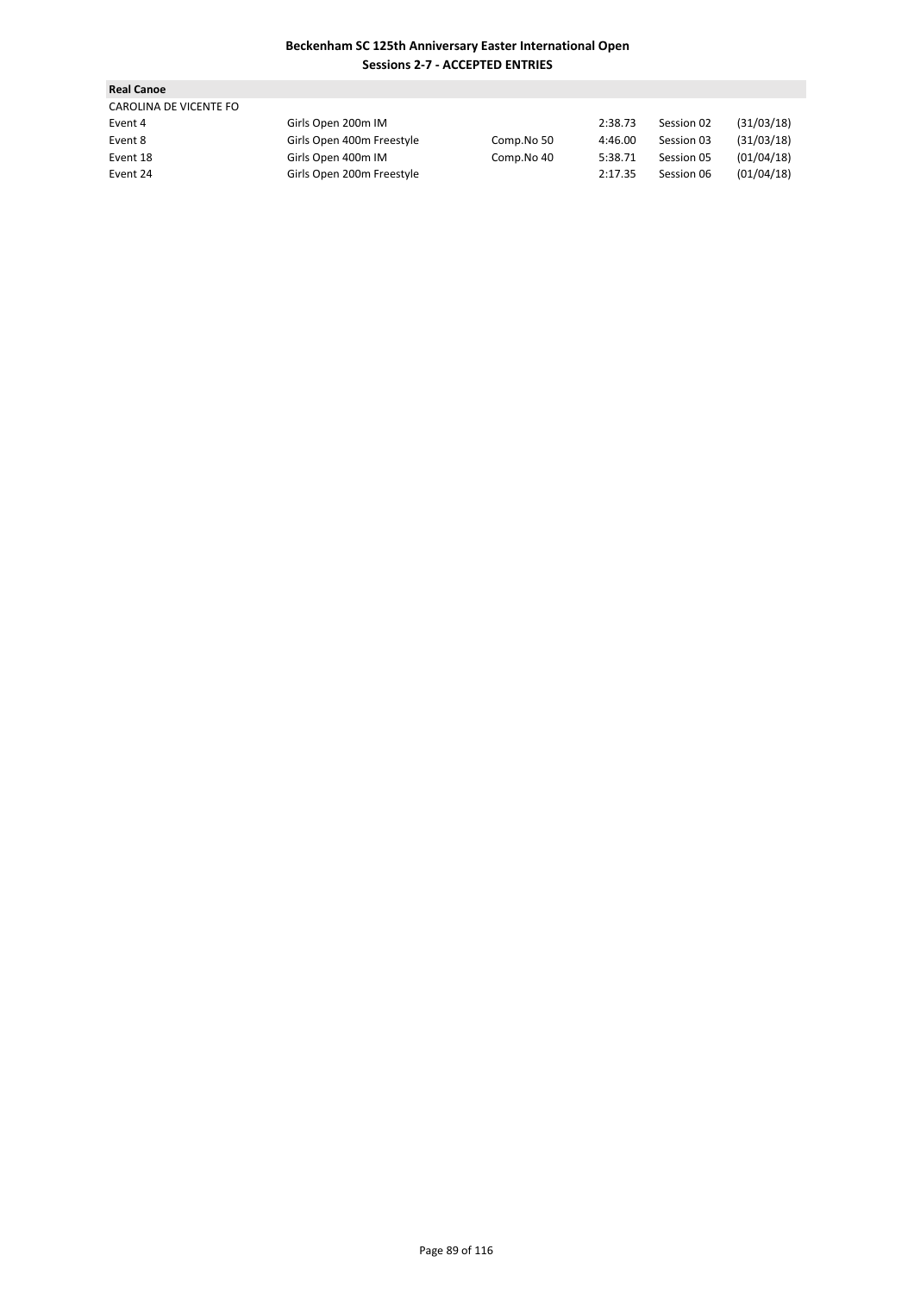| <b>Real Canoe</b>      |                           |            |         |            |            |
|------------------------|---------------------------|------------|---------|------------|------------|
| CAROLINA DE VICENTE FO |                           |            |         |            |            |
| Event 4                | Girls Open 200m IM        |            | 2:38.73 | Session 02 | (31/03/18) |
| Event 8                | Girls Open 400m Freestyle | Comp.No 50 | 4:46.00 | Session 03 | (31/03/18) |
| Event 18               | Girls Open 400m IM        | Comp.No 40 | 5:38.71 | Session 05 | (01/04/18) |
| Event 24               | Girls Open 200m Freestyle |            | 2:17.35 | Session 06 | (01/04/18) |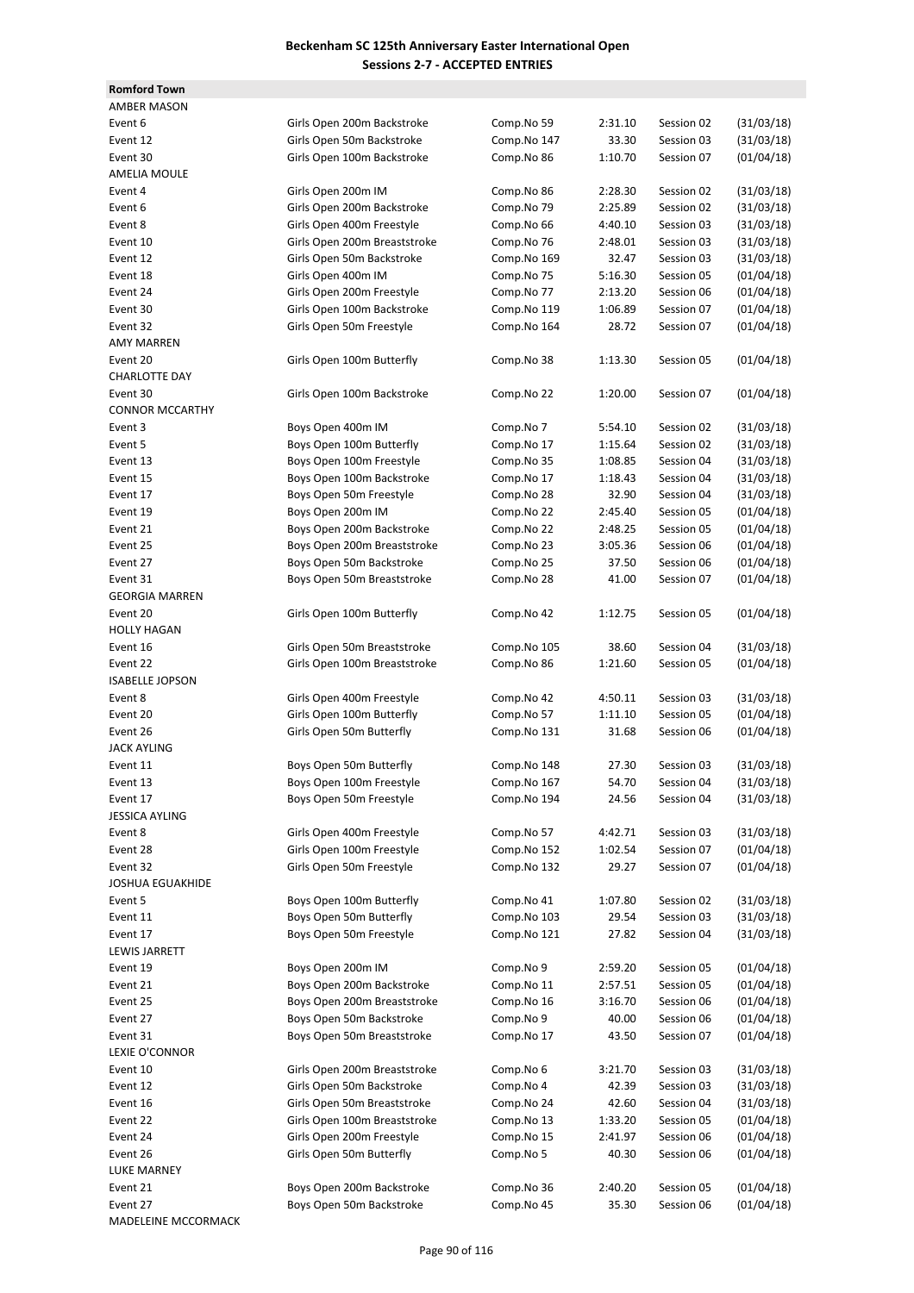| <b>Romford Town</b>        |                              |             |         |            |            |
|----------------------------|------------------------------|-------------|---------|------------|------------|
| <b>AMBER MASON</b>         |                              |             |         |            |            |
| Event 6                    | Girls Open 200m Backstroke   | Comp.No 59  | 2:31.10 | Session 02 | (31/03/18) |
|                            |                              |             |         |            |            |
| Event 12                   | Girls Open 50m Backstroke    | Comp.No 147 | 33.30   | Session 03 | (31/03/18) |
| Event 30                   | Girls Open 100m Backstroke   | Comp.No 86  | 1:10.70 | Session 07 | (01/04/18) |
| <b>AMELIA MOULE</b>        |                              |             |         |            |            |
| Event 4                    | Girls Open 200m IM           | Comp.No 86  | 2:28.30 | Session 02 | (31/03/18) |
| Event 6                    | Girls Open 200m Backstroke   | Comp.No 79  | 2:25.89 | Session 02 | (31/03/18) |
| Event 8                    | Girls Open 400m Freestyle    | Comp.No 66  | 4:40.10 | Session 03 | (31/03/18) |
| Event 10                   | Girls Open 200m Breaststroke | Comp.No 76  | 2:48.01 | Session 03 | (31/03/18) |
| Event 12                   | Girls Open 50m Backstroke    | Comp.No 169 | 32.47   | Session 03 | (31/03/18) |
| Event 18                   | Girls Open 400m IM           | Comp.No 75  | 5:16.30 | Session 05 | (01/04/18) |
| Event 24                   | Girls Open 200m Freestyle    | Comp.No 77  | 2:13.20 | Session 06 | (01/04/18) |
| Event 30                   | Girls Open 100m Backstroke   | Comp.No 119 | 1:06.89 | Session 07 | (01/04/18) |
| Event 32                   | Girls Open 50m Freestyle     | Comp.No 164 | 28.72   | Session 07 | (01/04/18) |
| <b>AMY MARREN</b>          |                              |             |         |            |            |
|                            |                              |             |         |            |            |
| Event 20                   | Girls Open 100m Butterfly    | Comp.No 38  | 1:13.30 | Session 05 | (01/04/18) |
| <b>CHARLOTTE DAY</b>       |                              |             |         |            |            |
| Event 30                   | Girls Open 100m Backstroke   | Comp.No 22  | 1:20.00 | Session 07 | (01/04/18) |
| <b>CONNOR MCCARTHY</b>     |                              |             |         |            |            |
| Event 3                    | Boys Open 400m IM            | Comp.No 7   | 5:54.10 | Session 02 | (31/03/18) |
| Event 5                    | Boys Open 100m Butterfly     | Comp.No 17  | 1:15.64 | Session 02 | (31/03/18) |
| Event 13                   | Boys Open 100m Freestyle     | Comp.No 35  | 1:08.85 | Session 04 | (31/03/18) |
| Event 15                   | Boys Open 100m Backstroke    | Comp.No 17  | 1:18.43 | Session 04 | (31/03/18) |
| Event 17                   | Boys Open 50m Freestyle      | Comp.No 28  | 32.90   | Session 04 | (31/03/18) |
| Event 19                   | Boys Open 200m IM            | Comp.No 22  | 2:45.40 | Session 05 | (01/04/18) |
|                            |                              |             |         |            |            |
| Event 21                   | Boys Open 200m Backstroke    | Comp.No 22  | 2:48.25 | Session 05 | (01/04/18) |
| Event 25                   | Boys Open 200m Breaststroke  | Comp.No 23  | 3:05.36 | Session 06 | (01/04/18) |
| Event 27                   | Boys Open 50m Backstroke     | Comp.No 25  | 37.50   | Session 06 | (01/04/18) |
| Event 31                   | Boys Open 50m Breaststroke   | Comp.No 28  | 41.00   | Session 07 | (01/04/18) |
| <b>GEORGIA MARREN</b>      |                              |             |         |            |            |
| Event 20                   | Girls Open 100m Butterfly    | Comp.No 42  | 1:12.75 | Session 05 | (01/04/18) |
| <b>HOLLY HAGAN</b>         |                              |             |         |            |            |
| Event 16                   | Girls Open 50m Breaststroke  | Comp.No 105 | 38.60   | Session 04 | (31/03/18) |
| Event 22                   | Girls Open 100m Breaststroke | Comp.No 86  | 1:21.60 | Session 05 | (01/04/18) |
| <b>ISABELLE JOPSON</b>     |                              |             |         |            |            |
| Event 8                    | Girls Open 400m Freestyle    | Comp.No 42  | 4:50.11 | Session 03 | (31/03/18) |
| Event 20                   | Girls Open 100m Butterfly    |             | 1:11.10 | Session 05 | (01/04/18) |
|                            |                              | Comp.No 57  |         |            |            |
| Event 26                   | Girls Open 50m Butterfly     | Comp.No 131 | 31.68   | Session 06 | (01/04/18) |
| <b>JACK AYLING</b>         |                              |             |         |            |            |
| Event 11                   | Boys Open 50m Butterfly      | Comp.No 148 | 27.30   | Session 03 | (31/03/18) |
| Event 13                   | Boys Open 100m Freestyle     | Comp.No 167 | 54.70   | Session 04 | (31/03/18) |
| Event 17                   | Boys Open 50m Freestyle      | Comp.No 194 | 24.56   | Session 04 | (31/03/18) |
| <b>JESSICA AYLING</b>      |                              |             |         |            |            |
| Event 8                    | Girls Open 400m Freestyle    | Comp.No 57  | 4:42.71 | Session 03 | (31/03/18) |
| Event 28                   | Girls Open 100m Freestyle    | Comp.No 152 | 1:02.54 | Session 07 | (01/04/18) |
| Event 32                   | Girls Open 50m Freestyle     | Comp.No 132 | 29.27   | Session 07 | (01/04/18) |
| <b>JOSHUA EGUAKHIDE</b>    |                              |             |         |            |            |
| Event 5                    | Boys Open 100m Butterfly     | Comp.No 41  | 1:07.80 | Session 02 | (31/03/18) |
| Event 11                   | Boys Open 50m Butterfly      | Comp.No 103 | 29.54   | Session 03 | (31/03/18) |
|                            | Boys Open 50m Freestyle      | Comp.No 121 |         |            | (31/03/18) |
| Event 17                   |                              |             | 27.82   | Session 04 |            |
| LEWIS JARRETT              |                              |             |         |            |            |
| Event 19                   | Boys Open 200m IM            | Comp.No 9   | 2:59.20 | Session 05 | (01/04/18) |
| Event 21                   | Boys Open 200m Backstroke    | Comp.No 11  | 2:57.51 | Session 05 | (01/04/18) |
| Event 25                   | Boys Open 200m Breaststroke  | Comp.No 16  | 3:16.70 | Session 06 | (01/04/18) |
| Event 27                   | Boys Open 50m Backstroke     | Comp.No 9   | 40.00   | Session 06 | (01/04/18) |
| Event 31                   | Boys Open 50m Breaststroke   | Comp.No 17  | 43.50   | Session 07 | (01/04/18) |
| LEXIE O'CONNOR             |                              |             |         |            |            |
| Event 10                   | Girls Open 200m Breaststroke | Comp.No 6   | 3:21.70 | Session 03 | (31/03/18) |
| Event 12                   | Girls Open 50m Backstroke    | Comp.No 4   | 42.39   | Session 03 | (31/03/18) |
| Event 16                   | Girls Open 50m Breaststroke  | Comp.No 24  | 42.60   | Session 04 | (31/03/18) |
| Event 22                   | Girls Open 100m Breaststroke | Comp.No 13  | 1:33.20 | Session 05 | (01/04/18) |
|                            |                              |             |         |            |            |
| Event 24                   | Girls Open 200m Freestyle    | Comp.No 15  | 2:41.97 | Session 06 | (01/04/18) |
| Event 26                   | Girls Open 50m Butterfly     | Comp.No 5   | 40.30   | Session 06 | (01/04/18) |
| <b>LUKE MARNEY</b>         |                              |             |         |            |            |
| Event 21                   | Boys Open 200m Backstroke    | Comp.No 36  | 2:40.20 | Session 05 | (01/04/18) |
| Event 27                   | Boys Open 50m Backstroke     | Comp.No 45  | 35.30   | Session 06 | (01/04/18) |
| <b>MADELEINE MCCORMACK</b> |                              |             |         |            |            |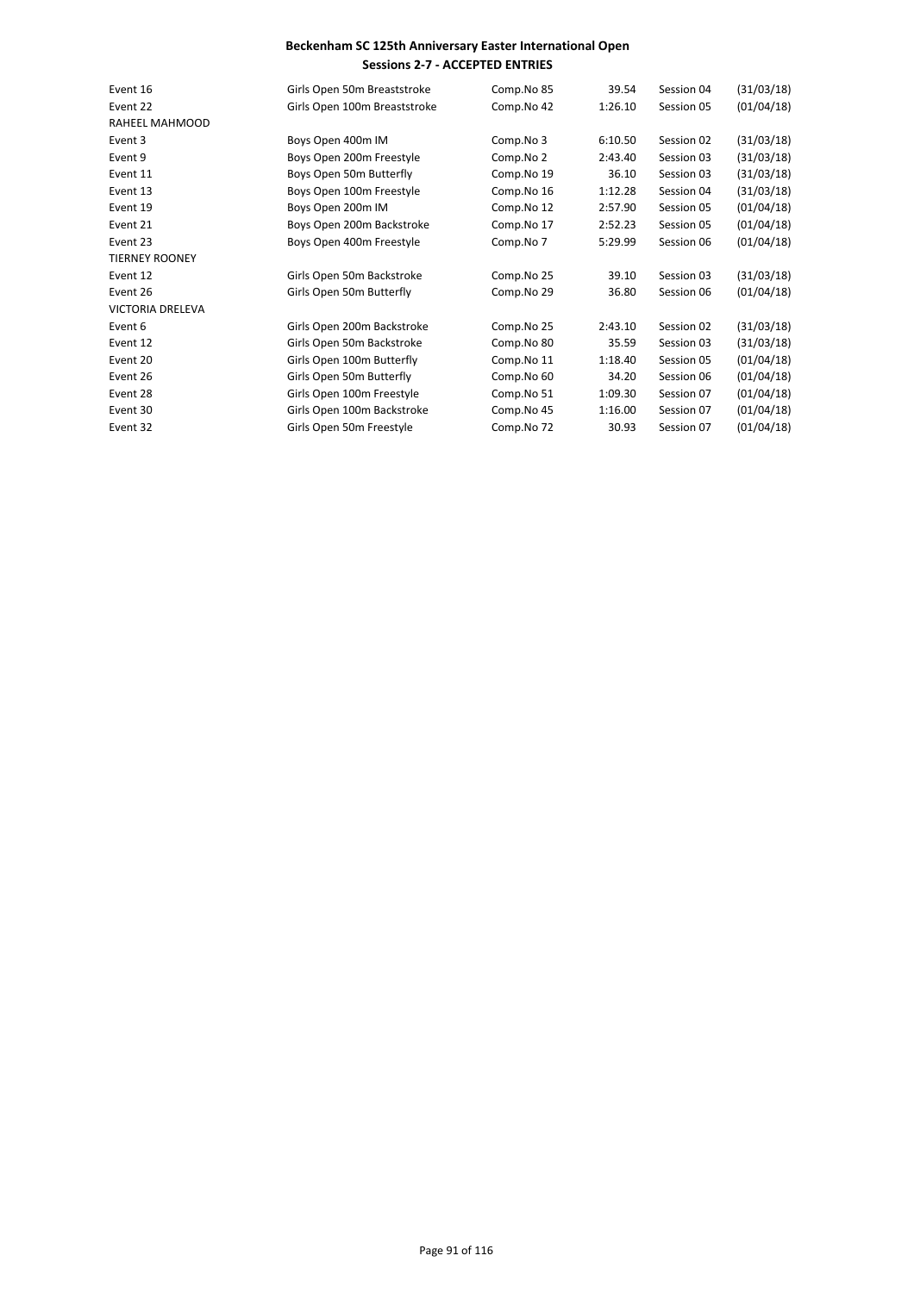| Event 16                | Girls Open 50m Breaststroke  | Comp.No 85 | 39.54   | Session 04 | (31/03/18) |
|-------------------------|------------------------------|------------|---------|------------|------------|
| Event 22                | Girls Open 100m Breaststroke | Comp.No 42 | 1:26.10 | Session 05 | (01/04/18) |
| RAHEEL MAHMOOD          |                              |            |         |            |            |
| Event 3                 | Boys Open 400m IM            | Comp.No 3  | 6:10.50 | Session 02 | (31/03/18) |
| Event 9                 | Boys Open 200m Freestyle     | Comp.No 2  | 2:43.40 | Session 03 | (31/03/18) |
| Event 11                | Boys Open 50m Butterfly      | Comp.No 19 | 36.10   | Session 03 | (31/03/18) |
| Event 13                | Boys Open 100m Freestyle     | Comp.No 16 | 1:12.28 | Session 04 | (31/03/18) |
| Event 19                | Boys Open 200m IM            | Comp.No 12 | 2:57.90 | Session 05 | (01/04/18) |
| Event 21                | Boys Open 200m Backstroke    | Comp.No 17 | 2:52.23 | Session 05 | (01/04/18) |
| Event 23                | Boys Open 400m Freestyle     | Comp.No 7  | 5:29.99 | Session 06 | (01/04/18) |
| <b>TIERNEY ROONEY</b>   |                              |            |         |            |            |
| Event 12                | Girls Open 50m Backstroke    | Comp.No 25 | 39.10   | Session 03 | (31/03/18) |
| Event 26                | Girls Open 50m Butterfly     | Comp.No 29 | 36.80   | Session 06 | (01/04/18) |
| <b>VICTORIA DRELEVA</b> |                              |            |         |            |            |
| Event 6                 | Girls Open 200m Backstroke   | Comp.No 25 | 2:43.10 | Session 02 | (31/03/18) |
| Event 12                | Girls Open 50m Backstroke    | Comp.No 80 | 35.59   | Session 03 | (31/03/18) |
| Event 20                | Girls Open 100m Butterfly    | Comp.No 11 | 1:18.40 | Session 05 | (01/04/18) |
| Event 26                | Girls Open 50m Butterfly     | Comp.No 60 | 34.20   | Session 06 | (01/04/18) |
| Event 28                | Girls Open 100m Freestyle    | Comp.No 51 | 1:09.30 | Session 07 | (01/04/18) |
| Event 30                | Girls Open 100m Backstroke   | Comp.No 45 | 1:16.00 | Session 07 | (01/04/18) |
| Event 32                | Girls Open 50m Freestyle     | Comp.No 72 | 30.93   | Session 07 | (01/04/18) |
|                         |                              |            |         |            |            |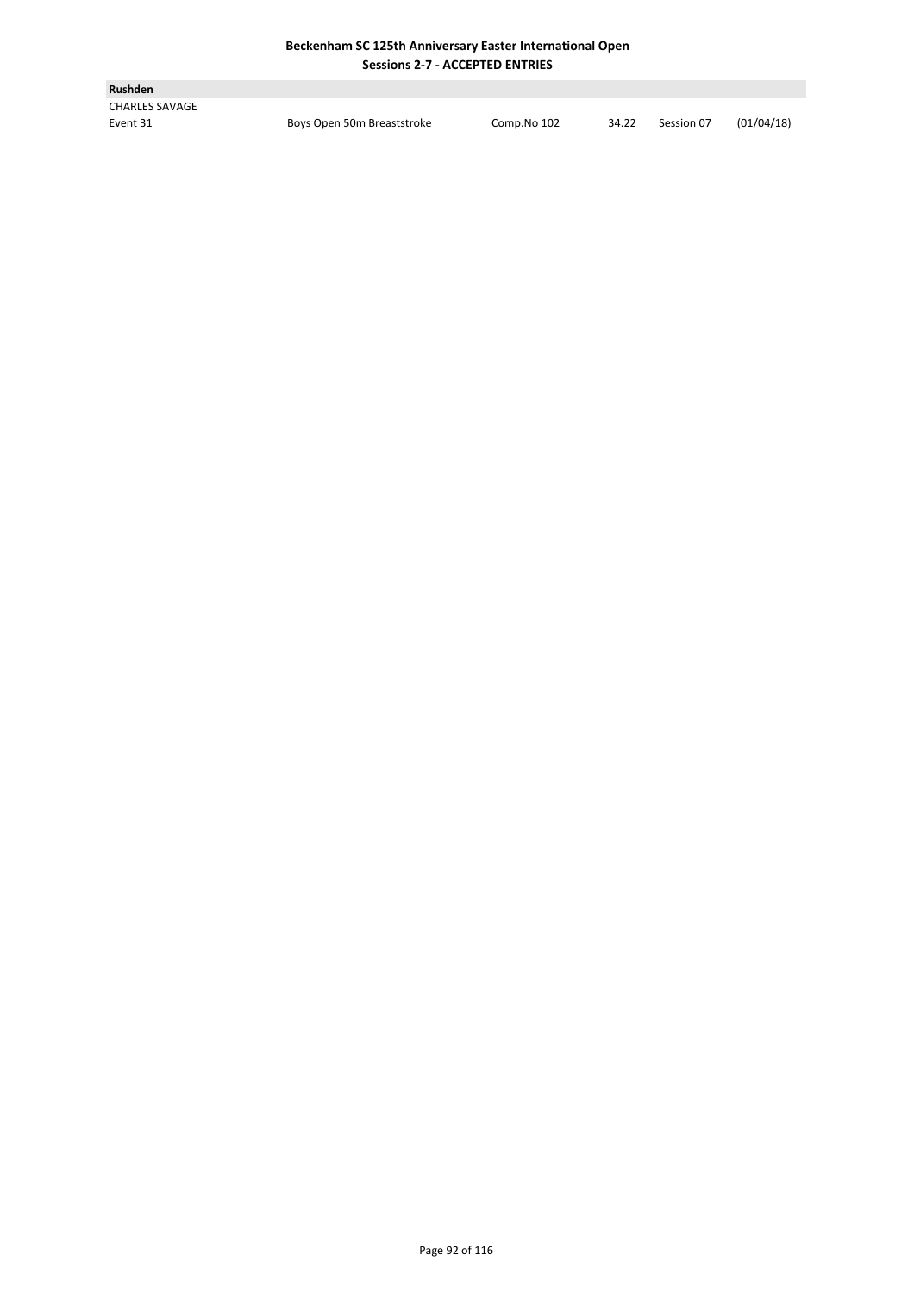| <b>Rushden</b>        |                            |             |       |            |            |
|-----------------------|----------------------------|-------------|-------|------------|------------|
| <b>CHARLES SAVAGE</b> |                            |             |       |            |            |
| Event 31              | Boys Open 50m Breaststroke | Comp.No 102 | 34.22 | Session 07 | (01/04/18) |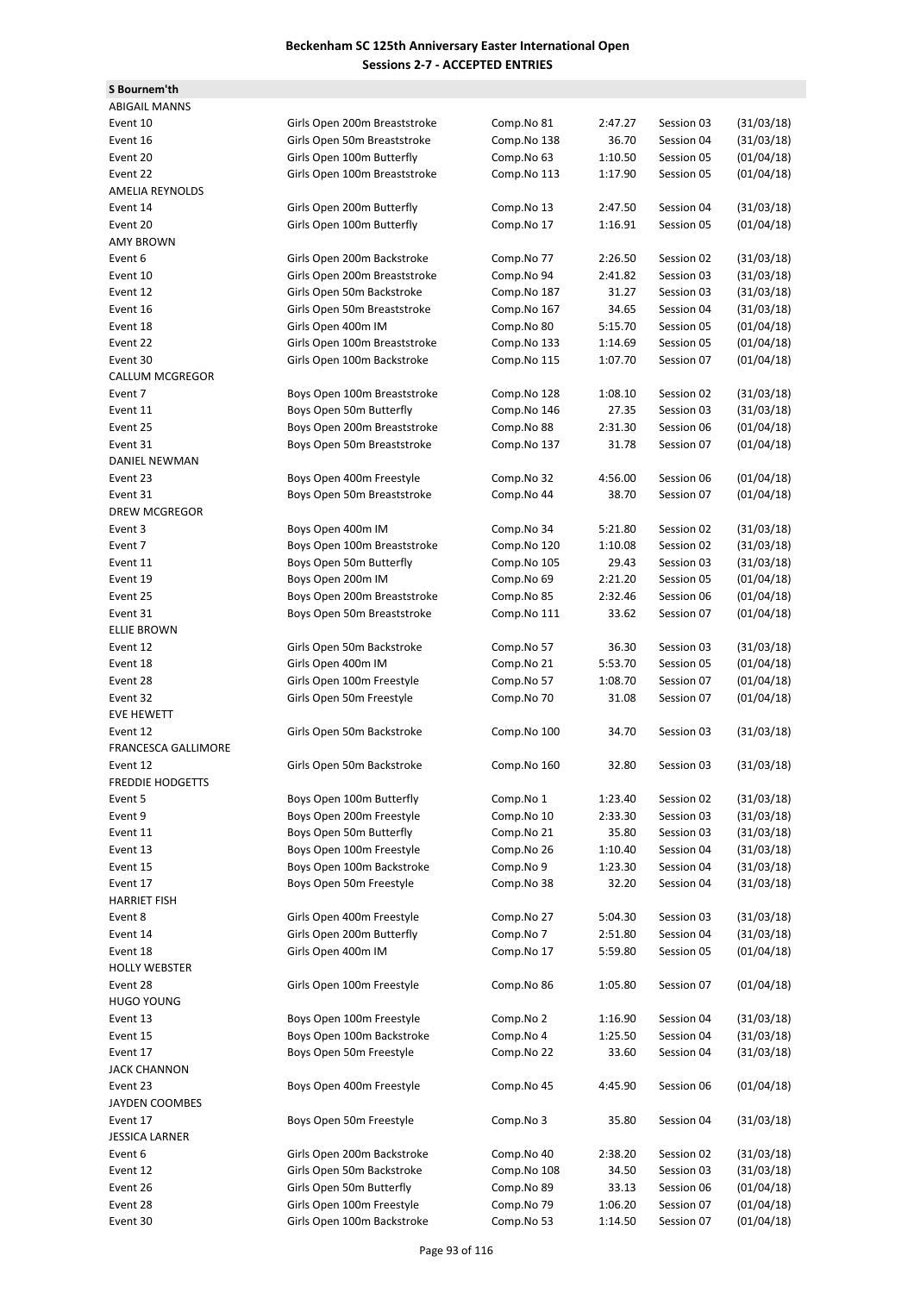**S Bournem'th**

| <b>ABIGAIL MANNS</b>       |                              |             |         |            |            |
|----------------------------|------------------------------|-------------|---------|------------|------------|
| Event 10                   | Girls Open 200m Breaststroke | Comp.No 81  | 2:47.27 | Session 03 | (31/03/18) |
| Event 16                   | Girls Open 50m Breaststroke  | Comp.No 138 | 36.70   | Session 04 | (31/03/18) |
| Event 20                   | Girls Open 100m Butterfly    | Comp.No 63  | 1:10.50 | Session 05 | (01/04/18) |
| Event 22                   | Girls Open 100m Breaststroke | Comp.No 113 | 1:17.90 | Session 05 | (01/04/18) |
| <b>AMELIA REYNOLDS</b>     |                              |             |         |            |            |
| Event 14                   | Girls Open 200m Butterfly    | Comp.No 13  | 2:47.50 | Session 04 | (31/03/18) |
| Event 20                   | Girls Open 100m Butterfly    | Comp.No 17  | 1:16.91 | Session 05 | (01/04/18) |
| <b>AMY BROWN</b>           |                              |             |         |            |            |
| Event 6                    | Girls Open 200m Backstroke   | Comp.No 77  | 2:26.50 | Session 02 | (31/03/18) |
| Event 10                   | Girls Open 200m Breaststroke | Comp.No 94  | 2:41.82 | Session 03 | (31/03/18) |
| Event 12                   | Girls Open 50m Backstroke    | Comp.No 187 | 31.27   | Session 03 | (31/03/18) |
| Event 16                   | Girls Open 50m Breaststroke  | Comp.No 167 | 34.65   | Session 04 | (31/03/18) |
| Event 18                   | Girls Open 400m IM           | Comp.No 80  | 5:15.70 | Session 05 | (01/04/18) |
| Event 22                   | Girls Open 100m Breaststroke | Comp.No 133 | 1:14.69 | Session 05 | (01/04/18) |
| Event 30                   | Girls Open 100m Backstroke   | Comp.No 115 | 1:07.70 | Session 07 | (01/04/18) |
| <b>CALLUM MCGREGOR</b>     |                              |             |         |            |            |
| Event 7                    | Boys Open 100m Breaststroke  | Comp.No 128 | 1:08.10 | Session 02 | (31/03/18) |
| Event 11                   | Boys Open 50m Butterfly      | Comp.No 146 | 27.35   | Session 03 | (31/03/18) |
| Event 25                   | Boys Open 200m Breaststroke  | Comp.No 88  | 2:31.30 | Session 06 | (01/04/18) |
| Event 31                   | Boys Open 50m Breaststroke   | Comp.No 137 | 31.78   | Session 07 | (01/04/18) |
| DANIEL NEWMAN              |                              |             |         |            |            |
| Event 23                   | Boys Open 400m Freestyle     | Comp.No 32  | 4:56.00 | Session 06 | (01/04/18) |
| Event 31                   | Boys Open 50m Breaststroke   | Comp.No 44  | 38.70   | Session 07 | (01/04/18) |
| DREW MCGREGOR              |                              |             |         |            |            |
| Event 3                    | Boys Open 400m IM            | Comp.No 34  | 5:21.80 | Session 02 | (31/03/18) |
| Event 7                    | Boys Open 100m Breaststroke  | Comp.No 120 | 1:10.08 | Session 02 | (31/03/18) |
| Event 11                   | Boys Open 50m Butterfly      | Comp.No 105 | 29.43   | Session 03 | (31/03/18) |
| Event 19                   | Boys Open 200m IM            | Comp.No 69  | 2:21.20 | Session 05 | (01/04/18) |
| Event 25                   | Boys Open 200m Breaststroke  | Comp.No 85  | 2:32.46 | Session 06 | (01/04/18) |
| Event 31                   | Boys Open 50m Breaststroke   | Comp.No 111 | 33.62   | Session 07 | (01/04/18) |
| <b>ELLIE BROWN</b>         |                              |             |         |            |            |
| Event 12                   | Girls Open 50m Backstroke    | Comp.No 57  | 36.30   | Session 03 | (31/03/18) |
| Event 18                   | Girls Open 400m IM           | Comp.No 21  | 5:53.70 | Session 05 | (01/04/18) |
| Event 28                   | Girls Open 100m Freestyle    | Comp.No 57  | 1:08.70 | Session 07 | (01/04/18) |
| Event 32                   | Girls Open 50m Freestyle     | Comp.No 70  | 31.08   | Session 07 | (01/04/18) |
| <b>EVE HEWETT</b>          |                              |             |         |            |            |
| Event 12                   | Girls Open 50m Backstroke    | Comp.No 100 | 34.70   | Session 03 | (31/03/18) |
| <b>FRANCESCA GALLIMORE</b> |                              |             |         |            |            |
| Event 12                   | Girls Open 50m Backstroke    | Comp.No 160 | 32.80   | Session 03 | (31/03/18) |
| <b>FREDDIE HODGETTS</b>    |                              |             |         |            |            |
| Event 5                    | Boys Open 100m Butterfly     | Comp.No 1   | 1:23.40 | Session 02 | (31/03/18) |
| Event 9                    | Boys Open 200m Freestyle     | Comp.No 10  | 2:33.30 | Session 03 | (31/03/18) |
| Event 11                   | Boys Open 50m Butterfly      | Comp.No 21  | 35.80   | Session 03 | (31/03/18) |
| Event 13                   | Boys Open 100m Freestyle     | Comp.No 26  | 1:10.40 | Session 04 | (31/03/18) |
| Event 15                   | Boys Open 100m Backstroke    | Comp.No 9   | 1:23.30 | Session 04 | (31/03/18) |
| Event 17                   | Boys Open 50m Freestyle      | Comp.No 38  | 32.20   | Session 04 | (31/03/18) |
| <b>HARRIET FISH</b>        |                              |             |         |            |            |
| Event 8                    | Girls Open 400m Freestyle    | Comp.No 27  | 5:04.30 | Session 03 | (31/03/18) |
| Event 14                   | Girls Open 200m Butterfly    | Comp.No 7   | 2:51.80 | Session 04 | (31/03/18) |
| Event 18                   | Girls Open 400m IM           | Comp.No 17  | 5:59.80 | Session 05 | (01/04/18) |
| <b>HOLLY WEBSTER</b>       |                              |             |         |            |            |
| Event 28                   | Girls Open 100m Freestyle    | Comp.No 86  | 1:05.80 | Session 07 | (01/04/18) |
| <b>HUGO YOUNG</b>          |                              |             |         |            |            |
| Event 13                   | Boys Open 100m Freestyle     | Comp.No 2   | 1:16.90 | Session 04 | (31/03/18) |
| Event 15                   | Boys Open 100m Backstroke    | Comp.No 4   | 1:25.50 | Session 04 | (31/03/18) |
| Event 17                   | Boys Open 50m Freestyle      | Comp.No 22  | 33.60   | Session 04 | (31/03/18) |
| <b>JACK CHANNON</b>        |                              |             |         |            |            |
|                            |                              |             |         |            |            |
| Event 23                   | Boys Open 400m Freestyle     | Comp.No 45  | 4:45.90 | Session 06 | (01/04/18) |
| JAYDEN COOMBES             |                              |             |         |            |            |
| Event 17                   | Boys Open 50m Freestyle      | Comp.No 3   | 35.80   | Session 04 | (31/03/18) |
| <b>JESSICA LARNER</b>      |                              |             |         |            |            |
| Event 6                    | Girls Open 200m Backstroke   | Comp.No 40  | 2:38.20 | Session 02 | (31/03/18) |
| Event 12                   | Girls Open 50m Backstroke    | Comp.No 108 | 34.50   | Session 03 | (31/03/18) |
| Event 26                   | Girls Open 50m Butterfly     | Comp.No 89  | 33.13   | Session 06 | (01/04/18) |
| Event 28                   | Girls Open 100m Freestyle    | Comp.No 79  | 1:06.20 | Session 07 | (01/04/18) |
| Event 30                   | Girls Open 100m Backstroke   | Comp.No 53  | 1:14.50 | Session 07 | (01/04/18) |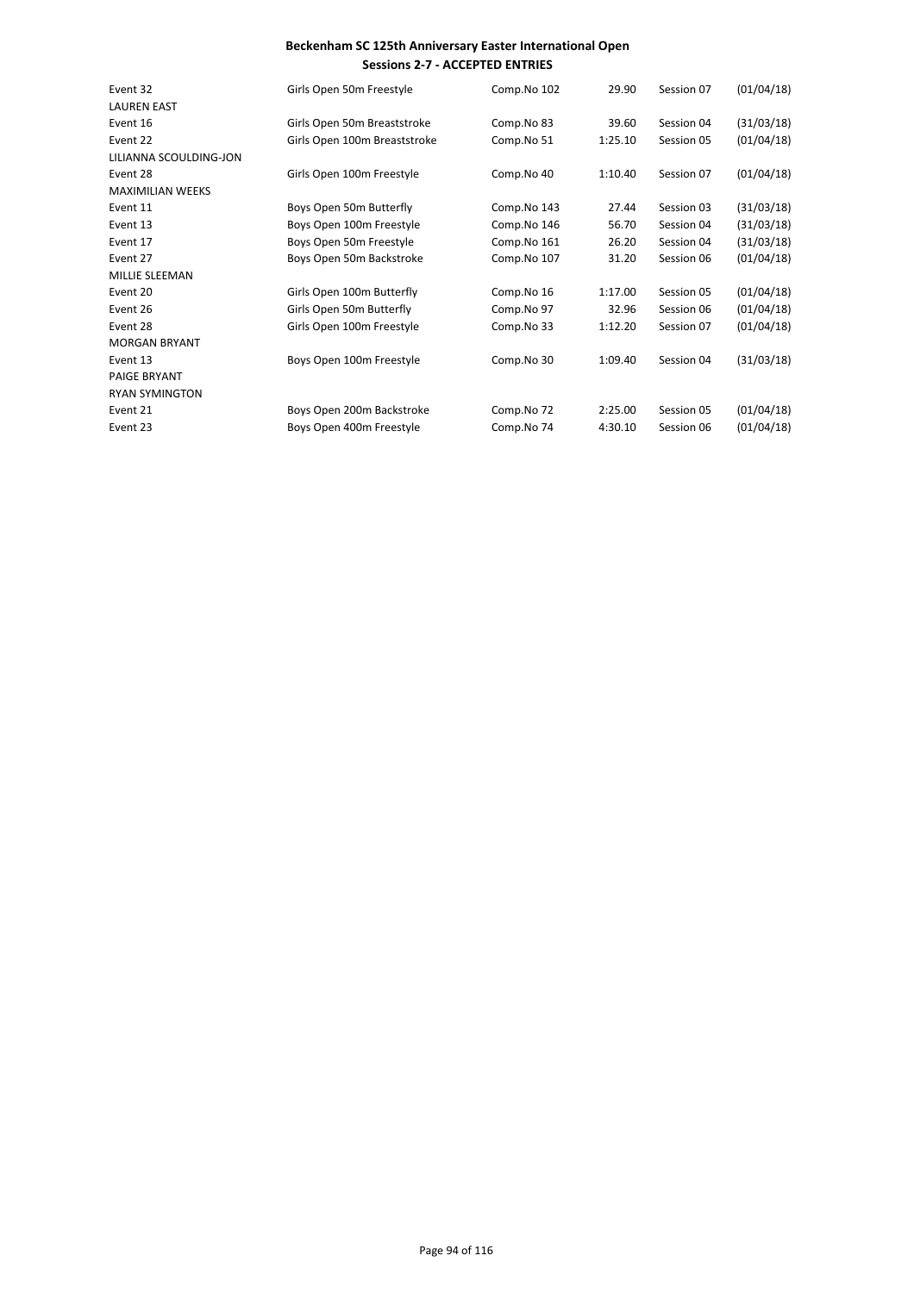| Event 32                | Girls Open 50m Freestyle     | Comp.No 102 | 29.90   | Session 07 | (01/04/18) |
|-------------------------|------------------------------|-------------|---------|------------|------------|
| <b>LAUREN EAST</b>      |                              |             |         |            |            |
| Event 16                | Girls Open 50m Breaststroke  | Comp.No 83  | 39.60   | Session 04 | (31/03/18) |
| Event 22                | Girls Open 100m Breaststroke | Comp.No 51  | 1:25.10 | Session 05 | (01/04/18) |
| LILIANNA SCOULDING-JON  |                              |             |         |            |            |
| Event 28                | Girls Open 100m Freestyle    | Comp.No 40  | 1:10.40 | Session 07 | (01/04/18) |
| <b>MAXIMILIAN WEEKS</b> |                              |             |         |            |            |
| Event 11                | Boys Open 50m Butterfly      | Comp.No 143 | 27.44   | Session 03 | (31/03/18) |
| Event 13                | Boys Open 100m Freestyle     | Comp.No 146 | 56.70   | Session 04 | (31/03/18) |
| Event 17                | Boys Open 50m Freestyle      | Comp.No 161 | 26.20   | Session 04 | (31/03/18) |
| Event 27                | Boys Open 50m Backstroke     | Comp.No 107 | 31.20   | Session 06 | (01/04/18) |
| MILLIE SLEEMAN          |                              |             |         |            |            |
| Event 20                | Girls Open 100m Butterfly    | Comp.No 16  | 1:17.00 | Session 05 | (01/04/18) |
| Event 26                | Girls Open 50m Butterfly     | Comp.No 97  | 32.96   | Session 06 | (01/04/18) |
| Event 28                | Girls Open 100m Freestyle    | Comp.No 33  | 1:12.20 | Session 07 | (01/04/18) |
| <b>MORGAN BRYANT</b>    |                              |             |         |            |            |
| Event 13                | Boys Open 100m Freestyle     | Comp.No 30  | 1:09.40 | Session 04 | (31/03/18) |
| <b>PAIGE BRYANT</b>     |                              |             |         |            |            |
| <b>RYAN SYMINGTON</b>   |                              |             |         |            |            |
| Event 21                | Boys Open 200m Backstroke    | Comp.No 72  | 2:25.00 | Session 05 | (01/04/18) |
| Event 23                | Boys Open 400m Freestyle     | Comp.No 74  | 4:30.10 | Session 06 | (01/04/18) |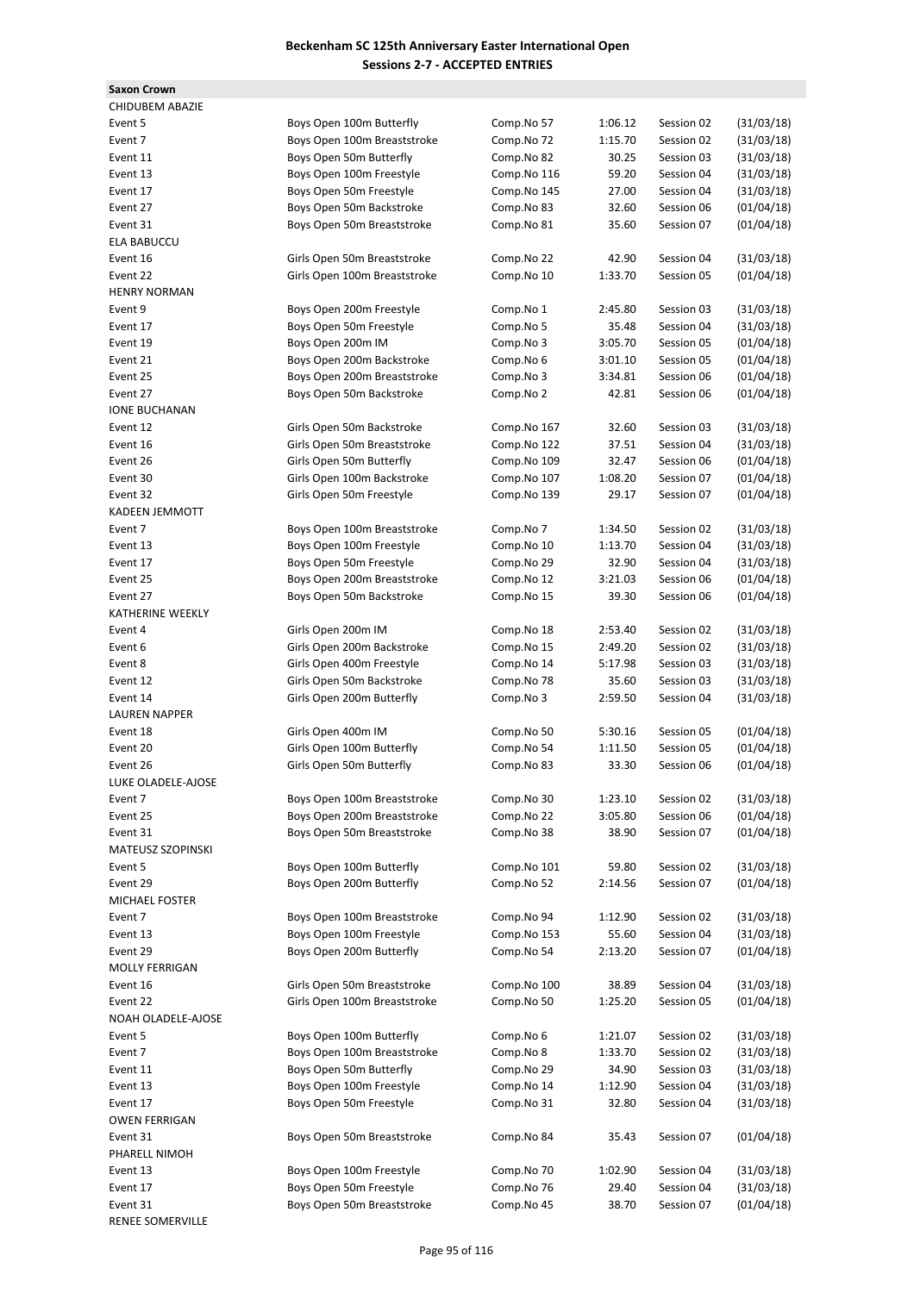**Saxon Crown** CHIDUBEM ABAZIE ELA BABUCCU **HENRY NORMAN IONE BUCHANAN** KADEEN JEMMOTT KATHERINE WEEKLY LAUREN NAPPER LUKE OLADELE-AJOSE **MATEUSZ SZOPINSKI MICHAEL FOSTER** MOLLY FERRIGAN NOAH OLADELE-AJOSE OWEN FERRIGAN PHARELL NIMOH

RENEE SOMERVILLE

| CHIDUBEM ABAZIE                   |                                                             |                           |                  |            |                          |
|-----------------------------------|-------------------------------------------------------------|---------------------------|------------------|------------|--------------------------|
| Event 5                           | Boys Open 100m Butterfly                                    | Comp.No 57                | 1:06.12          | Session 02 | (31/03/18)               |
| Event 7                           | Boys Open 100m Breaststroke                                 | Comp.No 72                | 1:15.70          | Session 02 | (31/03/18)               |
| Event 11                          | Boys Open 50m Butterfly                                     | Comp.No 82                | 30.25            | Session 03 | (31/03/18)               |
| Event 13                          | Boys Open 100m Freestyle                                    | Comp.No 116               | 59.20            | Session 04 | (31/03/18)               |
| Event 17                          | Boys Open 50m Freestyle                                     | Comp.No 145               | 27.00            | Session 04 | (31/03/18)               |
| Event 27                          | Boys Open 50m Backstroke                                    | Comp.No 83                | 32.60            | Session 06 | (01/04/18)               |
| Event 31                          | Boys Open 50m Breaststroke                                  | Comp.No 81                | 35.60            | Session 07 | (01/04/18)               |
| <b>ELA BABUCCU</b>                |                                                             |                           |                  |            |                          |
| Event 16                          | Girls Open 50m Breaststroke                                 | Comp.No 22                | 42.90            | Session 04 | (31/03/18)               |
| Event 22                          | Girls Open 100m Breaststroke                                | Comp.No 10                | 1:33.70          | Session 05 | (01/04/18)               |
| <b>HENRY NORMAN</b>               |                                                             |                           |                  |            |                          |
| Event 9                           | Boys Open 200m Freestyle                                    | Comp.No 1                 | 2:45.80          | Session 03 | (31/03/18)               |
| Event 17                          | Boys Open 50m Freestyle                                     | Comp.No 5                 | 35.48            | Session 04 | (31/03/18)               |
| Event 19                          | Boys Open 200m IM                                           | Comp.No 3                 | 3:05.70          | Session 05 | (01/04/18)               |
| Event 21                          | Boys Open 200m Backstroke                                   | Comp.No 6                 | 3:01.10          | Session 05 | (01/04/18)               |
| Event 25                          | Boys Open 200m Breaststroke                                 | Comp.No 3                 | 3:34.81          | Session 06 | (01/04/18)               |
| Event 27                          | Boys Open 50m Backstroke                                    | Comp.No 2                 | 42.81            | Session 06 | (01/04/18)               |
| <b>IONE BUCHANAN</b>              |                                                             |                           |                  |            |                          |
| Event 12                          | Girls Open 50m Backstroke                                   | Comp.No 167               | 32.60            | Session 03 | (31/03/18)               |
| Event 16                          | Girls Open 50m Breaststroke                                 | Comp.No 122               | 37.51            | Session 04 | (31/03/18)               |
| Event 26                          | Girls Open 50m Butterfly                                    | Comp.No 109               | 32.47            | Session 06 | (01/04/18)               |
| Event 30                          | Girls Open 100m Backstroke                                  | Comp.No 107               | 1:08.20          | Session 07 | (01/04/18)               |
| Event 32                          | Girls Open 50m Freestyle                                    | Comp.No 139               | 29.17            | Session 07 | (01/04/18)               |
| <b>KADEEN JEMMOTT</b>             |                                                             |                           |                  |            |                          |
| Event 7                           | Boys Open 100m Breaststroke                                 | Comp.No 7                 | 1:34.50          | Session 02 | (31/03/18)               |
| Event 13                          | Boys Open 100m Freestyle                                    | Comp.No 10                | 1:13.70          | Session 04 | (31/03/18)               |
| Event 17                          | Boys Open 50m Freestyle                                     | Comp.No 29                | 32.90            | Session 04 | (31/03/18)               |
| Event 25                          | Boys Open 200m Breaststroke                                 | Comp.No 12                | 3:21.03          | Session 06 | (01/04/18)               |
| Event 27                          | Boys Open 50m Backstroke                                    | Comp.No 15                | 39.30            | Session 06 | (01/04/18)               |
| KATHERINE WEEKLY                  |                                                             |                           |                  |            |                          |
| Event 4                           | Girls Open 200m IM                                          | Comp.No 18                | 2:53.40          | Session 02 | (31/03/18)               |
| Event 6                           | Girls Open 200m Backstroke                                  | Comp.No 15                | 2:49.20          | Session 02 | (31/03/18)               |
| Event 8                           | Girls Open 400m Freestyle                                   | Comp.No 14                | 5:17.98          | Session 03 | (31/03/18)               |
| Event 12                          | Girls Open 50m Backstroke                                   | Comp.No 78                | 35.60            | Session 03 | (31/03/18)               |
| Event 14                          | Girls Open 200m Butterfly                                   | Comp.No 3                 | 2:59.50          | Session 04 | (31/03/18)               |
| <b>LAUREN NAPPER</b>              |                                                             |                           |                  |            |                          |
| Event 18                          | Girls Open 400m IM                                          | Comp.No 50                | 5:30.16          | Session 05 | (01/04/18)               |
| Event 20                          | Girls Open 100m Butterfly                                   | Comp.No 54                | 1:11.50          | Session 05 | (01/04/18)               |
| Event 26                          | Girls Open 50m Butterfly                                    | Comp.No 83                | 33.30            | Session 06 | (01/04/18)               |
| LUKE OLADELE-AJOSE                |                                                             |                           |                  |            |                          |
| Event 7                           | Boys Open 100m Breaststroke                                 | Comp.No 30                | 1:23.10          | Session 02 | (31/03/18)               |
| Event 25                          | Boys Open 200m Breaststroke                                 | Comp.No 22                | 3:05.80          | Session 06 | (01/04/18)               |
| Event 31                          | Boys Open 50m Breaststroke                                  | Comp.No 38                | 38.90            | Session 07 | (01/04/18)               |
| MATEUSZ SZOPINSKI                 |                                                             |                           |                  |            |                          |
| Event 5                           | Boys Open 100m Butterfly                                    | Comp.No 101               | 59.80            | Session 02 | (31/03/18)               |
| Event 29                          | Boys Open 200m Butterfly                                    | Comp.No 52                | 2:14.56          | Session 07 | (01/04/18)               |
| MICHAEL FOSTER                    |                                                             |                           |                  |            |                          |
| Event 7                           | Boys Open 100m Breaststroke                                 | Comp.No 94                | 1:12.90          | Session 02 | (31/03/18)               |
| Event 13                          | Boys Open 100m Freestyle<br>Boys Open 200m Butterfly        | Comp.No 153<br>Comp.No 54 | 55.60<br>2:13.20 | Session 04 | (31/03/18)               |
| Event 29<br><b>MOLLY FERRIGAN</b> |                                                             |                           |                  | Session 07 | (01/04/18)               |
|                                   |                                                             |                           |                  |            |                          |
| Event 16                          | Girls Open 50m Breaststroke<br>Girls Open 100m Breaststroke | Comp.No 100<br>Comp.No 50 | 38.89            | Session 04 | (31/03/18)               |
| Event 22                          |                                                             |                           | 1:25.20          | Session 05 | (01/04/18)               |
| NOAH OLADELE-AJOSE                |                                                             |                           |                  |            |                          |
| Event 5                           | Boys Open 100m Butterfly                                    | Comp.No 6                 | 1:21.07          | Session 02 | (31/03/18)               |
| Event 7                           | Boys Open 100m Breaststroke                                 | Comp.No 8                 | 1:33.70          | Session 02 | (31/03/18)               |
| Event 11                          | Boys Open 50m Butterfly                                     | Comp.No 29                | 34.90            | Session 03 | (31/03/18)               |
| Event 13                          | Boys Open 100m Freestyle                                    | Comp.No 14                | 1:12.90          | Session 04 | (31/03/18)               |
| Event 17                          | Boys Open 50m Freestyle                                     | Comp.No 31                | 32.80            | Session 04 | (31/03/18)               |
| OWEN FERRIGAN                     |                                                             |                           |                  |            |                          |
| Event 31                          | Boys Open 50m Breaststroke                                  | Comp.No 84                | 35.43            | Session 07 | (01/04/18)               |
| PHARELL NIMOH                     |                                                             |                           |                  |            |                          |
| Event 13                          | Boys Open 100m Freestyle                                    | Comp.No 70                | 1:02.90          | Session 04 | (31/03/18)               |
| Event 17                          | Boys Open 50m Freestyle<br>Boys Open 50m Breaststroke       | Comp.No 76                | 29.40            | Session 04 | (31/03/18)<br>(01/04/18) |
| Event 31<br>RENEE SOMERVILLE      |                                                             | Comp.No 45                | 38.70            | Session 07 |                          |
|                                   |                                                             |                           |                  |            |                          |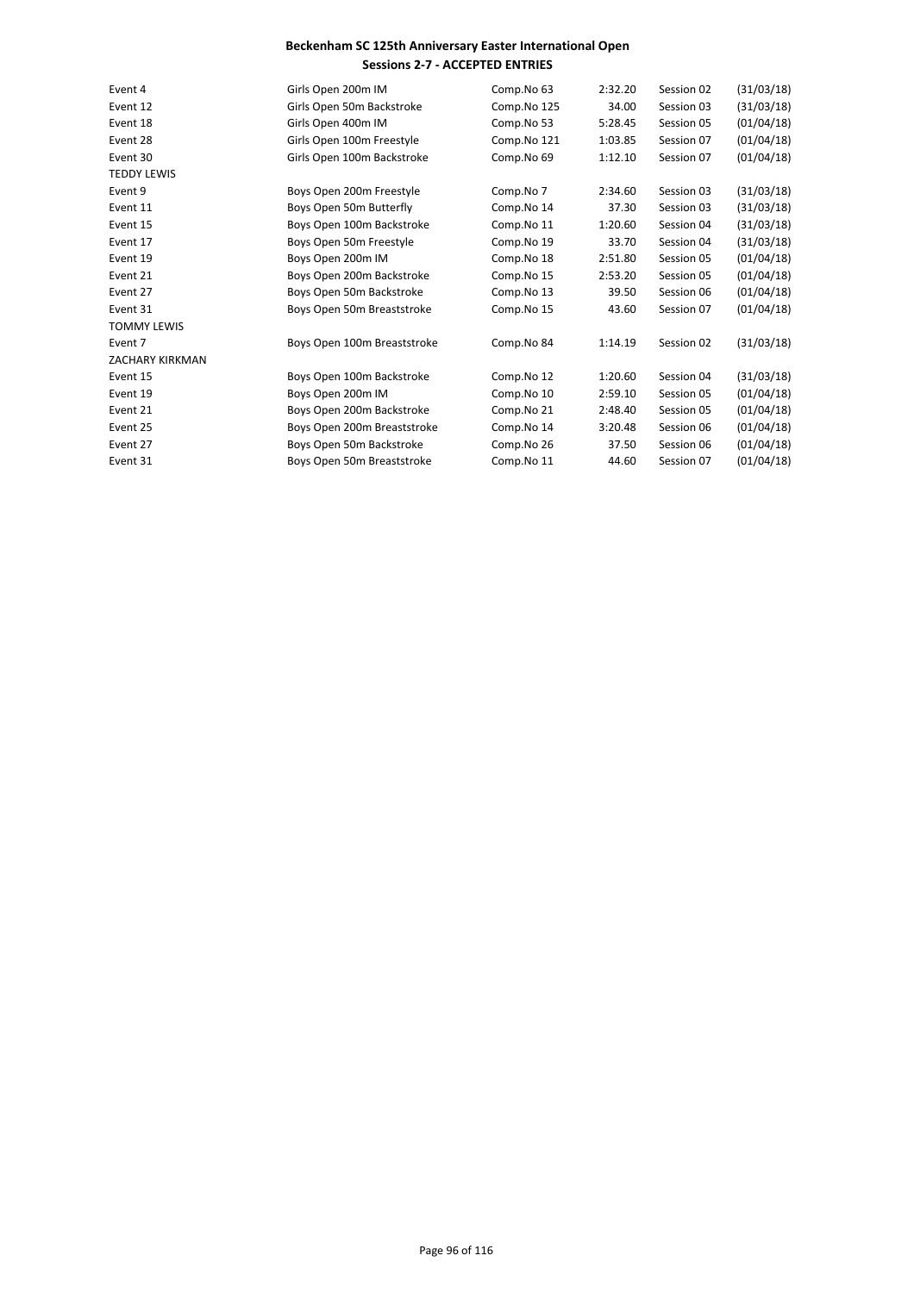| Event 4                | Girls Open 200m IM          | Comp.No 63  | 2:32.20 | Session 02 | (31/03/18) |
|------------------------|-----------------------------|-------------|---------|------------|------------|
| Event 12               | Girls Open 50m Backstroke   | Comp.No 125 | 34.00   | Session 03 | (31/03/18) |
| Event 18               | Girls Open 400m IM          | Comp.No 53  | 5:28.45 | Session 05 | (01/04/18) |
| Event 28               | Girls Open 100m Freestyle   | Comp.No 121 | 1:03.85 | Session 07 | (01/04/18) |
| Event 30               | Girls Open 100m Backstroke  | Comp.No 69  | 1:12.10 | Session 07 | (01/04/18) |
| <b>TEDDY LEWIS</b>     |                             |             |         |            |            |
| Event 9                | Boys Open 200m Freestyle    | Comp.No 7   | 2:34.60 | Session 03 | (31/03/18) |
| Event 11               | Boys Open 50m Butterfly     | Comp.No 14  | 37.30   | Session 03 | (31/03/18) |
| Event 15               | Boys Open 100m Backstroke   | Comp.No 11  | 1:20.60 | Session 04 | (31/03/18) |
| Event 17               | Boys Open 50m Freestyle     | Comp.No 19  | 33.70   | Session 04 | (31/03/18) |
| Event 19               | Boys Open 200m IM           | Comp.No 18  | 2:51.80 | Session 05 | (01/04/18) |
| Event 21               | Boys Open 200m Backstroke   | Comp.No 15  | 2:53.20 | Session 05 | (01/04/18) |
| Event 27               | Boys Open 50m Backstroke    | Comp.No 13  | 39.50   | Session 06 | (01/04/18) |
| Event 31               | Boys Open 50m Breaststroke  | Comp.No 15  | 43.60   | Session 07 | (01/04/18) |
| <b>TOMMY LEWIS</b>     |                             |             |         |            |            |
| Event 7                | Boys Open 100m Breaststroke | Comp.No 84  | 1:14.19 | Session 02 | (31/03/18) |
| <b>ZACHARY KIRKMAN</b> |                             |             |         |            |            |
| Event 15               | Boys Open 100m Backstroke   | Comp.No 12  | 1:20.60 | Session 04 | (31/03/18) |
| Event 19               | Boys Open 200m IM           | Comp.No 10  | 2:59.10 | Session 05 | (01/04/18) |
| Event 21               | Boys Open 200m Backstroke   | Comp.No 21  | 2:48.40 | Session 05 | (01/04/18) |
| Event 25               | Boys Open 200m Breaststroke | Comp.No 14  | 3:20.48 | Session 06 | (01/04/18) |
| Event 27               | Boys Open 50m Backstroke    | Comp.No 26  | 37.50   | Session 06 | (01/04/18) |
| Event 31               | Boys Open 50m Breaststroke  | Comp.No 11  | 44.60   | Session 07 | (01/04/18) |
|                        |                             |             |         |            |            |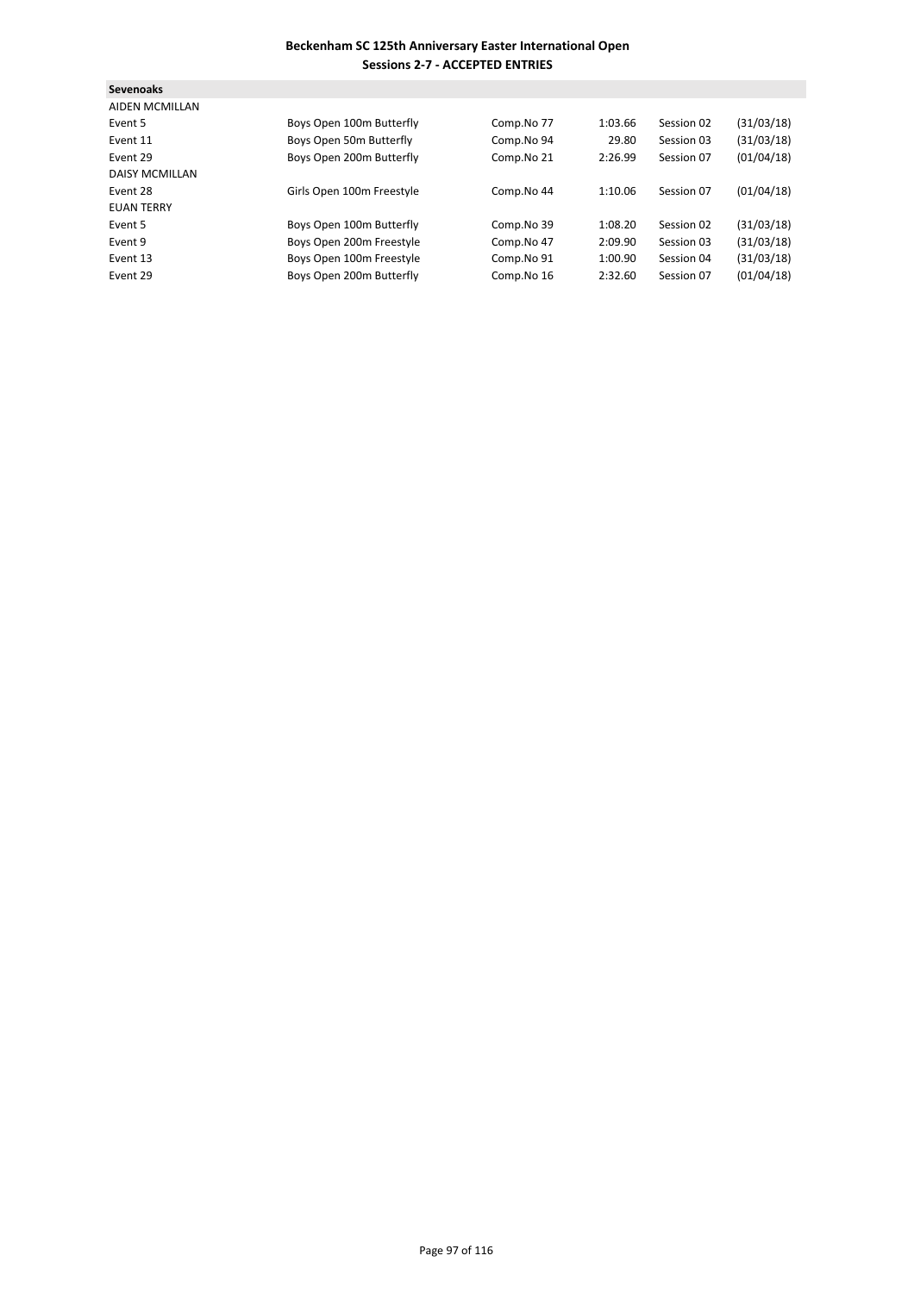| <b>Sevenoaks</b>      |                           |            |         |            |            |
|-----------------------|---------------------------|------------|---------|------------|------------|
| <b>AIDEN MCMILLAN</b> |                           |            |         |            |            |
| Event 5               | Boys Open 100m Butterfly  | Comp.No 77 | 1:03.66 | Session 02 | (31/03/18) |
| Event 11              | Boys Open 50m Butterfly   | Comp.No 94 | 29.80   | Session 03 | (31/03/18) |
| Event 29              | Boys Open 200m Butterfly  | Comp.No 21 | 2:26.99 | Session 07 | (01/04/18) |
| <b>DAISY MCMILLAN</b> |                           |            |         |            |            |
| Event 28              | Girls Open 100m Freestyle | Comp.No 44 | 1:10.06 | Session 07 | (01/04/18) |
| <b>EUAN TERRY</b>     |                           |            |         |            |            |
| Event 5               | Boys Open 100m Butterfly  | Comp.No 39 | 1:08.20 | Session 02 | (31/03/18) |
| Event 9               | Boys Open 200m Freestyle  | Comp.No 47 | 2:09.90 | Session 03 | (31/03/18) |
| Event 13              | Boys Open 100m Freestyle  | Comp.No 91 | 1:00.90 | Session 04 | (31/03/18) |
| Event 29              | Boys Open 200m Butterfly  | Comp.No 16 | 2:32.60 | Session 07 | (01/04/18) |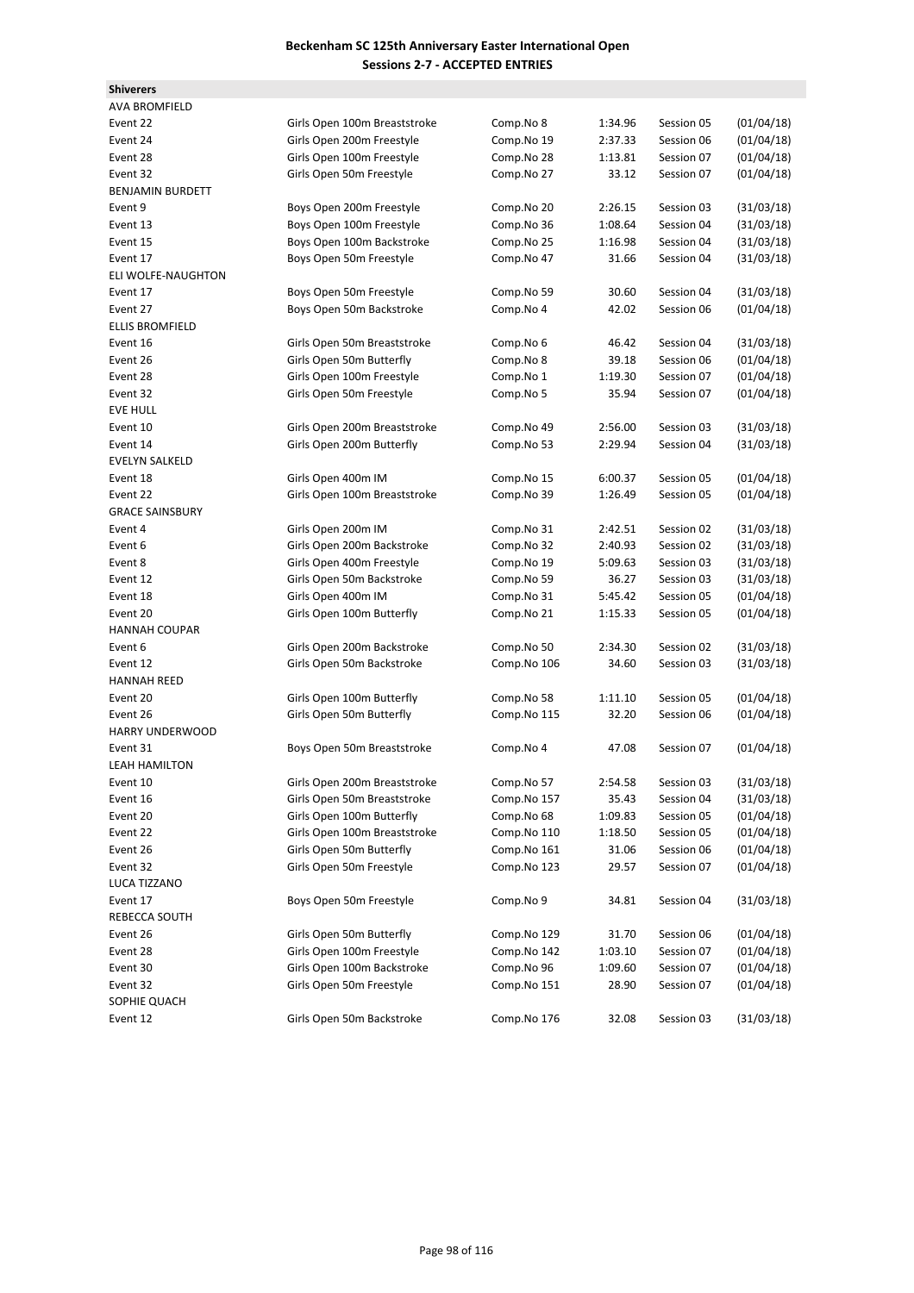**Shiverers**

| <b>AVA BROMFIELD</b>    |                              |             |         |            |            |
|-------------------------|------------------------------|-------------|---------|------------|------------|
| Event 22                | Girls Open 100m Breaststroke | Comp.No 8   | 1:34.96 | Session 05 | (01/04/18) |
| Event 24                | Girls Open 200m Freestyle    | Comp.No 19  | 2:37.33 | Session 06 | (01/04/18) |
| Event 28                | Girls Open 100m Freestyle    | Comp.No 28  | 1:13.81 | Session 07 | (01/04/18) |
| Event 32                | Girls Open 50m Freestyle     | Comp.No 27  | 33.12   | Session 07 | (01/04/18) |
| <b>BENJAMIN BURDETT</b> |                              |             |         |            |            |
| Event 9                 | Boys Open 200m Freestyle     | Comp.No 20  | 2:26.15 | Session 03 | (31/03/18) |
| Event 13                | Boys Open 100m Freestyle     | Comp.No 36  | 1:08.64 | Session 04 | (31/03/18) |
| Event 15                | Boys Open 100m Backstroke    | Comp.No 25  | 1:16.98 | Session 04 | (31/03/18) |
| Event 17                | Boys Open 50m Freestyle      | Comp.No 47  | 31.66   | Session 04 | (31/03/18) |
| ELI WOLFE-NAUGHTON      |                              |             |         |            |            |
| Event 17                | Boys Open 50m Freestyle      | Comp.No 59  | 30.60   | Session 04 | (31/03/18) |
| Event 27                | Boys Open 50m Backstroke     | Comp.No 4   | 42.02   | Session 06 | (01/04/18) |
| <b>ELLIS BROMFIELD</b>  |                              |             |         |            |            |
| Event 16                | Girls Open 50m Breaststroke  | Comp.No 6   | 46.42   | Session 04 | (31/03/18) |
| Event 26                | Girls Open 50m Butterfly     | Comp.No 8   | 39.18   | Session 06 | (01/04/18) |
| Event 28                | Girls Open 100m Freestyle    | Comp.No 1   | 1:19.30 | Session 07 | (01/04/18) |
| Event 32                | Girls Open 50m Freestyle     | Comp.No 5   | 35.94   | Session 07 | (01/04/18) |
| <b>EVE HULL</b>         |                              |             |         |            |            |
| Event 10                | Girls Open 200m Breaststroke | Comp.No 49  | 2:56.00 | Session 03 | (31/03/18) |
| Event 14                | Girls Open 200m Butterfly    | Comp.No 53  | 2:29.94 | Session 04 | (31/03/18) |
| <b>EVELYN SALKELD</b>   |                              |             |         |            |            |
| Event 18                | Girls Open 400m IM           | Comp.No 15  | 6:00.37 | Session 05 | (01/04/18) |
| Event 22                | Girls Open 100m Breaststroke | Comp.No 39  | 1:26.49 | Session 05 | (01/04/18) |
| <b>GRACE SAINSBURY</b>  |                              |             |         |            |            |
| Event 4                 | Girls Open 200m IM           | Comp.No 31  | 2:42.51 | Session 02 | (31/03/18) |
| Event 6                 | Girls Open 200m Backstroke   | Comp.No 32  | 2:40.93 | Session 02 | (31/03/18) |
| Event 8                 | Girls Open 400m Freestyle    | Comp.No 19  | 5:09.63 | Session 03 | (31/03/18) |
| Event 12                | Girls Open 50m Backstroke    | Comp.No 59  | 36.27   | Session 03 | (31/03/18) |
| Event 18                | Girls Open 400m IM           | Comp.No 31  | 5:45.42 | Session 05 | (01/04/18) |
| Event 20                | Girls Open 100m Butterfly    | Comp.No 21  | 1:15.33 | Session 05 | (01/04/18) |
| <b>HANNAH COUPAR</b>    |                              |             |         |            |            |
| Event 6                 | Girls Open 200m Backstroke   | Comp.No 50  | 2:34.30 | Session 02 | (31/03/18) |
| Event 12                | Girls Open 50m Backstroke    | Comp.No 106 | 34.60   | Session 03 | (31/03/18) |
| <b>HANNAH REED</b>      |                              |             |         |            |            |
| Event 20                | Girls Open 100m Butterfly    | Comp.No 58  | 1:11.10 | Session 05 | (01/04/18) |
| Event 26                | Girls Open 50m Butterfly     | Comp.No 115 | 32.20   | Session 06 | (01/04/18) |
| <b>HARRY UNDERWOOD</b>  |                              |             |         |            |            |
| Event 31                | Boys Open 50m Breaststroke   | Comp.No 4   | 47.08   | Session 07 | (01/04/18) |
| <b>LEAH HAMILTON</b>    |                              |             |         |            |            |
| Event 10                | Girls Open 200m Breaststroke | Comp.No 57  | 2:54.58 | Session 03 | (31/03/18) |
| Event 16                | Girls Open 50m Breaststroke  | Comp.No 157 | 35.43   | Session 04 | (31/03/18) |
| Event 20                | Girls Open 100m Butterfly    | Comp.No 68  | 1:09.83 | Session 05 | (01/04/18) |
| Event 22                | Girls Open 100m Breaststroke | Comp.No 110 | 1:18.50 | Session 05 | (01/04/18) |
| Event 26                | Girls Open 50m Butterfly     | Comp.No 161 | 31.06   | Session 06 | (01/04/18) |
| Event 32                | Girls Open 50m Freestyle     | Comp.No 123 | 29.57   | Session 07 | (01/04/18) |
| LUCA TIZZANO            |                              |             |         |            |            |
| Event 17                | Boys Open 50m Freestyle      | Comp.No 9   | 34.81   | Session 04 | (31/03/18) |
| REBECCA SOUTH           |                              |             |         |            |            |
| Event 26                | Girls Open 50m Butterfly     | Comp.No 129 | 31.70   | Session 06 | (01/04/18) |
| Event 28                | Girls Open 100m Freestyle    | Comp.No 142 | 1:03.10 | Session 07 | (01/04/18) |
| Event 30                | Girls Open 100m Backstroke   | Comp.No 96  | 1:09.60 | Session 07 | (01/04/18) |
| Event 32                | Girls Open 50m Freestyle     | Comp.No 151 | 28.90   | Session 07 | (01/04/18) |
| SOPHIE QUACH            |                              |             |         |            |            |
| Event 12                | Girls Open 50m Backstroke    | Comp.No 176 | 32.08   | Session 03 | (31/03/18) |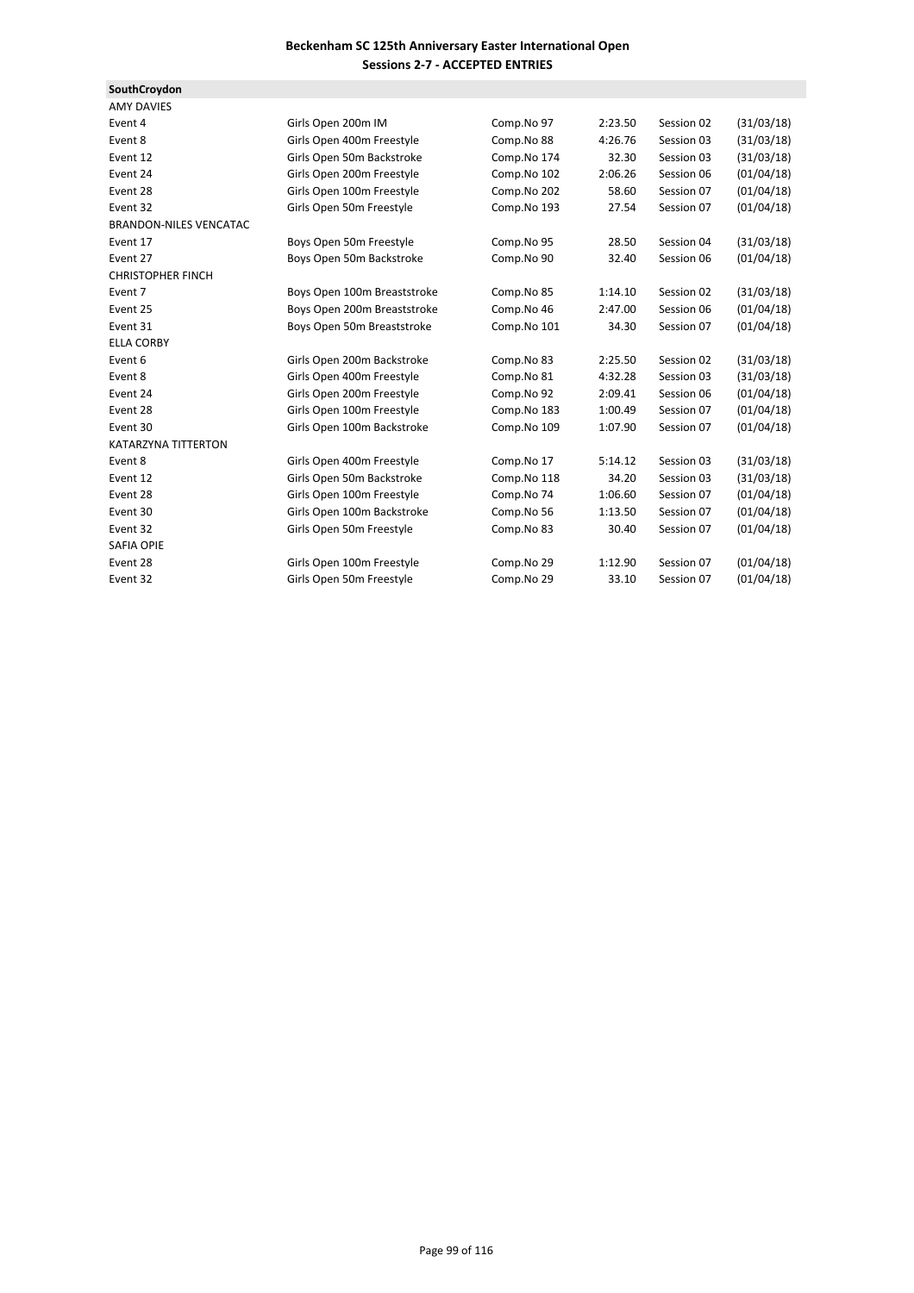**SouthCroydon**

| <b>AMY DAVIES</b>             |                             |             |         |            |            |
|-------------------------------|-----------------------------|-------------|---------|------------|------------|
| Event 4                       | Girls Open 200m IM          | Comp.No 97  | 2:23.50 | Session 02 | (31/03/18) |
| Event 8                       | Girls Open 400m Freestyle   | Comp.No 88  | 4:26.76 | Session 03 | (31/03/18) |
| Event 12                      | Girls Open 50m Backstroke   | Comp.No 174 | 32.30   | Session 03 | (31/03/18) |
| Event 24                      | Girls Open 200m Freestyle   | Comp.No 102 | 2:06.26 | Session 06 | (01/04/18) |
| Event 28                      | Girls Open 100m Freestyle   | Comp.No 202 | 58.60   | Session 07 | (01/04/18) |
| Event 32                      | Girls Open 50m Freestyle    | Comp.No 193 | 27.54   | Session 07 | (01/04/18) |
| <b>BRANDON-NILES VENCATAC</b> |                             |             |         |            |            |
| Event 17                      | Boys Open 50m Freestyle     | Comp.No 95  | 28.50   | Session 04 | (31/03/18) |
| Event 27                      | Boys Open 50m Backstroke    | Comp.No 90  | 32.40   | Session 06 | (01/04/18) |
| <b>CHRISTOPHER FINCH</b>      |                             |             |         |            |            |
| Event 7                       | Boys Open 100m Breaststroke | Comp.No 85  | 1:14.10 | Session 02 | (31/03/18) |
| Event 25                      | Boys Open 200m Breaststroke | Comp.No 46  | 2:47.00 | Session 06 | (01/04/18) |
| Event 31                      | Boys Open 50m Breaststroke  | Comp.No 101 | 34.30   | Session 07 | (01/04/18) |
| <b>ELLA CORBY</b>             |                             |             |         |            |            |
| Event 6                       | Girls Open 200m Backstroke  | Comp.No 83  | 2:25.50 | Session 02 | (31/03/18) |
| Event 8                       | Girls Open 400m Freestyle   | Comp.No 81  | 4:32.28 | Session 03 | (31/03/18) |
| Event 24                      | Girls Open 200m Freestyle   | Comp.No 92  | 2:09.41 | Session 06 | (01/04/18) |
| Event 28                      | Girls Open 100m Freestyle   | Comp.No 183 | 1:00.49 | Session 07 | (01/04/18) |
| Event 30                      | Girls Open 100m Backstroke  | Comp.No 109 | 1:07.90 | Session 07 | (01/04/18) |
| <b>KATARZYNA TITTERTON</b>    |                             |             |         |            |            |
| Event 8                       | Girls Open 400m Freestyle   | Comp.No 17  | 5:14.12 | Session 03 | (31/03/18) |
| Event 12                      | Girls Open 50m Backstroke   | Comp.No 118 | 34.20   | Session 03 | (31/03/18) |
| Event 28                      | Girls Open 100m Freestyle   | Comp.No 74  | 1:06.60 | Session 07 | (01/04/18) |
| Event 30                      | Girls Open 100m Backstroke  | Comp.No 56  | 1:13.50 | Session 07 | (01/04/18) |
| Event 32                      | Girls Open 50m Freestyle    | Comp.No 83  | 30.40   | Session 07 | (01/04/18) |
| <b>SAFIA OPIE</b>             |                             |             |         |            |            |
| Event 28                      | Girls Open 100m Freestyle   | Comp.No 29  | 1:12.90 | Session 07 | (01/04/18) |
| Event 32                      | Girls Open 50m Freestyle    | Comp.No 29  | 33.10   | Session 07 | (01/04/18) |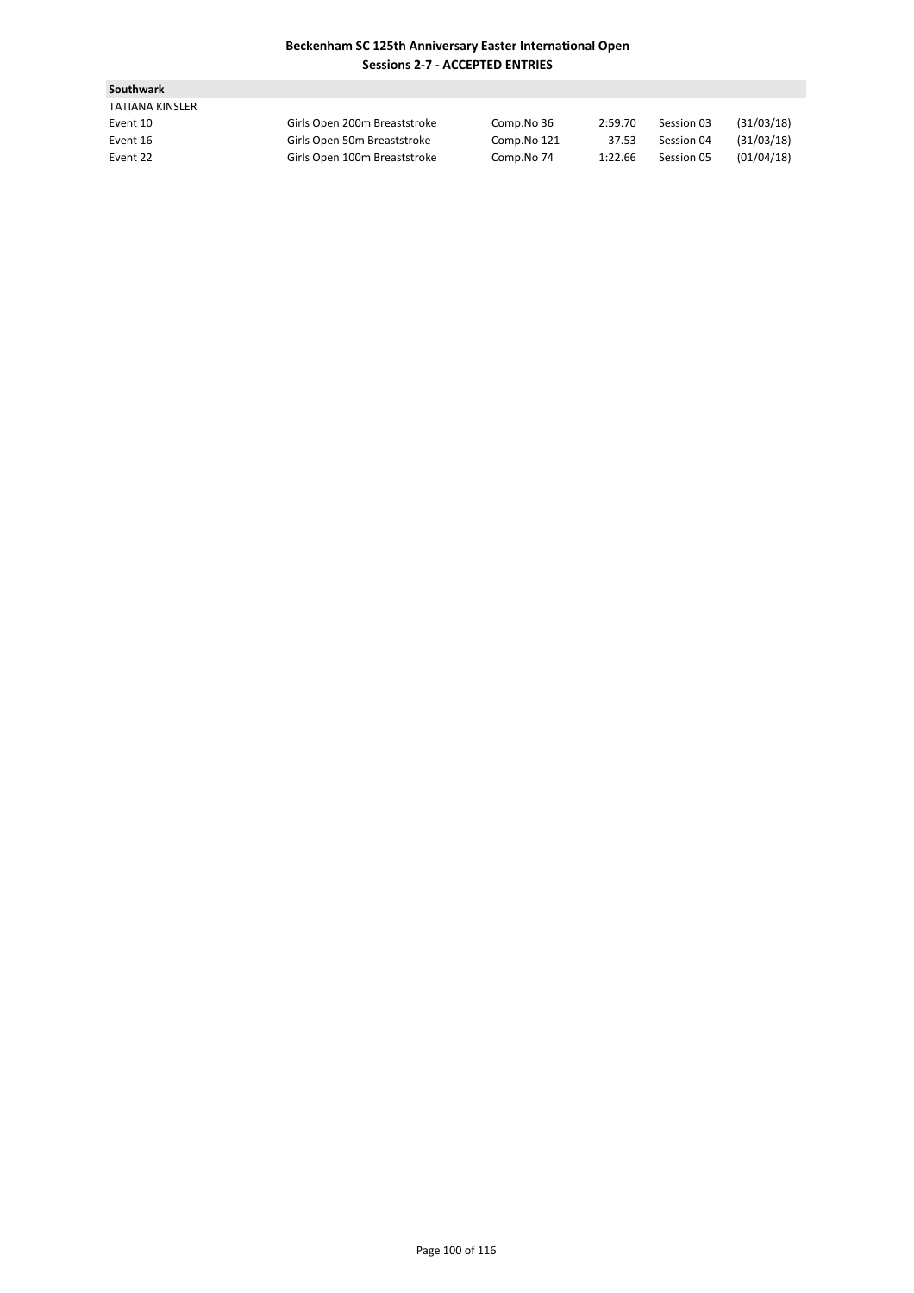| <b>Southwark</b>       |                              |             |         |            |            |
|------------------------|------------------------------|-------------|---------|------------|------------|
| <b>TATIANA KINSLER</b> |                              |             |         |            |            |
| Event 10               | Girls Open 200m Breaststroke | Comp.No 36  | 2:59.70 | Session 03 | (31/03/18) |
| Event 16               | Girls Open 50m Breaststroke  | Comp.No 121 | 37.53   | Session 04 | (31/03/18) |
| Event 22               | Girls Open 100m Breaststroke | Comp.No 74  | 1:22.66 | Session 05 | (01/04/18) |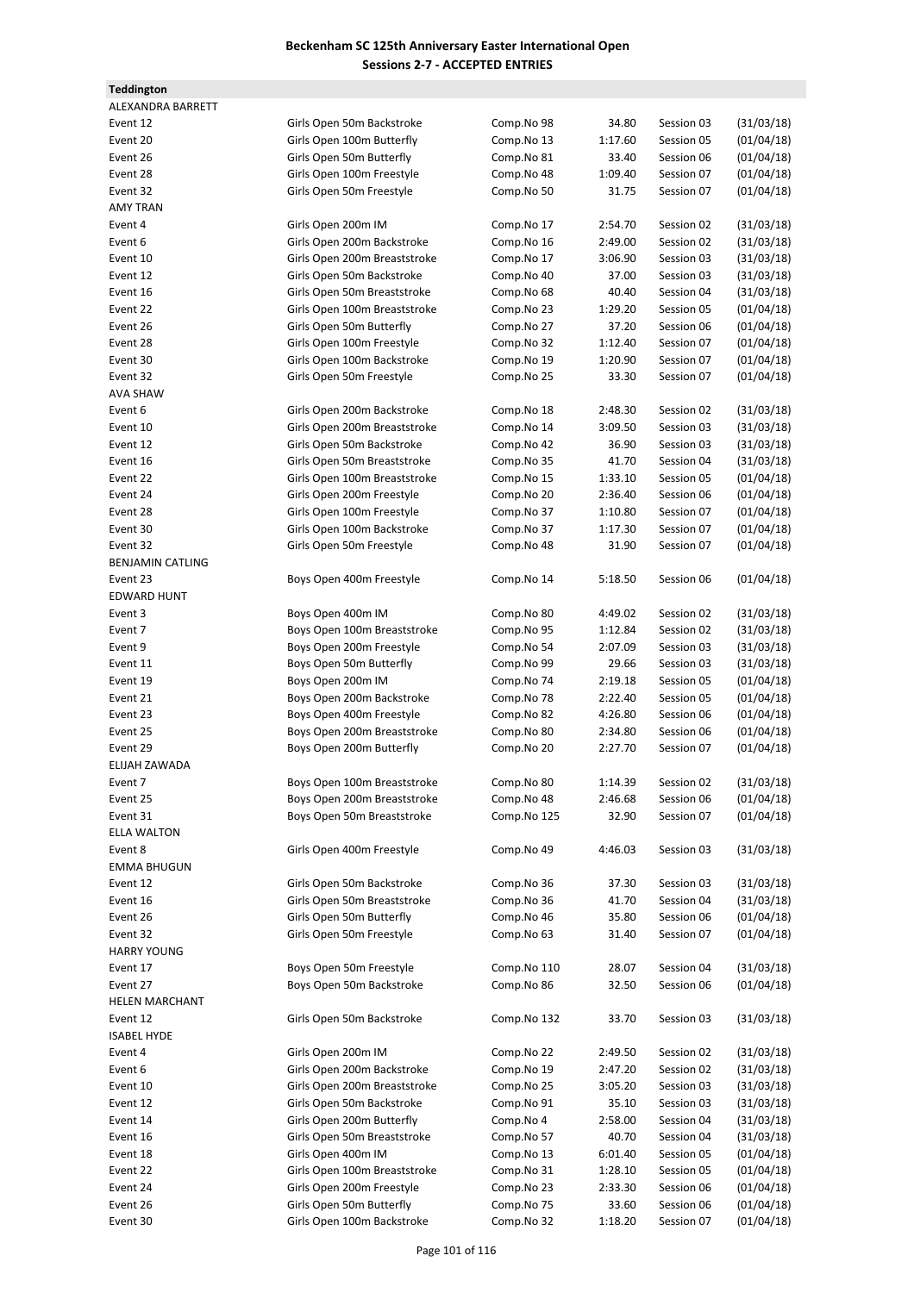**Teddington**

ALEXANDRA BARRETT Event 12 Girls Open 50m Backstroke Comp.No 98 34.80 Session 03 (31/03/18) Event 20 Girls Open 100m Butterfly Comp.No 13 1:17.60 Session 05 (01/04/18) Event 26 Girls Open 50m Butterfly Comp.No 81 33.40 Session 06 (01/04/18) Event 28 Girls Open 100m Freestyle Comp.No 48 1:09.40 Session 07 (01/04/18) Event 32 **Girls Open 50m Freestyle** Comp.No 50 31.75 Session 07 (01/04/18) AMY TRAN Event 4 Girls Open 200m IM Comp.No 17 2:54.70 Session 02 (31/03/18) Event 6 Girls Open 200m Backstroke Comp.No 16 2:49.00 Session 02 (31/03/18) Event 10 Girls Open 200m Breaststroke Comp.No 17 3:06.90 Session 03 (31/03/18) Event 12 **Girls Open 50m Backstroke Comp.No 40** 37.00 Session 03 (31/03/18) Event 16 Girls Open 50m Breaststroke Comp.No 68 40.40 Session 04 (31/03/18) Event 22 Girls Open 100m Breaststroke Comp.No 23 1:29.20 Session 05 (01/04/18) Event 26 Girls Open 50m Butterfly Comp.No 27 37.20 Session 06 (01/04/18) Event 28 Girls Open 100m Freestyle Comp.No 32 1:12.40 Session 07 (01/04/18) Event 30 **Girls Open 100m Backstroke** Comp.No 19 1:20.90 Session 07 (01/04/18) Event 32 Girls Open 50m Freestyle Comp.No 25 33.30 Session 07 (01/04/18) **AVA SHAW** Event 6 Girls Open 200m Backstroke Comp.No 18 2:48.30 Session 02 (31/03/18) Event 10 Girls Open 200m Breaststroke Comp.No 14 3:09.50 Session 03 (31/03/18) Event 12 Girls Open 50m Backstroke Comp.No 42 36.90 Session 03 (31/03/18) Event 16 Girls Open 50m Breaststroke Comp.No 35 41.70 Session 04 (31/03/18) Event 22 Girls Open 100m Breaststroke Comp.No 15 1:33.10 Session 05 (01/04/18) Event 24 Girls Open 200m Freestyle Comp.No 20 2:36.40 Session 06 (01/04/18) Event 28 Girls Open 100m Freestyle Comp.No 37 1:10.80 Session 07 (01/04/18) Event 30 Girls Open 100m Backstroke Comp.No 37 1:17.30 Session 07 (01/04/18) Event 32 **Girls Open 50m Freestyle** Comp.No 48 31.90 Session 07 (01/04/18) **BENJAMIN CATLING** Event 23 Boys Open 400m Freestyle Comp.No 14 5:18.50 Session 06 (01/04/18) **EDWARD HUNT** Event 3 Boys Open 400m IM Comp.No 80 4:49.02 Session 02 (31/03/18) Event 7 **Event 7** Boys Open 100m Breaststroke Comp.No 95 1:12.84 Session 02 (31/03/18) Event 9 Boys Open 200m Freestyle Comp.No 54 2:07.09 Session 03 (31/03/18) Event 11 Boys Open 50m Butterfly Comp.No 99 29.66 Session 03 (31/03/18) Event 19 Boys Open 200m IM Comp.No 74 2:19.18 Session 05 (01/04/18) Event 21 Boys Open 200m Backstroke Comp.No 78 2:22.40 Session 05 (01/04/18) Event 23 Boys Open 400m Freestyle Comp.No 82 4:26.80 Session 06 (01/04/18) Event 25 Boys Open 200m Breaststroke Comp.No 80 2:34.80 Session 06 (01/04/18) Event 29 Boys Open 200m Butterfly Comp.No 20 2:27.70 Session 07 (01/04/18) ELIJAH ZAWADA Event 7 **Boys Open 100m Breaststroke** Comp.No 80 1:14.39 Session 02 (31/03/18) Event 25 Boys Open 200m Breaststroke Comp.No 48 2:46.68 Session 06 (01/04/18) Event 31 Boys Open 50m Breaststroke Comp.No 125 32.90 Session 07 (01/04/18) ELLA WALTON Event 8 Girls Open 400m Freestyle Comp.No 49 4:46.03 Session 03 (31/03/18) EMMA BHUGUN Event 12 Girls Open 50m Backstroke Comp.No 36 37.30 Session 03 (31/03/18) Event 16 Girls Open 50m Breaststroke Comp.No 36 41.70 Session 04 (31/03/18) Event 26 Girls Open 50m Butterfly Comp.No 46 35.80 Session 06 (01/04/18) Event 32 Girls Open 50m Freestyle Comp.No 63 31.40 Session 07 (01/04/18) **HARRY YOUNG** Event 17 Boys Open 50m Freestyle Comp.No 110 28.07 Session 04 (31/03/18) Event 27 Boys Open 50m Backstroke Comp.No 86 32.50 Session 06 (01/04/18) HELEN MARCHANT Event 12 Girls Open 50m Backstroke Comp.No 132 33.70 Session 03 (31/03/18) ISABEL HYDE Event 4 Girls Open 200m IM Comp.No 22 2:49.50 Session 02 (31/03/18) Event 6 Girls Open 200m Backstroke Comp.No 19 2:47.20 Session 02 (31/03/18) Event 10 Girls Open 200m Breaststroke Comp.No 25 3:05.20 Session 03 (31/03/18) Event 12 Girls Open 50m Backstroke Comp.No 91 35.10 Session 03 (31/03/18) Event 14 Girls Open 200m Butterfly Comp.No 4 2:58.00 Session 04 (31/03/18) Event 16 Girls Open 50m Breaststroke Comp.No 57 40.70 Session 04 (31/03/18) Event 18 Girls Open 400m IM Comp.No 13 6:01.40 Session 05 (01/04/18) Event 22 Girls Open 100m Breaststroke Comp.No 31 1:28.10 Session 05 (01/04/18) Event 24 Girls Open 200m Freestyle Comp.No 23 2:33.30 Session 06 (01/04/18) Event 26 Girls Open 50m Butterfly Comp.No 75 33.60 Session 06 (01/04/18) Event 30 Girls Open 100m Backstroke Comp.No 32 1:18.20 Session 07 (01/04/18)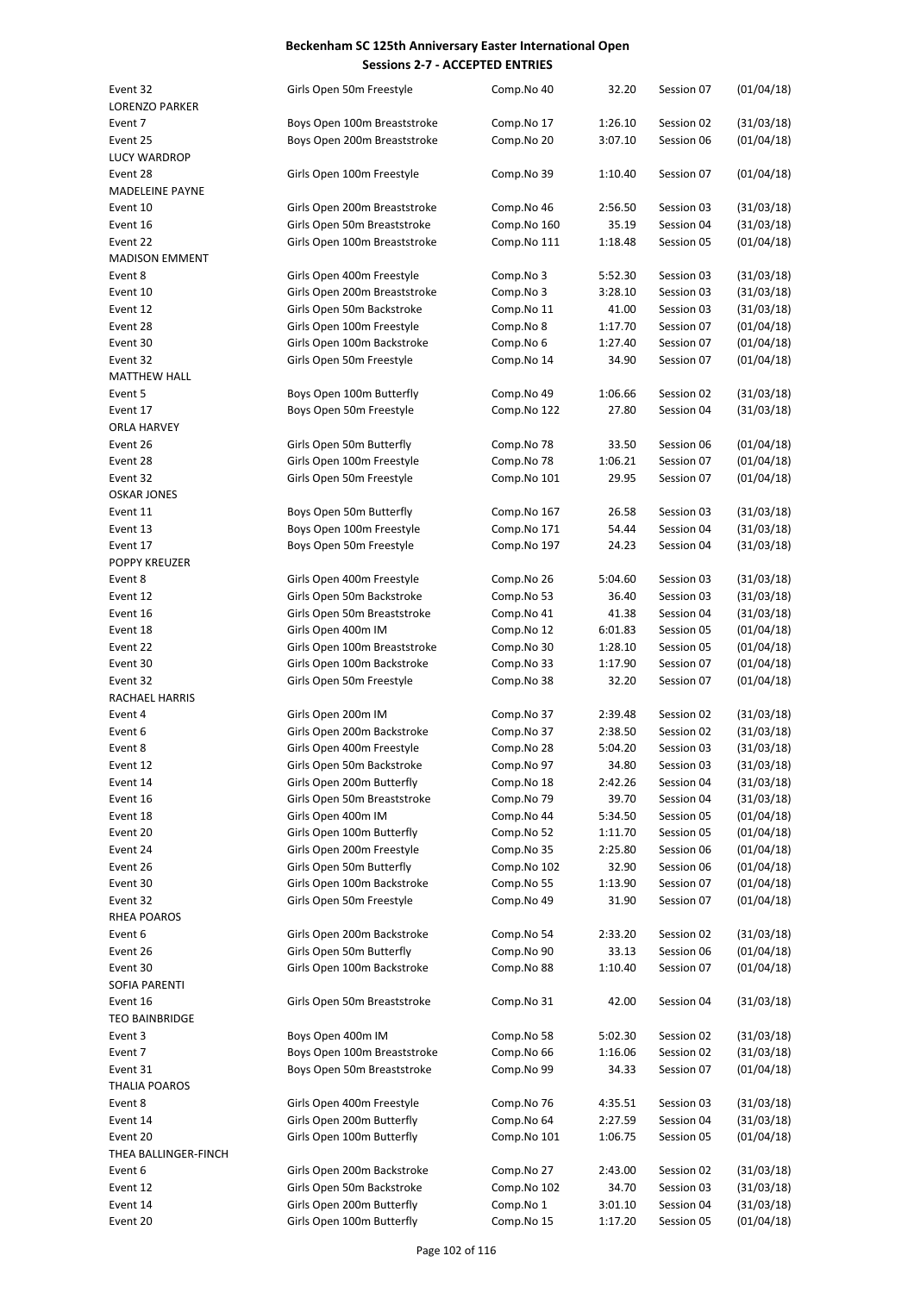| Event 32               |                              | Comp.No 40  | 32.20   | Session 07 | (01/04/18) |
|------------------------|------------------------------|-------------|---------|------------|------------|
|                        | Girls Open 50m Freestyle     |             |         |            |            |
| <b>LORENZO PARKER</b>  |                              |             |         |            |            |
| Event 7                | Boys Open 100m Breaststroke  | Comp.No 17  | 1:26.10 | Session 02 | (31/03/18) |
| Event 25               | Boys Open 200m Breaststroke  | Comp.No 20  | 3:07.10 | Session 06 | (01/04/18) |
| <b>LUCY WARDROP</b>    |                              |             |         |            |            |
| Event 28               | Girls Open 100m Freestyle    | Comp.No 39  | 1:10.40 | Session 07 | (01/04/18) |
| <b>MADELEINE PAYNE</b> |                              |             |         |            |            |
|                        |                              |             |         |            |            |
| Event 10               | Girls Open 200m Breaststroke | Comp.No 46  | 2:56.50 | Session 03 | (31/03/18) |
| Event 16               | Girls Open 50m Breaststroke  | Comp.No 160 | 35.19   | Session 04 | (31/03/18) |
| Event 22               | Girls Open 100m Breaststroke | Comp.No 111 | 1:18.48 | Session 05 | (01/04/18) |
| <b>MADISON EMMENT</b>  |                              |             |         |            |            |
| Event 8                | Girls Open 400m Freestyle    | Comp.No 3   | 5:52.30 | Session 03 | (31/03/18) |
| Event 10               |                              |             |         |            |            |
|                        | Girls Open 200m Breaststroke | Comp.No 3   | 3:28.10 | Session 03 | (31/03/18) |
| Event 12               | Girls Open 50m Backstroke    | Comp.No 11  | 41.00   | Session 03 | (31/03/18) |
| Event 28               | Girls Open 100m Freestyle    | Comp.No 8   | 1:17.70 | Session 07 | (01/04/18) |
| Event 30               | Girls Open 100m Backstroke   | Comp.No 6   | 1:27.40 | Session 07 | (01/04/18) |
| Event 32               | Girls Open 50m Freestyle     | Comp.No 14  | 34.90   | Session 07 | (01/04/18) |
| <b>MATTHEW HALL</b>    |                              |             |         |            |            |
|                        |                              |             |         |            |            |
| Event 5                | Boys Open 100m Butterfly     | Comp.No 49  | 1:06.66 | Session 02 | (31/03/18) |
| Event 17               | Boys Open 50m Freestyle      | Comp.No 122 | 27.80   | Session 04 | (31/03/18) |
| <b>ORLA HARVEY</b>     |                              |             |         |            |            |
| Event 26               | Girls Open 50m Butterfly     | Comp.No 78  | 33.50   | Session 06 | (01/04/18) |
| Event 28               | Girls Open 100m Freestyle    | Comp.No 78  | 1:06.21 | Session 07 | (01/04/18) |
| Event 32               | Girls Open 50m Freestyle     | Comp.No 101 | 29.95   | Session 07 | (01/04/18) |
|                        |                              |             |         |            |            |
| <b>OSKAR JONES</b>     |                              |             |         |            |            |
| Event 11               | Boys Open 50m Butterfly      | Comp.No 167 | 26.58   | Session 03 | (31/03/18) |
| Event 13               | Boys Open 100m Freestyle     | Comp.No 171 | 54.44   | Session 04 | (31/03/18) |
| Event 17               | Boys Open 50m Freestyle      | Comp.No 197 | 24.23   | Session 04 | (31/03/18) |
| <b>POPPY KREUZER</b>   |                              |             |         |            |            |
| Event 8                | Girls Open 400m Freestyle    | Comp.No 26  | 5:04.60 | Session 03 | (31/03/18) |
|                        |                              |             |         |            |            |
| Event 12               | Girls Open 50m Backstroke    | Comp.No 53  | 36.40   | Session 03 | (31/03/18) |
| Event 16               | Girls Open 50m Breaststroke  | Comp.No 41  | 41.38   | Session 04 | (31/03/18) |
| Event 18               | Girls Open 400m IM           | Comp.No 12  | 6:01.83 | Session 05 | (01/04/18) |
| Event 22               | Girls Open 100m Breaststroke | Comp.No 30  | 1:28.10 | Session 05 | (01/04/18) |
| Event 30               | Girls Open 100m Backstroke   | Comp.No 33  | 1:17.90 | Session 07 | (01/04/18) |
| Event 32               | Girls Open 50m Freestyle     | Comp.No 38  | 32.20   | Session 07 | (01/04/18) |
|                        |                              |             |         |            |            |
| RACHAEL HARRIS         |                              |             |         |            |            |
| Event 4                | Girls Open 200m IM           | Comp.No 37  | 2:39.48 | Session 02 | (31/03/18) |
| Event 6                | Girls Open 200m Backstroke   | Comp.No 37  | 2:38.50 | Session 02 | (31/03/18) |
| Event 8                | Girls Open 400m Freestyle    | Comp.No 28  | 5:04.20 | Session 03 | (31/03/18) |
| Event 12               | Girls Open 50m Backstroke    | Comp.No 97  | 34.80   | Session 03 | (31/03/18) |
| Event 14               | Girls Open 200m Butterfly    | Comp.No 18  | 2:42.26 | Session 04 | (31/03/18) |
|                        |                              |             |         |            |            |
| Event 16               | Girls Open 50m Breaststroke  | Comp.No 79  | 39.70   | Session 04 | (31/03/18) |
| Event 18               | Girls Open 400m IM           | Comp.No 44  | 5:34.50 | Session 05 | (01/04/18) |
| Event 20               | Girls Open 100m Butterfly    | Comp.No 52  | 1:11.70 | Session 05 | (01/04/18) |
| Event 24               | Girls Open 200m Freestyle    | Comp.No 35  | 2:25.80 | Session 06 | (01/04/18) |
| Event 26               | Girls Open 50m Butterfly     | Comp.No 102 | 32.90   | Session 06 | (01/04/18) |
| Event 30               | Girls Open 100m Backstroke   | Comp.No 55  | 1:13.90 | Session 07 | (01/04/18) |
|                        |                              |             |         |            |            |
| Event 32               | Girls Open 50m Freestyle     | Comp.No 49  | 31.90   | Session 07 | (01/04/18) |
| RHEA POAROS            |                              |             |         |            |            |
| Event 6                | Girls Open 200m Backstroke   | Comp.No 54  | 2:33.20 | Session 02 | (31/03/18) |
| Event 26               | Girls Open 50m Butterfly     | Comp.No 90  | 33.13   | Session 06 | (01/04/18) |
| Event 30               | Girls Open 100m Backstroke   | Comp.No 88  | 1:10.40 | Session 07 | (01/04/18) |
| SOFIA PARENTI          |                              |             |         |            |            |
|                        |                              |             |         |            |            |
| Event 16               | Girls Open 50m Breaststroke  | Comp.No 31  | 42.00   | Session 04 | (31/03/18) |
| <b>TEO BAINBRIDGE</b>  |                              |             |         |            |            |
| Event 3                | Boys Open 400m IM            | Comp.No 58  | 5:02.30 | Session 02 | (31/03/18) |
| Event 7                | Boys Open 100m Breaststroke  | Comp.No 66  | 1:16.06 | Session 02 | (31/03/18) |
| Event 31               | Boys Open 50m Breaststroke   | Comp.No 99  | 34.33   | Session 07 | (01/04/18) |
| THALIA POAROS          |                              |             |         |            |            |
|                        |                              |             |         |            |            |
| Event 8                | Girls Open 400m Freestyle    | Comp.No 76  | 4:35.51 | Session 03 | (31/03/18) |
| Event 14               | Girls Open 200m Butterfly    | Comp.No 64  | 2:27.59 | Session 04 | (31/03/18) |
| Event 20               | Girls Open 100m Butterfly    | Comp.No 101 | 1:06.75 | Session 05 | (01/04/18) |
| THEA BALLINGER-FINCH   |                              |             |         |            |            |
| Event 6                | Girls Open 200m Backstroke   | Comp.No 27  | 2:43.00 | Session 02 | (31/03/18) |
| Event 12               | Girls Open 50m Backstroke    | Comp.No 102 | 34.70   | Session 03 | (31/03/18) |
|                        | Girls Open 200m Butterfly    |             |         |            |            |
| Event 14               |                              | Comp.No 1   | 3:01.10 | Session 04 | (31/03/18) |
| Event 20               | Girls Open 100m Butterfly    | Comp.No 15  | 1:17.20 | Session 05 | (01/04/18) |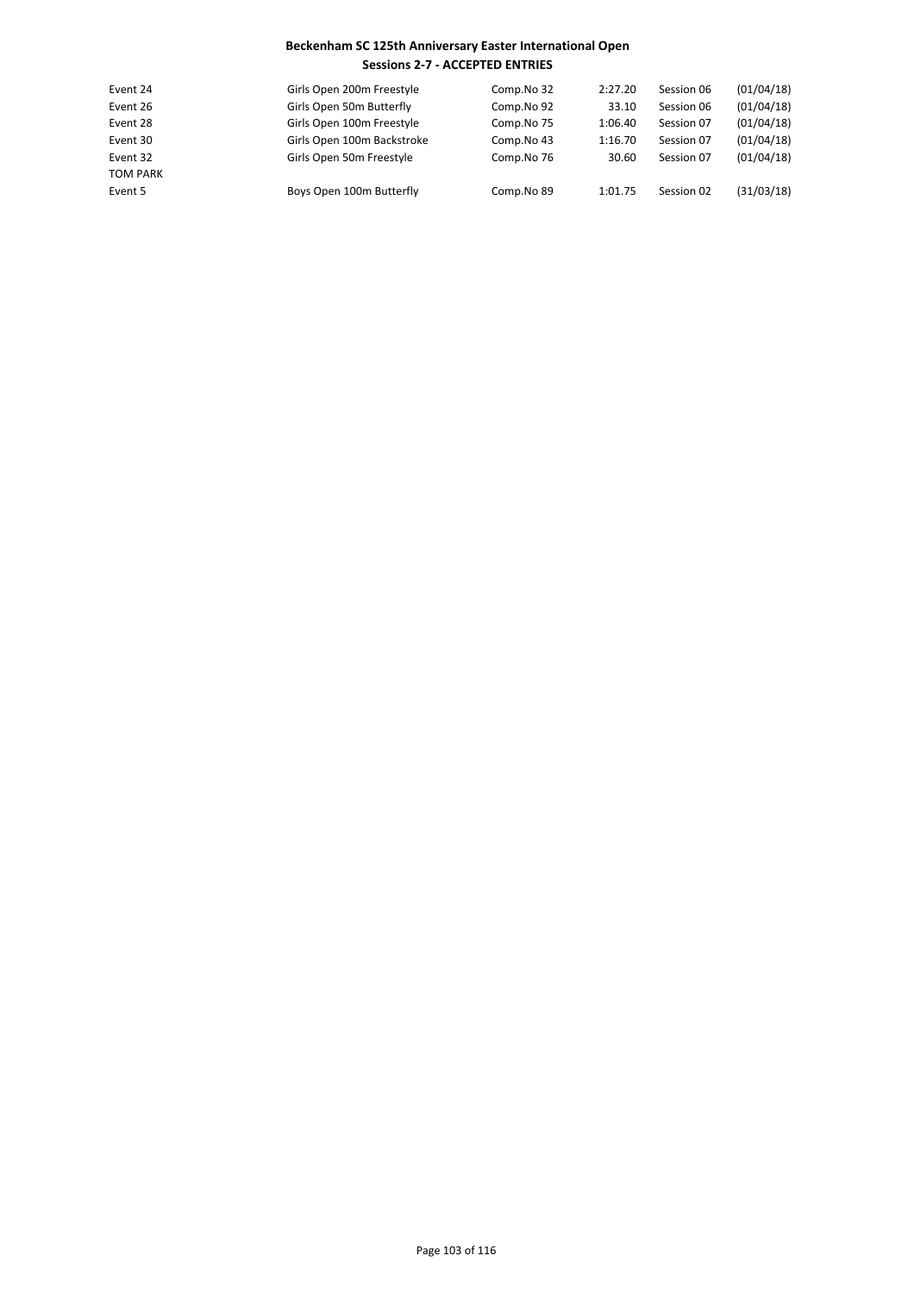| Event 24        | Girls Open 200m Freestyle  | Comp.No 32 | 2:27.20 | Session 06 | (01/04/18) |
|-----------------|----------------------------|------------|---------|------------|------------|
| Event 26        | Girls Open 50m Butterfly   | Comp.No 92 | 33.10   | Session 06 | (01/04/18) |
| Event 28        | Girls Open 100m Freestyle  | Comp.No 75 | 1:06.40 | Session 07 | (01/04/18) |
| Event 30        | Girls Open 100m Backstroke | Comp.No 43 | 1:16.70 | Session 07 | (01/04/18) |
| Event 32        | Girls Open 50m Freestyle   | Comp.No 76 | 30.60   | Session 07 | (01/04/18) |
| <b>TOM PARK</b> |                            |            |         |            |            |
| Event 5         | Boys Open 100m Butterfly   | Comp.No 89 | 1:01.75 | Session 02 | (31/03/18) |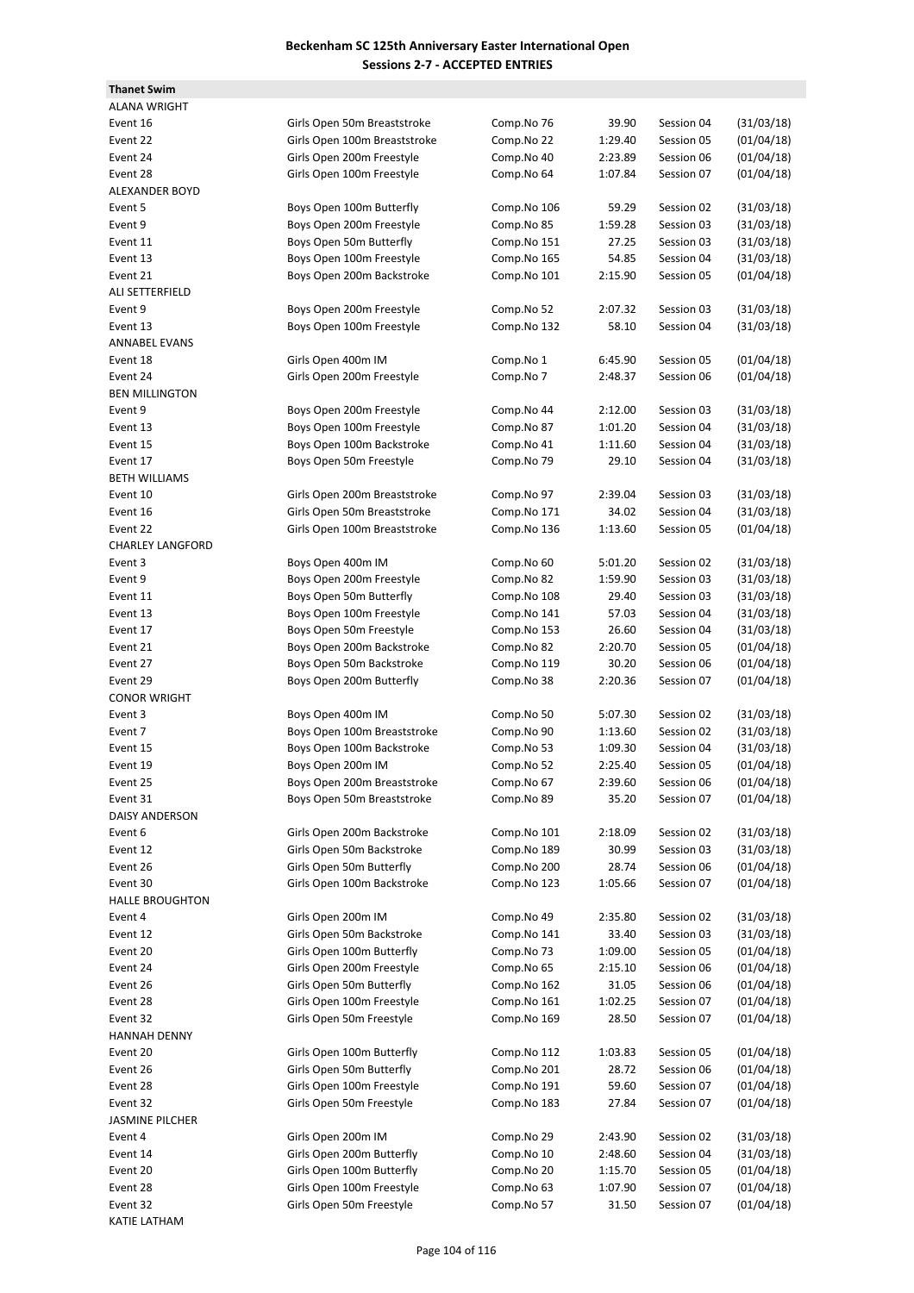**Thanet Swim**

| <b>ALANA WRIGHT</b>     |                              |             |         |            |            |
|-------------------------|------------------------------|-------------|---------|------------|------------|
| Event 16                | Girls Open 50m Breaststroke  | Comp.No 76  | 39.90   | Session 04 | (31/03/18) |
| Event 22                | Girls Open 100m Breaststroke | Comp.No 22  | 1:29.40 | Session 05 | (01/04/18) |
| Event 24                | Girls Open 200m Freestyle    | Comp.No 40  | 2:23.89 | Session 06 | (01/04/18) |
| Event 28                | Girls Open 100m Freestyle    | Comp.No 64  | 1:07.84 | Session 07 | (01/04/18) |
| <b>ALEXANDER BOYD</b>   |                              |             |         |            |            |
| Event 5                 | Boys Open 100m Butterfly     | Comp.No 106 | 59.29   | Session 02 | (31/03/18) |
| Event 9                 | Boys Open 200m Freestyle     | Comp.No 85  | 1:59.28 | Session 03 | (31/03/18) |
| Event 11                | Boys Open 50m Butterfly      | Comp.No 151 | 27.25   | Session 03 | (31/03/18) |
| Event 13                | Boys Open 100m Freestyle     | Comp.No 165 | 54.85   | Session 04 | (31/03/18) |
| Event 21                | Boys Open 200m Backstroke    | Comp.No 101 | 2:15.90 | Session 05 | (01/04/18) |
| ALI SETTERFIELD         |                              |             |         |            |            |
| Event 9                 | Boys Open 200m Freestyle     | Comp.No 52  | 2:07.32 | Session 03 | (31/03/18) |
| Event 13                | Boys Open 100m Freestyle     | Comp.No 132 | 58.10   | Session 04 | (31/03/18) |
| <b>ANNABEL EVANS</b>    |                              |             |         |            |            |
| Event 18                | Girls Open 400m IM           | Comp.No 1   | 6:45.90 | Session 05 | (01/04/18) |
| Event 24                | Girls Open 200m Freestyle    | Comp.No 7   | 2:48.37 | Session 06 | (01/04/18) |
| <b>BEN MILLINGTON</b>   |                              |             |         |            |            |
| Event 9                 | Boys Open 200m Freestyle     | Comp.No 44  | 2:12.00 | Session 03 | (31/03/18) |
| Event 13                | Boys Open 100m Freestyle     | Comp.No 87  | 1:01.20 | Session 04 | (31/03/18) |
| Event 15                | Boys Open 100m Backstroke    | Comp.No 41  | 1:11.60 | Session 04 | (31/03/18) |
| Event 17                | Boys Open 50m Freestyle      | Comp.No 79  | 29.10   | Session 04 | (31/03/18) |
| <b>BETH WILLIAMS</b>    |                              |             |         |            |            |
| Event 10                | Girls Open 200m Breaststroke | Comp.No 97  | 2:39.04 | Session 03 | (31/03/18) |
| Event 16                | Girls Open 50m Breaststroke  | Comp.No 171 | 34.02   | Session 04 | (31/03/18) |
| Event 22                | Girls Open 100m Breaststroke | Comp.No 136 | 1:13.60 | Session 05 | (01/04/18) |
| <b>CHARLEY LANGFORD</b> |                              |             |         |            |            |
| Event 3                 | Boys Open 400m IM            | Comp.No 60  | 5:01.20 | Session 02 | (31/03/18) |
| Event 9                 | Boys Open 200m Freestyle     | Comp.No 82  | 1:59.90 | Session 03 | (31/03/18) |
| Event 11                |                              |             | 29.40   | Session 03 | (31/03/18) |
|                         | Boys Open 50m Butterfly      | Comp.No 108 |         | Session 04 | (31/03/18) |
| Event 13                | Boys Open 100m Freestyle     | Comp.No 141 | 57.03   |            |            |
| Event 17                | Boys Open 50m Freestyle      | Comp.No 153 | 26.60   | Session 04 | (31/03/18) |
| Event 21                | Boys Open 200m Backstroke    | Comp.No 82  | 2:20.70 | Session 05 | (01/04/18) |
| Event 27                | Boys Open 50m Backstroke     | Comp.No 119 | 30.20   | Session 06 | (01/04/18) |
| Event 29                | Boys Open 200m Butterfly     | Comp.No 38  | 2:20.36 | Session 07 | (01/04/18) |
| <b>CONOR WRIGHT</b>     |                              |             |         |            |            |
| Event 3                 | Boys Open 400m IM            | Comp.No 50  | 5:07.30 | Session 02 | (31/03/18) |
| Event 7                 | Boys Open 100m Breaststroke  | Comp.No 90  | 1:13.60 | Session 02 | (31/03/18) |
| Event 15                | Boys Open 100m Backstroke    | Comp.No 53  | 1:09.30 | Session 04 | (31/03/18) |
| Event 19                | Boys Open 200m IM            | Comp.No 52  | 2:25.40 | Session 05 | (01/04/18) |
| Event 25                | Boys Open 200m Breaststroke  | Comp.No 67  | 2:39.60 | Session 06 | (01/04/18) |
| Event 31                | Boys Open 50m Breaststroke   | Comp.No 89  | 35.20   | Session 07 | (01/04/18) |
| DAISY ANDERSON          |                              |             |         |            |            |
| Event 6                 | Girls Open 200m Backstroke   | Comp.No 101 | 2:18.09 | Session 02 | (31/03/18) |
| Event 12                | Girls Open 50m Backstroke    | Comp.No 189 | 30.99   | Session 03 | (31/03/18) |
| Event 26                | Girls Open 50m Butterfly     | Comp.No 200 | 28.74   | Session 06 | (01/04/18) |
| Event 30                | Girls Open 100m Backstroke   | Comp.No 123 | 1:05.66 | Session 07 | (01/04/18) |
| <b>HALLE BROUGHTON</b>  |                              |             |         |            |            |
| Event 4                 | Girls Open 200m IM           | Comp.No 49  | 2:35.80 | Session 02 | (31/03/18) |
| Event 12                | Girls Open 50m Backstroke    | Comp.No 141 | 33.40   | Session 03 | (31/03/18) |
| Event 20                | Girls Open 100m Butterfly    | Comp.No 73  | 1:09.00 | Session 05 | (01/04/18) |
| Event 24                | Girls Open 200m Freestyle    | Comp.No 65  | 2:15.10 | Session 06 | (01/04/18) |
| Event 26                | Girls Open 50m Butterfly     | Comp.No 162 | 31.05   | Session 06 | (01/04/18) |
| Event 28                | Girls Open 100m Freestyle    | Comp.No 161 | 1:02.25 | Session 07 | (01/04/18) |
| Event 32                | Girls Open 50m Freestyle     | Comp.No 169 | 28.50   | Session 07 | (01/04/18) |
| <b>HANNAH DENNY</b>     |                              |             |         |            |            |
| Event 20                | Girls Open 100m Butterfly    | Comp.No 112 | 1:03.83 | Session 05 | (01/04/18) |
| Event 26                | Girls Open 50m Butterfly     | Comp.No 201 | 28.72   | Session 06 | (01/04/18) |
| Event 28                | Girls Open 100m Freestyle    | Comp.No 191 | 59.60   | Session 07 | (01/04/18) |
| Event 32                | Girls Open 50m Freestyle     | Comp.No 183 | 27.84   | Session 07 | (01/04/18) |
| <b>JASMINE PILCHER</b>  |                              |             |         |            |            |
| Event 4                 | Girls Open 200m IM           | Comp.No 29  | 2:43.90 | Session 02 | (31/03/18) |
| Event 14                | Girls Open 200m Butterfly    | Comp.No 10  | 2:48.60 | Session 04 | (31/03/18) |
| Event 20                | Girls Open 100m Butterfly    | Comp.No 20  | 1:15.70 | Session 05 | (01/04/18) |
| Event 28                | Girls Open 100m Freestyle    | Comp.No 63  | 1:07.90 | Session 07 | (01/04/18) |
| Event 32                | Girls Open 50m Freestyle     | Comp.No 57  | 31.50   | Session 07 | (01/04/18) |
| <b>KATIE LATHAM</b>     |                              |             |         |            |            |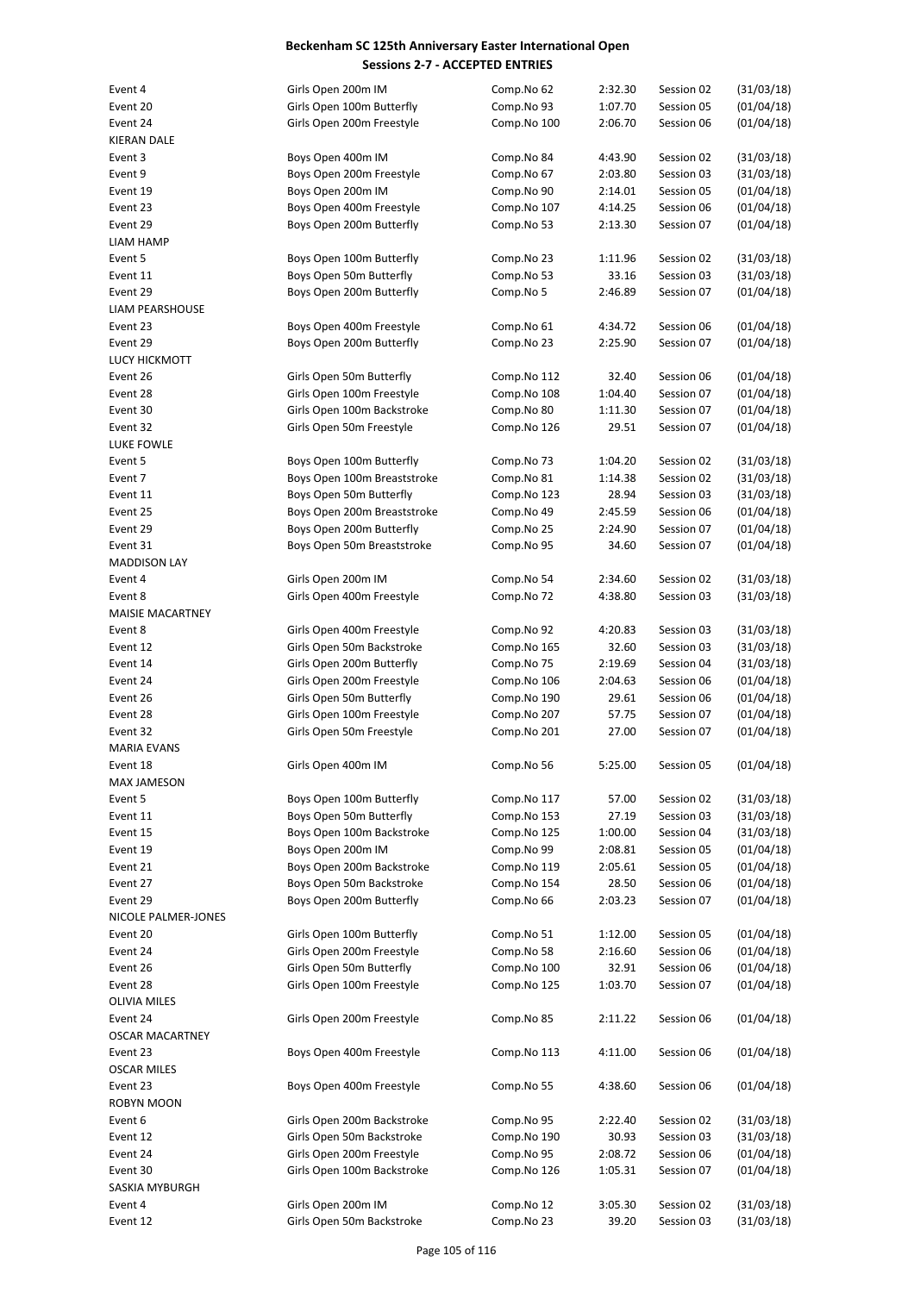| Event 4                 | Girls Open 200m IM          | Comp.No 62  | 2:32.30 | Session 02 | (31/03/18) |
|-------------------------|-----------------------------|-------------|---------|------------|------------|
| Event 20                | Girls Open 100m Butterfly   | Comp.No 93  | 1:07.70 | Session 05 | (01/04/18) |
| Event 24                | Girls Open 200m Freestyle   | Comp.No 100 | 2:06.70 | Session 06 | (01/04/18) |
| KIERAN DALE             |                             |             |         |            |            |
| Event 3                 | Boys Open 400m IM           | Comp.No 84  | 4:43.90 | Session 02 | (31/03/18) |
| Event 9                 | Boys Open 200m Freestyle    | Comp.No 67  | 2:03.80 | Session 03 | (31/03/18) |
| Event 19                | Boys Open 200m IM           | Comp.No 90  | 2:14.01 | Session 05 | (01/04/18) |
| Event 23                | Boys Open 400m Freestyle    | Comp.No 107 | 4:14.25 | Session 06 | (01/04/18) |
| Event 29                | Boys Open 200m Butterfly    | Comp.No 53  | 2:13.30 | Session 07 | (01/04/18) |
| LIAM HAMP               |                             |             |         |            |            |
| Event 5                 | Boys Open 100m Butterfly    | Comp.No 23  | 1:11.96 | Session 02 | (31/03/18) |
| Event 11                | Boys Open 50m Butterfly     | Comp.No 53  | 33.16   | Session 03 | (31/03/18) |
| Event 29                | Boys Open 200m Butterfly    | Comp.No 5   | 2:46.89 | Session 07 | (01/04/18) |
| LIAM PEARSHOUSE         |                             |             |         |            |            |
| Event 23                |                             |             |         |            |            |
|                         | Boys Open 400m Freestyle    | Comp.No 61  | 4:34.72 | Session 06 | (01/04/18) |
| Event 29                | Boys Open 200m Butterfly    | Comp.No 23  | 2:25.90 | Session 07 | (01/04/18) |
| <b>LUCY HICKMOTT</b>    |                             |             |         |            |            |
| Event 26                | Girls Open 50m Butterfly    | Comp.No 112 | 32.40   | Session 06 | (01/04/18) |
| Event 28                | Girls Open 100m Freestyle   | Comp.No 108 | 1:04.40 | Session 07 | (01/04/18) |
| Event 30                | Girls Open 100m Backstroke  | Comp.No 80  | 1:11.30 | Session 07 | (01/04/18) |
| Event 32                | Girls Open 50m Freestyle    | Comp.No 126 | 29.51   | Session 07 | (01/04/18) |
| LUKE FOWLE              |                             |             |         |            |            |
| Event 5                 | Boys Open 100m Butterfly    | Comp.No 73  | 1:04.20 | Session 02 | (31/03/18) |
| Event 7                 | Boys Open 100m Breaststroke | Comp.No 81  | 1:14.38 | Session 02 | (31/03/18) |
| Event 11                | Boys Open 50m Butterfly     | Comp.No 123 | 28.94   | Session 03 | (31/03/18) |
| Event 25                | Boys Open 200m Breaststroke | Comp.No 49  | 2:45.59 | Session 06 | (01/04/18) |
| Event 29                | Boys Open 200m Butterfly    | Comp.No 25  | 2:24.90 | Session 07 | (01/04/18) |
| Event 31                | Boys Open 50m Breaststroke  | Comp.No 95  | 34.60   | Session 07 | (01/04/18) |
| <b>MADDISON LAY</b>     |                             |             |         |            |            |
|                         |                             |             |         |            |            |
| Event 4                 | Girls Open 200m IM          | Comp.No 54  | 2:34.60 | Session 02 | (31/03/18) |
| Event 8                 | Girls Open 400m Freestyle   | Comp.No 72  | 4:38.80 | Session 03 | (31/03/18) |
| <b>MAISIE MACARTNEY</b> |                             |             |         |            |            |
| Event 8                 | Girls Open 400m Freestyle   | Comp.No 92  | 4:20.83 | Session 03 | (31/03/18) |
| Event 12                | Girls Open 50m Backstroke   | Comp.No 165 | 32.60   | Session 03 | (31/03/18) |
| Event 14                | Girls Open 200m Butterfly   | Comp.No 75  | 2:19.69 | Session 04 | (31/03/18) |
| Event 24                | Girls Open 200m Freestyle   | Comp.No 106 | 2:04.63 | Session 06 | (01/04/18) |
| Event 26                | Girls Open 50m Butterfly    | Comp.No 190 | 29.61   | Session 06 | (01/04/18) |
| Event 28                | Girls Open 100m Freestyle   | Comp.No 207 | 57.75   | Session 07 | (01/04/18) |
| Event 32                | Girls Open 50m Freestyle    | Comp.No 201 | 27.00   | Session 07 | (01/04/18) |
| <b>MARIA EVANS</b>      |                             |             |         |            |            |
| Event 18                | Girls Open 400m IM          | Comp.No 56  | 5:25.00 | Session 05 | (01/04/18) |
| MAX JAMESON             |                             |             |         |            |            |
| Event 5                 | Boys Open 100m Butterfly    | Comp.No 117 | 57.00   | Session 02 | (31/03/18) |
| Event 11                | Boys Open 50m Butterfly     | Comp.No 153 | 27.19   | Session 03 | (31/03/18) |
| Event 15                | Boys Open 100m Backstroke   | Comp.No 125 | 1:00.00 | Session 04 | (31/03/18) |
| Event 19                | Boys Open 200m IM           | Comp.No 99  | 2:08.81 | Session 05 | (01/04/18) |
| Event 21                | Boys Open 200m Backstroke   |             | 2:05.61 |            | (01/04/18) |
|                         |                             | Comp.No 119 |         | Session 05 |            |
| Event 27                | Boys Open 50m Backstroke    | Comp.No 154 | 28.50   | Session 06 | (01/04/18) |
| Event 29                | Boys Open 200m Butterfly    | Comp.No 66  | 2:03.23 | Session 07 | (01/04/18) |
| NICOLE PALMER-JONES     |                             |             |         |            |            |
| Event 20                | Girls Open 100m Butterfly   | Comp.No 51  | 1:12.00 | Session 05 | (01/04/18) |
| Event 24                | Girls Open 200m Freestyle   | Comp.No 58  | 2:16.60 | Session 06 | (01/04/18) |
| Event 26                | Girls Open 50m Butterfly    | Comp.No 100 | 32.91   | Session 06 | (01/04/18) |
| Event 28                | Girls Open 100m Freestyle   | Comp.No 125 | 1:03.70 | Session 07 | (01/04/18) |
| OLIVIA MILES            |                             |             |         |            |            |
| Event 24                | Girls Open 200m Freestyle   | Comp.No 85  | 2:11.22 | Session 06 | (01/04/18) |
| OSCAR MACARTNEY         |                             |             |         |            |            |
| Event 23                | Boys Open 400m Freestyle    | Comp.No 113 | 4:11.00 | Session 06 | (01/04/18) |
| <b>OSCAR MILES</b>      |                             |             |         |            |            |
| Event 23                | Boys Open 400m Freestyle    | Comp.No 55  | 4:38.60 | Session 06 | (01/04/18) |
| ROBYN MOON              |                             |             |         |            |            |
|                         |                             |             |         |            |            |
| Event 6                 | Girls Open 200m Backstroke  | Comp.No 95  | 2:22.40 | Session 02 | (31/03/18) |
| Event 12                | Girls Open 50m Backstroke   | Comp.No 190 | 30.93   | Session 03 | (31/03/18) |
| Event 24                | Girls Open 200m Freestyle   | Comp.No 95  | 2:08.72 | Session 06 | (01/04/18) |
| Event 30                | Girls Open 100m Backstroke  | Comp.No 126 | 1:05.31 | Session 07 | (01/04/18) |
| SASKIA MYBURGH          |                             |             |         |            |            |
| Event 4                 | Girls Open 200m IM          | Comp.No 12  | 3:05.30 | Session 02 | (31/03/18) |
| Event 12                | Girls Open 50m Backstroke   | Comp.No 23  | 39.20   | Session 03 | (31/03/18) |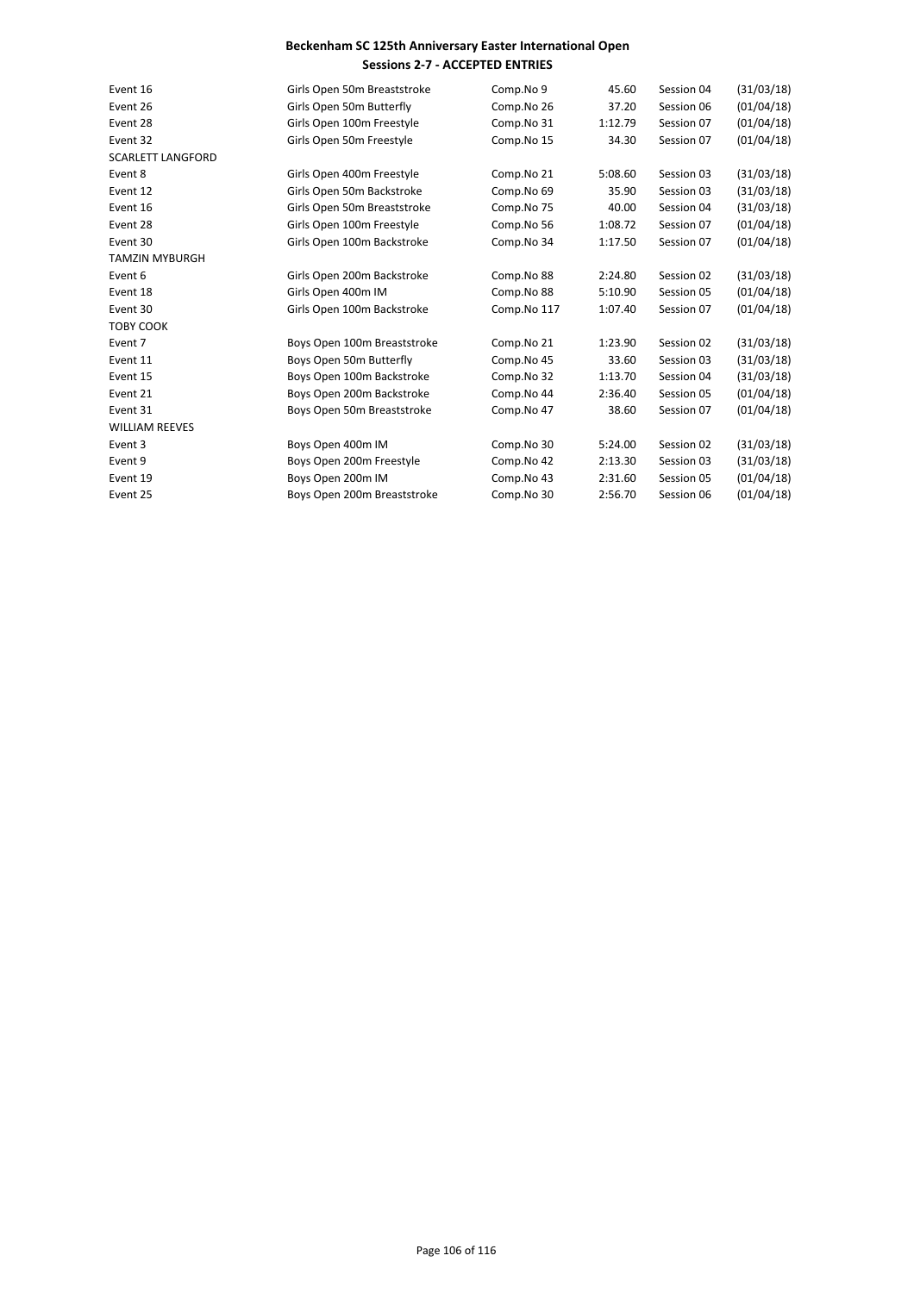| Event 16                 | Girls Open 50m Breaststroke | Comp.No 9   | 45.60   | Session 04 | (31/03/18) |
|--------------------------|-----------------------------|-------------|---------|------------|------------|
| Event 26                 | Girls Open 50m Butterfly    | Comp.No 26  | 37.20   | Session 06 | (01/04/18) |
| Event 28                 | Girls Open 100m Freestyle   | Comp.No 31  | 1:12.79 | Session 07 | (01/04/18) |
| Event 32                 | Girls Open 50m Freestyle    | Comp.No 15  | 34.30   | Session 07 | (01/04/18) |
| <b>SCARLETT LANGFORD</b> |                             |             |         |            |            |
| Event 8                  | Girls Open 400m Freestyle   | Comp.No 21  | 5:08.60 | Session 03 | (31/03/18) |
| Event 12                 | Girls Open 50m Backstroke   | Comp.No 69  | 35.90   | Session 03 | (31/03/18) |
| Event 16                 | Girls Open 50m Breaststroke | Comp.No 75  | 40.00   | Session 04 | (31/03/18) |
| Event 28                 | Girls Open 100m Freestyle   | Comp.No 56  | 1:08.72 | Session 07 | (01/04/18) |
| Event 30                 | Girls Open 100m Backstroke  | Comp.No 34  | 1:17.50 | Session 07 | (01/04/18) |
| <b>TAMZIN MYBURGH</b>    |                             |             |         |            |            |
| Event 6                  | Girls Open 200m Backstroke  | Comp.No 88  | 2:24.80 | Session 02 | (31/03/18) |
| Event 18                 | Girls Open 400m IM          | Comp.No 88  | 5:10.90 | Session 05 | (01/04/18) |
| Event 30                 | Girls Open 100m Backstroke  | Comp.No 117 | 1:07.40 | Session 07 | (01/04/18) |
| <b>TOBY COOK</b>         |                             |             |         |            |            |
| Event 7                  | Boys Open 100m Breaststroke | Comp.No 21  | 1:23.90 | Session 02 | (31/03/18) |
| Event 11                 | Boys Open 50m Butterfly     | Comp.No 45  | 33.60   | Session 03 | (31/03/18) |
| Event 15                 | Boys Open 100m Backstroke   | Comp.No 32  | 1:13.70 | Session 04 | (31/03/18) |
| Event 21                 | Boys Open 200m Backstroke   | Comp.No 44  | 2:36.40 | Session 05 | (01/04/18) |
| Event 31                 | Boys Open 50m Breaststroke  | Comp.No 47  | 38.60   | Session 07 | (01/04/18) |
| <b>WILLIAM REEVES</b>    |                             |             |         |            |            |
| Event 3                  | Boys Open 400m IM           | Comp.No 30  | 5:24.00 | Session 02 | (31/03/18) |
| Event 9                  | Boys Open 200m Freestyle    | Comp.No 42  | 2:13.30 | Session 03 | (31/03/18) |
| Event 19                 | Boys Open 200m IM           | Comp.No 43  | 2:31.60 | Session 05 | (01/04/18) |
| Event 25                 | Boys Open 200m Breaststroke | Comp.No 30  | 2:56.70 | Session 06 | (01/04/18) |
|                          |                             |             |         |            |            |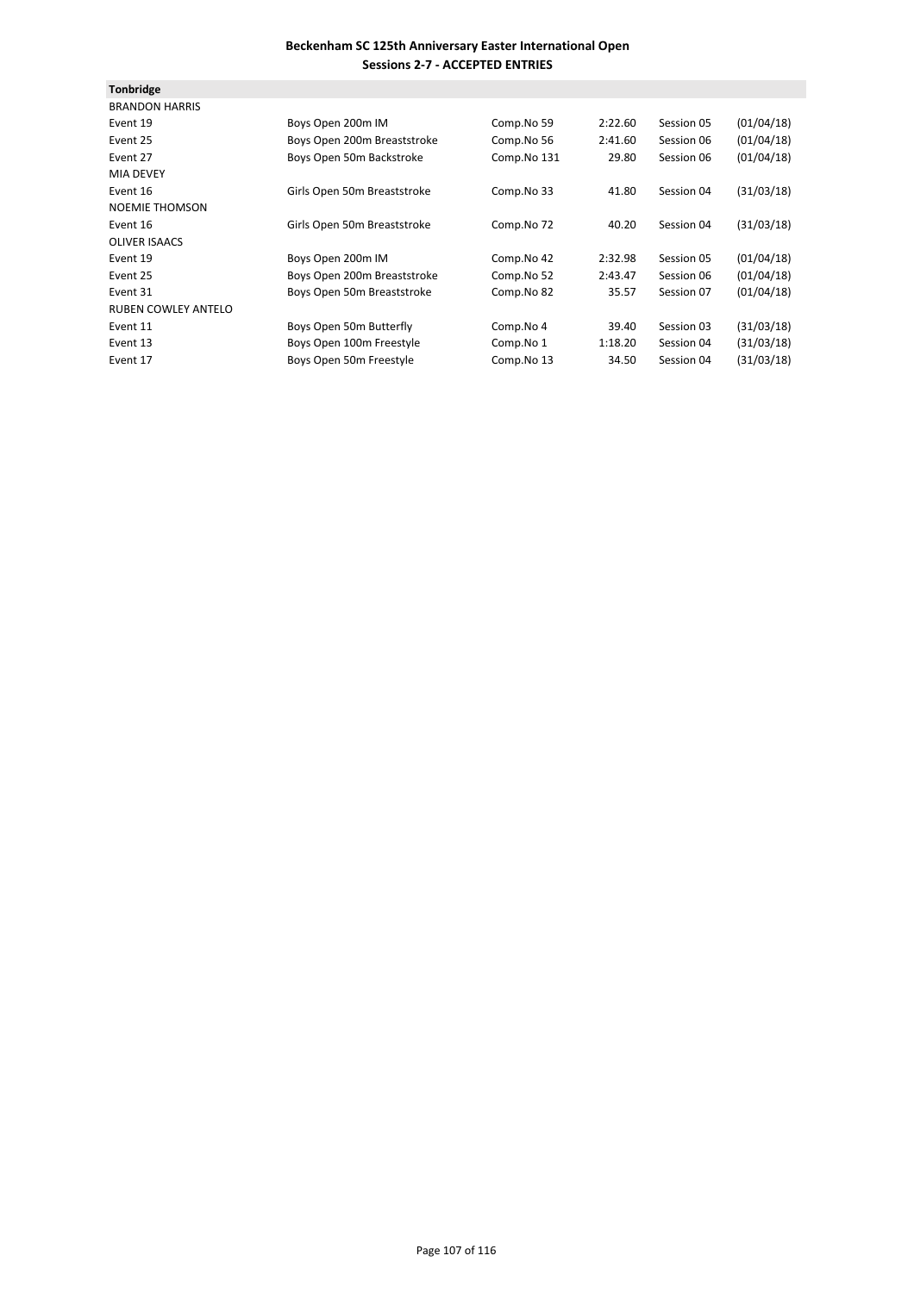| <b>Tonbridge</b>           |                             |             |         |            |            |
|----------------------------|-----------------------------|-------------|---------|------------|------------|
| <b>BRANDON HARRIS</b>      |                             |             |         |            |            |
| Event 19                   | Boys Open 200m IM           | Comp.No 59  | 2:22.60 | Session 05 | (01/04/18) |
| Event 25                   | Boys Open 200m Breaststroke | Comp.No 56  | 2:41.60 | Session 06 | (01/04/18) |
| Event 27                   | Boys Open 50m Backstroke    | Comp.No 131 | 29.80   | Session 06 | (01/04/18) |
| <b>MIA DEVEY</b>           |                             |             |         |            |            |
| Event 16                   | Girls Open 50m Breaststroke | Comp.No 33  | 41.80   | Session 04 | (31/03/18) |
| <b>NOEMIE THOMSON</b>      |                             |             |         |            |            |
| Event 16                   | Girls Open 50m Breaststroke | Comp.No 72  | 40.20   | Session 04 | (31/03/18) |
| <b>OLIVER ISAACS</b>       |                             |             |         |            |            |
| Event 19                   | Boys Open 200m IM           | Comp.No 42  | 2:32.98 | Session 05 | (01/04/18) |
| Event 25                   | Boys Open 200m Breaststroke | Comp.No 52  | 2:43.47 | Session 06 | (01/04/18) |
| Event 31                   | Boys Open 50m Breaststroke  | Comp.No 82  | 35.57   | Session 07 | (01/04/18) |
| <b>RUBEN COWLEY ANTELO</b> |                             |             |         |            |            |
| Event 11                   | Boys Open 50m Butterfly     | Comp.No 4   | 39.40   | Session 03 | (31/03/18) |
| Event 13                   | Boys Open 100m Freestyle    | Comp.No 1   | 1:18.20 | Session 04 | (31/03/18) |
| Event 17                   | Boys Open 50m Freestyle     | Comp.No 13  | 34.50   | Session 04 | (31/03/18) |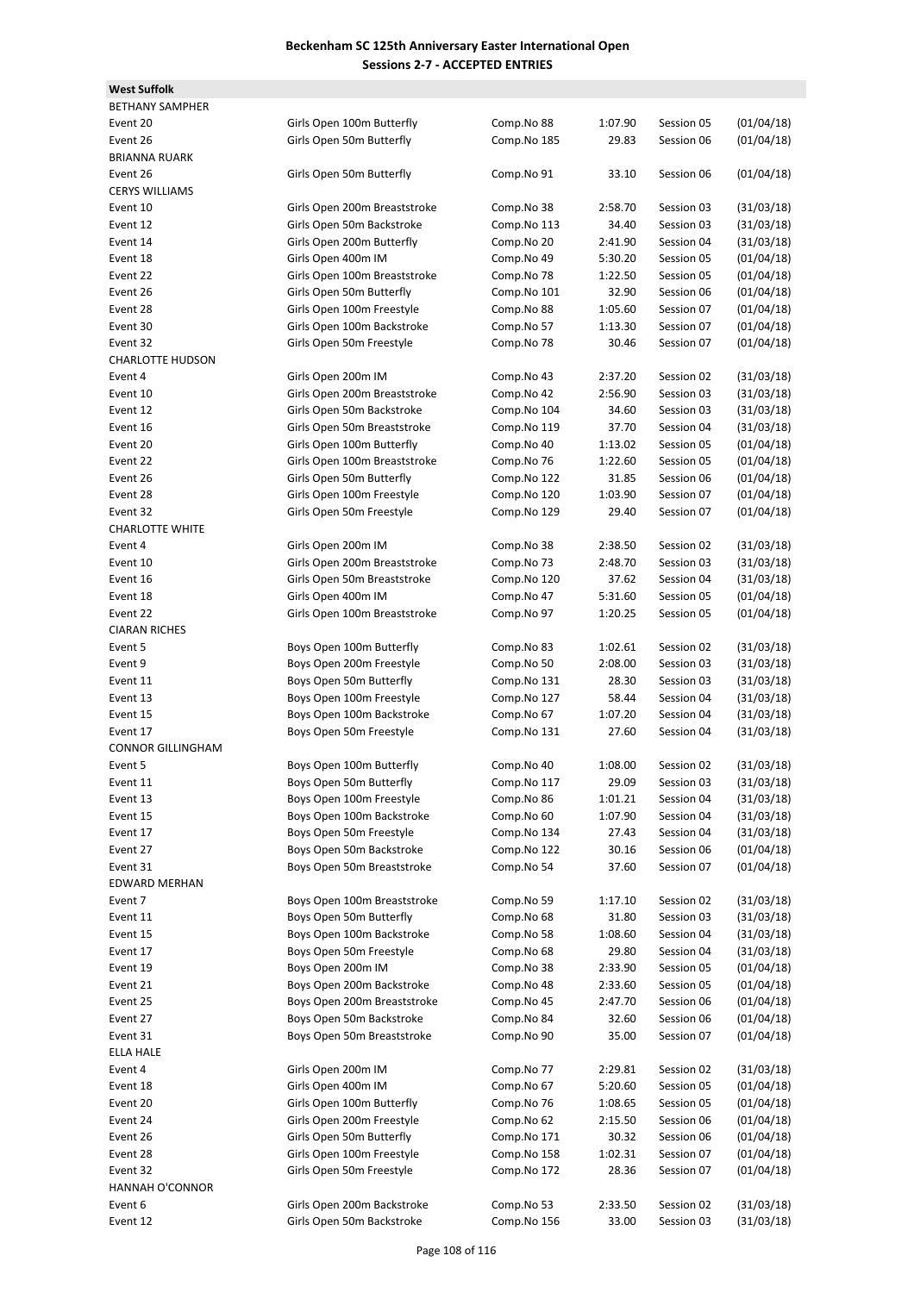**West Suffolk**

BETHANY SAMPHER Event 20 Girls Open 100m Butterfly Comp.No 88 1:07.90 Session 05 (01/04/18) Event 26 Girls Open 50m Butterfly Comp.No 185 29.83 Session 06 (01/04/18) **BRIANNA RUARK** Event 26 Girls Open 50m Butterfly Comp.No 91 33.10 Session 06 (01/04/18) CERYS WILLIAMS Event 10 Girls Open 200m Breaststroke Comp.No 38 2:58.70 Session 03 (31/03/18) Event 12 Girls Open 50m Backstroke Comp.No 113 34.40 Session 03 (31/03/18) Event 14 Girls Open 200m Butterfly Comp.No 20 2:41.90 Session 04 (31/03/18) Event 18 Girls Open 400m IM Comp.No 49 5:30.20 Session 05 (01/04/18) Event 22 Girls Open 100m Breaststroke Comp.No 78 1:22.50 Session 05 (01/04/18) Event 26 Girls Open 50m Butterfly Comp.No 101 32.90 Session 06 (01/04/18) Event 28 Girls Open 100m Freestyle Comp.No 88 1:05.60 Session 07 (01/04/18) Event 30 Girls Open 100m Backstroke Comp.No 57 1:13.30 Session 07 (01/04/18) Event 32 **Girls Open 50m Freestyle** Comp.No 78 30.46 Session 07 (01/04/18) CHARLOTTE HUDSON Event 4 Girls Open 200m IM Comp.No 43 2:37.20 Session 02 (31/03/18) Event 10 Girls Open 200m Breaststroke Comp.No 42 2:56.90 Session 03 (31/03/18) Event 12 Girls Open 50m Backstroke Comp.No 104 34.60 Session 03 (31/03/18) Event 16 Girls Open 50m Breaststroke Comp.No 119 37.70 Session 04 (31/03/18) Event 20 Girls Open 100m Butterfly Comp.No 40 1:13.02 Session 05 (01/04/18) Event 22 Girls Open 100m Breaststroke Comp.No 76 1:22.60 Session 05 (01/04/18) Event 26 Girls Open 50m Butterfly Comp.No 122 31.85 Session 06 (01/04/18) Event 28 Girls Open 100m Freestyle Comp.No 120 1:03.90 Session 07 (01/04/18) Event 32 **Girls Open 50m Freestyle** Comp.No 129 29.40 Session 07 (01/04/18) **CHARLOTTE WHITE** Event 4 Girls Open 200m IM Comp.No 38 2:38.50 Session 02 (31/03/18) Event 10 Girls Open 200m Breaststroke Comp.No 73 2:48.70 Session 03 (31/03/18) Event 16 Girls Open 50m Breaststroke Comp.No 120 37.62 Session 04 (31/03/18) Event 18 Girls Open 400m IM Comp.No 47 5:31.60 Session 05 (01/04/18) Event 22 Girls Open 100m Breaststroke Comp.No 97 1:20.25 Session 05 (01/04/18) **CIARAN RICHES** Event 5 Boys Open 100m Butterfly Comp.No 83 1:02.61 Session 02 (31/03/18) Event 9 Boys Open 200m Freestyle Comp.No 50 2:08.00 Session 03 (31/03/18) Event 11 Boys Open 50m Butterfly Comp.No 131 28.30 Session 03 (31/03/18) Event 13 Boys Open 100m Freestyle Comp.No 127 58.44 Session 04 (31/03/18) Event 15 Boys Open 100m Backstroke Comp.No 67 1:07.20 Session 04 (31/03/18) Event 17 Boys Open 50m Freestyle Comp.No 131 27.60 Session 04 (31/03/18) CONNOR GILLINGHAM Event 5 6000 Boys Open 100m Butterfly Comp.No 40 1:08.00 Session 02 (31/03/18) Event 11 Boys Open 50m Butterfly Comp.No 117 29.09 Session 03 (31/03/18) Event 13 Boys Open 100m Freestyle Comp.No 86 1:01.21 Session 04 (31/03/18) Event 15 Boys Open 100m Backstroke Comp.No 60 1:07.90 Session 04 (31/03/18) Event 17 Boys Open 50m Freestyle Comp.No 134 27.43 Session 04 (31/03/18) Event 27 Boys Open 50m Backstroke Comp.No 122 30.16 Session 06 (01/04/18) Event 31 Boys Open 50m Breaststroke Comp.No 54 37.60 Session 07 (01/04/18) EDWARD MERHAN Event 7 **Boys Open 100m Breaststroke** Comp.No 59 1:17.10 Session 02 (31/03/18) Event 11 Boys Open 50m Butterfly Comp.No 68 31.80 Session 03 (31/03/18) Event 15 Boys Open 100m Backstroke Comp.No 58 1:08.60 Session 04 (31/03/18) Event 17 Boys Open 50m Freestyle Comp.No 68 29.80 Session 04 (31/03/18) Event 19 Boys Open 200m IM Comp.No 38 2:33.90 Session 05 (01/04/18) Event 21 Boys Open 200m Backstroke Comp.No 48 2:33.60 Session 05 (01/04/18) Event 25 Boys Open 200m Breaststroke Comp.No 45 2:47.70 Session 06 (01/04/18) Event 27 Boys Open 50m Backstroke Comp.No 84 32.60 Session 06 (01/04/18) Event 31 Boys Open 50m Breaststroke Comp.No 90 35.00 Session 07 (01/04/18) ELLA HALE Event 4 Girls Open 200m IM Comp.No 77 2:29.81 Session 02 (31/03/18) Event 18 Girls Open 400m IM Comp.No 67 5:20.60 Session 05 (01/04/18) Event 20 Girls Open 100m Butterfly Comp.No 76 1:08.65 Session 05 (01/04/18) Event 24 Girls Open 200m Freestyle Comp.No 62 2:15.50 Session 06 (01/04/18) Event 26 Girls Open 50m Butterfly Comp.No 171 30.32 Session 06 (01/04/18) Event 28 Girls Open 100m Freestyle Comp.No 158 1:02.31 Session 07 (01/04/18) Event 32 **Girls Open 50m Freestyle** Comp.No 172 28.36 Session 07 (01/04/18) HANNAH O'CONNOR Event 6 Girls Open 200m Backstroke Comp.No 53 2:33.50 Session 02 (31/03/18) Event 12 Girls Open 50m Backstroke Comp.No 156 33.00 Session 03 (31/03/18)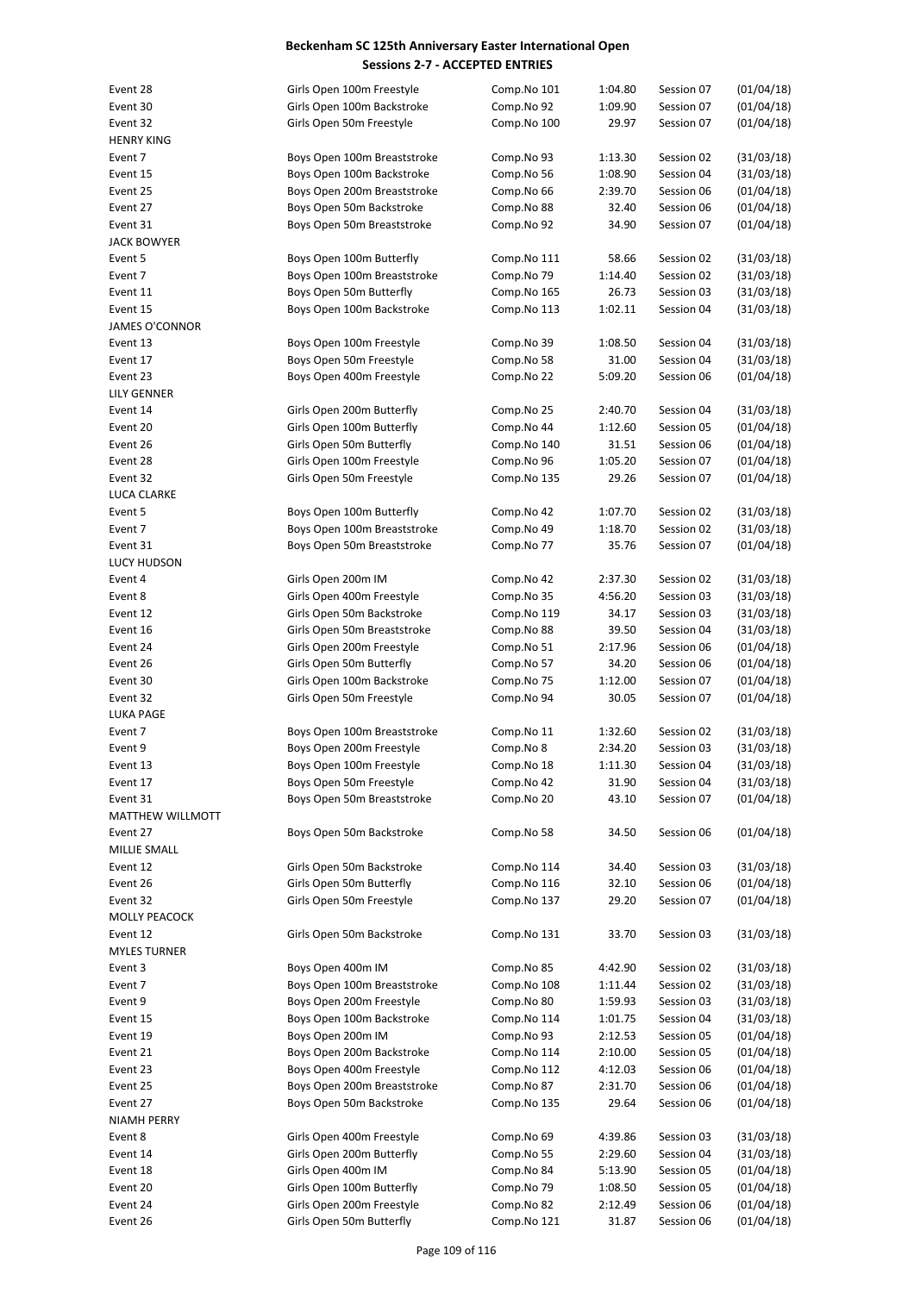| Event 28            | Girls Open 100m Freestyle                               | Comp.No 101              | 1:04.80            | Session 07               | (01/04/18)               |
|---------------------|---------------------------------------------------------|--------------------------|--------------------|--------------------------|--------------------------|
| Event 30            | Girls Open 100m Backstroke                              | Comp.No 92               | 1:09.90            | Session 07               | (01/04/18)               |
| Event 32            | Girls Open 50m Freestyle                                | Comp.No 100              | 29.97              | Session 07               | (01/04/18)               |
| <b>HENRY KING</b>   |                                                         |                          |                    |                          |                          |
| Event 7             | Boys Open 100m Breaststroke                             | Comp.No 93               | 1:13.30            | Session 02               | (31/03/18)               |
| Event 15            | Boys Open 100m Backstroke                               | Comp.No 56               | 1:08.90            | Session 04               | (31/03/18)               |
| Event 25            | Boys Open 200m Breaststroke                             | Comp.No 66               | 2:39.70            | Session 06               | (01/04/18)               |
| Event 27            | Boys Open 50m Backstroke                                | Comp.No 88               | 32.40              | Session 06               | (01/04/18)               |
| Event 31            | Boys Open 50m Breaststroke                              | Comp.No 92               | 34.90              | Session 07               | (01/04/18)               |
| <b>JACK BOWYER</b>  |                                                         |                          |                    |                          |                          |
| Event 5             | Boys Open 100m Butterfly                                | Comp.No 111              | 58.66              | Session 02               | (31/03/18)               |
| Event 7             | Boys Open 100m Breaststroke                             | Comp.No 79               | 1:14.40            | Session 02               | (31/03/18)               |
| Event 11            | Boys Open 50m Butterfly                                 | Comp.No 165              | 26.73              | Session 03               | (31/03/18)               |
| Event 15            | Boys Open 100m Backstroke                               | Comp.No 113              | 1:02.11            | Session 04               | (31/03/18)               |
| JAMES O'CONNOR      |                                                         |                          |                    |                          |                          |
| Event 13            | Boys Open 100m Freestyle                                | Comp.No 39               | 1:08.50            | Session 04               | (31/03/18)               |
| Event 17            | Boys Open 50m Freestyle                                 | Comp.No 58               | 31.00              | Session 04               | (31/03/18)               |
| Event 23            | Boys Open 400m Freestyle                                | Comp.No 22               | 5:09.20            | Session 06               | (01/04/18)               |
| LILY GENNER         |                                                         |                          |                    |                          |                          |
| Event 14            | Girls Open 200m Butterfly                               | Comp.No 25               | 2:40.70            | Session 04               | (31/03/18)               |
| Event 20            | Girls Open 100m Butterfly                               | Comp.No 44               | 1:12.60            | Session 05               | (01/04/18)               |
| Event 26            | Girls Open 50m Butterfly                                | Comp.No 140              | 31.51              | Session 06               | (01/04/18)               |
| Event 28            | Girls Open 100m Freestyle                               | Comp.No 96               | 1:05.20            | Session 07               | (01/04/18)               |
| Event 32            | Girls Open 50m Freestyle                                | Comp.No 135              | 29.26              | Session 07               | (01/04/18)               |
| LUCA CLARKE         |                                                         |                          |                    |                          |                          |
| Event 5             | Boys Open 100m Butterfly                                | Comp.No 42               | 1:07.70            | Session 02               | (31/03/18)               |
| Event 7             | Boys Open 100m Breaststroke                             | Comp.No 49               | 1:18.70            | Session 02               | (31/03/18)               |
| Event 31            | Boys Open 50m Breaststroke                              | Comp.No 77               | 35.76              | Session 07               | (01/04/18)               |
| LUCY HUDSON         |                                                         |                          |                    |                          |                          |
| Event 4             | Girls Open 200m IM                                      | Comp.No 42               | 2:37.30            | Session 02               | (31/03/18)               |
| Event 8             | Girls Open 400m Freestyle                               | Comp.No 35               | 4:56.20            | Session 03               | (31/03/18)               |
| Event 12            | Girls Open 50m Backstroke                               | Comp.No 119              | 34.17              | Session 03               | (31/03/18)               |
| Event 16            | Girls Open 50m Breaststroke                             | Comp.No 88               | 39.50              | Session 04               | (31/03/18)               |
| Event 24            | Girls Open 200m Freestyle                               | Comp.No 51               | 2:17.96            | Session 06               | (01/04/18)               |
| Event 26            | Girls Open 50m Butterfly                                | Comp.No 57               | 34.20              | Session 06               | (01/04/18)               |
| Event 30            | Girls Open 100m Backstroke                              | Comp.No 75               | 1:12.00            | Session 07               | (01/04/18)               |
| Event 32            | Girls Open 50m Freestyle                                | Comp.No 94               | 30.05              | Session 07               | (01/04/18)               |
| LUKA PAGE           |                                                         |                          |                    |                          |                          |
| Event 7<br>Event 9  | Boys Open 100m Breaststroke<br>Boys Open 200m Freestyle | Comp.No 11<br>Comp.No 8  | 1:32.60<br>2:34.20 | Session 02<br>Session 03 | (31/03/18)               |
| Event 13            | Boys Open 100m Freestyle                                | Comp.No 18               | 1:11.30            | Session 04               | (31/03/18)<br>(31/03/18) |
| Event 17            | Boys Open 50m Freestyle                                 |                          | 31.90              | Session 04               | (31/03/18)               |
| Event 31            | Boys Open 50m Breaststroke                              | Comp.No 42<br>Comp.No 20 | 43.10              | Session 07               | (01/04/18)               |
| MATTHEW WILLMOTT    |                                                         |                          |                    |                          |                          |
| Event 27            | Boys Open 50m Backstroke                                | Comp.No 58               | 34.50              | Session 06               | (01/04/18)               |
| MILLIE SMALL        |                                                         |                          |                    |                          |                          |
| Event 12            | Girls Open 50m Backstroke                               | Comp.No 114              | 34.40              | Session 03               | (31/03/18)               |
| Event 26            | Girls Open 50m Butterfly                                | Comp.No 116              | 32.10              | Session 06               | (01/04/18)               |
| Event 32            | Girls Open 50m Freestyle                                | Comp.No 137              | 29.20              | Session 07               | (01/04/18)               |
| MOLLY PEACOCK       |                                                         |                          |                    |                          |                          |
| Event 12            | Girls Open 50m Backstroke                               | Comp.No 131              | 33.70              | Session 03               | (31/03/18)               |
| <b>MYLES TURNER</b> |                                                         |                          |                    |                          |                          |
| Event 3             | Boys Open 400m IM                                       | Comp.No 85               | 4:42.90            | Session 02               | (31/03/18)               |
| Event 7             | Boys Open 100m Breaststroke                             | Comp.No 108              | 1:11.44            | Session 02               | (31/03/18)               |
| Event 9             | Boys Open 200m Freestyle                                | Comp.No 80               | 1:59.93            | Session 03               | (31/03/18)               |
| Event 15            | Boys Open 100m Backstroke                               | Comp.No 114              | 1:01.75            | Session 04               | (31/03/18)               |
| Event 19            | Boys Open 200m IM                                       | Comp.No 93               | 2:12.53            | Session 05               | (01/04/18)               |
| Event 21            | Boys Open 200m Backstroke                               | Comp.No 114              | 2:10.00            | Session 05               | (01/04/18)               |
| Event 23            | Boys Open 400m Freestyle                                | Comp.No 112              | 4:12.03            | Session 06               | (01/04/18)               |
| Event 25            | Boys Open 200m Breaststroke                             | Comp.No 87               | 2:31.70            | Session 06               | (01/04/18)               |
| Event 27            | Boys Open 50m Backstroke                                | Comp.No 135              | 29.64              | Session 06               | (01/04/18)               |
| NIAMH PERRY         |                                                         |                          |                    |                          |                          |
| Event 8             | Girls Open 400m Freestyle                               | Comp.No 69               | 4:39.86            | Session 03               | (31/03/18)               |
| Event 14            | Girls Open 200m Butterfly                               | Comp.No 55               | 2:29.60            | Session 04               | (31/03/18)               |
| Event 18            | Girls Open 400m IM                                      | Comp.No 84               | 5:13.90            | Session 05               | (01/04/18)               |
| Event 20            | Girls Open 100m Butterfly                               | Comp.No 79               | 1:08.50            | Session 05               | (01/04/18)               |
| Event 24            | Girls Open 200m Freestyle                               | Comp.No 82               | 2:12.49            | Session 06               | (01/04/18)               |
| Event 26            | Girls Open 50m Butterfly                                | Comp.No 121              | 31.87              | Session 06               | (01/04/18)               |
|                     |                                                         |                          |                    |                          |                          |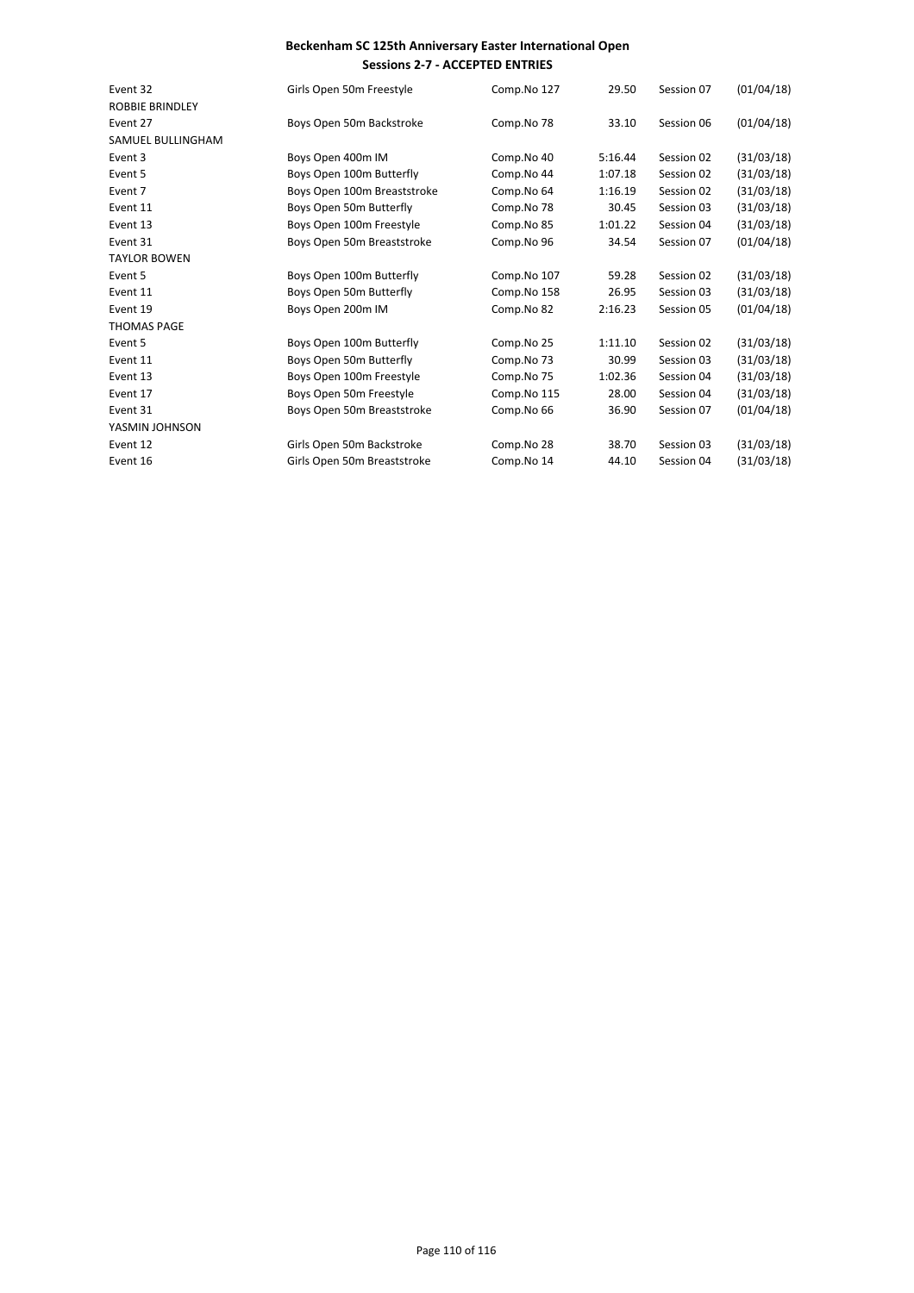| Event 32               |                             |             |         |            |            |
|------------------------|-----------------------------|-------------|---------|------------|------------|
|                        | Girls Open 50m Freestyle    | Comp.No 127 | 29.50   | Session 07 | (01/04/18) |
| <b>ROBBIE BRINDLEY</b> |                             |             |         |            |            |
| Event 27               | Boys Open 50m Backstroke    | Comp.No 78  | 33.10   | Session 06 | (01/04/18) |
| SAMUEL BULLINGHAM      |                             |             |         |            |            |
| Event 3                | Boys Open 400m IM           | Comp.No 40  | 5:16.44 | Session 02 | (31/03/18) |
| Event 5                | Boys Open 100m Butterfly    | Comp.No 44  | 1:07.18 | Session 02 | (31/03/18) |
| Event 7                | Boys Open 100m Breaststroke | Comp.No 64  | 1:16.19 | Session 02 | (31/03/18) |
| Event 11               | Boys Open 50m Butterfly     | Comp.No 78  | 30.45   | Session 03 | (31/03/18) |
| Event 13               | Boys Open 100m Freestyle    | Comp.No 85  | 1:01.22 | Session 04 | (31/03/18) |
| Event 31               | Boys Open 50m Breaststroke  | Comp.No 96  | 34.54   | Session 07 | (01/04/18) |
| <b>TAYLOR BOWEN</b>    |                             |             |         |            |            |
| Event 5                | Boys Open 100m Butterfly    | Comp.No 107 | 59.28   | Session 02 | (31/03/18) |
| Event 11               | Boys Open 50m Butterfly     | Comp.No 158 | 26.95   | Session 03 | (31/03/18) |
| Event 19               | Boys Open 200m IM           | Comp.No 82  | 2:16.23 | Session 05 | (01/04/18) |
| <b>THOMAS PAGE</b>     |                             |             |         |            |            |
| Event 5                | Boys Open 100m Butterfly    | Comp.No 25  | 1:11.10 | Session 02 | (31/03/18) |
| Event 11               | Boys Open 50m Butterfly     | Comp.No 73  | 30.99   | Session 03 | (31/03/18) |
| Event 13               | Boys Open 100m Freestyle    | Comp.No 75  | 1:02.36 | Session 04 | (31/03/18) |
| Event 17               | Boys Open 50m Freestyle     | Comp.No 115 | 28.00   | Session 04 | (31/03/18) |
| Event 31               | Boys Open 50m Breaststroke  | Comp.No 66  | 36.90   | Session 07 | (01/04/18) |
| YASMIN JOHNSON         |                             |             |         |            |            |
| Event 12               | Girls Open 50m Backstroke   | Comp.No 28  | 38.70   | Session 03 | (31/03/18) |
| Event 16               | Girls Open 50m Breaststroke | Comp.No 14  | 44.10   | Session 04 | (31/03/18) |
|                        |                             |             |         |            |            |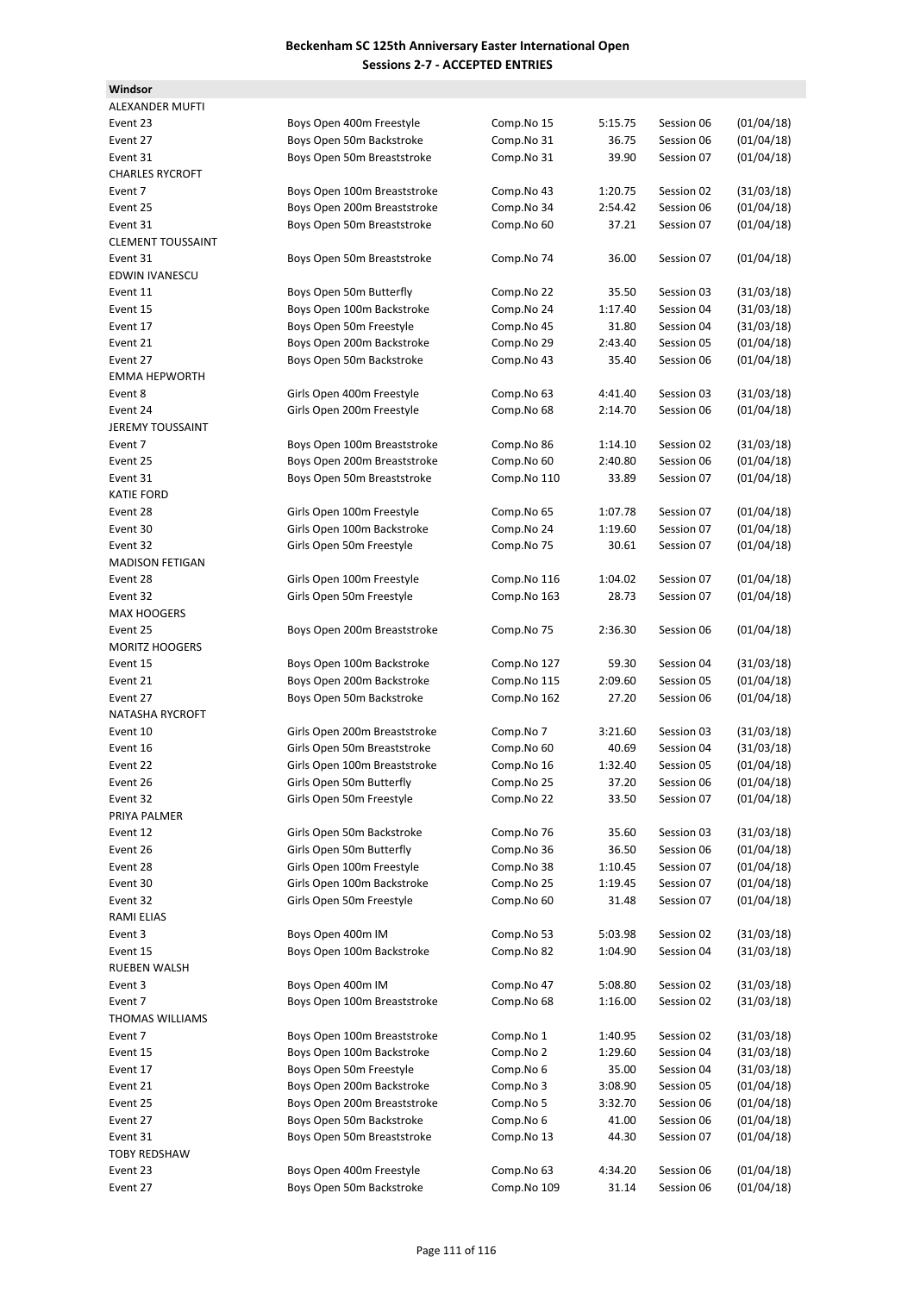**Windsor**

| <b>ALEXANDER MUFTI</b>   |                              |             |         |            |            |
|--------------------------|------------------------------|-------------|---------|------------|------------|
| Event 23                 | Boys Open 400m Freestyle     | Comp.No 15  | 5:15.75 | Session 06 | (01/04/18) |
| Event 27                 | Boys Open 50m Backstroke     | Comp.No 31  | 36.75   | Session 06 | (01/04/18) |
| Event 31                 | Boys Open 50m Breaststroke   | Comp.No 31  | 39.90   | Session 07 | (01/04/18) |
| <b>CHARLES RYCROFT</b>   |                              |             |         |            |            |
| Event 7                  | Boys Open 100m Breaststroke  | Comp.No 43  | 1:20.75 | Session 02 | (31/03/18) |
| Event 25                 | Boys Open 200m Breaststroke  | Comp.No 34  | 2:54.42 | Session 06 | (01/04/18) |
| Event 31                 | Boys Open 50m Breaststroke   | Comp.No 60  | 37.21   | Session 07 | (01/04/18) |
| <b>CLEMENT TOUSSAINT</b> |                              |             |         |            |            |
| Event 31                 | Boys Open 50m Breaststroke   | Comp.No 74  | 36.00   | Session 07 | (01/04/18) |
| <b>EDWIN IVANESCU</b>    |                              |             |         |            |            |
| Event 11                 | Boys Open 50m Butterfly      | Comp.No 22  | 35.50   | Session 03 | (31/03/18) |
| Event 15                 | Boys Open 100m Backstroke    | Comp.No 24  | 1:17.40 | Session 04 | (31/03/18) |
| Event 17                 | Boys Open 50m Freestyle      | Comp.No 45  | 31.80   | Session 04 | (31/03/18) |
| Event 21                 | Boys Open 200m Backstroke    | Comp.No 29  | 2:43.40 | Session 05 | (01/04/18) |
| Event 27                 | Boys Open 50m Backstroke     | Comp.No 43  | 35.40   | Session 06 | (01/04/18) |
| <b>EMMA HEPWORTH</b>     |                              |             |         |            |            |
| Event 8                  | Girls Open 400m Freestyle    | Comp.No 63  | 4:41.40 | Session 03 | (31/03/18) |
| Event 24                 | Girls Open 200m Freestyle    | Comp.No 68  | 2:14.70 | Session 06 | (01/04/18) |
| <b>JEREMY TOUSSAINT</b>  |                              |             |         |            |            |
| Event 7                  | Boys Open 100m Breaststroke  | Comp.No 86  | 1:14.10 | Session 02 | (31/03/18) |
| Event 25                 | Boys Open 200m Breaststroke  | Comp.No 60  | 2:40.80 | Session 06 | (01/04/18) |
| Event 31                 | Boys Open 50m Breaststroke   | Comp.No 110 | 33.89   | Session 07 | (01/04/18) |
| <b>KATIE FORD</b>        |                              |             |         |            |            |
| Event 28                 | Girls Open 100m Freestyle    | Comp.No 65  | 1:07.78 | Session 07 | (01/04/18) |
| Event 30                 | Girls Open 100m Backstroke   | Comp.No 24  | 1:19.60 | Session 07 | (01/04/18) |
| Event 32                 | Girls Open 50m Freestyle     | Comp.No 75  | 30.61   | Session 07 | (01/04/18) |
| <b>MADISON FETIGAN</b>   |                              |             |         |            |            |
| Event 28                 | Girls Open 100m Freestyle    | Comp.No 116 | 1:04.02 | Session 07 | (01/04/18) |
| Event 32                 | Girls Open 50m Freestyle     | Comp.No 163 | 28.73   | Session 07 | (01/04/18) |
|                          |                              |             |         |            |            |
| <b>MAX HOOGERS</b>       |                              |             |         |            |            |
| Event 25                 | Boys Open 200m Breaststroke  | Comp.No 75  | 2:36.30 | Session 06 | (01/04/18) |
| <b>MORITZ HOOGERS</b>    |                              |             |         |            |            |
| Event 15                 | Boys Open 100m Backstroke    | Comp.No 127 | 59.30   | Session 04 | (31/03/18) |
| Event 21                 | Boys Open 200m Backstroke    | Comp.No 115 | 2:09.60 | Session 05 | (01/04/18) |
| Event 27                 | Boys Open 50m Backstroke     | Comp.No 162 | 27.20   | Session 06 | (01/04/18) |
| <b>NATASHA RYCROFT</b>   |                              |             |         |            |            |
| Event 10                 | Girls Open 200m Breaststroke | Comp.No 7   | 3:21.60 | Session 03 | (31/03/18) |
| Event 16                 | Girls Open 50m Breaststroke  | Comp.No 60  | 40.69   | Session 04 | (31/03/18) |
| Event 22                 | Girls Open 100m Breaststroke | Comp.No 16  | 1:32.40 | Session 05 | (01/04/18) |
| Event 26                 | Girls Open 50m Butterfly     | Comp.No 25  | 37.20   | Session 06 | (01/04/18) |
| Event 32                 | Girls Open 50m Freestyle     | Comp.No 22  | 33.50   | Session 07 | (01/04/18) |
| PRIYA PALMER             |                              |             |         |            |            |
| Event 12                 | Girls Open 50m Backstroke    | Comp.No 76  | 35.60   | Session 03 | (31/03/18) |
| Event 26                 | Girls Open 50m Butterfly     | Comp.No 36  | 36.50   | Session 06 | (01/04/18) |
| Event 28                 | Girls Open 100m Freestyle    | Comp.No 38  | 1:10.45 | Session 07 | (01/04/18) |
| Event 30                 | Girls Open 100m Backstroke   | Comp.No 25  | 1:19.45 | Session 07 | (01/04/18) |
| Event 32                 | Girls Open 50m Freestyle     | Comp.No 60  | 31.48   | Session 07 | (01/04/18) |
| <b>RAMI ELIAS</b>        |                              |             |         |            |            |
| Event 3                  | Boys Open 400m IM            | Comp.No 53  | 5:03.98 | Session 02 | (31/03/18) |
| Event 15                 | Boys Open 100m Backstroke    | Comp.No 82  | 1:04.90 | Session 04 | (31/03/18) |
| RUEBEN WALSH             |                              |             |         |            |            |
| Event 3                  | Boys Open 400m IM            | Comp.No 47  | 5:08.80 | Session 02 | (31/03/18) |
| Event 7                  | Boys Open 100m Breaststroke  | Comp.No 68  | 1:16.00 | Session 02 | (31/03/18) |
| THOMAS WILLIAMS          |                              |             |         |            |            |
| Event 7                  | Boys Open 100m Breaststroke  | Comp.No 1   | 1:40.95 | Session 02 | (31/03/18) |
| Event 15                 | Boys Open 100m Backstroke    | Comp.No 2   | 1:29.60 | Session 04 | (31/03/18) |
| Event 17                 | Boys Open 50m Freestyle      | Comp.No 6   | 35.00   | Session 04 | (31/03/18) |
| Event 21                 | Boys Open 200m Backstroke    | Comp.No 3   | 3:08.90 | Session 05 | (01/04/18) |
| Event 25                 | Boys Open 200m Breaststroke  | Comp.No 5   | 3:32.70 | Session 06 | (01/04/18) |
| Event 27                 | Boys Open 50m Backstroke     | Comp.No 6   | 41.00   | Session 06 | (01/04/18) |
| Event 31                 | Boys Open 50m Breaststroke   | Comp.No 13  | 44.30   | Session 07 | (01/04/18) |
| <b>TOBY REDSHAW</b>      |                              |             |         |            |            |
| Event 23                 | Boys Open 400m Freestyle     | Comp.No 63  | 4:34.20 | Session 06 | (01/04/18) |
| Event 27                 | Boys Open 50m Backstroke     | Comp.No 109 | 31.14   | Session 06 | (01/04/18) |
|                          |                              |             |         |            |            |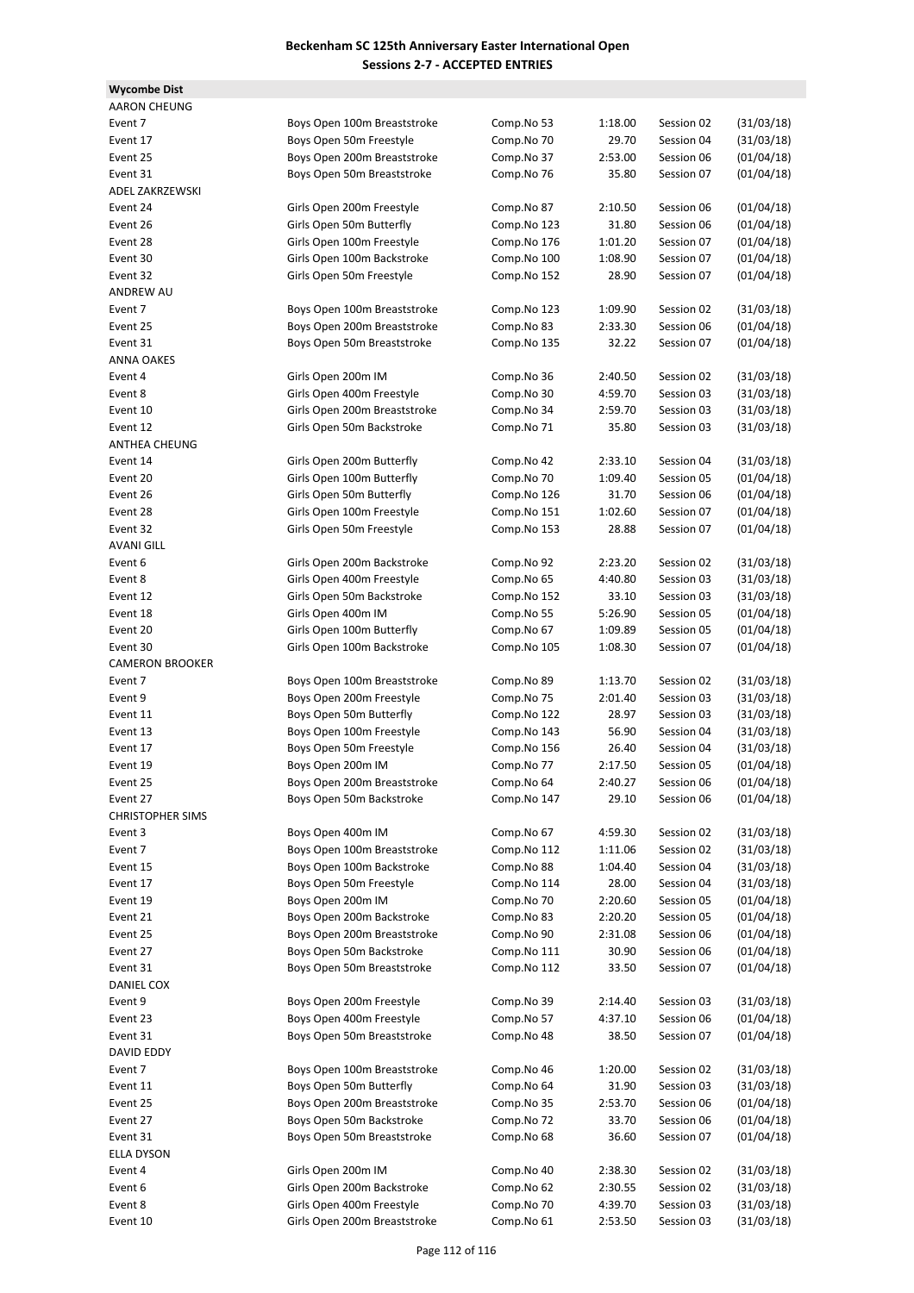**Wycombe Dist**

| AARON CHEUNG            |                              |             |         |            |            |
|-------------------------|------------------------------|-------------|---------|------------|------------|
| Event 7                 | Boys Open 100m Breaststroke  | Comp.No 53  | 1:18.00 | Session 02 | (31/03/18) |
| Event 17                | Boys Open 50m Freestyle      | Comp.No 70  | 29.70   | Session 04 | (31/03/18) |
| Event 25                | Boys Open 200m Breaststroke  | Comp.No 37  | 2:53.00 | Session 06 | (01/04/18) |
| Event 31                | Boys Open 50m Breaststroke   | Comp.No 76  | 35.80   | Session 07 | (01/04/18) |
| ADEL ZAKRZEWSKI         |                              |             |         |            |            |
| Event 24                | Girls Open 200m Freestyle    | Comp.No 87  | 2:10.50 | Session 06 | (01/04/18) |
| Event 26                | Girls Open 50m Butterfly     | Comp.No 123 | 31.80   | Session 06 | (01/04/18) |
| Event 28                | Girls Open 100m Freestyle    | Comp.No 176 | 1:01.20 | Session 07 | (01/04/18) |
| Event 30                | Girls Open 100m Backstroke   | Comp.No 100 | 1:08.90 | Session 07 | (01/04/18) |
| Event 32                | Girls Open 50m Freestyle     | Comp.No 152 | 28.90   | Session 07 | (01/04/18) |
| <b>ANDREW AU</b>        |                              |             |         |            |            |
| Event 7                 | Boys Open 100m Breaststroke  | Comp.No 123 | 1:09.90 | Session 02 | (31/03/18) |
| Event 25                | Boys Open 200m Breaststroke  | Comp.No 83  | 2:33.30 | Session 06 | (01/04/18) |
| Event 31                | Boys Open 50m Breaststroke   | Comp.No 135 | 32.22   | Session 07 | (01/04/18) |
| <b>ANNA OAKES</b>       |                              |             |         |            |            |
| Event 4                 | Girls Open 200m IM           | Comp.No 36  | 2:40.50 | Session 02 | (31/03/18) |
| Event 8                 | Girls Open 400m Freestyle    | Comp.No 30  | 4:59.70 | Session 03 | (31/03/18) |
| Event 10                | Girls Open 200m Breaststroke | Comp.No 34  | 2:59.70 | Session 03 | (31/03/18) |
| Event 12                | Girls Open 50m Backstroke    | Comp.No 71  | 35.80   | Session 03 | (31/03/18) |
| ANTHEA CHEUNG           |                              |             |         |            |            |
| Event 14                | Girls Open 200m Butterfly    | Comp.No 42  | 2:33.10 | Session 04 | (31/03/18) |
| Event 20                | Girls Open 100m Butterfly    | Comp.No 70  | 1:09.40 | Session 05 | (01/04/18) |
| Event 26                | Girls Open 50m Butterfly     | Comp.No 126 | 31.70   | Session 06 | (01/04/18) |
| Event 28                | Girls Open 100m Freestyle    | Comp.No 151 | 1:02.60 | Session 07 | (01/04/18) |
| Event 32                | Girls Open 50m Freestyle     | Comp.No 153 | 28.88   | Session 07 | (01/04/18) |
| AVANI GILL              |                              |             |         |            |            |
| Event 6                 | Girls Open 200m Backstroke   | Comp.No 92  | 2:23.20 | Session 02 | (31/03/18) |
| Event 8                 | Girls Open 400m Freestyle    | Comp.No 65  | 4:40.80 | Session 03 | (31/03/18) |
| Event 12                | Girls Open 50m Backstroke    | Comp.No 152 | 33.10   | Session 03 | (31/03/18) |
| Event 18                | Girls Open 400m IM           | Comp.No 55  | 5:26.90 | Session 05 | (01/04/18) |
| Event 20                | Girls Open 100m Butterfly    | Comp.No 67  | 1:09.89 | Session 05 | (01/04/18) |
| Event 30                | Girls Open 100m Backstroke   | Comp.No 105 | 1:08.30 | Session 07 | (01/04/18) |
| <b>CAMERON BROOKER</b>  |                              |             |         |            |            |
| Event 7                 | Boys Open 100m Breaststroke  | Comp.No 89  | 1:13.70 | Session 02 | (31/03/18) |
| Event 9                 | Boys Open 200m Freestyle     | Comp.No 75  | 2:01.40 | Session 03 |            |
| Event 11                |                              |             | 28.97   | Session 03 | (31/03/18) |
|                         | Boys Open 50m Butterfly      | Comp.No 122 |         |            | (31/03/18) |
| Event 13                | Boys Open 100m Freestyle     | Comp.No 143 | 56.90   | Session 04 | (31/03/18) |
| Event 17                | Boys Open 50m Freestyle      | Comp.No 156 | 26.40   | Session 04 | (31/03/18) |
| Event 19                | Boys Open 200m IM            | Comp.No 77  | 2:17.50 | Session 05 | (01/04/18) |
| Event 25                | Boys Open 200m Breaststroke  | Comp.No 64  | 2:40.27 | Session 06 | (01/04/18) |
| Event 27                | Boys Open 50m Backstroke     | Comp.No 147 | 29.10   | Session 06 | (01/04/18) |
| <b>CHRISTOPHER SIMS</b> |                              |             |         |            |            |
| Event 3                 | Boys Open 400m IM            | Comp.No 67  | 4:59.30 | Session 02 | (31/03/18) |
| Event 7                 | Boys Open 100m Breaststroke  | Comp.No 112 | 1:11.06 | Session 02 | (31/03/18) |
| Event 15                | Boys Open 100m Backstroke    | Comp.No 88  | 1:04.40 | Session 04 | (31/03/18) |
| Event 17                | Boys Open 50m Freestyle      | Comp.No 114 | 28.00   | Session 04 | (31/03/18) |
| Event 19                | Boys Open 200m IM            | Comp.No 70  | 2:20.60 | Session 05 | (01/04/18) |
| Event 21                | Boys Open 200m Backstroke    | Comp.No 83  | 2:20.20 | Session 05 | (01/04/18) |
| Event 25                | Boys Open 200m Breaststroke  | Comp.No 90  | 2:31.08 | Session 06 | (01/04/18) |
| Event 27                | Boys Open 50m Backstroke     | Comp.No 111 | 30.90   | Session 06 | (01/04/18) |
| Event 31                | Boys Open 50m Breaststroke   | Comp.No 112 | 33.50   | Session 07 | (01/04/18) |
| DANIEL COX              |                              |             |         |            |            |
| Event 9                 | Boys Open 200m Freestyle     | Comp.No 39  | 2:14.40 | Session 03 | (31/03/18) |
| Event 23                | Boys Open 400m Freestyle     | Comp.No 57  | 4:37.10 | Session 06 | (01/04/18) |
| Event 31                | Boys Open 50m Breaststroke   | Comp.No 48  | 38.50   | Session 07 | (01/04/18) |
| DAVID EDDY              |                              |             |         |            |            |
| Event 7                 | Boys Open 100m Breaststroke  | Comp.No 46  | 1:20.00 | Session 02 | (31/03/18) |
| Event 11                | Boys Open 50m Butterfly      | Comp.No 64  | 31.90   | Session 03 | (31/03/18) |
| Event 25                | Boys Open 200m Breaststroke  | Comp.No 35  | 2:53.70 | Session 06 | (01/04/18) |
| Event 27                | Boys Open 50m Backstroke     | Comp.No 72  | 33.70   | Session 06 | (01/04/18) |
| Event 31                | Boys Open 50m Breaststroke   | Comp.No 68  | 36.60   | Session 07 | (01/04/18) |
| ELLA DYSON              |                              |             |         |            |            |
| Event 4                 | Girls Open 200m IM           | Comp.No 40  | 2:38.30 | Session 02 | (31/03/18) |
| Event 6                 | Girls Open 200m Backstroke   | Comp.No 62  | 2:30.55 | Session 02 | (31/03/18) |
| Event 8                 | Girls Open 400m Freestyle    | Comp.No 70  | 4:39.70 | Session 03 | (31/03/18) |
| Event 10                | Girls Open 200m Breaststroke | Comp.No 61  | 2:53.50 | Session 03 | (31/03/18) |
|                         |                              |             |         |            |            |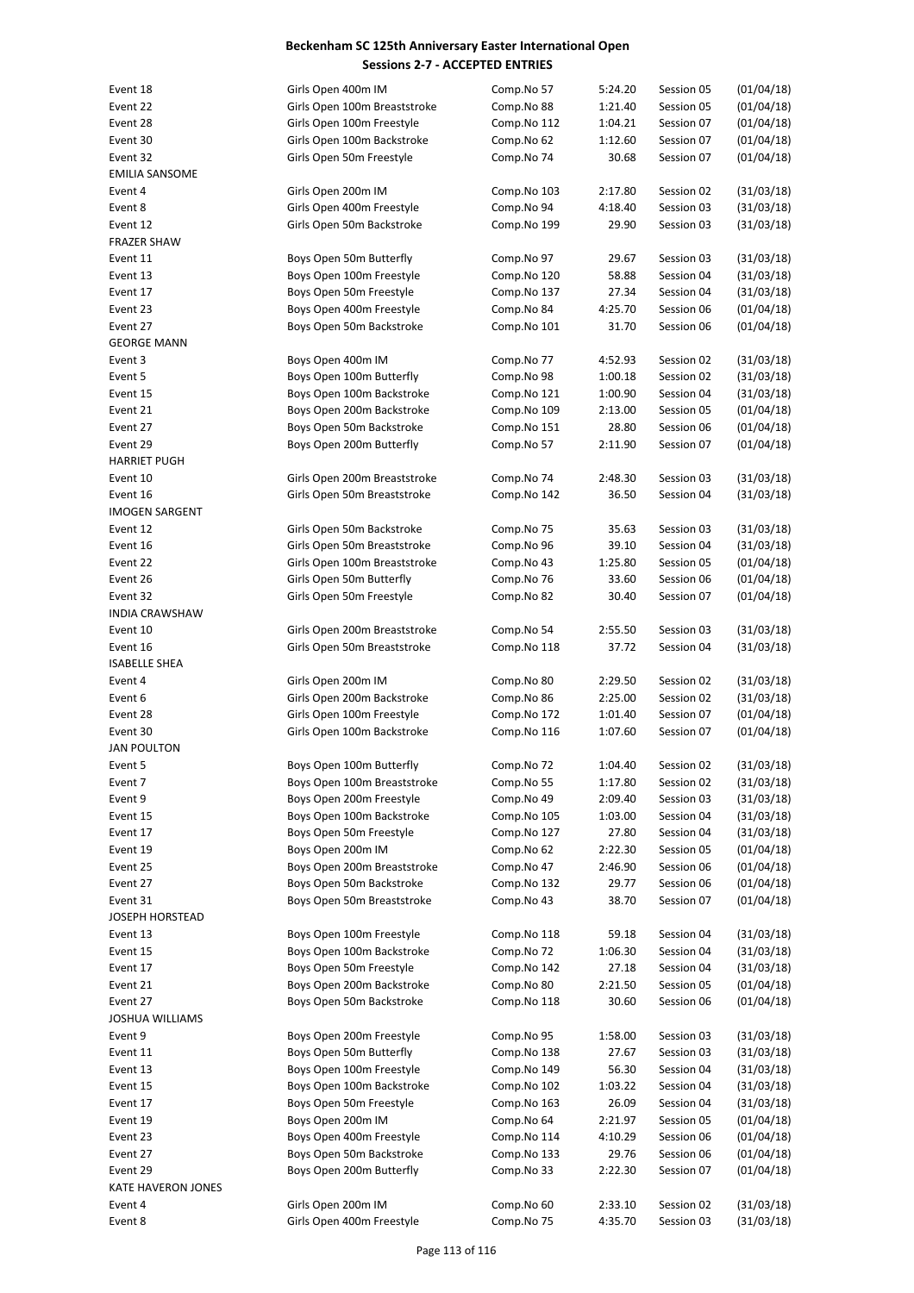| Event 18               | Girls Open 400m IM           | Comp.No 57  | 5:24.20 | Session 05 | (01/04/18) |
|------------------------|------------------------------|-------------|---------|------------|------------|
| Event 22               | Girls Open 100m Breaststroke | Comp.No 88  | 1:21.40 | Session 05 | (01/04/18) |
| Event 28               | Girls Open 100m Freestyle    | Comp.No 112 | 1:04.21 | Session 07 | (01/04/18) |
| Event 30               | Girls Open 100m Backstroke   | Comp.No 62  | 1:12.60 | Session 07 | (01/04/18) |
| Event 32               | Girls Open 50m Freestyle     | Comp.No 74  | 30.68   | Session 07 | (01/04/18) |
| <b>EMILIA SANSOME</b>  |                              |             |         |            |            |
|                        |                              |             |         |            |            |
| Event 4                | Girls Open 200m IM           | Comp.No 103 | 2:17.80 | Session 02 | (31/03/18) |
| Event 8                | Girls Open 400m Freestyle    | Comp.No 94  | 4:18.40 | Session 03 | (31/03/18) |
| Event 12               | Girls Open 50m Backstroke    | Comp.No 199 | 29.90   | Session 03 | (31/03/18) |
| <b>FRAZER SHAW</b>     |                              |             |         |            |            |
| Event 11               | Boys Open 50m Butterfly      | Comp.No 97  | 29.67   | Session 03 | (31/03/18) |
| Event 13               | Boys Open 100m Freestyle     | Comp.No 120 | 58.88   | Session 04 | (31/03/18) |
|                        |                              |             |         |            |            |
| Event 17               | Boys Open 50m Freestyle      | Comp.No 137 | 27.34   | Session 04 | (31/03/18) |
| Event 23               | Boys Open 400m Freestyle     | Comp.No 84  | 4:25.70 | Session 06 | (01/04/18) |
| Event 27               | Boys Open 50m Backstroke     | Comp.No 101 | 31.70   | Session 06 | (01/04/18) |
| <b>GEORGE MANN</b>     |                              |             |         |            |            |
| Event 3                | Boys Open 400m IM            | Comp.No 77  | 4:52.93 | Session 02 | (31/03/18) |
| Event 5                | Boys Open 100m Butterfly     | Comp.No 98  | 1:00.18 | Session 02 | (31/03/18) |
| Event 15               | Boys Open 100m Backstroke    | Comp.No 121 | 1:00.90 | Session 04 | (31/03/18) |
|                        |                              |             |         |            |            |
| Event 21               | Boys Open 200m Backstroke    | Comp.No 109 | 2:13.00 | Session 05 | (01/04/18) |
| Event 27               | Boys Open 50m Backstroke     | Comp.No 151 | 28.80   | Session 06 | (01/04/18) |
| Event 29               | Boys Open 200m Butterfly     | Comp.No 57  | 2:11.90 | Session 07 | (01/04/18) |
| <b>HARRIET PUGH</b>    |                              |             |         |            |            |
| Event 10               | Girls Open 200m Breaststroke | Comp.No 74  | 2:48.30 | Session 03 | (31/03/18) |
| Event 16               | Girls Open 50m Breaststroke  | Comp.No 142 | 36.50   | Session 04 | (31/03/18) |
| <b>IMOGEN SARGENT</b>  |                              |             |         |            |            |
|                        |                              |             |         |            |            |
| Event 12               | Girls Open 50m Backstroke    | Comp.No 75  | 35.63   | Session 03 | (31/03/18) |
| Event 16               | Girls Open 50m Breaststroke  | Comp.No 96  | 39.10   | Session 04 | (31/03/18) |
| Event 22               | Girls Open 100m Breaststroke | Comp.No 43  | 1:25.80 | Session 05 | (01/04/18) |
| Event 26               | Girls Open 50m Butterfly     | Comp.No 76  | 33.60   | Session 06 | (01/04/18) |
| Event 32               | Girls Open 50m Freestyle     | Comp.No 82  | 30.40   | Session 07 | (01/04/18) |
| INDIA CRAWSHAW         |                              |             |         |            |            |
|                        |                              |             |         |            |            |
| Event 10               | Girls Open 200m Breaststroke | Comp.No 54  | 2:55.50 | Session 03 | (31/03/18) |
| Event 16               | Girls Open 50m Breaststroke  | Comp.No 118 | 37.72   | Session 04 | (31/03/18) |
| <b>ISABELLE SHEA</b>   |                              |             |         |            |            |
| Event 4                | Girls Open 200m IM           | Comp.No 80  | 2:29.50 | Session 02 | (31/03/18) |
| Event 6                | Girls Open 200m Backstroke   | Comp.No 86  | 2:25.00 | Session 02 | (31/03/18) |
| Event 28               | Girls Open 100m Freestyle    | Comp.No 172 | 1:01.40 | Session 07 | (01/04/18) |
| Event 30               | Girls Open 100m Backstroke   | Comp.No 116 | 1:07.60 | Session 07 | (01/04/18) |
|                        |                              |             |         |            |            |
| <b>JAN POULTON</b>     |                              |             |         |            |            |
| Event 5                | Boys Open 100m Butterfly     | Comp.No 72  | 1:04.40 | Session 02 | (31/03/18) |
| Event 7                | Boys Open 100m Breaststroke  | Comp.No 55  | 1:17.80 | Session 02 | (31/03/18) |
| Event 9                | Boys Open 200m Freestyle     | Comp.No 49  | 2:09.40 | Session 03 | (31/03/18) |
| Event 15               | Boys Open 100m Backstroke    | Comp.No 105 | 1:03.00 | Session 04 | (31/03/18) |
| Event 17               | Boys Open 50m Freestyle      | Comp.No 127 | 27.80   | Session 04 | (31/03/18) |
|                        |                              |             |         |            |            |
| Event 19               | Boys Open 200m IM            | Comp.No 62  | 2:22.30 | Session 05 | (01/04/18) |
| Event 25               | Boys Open 200m Breaststroke  | Comp.No 47  | 2:46.90 | Session 06 | (01/04/18) |
| Event 27               | Boys Open 50m Backstroke     | Comp.No 132 | 29.77   | Session 06 | (01/04/18) |
| Event 31               | Boys Open 50m Breaststroke   | Comp.No 43  | 38.70   | Session 07 | (01/04/18) |
| JOSEPH HORSTEAD        |                              |             |         |            |            |
| Event 13               | Boys Open 100m Freestyle     | Comp.No 118 | 59.18   | Session 04 | (31/03/18) |
|                        | Boys Open 100m Backstroke    |             |         |            |            |
| Event 15               |                              | Comp.No 72  | 1:06.30 | Session 04 | (31/03/18) |
| Event 17               | Boys Open 50m Freestyle      | Comp.No 142 | 27.18   | Session 04 | (31/03/18) |
| Event 21               | Boys Open 200m Backstroke    | Comp.No 80  | 2:21.50 | Session 05 | (01/04/18) |
| Event 27               | Boys Open 50m Backstroke     | Comp.No 118 | 30.60   | Session 06 | (01/04/18) |
| <b>JOSHUA WILLIAMS</b> |                              |             |         |            |            |
| Event 9                | Boys Open 200m Freestyle     | Comp.No 95  | 1:58.00 | Session 03 | (31/03/18) |
| Event 11               | Boys Open 50m Butterfly      | Comp.No 138 | 27.67   | Session 03 | (31/03/18) |
|                        |                              |             |         |            |            |
| Event 13               | Boys Open 100m Freestyle     | Comp.No 149 | 56.30   | Session 04 | (31/03/18) |
| Event 15               | Boys Open 100m Backstroke    | Comp.No 102 | 1:03.22 | Session 04 | (31/03/18) |
| Event 17               | Boys Open 50m Freestyle      | Comp.No 163 | 26.09   | Session 04 | (31/03/18) |
| Event 19               | Boys Open 200m IM            | Comp.No 64  | 2:21.97 | Session 05 | (01/04/18) |
| Event 23               | Boys Open 400m Freestyle     | Comp.No 114 | 4:10.29 | Session 06 | (01/04/18) |
| Event 27               | Boys Open 50m Backstroke     | Comp.No 133 | 29.76   | Session 06 | (01/04/18) |
|                        |                              |             |         |            |            |
| Event 29               | Boys Open 200m Butterfly     | Comp.No 33  | 2:22.30 | Session 07 | (01/04/18) |
| KATE HAVERON JONES     |                              |             |         |            |            |
| Event 4                | Girls Open 200m IM           | Comp.No 60  | 2:33.10 | Session 02 | (31/03/18) |
| Event 8                | Girls Open 400m Freestyle    | Comp.No 75  | 4:35.70 | Session 03 | (31/03/18) |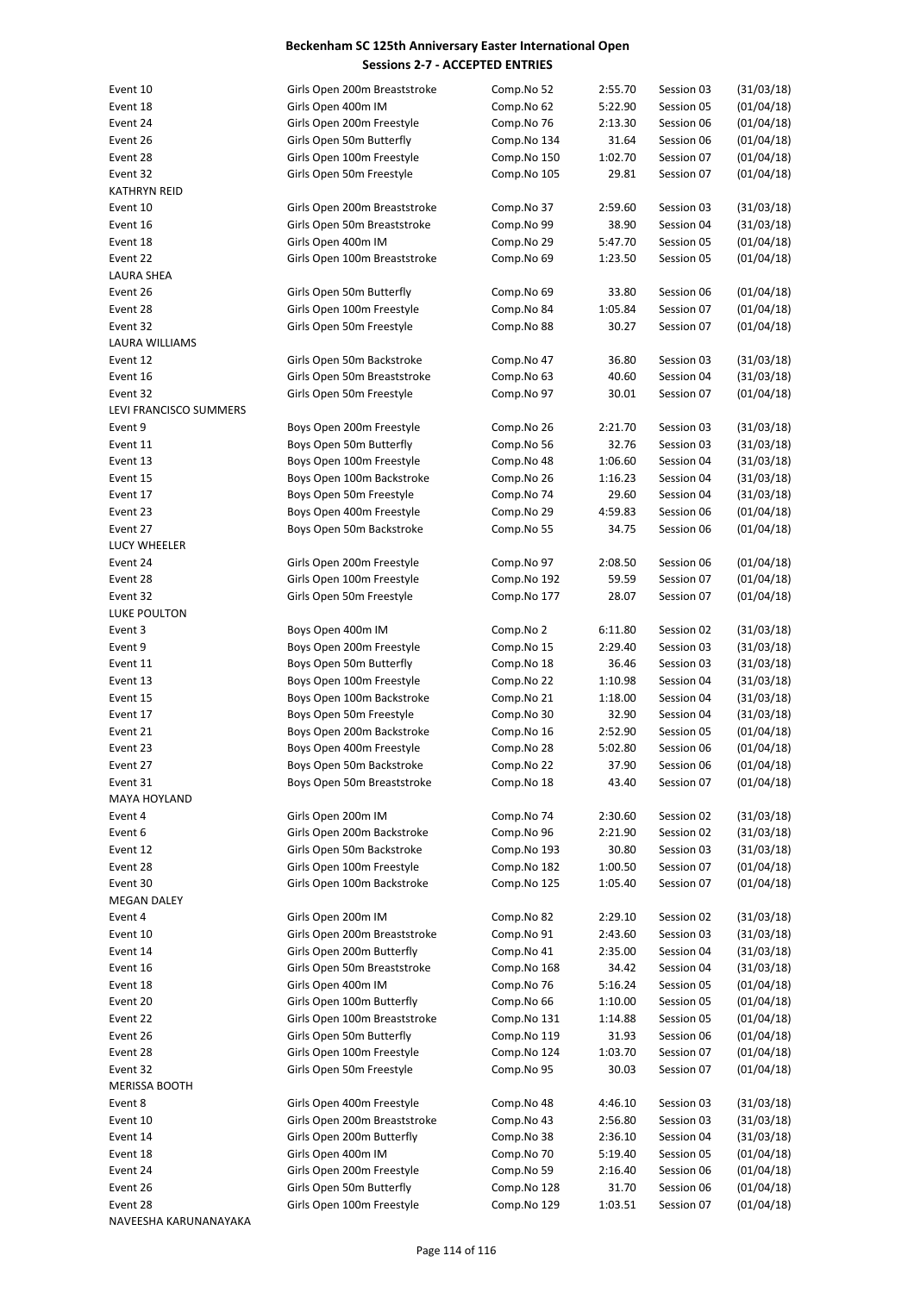| Event 10               | Girls Open 200m Breaststroke | Comp.No 52  | 2:55.70 | Session 03 | (31/03/18) |
|------------------------|------------------------------|-------------|---------|------------|------------|
| Event 18               | Girls Open 400m IM           | Comp.No 62  | 5:22.90 | Session 05 | (01/04/18) |
| Event 24               | Girls Open 200m Freestyle    | Comp.No 76  | 2:13.30 | Session 06 | (01/04/18) |
| Event 26               | Girls Open 50m Butterfly     | Comp.No 134 | 31.64   | Session 06 | (01/04/18) |
| Event 28               | Girls Open 100m Freestyle    | Comp.No 150 | 1:02.70 | Session 07 | (01/04/18) |
| Event 32               | Girls Open 50m Freestyle     | Comp.No 105 | 29.81   | Session 07 | (01/04/18) |
|                        |                              |             |         |            |            |
| <b>KATHRYN REID</b>    |                              |             |         |            |            |
| Event 10               | Girls Open 200m Breaststroke | Comp.No 37  | 2:59.60 | Session 03 | (31/03/18) |
| Event 16               | Girls Open 50m Breaststroke  | Comp.No 99  | 38.90   | Session 04 | (31/03/18) |
| Event 18               | Girls Open 400m IM           | Comp.No 29  | 5:47.70 | Session 05 | (01/04/18) |
| Event 22               | Girls Open 100m Breaststroke | Comp.No 69  | 1:23.50 | Session 05 | (01/04/18) |
| LAURA SHEA             |                              |             |         |            |            |
| Event 26               | Girls Open 50m Butterfly     | Comp.No 69  | 33.80   | Session 06 | (01/04/18) |
| Event 28               | Girls Open 100m Freestyle    | Comp.No 84  | 1:05.84 | Session 07 | (01/04/18) |
| Event 32               | Girls Open 50m Freestyle     | Comp.No 88  | 30.27   | Session 07 | (01/04/18) |
| <b>LAURA WILLIAMS</b>  |                              |             |         |            |            |
| Event 12               | Girls Open 50m Backstroke    | Comp.No 47  | 36.80   | Session 03 | (31/03/18) |
| Event 16               | Girls Open 50m Breaststroke  | Comp.No 63  | 40.60   | Session 04 | (31/03/18) |
| Event 32               | Girls Open 50m Freestyle     | Comp.No 97  | 30.01   | Session 07 | (01/04/18) |
|                        |                              |             |         |            |            |
| LEVI FRANCISCO SUMMERS |                              |             |         |            |            |
| Event 9                | Boys Open 200m Freestyle     | Comp.No 26  | 2:21.70 | Session 03 | (31/03/18) |
| Event 11               | Boys Open 50m Butterfly      | Comp.No 56  | 32.76   | Session 03 | (31/03/18) |
| Event 13               | Boys Open 100m Freestyle     | Comp.No 48  | 1:06.60 | Session 04 | (31/03/18) |
| Event 15               | Boys Open 100m Backstroke    | Comp.No 26  | 1:16.23 | Session 04 | (31/03/18) |
| Event 17               | Boys Open 50m Freestyle      | Comp.No 74  | 29.60   | Session 04 | (31/03/18) |
| Event 23               | Boys Open 400m Freestyle     | Comp.No 29  | 4:59.83 | Session 06 | (01/04/18) |
| Event 27               | Boys Open 50m Backstroke     | Comp.No 55  | 34.75   | Session 06 | (01/04/18) |
| LUCY WHEELER           |                              |             |         |            |            |
| Event 24               | Girls Open 200m Freestyle    | Comp.No 97  | 2:08.50 | Session 06 | (01/04/18) |
| Event 28               | Girls Open 100m Freestyle    | Comp.No 192 | 59.59   | Session 07 | (01/04/18) |
| Event 32               | Girls Open 50m Freestyle     | Comp.No 177 | 28.07   | Session 07 | (01/04/18) |
| LUKE POULTON           |                              |             |         |            |            |
| Event 3                | Boys Open 400m IM            | Comp.No 2   | 6:11.80 | Session 02 | (31/03/18) |
|                        |                              |             |         |            |            |
| Event 9                | Boys Open 200m Freestyle     | Comp.No 15  | 2:29.40 | Session 03 | (31/03/18) |
| Event 11               | Boys Open 50m Butterfly      | Comp.No 18  | 36.46   | Session 03 | (31/03/18) |
| Event 13               | Boys Open 100m Freestyle     | Comp.No 22  | 1:10.98 | Session 04 | (31/03/18) |
| Event 15               | Boys Open 100m Backstroke    | Comp.No 21  | 1:18.00 | Session 04 | (31/03/18) |
| Event 17               | Boys Open 50m Freestyle      | Comp.No 30  | 32.90   | Session 04 | (31/03/18) |
| Event 21               | Boys Open 200m Backstroke    | Comp.No 16  | 2:52.90 | Session 05 | (01/04/18) |
| Event 23               | Boys Open 400m Freestyle     | Comp.No 28  | 5:02.80 | Session 06 | (01/04/18) |
| Event 27               | Boys Open 50m Backstroke     | Comp.No 22  | 37.90   | Session 06 | (01/04/18) |
| Event 31               | Boys Open 50m Breaststroke   | Comp.No 18  | 43.40   | Session 07 | (01/04/18) |
| MAYA HOYLAND           |                              |             |         |            |            |
| Event 4                | Girls Open 200m IM           | Comp.No 74  | 2:30.60 | Session 02 | (31/03/18) |
| Event 6                | Girls Open 200m Backstroke   | Comp.No 96  | 2:21.90 | Session 02 | (31/03/18) |
| Event 12               | Girls Open 50m Backstroke    | Comp.No 193 | 30.80   | Session 03 | (31/03/18) |
| Event 28               | Girls Open 100m Freestyle    | Comp.No 182 | 1:00.50 | Session 07 | (01/04/18) |
| Event 30               | Girls Open 100m Backstroke   |             |         |            | (01/04/18) |
|                        |                              | Comp.No 125 | 1:05.40 | Session 07 |            |
| MEGAN DALEY            |                              |             |         |            |            |
| Event 4                | Girls Open 200m IM           | Comp.No 82  | 2:29.10 | Session 02 | (31/03/18) |
| Event 10               | Girls Open 200m Breaststroke | Comp.No 91  | 2:43.60 | Session 03 | (31/03/18) |
| Event 14               | Girls Open 200m Butterfly    | Comp.No 41  | 2:35.00 | Session 04 | (31/03/18) |
| Event 16               | Girls Open 50m Breaststroke  | Comp.No 168 | 34.42   | Session 04 | (31/03/18) |
| Event 18               | Girls Open 400m IM           | Comp.No 76  | 5:16.24 | Session 05 | (01/04/18) |
| Event 20               | Girls Open 100m Butterfly    | Comp.No 66  | 1:10.00 | Session 05 | (01/04/18) |
| Event 22               | Girls Open 100m Breaststroke | Comp.No 131 | 1:14.88 | Session 05 | (01/04/18) |
| Event 26               | Girls Open 50m Butterfly     | Comp.No 119 | 31.93   | Session 06 | (01/04/18) |
| Event 28               | Girls Open 100m Freestyle    | Comp.No 124 | 1:03.70 | Session 07 | (01/04/18) |
| Event 32               | Girls Open 50m Freestyle     | Comp.No 95  | 30.03   | Session 07 | (01/04/18) |
| <b>MERISSA BOOTH</b>   |                              |             |         |            |            |
|                        |                              |             |         |            |            |
| Event 8                | Girls Open 400m Freestyle    | Comp.No 48  | 4:46.10 | Session 03 | (31/03/18) |
| Event 10               | Girls Open 200m Breaststroke | Comp.No 43  | 2:56.80 | Session 03 | (31/03/18) |
| Event 14               | Girls Open 200m Butterfly    | Comp.No 38  | 2:36.10 | Session 04 | (31/03/18) |
| Event 18               | Girls Open 400m IM           | Comp.No 70  | 5:19.40 | Session 05 | (01/04/18) |
| Event 24               | Girls Open 200m Freestyle    | Comp.No 59  | 2:16.40 | Session 06 | (01/04/18) |
| Event 26               | Girls Open 50m Butterfly     | Comp.No 128 | 31.70   | Session 06 | (01/04/18) |
| Event 28               | Girls Open 100m Freestyle    | Comp.No 129 | 1:03.51 | Session 07 | (01/04/18) |
| NAVEESHA KARUNANAYAKA  |                              |             |         |            |            |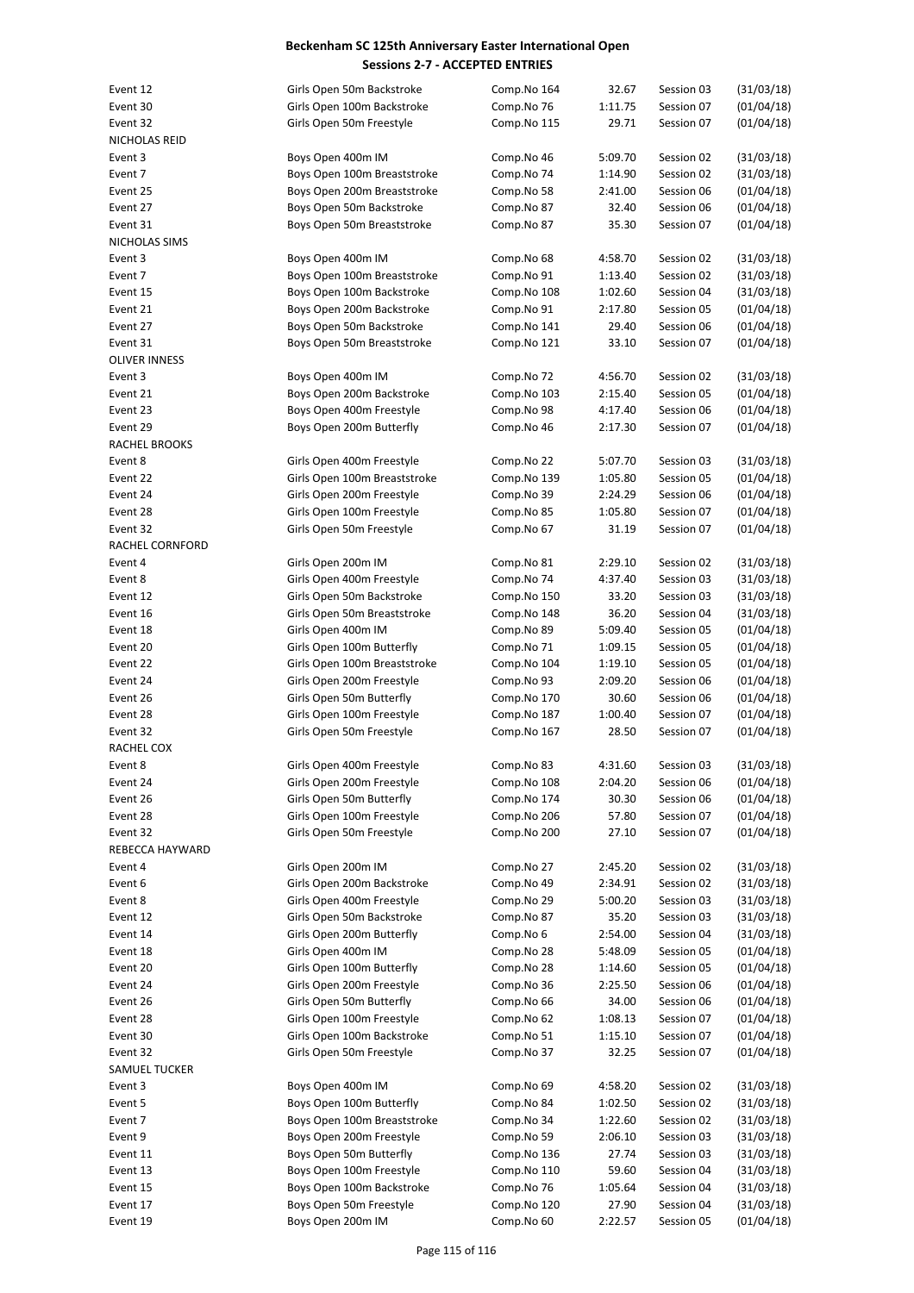| Event 12             | Girls Open 50m Backstroke    | Comp.No 164 | 32.67   | Session 03 | (31/03/18) |
|----------------------|------------------------------|-------------|---------|------------|------------|
| Event 30             | Girls Open 100m Backstroke   | Comp.No 76  | 1:11.75 | Session 07 | (01/04/18) |
| Event 32             | Girls Open 50m Freestyle     | Comp.No 115 | 29.71   | Session 07 | (01/04/18) |
| NICHOLAS REID        |                              |             |         |            |            |
| Event 3              | Boys Open 400m IM            | Comp.No 46  | 5:09.70 | Session 02 | (31/03/18) |
| Event 7              | Boys Open 100m Breaststroke  | Comp.No 74  | 1:14.90 | Session 02 | (31/03/18) |
| Event 25             | Boys Open 200m Breaststroke  | Comp.No 58  | 2:41.00 | Session 06 | (01/04/18) |
| Event 27             | Boys Open 50m Backstroke     | Comp.No 87  | 32.40   | Session 06 | (01/04/18) |
| Event 31             | Boys Open 50m Breaststroke   | Comp.No 87  | 35.30   | Session 07 | (01/04/18) |
| NICHOLAS SIMS        |                              |             |         |            |            |
| Event 3              | Boys Open 400m IM            | Comp.No 68  | 4:58.70 | Session 02 | (31/03/18) |
| Event 7              | Boys Open 100m Breaststroke  | Comp.No 91  | 1:13.40 | Session 02 | (31/03/18) |
| Event 15             | Boys Open 100m Backstroke    | Comp.No 108 | 1:02.60 | Session 04 | (31/03/18) |
| Event 21             | Boys Open 200m Backstroke    | Comp.No 91  | 2:17.80 | Session 05 | (01/04/18) |
| Event 27             | Boys Open 50m Backstroke     | Comp.No 141 | 29.40   | Session 06 | (01/04/18) |
| Event 31             | Boys Open 50m Breaststroke   | Comp.No 121 | 33.10   | Session 07 | (01/04/18) |
| <b>OLIVER INNESS</b> |                              |             |         |            |            |
| Event 3              | Boys Open 400m IM            | Comp.No 72  | 4:56.70 | Session 02 | (31/03/18) |
| Event 21             | Boys Open 200m Backstroke    | Comp.No 103 | 2:15.40 | Session 05 | (01/04/18) |
| Event 23             | Boys Open 400m Freestyle     | Comp.No 98  | 4:17.40 | Session 06 | (01/04/18) |
| Event 29             | Boys Open 200m Butterfly     | Comp.No 46  | 2:17.30 | Session 07 | (01/04/18) |
| RACHEL BROOKS        |                              |             |         |            |            |
| Event 8              | Girls Open 400m Freestyle    | Comp.No 22  | 5:07.70 | Session 03 | (31/03/18) |
| Event 22             | Girls Open 100m Breaststroke | Comp.No 139 | 1:05.80 | Session 05 | (01/04/18) |
| Event 24             | Girls Open 200m Freestyle    | Comp.No 39  | 2:24.29 | Session 06 | (01/04/18) |
| Event 28             | Girls Open 100m Freestyle    | Comp.No 85  | 1:05.80 | Session 07 | (01/04/18) |
| Event 32             | Girls Open 50m Freestyle     | Comp.No 67  | 31.19   | Session 07 | (01/04/18) |
| RACHEL CORNFORD      |                              |             |         |            |            |
| Event 4              | Girls Open 200m IM           | Comp.No 81  | 2:29.10 | Session 02 | (31/03/18) |
| Event 8              | Girls Open 400m Freestyle    | Comp.No 74  | 4:37.40 | Session 03 | (31/03/18) |
| Event 12             | Girls Open 50m Backstroke    | Comp.No 150 | 33.20   | Session 03 | (31/03/18) |
| Event 16             | Girls Open 50m Breaststroke  | Comp.No 148 | 36.20   | Session 04 | (31/03/18) |
| Event 18             |                              | Comp.No 89  |         | Session 05 | (01/04/18) |
|                      | Girls Open 400m IM           |             | 5:09.40 |            |            |
| Event 20             | Girls Open 100m Butterfly    | Comp.No 71  | 1:09.15 | Session 05 | (01/04/18) |
| Event 22             | Girls Open 100m Breaststroke | Comp.No 104 | 1:19.10 | Session 05 | (01/04/18) |
| Event 24             | Girls Open 200m Freestyle    | Comp.No 93  | 2:09.20 | Session 06 | (01/04/18) |
| Event 26             | Girls Open 50m Butterfly     | Comp.No 170 | 30.60   | Session 06 | (01/04/18) |
| Event 28             | Girls Open 100m Freestyle    | Comp.No 187 | 1:00.40 | Session 07 | (01/04/18) |
| Event 32             | Girls Open 50m Freestyle     | Comp.No 167 | 28.50   | Session 07 | (01/04/18) |
| RACHEL COX           |                              |             |         |            |            |
| Event 8              | Girls Open 400m Freestyle    | Comp.No 83  | 4:31.60 | Session 03 | (31/03/18) |
| Event 24             | Girls Open 200m Freestyle    | Comp.No 108 | 2:04.20 | Session 06 | (01/04/18) |
| Event 26             | Girls Open 50m Butterfly     | Comp.No 174 | 30.30   | Session 06 | (01/04/18) |
| Event 28             | Girls Open 100m Freestyle    | Comp.No 206 | 57.80   | Session 07 | (01/04/18) |
| Event 32             | Girls Open 50m Freestyle     | Comp.No 200 | 27.10   | Session 07 | (01/04/18) |
| REBECCA HAYWARD      |                              |             |         |            |            |
| Event 4              | Girls Open 200m IM           | Comp.No 27  | 2:45.20 | Session 02 | (31/03/18) |
| Event 6              | Girls Open 200m Backstroke   | Comp.No 49  | 2:34.91 | Session 02 | (31/03/18) |
| Event 8              | Girls Open 400m Freestyle    | Comp.No 29  | 5:00.20 | Session 03 | (31/03/18) |
| Event 12             | Girls Open 50m Backstroke    | Comp.No 87  | 35.20   | Session 03 | (31/03/18) |
| Event 14             | Girls Open 200m Butterfly    | Comp.No 6   | 2:54.00 | Session 04 | (31/03/18) |
| Event 18             | Girls Open 400m IM           | Comp.No 28  | 5:48.09 | Session 05 | (01/04/18) |
| Event 20             | Girls Open 100m Butterfly    | Comp.No 28  | 1:14.60 | Session 05 | (01/04/18) |
| Event 24             | Girls Open 200m Freestyle    | Comp.No 36  | 2:25.50 | Session 06 | (01/04/18) |
| Event 26             | Girls Open 50m Butterfly     | Comp.No 66  | 34.00   | Session 06 | (01/04/18) |
| Event 28             | Girls Open 100m Freestyle    | Comp.No 62  | 1:08.13 | Session 07 | (01/04/18) |
| Event 30             | Girls Open 100m Backstroke   | Comp.No 51  | 1:15.10 | Session 07 | (01/04/18) |
| Event 32             | Girls Open 50m Freestyle     | Comp.No 37  | 32.25   | Session 07 | (01/04/18) |
| SAMUEL TUCKER        |                              |             |         |            |            |
| Event 3              | Boys Open 400m IM            | Comp.No 69  | 4:58.20 | Session 02 | (31/03/18) |
| Event 5              | Boys Open 100m Butterfly     | Comp.No 84  | 1:02.50 | Session 02 | (31/03/18) |
| Event 7              | Boys Open 100m Breaststroke  | Comp.No 34  | 1:22.60 | Session 02 | (31/03/18) |
| Event 9              | Boys Open 200m Freestyle     | Comp.No 59  | 2:06.10 | Session 03 | (31/03/18) |
| Event 11             | Boys Open 50m Butterfly      | Comp.No 136 | 27.74   | Session 03 | (31/03/18) |
|                      |                              |             |         |            |            |
| Event 13             | Boys Open 100m Freestyle     | Comp.No 110 | 59.60   | Session 04 | (31/03/18) |
| Event 15             | Boys Open 100m Backstroke    | Comp.No 76  | 1:05.64 | Session 04 | (31/03/18) |
| Event 17             | Boys Open 50m Freestyle      | Comp.No 120 | 27.90   | Session 04 | (31/03/18) |
| Event 19             | Boys Open 200m IM            | Comp.No 60  | 2:22.57 | Session 05 | (01/04/18) |